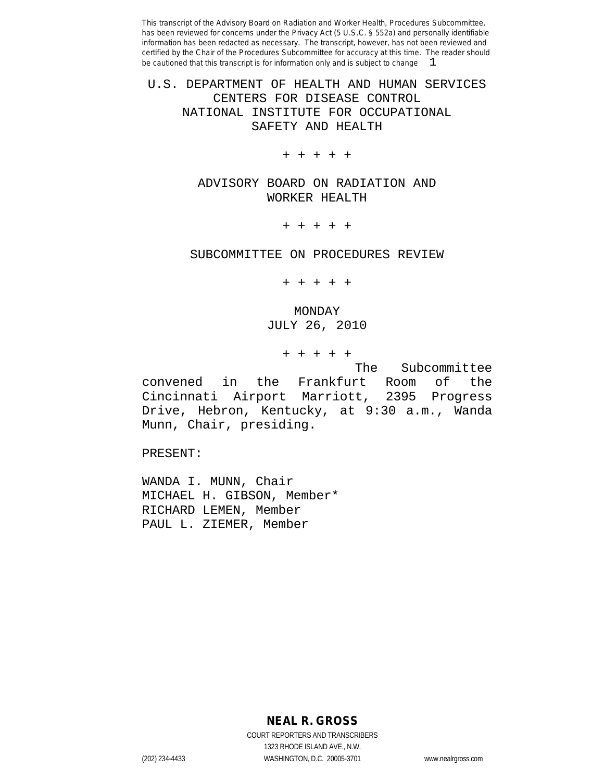### U.S. DEPARTMENT OF HEALTH AND HUMAN SERVICES CENTERS FOR DISEASE CONTROL NATIONAL INSTITUTE FOR OCCUPATIONAL SAFETY AND HEALTH

+ + + + +

### ADVISORY BOARD ON RADIATION AND WORKER HEALTH

+ + + + +

#### SUBCOMMITTEE ON PROCEDURES REVIEW

+ + + + +

MONDAY JULY 26, 2010

+ + + + +

The Subcommittee convened in the Frankfurt Room of the Cincinnati Airport Marriott, 2395 Progress Drive, Hebron, Kentucky, at 9:30 a.m., Wanda Munn, Chair, presiding.

PRESENT:

WANDA I. MUNN, Chair MICHAEL H. GIBSON, Member\* RICHARD LEMEN, Member PAUL L. ZIEMER, Member

**NEAL R. GROSS**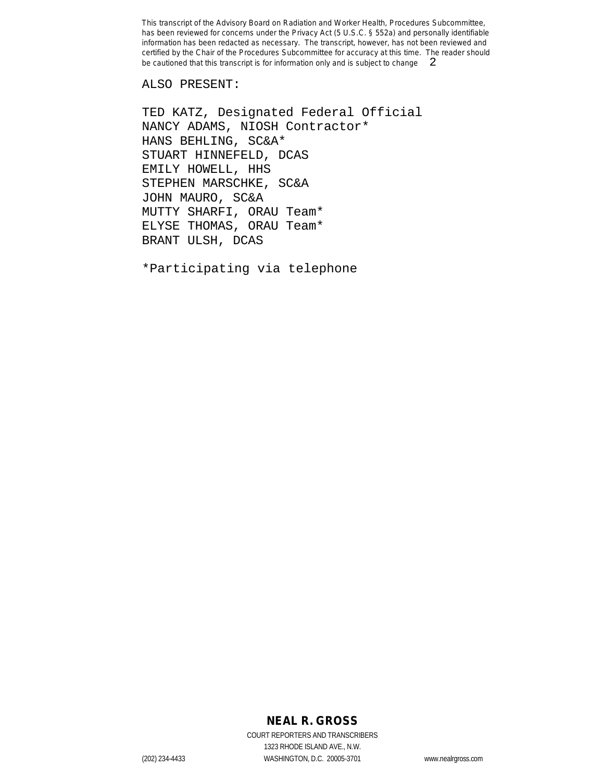ALSO PRESENT:

TED KATZ, Designated Federal Official NANCY ADAMS, NIOSH Contractor\* HANS BEHLING, SC&A\* STUART HINNEFELD, DCAS EMILY HOWELL, HHS STEPHEN MARSCHKE, SC&A JOHN MAURO, SC&A MUTTY SHARFI, ORAU Team\* ELYSE THOMAS, ORAU Team\* BRANT ULSH, DCAS

\*Participating via telephone

## **NEAL R. GROSS**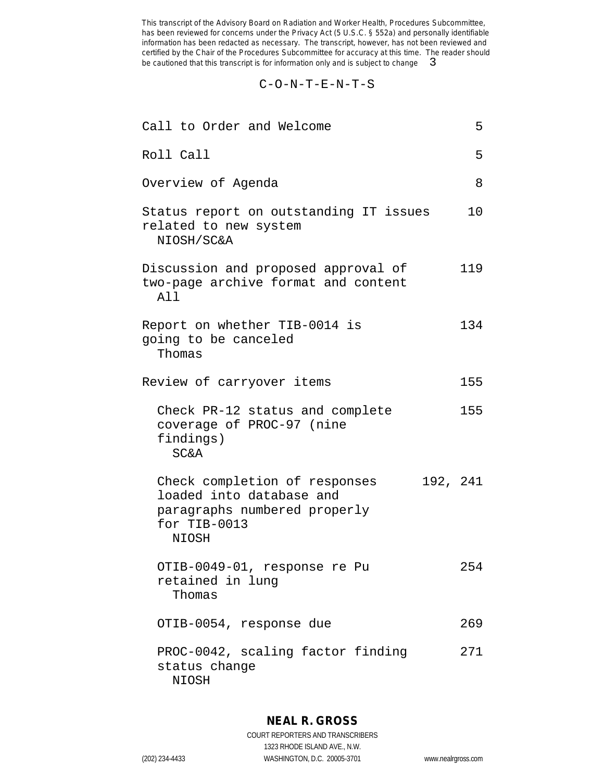C-O-N-T-E-N-T-S

| Call to Order and Welcome                                                                                                             | 5       |
|---------------------------------------------------------------------------------------------------------------------------------------|---------|
| Roll Call                                                                                                                             | 5       |
| Overview of Agenda                                                                                                                    | 8       |
| Status report on outstanding IT issues<br>related to new system<br>NIOSH/SC&A                                                         | $10 \,$ |
| Discussion and proposed approval of<br>two-page archive format and content<br>All                                                     | 119     |
| Report on whether TIB-0014 is<br>going to be canceled<br>Thomas                                                                       | 134     |
| Review of carryover items                                                                                                             | 155     |
| Check PR-12 status and complete<br>coverage of PROC-97 (nine<br>findings)<br><b>SC&amp;A</b>                                          | 155     |
| 192, 241<br>Check completion of responses<br>loaded into database and<br>paragraphs numbered properly<br>for TIB-0013<br><b>NIOSH</b> |         |
| OTIB-0049-01, response re Pu<br>retained in lung<br>Thomas                                                                            | 254     |
| OTIB-0054, response due                                                                                                               | 269     |
| PROC-0042, scaling factor finding<br>status change<br>NIOSH                                                                           | 271     |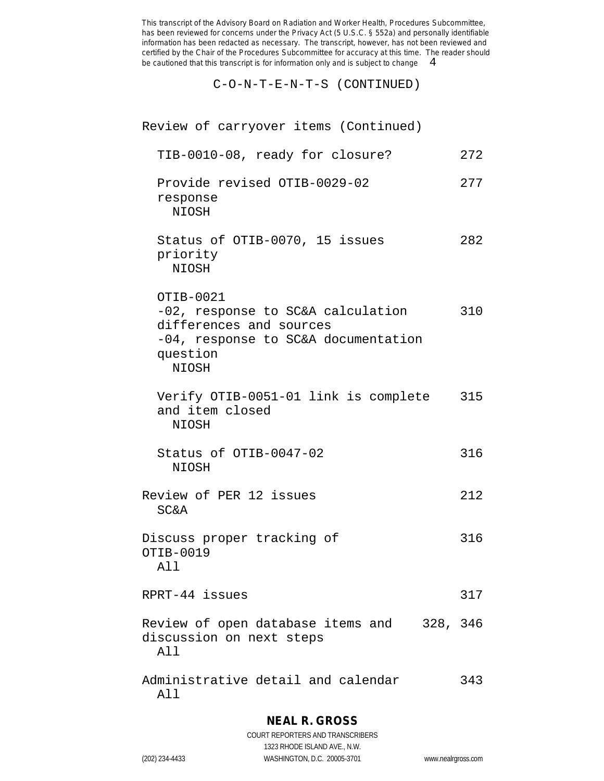C-O-N-T-E-N-T-S (CONTINUED)

| Review of carryover items (Continued)                                                                                                        |     |
|----------------------------------------------------------------------------------------------------------------------------------------------|-----|
| TIB-0010-08, ready for closure?                                                                                                              | 272 |
| Provide revised OTIB-0029-02<br>response<br>NIOSH                                                                                            | 277 |
| Status of OTIB-0070, 15 issues<br>priority<br>NIOSH                                                                                          | 282 |
| OTIB-0021<br>-02, response to SC&A calculation<br>differences and sources<br>-04, response to SC&A documentation<br>question<br><b>NIOSH</b> | 310 |
| Verify OTIB-0051-01 link is complete 315<br>and item closed<br>NIOSH                                                                         |     |
| Status of OTIB-0047-02<br>NIOSH                                                                                                              | 316 |
| Review of PER 12 issues<br><b>SC&amp;A</b>                                                                                                   | 212 |
| Discuss proper tracking of<br>OTIB-0019<br>All                                                                                               | 316 |
| RPRT-44 issues                                                                                                                               | 317 |
| Review of open database items and    328, 346<br>discussion on next steps<br>All                                                             |     |
| Administrative detail and calendar<br>All                                                                                                    | 343 |

## **NEAL R. GROSS**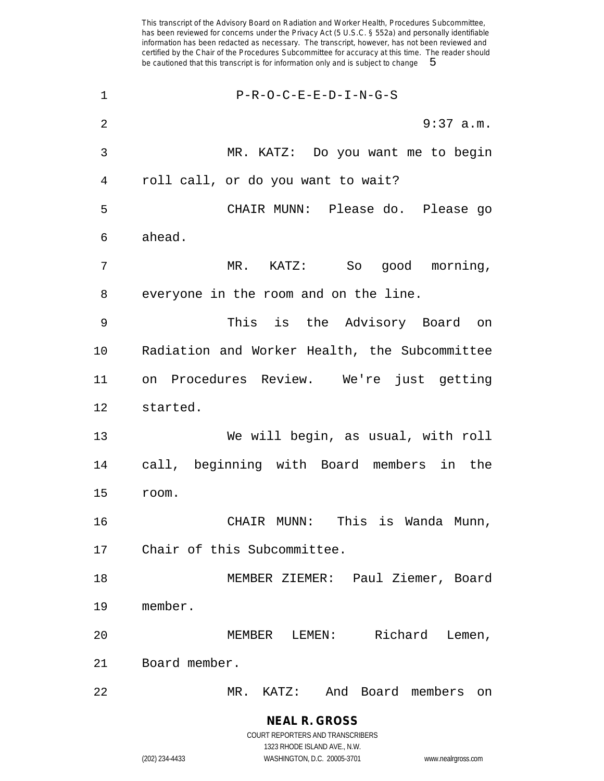| $\mathbf 1$    | $P-R-O-C-E-E-D-I-N-G-S$                       |
|----------------|-----------------------------------------------|
| $\overline{2}$ | $9:37$ a.m.                                   |
| 3              | MR. KATZ: Do you want me to begin             |
| 4              | roll call, or do you want to wait?            |
| 5              | CHAIR MUNN: Please do. Please go              |
| 6              | ahead.                                        |
| 7              | MR. KATZ: So good morning,                    |
| 8              | everyone in the room and on the line.         |
| 9              | This is the Advisory Board<br>on              |
| 10             | Radiation and Worker Health, the Subcommittee |
| 11             | on Procedures Review. We're just getting      |
| 12             | started.                                      |
| 13             | We will begin, as usual, with roll            |
| 14             | call, beginning with Board members in the     |
| 15             | room.                                         |
| 16             | CHAIR MUNN: This is Wanda Munn,               |
| 17             | Chair of this Subcommittee.                   |
| 18             | MEMBER ZIEMER: Paul Ziemer, Board             |
| 19             | member.                                       |
| 20             | Richard<br>MEMBER<br>$\tt LEMEN$ :<br>Lemen,  |
| 21             | Board member.                                 |
| 22             | MR. KATZ:<br>And Board members<br>on          |

**NEAL R. GROSS** COURT REPORTERS AND TRANSCRIBERS

1323 RHODE ISLAND AVE., N.W.

(202) 234-4433 WASHINGTON, D.C. 20005-3701 www.nealrgross.com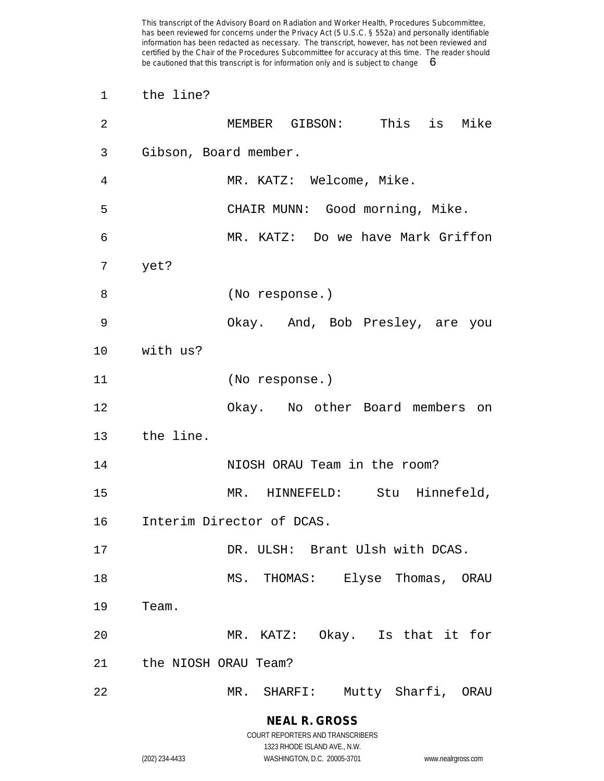| 1              | the line?                         |
|----------------|-----------------------------------|
| $\overline{2}$ | MEMBER GIBSON: This is Mike       |
| 3              | Gibson, Board member.             |
| 4              | MR. KATZ: Welcome, Mike.          |
| 5              | CHAIR MUNN: Good morning, Mike.   |
| 6              | MR. KATZ: Do we have Mark Griffon |
| 7              | yet?                              |
| 8              | (No response.)                    |
| 9              | Okay. And, Bob Presley, are you   |
| 10             | with us?                          |
| 11             | (No response.)                    |
| 12             | Okay. No other Board members on   |
| 13             | the line.                         |
| 14             | NIOSH ORAU Team in the room?      |
| 15             | MR. HINNEFELD: Stu Hinnefeld,     |
| 16             | Interim Director of DCAS.         |
| 17             | DR. ULSH: Brant Ulsh with DCAS.   |
| 18             | MS. THOMAS: Elyse Thomas, ORAU    |
| 19             | Team.                             |
| 20             | MR. KATZ: Okay. Is that it for    |
| 21             | the NIOSH ORAU Team?              |
| 22             | MR. SHARFI: Mutty Sharfi, ORAU    |

1323 RHODE ISLAND AVE., N.W.

(202) 234-4433 WASHINGTON, D.C. 20005-3701 www.nealrgross.com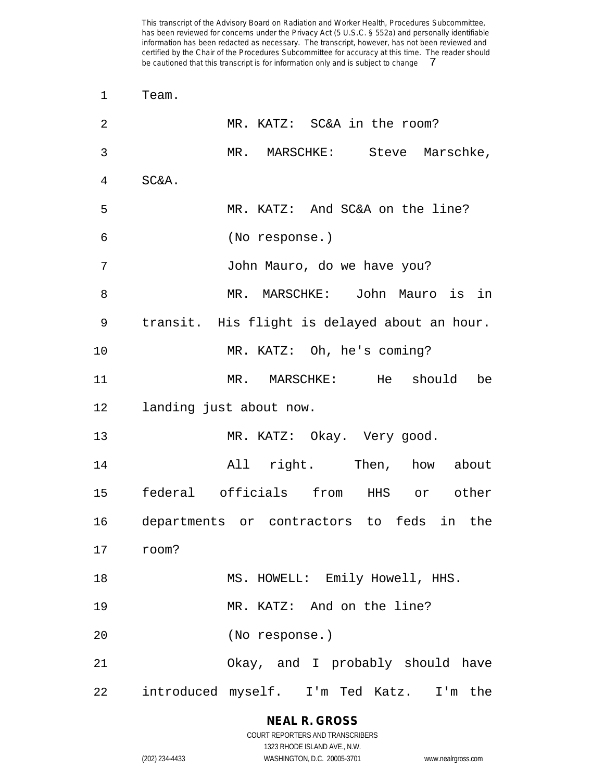| 1              | Team.                                         |
|----------------|-----------------------------------------------|
| $\overline{2}$ | MR. KATZ: SC&A in the room?                   |
| 3              | MR. MARSCHKE: Steve Marschke,                 |
| 4              | SC&A.                                         |
| 5              | MR. KATZ: And SC&A on the line?               |
| 6              | (No response.)                                |
| 7              | John Mauro, do we have you?                   |
| 8              | MR. MARSCHKE: John Mauro is in                |
| 9              | transit. His flight is delayed about an hour. |
| 10             | MR. KATZ: Oh, he's coming?                    |
| 11             | MR. MARSCHKE: He should<br>be                 |
| 12             | landing just about now.                       |
| 13             | MR. KATZ: Okay. Very good.                    |
| 14             | All right. Then, how about                    |
| 15             | federal officials from HHS or other           |
| 16             | departments or contractors to feds in the     |
| 17 room?       |                                               |
| 18             | MS. HOWELL: Emily Howell, HHS.                |
| 19             | MR. KATZ: And on the line?                    |
| 20             | (No response.)                                |
| 21             | Okay, and I probably should have              |
| 22             | introduced myself. I'm Ted Katz. I'm the      |

# **NEAL R. GROSS**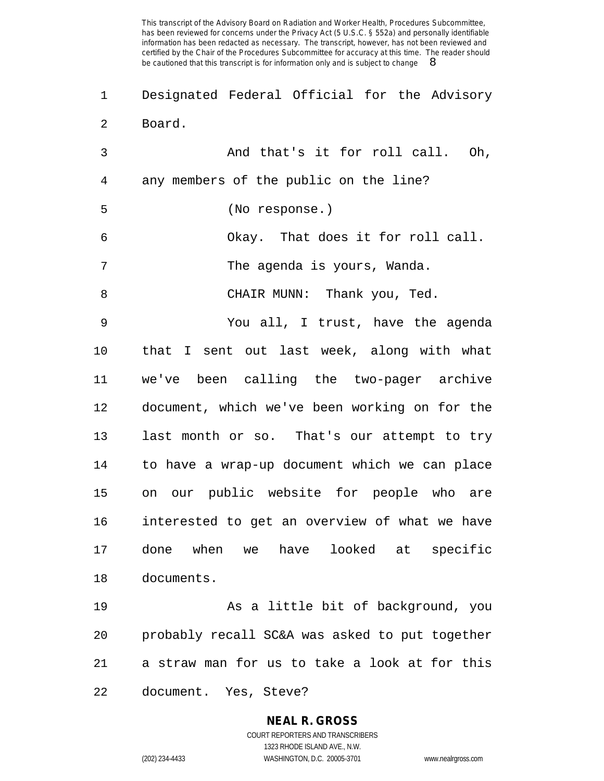Designated Federal Official for the Advisory Board.

 And that's it for roll call. Oh, any members of the public on the line? (No response.) Okay. That does it for roll call. 7 The agenda is yours, Wanda. CHAIR MUNN: Thank you, Ted. You all, I trust, have the agenda that I sent out last week, along with what we've been calling the two-pager archive document, which we've been working on for the last month or so. That's our attempt to try to have a wrap-up document which we can place on our public website for people who are interested to get an overview of what we have done when we have looked at specific documents. As a little bit of background, you

a straw man for us to take a look at for this

probably recall SC&A was asked to put together

document. Yes, Steve?

# **NEAL R. GROSS**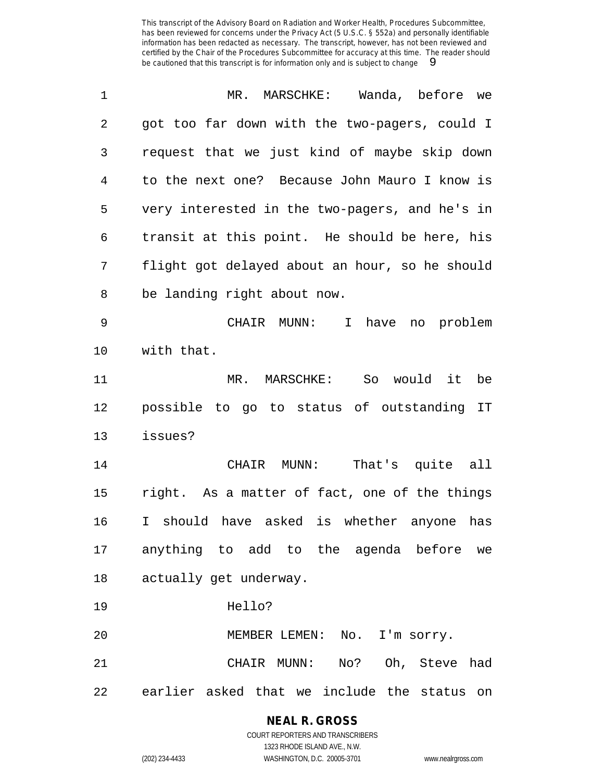| 1              | MR. MARSCHKE: Wanda, before we                 |
|----------------|------------------------------------------------|
| $\overline{2}$ | got too far down with the two-pagers, could I  |
| 3              | request that we just kind of maybe skip down   |
| 4              | to the next one? Because John Mauro I know is  |
| 5              | very interested in the two-pagers, and he's in |
| 6              | transit at this point. He should be here, his  |
| 7              | flight got delayed about an hour, so he should |
| 8              | be landing right about now.                    |
| 9              | CHAIR MUNN: I<br>have<br>no problem            |
| $10 \,$        | with that.                                     |
| 11             | MR. MARSCHKE: So would it be                   |
| 12             | possible to go to status of outstanding IT     |
| 13             | issues?                                        |
| 14             | That's quite all<br>CHAIR MUNN:                |
| 15             | right. As a matter of fact, one of the things  |
| 16             | I should have asked is whether anyone has      |
|                | 17 anything to add to the agenda before we     |
| 18             | actually get underway.                         |
| 19             | Hello?                                         |
| 20             | MEMBER LEMEN: No. I'm sorry.                   |
| 21             | CHAIR MUNN: No? Oh, Steve had                  |
| 22             | earlier asked that we include the status on    |

**NEAL R. GROSS** COURT REPORTERS AND TRANSCRIBERS

1323 RHODE ISLAND AVE., N.W. (202) 234-4433 WASHINGTON, D.C. 20005-3701 www.nealrgross.com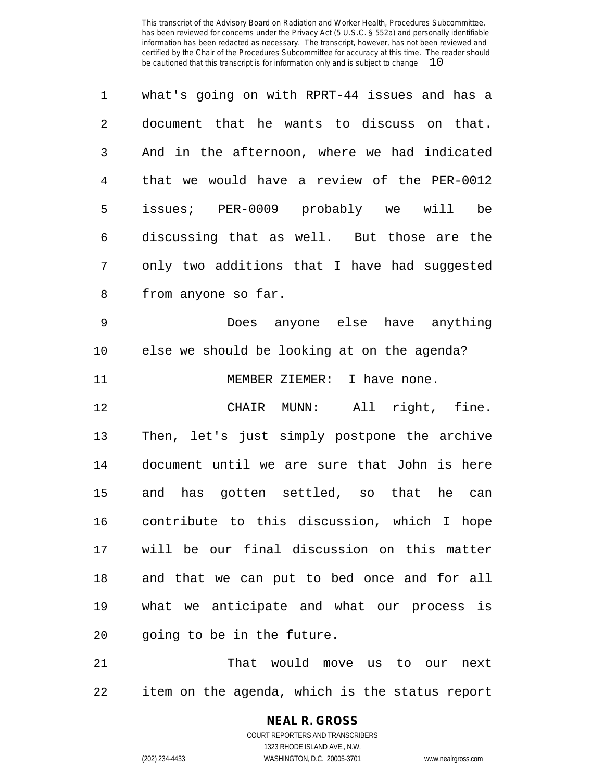| $\mathbf{1}$  | what's going on with RPRT-44 issues and has a |
|---------------|-----------------------------------------------|
| $\mathcal{L}$ | document that he wants to discuss on that.    |
| 3             | And in the afternoon, where we had indicated  |
| 4             | that we would have a review of the PER-0012   |
| 5             | issues; PER-0009 probably we will<br>be       |
| 6             | discussing that as well. But those are the    |
| 7             | only two additions that I have had suggested  |
| 8             | from anyone so far.                           |
|               |                                               |

 Does anyone else have anything else we should be looking at on the agenda? 11 MEMBER ZIEMER: I have none.

 CHAIR MUNN: All right, fine. Then, let's just simply postpone the archive document until we are sure that John is here and has gotten settled, so that he can contribute to this discussion, which I hope will be our final discussion on this matter and that we can put to bed once and for all what we anticipate and what our process is going to be in the future.

 That would move us to our next item on the agenda, which is the status report

## **NEAL R. GROSS**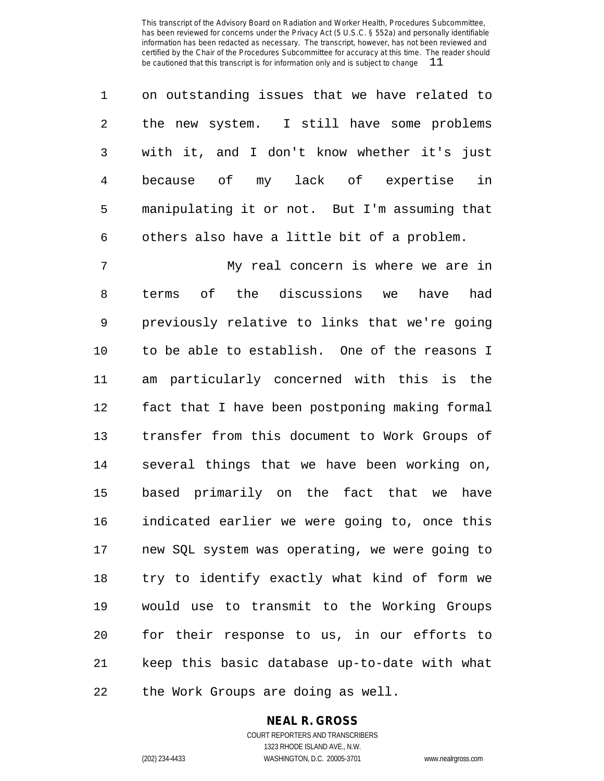| $\mathbf{1}$    | on outstanding issues that we have related to |
|-----------------|-----------------------------------------------|
| $\mathbf{2}$    | the new system. I still have some problems    |
| 3 <sup>7</sup>  | with it, and I don't know whether it's just   |
| $4\overline{ }$ | in<br>because of my lack of expertise         |
| 5               | manipulating it or not. But I'm assuming that |
| 6               | others also have a little bit of a problem.   |

 My real concern is where we are in terms of the discussions we have had previously relative to links that we're going to be able to establish. One of the reasons I am particularly concerned with this is the fact that I have been postponing making formal transfer from this document to Work Groups of several things that we have been working on, based primarily on the fact that we have indicated earlier we were going to, once this new SQL system was operating, we were going to try to identify exactly what kind of form we would use to transmit to the Working Groups for their response to us, in our efforts to keep this basic database up-to-date with what the Work Groups are doing as well.

#### **NEAL R. GROSS**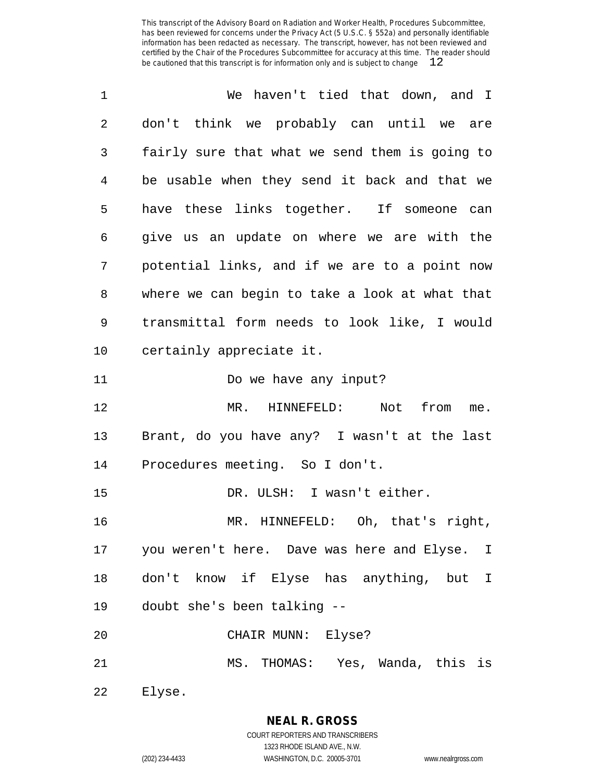| $\mathbf 1$ | We haven't tied that down, and I                |
|-------------|-------------------------------------------------|
| 2           | don't think we probably can until we are        |
| 3           | fairly sure that what we send them is going to  |
| 4           | be usable when they send it back and that we    |
| 5           | have these links together. If someone can       |
| 6           | give us an update on where we are with the      |
| 7           | potential links, and if we are to a point now   |
| 8           | where we can begin to take a look at what that  |
| 9           | transmittal form needs to look like, I would    |
| 10          | certainly appreciate it.                        |
| 11          | Do we have any input?                           |
|             |                                                 |
| 12          | MR. HINNEFELD: Not from<br>me.                  |
| 13          | Brant, do you have any? I wasn't at the last    |
| 14          | Procedures meeting. So I don't.                 |
| 15          | DR. ULSH: I wasn't either.                      |
| 16          | MR. HINNEFELD: Oh, that's right,                |
|             | 17 you weren't here. Dave was here and Elyse. I |
| 18          | don't know if Elyse has anything, but I         |
| 19          | doubt she's been talking --                     |
| 20          | CHAIR MUNN: Elyse?                              |
| 21          | MS. THOMAS: Yes, Wanda, this is                 |

Elyse.

**NEAL R. GROSS**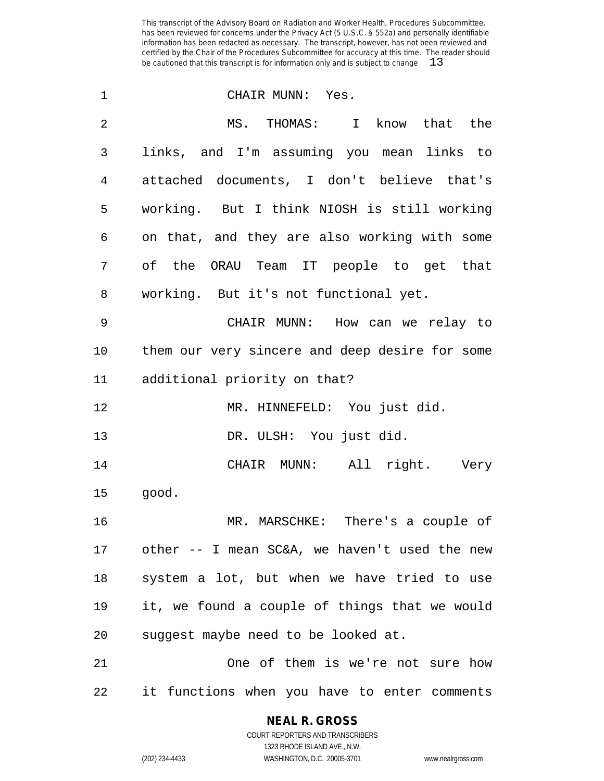| $\mathbf 1$    | CHAIR MUNN: Yes.                               |
|----------------|------------------------------------------------|
| $\overline{2}$ | MS. THOMAS: I know that the                    |
| 3              | links, and I'm assuming you mean links to      |
| 4              | attached documents, I don't believe that's     |
| 5              | working. But I think NIOSH is still working    |
| 6              | on that, and they are also working with some   |
| 7              | of the ORAU Team IT people to get that         |
| 8              | working. But it's not functional yet.          |
| 9              | CHAIR MUNN: How can we relay to                |
| 10             | them our very sincere and deep desire for some |
| 11             | additional priority on that?                   |
| 12             | MR. HINNEFELD: You just did.                   |
| 13             | DR. ULSH: You just did.                        |
| 14             | CHAIR MUNN: All right. Very                    |
| 15             | good.                                          |
| 16             | MR. MARSCHKE: There's a couple of              |
| 17             | other -- I mean SC&A, we haven't used the new  |
| 18             | system a lot, but when we have tried to use    |
| 19             | it, we found a couple of things that we would  |
| 20             | suggest maybe need to be looked at.            |
| 21             | One of them is we're not sure how              |
| 22             | it functions when you have to enter comments   |

## **NEAL R. GROSS**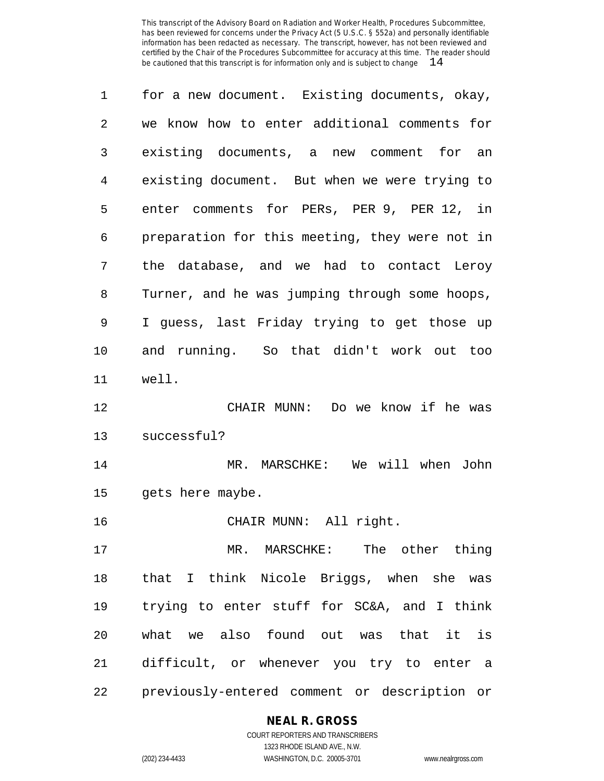| $\mathbf 1$ | for a new document. Existing documents, okay,  |
|-------------|------------------------------------------------|
| 2           | we know how to enter additional comments for   |
| 3           | existing documents, a new comment for an       |
| 4           | existing document. But when we were trying to  |
| 5           | enter comments for PERs, PER 9, PER 12, in     |
| 6           | preparation for this meeting, they were not in |
| 7           | the database, and we had to contact Leroy      |
| 8           | Turner, and he was jumping through some hoops, |
| 9           | I guess, last Friday trying to get those up    |
| $10 \,$     | and running. So that didn't work out too       |
| 11          | well.                                          |
| 12          | CHAIR MUNN: Do we know if he was               |
| 13          | successful?                                    |
| 14          | MR. MARSCHKE: We will when<br>John             |
| 15          | gets here maybe.                               |
| 16          | CHAIR MUNN: All right.                         |
| 17          | MR. MARSCHKE: The other thing                  |
| 18          | that I think Nicole Briggs, when she was       |
| 19          | trying to enter stuff for SC&A, and I think    |
| 20          | what we also found out was that it is          |
| 21          | difficult, or whenever you try to enter a      |
| 22          | previously-entered comment or description or   |

#### **NEAL R. GROSS**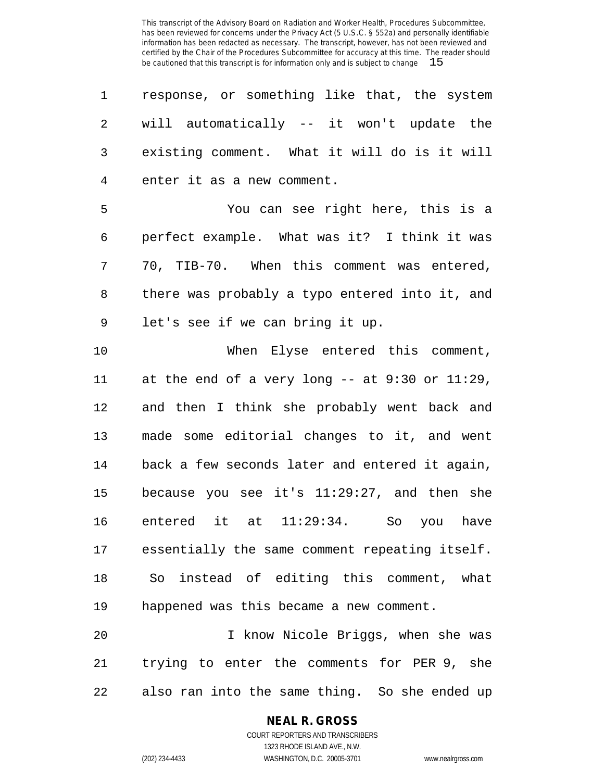| 1              | response, or something like that, the system     |
|----------------|--------------------------------------------------|
| 2              | will automatically -- it won't update the        |
| 3              | existing comment. What it will do is it will     |
| $\overline{4}$ | enter it as a new comment.                       |
| 5              | You can see right here, this is a                |
| 6              | perfect example. What was it? I think it was     |
| 7              | 70, TIB-70. When this comment was entered,       |
| 8              | there was probably a typo entered into it, and   |
| 9              | let's see if we can bring it up.                 |
| 10             | When Elyse entered this comment,                 |
| 11             | at the end of a very long $--$ at 9:30 or 11:29, |
| 12             | and then I think she probably went back and      |
| 13             | made some editorial changes to it, and went      |
| 14             | back a few seconds later and entered it again,   |
| 15             | because you see it's 11:29:27, and then she      |
| 16             | entered it at 11:29:34.<br>So you have           |
| 17             | essentially the same comment repeating itself.   |
| 18             | So instead of editing this comment, what         |
| 19             | happened was this became a new comment.          |
| 20             | I know Nicole Briggs, when she was               |
| 21             | trying to enter the comments for PER 9, she      |
| 22             | also ran into the same thing. So she ended up    |

**NEAL R. GROSS**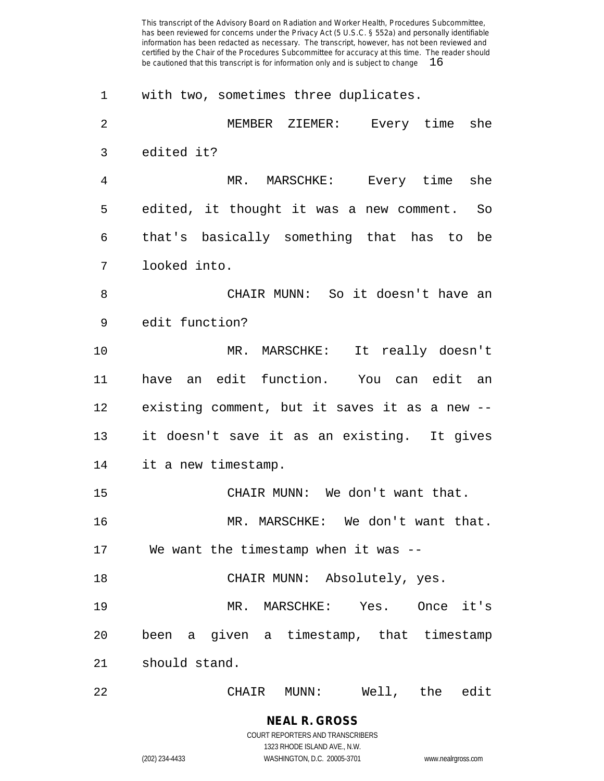| 1              | with two, sometimes three duplicates.         |
|----------------|-----------------------------------------------|
| $\overline{2}$ | MEMBER ZIEMER: Every time<br>she              |
| 3              | edited it?                                    |
| 4              | MR. MARSCHKE: Every time<br>she               |
| 5              | edited, it thought it was a new comment. So   |
| 6              | that's basically something that has to be     |
| 7              | looked into.                                  |
| 8              | CHAIR MUNN: So it doesn't have an             |
| 9              | edit function?                                |
| 10             | MR. MARSCHKE: It really doesn't               |
| 11             | have an edit function. You can edit an        |
| 12             | existing comment, but it saves it as a new -- |
| 13             | it doesn't save it as an existing. It gives   |
| 14             | it a new timestamp.                           |
| 15             | CHAIR MUNN: We don't want that.               |
| 16             | MR. MARSCHKE: We don't want that.             |
| 17             | We want the timestamp when it was --          |
| 18             | CHAIR MUNN: Absolutely, yes.                  |
| 19             | MR. MARSCHKE: Yes. Once it's                  |
| 20             | been a given a timestamp, that timestamp      |
| 21             | should stand.                                 |
| 22             | Well, the<br>edit<br>MUNN :<br>CHAIR          |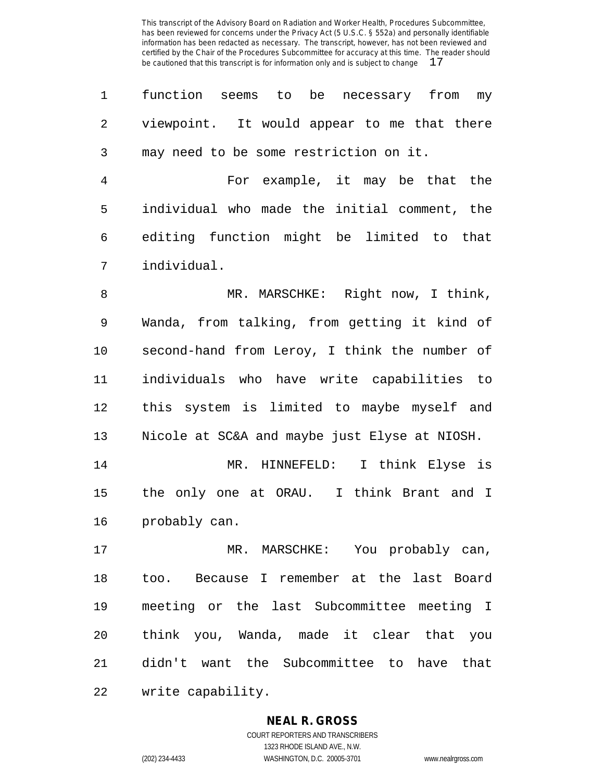function seems to be necessary from my viewpoint. It would appear to me that there may need to be some restriction on it.

 For example, it may be that the individual who made the initial comment, the editing function might be limited to that individual.

 MR. MARSCHKE: Right now, I think, Wanda, from talking, from getting it kind of second-hand from Leroy, I think the number of individuals who have write capabilities to this system is limited to maybe myself and Nicole at SC&A and maybe just Elyse at NIOSH.

 MR. HINNEFELD: I think Elyse is the only one at ORAU. I think Brant and I probably can.

 MR. MARSCHKE: You probably can, too. Because I remember at the last Board meeting or the last Subcommittee meeting I think you, Wanda, made it clear that you didn't want the Subcommittee to have that write capability.

#### **NEAL R. GROSS**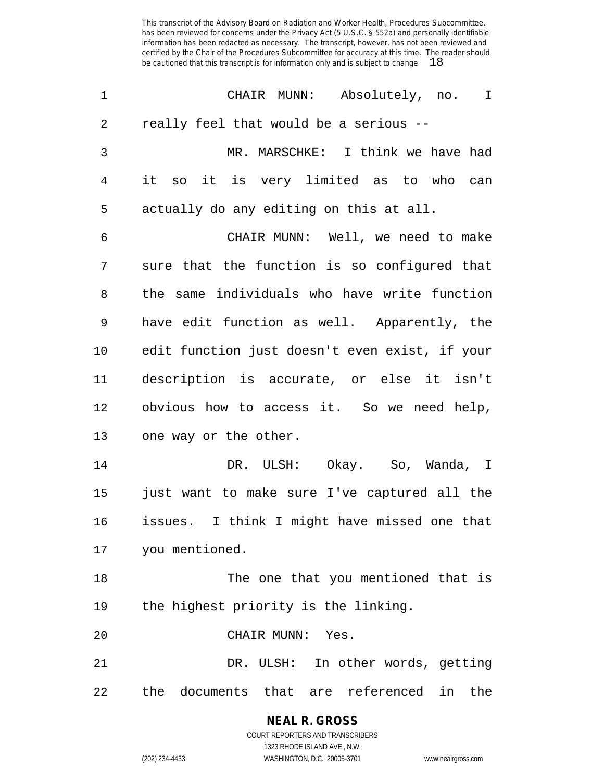| 1              | CHAIR MUNN: Absolutely, no.<br>$\mathbf{I}$     |
|----------------|-------------------------------------------------|
| 2              | really feel that would be a serious --          |
| $\mathfrak{Z}$ | MR. MARSCHKE: I think we have had               |
| 4              | it so it is very limited as to who can          |
| 5              | actually do any editing on this at all.         |
| 6              | CHAIR MUNN: Well, we need to make               |
| 7              | sure that the function is so configured that    |
| 8              | the same individuals who have write function    |
| 9              | have edit function as well. Apparently, the     |
| 10             | edit function just doesn't even exist, if your  |
| 11             | description is accurate, or else it isn't       |
| 12             | obvious how to access it. So we need help,      |
| 13             | one way or the other.                           |
| 14             | DR. ULSH: Okay. So, Wanda, I                    |
| 15             | just want to make sure I've captured all the    |
| 16             | I think I might have missed one that<br>issues. |
|                | 17 you mentioned.                               |
| 18             | The one that you mentioned that is              |
| 19             | the highest priority is the linking.            |
| 20             | CHAIR MUNN: Yes.                                |
| 21             | DR. ULSH: In other words, getting               |
| 22             | the documents that are referenced in the        |

**NEAL R. GROSS** COURT REPORTERS AND TRANSCRIBERS 1323 RHODE ISLAND AVE., N.W.

(202) 234-4433 WASHINGTON, D.C. 20005-3701 www.nealrgross.com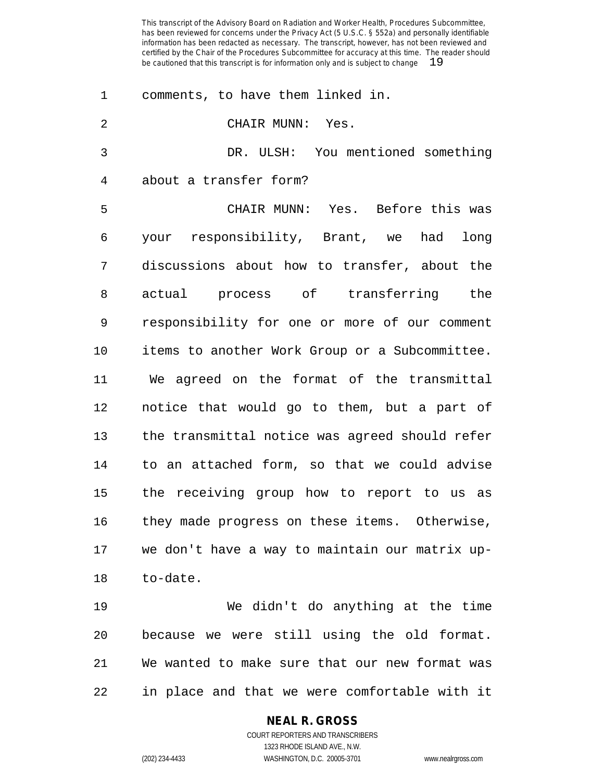| 1              | comments, to have them linked in.              |
|----------------|------------------------------------------------|
| $\overline{2}$ | CHAIR MUNN: Yes.                               |
| 3              | DR. ULSH: You mentioned something              |
| 4              | about a transfer form?                         |
| 5              | CHAIR MUNN: Yes. Before this was               |
| 6              | your responsibility, Brant, we<br>had<br>long  |
| 7              | discussions about how to transfer, about the   |
| 8              | actual process of transferring the             |
| 9              | responsibility for one or more of our comment  |
| 10             | items to another Work Group or a Subcommittee. |
| 11             | We agreed on the format of the transmittal     |
| 12             | notice that would go to them, but a part of    |
| 13             | the transmittal notice was agreed should refer |
| 14             | to an attached form, so that we could advise   |
| 15             | the receiving group how to report to us as     |
| 16             | they made progress on these items. Otherwise,  |
| 17             | we don't have a way to maintain our matrix up- |
| 18             | to-date.                                       |
|                |                                                |

 We didn't do anything at the time because we were still using the old format. We wanted to make sure that our new format was in place and that we were comfortable with it

#### **NEAL R. GROSS**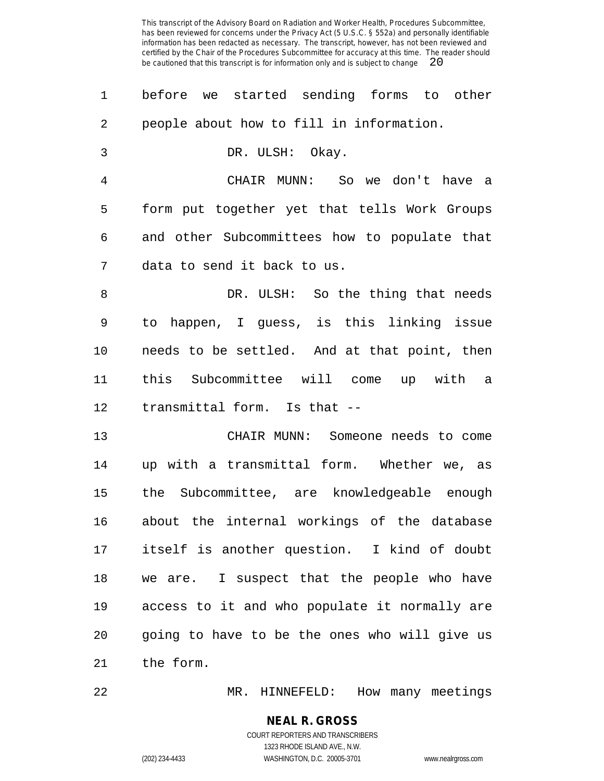| 1              | before we started sending forms to other      |
|----------------|-----------------------------------------------|
| 2              | people about how to fill in information.      |
| 3              | DR. ULSH: Okay.                               |
| $\overline{4}$ | CHAIR MUNN: So we don't have a                |
| 5              | form put together yet that tells Work Groups  |
| 6              | and other Subcommittees how to populate that  |
| 7              | data to send it back to us.                   |
| 8              | DR. ULSH: So the thing that needs             |
| 9              | to happen, I guess, is this linking issue     |
| $10 \,$        | needs to be settled. And at that point, then  |
| 11             | this Subcommittee will come up with a         |
| 12             | transmittal form. Is that --                  |
| 13             | CHAIR MUNN: Someone needs to come             |
| 14             | up with a transmittal form. Whether we, as    |
| 15             | the Subcommittee, are knowledgeable enough    |
| 16             | about the internal workings of the database   |
| 17             | itself is another question. I kind of doubt   |
| 18             | we are. I suspect that the people who have    |
| 19             | access to it and who populate it normally are |
| 20             | going to have to be the ones who will give us |
| 21             | the form.                                     |
|                |                                               |

MR. HINNEFELD: How many meetings

(202) 234-4433 WASHINGTON, D.C. 20005-3701 www.nealrgross.com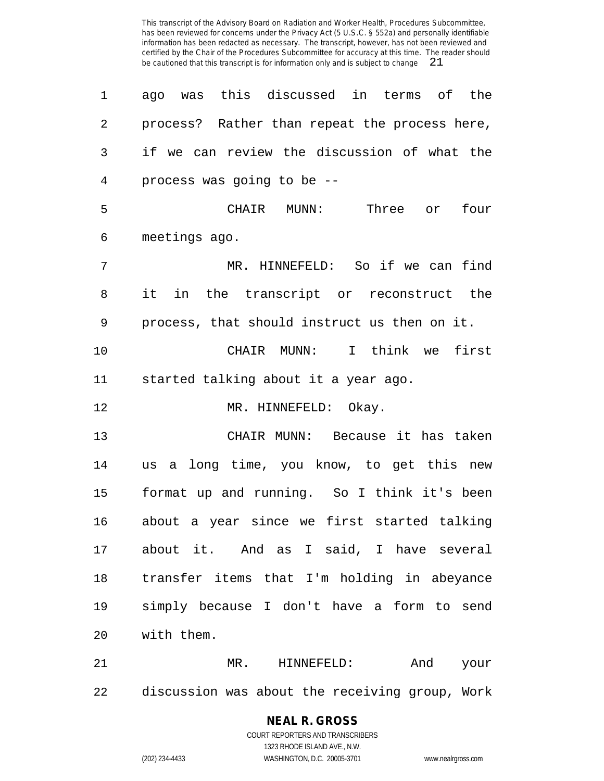ago was this discussed in terms of the process? Rather than repeat the process here, if we can review the discussion of what the process was going to be -- CHAIR MUNN: Three or four meetings ago. MR. HINNEFELD: So if we can find it in the transcript or reconstruct the process, that should instruct us then on it. CHAIR MUNN: I think we first started talking about it a year ago. 12 MR. HINNEFELD: Okay. CHAIR MUNN: Because it has taken us a long time, you know, to get this new format up and running. So I think it's been about a year since we first started talking about it. And as I said, I have several transfer items that I'm holding in abeyance simply because I don't have a form to send with them. MR. HINNEFELD: And your

discussion was about the receiving group, Work

## **NEAL R. GROSS**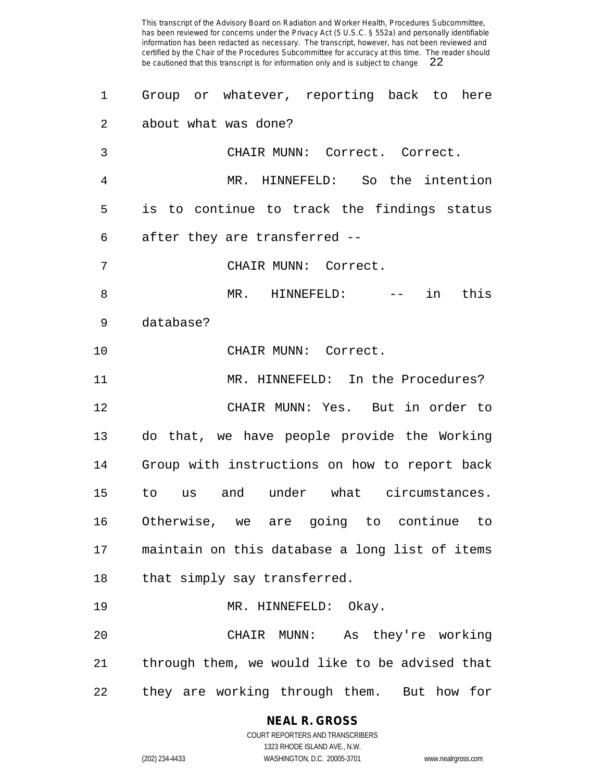| 1  | Group or whatever, reporting back to here      |
|----|------------------------------------------------|
| 2  | about what was done?                           |
| 3  | CHAIR MUNN: Correct. Correct.                  |
| 4  | MR. HINNEFELD: So the intention                |
| 5  | is to continue to track the findings status    |
| 6  | after they are transferred --                  |
| 7  | CHAIR MUNN: Correct.                           |
| 8  | MR. HINNEFELD: -- in this                      |
| 9  | database?                                      |
| 10 | CHAIR MUNN: Correct.                           |
| 11 | MR. HINNEFELD: In the Procedures?              |
| 12 | CHAIR MUNN: Yes. But in order to               |
| 13 | do that, we have people provide the Working    |
| 14 | Group with instructions on how to report back  |
| 15 | to us and under what circumstances.            |
| 16 | Otherwise, we are going to continue to         |
| 17 | maintain on this database a long list of items |
| 18 | that simply say transferred.                   |
| 19 | MR. HINNEFELD: Okay.                           |
| 20 | CHAIR MUNN: As they're working                 |
| 21 | through them, we would like to be advised that |
| 22 | they are working through them. But how for     |

**NEAL R. GROSS** COURT REPORTERS AND TRANSCRIBERS

1323 RHODE ISLAND AVE., N.W. (202) 234-4433 WASHINGTON, D.C. 20005-3701 www.nealrgross.com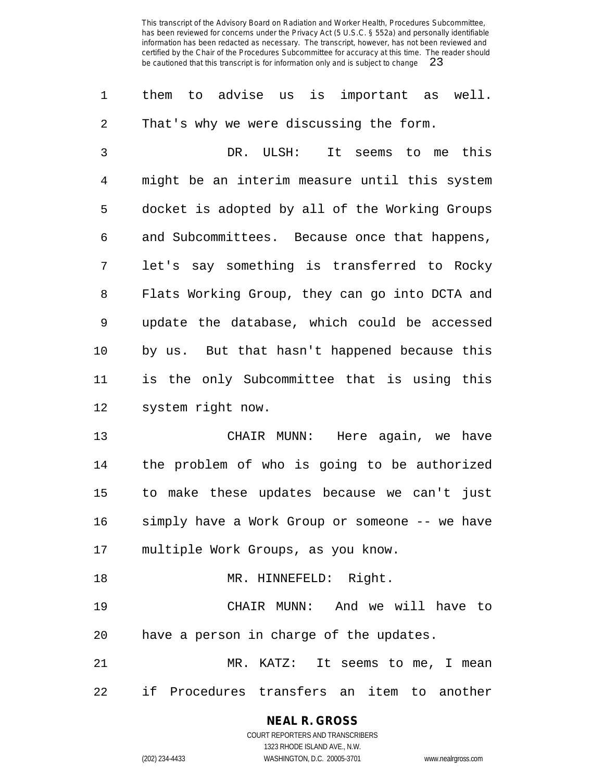them to advise us is important as well. That's why we were discussing the form.

 DR. ULSH: It seems to me this might be an interim measure until this system docket is adopted by all of the Working Groups and Subcommittees. Because once that happens, let's say something is transferred to Rocky Flats Working Group, they can go into DCTA and update the database, which could be accessed by us. But that hasn't happened because this is the only Subcommittee that is using this system right now.

 CHAIR MUNN: Here again, we have the problem of who is going to be authorized to make these updates because we can't just simply have a Work Group or someone -- we have multiple Work Groups, as you know.

18 MR. HINNEFELD: Right. CHAIR MUNN: And we will have to have a person in charge of the updates. MR. KATZ: It seems to me, I mean

if Procedures transfers an item to another

### **NEAL R. GROSS**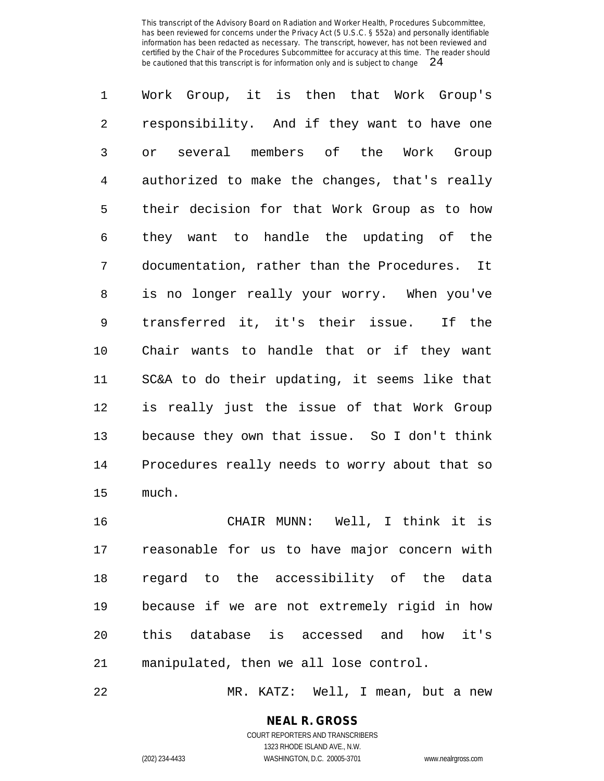Work Group, it is then that Work Group's responsibility. And if they want to have one or several members of the Work Group authorized to make the changes, that's really their decision for that Work Group as to how they want to handle the updating of the documentation, rather than the Procedures. It is no longer really your worry. When you've transferred it, it's their issue. If the Chair wants to handle that or if they want SC&A to do their updating, it seems like that is really just the issue of that Work Group because they own that issue. So I don't think Procedures really needs to worry about that so much.

 CHAIR MUNN: Well, I think it is reasonable for us to have major concern with regard to the accessibility of the data because if we are not extremely rigid in how this database is accessed and how it's manipulated, then we all lose control.

MR. KATZ: Well, I mean, but a new

**NEAL R. GROSS** COURT REPORTERS AND TRANSCRIBERS

1323 RHODE ISLAND AVE., N.W. (202) 234-4433 WASHINGTON, D.C. 20005-3701 www.nealrgross.com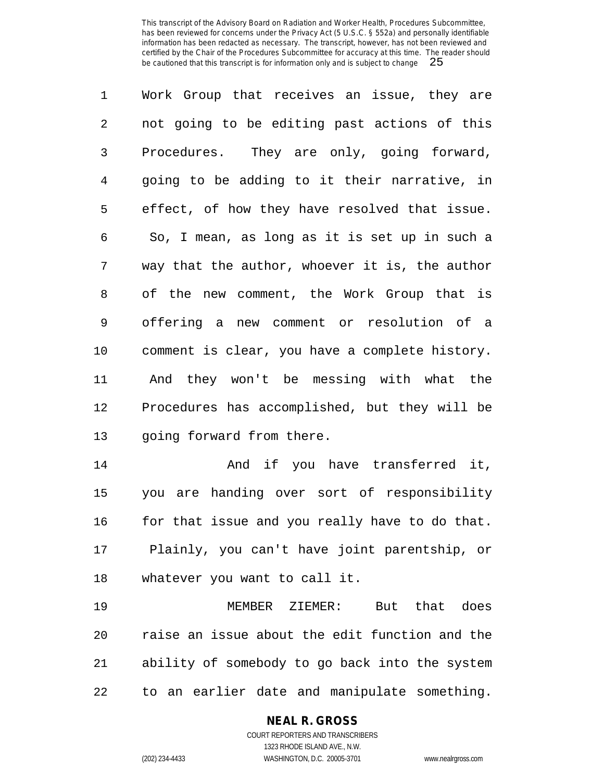Work Group that receives an issue, they are not going to be editing past actions of this Procedures. They are only, going forward, going to be adding to it their narrative, in effect, of how they have resolved that issue. So, I mean, as long as it is set up in such a way that the author, whoever it is, the author of the new comment, the Work Group that is offering a new comment or resolution of a comment is clear, you have a complete history. And they won't be messing with what the Procedures has accomplished, but they will be going forward from there.

 And if you have transferred it, you are handing over sort of responsibility 16 for that issue and you really have to do that. Plainly, you can't have joint parentship, or whatever you want to call it.

 MEMBER ZIEMER: But that does raise an issue about the edit function and the ability of somebody to go back into the system to an earlier date and manipulate something.

#### **NEAL R. GROSS** COURT REPORTERS AND TRANSCRIBERS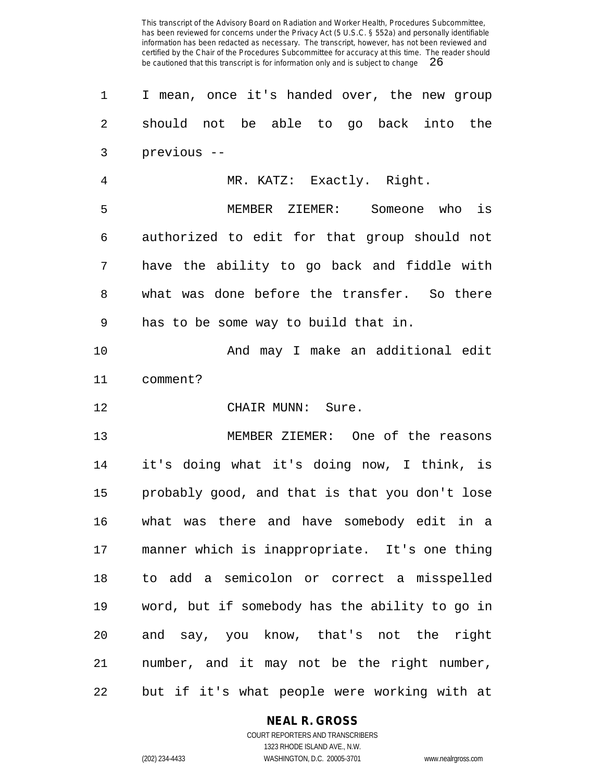I mean, once it's handed over, the new group should not be able to go back into the previous -- MR. KATZ: Exactly. Right. MEMBER ZIEMER: Someone who is authorized to edit for that group should not have the ability to go back and fiddle with what was done before the transfer. So there has to be some way to build that in. And may I make an additional edit comment? CHAIR MUNN: Sure. MEMBER ZIEMER: One of the reasons it's doing what it's doing now, I think, is probably good, and that is that you don't lose what was there and have somebody edit in a manner which is inappropriate. It's one thing to add a semicolon or correct a misspelled word, but if somebody has the ability to go in and say, you know, that's not the right number, and it may not be the right number, but if it's what people were working with at

#### **NEAL R. GROSS** COURT REPORTERS AND TRANSCRIBERS

1323 RHODE ISLAND AVE., N.W. (202) 234-4433 WASHINGTON, D.C. 20005-3701 www.nealrgross.com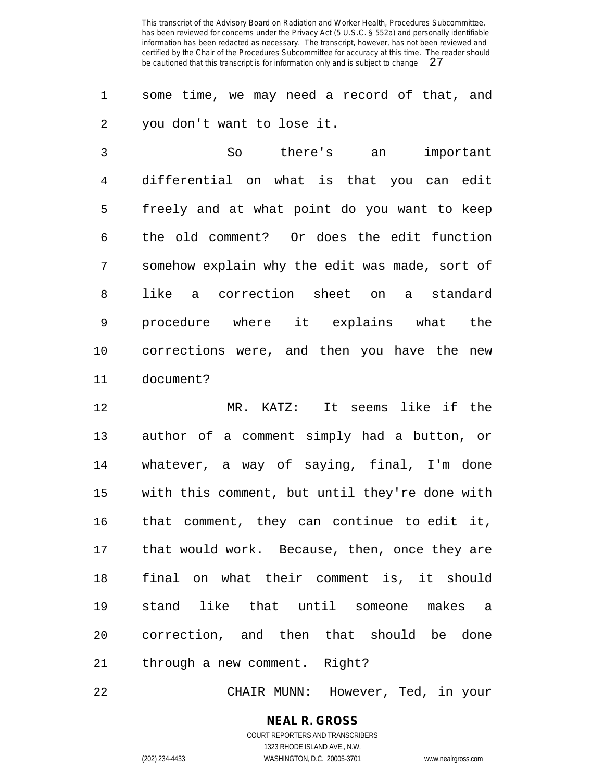some time, we may need a record of that, and you don't want to lose it.

 So there's an important differential on what is that you can edit freely and at what point do you want to keep the old comment? Or does the edit function somehow explain why the edit was made, sort of like a correction sheet on a standard procedure where it explains what the corrections were, and then you have the new document?

 MR. KATZ: It seems like if the author of a comment simply had a button, or whatever, a way of saying, final, I'm done with this comment, but until they're done with that comment, they can continue to edit it, that would work. Because, then, once they are final on what their comment is, it should stand like that until someone makes a correction, and then that should be done through a new comment. Right?

CHAIR MUNN: However, Ted, in your

**NEAL R. GROSS** COURT REPORTERS AND TRANSCRIBERS 1323 RHODE ISLAND AVE., N.W.

(202) 234-4433 WASHINGTON, D.C. 20005-3701 www.nealrgross.com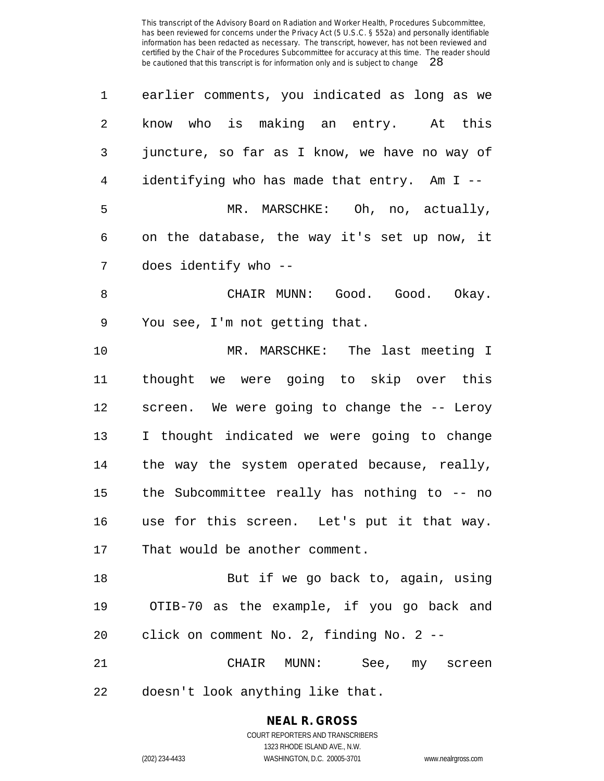| 1              | earlier comments, you indicated as long as we |
|----------------|-----------------------------------------------|
| $\overline{2}$ | know who is making an entry. At this          |
| 3              | juncture, so far as I know, we have no way of |
| $\overline{4}$ | identifying who has made that entry. Am I --  |
| 5              | MR. MARSCHKE: Oh, no, actually,               |
| 6              | on the database, the way it's set up now, it  |
| 7              | does identify who --                          |
| $\,8\,$        | CHAIR MUNN: Good. Good. Okay.                 |
| $\mathsf 9$    | You see, I'm not getting that.                |
| 10             | MR. MARSCHKE: The last meeting I              |
| 11             | thought we were going to skip over this       |
| 12             | screen. We were going to change the -- Leroy  |
| 13             | I thought indicated we were going to change   |
| 14             | the way the system operated because, really,  |
| 15             | the Subcommittee really has nothing to -- no  |
| 16             | use for this screen. Let's put it that way.   |
| 17             | That would be another comment.                |
| 18             | But if we go back to, again, using            |
| 19             | OTIB-70 as the example, if you go back and    |
| 20             | click on comment No. 2, finding No. 2 --      |
| 21             | CHAIR MUNN: See, my screen                    |
| 22             | doesn't look anything like that.              |

**NEAL R. GROSS** COURT REPORTERS AND TRANSCRIBERS

1323 RHODE ISLAND AVE., N.W.

(202) 234-4433 WASHINGTON, D.C. 20005-3701 www.nealrgross.com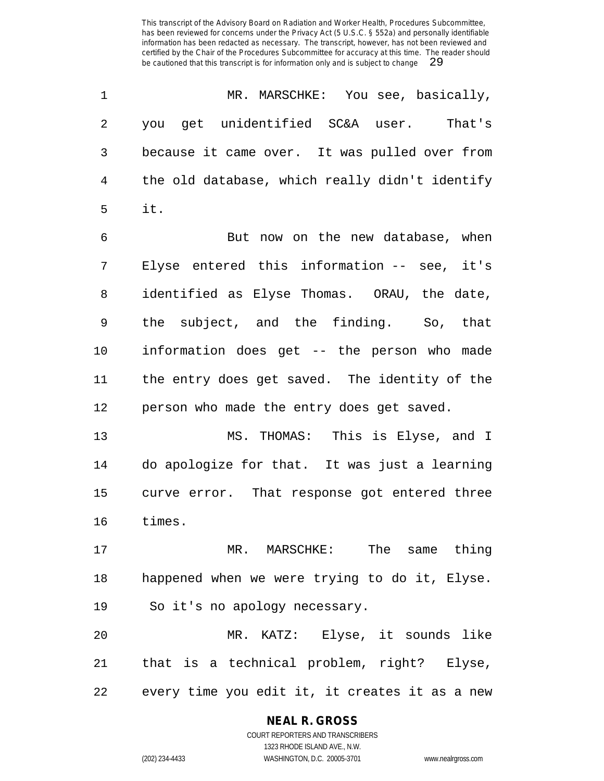| 1              | MR. MARSCHKE: You see, basically,              |
|----------------|------------------------------------------------|
| 2              | you get unidentified SC&A user. That's         |
| 3              | because it came over. It was pulled over from  |
| $\overline{4}$ | the old database, which really didn't identify |
| 5              | it.                                            |
| 6              | But now on the new database, when              |
| 7              | Elyse entered this information -- see, it's    |
| 8              | identified as Elyse Thomas. ORAU, the date,    |
| 9              | the subject, and the finding. So, that         |
| 10             | information does get -- the person who made    |
| 11             | the entry does get saved. The identity of the  |
| 12             | person who made the entry does get saved.      |
| 13             | MS. THOMAS: This is Elyse, and I               |
| 14             | do apologize for that. It was just a learning  |
| 15             | curve error. That response got entered three   |
| 16             | times.                                         |
| 17             | MR. MARSCHKE: The same thing                   |
| 18             | happened when we were trying to do it, Elyse.  |
| 19             | So it's no apology necessary.                  |
| 20             | MR. KATZ: Elyse, it sounds like                |
| 21             | that is a technical problem, right? Elyse,     |

every time you edit it, it creates it as a new

### **NEAL R. GROSS**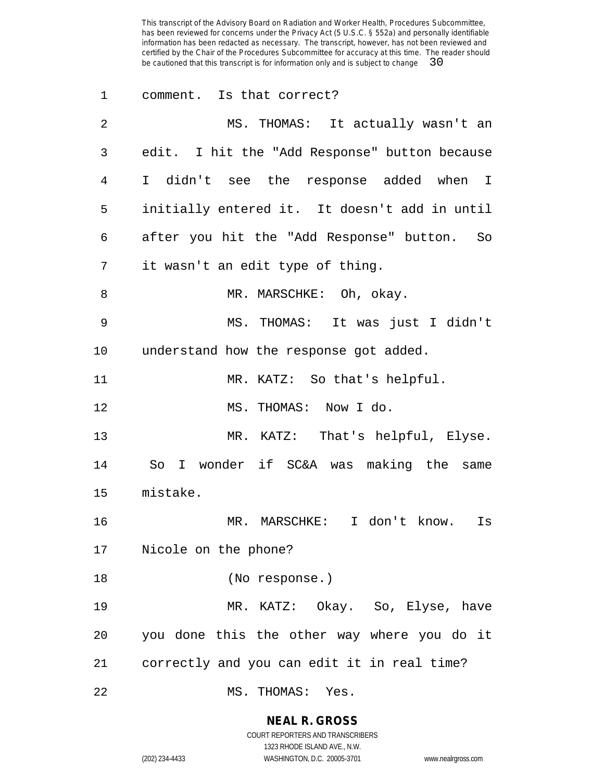comment. Is that correct? MS. THOMAS: It actually wasn't an edit. I hit the "Add Response" button because I didn't see the response added when I initially entered it. It doesn't add in until after you hit the "Add Response" button. So it wasn't an edit type of thing. 8 MR. MARSCHKE: Oh, okay. MS. THOMAS: It was just I didn't understand how the response got added. MR. KATZ: So that's helpful. MS. THOMAS: Now I do. MR. KATZ: That's helpful, Elyse. So I wonder if SC&A was making the same mistake. MR. MARSCHKE: I don't know. Is Nicole on the phone? (No response.) MR. KATZ: Okay. So, Elyse, have you done this the other way where you do it correctly and you can edit it in real time? MS. THOMAS: Yes.

#### **NEAL R. GROSS**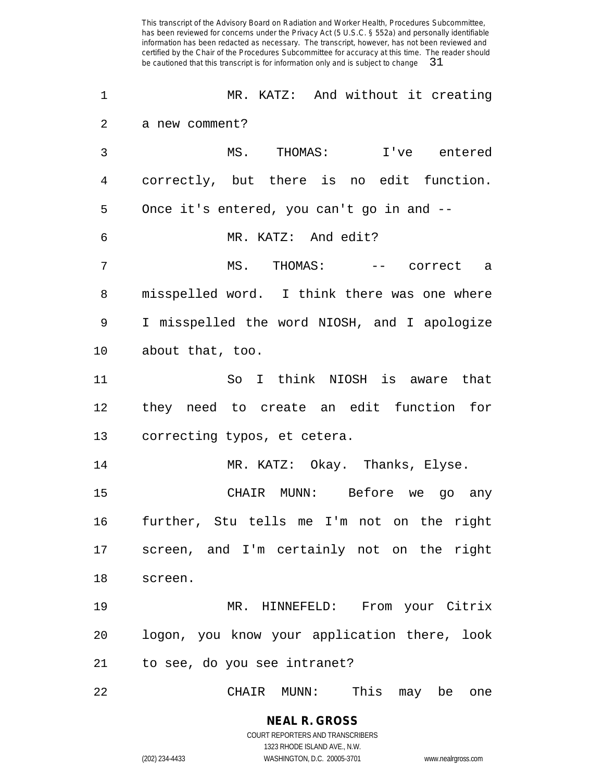| 1              | MR. KATZ: And without it creating            |
|----------------|----------------------------------------------|
| 2              | a new comment?                               |
| 3              | MS. THOMAS: I've entered                     |
| $\overline{4}$ | correctly, but there is no edit function.    |
| 5              | Once it's entered, you can't go in and --    |
| 6              | MR. KATZ: And edit?                          |
| 7              | MS. THOMAS:<br>-- correct a                  |
| 8              | misspelled word. I think there was one where |
| 9              | I misspelled the word NIOSH, and I apologize |
| 10             | about that, too.                             |
| 11             | So I think NIOSH is aware that               |
| 12             | they need to create an edit function for     |
| 13             | correcting typos, et cetera.                 |
| 14             | MR. KATZ: Okay. Thanks, Elyse.               |
| 15             | CHAIR MUNN: Before we go any                 |
| 16             | further, Stu tells me I'm not on the right   |
| 17             | screen, and I'm certainly not on the right   |
| 18             | screen.                                      |
| 19             | MR. HINNEFELD: From your Citrix              |
| 20             | logon, you know your application there, look |
| 21             | to see, do you see intranet?                 |
| 22             | This may be<br>CHAIR MUNN:<br>one            |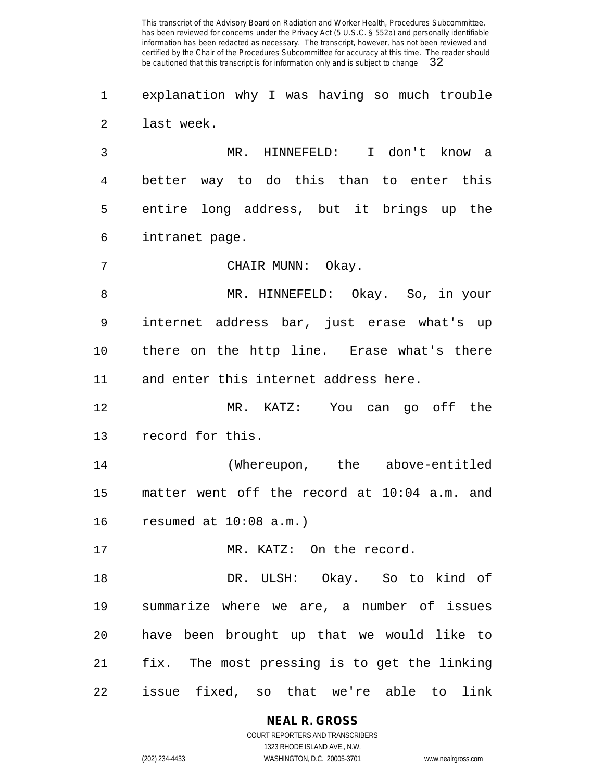explanation why I was having so much trouble last week.

 MR. HINNEFELD: I don't know a better way to do this than to enter this entire long address, but it brings up the intranet page.

CHAIR MUNN: Okay.

 MR. HINNEFELD: Okay. So, in your internet address bar, just erase what's up there on the http line. Erase what's there and enter this internet address here.

 MR. KATZ: You can go off the record for this.

 (Whereupon, the above-entitled matter went off the record at 10:04 a.m. and resumed at 10:08 a.m.)

17 MR. KATZ: On the record.

 DR. ULSH: Okay. So to kind of summarize where we are, a number of issues have been brought up that we would like to fix. The most pressing is to get the linking issue fixed, so that we're able to link

**NEAL R. GROSS**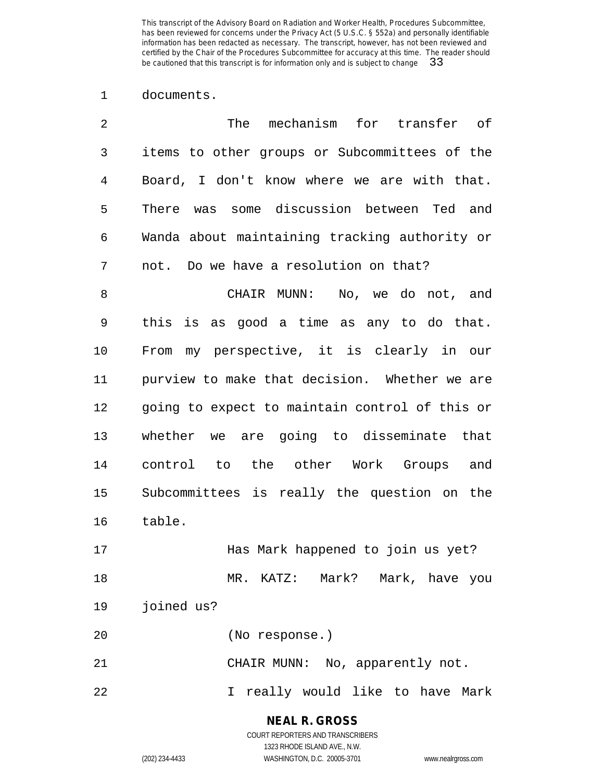documents.

| 2  | The<br>mechanism for transfer of               |
|----|------------------------------------------------|
| 3  | items to other groups or Subcommittees of the  |
| 4  | Board, I don't know where we are with that.    |
| 5  | There was some discussion between Ted and      |
| 6  | Wanda about maintaining tracking authority or  |
| 7  | not. Do we have a resolution on that?          |
| 8  | CHAIR MUNN:<br>No, we do not, and              |
| 9  | this is as good a time as any to do that.      |
| 10 | my perspective, it is clearly in our<br>From   |
| 11 | purview to make that decision. Whether we are  |
| 12 | going to expect to maintain control of this or |
| 13 | whether we are going to disseminate that       |
| 14 | control to the other Work Groups and           |
| 15 | Subcommittees is really the question on the    |
| 16 | table.                                         |
| 17 | Has Mark happened to join us yet?              |
| 18 | MR. KATZ: Mark? Mark, have you                 |
| 19 | joined us?                                     |
| 20 | (No response.)                                 |
| 21 | CHAIR MUNN: No, apparently not.                |
| 22 | I really would like to have Mark               |

**NEAL R. GROSS** COURT REPORTERS AND TRANSCRIBERS

1323 RHODE ISLAND AVE., N.W.

(202) 234-4433 WASHINGTON, D.C. 20005-3701 www.nealrgross.com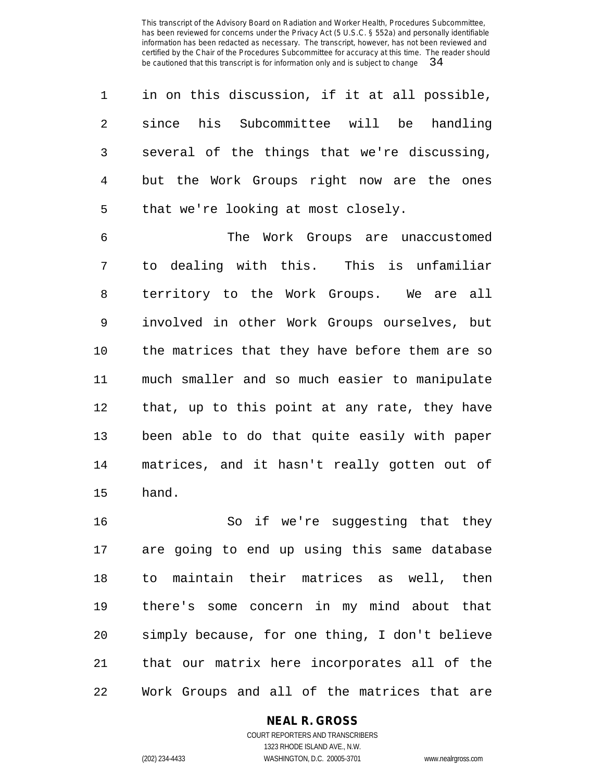| $1 \quad$      | in on this discussion, if it at all possible, |
|----------------|-----------------------------------------------|
| 2              | since his Subcommittee will be handling       |
| $\overline{3}$ | several of the things that we're discussing,  |
| 4              | but the Work Groups right now are the ones    |
| 5              | that we're looking at most closely.           |

 The Work Groups are unaccustomed to dealing with this. This is unfamiliar territory to the Work Groups. We are all involved in other Work Groups ourselves, but the matrices that they have before them are so much smaller and so much easier to manipulate that, up to this point at any rate, they have been able to do that quite easily with paper matrices, and it hasn't really gotten out of hand.

 So if we're suggesting that they are going to end up using this same database to maintain their matrices as well, then there's some concern in my mind about that simply because, for one thing, I don't believe that our matrix here incorporates all of the Work Groups and all of the matrices that are

#### **NEAL R. GROSS**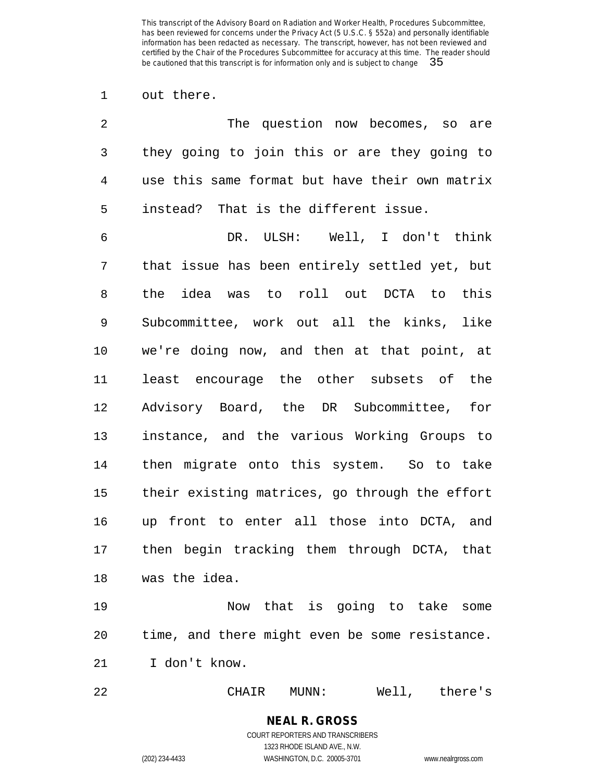out there.

| 2              | The question now becomes, so are               |
|----------------|------------------------------------------------|
| 3              | they going to join this or are they going to   |
| $\overline{4}$ | use this same format but have their own matrix |
| 5              | instead? That is the different issue.          |
| 6              | DR. ULSH: Well, I don't think                  |
| 7              | that issue has been entirely settled yet, but  |
| 8              | the idea was to roll out DCTA to this          |
| 9              | Subcommittee, work out all the kinks, like     |
| 10             | we're doing now, and then at that point, at    |
| 11             | least encourage the other subsets of the       |
| 12             | Advisory Board, the DR Subcommittee, for       |
| 13             | instance, and the various Working Groups to    |
| 14             | then migrate onto this system. So to take      |
| 15             | their existing matrices, go through the effort |
| 16             | up front to enter all those into DCTA, and     |
| 17             | then begin tracking them through DCTA, that    |
| 18             | was the idea.                                  |
| $\sim$         | Note that is asiss to take as                  |

 Now that is going to take some time, and there might even be some resistance. I don't know.

CHAIR MUNN: Well, there's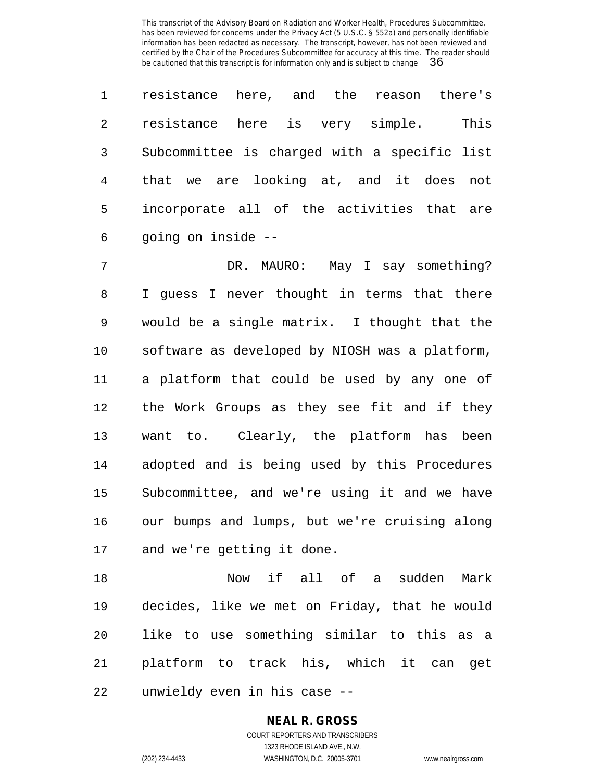resistance here, and the reason there's resistance here is very simple. This Subcommittee is charged with a specific list that we are looking at, and it does not incorporate all of the activities that are going on inside --

 DR. MAURO: May I say something? I guess I never thought in terms that there would be a single matrix. I thought that the software as developed by NIOSH was a platform, a platform that could be used by any one of the Work Groups as they see fit and if they want to. Clearly, the platform has been adopted and is being used by this Procedures Subcommittee, and we're using it and we have our bumps and lumps, but we're cruising along and we're getting it done.

 Now if all of a sudden Mark decides, like we met on Friday, that he would like to use something similar to this as a platform to track his, which it can get unwieldy even in his case --

## **NEAL R. GROSS**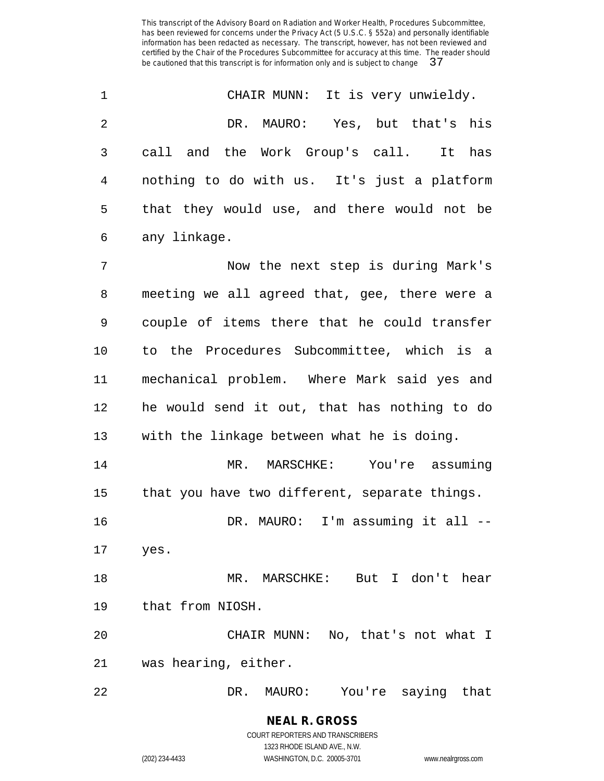| $\overline{1}$ | CHAIR MUNN: It is very unwieldy.            |
|----------------|---------------------------------------------|
| -2             | Yes, but that's his<br>DR. MAURO:           |
| $\mathbf{3}$   | call and the Work Group's call.<br>It has   |
| 4              | nothing to do with us. It's just a platform |
| 5              | that they would use, and there would not be |
| 6              | any linkage.                                |

 Now the next step is during Mark's meeting we all agreed that, gee, there were a couple of items there that he could transfer to the Procedures Subcommittee, which is a mechanical problem. Where Mark said yes and he would send it out, that has nothing to do with the linkage between what he is doing. MR. MARSCHKE: You're assuming that you have two different, separate things.

DR. MAURO: I'm assuming it all --

yes.

 MR. MARSCHKE: But I don't hear that from NIOSH.

 CHAIR MUNN: No, that's not what I was hearing, either.

DR. MAURO: You're saying that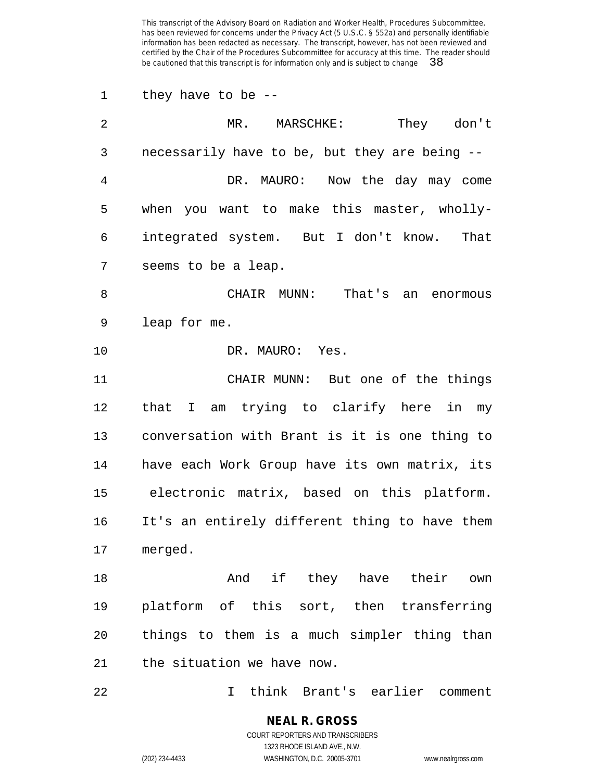they have to be --

| $\overline{2}$ | MR. MARSCHKE:<br>They don't                   |
|----------------|-----------------------------------------------|
| 3              | necessarily have to be, but they are being -- |
| 4              | DR. MAURO: Now the day may come               |
| 5              | when you want to make this master, wholly-    |
| 6              | integrated system. But I don't know.<br>That  |
| 7              | seems to be a leap.                           |
| 8              | CHAIR MUNN:<br>That's<br>an enormous          |
| 9              | leap for me.                                  |
| 10             | DR. MAURO: Yes.                               |
| 11             | CHAIR MUNN: But one of the things             |
| 12             | am trying to clarify here in my<br>that I     |
| 13             | conversation with Brant is it is one thing to |
| 14             | have each Work Group have its own matrix, its |
| 15             | electronic matrix, based on this platform.    |
| 16             | It's an entirely different thing to have them |
| 17             | merged.                                       |
| 18             | And if they have their own                    |
| 19             | platform of this sort, then transferring      |
| 20             | things to them is a much simpler thing than   |
| 21             | the situation we have now.                    |
|                |                                               |

I think Brant's earlier comment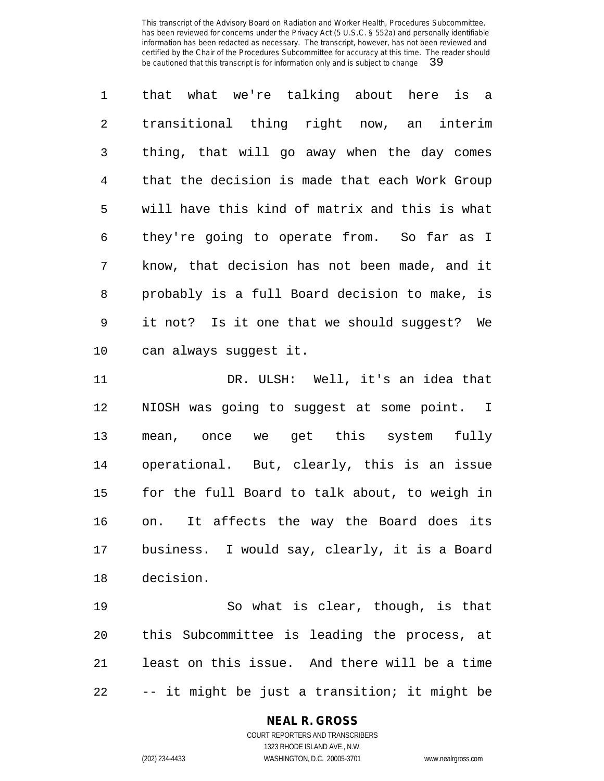that what we're talking about here is a transitional thing right now, an interim thing, that will go away when the day comes that the decision is made that each Work Group will have this kind of matrix and this is what they're going to operate from. So far as I know, that decision has not been made, and it probably is a full Board decision to make, is it not? Is it one that we should suggest? We can always suggest it.

 DR. ULSH: Well, it's an idea that NIOSH was going to suggest at some point. I mean, once we get this system fully operational. But, clearly, this is an issue for the full Board to talk about, to weigh in on. It affects the way the Board does its business. I would say, clearly, it is a Board decision.

 So what is clear, though, is that this Subcommittee is leading the process, at least on this issue. And there will be a time -- it might be just a transition; it might be

# **NEAL R. GROSS**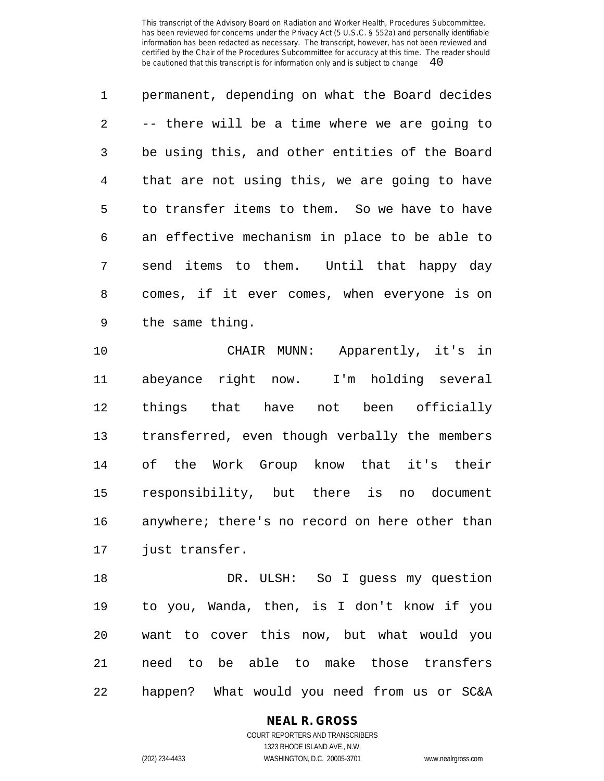permanent, depending on what the Board decides -- there will be a time where we are going to be using this, and other entities of the Board that are not using this, we are going to have to transfer items to them. So we have to have an effective mechanism in place to be able to send items to them. Until that happy day comes, if it ever comes, when everyone is on the same thing.

 CHAIR MUNN: Apparently, it's in abeyance right now. I'm holding several things that have not been officially transferred, even though verbally the members of the Work Group know that it's their responsibility, but there is no document anywhere; there's no record on here other than just transfer.

 DR. ULSH: So I guess my question to you, Wanda, then, is I don't know if you want to cover this now, but what would you need to be able to make those transfers happen? What would you need from us or SC&A

**NEAL R. GROSS**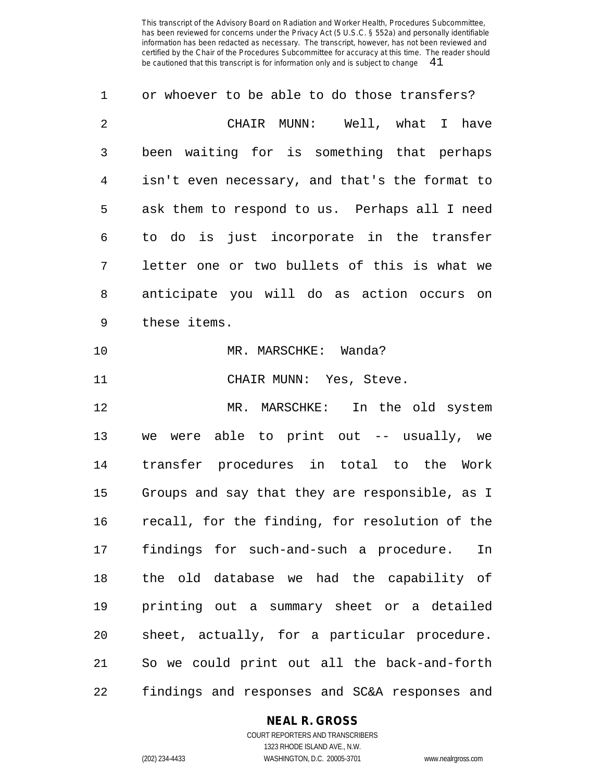| 1              | or whoever to be able to do those transfers?   |
|----------------|------------------------------------------------|
| $\overline{2}$ | CHAIR MUNN: Well, what I have                  |
| 3              | been waiting for is something that perhaps     |
| 4              | isn't even necessary, and that's the format to |
| 5              | ask them to respond to us. Perhaps all I need  |
| 6              | to do is just incorporate in the transfer      |
| 7              | letter one or two bullets of this is what we   |
| 8              | anticipate you will do as action occurs on     |
| 9              | these items.                                   |
| 10             | MR. MARSCHKE: Wanda?                           |
| 11             | CHAIR MUNN: Yes, Steve.                        |
| 12             | MR. MARSCHKE:<br>In the old system             |
| 13             | we were able to print out -- usually, we       |
| 14             | transfer procedures in total to the Work       |
| 15             | Groups and say that they are responsible, as I |
| 16             | recall, for the finding, for resolution of the |
| 17             | findings for such-and-such a procedure.<br>In  |
| 18             | the old database we had the capability of      |
| 19             | printing out a summary sheet or a detailed     |
| 20             | sheet, actually, for a particular procedure.   |
| 21             | So we could print out all the back-and-forth   |
| 22             | findings and responses and SC&A responses and  |

# **NEAL R. GROSS**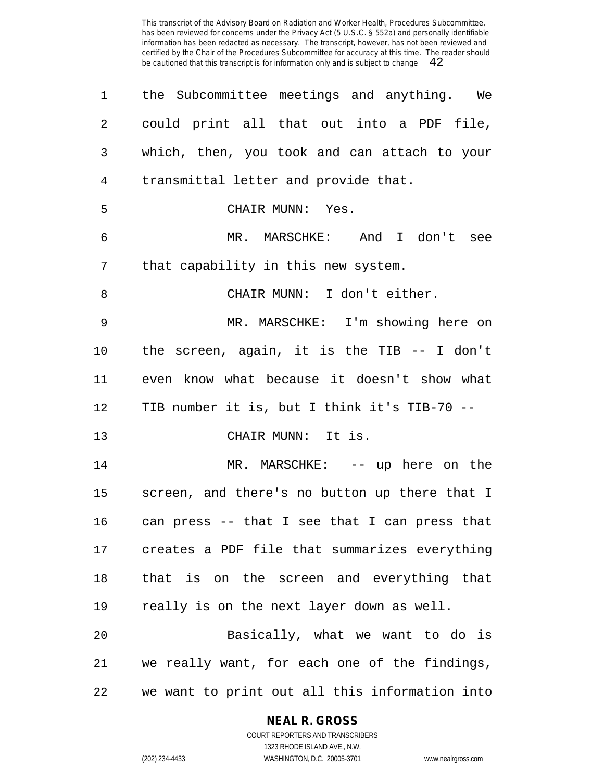| $\mathbf 1$    | the Subcommittee meetings and anything. We     |
|----------------|------------------------------------------------|
| $\overline{2}$ | could print all that out into a PDF file,      |
| 3              | which, then, you took and can attach to your   |
| 4              | transmittal letter and provide that.           |
| 5              | CHAIR MUNN: Yes.                               |
| 6              | MR. MARSCHKE: And I don't see                  |
| 7              | that capability in this new system.            |
| 8              | CHAIR MUNN: I don't either.                    |
| 9              | MR. MARSCHKE: I'm showing here on              |
| 10             | the screen, again, it is the TIB $-$ - I don't |
| 11             | even know what because it doesn't show what    |
| 12             | TIB number it is, but I think it's TIB-70 --   |
| 13             | CHAIR MUNN: It is.                             |
| 14             | MR. MARSCHKE: -- up here on the                |
| 15             | screen, and there's no button up there that I  |
| 16             | can press -- that I see that I can press that  |
| 17             | creates a PDF file that summarizes everything  |
| 18             | that is on the screen and everything that      |
| 19             | really is on the next layer down as well.      |
| 20             | Basically, what we want to do is               |
| 21             | we really want, for each one of the findings,  |
| 22             | we want to print out all this information into |

#### **NEAL R. GROSS** COURT REPORTERS AND TRANSCRIBERS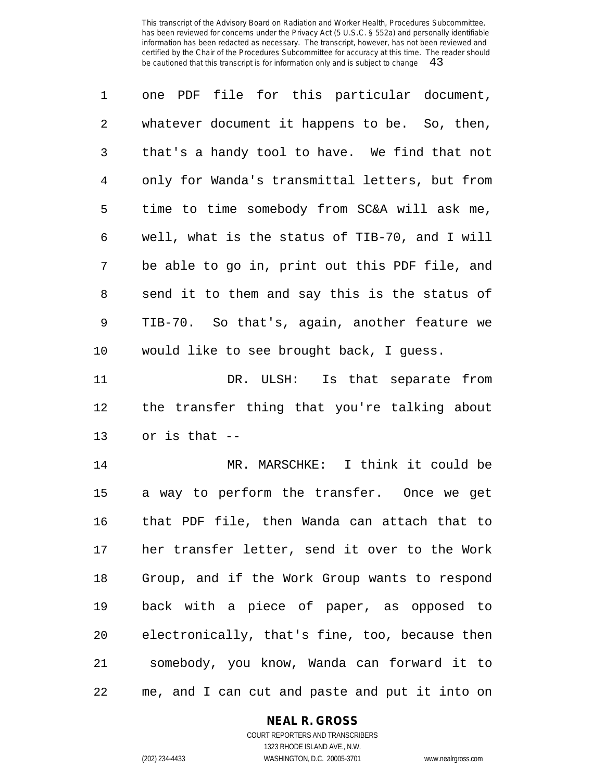| $\mathbf{1}$    | one PDF file for this particular document,     |
|-----------------|------------------------------------------------|
| $\overline{2}$  | whatever document it happens to be. So, then,  |
| 3               | that's a handy tool to have. We find that not  |
| 4               | only for Wanda's transmittal letters, but from |
| 5               | time to time somebody from SC&A will ask me,   |
| 6               | well, what is the status of TIB-70, and I will |
| 7               | be able to go in, print out this PDF file, and |
| 8               | send it to them and say this is the status of  |
| 9               | TIB-70. So that's, again, another feature we   |
| 10 <sub>1</sub> | would like to see brought back, I guess.       |

11 DR. ULSH: Is that separate from the transfer thing that you're talking about or is that --

 MR. MARSCHKE: I think it could be a way to perform the transfer. Once we get that PDF file, then Wanda can attach that to her transfer letter, send it over to the Work Group, and if the Work Group wants to respond back with a piece of paper, as opposed to electronically, that's fine, too, because then somebody, you know, Wanda can forward it to me, and I can cut and paste and put it into on

## **NEAL R. GROSS**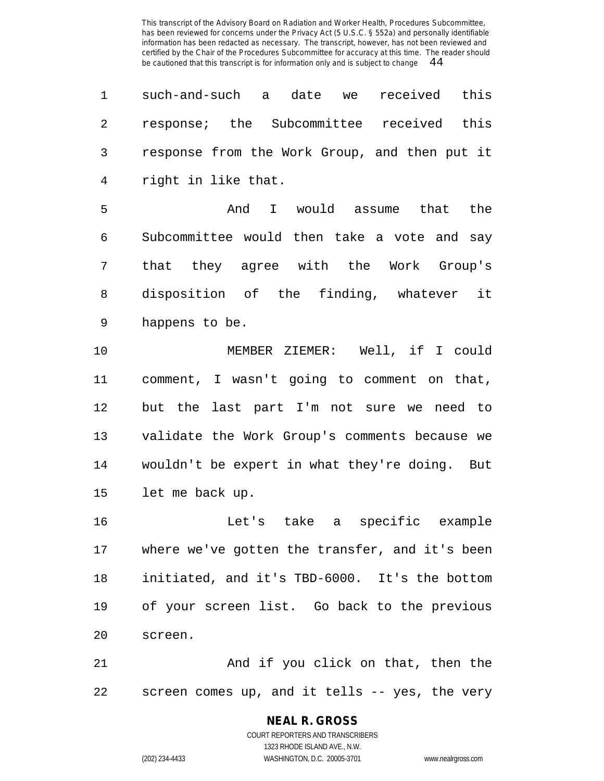| $\mathbf 1$    | such-and-such a<br>date we<br>received this    |
|----------------|------------------------------------------------|
| $\overline{2}$ | response; the Subcommittee received this       |
| 3              | response from the Work Group, and then put it  |
| $\overline{4}$ | right in like that.                            |
| 5              | And<br>I would assume that the                 |
| 6              | Subcommittee would then take a vote and say    |
| 7              | that they agree with the Work Group's          |
| 8              | disposition of the finding, whatever it        |
| 9              | happens to be.                                 |
| 10             | MEMBER ZIEMER: Well, if I could                |
| 11             | comment, I wasn't going to comment on that,    |
| 12             | but the last part I'm not sure we need to      |
| 13             | validate the Work Group's comments because we  |
| 14             | wouldn't be expert in what they're doing. But  |
| 15             | let me back up.                                |
| 16             | Let's take a specific example                  |
| 17             | where we've gotten the transfer, and it's been |
| 18             | initiated, and it's TBD-6000. It's the bottom  |
| 19             | of your screen list. Go back to the previous   |
| 20             | screen.                                        |
| 21             | And if you click on that, then the             |
| 22             | screen comes up, and it tells -- yes, the very |

# **NEAL R. GROSS**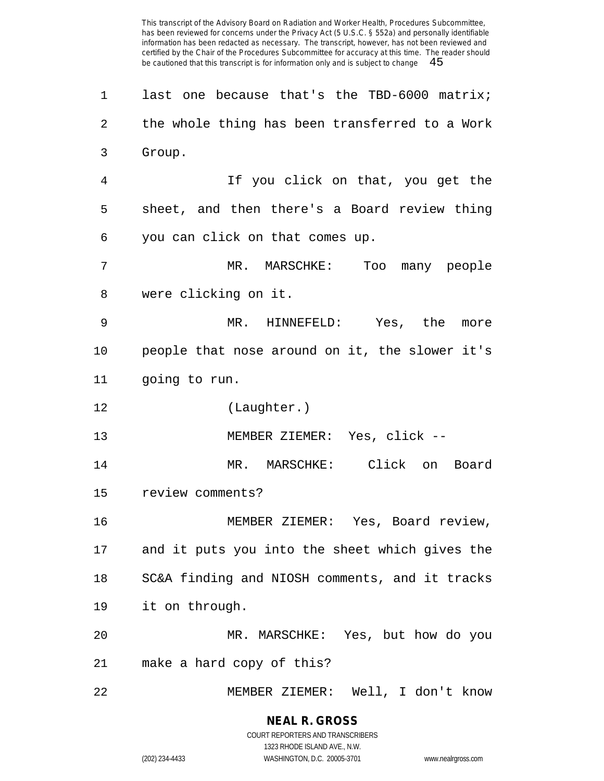last one because that's the TBD-6000 matrix; the whole thing has been transferred to a Work Group. If you click on that, you get the sheet, and then there's a Board review thing you can click on that comes up. MR. MARSCHKE: Too many people were clicking on it. MR. HINNEFELD: Yes, the more people that nose around on it, the slower it's going to run. (Laughter.) MEMBER ZIEMER: Yes, click -- MR. MARSCHKE: Click on Board review comments? MEMBER ZIEMER: Yes, Board review, and it puts you into the sheet which gives the SC&A finding and NIOSH comments, and it tracks it on through. MR. MARSCHKE: Yes, but how do you make a hard copy of this? MEMBER ZIEMER: Well, I don't know

1323 RHODE ISLAND AVE., N.W.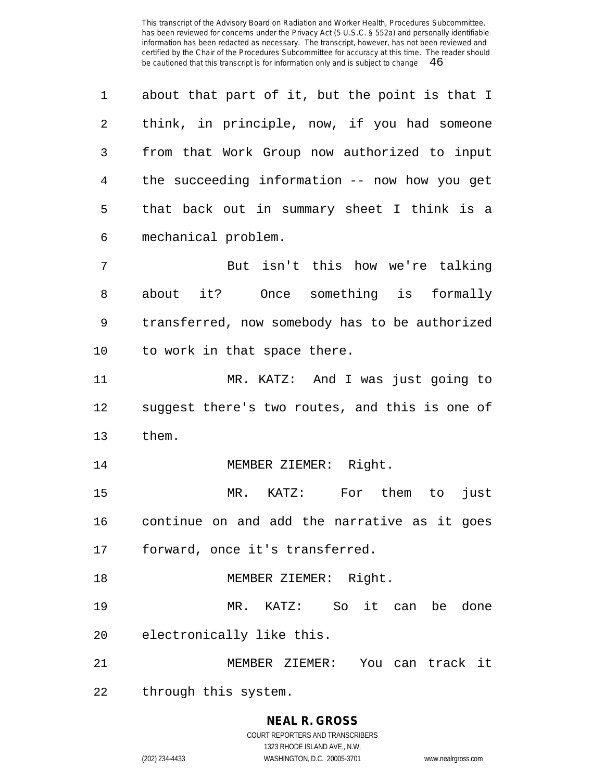about that part of it, but the point is that I think, in principle, now, if you had someone from that Work Group now authorized to input the succeeding information -- now how you get that back out in summary sheet I think is a mechanical problem. But isn't this how we're talking about it? Once something is formally transferred, now somebody has to be authorized to work in that space there. MR. KATZ: And I was just going to suggest there's two routes, and this is one of them. MEMBER ZIEMER: Right. MR. KATZ: For them to just continue on and add the narrative as it goes forward, once it's transferred. 18 MEMBER ZIEMER: Right. MR. KATZ: So it can be done electronically like this. MEMBER ZIEMER: You can track it through this system.

# **NEAL R. GROSS**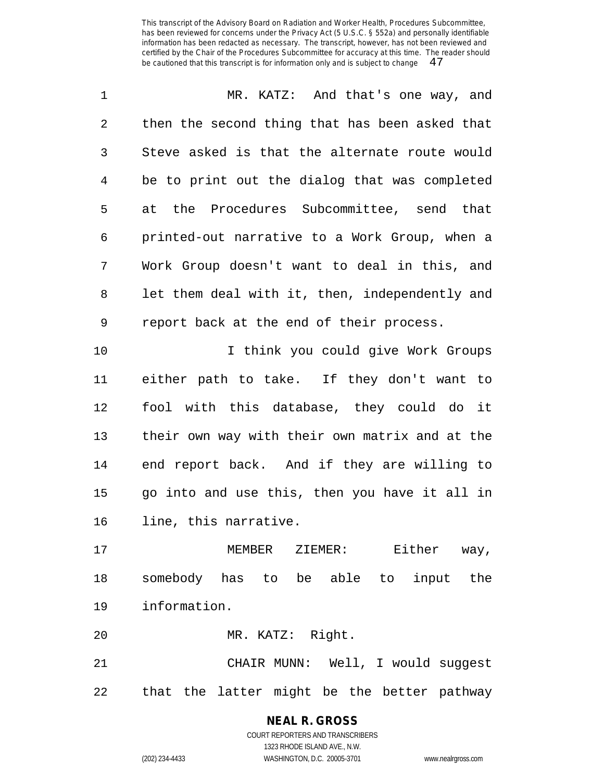| $\mathbf 1$    | MR. KATZ: And that's one way, and              |
|----------------|------------------------------------------------|
| $\overline{2}$ | then the second thing that has been asked that |
| 3              | Steve asked is that the alternate route would  |
| 4              | be to print out the dialog that was completed  |
| 5              | at the Procedures Subcommittee, send that      |
| 6              | printed-out narrative to a Work Group, when a  |
| 7              | Work Group doesn't want to deal in this, and   |
| 8              | let them deal with it, then, independently and |
| $\mathsf 9$    | report back at the end of their process.       |
| 10             | I think you could give Work Groups             |
| 11             | either path to take. If they don't want to     |
| 12             | fool with this database, they could do it      |
| 13             | their own way with their own matrix and at the |
| 14             | end report back. And if they are willing to    |
| 15             | go into and use this, then you have it all in  |
| 16             | line, this narrative.                          |
| 17             | Either way,<br>MEMBER ZIEMER:                  |

 somebody has to be able to input the information.

MR. KATZ: Right.

 CHAIR MUNN: Well, I would suggest that the latter might be the better pathway

#### **NEAL R. GROSS** COURT REPORTERS AND TRANSCRIBERS 1323 RHODE ISLAND AVE., N.W.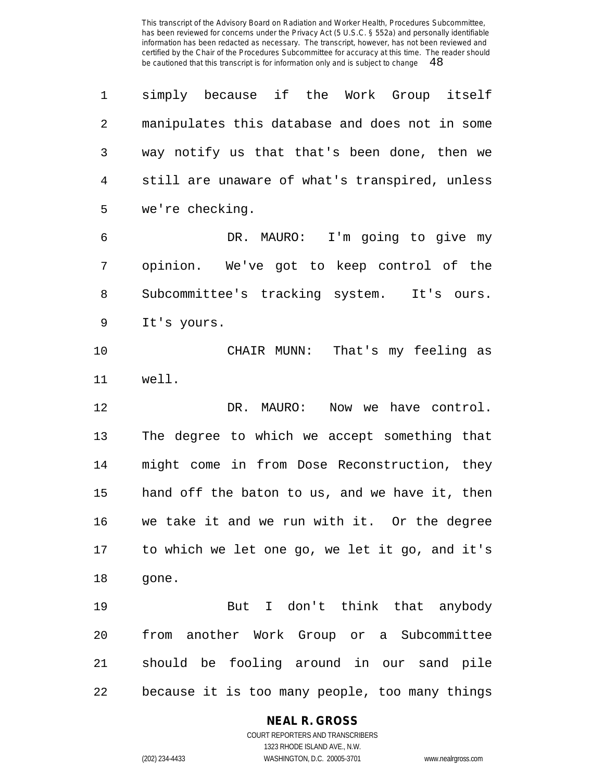simply because if the Work Group itself manipulates this database and does not in some way notify us that that's been done, then we still are unaware of what's transpired, unless we're checking. DR. MAURO: I'm going to give my opinion. We've got to keep control of the Subcommittee's tracking system. It's ours. It's yours. CHAIR MUNN: That's my feeling as well. 12 DR. MAURO: Now we have control. The degree to which we accept something that might come in from Dose Reconstruction, they hand off the baton to us, and we have it, then we take it and we run with it. Or the degree to which we let one go, we let it go, and it's gone. But I don't think that anybody from another Work Group or a Subcommittee should be fooling around in our sand pile because it is too many people, too many things

## **NEAL R. GROSS**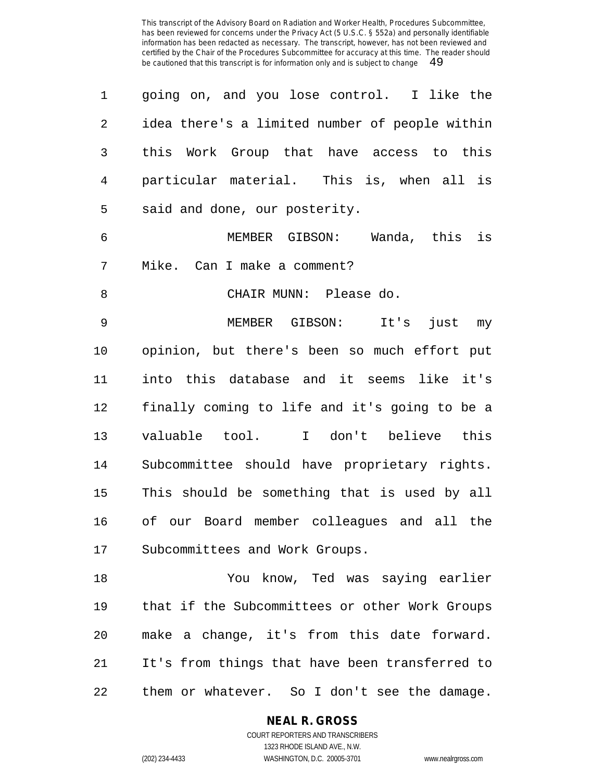| 1              | going on, and you lose control. I like the     |
|----------------|------------------------------------------------|
| $\overline{2}$ | idea there's a limited number of people within |
| 3              | Work Group that have access to this<br>this    |
| $\overline{4}$ | particular material. This is, when all is      |
| 5              | said and done, our posterity.                  |
| 6              | is<br>MEMBER GIBSON: Wanda, this               |
| 7              | Mike. Can I make a comment?                    |
| 8              | CHAIR MUNN: Please do.                         |
| 9              | MEMBER GIBSON: It's<br>just my                 |
| 10             | opinion, but there's been so much effort put   |
| 11             | into this database and it seems like it's      |
| 12             | finally coming to life and it's going to be a  |
| 13             | I don't believe this<br>valuable tool.         |
| 14             | Subcommittee should have proprietary rights.   |
| 15             | This should be something that is used by all   |
| 16             | of our Board member colleagues and all the     |
| 17             | Subcommittees and Work Groups.                 |
| 18             | You know, Ted was saying earlier               |
| 19             | that if the Subcommittees or other Work Groups |
| 20             | make a change, it's from this date forward.    |
| 21             | It's from things that have been transferred to |

them or whatever. So I don't see the damage.

**NEAL R. GROSS**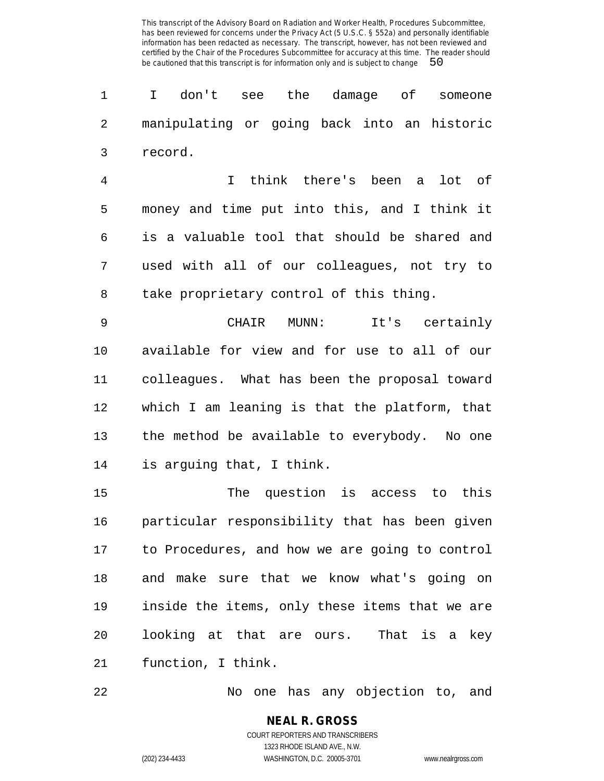I don't see the damage of someone manipulating or going back into an historic record.

 I think there's been a lot of money and time put into this, and I think it is a valuable tool that should be shared and used with all of our colleagues, not try to take proprietary control of this thing.

 CHAIR MUNN: It's certainly available for view and for use to all of our colleagues. What has been the proposal toward which I am leaning is that the platform, that the method be available to everybody. No one is arguing that, I think.

 The question is access to this particular responsibility that has been given to Procedures, and how we are going to control and make sure that we know what's going on inside the items, only these items that we are looking at that are ours. That is a key function, I think.

No one has any objection to, and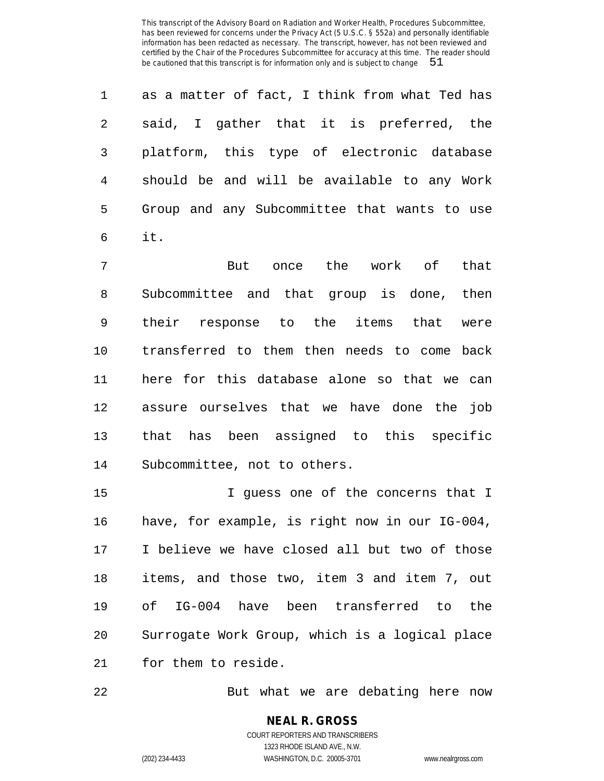as a matter of fact, I think from what Ted has said, I gather that it is preferred, the platform, this type of electronic database should be and will be available to any Work Group and any Subcommittee that wants to use it.

 But once the work of that Subcommittee and that group is done, then their response to the items that were transferred to them then needs to come back here for this database alone so that we can assure ourselves that we have done the job that has been assigned to this specific Subcommittee, not to others.

15 I guess one of the concerns that I have, for example, is right now in our IG-004, I believe we have closed all but two of those items, and those two, item 3 and item 7, out of IG-004 have been transferred to the Surrogate Work Group, which is a logical place for them to reside.

But what we are debating here now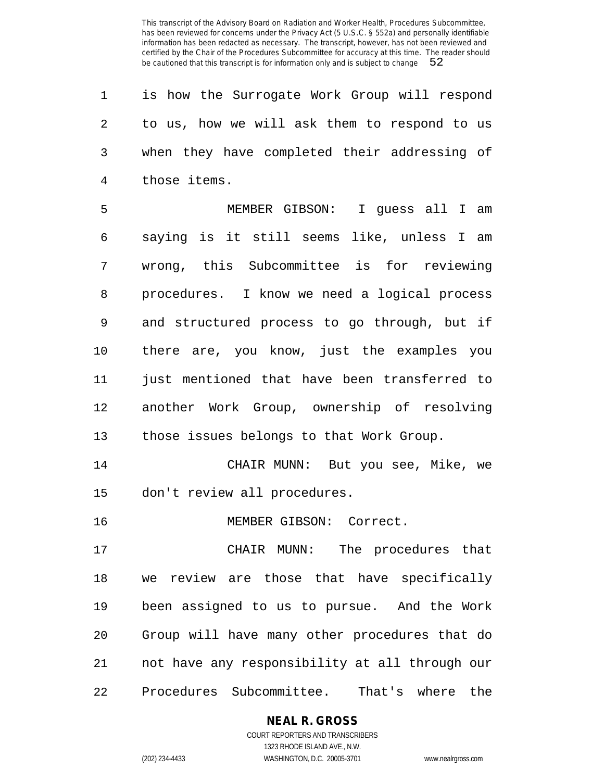is how the Surrogate Work Group will respond to us, how we will ask them to respond to us when they have completed their addressing of those items.

 MEMBER GIBSON: I guess all I am saying is it still seems like, unless I am wrong, this Subcommittee is for reviewing procedures. I know we need a logical process and structured process to go through, but if there are, you know, just the examples you just mentioned that have been transferred to another Work Group, ownership of resolving those issues belongs to that Work Group.

 CHAIR MUNN: But you see, Mike, we don't review all procedures.

MEMBER GIBSON: Correct.

 CHAIR MUNN: The procedures that we review are those that have specifically been assigned to us to pursue. And the Work Group will have many other procedures that do not have any responsibility at all through our Procedures Subcommittee. That's where the

**NEAL R. GROSS**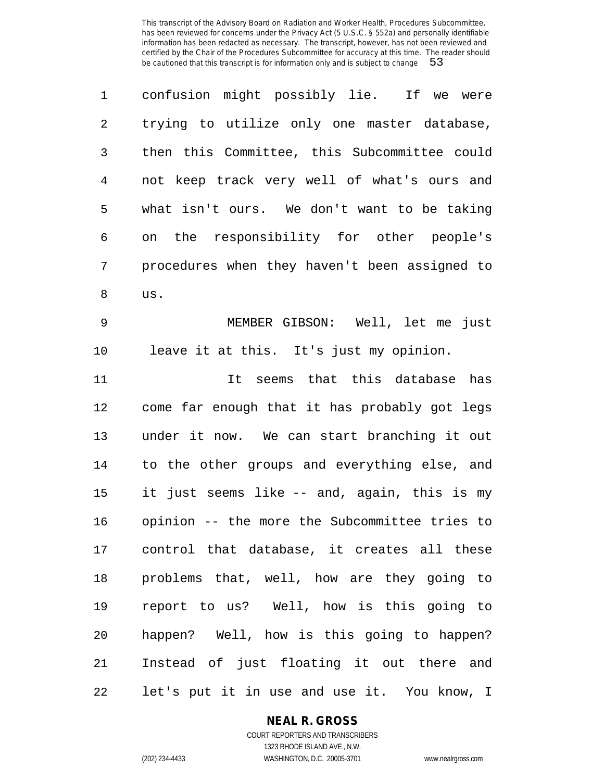| 1              | confusion might possibly lie. If we were      |
|----------------|-----------------------------------------------|
| 2              | trying to utilize only one master database,   |
| 3              | then this Committee, this Subcommittee could  |
| $\overline{4}$ | not keep track very well of what's ours and   |
| 5              | what isn't ours. We don't want to be taking   |
| 6              | on the responsibility for other people's      |
| 7              | procedures when they haven't been assigned to |
| 8              | us.                                           |
| $\mathsf 9$    | MEMBER GIBSON: Well, let me just              |
| 10             | leave it at this. It's just my opinion.       |
| 11             | It seems that this database has               |
| 12             | come far enough that it has probably got legs |
| 13             | under it now. We can start branching it out   |
| 14             | to the other groups and everything else, and  |
| 15             | it just seems like -- and, again, this is my  |
| 16             | opinion -- the more the Subcommittee tries to |
| 17             | control that database, it creates all these   |
| 18             | problems that, well, how are they going to    |
| 19             | report to us? Well, how is this going to      |
| 20             | happen? Well, how is this going to happen?    |
| 21             | Instead of just floating it out there and     |
| 22             | let's put it in use and use it. You know, I   |

## **NEAL R. GROSS**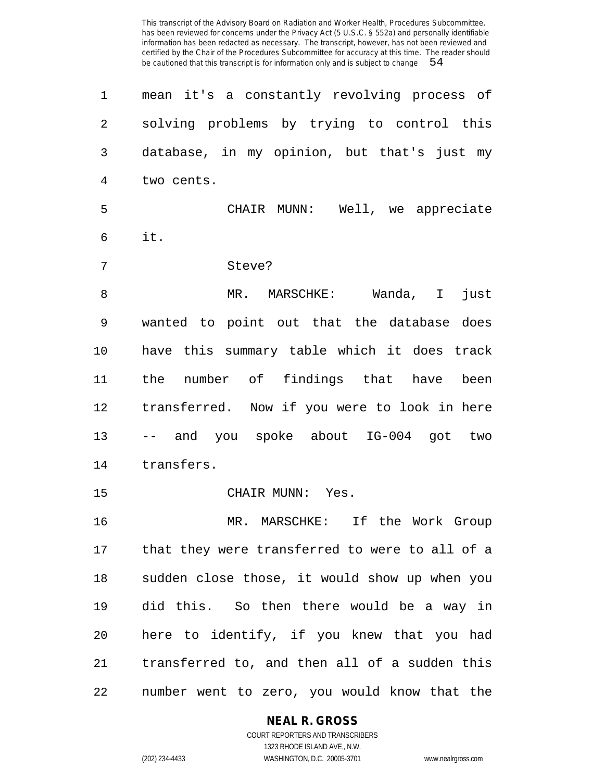| 1              | mean it's a constantly revolving process of    |
|----------------|------------------------------------------------|
| $\overline{2}$ | solving problems by trying to control this     |
| 3              | database, in my opinion, but that's just my    |
| 4              | two cents.                                     |
| 5              | CHAIR MUNN: Well, we appreciate                |
| 6              | it.                                            |
| 7              | Steve?                                         |
| 8              | MR. MARSCHKE: Wanda, I<br>just                 |
| 9              | wanted to point out that the database does     |
| 10             | have this summary table which it does track    |
| 11             | the number of findings that have been          |
| 12             | transferred. Now if you were to look in here   |
| 13             | -- and you spoke about IG-004 got two          |
| 14             | transfers.                                     |
| 15             | CHAIR MUNN: Yes.                               |
| 16             | MR. MARSCHKE: If the Work Group                |
| 17             | that they were transferred to were to all of a |
| 18             | sudden close those, it would show up when you  |
| 19             | did this. So then there would be a way in      |
| 20             | here to identify, if you knew that you had     |
| 21             | transferred to, and then all of a sudden this  |
| 22             | number went to zero, you would know that the   |

#### **NEAL R. GROSS** COURT REPORTERS AND TRANSCRIBERS

1323 RHODE ISLAND AVE., N.W.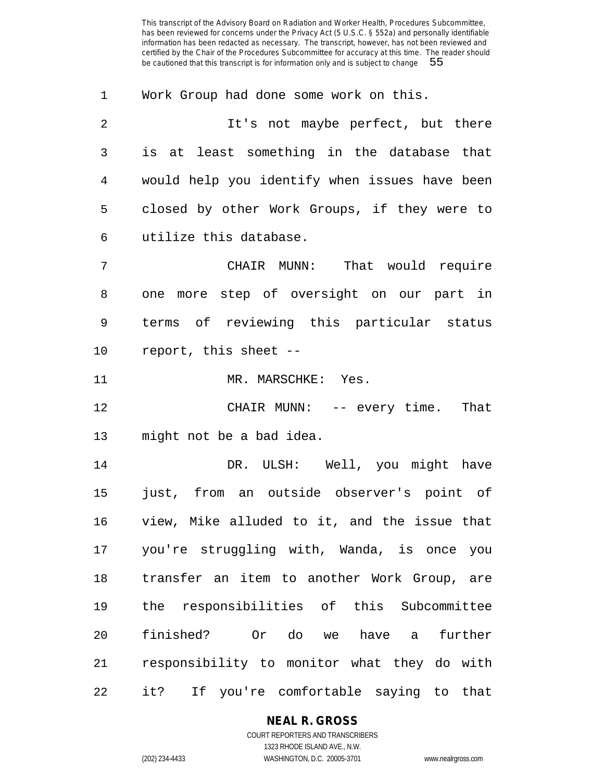Work Group had done some work on this.

 It's not maybe perfect, but there is at least something in the database that would help you identify when issues have been closed by other Work Groups, if they were to utilize this database.

 CHAIR MUNN: That would require one more step of oversight on our part in terms of reviewing this particular status report, this sheet --

11 MR. MARSCHKE: Yes.

 CHAIR MUNN: -- every time. That might not be a bad idea.

14 DR. ULSH: Well, you might have just, from an outside observer's point of view, Mike alluded to it, and the issue that you're struggling with, Wanda, is once you transfer an item to another Work Group, are the responsibilities of this Subcommittee finished? Or do we have a further responsibility to monitor what they do with it? If you're comfortable saying to that

# **NEAL R. GROSS**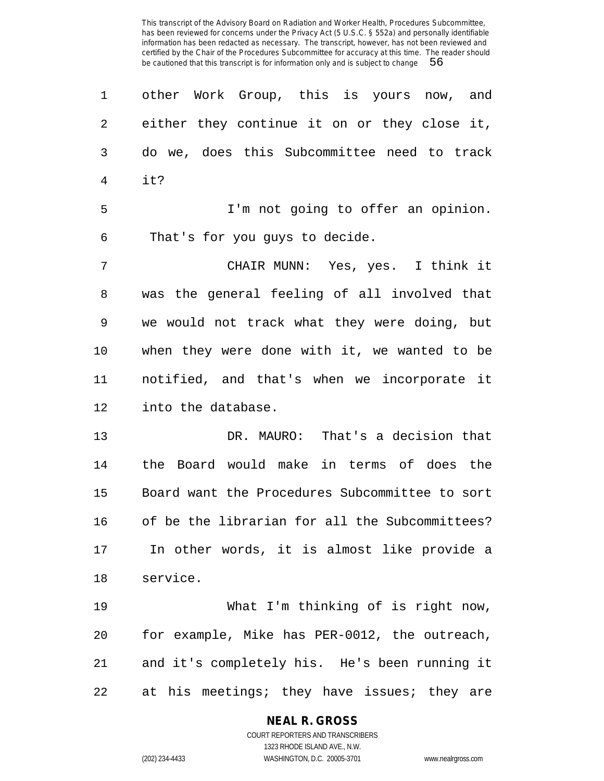| 1              | other Work Group, this is yours now, and       |
|----------------|------------------------------------------------|
| $\overline{2}$ | either they continue it on or they close it,   |
| 3              | do we, does this Subcommittee need to track    |
| $\overline{4}$ | it?                                            |
| 5              | I'm not going to offer an opinion.             |
| 6              | That's for you guys to decide.                 |
| 7              | CHAIR MUNN: Yes, yes. I think it               |
| 8              | was the general feeling of all involved that   |
| 9              | we would not track what they were doing, but   |
| 10             | when they were done with it, we wanted to be   |
| 11             | notified, and that's when we incorporate it    |
| 12             | into the database.                             |
| 13             | DR. MAURO: That's a decision that              |
| 14             | the Board would make in terms of does the      |
| 15             | Board want the Procedures Subcommittee to sort |
| 16             | of be the librarian for all the Subcommittees? |
| 17             | In other words, it is almost like provide a    |
| 18             | service.                                       |
| 19             | What I'm thinking of is right now,             |
| 20             | for example, Mike has PER-0012, the outreach,  |
| 21             | and it's completely his. He's been running it  |
| 22             | at his meetings; they have issues; they are    |

## **NEAL R. GROSS**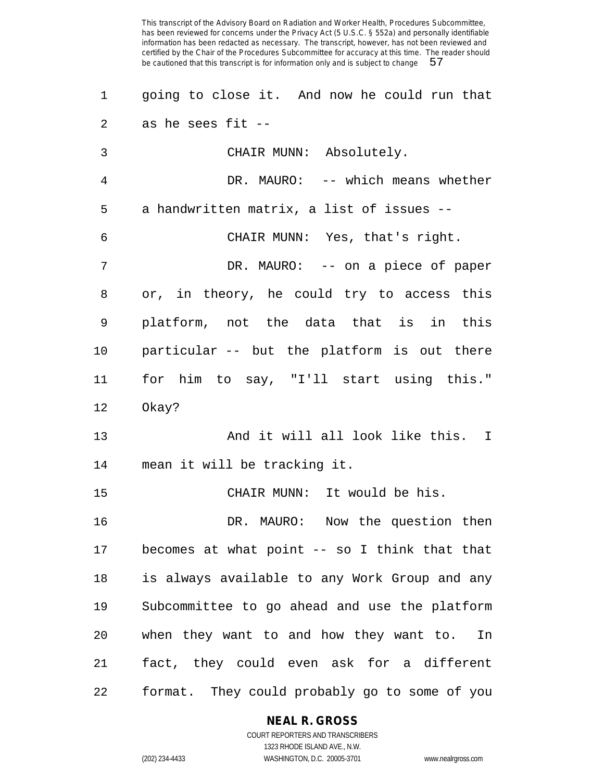going to close it. And now he could run that as he sees fit -- CHAIR MUNN: Absolutely. DR. MAURO: -- which means whether a handwritten matrix, a list of issues -- CHAIR MUNN: Yes, that's right. DR. MAURO: -- on a piece of paper or, in theory, he could try to access this platform, not the data that is in this particular -- but the platform is out there for him to say, "I'll start using this." Okay? 13 And it will all look like this. I mean it will be tracking it. CHAIR MUNN: It would be his. DR. MAURO: Now the question then becomes at what point -- so I think that that is always available to any Work Group and any Subcommittee to go ahead and use the platform when they want to and how they want to. In fact, they could even ask for a different format. They could probably go to some of you

#### **NEAL R. GROSS**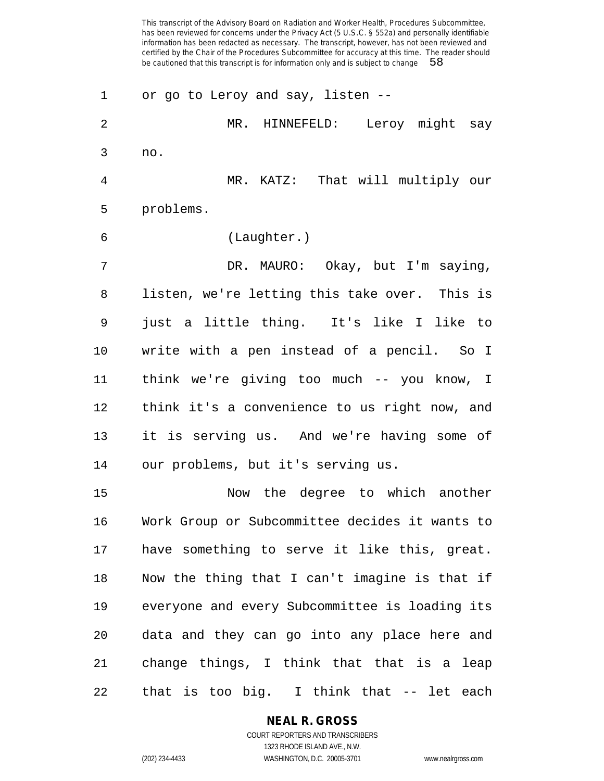or go to Leroy and say, listen -- MR. HINNEFELD: Leroy might say no. MR. KATZ: That will multiply our problems. (Laughter.) DR. MAURO: Okay, but I'm saying, listen, we're letting this take over. This is just a little thing. It's like I like to write with a pen instead of a pencil. So I think we're giving too much -- you know, I think it's a convenience to us right now, and it is serving us. And we're having some of our problems, but it's serving us. Now the degree to which another Work Group or Subcommittee decides it wants to have something to serve it like this, great. Now the thing that I can't imagine is that if everyone and every Subcommittee is loading its data and they can go into any place here and change things, I think that that is a leap that is too big. I think that -- let each

## **NEAL R. GROSS**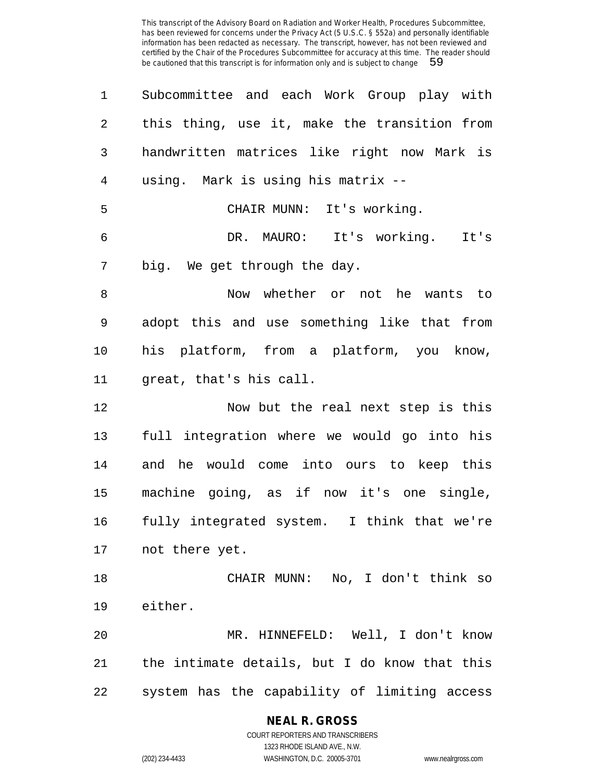| 1  | Subcommittee and each Work Group play with    |
|----|-----------------------------------------------|
| 2  | this thing, use it, make the transition from  |
| 3  | handwritten matrices like right now Mark is   |
| 4  | using. Mark is using his matrix --            |
| 5  | CHAIR MUNN: It's working.                     |
| 6  | DR. MAURO: It's working.<br>It's              |
| 7  | big. We get through the day.                  |
| 8  | Now whether or not he wants to                |
| 9  | adopt this and use something like that from   |
| 10 | his platform, from a platform, you know,      |
| 11 | great, that's his call.                       |
| 12 | Now but the real next step is this            |
| 13 | full integration where we would go into his   |
| 14 | and he would come into ours to keep this      |
| 15 | machine going, as if now it's one single,     |
| 16 | fully integrated system. I think that we're   |
| 17 | not there yet.                                |
| 18 | CHAIR MUNN: No, I don't think so              |
| 19 | either.                                       |
| 20 | MR. HINNEFELD: Well, I don't know             |
| 21 | the intimate details, but I do know that this |
| 22 | system has the capability of limiting access  |

**NEAL R. GROSS** COURT REPORTERS AND TRANSCRIBERS

1323 RHODE ISLAND AVE., N.W. (202) 234-4433 WASHINGTON, D.C. 20005-3701 www.nealrgross.com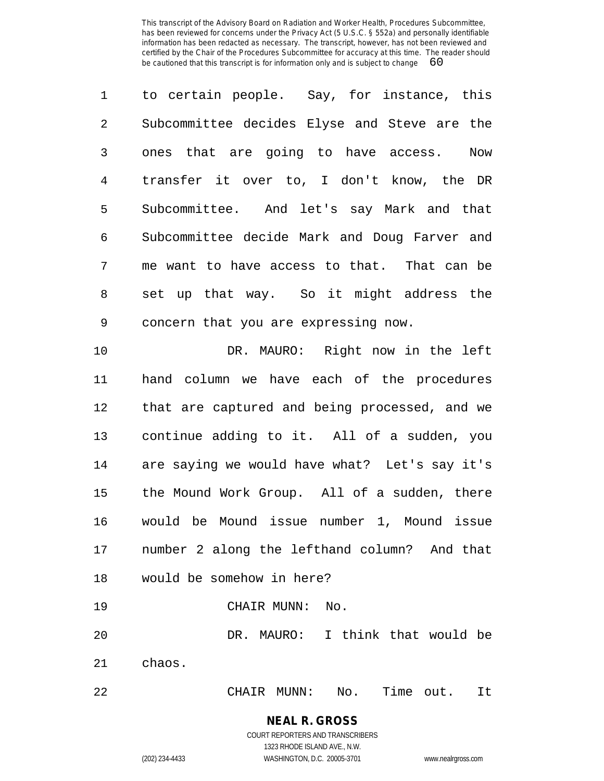| $\mathbf 1$ | to certain people. Say, for instance, this    |
|-------------|-----------------------------------------------|
| 2           | Subcommittee decides Elyse and Steve are the  |
| 3           | ones that are going to have access. Now       |
| 4           | transfer it over to, I don't know, the DR     |
| 5           | Subcommittee. And let's say Mark and that     |
| 6           | Subcommittee decide Mark and Doug Farver and  |
| 7           | me want to have access to that. That can be   |
| 8           | set up that way. So it might address the      |
| 9           | concern that you are expressing now.          |
| 10          | DR. MAURO: Right now in the left              |
| 11          | hand column we have each of the procedures    |
| 12          | that are captured and being processed, and we |
|             |                                               |

 continue adding to it. All of a sudden, you are saying we would have what? Let's say it's the Mound Work Group. All of a sudden, there would be Mound issue number 1, Mound issue number 2 along the lefthand column? And that would be somehow in here?

CHAIR MUNN: No.

 DR. MAURO: I think that would be chaos.

CHAIR MUNN: No. Time out. It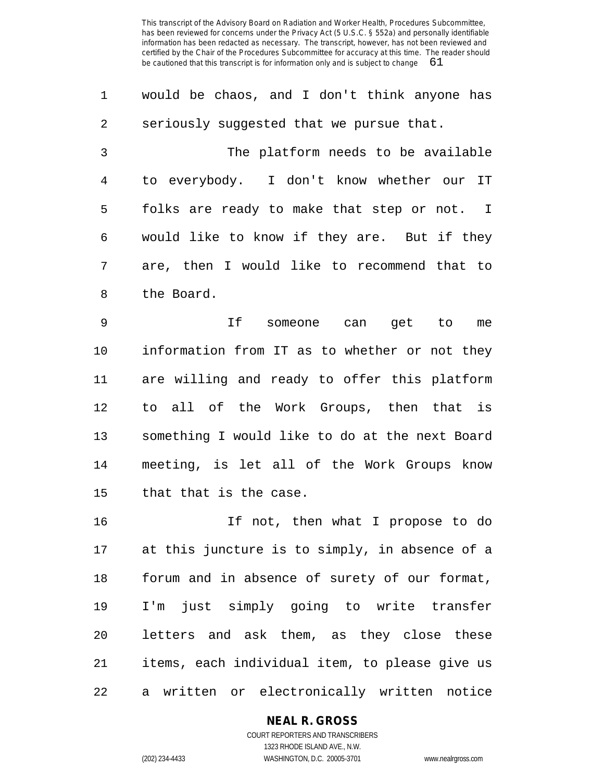| $\mathbf{1}$ | would be chaos, and I don't think anyone has  |
|--------------|-----------------------------------------------|
| 2            | seriously suggested that we pursue that.      |
| 3            | The platform needs to be available            |
| 4            | to everybody. I don't know whether our IT     |
| 5            | folks are ready to make that step or not. I   |
| 6            | would like to know if they are. But if they   |
| 7            | are, then I would like to recommend that to   |
| 8            | the Board.                                    |
| 9            | If<br>someone can get to<br>me                |
| 10           | information from IT as to whether or not they |

 are willing and ready to offer this platform to all of the Work Groups, then that is something I would like to do at the next Board meeting, is let all of the Work Groups know that that is the case.

 If not, then what I propose to do at this juncture is to simply, in absence of a forum and in absence of surety of our format, I'm just simply going to write transfer letters and ask them, as they close these items, each individual item, to please give us a written or electronically written notice

## **NEAL R. GROSS**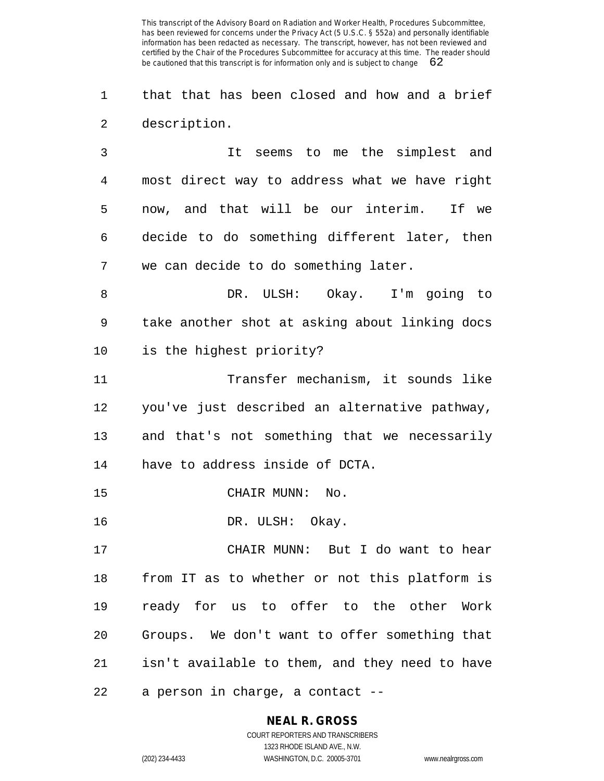that that has been closed and how and a brief description.

 It seems to me the simplest and most direct way to address what we have right now, and that will be our interim. If we decide to do something different later, then we can decide to do something later.

 DR. ULSH: Okay. I'm going to take another shot at asking about linking docs is the highest priority?

 Transfer mechanism, it sounds like you've just described an alternative pathway, and that's not something that we necessarily have to address inside of DCTA.

CHAIR MUNN: No.

16 DR. ULSH: Okay.

 CHAIR MUNN: But I do want to hear from IT as to whether or not this platform is ready for us to offer to the other Work Groups. We don't want to offer something that isn't available to them, and they need to have a person in charge, a contact --

## **NEAL R. GROSS**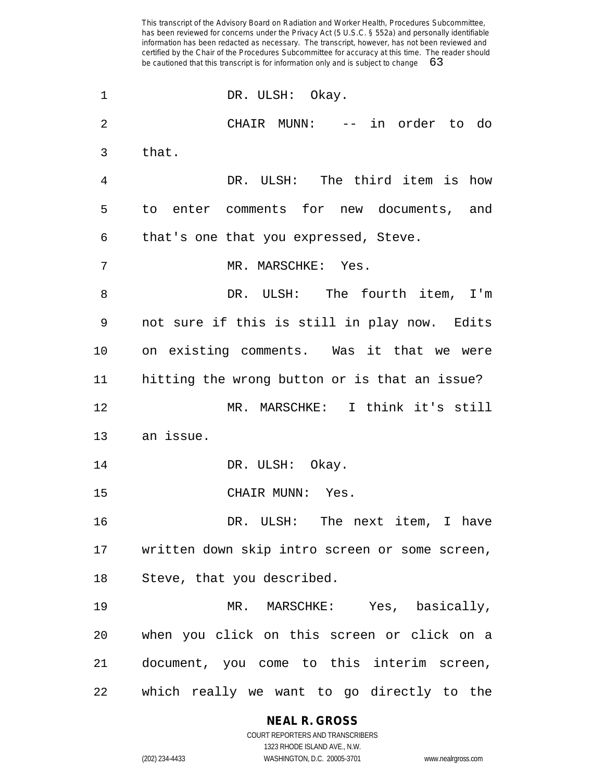1 DR. ULSH: Okay. CHAIR MUNN: -- in order to do that. DR. ULSH: The third item is how to enter comments for new documents, and that's one that you expressed, Steve. MR. MARSCHKE: Yes. DR. ULSH: The fourth item, I'm not sure if this is still in play now. Edits on existing comments. Was it that we were hitting the wrong button or is that an issue? MR. MARSCHKE: I think it's still an issue. 14 DR. ULSH: Okay. CHAIR MUNN: Yes. DR. ULSH: The next item, I have written down skip intro screen or some screen, Steve, that you described. MR. MARSCHKE: Yes, basically, when you click on this screen or click on a document, you come to this interim screen, which really we want to go directly to the

> **NEAL R. GROSS** COURT REPORTERS AND TRANSCRIBERS 1323 RHODE ISLAND AVE., N.W.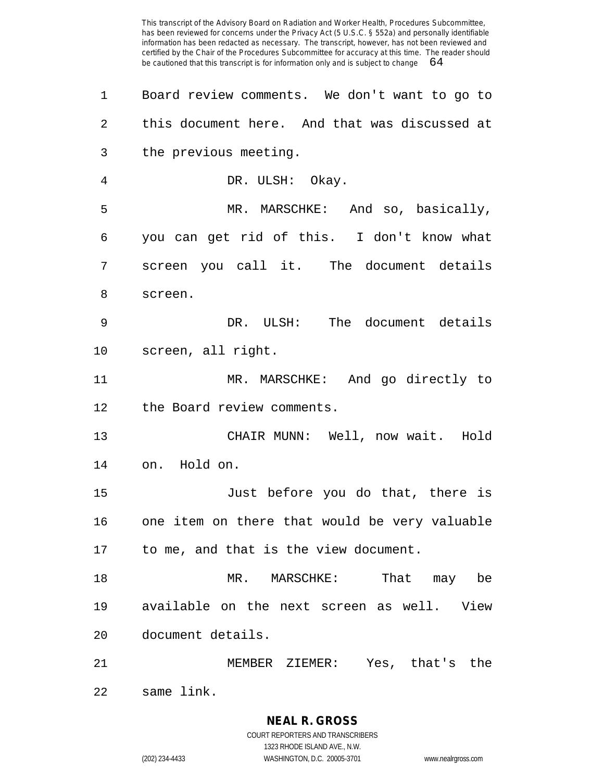Board review comments. We don't want to go to this document here. And that was discussed at the previous meeting. DR. ULSH: Okay. MR. MARSCHKE: And so, basically, you can get rid of this. I don't know what screen you call it. The document details screen. DR. ULSH: The document details screen, all right. MR. MARSCHKE: And go directly to the Board review comments. CHAIR MUNN: Well, now wait. Hold on. Hold on. Just before you do that, there is one item on there that would be very valuable to me, and that is the view document. MR. MARSCHKE: That may be available on the next screen as well. View document details. MEMBER ZIEMER: Yes, that's the same link.

> **NEAL R. GROSS** COURT REPORTERS AND TRANSCRIBERS

> > 1323 RHODE ISLAND AVE., N.W.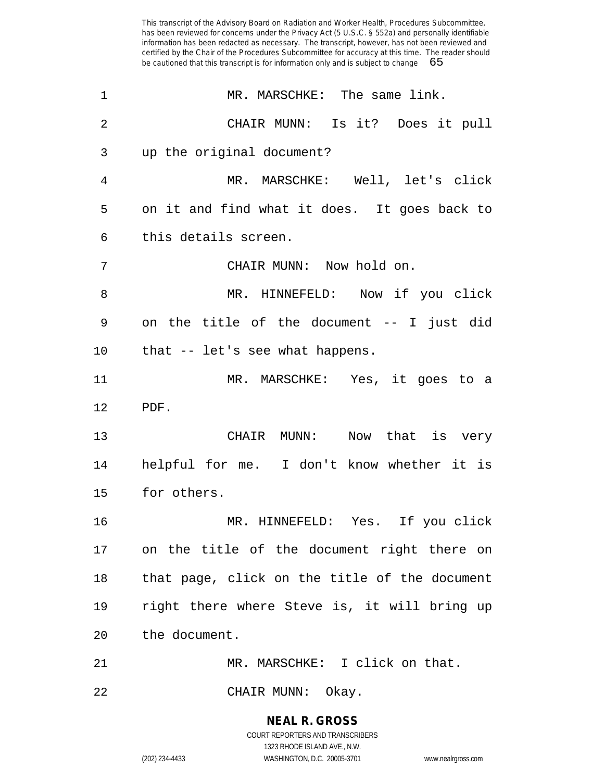| $\mathbf 1$ | MR. MARSCHKE: The same link.                  |
|-------------|-----------------------------------------------|
| 2           | CHAIR MUNN: Is it? Does it pull               |
| 3           | up the original document?                     |
| 4           | MR. MARSCHKE: Well, let's click               |
| 5           | on it and find what it does. It goes back to  |
| 6           | this details screen.                          |
| 7           | CHAIR MUNN: Now hold on.                      |
| 8           | MR. HINNEFELD: Now if you click               |
| 9           | on the title of the document -- I just did    |
| 10          | that -- let's see what happens.               |
| 11          | MR. MARSCHKE: Yes, it goes to a               |
| 12          | PDF.                                          |
| 13          | CHAIR MUNN: Now that is very                  |
| 14          | helpful for me. I don't know whether it is    |
| 15          | for others.                                   |
| 16          | MR. HINNEFELD: Yes. If you click              |
| 17          | on the title of the document right there on   |
| 18          | that page, click on the title of the document |
| 19          | right there where Steve is, it will bring up  |
| 20          | the document.                                 |
| 21          | MR. MARSCHKE: I click on that.                |
|             |                                               |

CHAIR MUNN: Okay.

**NEAL R. GROSS** COURT REPORTERS AND TRANSCRIBERS 1323 RHODE ISLAND AVE., N.W.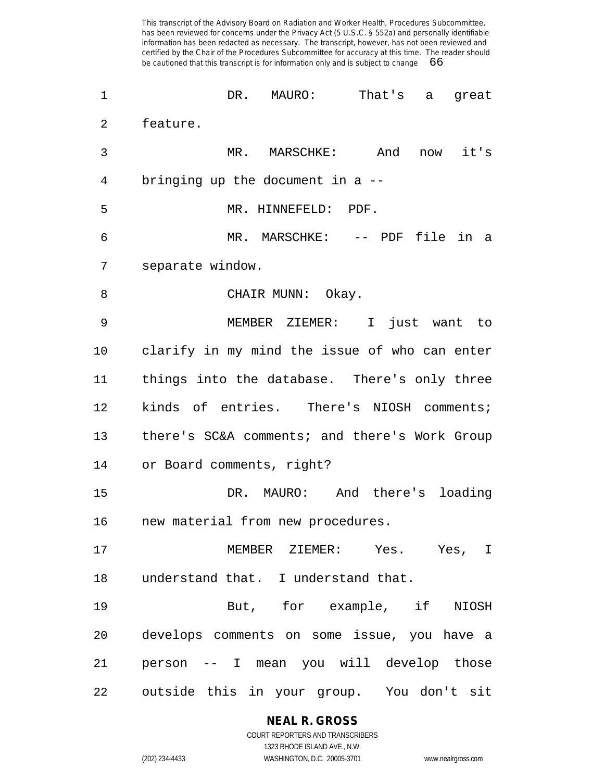DR. MAURO: That's a great feature. MR. MARSCHKE: And now it's bringing up the document in a -- MR. HINNEFELD: PDF. MR. MARSCHKE: -- PDF file in a separate window. 8 CHAIR MUNN: Okay. MEMBER ZIEMER: I just want to clarify in my mind the issue of who can enter things into the database. There's only three kinds of entries. There's NIOSH comments; there's SC&A comments; and there's Work Group or Board comments, right? DR. MAURO: And there's loading new material from new procedures. MEMBER ZIEMER: Yes. Yes, I understand that. I understand that. But, for example, if NIOSH develops comments on some issue, you have a person -- I mean you will develop those outside this in your group. You don't sit

> **NEAL R. GROSS** COURT REPORTERS AND TRANSCRIBERS

1323 RHODE ISLAND AVE., N.W. (202) 234-4433 WASHINGTON, D.C. 20005-3701 www.nealrgross.com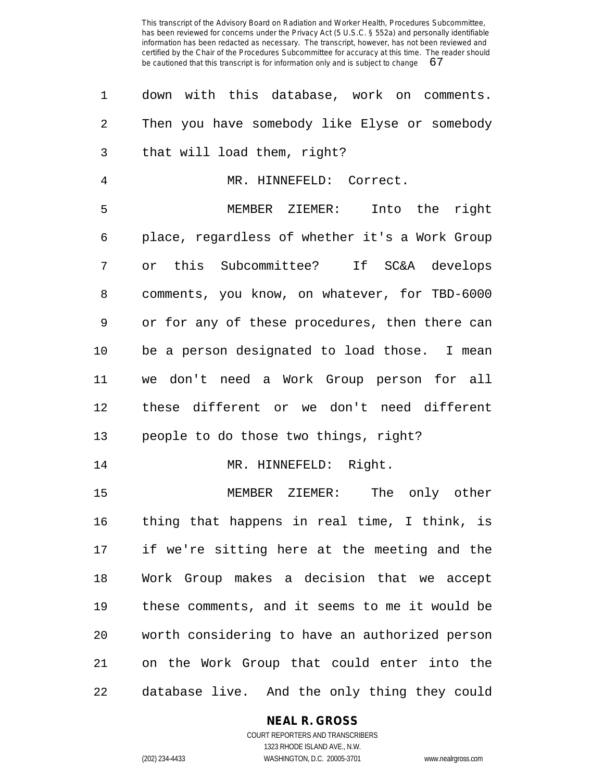| 1              | down with this database, work on comments.     |
|----------------|------------------------------------------------|
| $\overline{2}$ | Then you have somebody like Elyse or somebody  |
| 3              | that will load them, right?                    |
| $\overline{4}$ | MR. HINNEFELD: Correct.                        |
| 5              | MEMBER ZIEMER: Into the right                  |
| 6              | place, regardless of whether it's a Work Group |
| 7              | or this Subcommittee? If SC&A develops         |
| 8              | comments, you know, on whatever, for TBD-6000  |
| 9              | or for any of these procedures, then there can |
| $10 \,$        | be a person designated to load those. I mean   |
| 11             | we don't need a Work Group person for all      |
| 12             | these different or we don't need different     |
| 13             | people to do those two things, right?          |
| 14             | MR. HINNEFELD: Right.                          |
| 15             | MEMBER ZIEMER: The only other                  |
| 16             | thing that happens in real time, I think, is   |
| 17             | if we're sitting here at the meeting and the   |
| 18             | Work Group makes a decision that we accept     |
| 19             | these comments, and it seems to me it would be |
| 20             | worth considering to have an authorized person |
| 21             | on the Work Group that could enter into the    |
| 22             | database live. And the only thing they could   |

# **NEAL R. GROSS**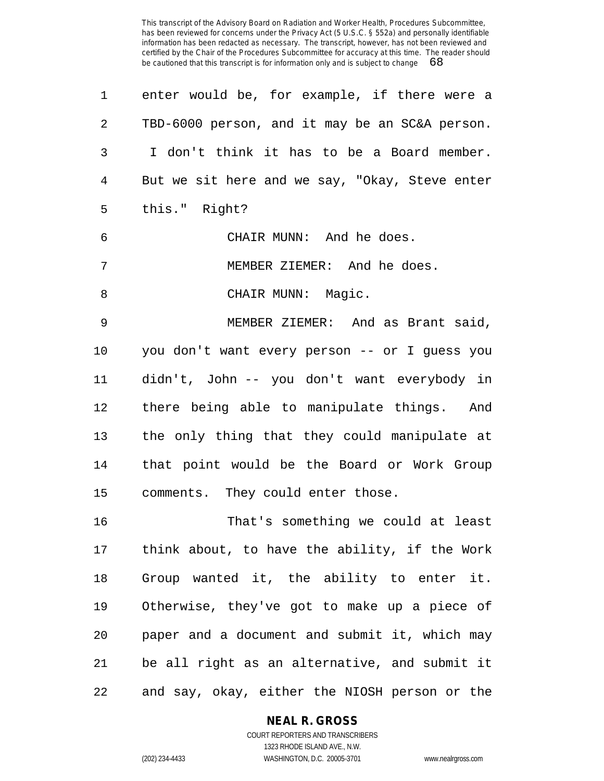| enter would be, for example, if there were a   |
|------------------------------------------------|
| TBD-6000 person, and it may be an SC&A person. |
| I don't think it has to be a Board member.     |
| But we sit here and we say, "Okay, Steve enter |
| this." Right?                                  |
| CHAIR MUNN: And he does.                       |
| MEMBER ZIEMER: And he does.                    |
| CHAIR MUNN: Magic.                             |
| MEMBER ZIEMER: And as Brant said,              |
| you don't want every person -- or I guess you  |
| didn't, John -- you don't want everybody in    |
| there being able to manipulate things. And     |
| the only thing that they could manipulate at   |
| that point would be the Board or Work Group    |
| comments. They could enter those.              |
| That's something we could at least             |
| think about, to have the ability, if the Work  |
| Group wanted it, the ability to enter it.      |
| Otherwise, they've got to make up a piece of   |
| paper and a document and submit it, which may  |
|                                                |

and say, okay, either the NIOSH person or the

be all right as an alternative, and submit it

## **NEAL R. GROSS**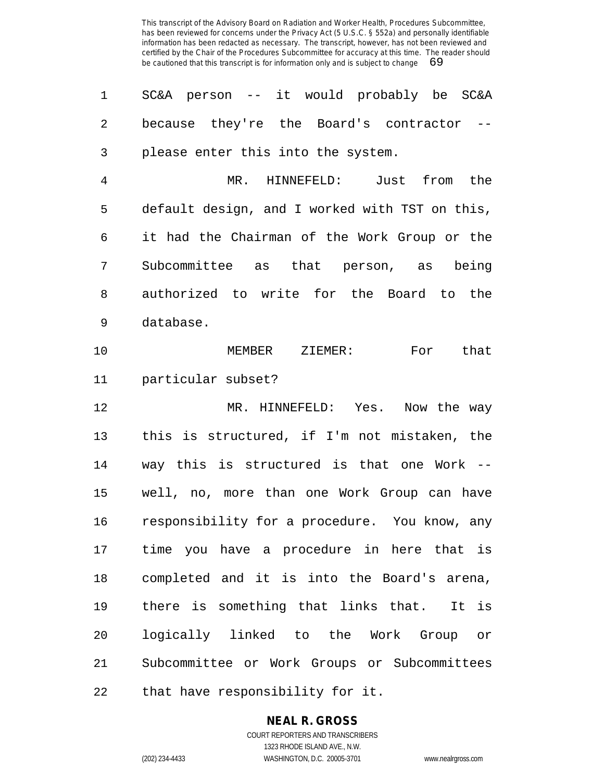SC&A person -- it would probably be SC&A 2 because they're the Board's contractor please enter this into the system.

 MR. HINNEFELD: Just from the default design, and I worked with TST on this, it had the Chairman of the Work Group or the Subcommittee as that person, as being authorized to write for the Board to the database.

 MEMBER ZIEMER: For that particular subset?

 MR. HINNEFELD: Yes. Now the way this is structured, if I'm not mistaken, the way this is structured is that one Work -- well, no, more than one Work Group can have responsibility for a procedure. You know, any time you have a procedure in here that is completed and it is into the Board's arena, there is something that links that. It is logically linked to the Work Group or Subcommittee or Work Groups or Subcommittees that have responsibility for it.

## **NEAL R. GROSS**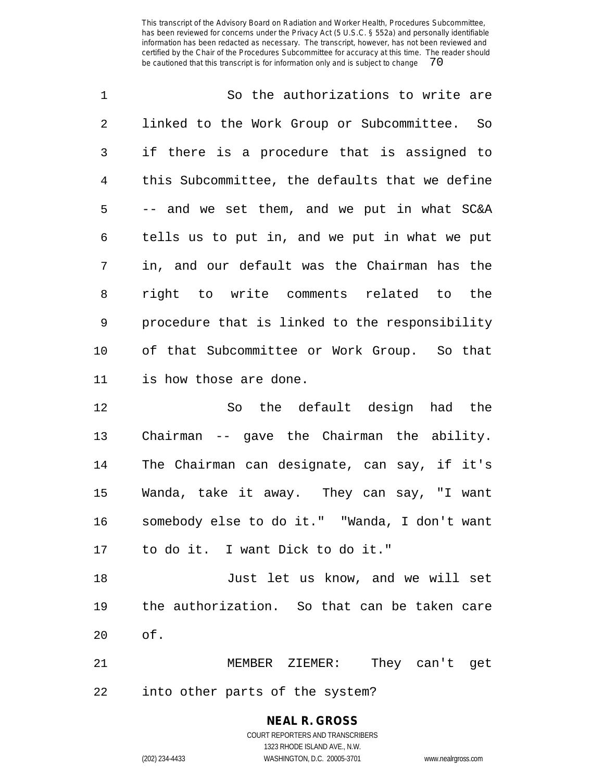| 2<br>3<br>$\overline{4}$<br>5<br>6<br>7<br>8<br>9<br>10<br>11<br>is how those are done.<br>12<br>Chairman -- gave the Chairman the ability.<br>13<br>14<br>15<br>16<br>to do it. I want Dick to do it."<br>17<br>18<br>19<br>of.<br>20<br>21<br>MEMBER ZIEMER: They can't get | $\mathbf 1$ | So the authorizations to write are             |
|-------------------------------------------------------------------------------------------------------------------------------------------------------------------------------------------------------------------------------------------------------------------------------|-------------|------------------------------------------------|
|                                                                                                                                                                                                                                                                               |             | linked to the Work Group or Subcommittee. So   |
|                                                                                                                                                                                                                                                                               |             | if there is a procedure that is assigned to    |
|                                                                                                                                                                                                                                                                               |             | this Subcommittee, the defaults that we define |
|                                                                                                                                                                                                                                                                               |             | -- and we set them, and we put in what SC&A    |
|                                                                                                                                                                                                                                                                               |             | tells us to put in, and we put in what we put  |
|                                                                                                                                                                                                                                                                               |             | in, and our default was the Chairman has the   |
|                                                                                                                                                                                                                                                                               |             | right to write comments related to the         |
|                                                                                                                                                                                                                                                                               |             | procedure that is linked to the responsibility |
|                                                                                                                                                                                                                                                                               |             | of that Subcommittee or Work Group. So that    |
|                                                                                                                                                                                                                                                                               |             |                                                |
|                                                                                                                                                                                                                                                                               |             | So the default design had the                  |
|                                                                                                                                                                                                                                                                               |             |                                                |
|                                                                                                                                                                                                                                                                               |             | The Chairman can designate, can say, if it's   |
|                                                                                                                                                                                                                                                                               |             | Wanda, take it away. They can say, "I want     |
|                                                                                                                                                                                                                                                                               |             | somebody else to do it." "Wanda, I don't want  |
|                                                                                                                                                                                                                                                                               |             |                                                |
|                                                                                                                                                                                                                                                                               |             | Just let us know, and we will set              |
|                                                                                                                                                                                                                                                                               |             | the authorization. So that can be taken care   |
|                                                                                                                                                                                                                                                                               |             |                                                |
|                                                                                                                                                                                                                                                                               |             |                                                |

into other parts of the system?

#### **NEAL R. GROSS** COURT REPORTERS AND TRANSCRIBERS 1323 RHODE ISLAND AVE., N.W.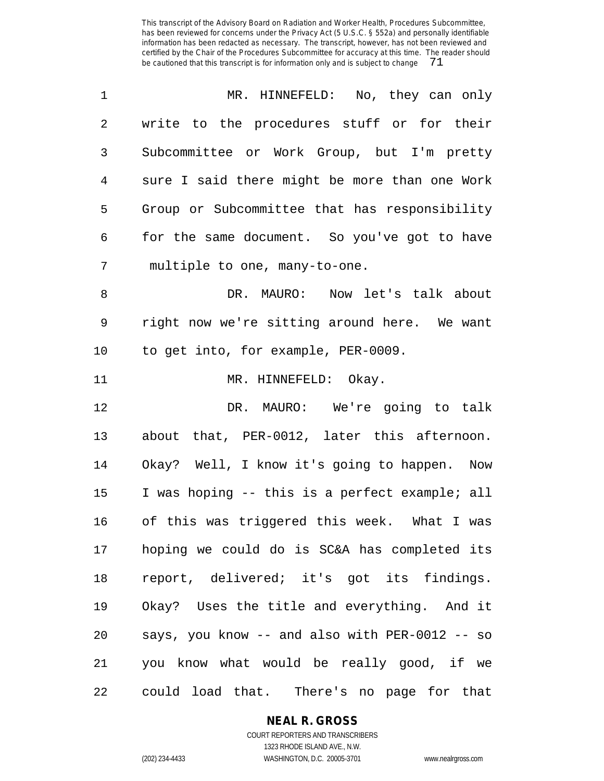| 1              | MR. HINNEFELD: No, they can only               |
|----------------|------------------------------------------------|
| 2              | write to the procedures stuff or for their     |
| 3              | Subcommittee or Work Group, but I'm pretty     |
| $\overline{4}$ | sure I said there might be more than one Work  |
| 5              | Group or Subcommittee that has responsibility  |
| 6              | for the same document. So you've got to have   |
| 7              | multiple to one, many-to-one.                  |
| 8              | DR. MAURO: Now let's talk about                |
| 9              | right now we're sitting around here. We want   |
| $10 \,$        | to get into, for example, PER-0009.            |
| 11             | MR. HINNEFELD: Okay.                           |
| 12             | DR. MAURO: We're going to talk                 |
| 13             | about that, PER-0012, later this afternoon.    |
| 14             | Okay? Well, I know it's going to happen. Now   |
| 15             | I was hoping -- this is a perfect example; all |
| 16             | of this was triggered this week. What I was    |
| 17             | hoping we could do is SC&A has completed its   |
| 18             | report, delivered; it's got its findings.      |
| 19             | Okay? Uses the title and everything. And it    |
| 20             | says, you know -- and also with PER-0012 -- so |
| 21             | you know what would be really good, if we      |
| 22             | could load that. There's no page for that      |

**NEAL R. GROSS**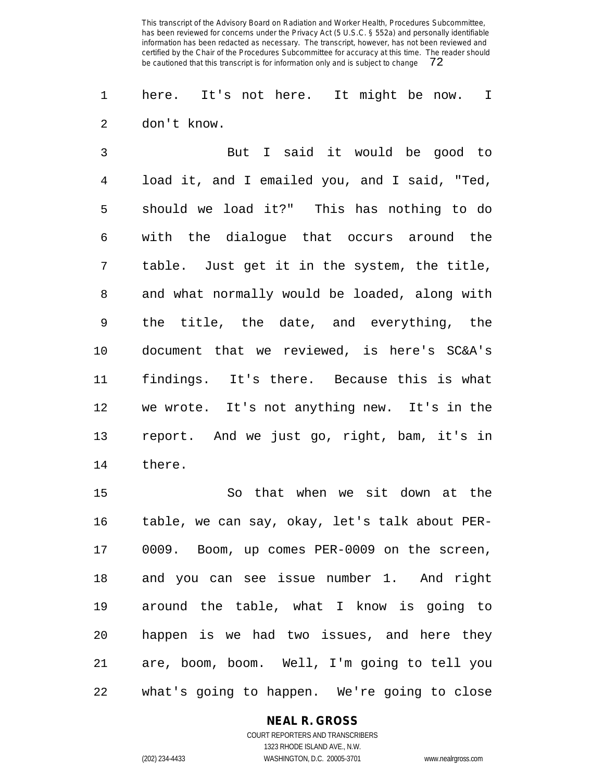here. It's not here. It might be now. I don't know.

 But I said it would be good to load it, and I emailed you, and I said, "Ted, should we load it?" This has nothing to do with the dialogue that occurs around the table. Just get it in the system, the title, and what normally would be loaded, along with the title, the date, and everything, the document that we reviewed, is here's SC&A's findings. It's there. Because this is what we wrote. It's not anything new. It's in the report. And we just go, right, bam, it's in there.

 So that when we sit down at the table, we can say, okay, let's talk about PER- 0009. Boom, up comes PER-0009 on the screen, and you can see issue number 1. And right around the table, what I know is going to happen is we had two issues, and here they are, boom, boom. Well, I'm going to tell you what's going to happen. We're going to close

## **NEAL R. GROSS**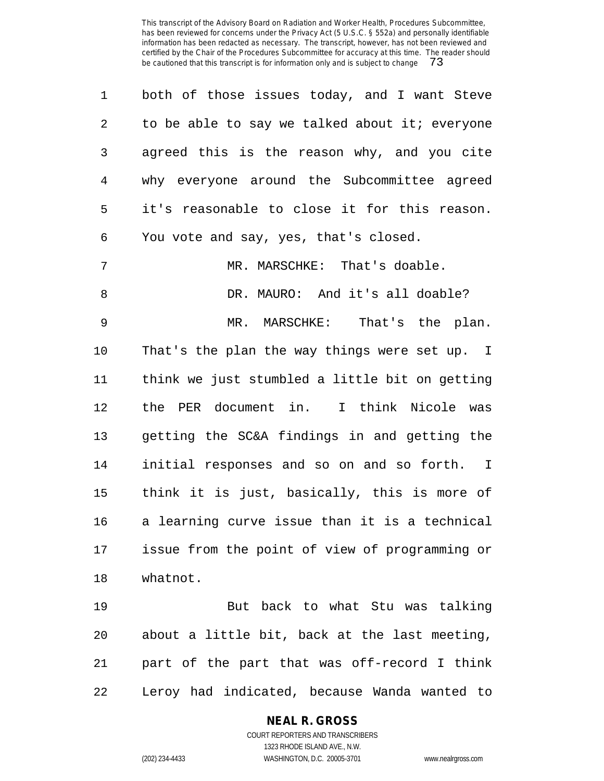| $\mathbf 1$    | both of those issues today, and I want Steve   |
|----------------|------------------------------------------------|
| 2              | to be able to say we talked about it; everyone |
| 3              | agreed this is the reason why, and you cite    |
| 4              | why everyone around the Subcommittee agreed    |
| 5              | it's reasonable to close it for this reason.   |
| 6              | You vote and say, yes, that's closed.          |
| $\overline{7}$ | MR. MARSCHKE: That's doable.                   |
| 8              | DR. MAURO: And it's all doable?                |
| 9              | MR. MARSCHKE: That's the plan.                 |
| 10             | That's the plan the way things were set up. I  |
| 11             | think we just stumbled a little bit on getting |
| 12             | the PER document in. I think Nicole was        |
| 13             | getting the SC&A findings in and getting the   |
| 14             | initial responses and so on and so forth. I    |
| 15             | think it is just, basically, this is more of   |
| 16             | a learning curve issue than it is a technical  |
| 17             | issue from the point of view of programming or |
| 18             | whatnot.                                       |
| 19             | But back to what Stu was talking               |

 But back to what Stu was talking about a little bit, back at the last meeting, part of the part that was off-record I think Leroy had indicated, because Wanda wanted to

# **NEAL R. GROSS**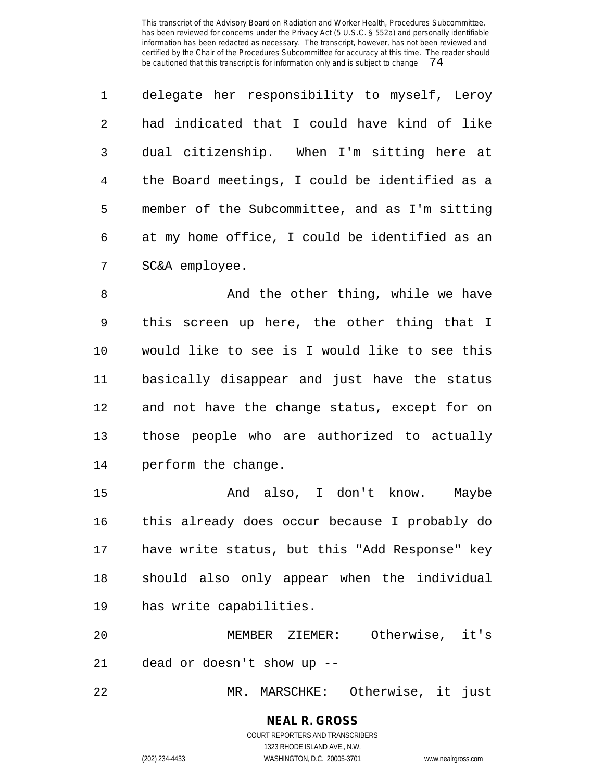delegate her responsibility to myself, Leroy had indicated that I could have kind of like dual citizenship. When I'm sitting here at the Board meetings, I could be identified as a member of the Subcommittee, and as I'm sitting at my home office, I could be identified as an SC&A employee.

8 And the other thing, while we have this screen up here, the other thing that I would like to see is I would like to see this basically disappear and just have the status and not have the change status, except for on those people who are authorized to actually perform the change.

 And also, I don't know. Maybe this already does occur because I probably do have write status, but this "Add Response" key should also only appear when the individual has write capabilities.

 MEMBER ZIEMER: Otherwise, it's dead or doesn't show up --

MR. MARSCHKE: Otherwise, it just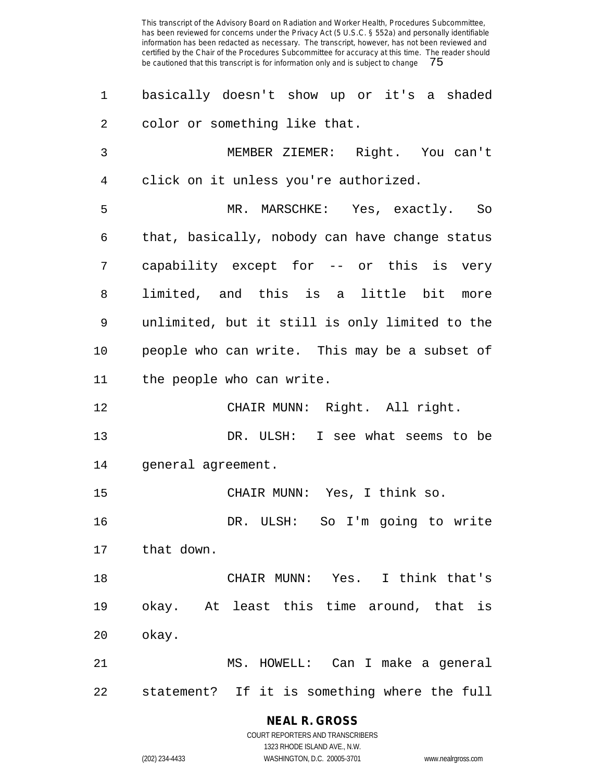| 1  | basically doesn't show up or it's a shaded     |
|----|------------------------------------------------|
| 2  | color or something like that.                  |
| 3  | MEMBER ZIEMER: Right. You can't                |
| 4  | click on it unless you're authorized.          |
| 5  | MR. MARSCHKE: Yes, exactly. So                 |
| 6  | that, basically, nobody can have change status |
| 7  | capability except for -- or this is very       |
| 8  | limited, and this is a little bit<br>more      |
| 9  | unlimited, but it still is only limited to the |
| 10 | people who can write. This may be a subset of  |
| 11 | the people who can write.                      |
| 12 | CHAIR MUNN: Right. All right.                  |
| 13 | DR. ULSH: I see what seems to be               |
| 14 | general agreement.                             |
| 15 | CHAIR MUNN: Yes, I think so.                   |
| 16 | DR. ULSH: So I'm going to write                |
| 17 | that down.                                     |
| 18 | CHAIR MUNN: Yes. I think that's                |
| 19 | okay. At least this time around, that is       |
| 20 | okay.                                          |
| 21 | MS. HOWELL: Can I make a general               |
| 22 | statement? If it is something where the full   |

**NEAL R. GROSS** COURT REPORTERS AND TRANSCRIBERS 1323 RHODE ISLAND AVE., N.W.

(202) 234-4433 WASHINGTON, D.C. 20005-3701 www.nealrgross.com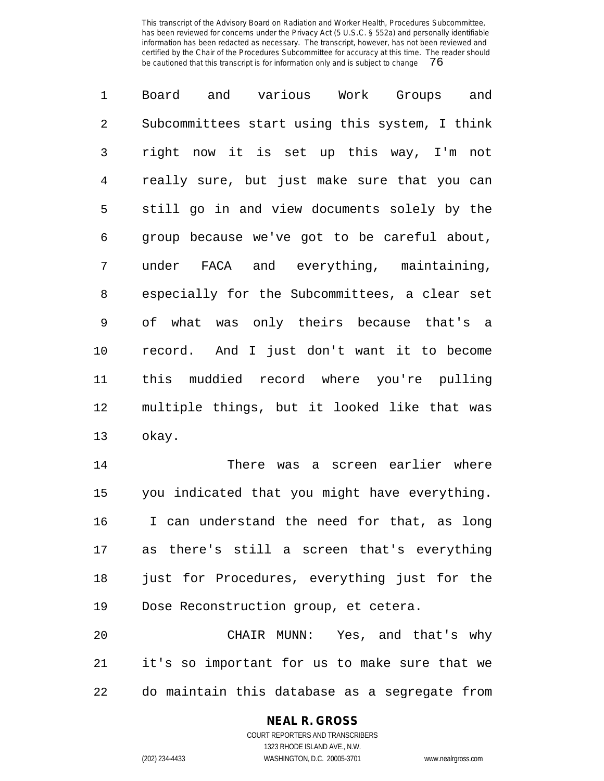Board and various Work Groups and Subcommittees start using this system, I think right now it is set up this way, I'm not really sure, but just make sure that you can still go in and view documents solely by the group because we've got to be careful about, under FACA and everything, maintaining, especially for the Subcommittees, a clear set of what was only theirs because that's a record. And I just don't want it to become this muddied record where you're pulling multiple things, but it looked like that was okay.

 There was a screen earlier where you indicated that you might have everything. I can understand the need for that, as long as there's still a screen that's everything just for Procedures, everything just for the Dose Reconstruction group, et cetera.

 CHAIR MUNN: Yes, and that's why it's so important for us to make sure that we do maintain this database as a segregate from

# **NEAL R. GROSS**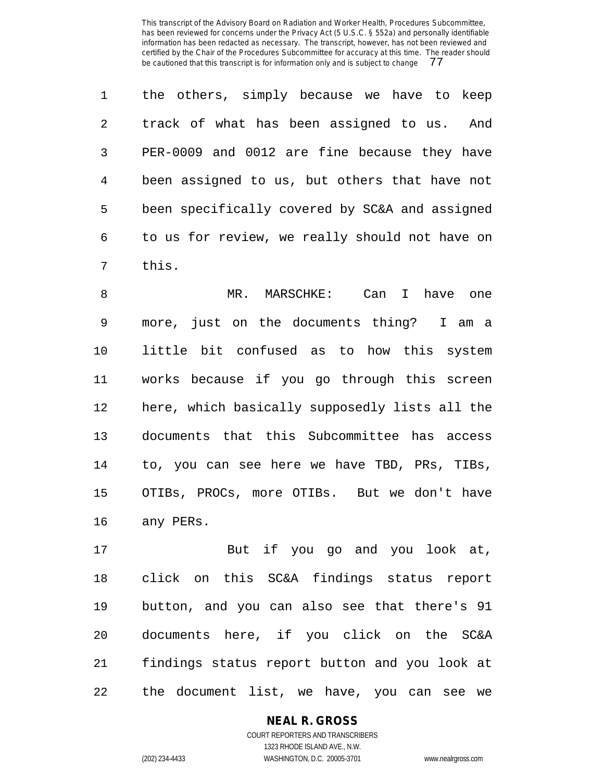the others, simply because we have to keep track of what has been assigned to us. And PER-0009 and 0012 are fine because they have been assigned to us, but others that have not been specifically covered by SC&A and assigned to us for review, we really should not have on this.

 MR. MARSCHKE: Can I have one more, just on the documents thing? I am a little bit confused as to how this system works because if you go through this screen here, which basically supposedly lists all the documents that this Subcommittee has access to, you can see here we have TBD, PRs, TIBs, OTIBs, PROCs, more OTIBs. But we don't have any PERs.

 But if you go and you look at, click on this SC&A findings status report button, and you can also see that there's 91 documents here, if you click on the SC&A findings status report button and you look at the document list, we have, you can see we

**NEAL R. GROSS**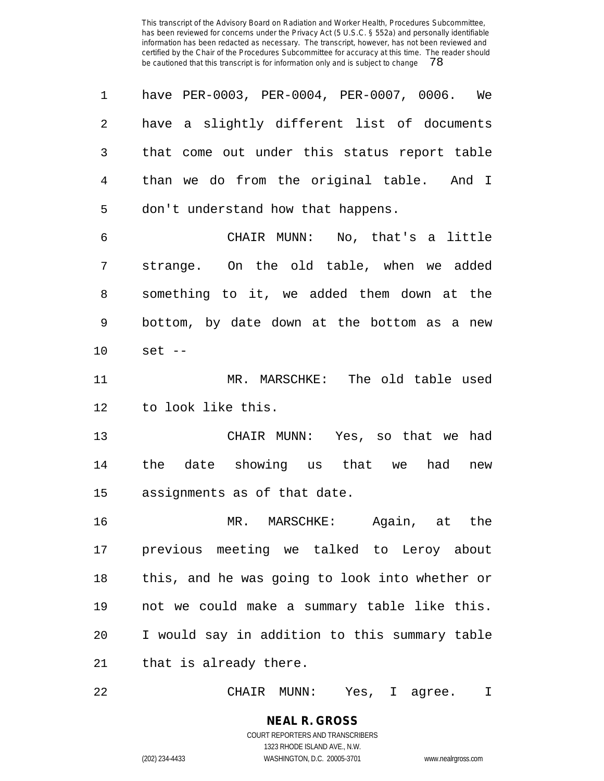| 1       | have PER-0003, PER-0004, PER-0007, 0006. We    |
|---------|------------------------------------------------|
| 2       | have a slightly different list of documents    |
| 3       | that come out under this status report table   |
| 4       | than we do from the original table. And I      |
| 5       | don't understand how that happens.             |
| 6       | CHAIR MUNN: No, that's a little                |
| 7       | strange. On the old table, when we added       |
| 8       | something to it, we added them down at the     |
| 9       | bottom, by date down at the bottom as a new    |
| $10 \,$ | $set --$                                       |
| 11      | MR. MARSCHKE: The old table used               |
| 12      | to look like this.                             |
| 13      | CHAIR MUNN: Yes, so that we had                |
| 14      | the date showing us that we had<br>new         |
| 15      | assignments as of that date.                   |
| 16      | MR. MARSCHKE: Again, at the                    |
| 17      | previous meeting we talked to Leroy about      |
| 18      | this, and he was going to look into whether or |
| 19      | not we could make a summary table like this.   |
| 20      | I would say in addition to this summary table  |
| 21      | that is already there.                         |
|         |                                                |

CHAIR MUNN: Yes, I agree. I

**NEAL R. GROSS** COURT REPORTERS AND TRANSCRIBERS 1323 RHODE ISLAND AVE., N.W.

(202) 234-4433 WASHINGTON, D.C. 20005-3701 www.nealrgross.com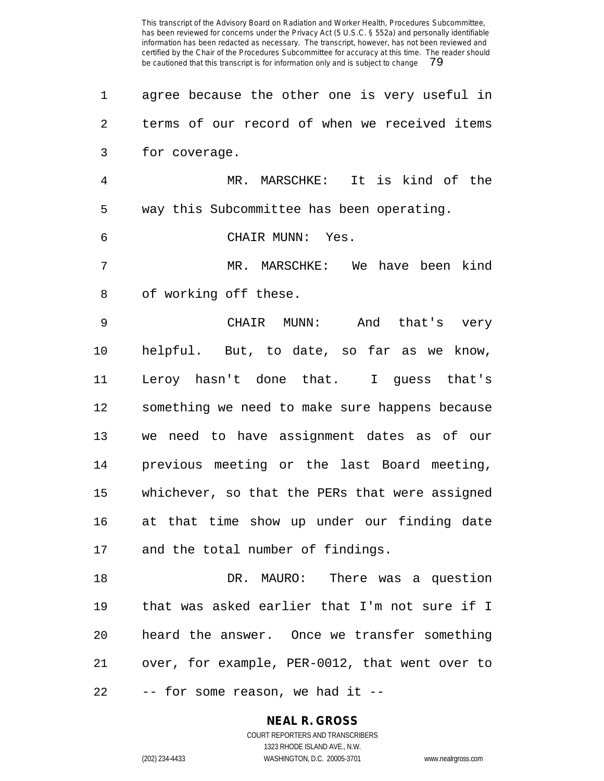| 1  | agree because the other one is very useful in |
|----|-----------------------------------------------|
| 2. | terms of our record of when we received items |
| 3  | for coverage.                                 |
| 4  | MARSCHKE: It is kind of the<br>MR.            |
| 5  | way this Subcommittee has been operating.     |
| 6  | CHAIR MUNN:<br>Yes.                           |
|    | MR. MARSCHKE: We have been kind               |
|    |                                               |

 CHAIR MUNN: And that's very helpful. But, to date, so far as we know, Leroy hasn't done that. I guess that's something we need to make sure happens because we need to have assignment dates as of our previous meeting or the last Board meeting, whichever, so that the PERs that were assigned at that time show up under our finding date and the total number of findings.

 DR. MAURO: There was a question that was asked earlier that I'm not sure if I heard the answer. Once we transfer something over, for example, PER-0012, that went over to -- for some reason, we had it --

## **NEAL R. GROSS** COURT REPORTERS AND TRANSCRIBERS

1323 RHODE ISLAND AVE., N.W.

(202) 234-4433 WASHINGTON, D.C. 20005-3701 www.nealrgross.com

of working off these.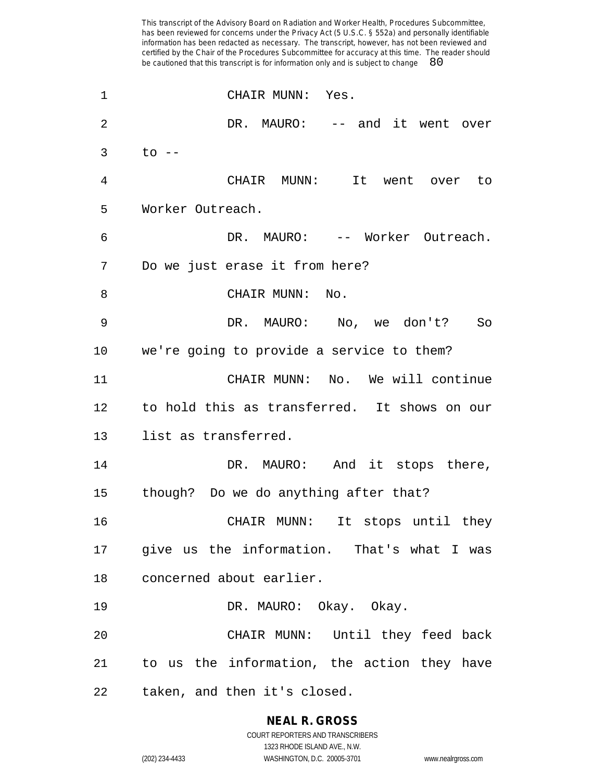CHAIR MUNN: Yes. 2 DR. MAURO: -- and it went over to -- CHAIR MUNN: It went over to Worker Outreach. DR. MAURO: -- Worker Outreach. Do we just erase it from here? 8 CHAIR MUNN: No. DR. MAURO: No, we don't? So we're going to provide a service to them? CHAIR MUNN: No. We will continue to hold this as transferred. It shows on our list as transferred. 14 DR. MAURO: And it stops there, though? Do we do anything after that? CHAIR MUNN: It stops until they give us the information. That's what I was concerned about earlier. DR. MAURO: Okay. Okay. CHAIR MUNN: Until they feed back to us the information, the action they have taken, and then it's closed.

# **NEAL R. GROSS**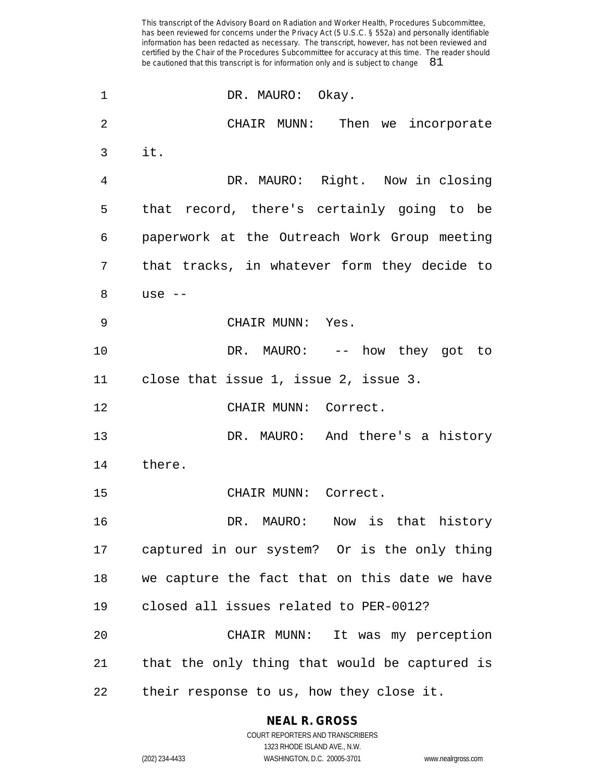1 DR. MAURO: Okay. CHAIR MUNN: Then we incorporate it. DR. MAURO: Right. Now in closing that record, there's certainly going to be paperwork at the Outreach Work Group meeting that tracks, in whatever form they decide to use -- CHAIR MUNN: Yes. 10 DR. MAURO: -- how they got to close that issue 1, issue 2, issue 3. CHAIR MUNN: Correct. DR. MAURO: And there's a history there. CHAIR MUNN: Correct. DR. MAURO: Now is that history captured in our system? Or is the only thing we capture the fact that on this date we have closed all issues related to PER-0012? CHAIR MUNN: It was my perception that the only thing that would be captured is their response to us, how they close it.

**NEAL R. GROSS**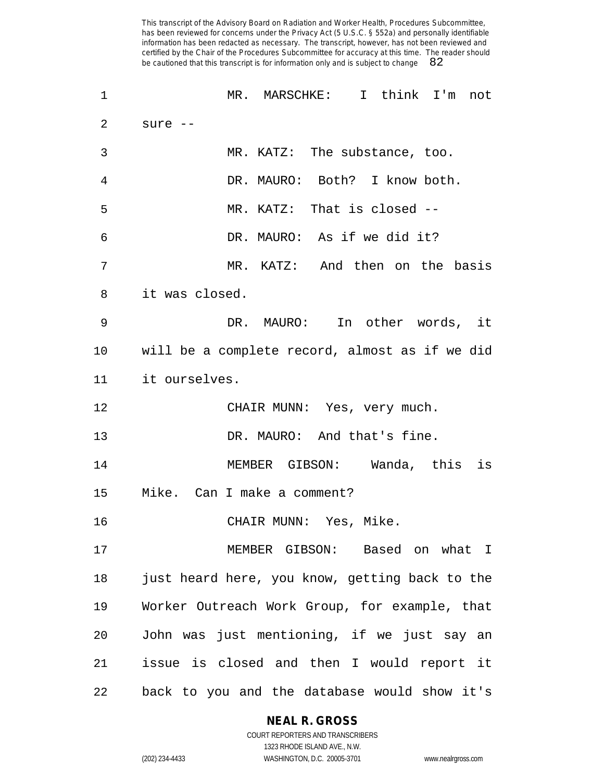| $\mathbf 1$ | MR. MARSCHKE: I think I'm not                  |
|-------------|------------------------------------------------|
| 2           | sure $--$                                      |
| 3           | MR. KATZ: The substance, too.                  |
| 4           | DR. MAURO: Both? I know both.                  |
| 5           | MR. KATZ: That is closed --                    |
| 6           | DR. MAURO: As if we did it?                    |
| 7           | MR. KATZ: And then on the basis                |
| 8           | it was closed.                                 |
| 9           | DR. MAURO: In other words, it                  |
| 10          | will be a complete record, almost as if we did |
| 11          | it ourselves.                                  |
| 12          | CHAIR MUNN: Yes, very much.                    |
| 13          | DR. MAURO: And that's fine.                    |
| 14          | MEMBER GIBSON: Wanda, this is                  |
| 15          | Mike. Can I make a comment?                    |
| 16          | CHAIR MUNN: Yes, Mike.                         |
| 17          | MEMBER GIBSON: Based on what I                 |
| 18          | just heard here, you know, getting back to the |
| 19          | Worker Outreach Work Group, for example, that  |
| 20          | John was just mentioning, if we just say an    |
| 21          | issue is closed and then I would report it     |
| 22          | back to you and the database would show it's   |

# **NEAL R. GROSS**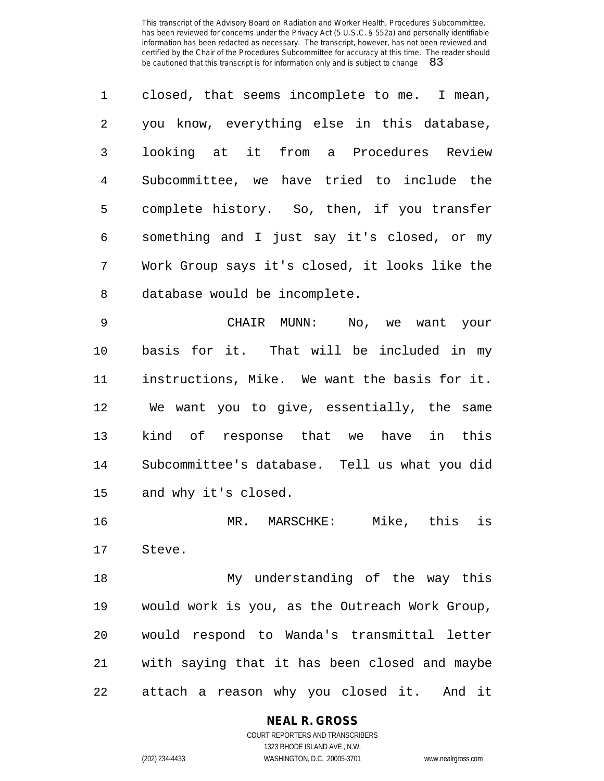closed, that seems incomplete to me. I mean, you know, everything else in this database, looking at it from a Procedures Review Subcommittee, we have tried to include the complete history. So, then, if you transfer something and I just say it's closed, or my Work Group says it's closed, it looks like the database would be incomplete.

 CHAIR MUNN: No, we want your basis for it. That will be included in my instructions, Mike. We want the basis for it. We want you to give, essentially, the same kind of response that we have in this Subcommittee's database. Tell us what you did and why it's closed.

 MR. MARSCHKE: Mike, this is Steve.

 My understanding of the way this would work is you, as the Outreach Work Group, would respond to Wanda's transmittal letter with saying that it has been closed and maybe attach a reason why you closed it. And it

## **NEAL R. GROSS** COURT REPORTERS AND TRANSCRIBERS

1323 RHODE ISLAND AVE., N.W. (202) 234-4433 WASHINGTON, D.C. 20005-3701 www.nealrgross.com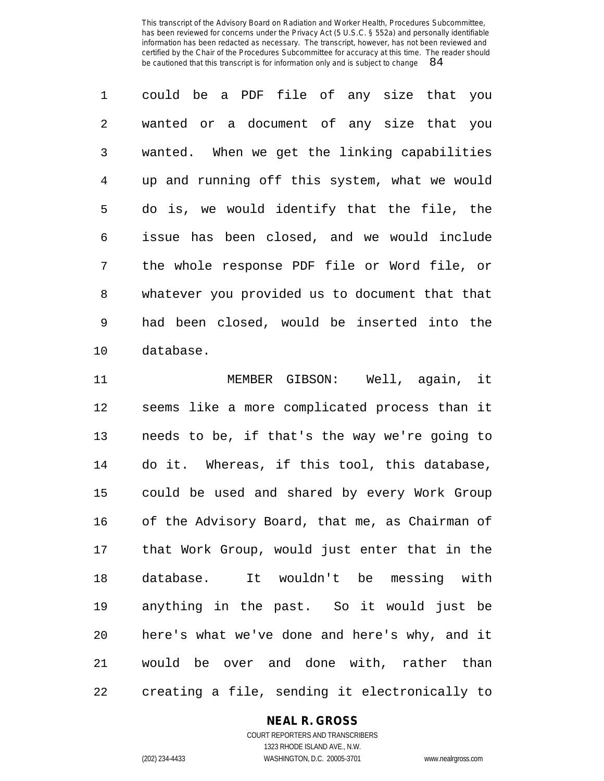could be a PDF file of any size that you wanted or a document of any size that you wanted. When we get the linking capabilities up and running off this system, what we would do is, we would identify that the file, the issue has been closed, and we would include the whole response PDF file or Word file, or whatever you provided us to document that that had been closed, would be inserted into the database.

 MEMBER GIBSON: Well, again, it seems like a more complicated process than it needs to be, if that's the way we're going to do it. Whereas, if this tool, this database, could be used and shared by every Work Group of the Advisory Board, that me, as Chairman of that Work Group, would just enter that in the database. It wouldn't be messing with anything in the past. So it would just be here's what we've done and here's why, and it would be over and done with, rather than creating a file, sending it electronically to

# **NEAL R. GROSS**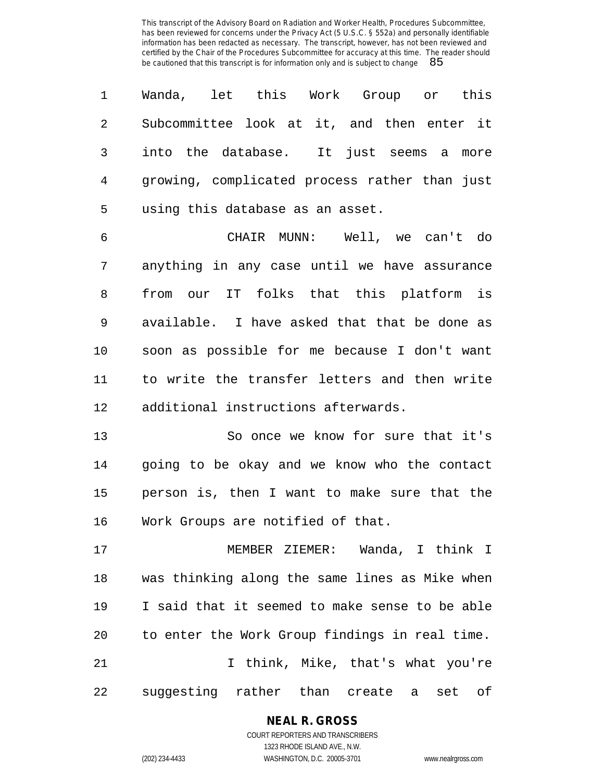Wanda, let this Work Group or this Subcommittee look at it, and then enter it into the database. It just seems a more growing, complicated process rather than just using this database as an asset.

 CHAIR MUNN: Well, we can't do anything in any case until we have assurance from our IT folks that this platform is available. I have asked that that be done as soon as possible for me because I don't want to write the transfer letters and then write additional instructions afterwards.

 So once we know for sure that it's going to be okay and we know who the contact person is, then I want to make sure that the Work Groups are notified of that.

 MEMBER ZIEMER: Wanda, I think I was thinking along the same lines as Mike when I said that it seemed to make sense to be able to enter the Work Group findings in real time. I think, Mike, that's what you're suggesting rather than create a set of

# **NEAL R. GROSS**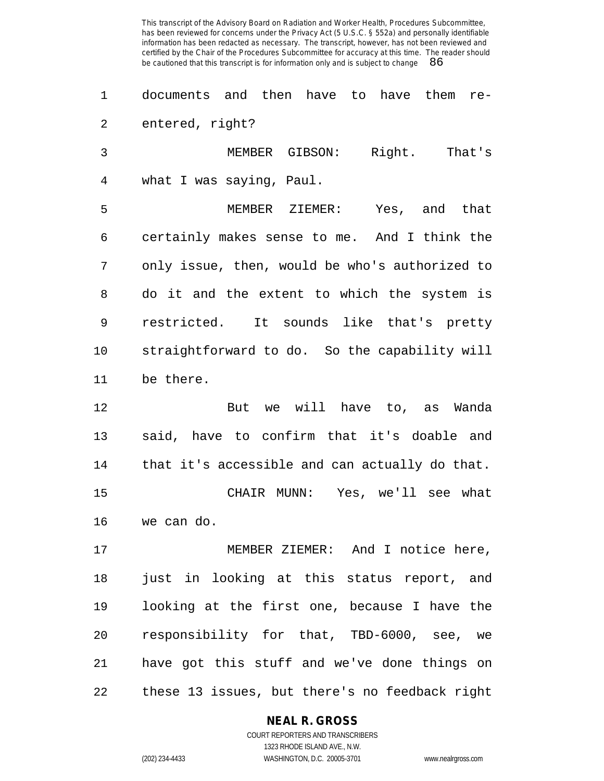documents and then have to have them re-entered, right?

 MEMBER GIBSON: Right. That's what I was saying, Paul. MEMBER ZIEMER: Yes, and that certainly makes sense to me. And I think the only issue, then, would be who's authorized to do it and the extent to which the system is restricted. It sounds like that's pretty straightforward to do. So the capability will be there.

 But we will have to, as Wanda said, have to confirm that it's doable and that it's accessible and can actually do that. CHAIR MUNN: Yes, we'll see what we can do.

 MEMBER ZIEMER: And I notice here, just in looking at this status report, and looking at the first one, because I have the responsibility for that, TBD-6000, see, we have got this stuff and we've done things on these 13 issues, but there's no feedback right

**NEAL R. GROSS**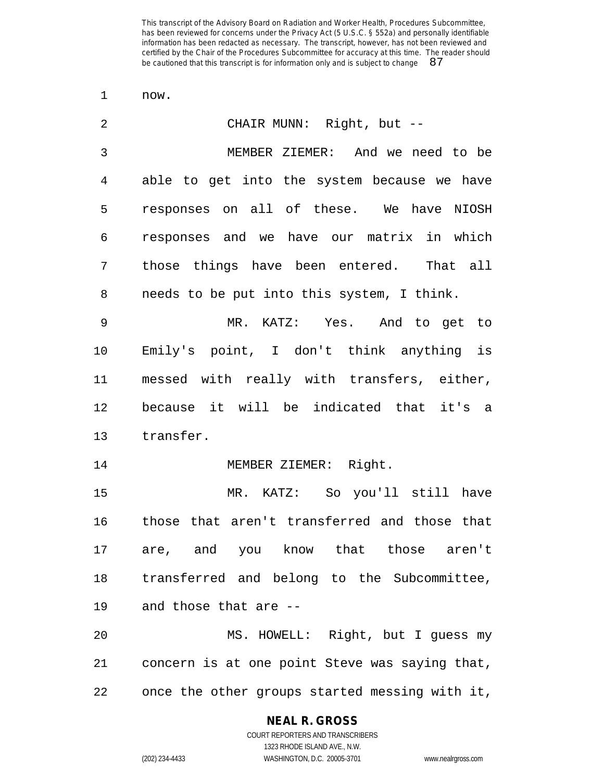now.

| $\overline{2}$ | CHAIR MUNN: Right, but --                      |
|----------------|------------------------------------------------|
| $\mathfrak{Z}$ | MEMBER ZIEMER: And we need to be               |
| 4              | able to get into the system because we have    |
| 5              | responses on all of these. We have NIOSH       |
| 6              | responses and we have our matrix in which      |
| 7              | those things have been entered. That all       |
| 8              | needs to be put into this system, I think.     |
| 9              | MR. KATZ: Yes. And to get to                   |
| 10             | Emily's point, I don't think anything is       |
| 11             | messed with really with transfers, either,     |
| 12             | because it will be indicated that it's a       |
| 13             | transfer.                                      |
| 14             | MEMBER ZIEMER: Right.                          |
| 15             | MR. KATZ: So you'll still have                 |
| 16             | those that aren't transferred and those that   |
| 17             | are, and you know that those aren't            |
| 18             | transferred and belong to the Subcommittee,    |
| 19             | and those that are --                          |
| 20             | MS. HOWELL: Right, but I guess my              |
| 21             | concern is at one point Steve was saying that, |
| 22             | once the other groups started messing with it, |

#### **NEAL R. GROSS**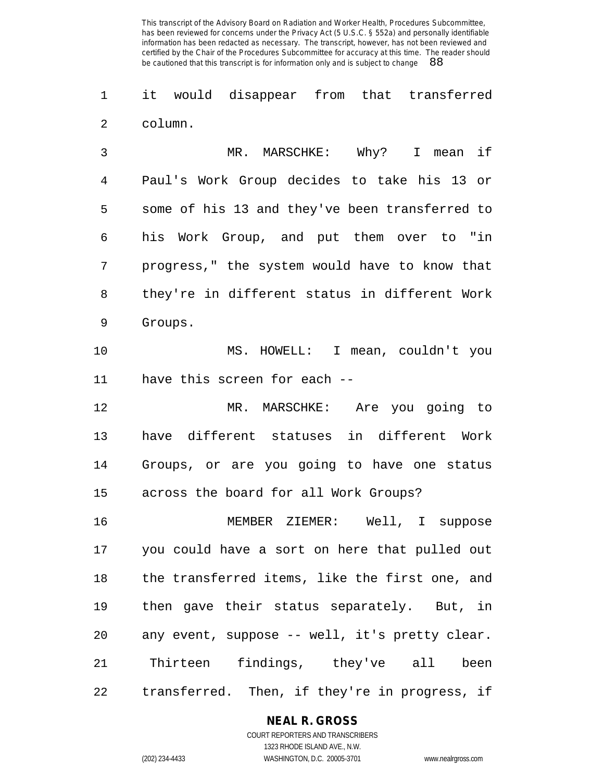it would disappear from that transferred column.

 MR. MARSCHKE: Why? I mean if Paul's Work Group decides to take his 13 or some of his 13 and they've been transferred to his Work Group, and put them over to "in progress," the system would have to know that they're in different status in different Work Groups.

 MS. HOWELL: I mean, couldn't you have this screen for each --

 MR. MARSCHKE: Are you going to have different statuses in different Work Groups, or are you going to have one status across the board for all Work Groups?

 MEMBER ZIEMER: Well, I suppose you could have a sort on here that pulled out the transferred items, like the first one, and then gave their status separately. But, in any event, suppose -- well, it's pretty clear. Thirteen findings, they've all been transferred. Then, if they're in progress, if

# **NEAL R. GROSS**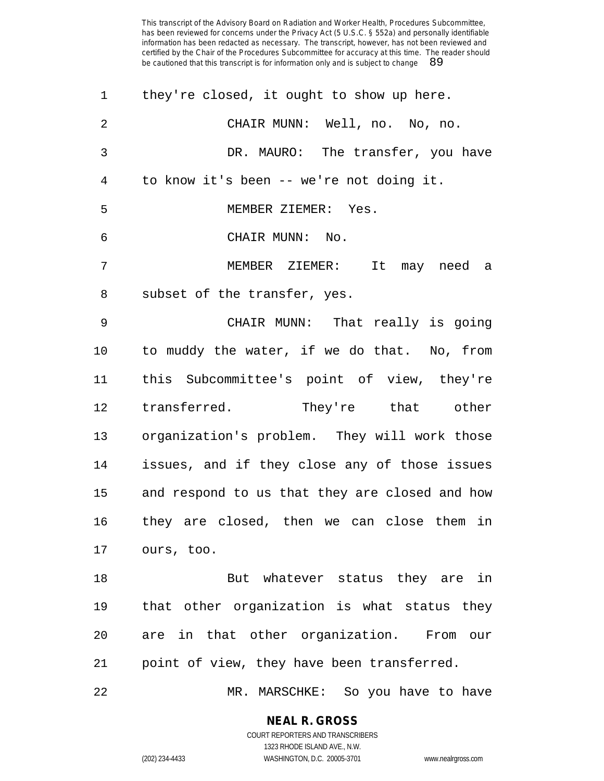| 1              | they're closed, it ought to show up here.      |
|----------------|------------------------------------------------|
| 2              | CHAIR MUNN: Well, no. No, no.                  |
| 3              | DR. MAURO: The transfer, you have              |
| $\overline{4}$ | to know it's been -- we're not doing it.       |
| 5              | MEMBER ZIEMER: Yes.                            |
| 6              | CHAIR MUNN: No.                                |
| 7              | MEMBER ZIEMER: It may need a                   |
| 8              | subset of the transfer, yes.                   |
| 9              | CHAIR MUNN: That really is going               |
| 10             | to muddy the water, if we do that. No, from    |
| 11             | this Subcommittee's point of view, they're     |
| 12             | transferred. They're that other                |
| 13             | organization's problem. They will work those   |
| 14             | issues, and if they close any of those issues  |
| 15             | and respond to us that they are closed and how |
| 16             | they are closed, then we can close them in     |
| 17             | ours, too.                                     |
| 18             | But whatever status they are in                |
| 19             | that other organization is what status they    |
| 20             | are in that other organization. From our       |
| 21             | point of view, they have been transferred.     |
| 22             | MR. MARSCHKE: So you have to have              |

**NEAL R. GROSS** COURT REPORTERS AND TRANSCRIBERS

1323 RHODE ISLAND AVE., N.W.

(202) 234-4433 WASHINGTON, D.C. 20005-3701 www.nealrgross.com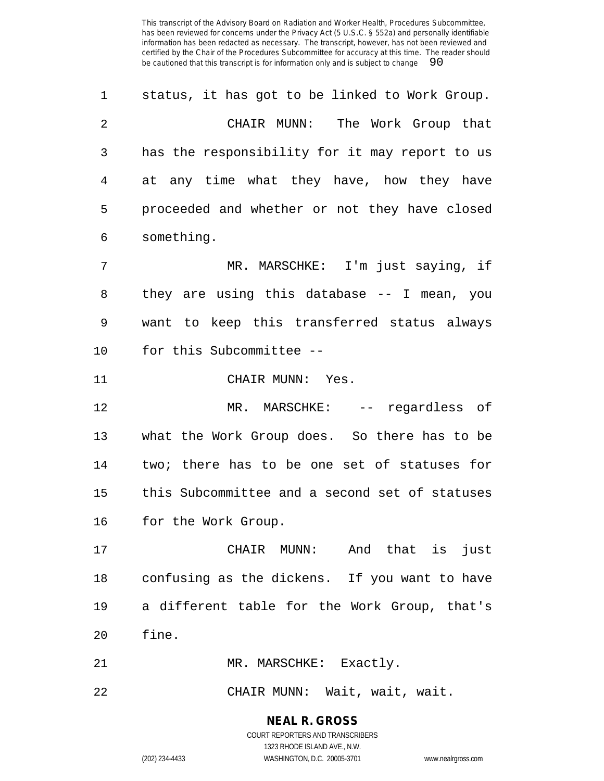| 1  | status, it has got to be linked to Work Group. |
|----|------------------------------------------------|
| 2  | CHAIR MUNN: The Work Group that                |
| 3  | has the responsibility for it may report to us |
| 4  | at any time what they have, how they have      |
| 5  | proceeded and whether or not they have closed  |
| 6  | something.                                     |
| 7  | MR. MARSCHKE: I'm just saying, if              |
| 8  | they are using this database -- I mean, you    |
| 9  | want to keep this transferred status always    |
| 10 | for this Subcommittee --                       |
| 11 | CHAIR MUNN: Yes.                               |
| 12 | MR. MARSCHKE: -- regardless of                 |
| 13 | what the Work Group does. So there has to be   |
| 14 | two; there has to be one set of statuses for   |
| 15 | this Subcommittee and a second set of statuses |
| 16 | for the Work Group.                            |
| 17 | CHAIR MUNN: And that is just                   |
| 18 | confusing as the dickens. If you want to have  |
| 19 | a different table for the Work Group, that's   |
| 20 | fine.                                          |
| 21 | MR. MARSCHKE: Exactly.                         |
| 22 | CHAIR MUNN: Wait, wait, wait.                  |

**NEAL R. GROSS** COURT REPORTERS AND TRANSCRIBERS 1323 RHODE ISLAND AVE., N.W.

(202) 234-4433 WASHINGTON, D.C. 20005-3701 www.nealrgross.com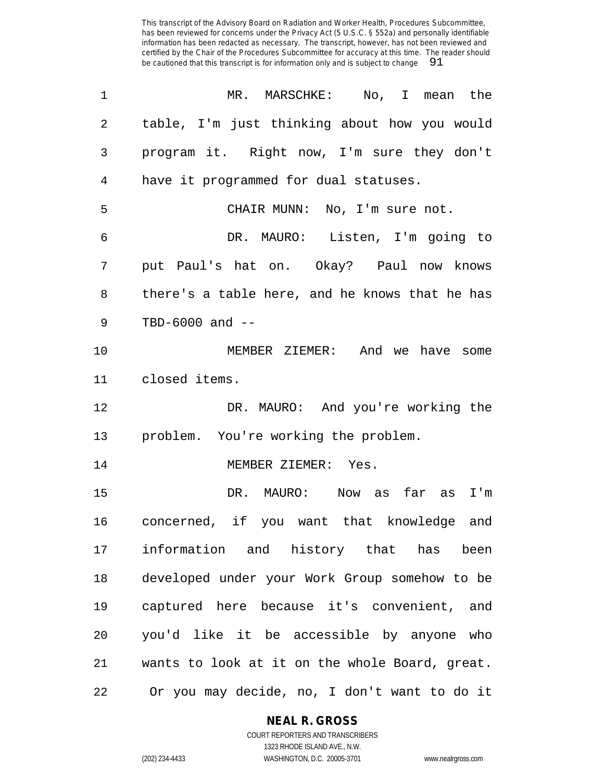| 1  | MR. MARSCHKE: No, I mean the                   |
|----|------------------------------------------------|
| 2  | table, I'm just thinking about how you would   |
| 3  | program it. Right now, I'm sure they don't     |
| 4  | have it programmed for dual statuses.          |
| 5  | CHAIR MUNN: No, I'm sure not.                  |
| 6  | DR. MAURO: Listen, I'm going to                |
| 7  | put Paul's hat on. Okay? Paul now knows        |
| 8  | there's a table here, and he knows that he has |
| 9  | TBD-6000 and --                                |
| 10 | MEMBER ZIEMER: And we have some                |
| 11 | closed items.                                  |
| 12 | DR. MAURO: And you're working the              |
| 13 | problem. You're working the problem.           |
| 14 | MEMBER ZIEMER: Yes.                            |
| 15 | DR. MAURO: Now as far as I'm                   |
| 16 | concerned, if you want that knowledge and      |
| 17 | information and history that has been          |
| 18 | developed under your Work Group somehow to be  |
| 19 | captured here because it's convenient, and     |
| 20 | you'd like it be accessible by anyone who      |
| 21 | wants to look at it on the whole Board, great. |
| 22 | Or you may decide, no, I don't want to do it   |

## **NEAL R. GROSS** COURT REPORTERS AND TRANSCRIBERS

1323 RHODE ISLAND AVE., N.W. (202) 234-4433 WASHINGTON, D.C. 20005-3701 www.nealrgross.com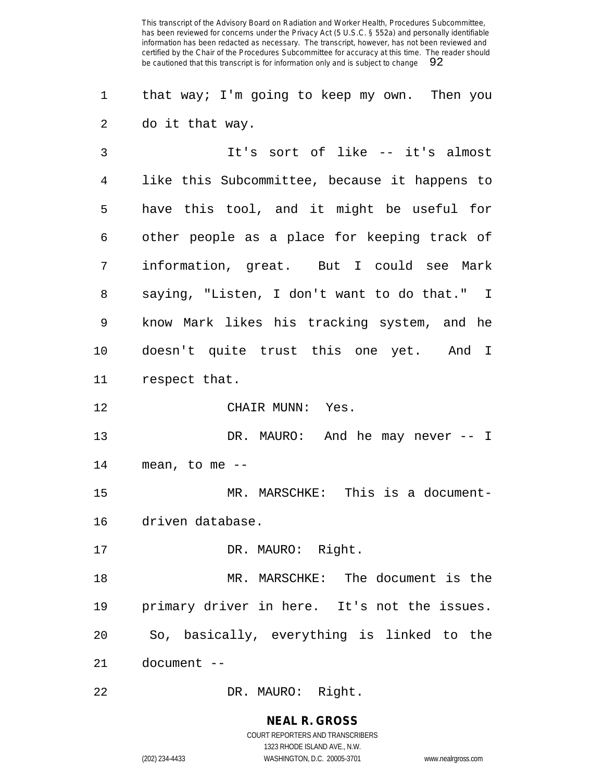that way; I'm going to keep my own. Then you do it that way.

 It's sort of like -- it's almost like this Subcommittee, because it happens to have this tool, and it might be useful for other people as a place for keeping track of information, great. But I could see Mark saying, "Listen, I don't want to do that." I know Mark likes his tracking system, and he doesn't quite trust this one yet. And I respect that.

CHAIR MUNN: Yes.

13 DR. MAURO: And he may never -- I mean, to me --

 MR. MARSCHKE: This is a document-driven database.

17 DR. MAURO: Right.

 MR. MARSCHKE: The document is the primary driver in here. It's not the issues. So, basically, everything is linked to the document --

DR. MAURO: Right.

**NEAL R. GROSS** COURT REPORTERS AND TRANSCRIBERS

1323 RHODE ISLAND AVE., N.W. (202) 234-4433 WASHINGTON, D.C. 20005-3701 www.nealrgross.com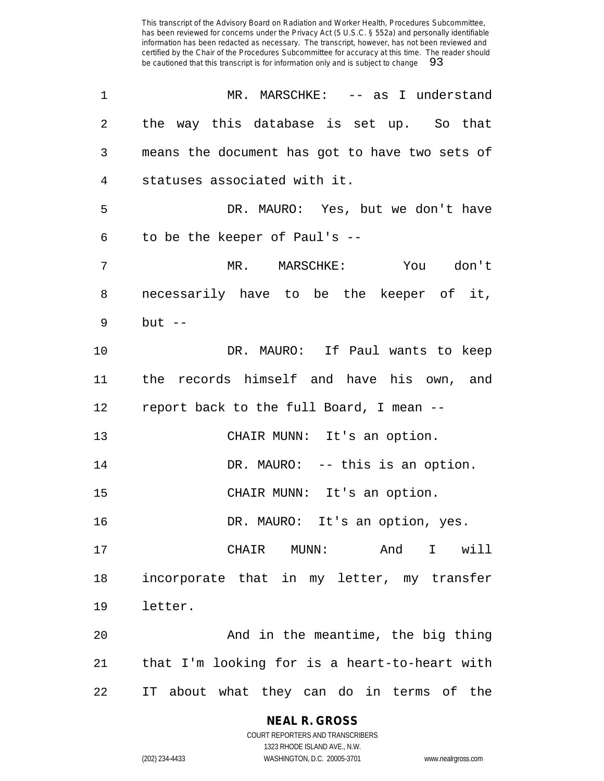| $\mathbf 1$ | MR. MARSCHKE: -- as I understand               |
|-------------|------------------------------------------------|
| 2           | the way this database is set up. So that       |
| 3           | means the document has got to have two sets of |
| 4           | statuses associated with it.                   |
| 5           | DR. MAURO: Yes, but we don't have              |
| 6           | to be the keeper of Paul's --                  |
| 7           | MR. MARSCHKE: You don't                        |
| 8           | necessarily have to be the keeper of it,       |
| 9           | $but --$                                       |
| $10 \,$     | DR. MAURO: If Paul wants to keep               |
| 11          | the records himself and have his own, and      |
| 12          | report back to the full Board, I mean --       |
| 13          | CHAIR MUNN: It's an option.                    |
| 14          | DR. MAURO: -- this is an option.               |
| 15          | CHAIR MUNN: It's an option.                    |
| 16          | DR. MAURO: It's an option, yes.                |
| 17          | And I will<br>CHAIR MUNN:                      |
| 18          | incorporate that in my letter, my transfer     |
| 19          | letter.                                        |
| 20          | And in the meantime, the big thing             |
| 21          | that I'm looking for is a heart-to-heart with  |
| 22          | IT about what they can do in terms of the      |

# **NEAL R. GROSS**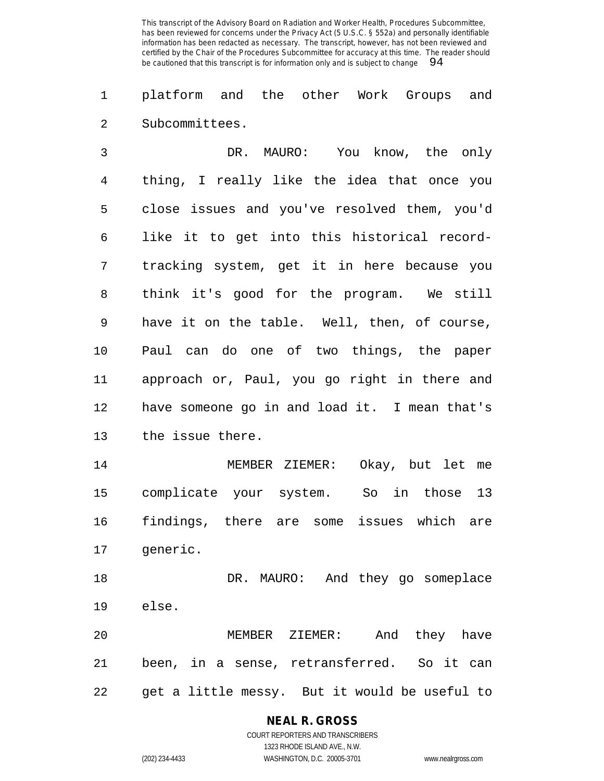platform and the other Work Groups and Subcommittees.

 DR. MAURO: You know, the only thing, I really like the idea that once you close issues and you've resolved them, you'd like it to get into this historical record- tracking system, get it in here because you think it's good for the program. We still have it on the table. Well, then, of course, Paul can do one of two things, the paper approach or, Paul, you go right in there and have someone go in and load it. I mean that's the issue there. MEMBER ZIEMER: Okay, but let me complicate your system. So in those 13 findings, there are some issues which are generic. DR. MAURO: And they go someplace else. MEMBER ZIEMER: And they have been, in a sense, retransferred. So it can get a little messy. But it would be useful to

# **NEAL R. GROSS**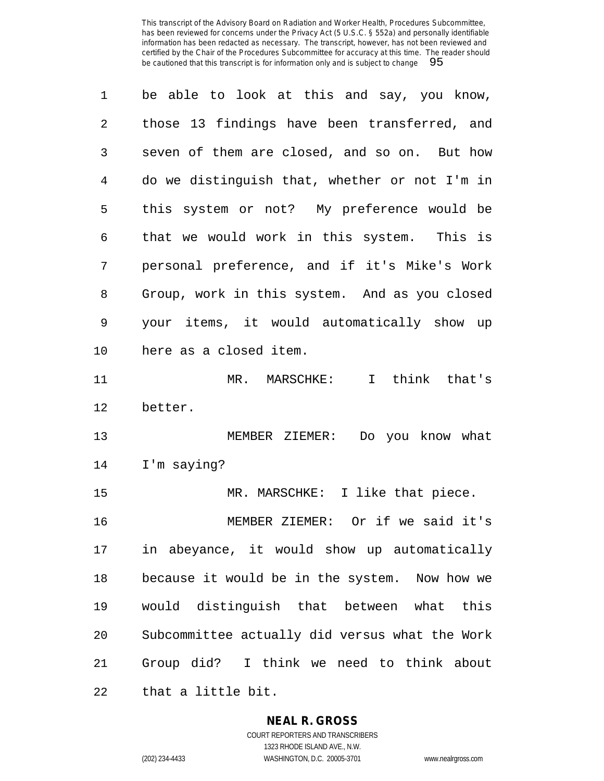| $\mathbf 1$ | be able to look at this and say, you know,     |
|-------------|------------------------------------------------|
| 2           | those 13 findings have been transferred, and   |
| 3           | seven of them are closed, and so on. But how   |
| 4           | do we distinguish that, whether or not I'm in  |
| 5           | this system or not? My preference would be     |
| 6           | that we would work in this system. This is     |
| 7           | personal preference, and if it's Mike's Work   |
| 8           | Group, work in this system. And as you closed  |
| 9           | your items, it would automatically show up     |
| 10          | here as a closed item.                         |
| 11          | MR. MARSCHKE: I think that's                   |
| 12          | better.                                        |
| 13          | MEMBER ZIEMER: Do you know what                |
| 14          | I'm saying?                                    |
| 15          | MR. MARSCHKE: I like that piece.               |
| 16          | MEMBER ZIEMER: Or if we said it's              |
| 17          | in abeyance, it would show up automatically    |
| 18          | because it would be in the system. Now how we  |
| 19          | would distinguish that between what this       |
| 20          | Subcommittee actually did versus what the Work |
| 21          | Group did? I think we need to think about      |
| 22          | that a little bit.                             |

**NEAL R. GROSS**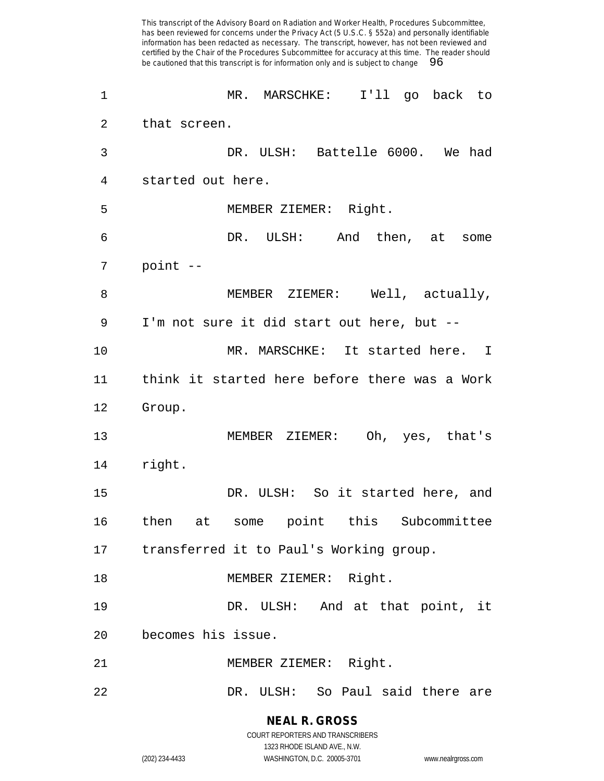has been reviewed for concerns under the Privacy Act (5 U.S.C. § 552a) and personally identifiable information has been redacted as necessary. The transcript, however, has not been reviewed and certified by the Chair of the Procedures Subcommittee for accuracy at this time. The reader should be cautioned that this transcript is for information only and is subject to change 96 MR. MARSCHKE: I'll go back to that screen. DR. ULSH: Battelle 6000. We had started out here. MEMBER ZIEMER: Right. DR. ULSH: And then, at some point -- 8 MEMBER ZIEMER: Well, actually, I'm not sure it did start out here, but -- MR. MARSCHKE: It started here. I think it started here before there was a Work Group. MEMBER ZIEMER: Oh, yes, that's right. DR. ULSH: So it started here, and then at some point this Subcommittee transferred it to Paul's Working group. 18 MEMBER ZIEMER: Right. DR. ULSH: And at that point, it becomes his issue. MEMBER ZIEMER: Right. DR. ULSH: So Paul said there are

This transcript of the Advisory Board on Radiation and Worker Health, Procedures Subcommittee,

#### **NEAL R. GROSS** COURT REPORTERS AND TRANSCRIBERS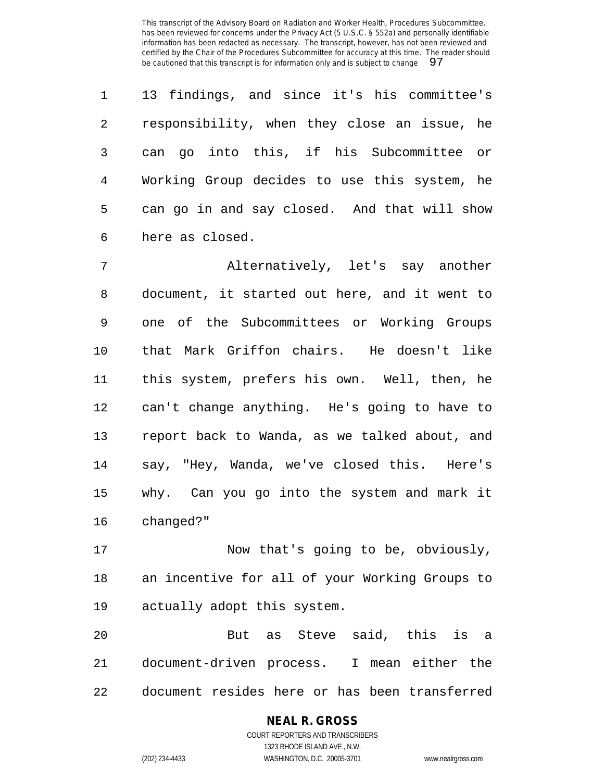13 findings, and since it's his committee's responsibility, when they close an issue, he can go into this, if his Subcommittee or Working Group decides to use this system, he can go in and say closed. And that will show here as closed.

 Alternatively, let's say another document, it started out here, and it went to one of the Subcommittees or Working Groups that Mark Griffon chairs. He doesn't like this system, prefers his own. Well, then, he can't change anything. He's going to have to report back to Wanda, as we talked about, and say, "Hey, Wanda, we've closed this. Here's why. Can you go into the system and mark it changed?"

 Now that's going to be, obviously, an incentive for all of your Working Groups to actually adopt this system.

 But as Steve said, this is a document-driven process. I mean either the document resides here or has been transferred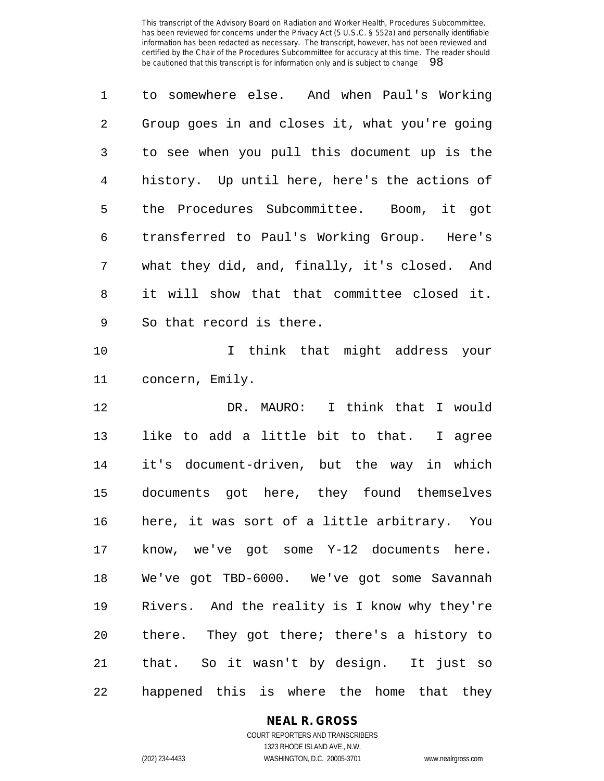| 1              | to somewhere else. And when Paul's Working     |
|----------------|------------------------------------------------|
| 2              | Group goes in and closes it, what you're going |
| 3              | to see when you pull this document up is the   |
| $\overline{4}$ | history. Up until here, here's the actions of  |
| 5              | the Procedures Subcommittee. Boom, it got      |
| 6              | transferred to Paul's Working Group. Here's    |
| 7              | what they did, and, finally, it's closed. And  |
| 8              | it will show that that committee closed it.    |
| 9              | So that record is there.                       |
| 10             | I think that might address your                |
| 11             | concern, Emily.                                |
| 12             | DR. MAURO: I think that I would                |
| 13             | like to add a little bit to that. I agree      |
| 14             | it's document-driven, but the way in which     |
| 15             | documents got here, they found themselves      |
| 16             | here, it was sort of a little arbitrary. You   |
| 17             | know, we've got some Y-12 documents here.      |
| 18             | We've got TBD-6000. We've got some Savannah    |
| 19             | Rivers. And the reality is I know why they're  |
| 20             | there. They got there; there's a history to    |

 that. So it wasn't by design. It just so happened this is where the home that they

## **NEAL R. GROSS** COURT REPORTERS AND TRANSCRIBERS

1323 RHODE ISLAND AVE., N.W. (202) 234-4433 WASHINGTON, D.C. 20005-3701 www.nealrgross.com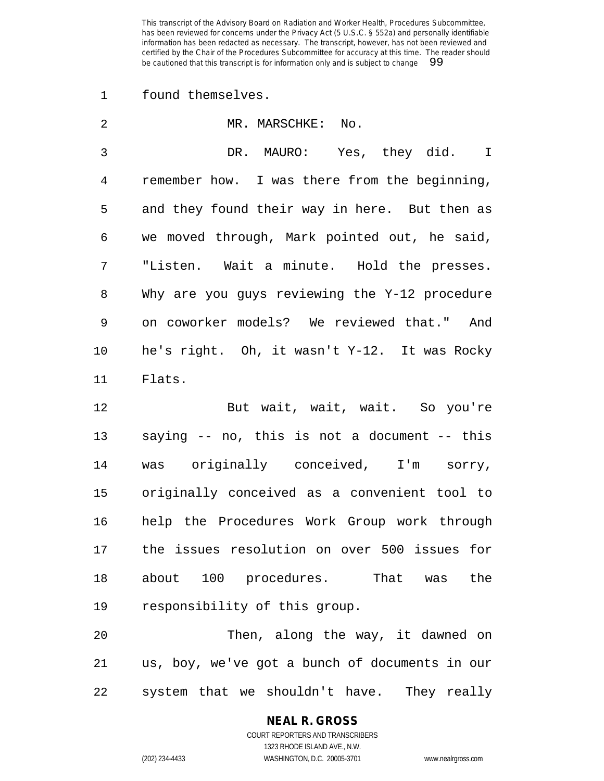found themselves.

| 2            | MR. MARSCHKE: No.                                                                                                                                                                                                                               |
|--------------|-------------------------------------------------------------------------------------------------------------------------------------------------------------------------------------------------------------------------------------------------|
| $\mathbf{3}$ | DR. MAURO: Yes, they did. I                                                                                                                                                                                                                     |
| 4            | remember how. I was there from the beginning,                                                                                                                                                                                                   |
| 5            | and they found their way in here. But then as                                                                                                                                                                                                   |
| 6            | we moved through, Mark pointed out, he said,                                                                                                                                                                                                    |
| 7            | "Listen. Wait a minute. Hold the presses.                                                                                                                                                                                                       |
| 8            | Why are you guys reviewing the Y-12 procedure                                                                                                                                                                                                   |
| 9            | on coworker models? We reviewed that." And                                                                                                                                                                                                      |
| 10           | he's right. Oh, it wasn't Y-12. It was Rocky                                                                                                                                                                                                    |
| 11           | Flats.                                                                                                                                                                                                                                          |
|              | the company of the company of the company of the company of the company of the company of the company of the company of the company of the company of the company of the company of the company of the company of the company<br>$\blacksquare$ |

 But wait, wait, wait. So you're saying -- no, this is not a document -- this was originally conceived, I'm sorry, originally conceived as a convenient tool to help the Procedures Work Group work through the issues resolution on over 500 issues for about 100 procedures. That was the responsibility of this group.

20 Then, along the way, it dawned on us, boy, we've got a bunch of documents in our system that we shouldn't have. They really

## **NEAL R. GROSS** COURT REPORTERS AND TRANSCRIBERS 1323 RHODE ISLAND AVE., N.W.

(202) 234-4433 WASHINGTON, D.C. 20005-3701 www.nealrgross.com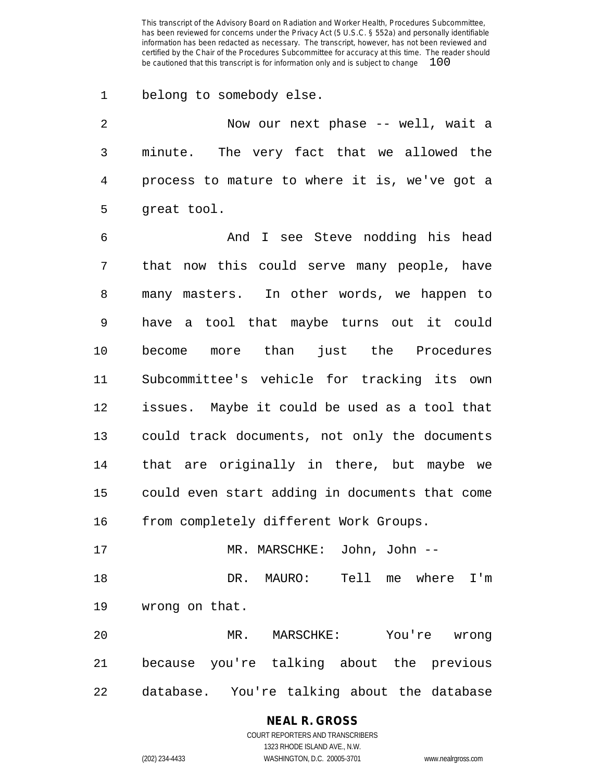belong to somebody else.

| 2 | Now our next phase -- well, wait a              |
|---|-------------------------------------------------|
|   | 3 minute. The very fact that we allowed the     |
|   | 4 process to mature to where it is, we've got a |
|   | 5 great tool.                                   |

 And I see Steve nodding his head that now this could serve many people, have many masters. In other words, we happen to have a tool that maybe turns out it could become more than just the Procedures Subcommittee's vehicle for tracking its own issues. Maybe it could be used as a tool that could track documents, not only the documents that are originally in there, but maybe we could even start adding in documents that come from completely different Work Groups.

MR. MARSCHKE: John, John --

 DR. MAURO: Tell me where I'm wrong on that.

 MR. MARSCHKE: You're wrong because you're talking about the previous database. You're talking about the database

# **NEAL R. GROSS** COURT REPORTERS AND TRANSCRIBERS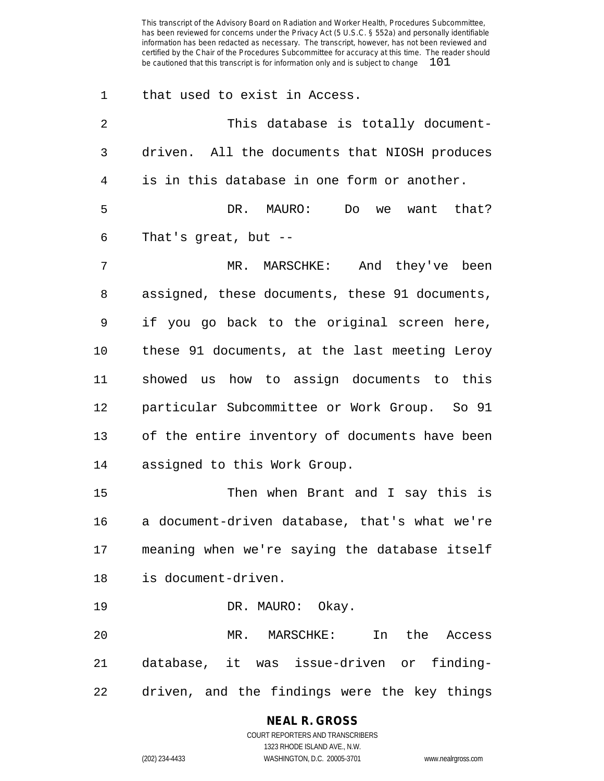| $\mathbf 1$ | that used to exist in Access.                  |
|-------------|------------------------------------------------|
| 2           | This database is totally document-             |
| 3           | driven. All the documents that NIOSH produces  |
| 4           | is in this database in one form or another.    |
| 5           | DR. MAURO:<br>Do<br>we want that?              |
| 6           | That's great, but $-$                          |
| 7           | MR. MARSCHKE: And they've been                 |
| 8           | assigned, these documents, these 91 documents, |
| 9           | if you go back to the original screen here,    |
| 10          | these 91 documents, at the last meeting Leroy  |
| 11          | showed us how to assign documents to this      |
| 12          | particular Subcommittee or Work Group. So 91   |
| 13          | of the entire inventory of documents have been |
| 14          | assigned to this Work Group.                   |
| 15          | Then when Brant and I say this is              |
| 16          | a document-driven database, that's what we're  |
| 17          | meaning when we're saying the database itself  |
| 18          | is document-driven.                            |
| 19          | DR. MAURO: Okay.                               |
| 20          | In the Access<br>MR. MARSCHKE:                 |
| 21          | database, it was issue-driven or finding-      |
| 22          | driven, and the findings were the key things   |

# **NEAL R. GROSS**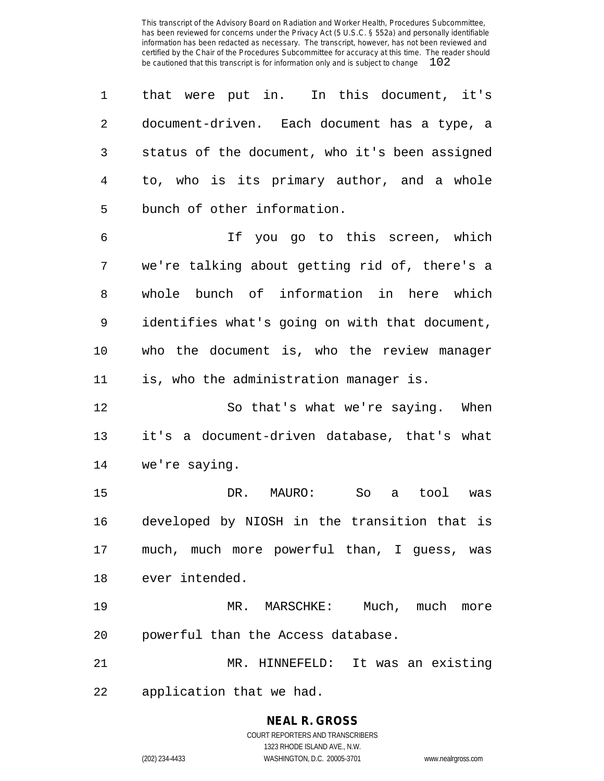that were put in. In this document, it's document-driven. Each document has a type, a status of the document, who it's been assigned to, who is its primary author, and a whole bunch of other information. If you go to this screen, which we're talking about getting rid of, there's a whole bunch of information in here which identifies what's going on with that document, who the document is, who the review manager is, who the administration manager is. So that's what we're saying. When it's a document-driven database, that's what we're saying. DR. MAURO: So a tool was developed by NIOSH in the transition that is much, much more powerful than, I guess, was ever intended. MR. MARSCHKE: Much, much more powerful than the Access database. MR. HINNEFELD: It was an existing application that we had.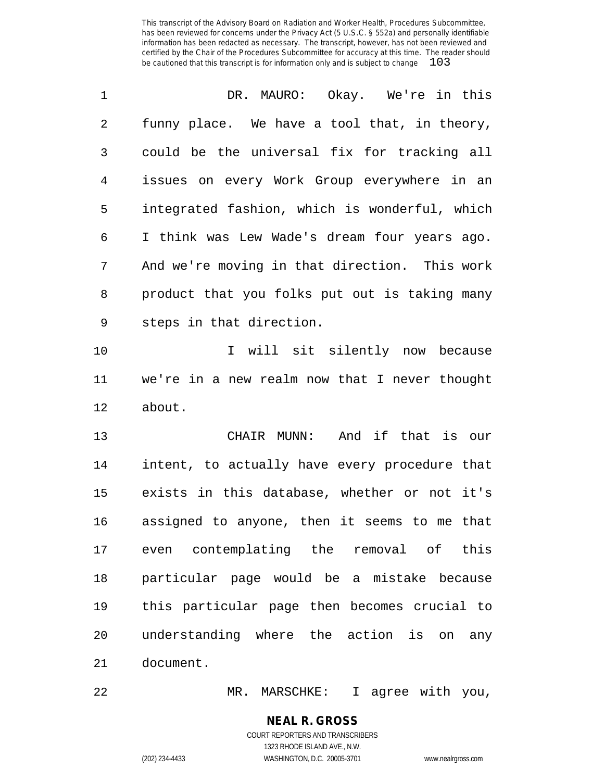| 1  | DR. MAURO: Okay. We're in this                |
|----|-----------------------------------------------|
| 2  | funny place. We have a tool that, in theory,  |
| 3  | could be the universal fix for tracking all   |
| 4  | issues on every Work Group everywhere in an   |
| 5  | integrated fashion, which is wonderful, which |
| 6  | I think was Lew Wade's dream four years ago.  |
| 7  | And we're moving in that direction. This work |
| 8  | product that you folks put out is taking many |
| 9  | steps in that direction.                      |
| 10 | I will sit silently now because               |
| 11 | we're in a new realm now that I never thought |
| 12 | about.                                        |
| 13 | CHAIR MUNN: And if that is our                |
| 14 | intent, to actually have every procedure that |
| 15 | exists in this database, whether or not it's  |
| 16 | assigned to anyone, then it seems to me that  |
| 17 | even contemplating the removal of this        |
| 18 | particular page would be a mistake because    |
| 19 | this particular page then becomes crucial to  |
| 20 | understanding where the action is on<br>any   |
| 21 | document.                                     |

MR. MARSCHKE: I agree with you,

# **NEAL R. GROSS**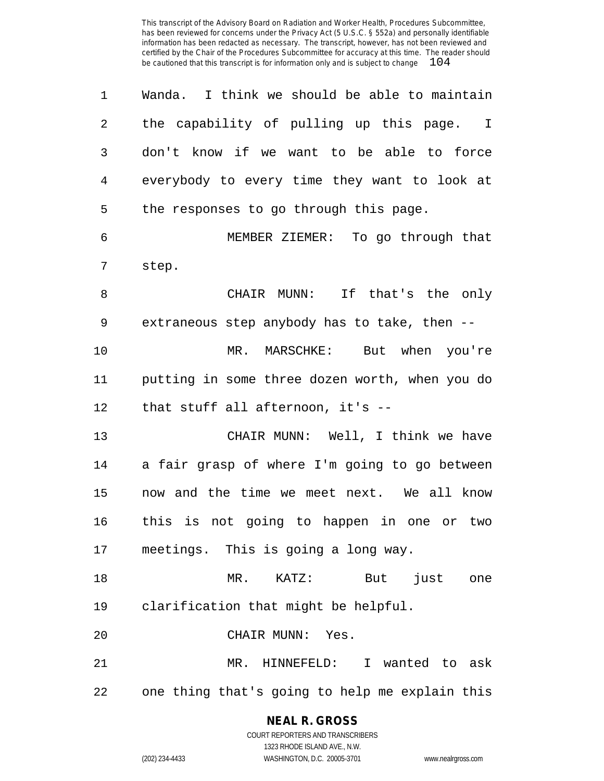| 1  | Wanda. I think we should be able to maintain   |
|----|------------------------------------------------|
| 2  | the capability of pulling up this page. I      |
| 3  | don't know if we want to be able to force      |
| 4  | everybody to every time they want to look at   |
| 5  | the responses to go through this page.         |
| 6  | MEMBER ZIEMER: To go through that              |
| 7  | step.                                          |
| 8  | CHAIR MUNN: If that's the only                 |
| 9  | extraneous step anybody has to take, then --   |
| 10 | MR. MARSCHKE: But when you're                  |
| 11 | putting in some three dozen worth, when you do |
| 12 | that stuff all afternoon, it's --              |
| 13 | CHAIR MUNN: Well, I think we have              |
| 14 | a fair grasp of where I'm going to go between  |
| 15 | now and the time we meet next. We all know     |
| 16 | this is not going to happen in one or two      |
| 17 | meetings. This is going a long way.            |
| 18 | MR. KATZ: But just one                         |
| 19 | clarification that might be helpful.           |
| 20 | CHAIR MUNN: Yes.                               |
| 21 | MR. HINNEFELD: I wanted to ask                 |
| 22 | one thing that's going to help me explain this |

**NEAL R. GROSS** COURT REPORTERS AND TRANSCRIBERS 1323 RHODE ISLAND AVE., N.W.

(202) 234-4433 WASHINGTON, D.C. 20005-3701 www.nealrgross.com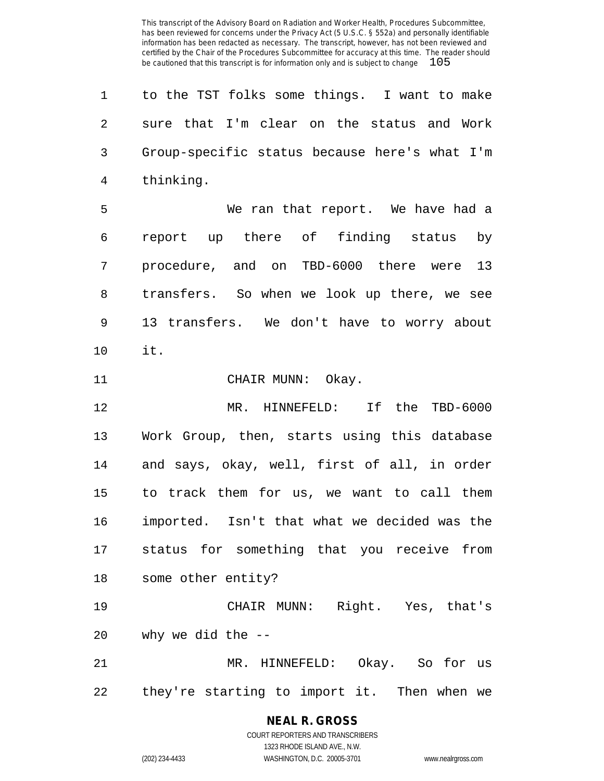| $\mathbf 1$ | to the TST folks some things. I want to make  |
|-------------|-----------------------------------------------|
| 2           | sure that I'm clear on the status and Work    |
| 3           | Group-specific status because here's what I'm |
| 4           | thinking.                                     |
| 5           | We ran that report. We have had a             |
| 6           | report up there of finding status<br>by       |
| 7           | procedure, and on TBD-6000 there were 13      |
| 8           | transfers. So when we look up there, we see   |
| 9           | 13 transfers. We don't have to worry about    |
| 10          | it.                                           |
| 11          | CHAIR MUNN: Okay.                             |
| 12          | MR. HINNEFELD: If the TBD-6000                |
| 13          | Work Group, then, starts using this database  |
| 14          | and says, okay, well, first of all, in order  |
| 15          | to track them for us, we want to call them    |
| 16          | imported. Isn't that what we decided was the  |
| 17          | status for something that you receive from    |
| 18          | some other entity?                            |
| 19          | CHAIR MUNN: Right. Yes, that's                |
| 20          | why we did the --                             |
| 21          | MR. HINNEFELD: Okay. So for us                |
| 22          |                                               |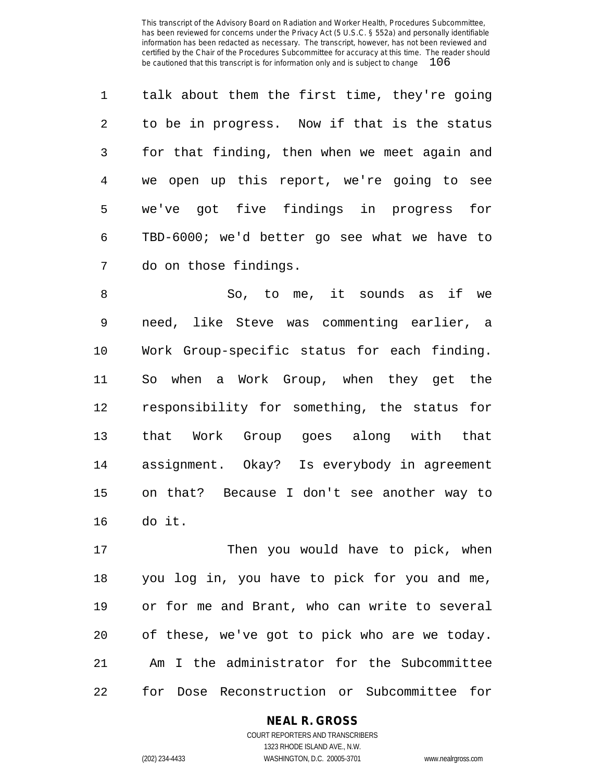| $\mathbf{1}$ | talk about them the first time, they're going |
|--------------|-----------------------------------------------|
| 2            | to be in progress. Now if that is the status  |
| 3            | for that finding, then when we meet again and |
| 4            | we open up this report, we're going to see    |
| 5            | we've got five findings in progress for       |
| 6            | TBD-6000; we'd better go see what we have to  |
| 7            | do on those findings.                         |

 So, to me, it sounds as if we need, like Steve was commenting earlier, a Work Group-specific status for each finding. So when a Work Group, when they get the responsibility for something, the status for that Work Group goes along with that assignment. Okay? Is everybody in agreement on that? Because I don't see another way to do it.

17 Then you would have to pick, when you log in, you have to pick for you and me, or for me and Brant, who can write to several of these, we've got to pick who are we today. Am I the administrator for the Subcommittee for Dose Reconstruction or Subcommittee for

# **NEAL R. GROSS**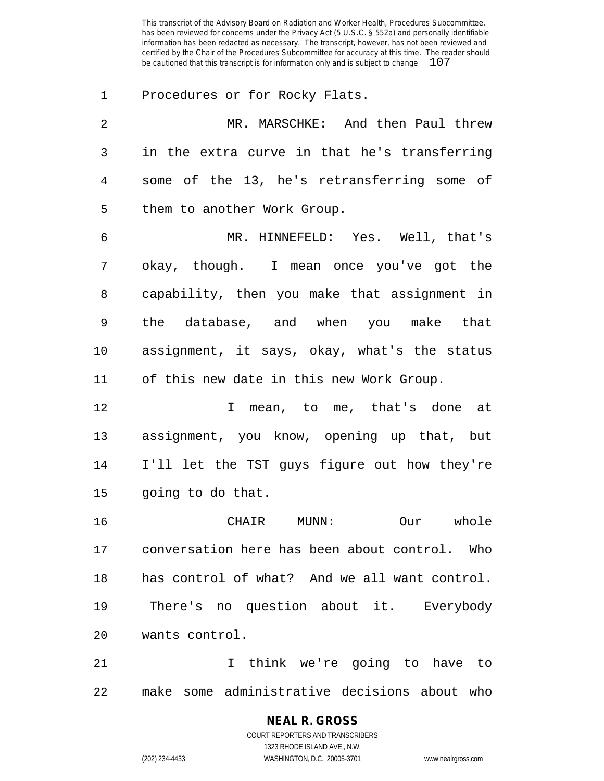Procedures or for Rocky Flats. MR. MARSCHKE: And then Paul threw in the extra curve in that he's transferring some of the 13, he's retransferring some of them to another Work Group. MR. HINNEFELD: Yes. Well, that's okay, though. I mean once you've got the capability, then you make that assignment in the database, and when you make that assignment, it says, okay, what's the status of this new date in this new Work Group. I mean, to me, that's done at assignment, you know, opening up that, but I'll let the TST guys figure out how they're going to do that. CHAIR MUNN: Our whole conversation here has been about control. Who has control of what? And we all want control. There's no question about it. Everybody wants control. I think we're going to have to

make some administrative decisions about who

# **NEAL R. GROSS**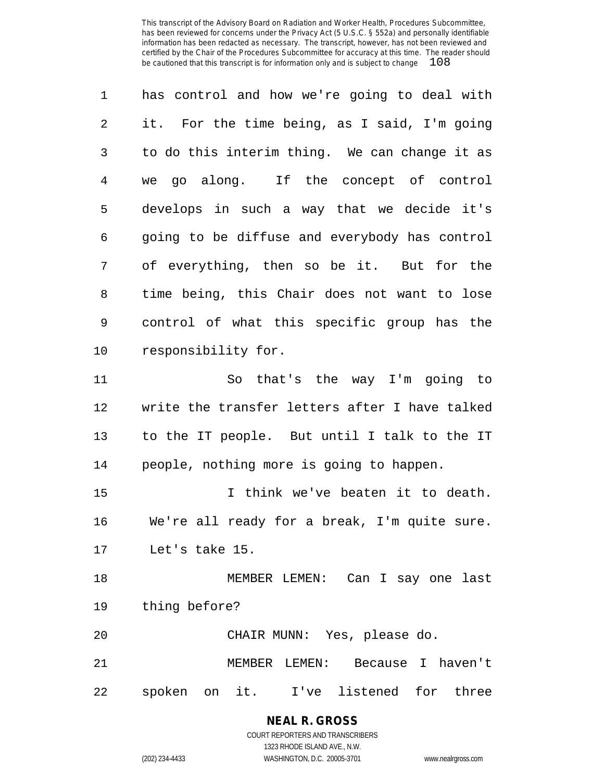has control and how we're going to deal with it. For the time being, as I said, I'm going to do this interim thing. We can change it as we go along. If the concept of control develops in such a way that we decide it's going to be diffuse and everybody has control of everything, then so be it. But for the time being, this Chair does not want to lose control of what this specific group has the responsibility for. So that's the way I'm going to write the transfer letters after I have talked to the IT people. But until I talk to the IT people, nothing more is going to happen. I think we've beaten it to death. We're all ready for a break, I'm quite sure. Let's take 15. MEMBER LEMEN: Can I say one last thing before? CHAIR MUNN: Yes, please do. MEMBER LEMEN: Because I haven't

spoken on it. I've listened for three

**NEAL R. GROSS** COURT REPORTERS AND TRANSCRIBERS

1323 RHODE ISLAND AVE., N.W. (202) 234-4433 WASHINGTON, D.C. 20005-3701 www.nealrgross.com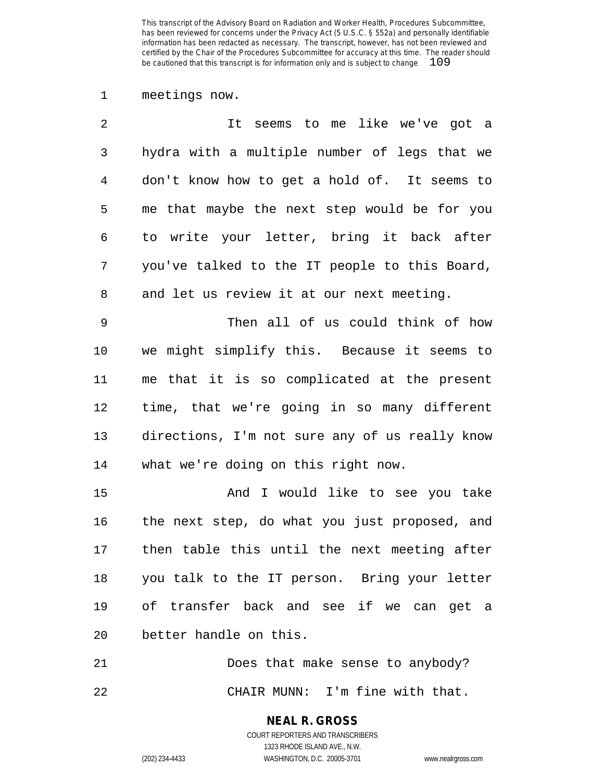meetings now.

| $\overline{2}$ | It seems to me like we've got a                 |
|----------------|-------------------------------------------------|
| 3              | hydra with a multiple number of legs that we    |
| 4              | don't know how to get a hold of. It seems to    |
| 5              | me that maybe the next step would be for you    |
| 6              | to write your letter, bring it back after       |
| 7              | you've talked to the IT people to this Board,   |
| 8              | and let us review it at our next meeting.       |
| 9              | Then all of us could think of how               |
| 10             | we might simplify this. Because it seems to     |
| 11             | me that it is so complicated at the present     |
| 12             | time, that we're going in so many different     |
| 13             | directions, I'm not sure any of us really know  |
| 14             | what we're doing on this right now.             |
| 15             | And I would like to see you take                |
| 16             | the next step, do what you just proposed, and   |
| 17             | then table this until the next meeting after    |
|                | 18 you talk to the IT person. Bring your letter |
| 19             | of transfer back and see if we can get a        |
| 20             | better handle on this.                          |

 Does that make sense to anybody? CHAIR MUNN: I'm fine with that.

> **NEAL R. GROSS** COURT REPORTERS AND TRANSCRIBERS

> > 1323 RHODE ISLAND AVE., N.W.

(202) 234-4433 WASHINGTON, D.C. 20005-3701 www.nealrgross.com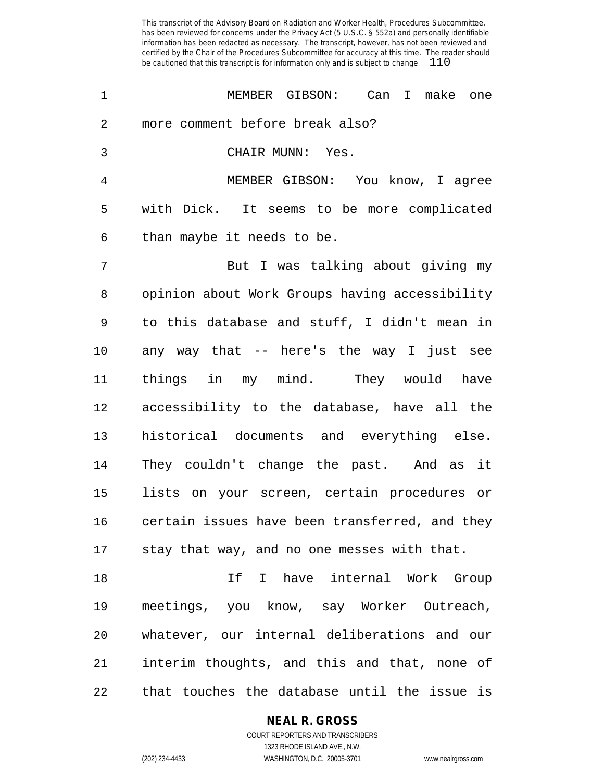| 1  | MEMBER GIBSON: Can I make one                  |
|----|------------------------------------------------|
| 2  | more comment before break also?                |
| 3  | CHAIR MUNN: Yes.                               |
| 4  | MEMBER GIBSON: You know, I agree               |
| 5  | with Dick. It seems to be more complicated     |
| 6  | than maybe it needs to be.                     |
| 7  | But I was talking about giving my              |
| 8  | opinion about Work Groups having accessibility |
| 9  | to this database and stuff, I didn't mean in   |
| 10 | any way that -- here's the way I just see      |
| 11 | things in my mind. They would have             |
| 12 | accessibility to the database, have all the    |
| 13 | historical documents and everything else.      |
| 14 | They couldn't change the past. And as it       |
| 15 | lists on your screen, certain procedures or    |
| 16 | certain issues have been transferred, and they |
|    | 17 stay that way, and no one messes with that. |
| 18 | If I have internal Work Group                  |
| 19 | meetings, you know, say Worker Outreach,       |
| 20 | whatever, our internal deliberations and our   |
| 21 | interim thoughts, and this and that, none of   |
| 22 | that touches the database until the issue is   |

**NEAL R. GROSS**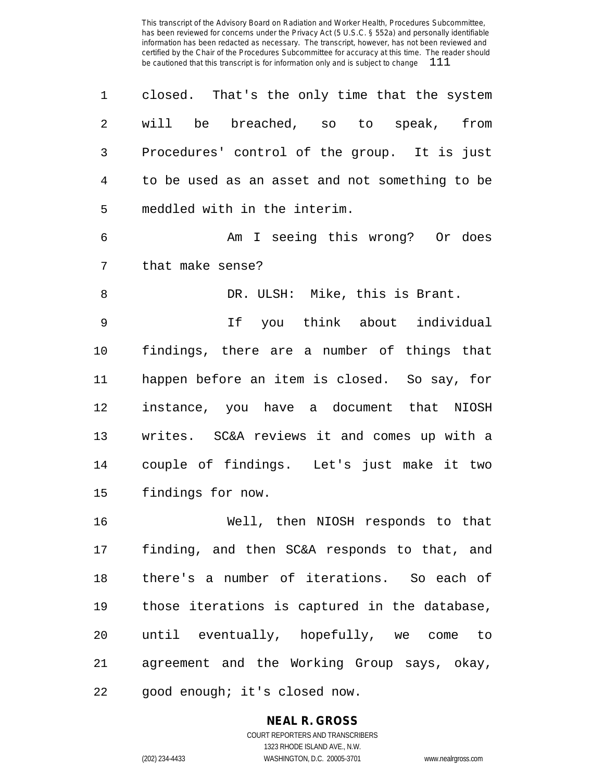| 1  | closed. That's the only time that the system   |
|----|------------------------------------------------|
| 2  | will be<br>breached, so to speak,<br>from      |
| 3  | Procedures' control of the group. It is just   |
| 4  | to be used as an asset and not something to be |
| 5  | meddled with in the interim.                   |
| 6  | Am I seeing this wrong? Or does                |
| 7  | that make sense?                               |
| 8  | DR. ULSH: Mike, this is Brant.                 |
| 9  | If you think about individual                  |
| 10 | findings, there are a number of things that    |
| 11 | happen before an item is closed. So say, for   |
| 12 | instance, you have a document that NIOSH       |
| 13 | writes. SC&A reviews it and comes up with a    |
| 14 | couple of findings. Let's just make it two     |
| 15 | findings for now.                              |
| 16 | Well, then NIOSH responds to that              |
| 17 | finding, and then SC&A responds to that, and   |
| 18 | there's a number of iterations. So each of     |
| 19 | those iterations is captured in the database,  |
| 20 | until eventually, hopefully, we come to        |
| 21 | agreement and the Working Group says, okay,    |

good enough; it's closed now.

# **NEAL R. GROSS**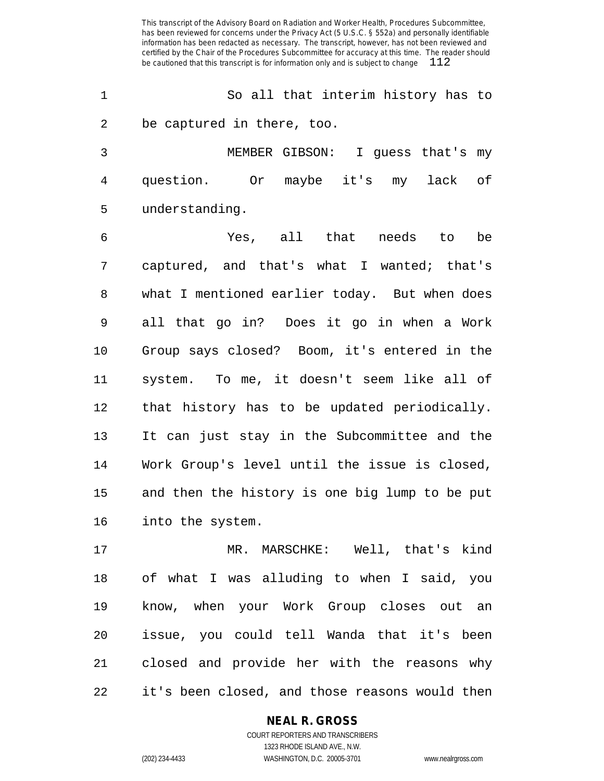So all that interim history has to be captured in there, too.

 MEMBER GIBSON: I guess that's my question. Or maybe it's my lack of understanding.

 Yes, all that needs to be captured, and that's what I wanted; that's what I mentioned earlier today. But when does all that go in? Does it go in when a Work Group says closed? Boom, it's entered in the system. To me, it doesn't seem like all of that history has to be updated periodically. It can just stay in the Subcommittee and the Work Group's level until the issue is closed, and then the history is one big lump to be put into the system.

 MR. MARSCHKE: Well, that's kind of what I was alluding to when I said, you know, when your Work Group closes out an issue, you could tell Wanda that it's been closed and provide her with the reasons why it's been closed, and those reasons would then

#### **NEAL R. GROSS**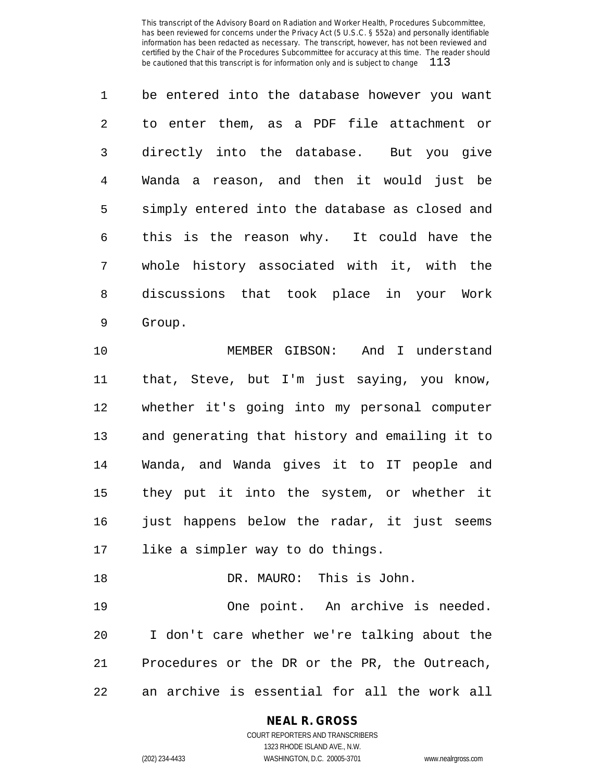| $\mathbf{1}$  | be entered into the database however you want  |
|---------------|------------------------------------------------|
| $\mathcal{L}$ | to enter them, as a PDF file attachment or     |
| $\mathsf{3}$  | directly into the database. But you give       |
| 4             | Wanda a reason, and then it would just be      |
| 5             | simply entered into the database as closed and |
| 6             | this is the reason why. It could have the      |
| 7             | whole history associated with it, with the     |
| 8             | discussions that took place in your Work       |
| 9             | Group.                                         |

 MEMBER GIBSON: And I understand that, Steve, but I'm just saying, you know, whether it's going into my personal computer and generating that history and emailing it to Wanda, and Wanda gives it to IT people and they put it into the system, or whether it 16 just happens below the radar, it just seems like a simpler way to do things.

 One point. An archive is needed. I don't care whether we're talking about the Procedures or the DR or the PR, the Outreach, an archive is essential for all the work all

DR. MAURO: This is John.

# **NEAL R. GROSS**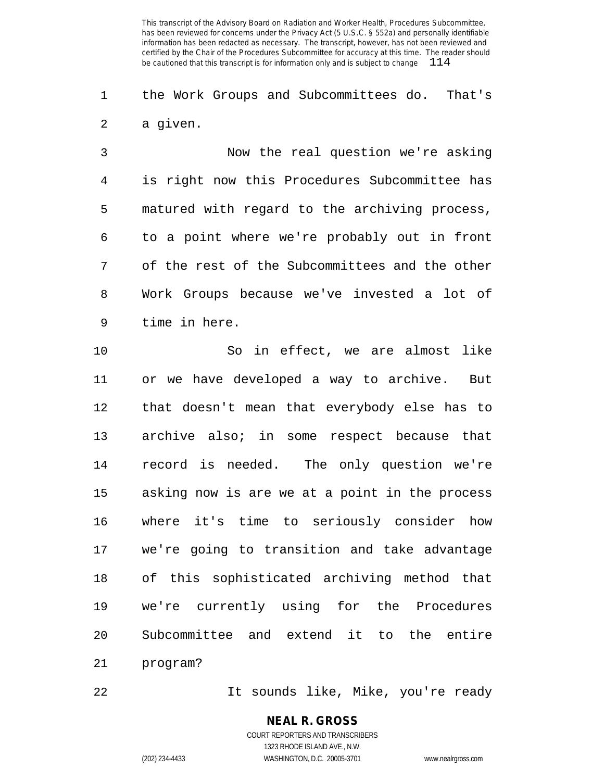the Work Groups and Subcommittees do. That's a given.

 Now the real question we're asking is right now this Procedures Subcommittee has matured with regard to the archiving process, to a point where we're probably out in front of the rest of the Subcommittees and the other Work Groups because we've invested a lot of time in here.

 So in effect, we are almost like or we have developed a way to archive. But that doesn't mean that everybody else has to archive also; in some respect because that record is needed. The only question we're asking now is are we at a point in the process where it's time to seriously consider how we're going to transition and take advantage of this sophisticated archiving method that we're currently using for the Procedures Subcommittee and extend it to the entire program?

It sounds like, Mike, you're ready

# **NEAL R. GROSS**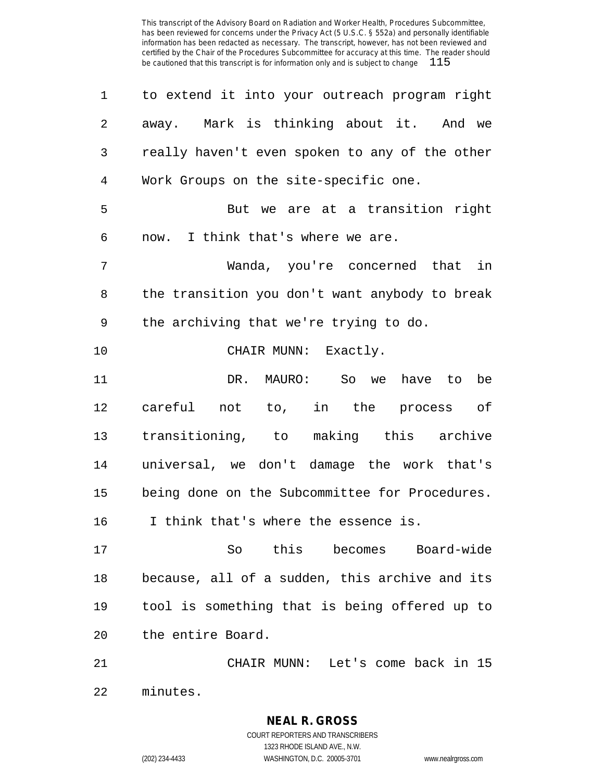| 1              | to extend it into your outreach program right  |
|----------------|------------------------------------------------|
| $\overline{2}$ | away. Mark is thinking about it. And we        |
| 3              | really haven't even spoken to any of the other |
| 4              | Work Groups on the site-specific one.          |
| 5              | But we are at a transition right               |
| 6              | now. I think that's where we are.              |
| 7              | Wanda, you're concerned that in                |
| 8              | the transition you don't want anybody to break |
| 9              | the archiving that we're trying to do.         |
| 10             | CHAIR MUNN: Exactly.                           |
| 11             | DR. MAURO: So we have to be                    |
| 12             | careful not to, in the process of              |
| 13             | transitioning, to making this archive          |
| 14             | universal, we don't damage the work that's     |
| 15             | being done on the Subcommittee for Procedures. |
| 16             | I think that's where the essence is.           |
| 17             | So this becomes Board-wide                     |
| 18             | because, all of a sudden, this archive and its |
| 19             | tool is something that is being offered up to  |
| 20             | the entire Board.                              |
| 21             | CHAIR MUNN: Let's come back in 15              |
| 22             | minutes.                                       |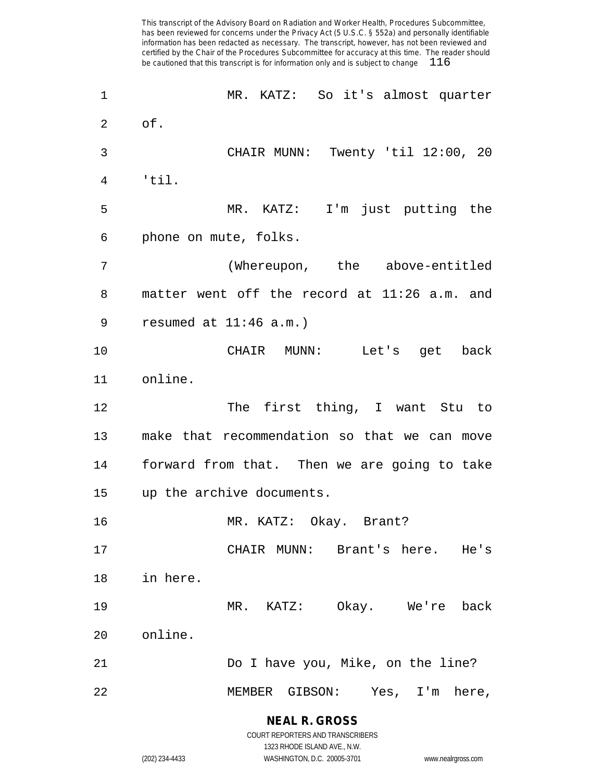MR. KATZ: So it's almost quarter of. CHAIR MUNN: Twenty 'til 12:00, 20 'til. MR. KATZ: I'm just putting the phone on mute, folks. (Whereupon, the above-entitled matter went off the record at 11:26 a.m. and resumed at 11:46 a.m.) CHAIR MUNN: Let's get back online. 12 The first thing, I want Stu to make that recommendation so that we can move forward from that. Then we are going to take up the archive documents. MR. KATZ: Okay. Brant? CHAIR MUNN: Brant's here. He's in here. MR. KATZ: Okay. We're back online. Do I have you, Mike, on the line? MEMBER GIBSON: Yes, I'm here,

> **NEAL R. GROSS** COURT REPORTERS AND TRANSCRIBERS

1323 RHODE ISLAND AVE., N.W. (202) 234-4433 WASHINGTON, D.C. 20005-3701 www.nealrgross.com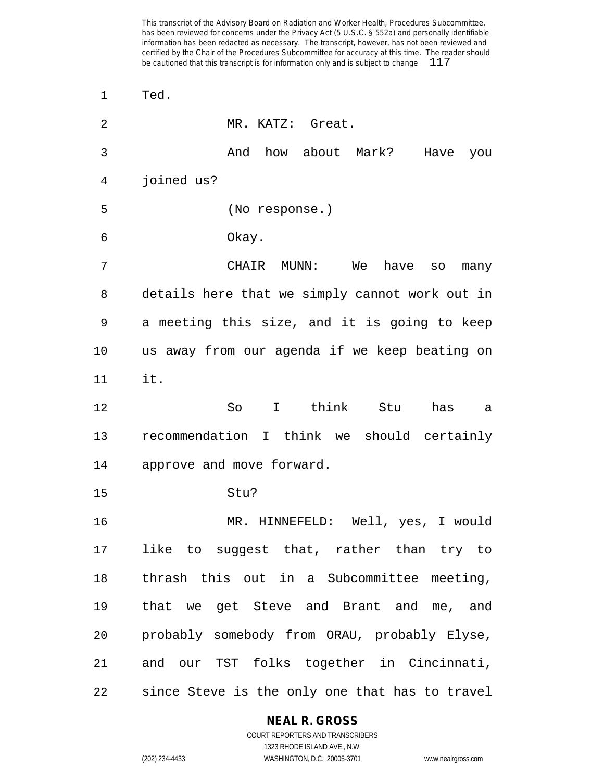| $\mathbf 1$ | Ted.                                           |
|-------------|------------------------------------------------|
| 2           | MR. KATZ: Great.                               |
| 3           | And how about Mark? Have you                   |
| 4           | joined us?                                     |
| 5           | (No response.)                                 |
| 6           | Okay.                                          |
| 7           | CHAIR MUNN: We have so<br>many                 |
| 8           | details here that we simply cannot work out in |
| 9           | a meeting this size, and it is going to keep   |
| 10          | us away from our agenda if we keep beating on  |
| 11          | it.                                            |
| 12          | So I think Stu<br>has<br>а                     |
| 13          | recommendation I think we should certainly     |
| 14          | approve and move forward.                      |
| 15          | Stu?                                           |
| 16          | MR. HINNEFELD: Well, yes, I would              |
| 17          | like to suggest that, rather than try to       |
| 18          | thrash this out in a Subcommittee meeting,     |
| 19          | that we get Steve and Brant and me, and        |
| 20          | probably somebody from ORAU, probably Elyse,   |
| 21          | and our TST folks together in Cincinnati,      |
| 22          | since Steve is the only one that has to travel |

### **NEAL R. GROSS**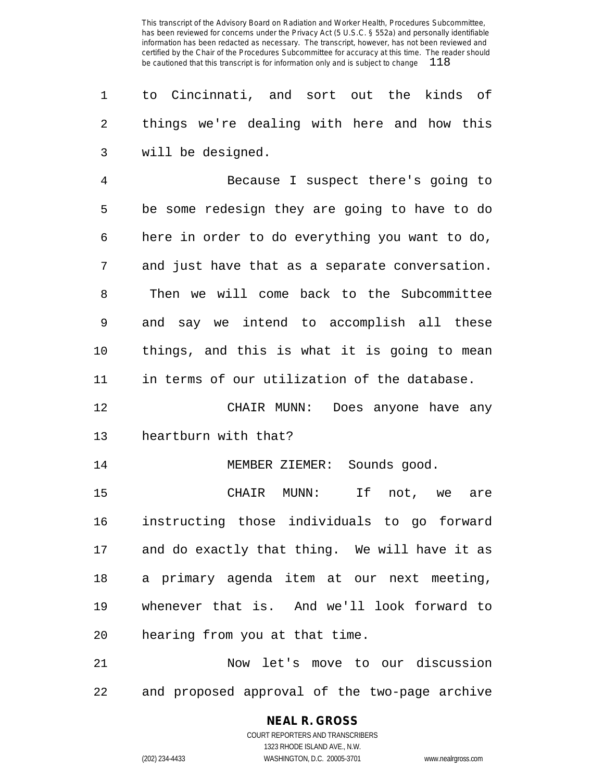to Cincinnati, and sort out the kinds of things we're dealing with here and how this will be designed.

 Because I suspect there's going to be some redesign they are going to have to do here in order to do everything you want to do, and just have that as a separate conversation. Then we will come back to the Subcommittee and say we intend to accomplish all these things, and this is what it is going to mean in terms of our utilization of the database.

 CHAIR MUNN: Does anyone have any heartburn with that?

14 MEMBER ZIEMER: Sounds good.

 CHAIR MUNN: If not, we are instructing those individuals to go forward and do exactly that thing. We will have it as a primary agenda item at our next meeting, whenever that is. And we'll look forward to hearing from you at that time.

 Now let's move to our discussion and proposed approval of the two-page archive

# **NEAL R. GROSS**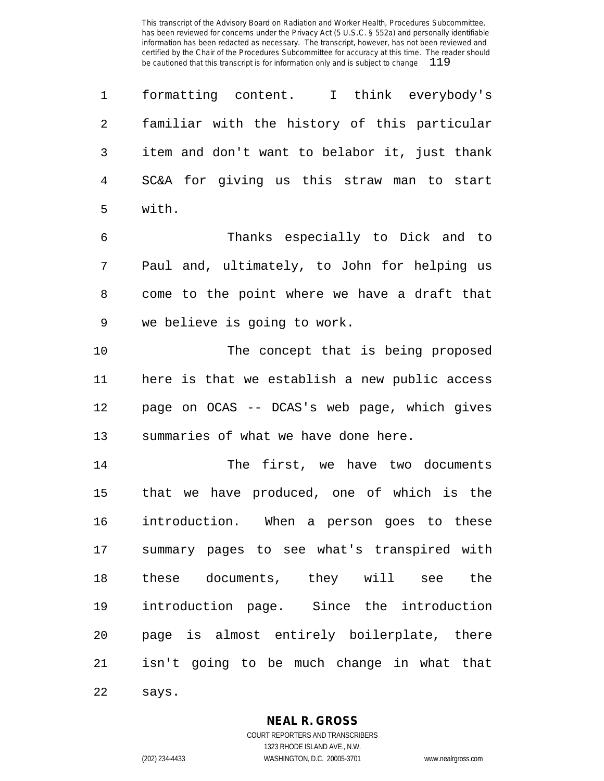formatting content. I think everybody's familiar with the history of this particular item and don't want to belabor it, just thank SC&A for giving us this straw man to start with.

 Thanks especially to Dick and to Paul and, ultimately, to John for helping us come to the point where we have a draft that we believe is going to work.

 The concept that is being proposed here is that we establish a new public access page on OCAS -- DCAS's web page, which gives summaries of what we have done here.

 The first, we have two documents that we have produced, one of which is the introduction. When a person goes to these summary pages to see what's transpired with these documents, they will see the introduction page. Since the introduction page is almost entirely boilerplate, there isn't going to be much change in what that says.

#### **NEAL R. GROSS**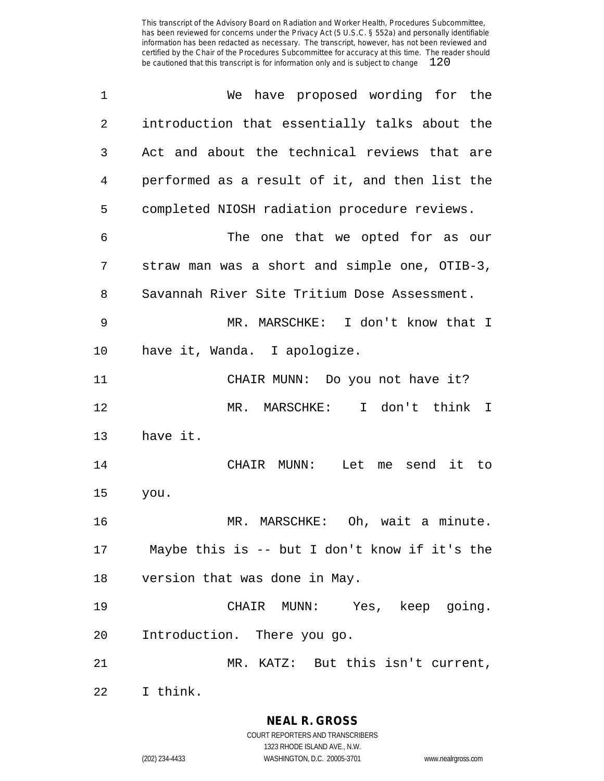| $\mathbf 1$ | have proposed wording for the<br>We              |
|-------------|--------------------------------------------------|
| 2           | introduction that essentially talks about the    |
| 3           | Act and about the technical reviews that are     |
| 4           | performed as a result of it, and then list the   |
| 5           | completed NIOSH radiation procedure reviews.     |
| 6           | The one that we opted for as our                 |
| 7           | straw man was a short and simple one, OTIB-3,    |
| 8           | Savannah River Site Tritium Dose Assessment.     |
| 9           | MR. MARSCHKE: I don't know that I                |
| 10          | have it, Wanda. I apologize.                     |
| 11          | CHAIR MUNN: Do you not have it?                  |
| 12          | I don't think I<br>MR. MARSCHKE:                 |
| 13          | have it.                                         |
| 14          | Let me<br>send<br>it to<br>CHAIR<br>$MUNN$ :     |
| 15          | you.                                             |
| 16          | Oh, wait a minute.<br>MR. MARSCHKE:              |
|             | 17 Maybe this is -- but I don't know if it's the |
| 18          | version that was done in May.                    |
| 19          | CHAIR MUNN: Yes, keep going.                     |
| 20          | Introduction. There you go.                      |
| 21          | MR. KATZ: But this isn't current,                |
| 22          | I think.                                         |

**NEAL R. GROSS** COURT REPORTERS AND TRANSCRIBERS

1323 RHODE ISLAND AVE., N.W.

(202) 234-4433 WASHINGTON, D.C. 20005-3701 www.nealrgross.com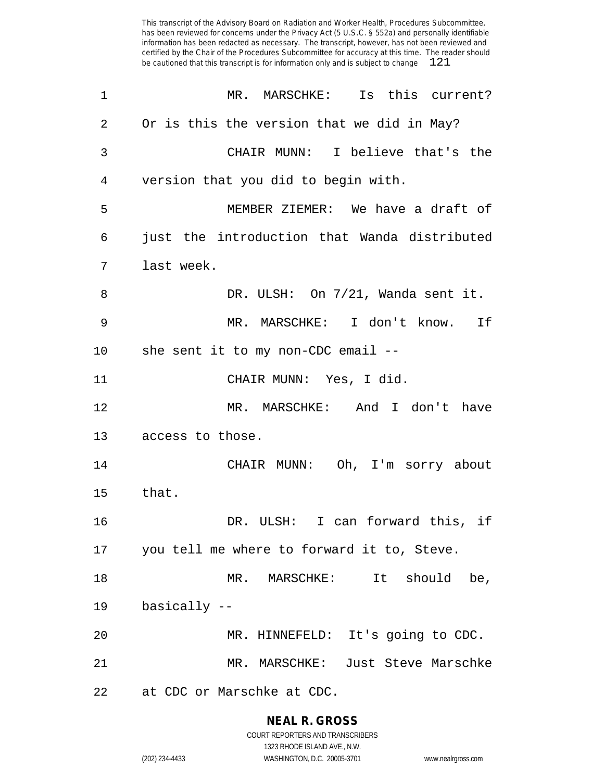| 1       | MR. MARSCHKE: Is this current?               |
|---------|----------------------------------------------|
| 2       | Or is this the version that we did in May?   |
| 3       | CHAIR MUNN: I believe that's the             |
| 4       | version that you did to begin with.          |
| 5       | MEMBER ZIEMER: We have a draft of            |
| 6       | just the introduction that Wanda distributed |
| 7       | last week.                                   |
| 8       | DR. ULSH: On 7/21, Wanda sent it.            |
| 9       | MR. MARSCHKE: I don't know. If               |
| $10 \,$ | she sent it to my non-CDC email --           |
| 11      | CHAIR MUNN: Yes, I did.                      |
| 12      | MR. MARSCHKE: And I don't have               |
| 13      | access to those.                             |
| 14      | CHAIR MUNN: Oh, I'm sorry about              |
| 15      | that.                                        |
| 16      | DR. ULSH: I can forward this, if             |
| 17      | you tell me where to forward it to, Steve.   |
| 18      | MR. MARSCHKE: It should be,                  |
| 19      | basically --                                 |
| 20      | MR. HINNEFELD: It's going to CDC.            |
| 21      | MR. MARSCHKE: Just Steve Marschke            |
| 22      | at CDC or Marschke at CDC.                   |

**NEAL R. GROSS** COURT REPORTERS AND TRANSCRIBERS

1323 RHODE ISLAND AVE., N.W.

(202) 234-4433 WASHINGTON, D.C. 20005-3701 www.nealrgross.com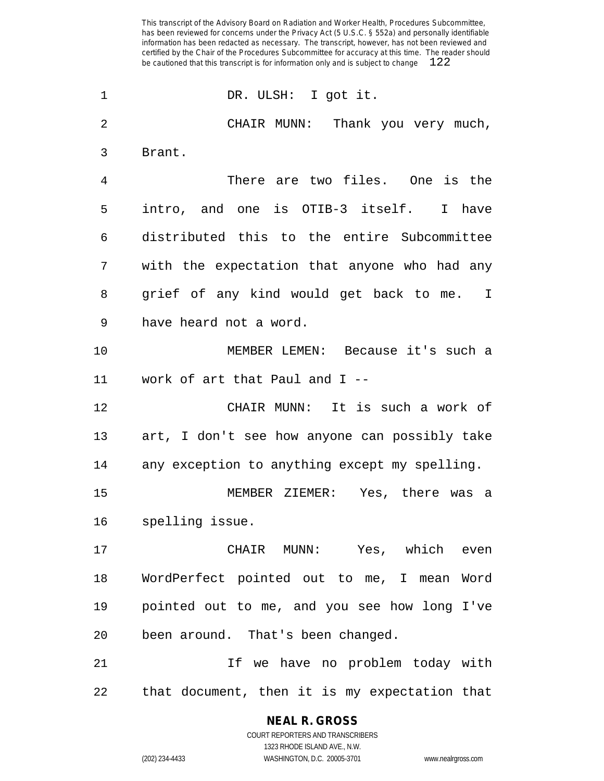DR. ULSH: I got it. CHAIR MUNN: Thank you very much, Brant. There are two files. One is the intro, and one is OTIB-3 itself. I have distributed this to the entire Subcommittee with the expectation that anyone who had any grief of any kind would get back to me. I have heard not a word. MEMBER LEMEN: Because it's such a work of art that Paul and I -- CHAIR MUNN: It is such a work of art, I don't see how anyone can possibly take any exception to anything except my spelling. MEMBER ZIEMER: Yes, there was a spelling issue. CHAIR MUNN: Yes, which even WordPerfect pointed out to me, I mean Word pointed out to me, and you see how long I've been around. That's been changed. If we have no problem today with that document, then it is my expectation that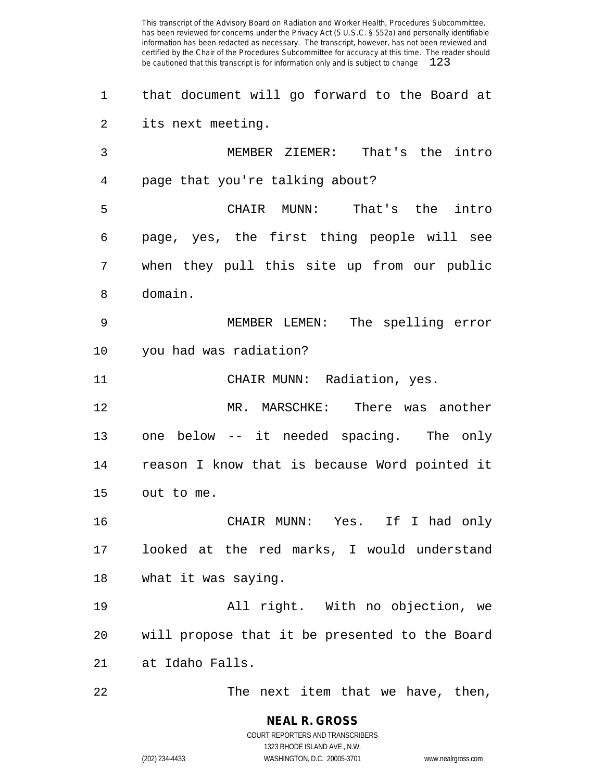that document will go forward to the Board at its next meeting. MEMBER ZIEMER: That's the intro page that you're talking about? CHAIR MUNN: That's the intro page, yes, the first thing people will see when they pull this site up from our public domain. MEMBER LEMEN: The spelling error you had was radiation? 11 CHAIR MUNN: Radiation, yes. MR. MARSCHKE: There was another one below -- it needed spacing. The only reason I know that is because Word pointed it out to me. CHAIR MUNN: Yes. If I had only

 looked at the red marks, I would understand what it was saying.

 All right. With no objection, we will propose that it be presented to the Board at Idaho Falls.

The next item that we have, then,

(202) 234-4433 WASHINGTON, D.C. 20005-3701 www.nealrgross.com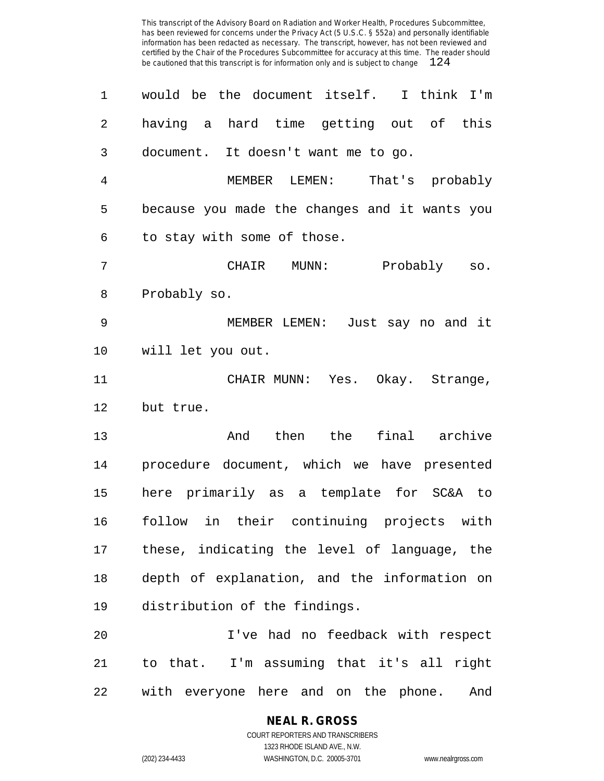| 1              | would be the document itself. I think I'm     |
|----------------|-----------------------------------------------|
| $\overline{2}$ | having a hard time getting out of this        |
| 3              | document. It doesn't want me to go.           |
| 4              | MEMBER LEMEN: That's probably                 |
| 5              | because you made the changes and it wants you |
| 6              | to stay with some of those.                   |
| 7              | CHAIR MUNN:<br>Probably so.                   |
| 8              | Probably so.                                  |
| 9              | MEMBER LEMEN: Just say no and it              |
| 10             | will let you out.                             |
| 11             | CHAIR MUNN: Yes. Okay. Strange,               |
| 12             | but true.                                     |
| 13             | And then the final archive                    |
| 14             | procedure document, which we have presented   |
| 15             | here primarily as a template for SC&A to      |
| 16             | follow in their continuing projects with      |
| 17             | these, indicating the level of language, the  |
| 18             | depth of explanation, and the information on  |
| 19             | distribution of the findings.                 |
| 20             | I've had no feedback with respect             |
| 21             | to that. I'm assuming that it's all right     |
| 22             | with everyone here and on the phone.<br>And   |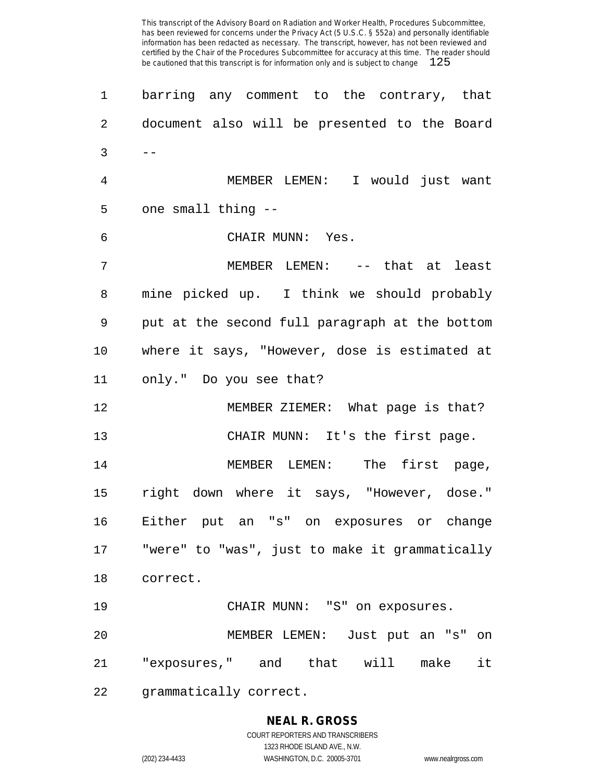| 1       | barring any comment to the contrary, that      |
|---------|------------------------------------------------|
| 2       | document also will be presented to the Board   |
| 3       | $- -$                                          |
| 4       | MEMBER LEMEN: I would just want                |
| 5       | one small thing --                             |
| 6       | CHAIR MUNN: Yes.                               |
| 7       | MEMBER LEMEN: -- that at least                 |
| 8       | mine picked up. I think we should probably     |
| 9       | put at the second full paragraph at the bottom |
| $10 \,$ | where it says, "However, dose is estimated at  |
| 11      | only." Do you see that?                        |
| 12      | MEMBER ZIEMER: What page is that?              |
| 13      | CHAIR MUNN: It's the first page.               |
| 14      | MEMBER LEMEN: The first page,                  |
| 15      | right down where it says, "However, dose."     |
| 16      | Either put an "s" on exposures or change       |
| 17      | "were" to "was", just to make it grammatically |
| 18      | correct.                                       |
| 19      | CHAIR MUNN: "S" on exposures.                  |
| 20      | MEMBER LEMEN: Just put an "s" on               |
| 21      | "exposures," and that will make<br>it          |
| 22      | grammatically correct.                         |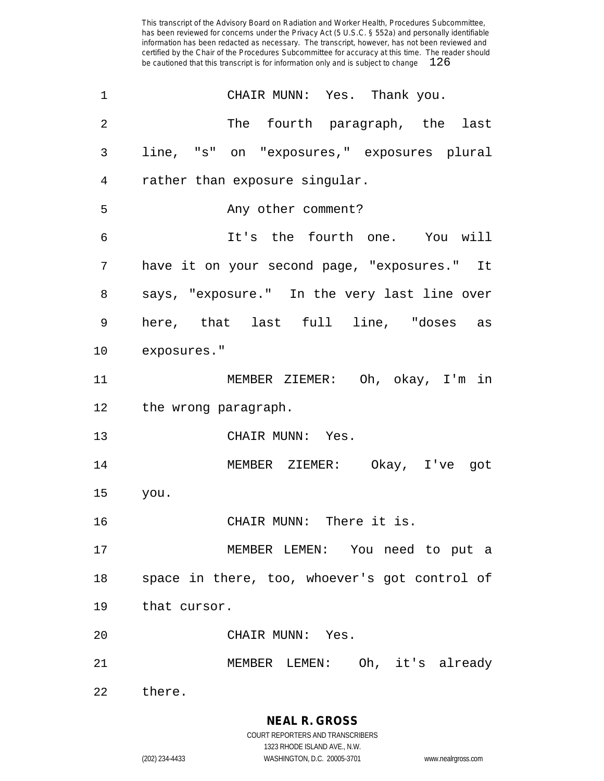| 1              | CHAIR MUNN: Yes. Thank you.                   |
|----------------|-----------------------------------------------|
| 2              | The fourth paragraph, the last                |
| 3              | line, "s" on "exposures," exposures plural    |
| $\overline{4}$ | rather than exposure singular.                |
| 5              | Any other comment?                            |
| 6              | It's the fourth one. You will                 |
| 7              | have it on your second page, "exposures." It  |
| 8              | says, "exposure." In the very last line over  |
| 9              | here, that last full line, "doses as          |
| $10 \,$        | exposures."                                   |
| 11             | MEMBER ZIEMER: Oh, okay, I'm in               |
|                | 12 the wrong paragraph.                       |
| 13             | CHAIR MUNN: Yes.                              |
| 14             | MEMBER ZIEMER: Okay, I've got                 |
| 15             | you.                                          |
| 16             | CHAIR MUNN: There it is.                      |
| 17             | MEMBER LEMEN: You need to put a               |
| 18             | space in there, too, whoever's got control of |
| 19             | that cursor.                                  |
| 20             | CHAIR MUNN: Yes.                              |
| 21             | MEMBER LEMEN: Oh, it's already                |
| 22             | there.                                        |

**NEAL R. GROSS** COURT REPORTERS AND TRANSCRIBERS

1323 RHODE ISLAND AVE., N.W.

(202) 234-4433 WASHINGTON, D.C. 20005-3701 www.nealrgross.com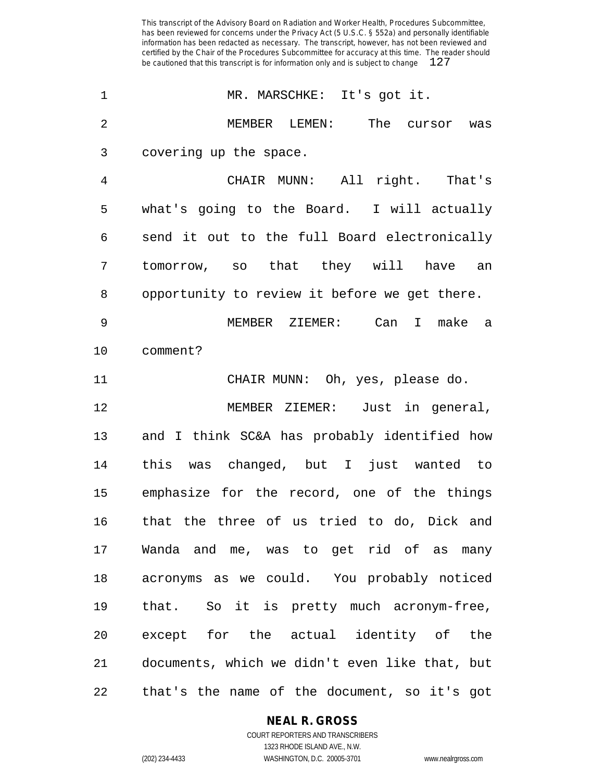1 MR. MARSCHKE: It's got it. MEMBER LEMEN: The cursor was covering up the space. CHAIR MUNN: All right. That's what's going to the Board. I will actually send it out to the full Board electronically tomorrow, so that they will have an opportunity to review it before we get there. MEMBER ZIEMER: Can I make a comment? CHAIR MUNN: Oh, yes, please do. MEMBER ZIEMER: Just in general, and I think SC&A has probably identified how this was changed, but I just wanted to emphasize for the record, one of the things that the three of us tried to do, Dick and Wanda and me, was to get rid of as many acronyms as we could. You probably noticed that. So it is pretty much acronym-free, except for the actual identity of the documents, which we didn't even like that, but that's the name of the document, so it's got

#### **NEAL R. GROSS**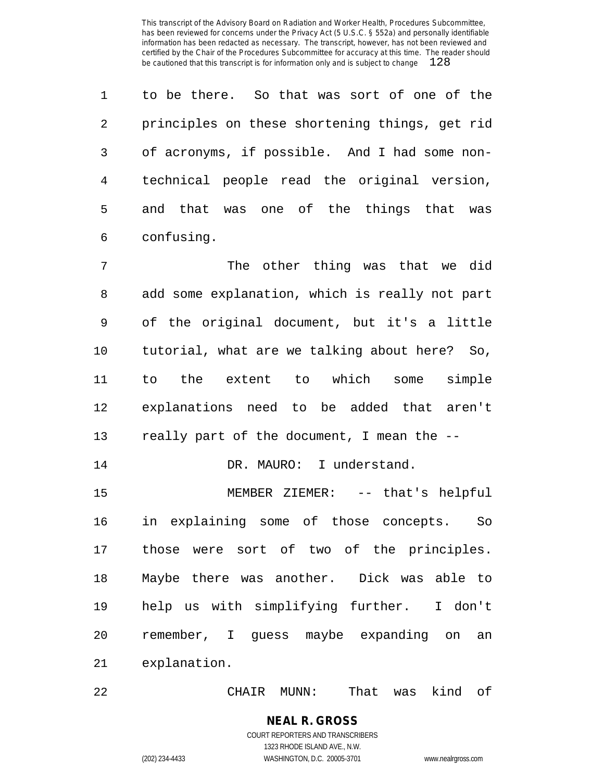to be there. So that was sort of one of the principles on these shortening things, get rid of acronyms, if possible. And I had some non- technical people read the original version, and that was one of the things that was confusing.

 The other thing was that we did add some explanation, which is really not part of the original document, but it's a little tutorial, what are we talking about here? So, to the extent to which some simple explanations need to be added that aren't really part of the document, I mean the --

14 DR. MAURO: I understand.

 MEMBER ZIEMER: -- that's helpful in explaining some of those concepts. So those were sort of two of the principles. Maybe there was another. Dick was able to help us with simplifying further. I don't remember, I guess maybe expanding on an explanation.

CHAIR MUNN: That was kind of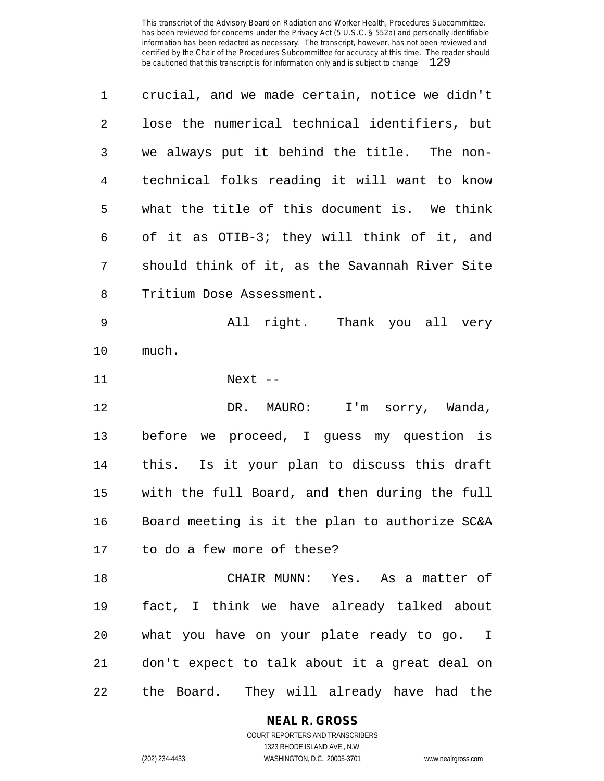| 1              | crucial, and we made certain, notice we didn't |
|----------------|------------------------------------------------|
| $\overline{2}$ | lose the numerical technical identifiers, but  |
| 3              | we always put it behind the title. The non-    |
| 4              | technical folks reading it will want to know   |
| 5              | what the title of this document is. We think   |
| 6              | of it as OTIB-3; they will think of it, and    |
| 7              | should think of it, as the Savannah River Site |
| 8              | Tritium Dose Assessment.                       |
| 9              | All right. Thank you all very                  |
| 10             | much.                                          |
| 11             | Next $--$                                      |
| 12             | DR. MAURO: I'm sorry, Wanda,                   |
| 13             | before we proceed, I guess my question is      |
| 14             | this. Is it your plan to discuss this draft    |
| 15             | with the full Board, and then during the full  |
| 16             | Board meeting is it the plan to authorize SC&A |
| 17             | to do a few more of these?                     |
| 18             | CHAIR MUNN: Yes. As a matter of                |
| 19             | fact, I think we have already talked about     |
| 20             | what you have on your plate ready to go. I     |
| 21             | don't expect to talk about it a great deal on  |
| 22             | the Board. They will already have had the      |

**NEAL R. GROSS**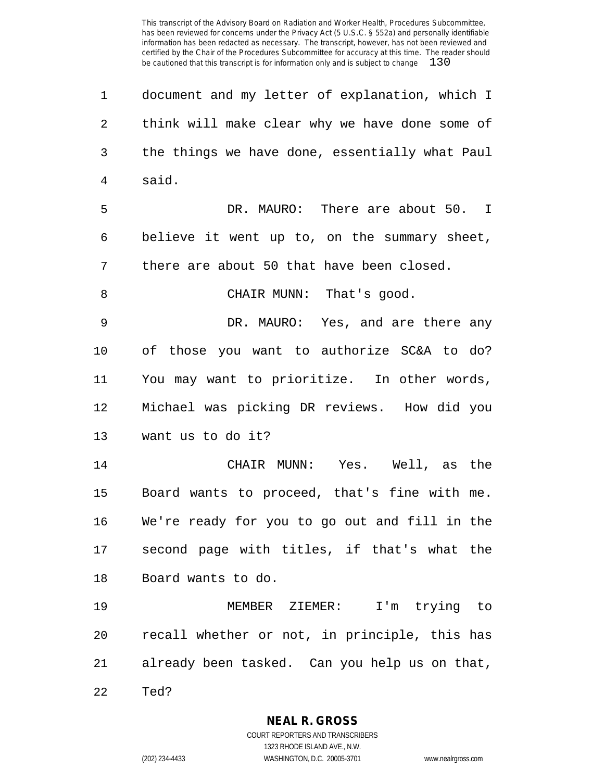document and my letter of explanation, which I think will make clear why we have done some of the things we have done, essentially what Paul said. DR. MAURO: There are about 50. I believe it went up to, on the summary sheet, there are about 50 that have been closed. 8 CHAIR MUNN: That's good. DR. MAURO: Yes, and are there any of those you want to authorize SC&A to do? You may want to prioritize. In other words, Michael was picking DR reviews. How did you want us to do it? CHAIR MUNN: Yes. Well, as the Board wants to proceed, that's fine with me. We're ready for you to go out and fill in the second page with titles, if that's what the Board wants to do. MEMBER ZIEMER: I'm trying to recall whether or not, in principle, this has already been tasked. Can you help us on that, Ted?

**NEAL R. GROSS**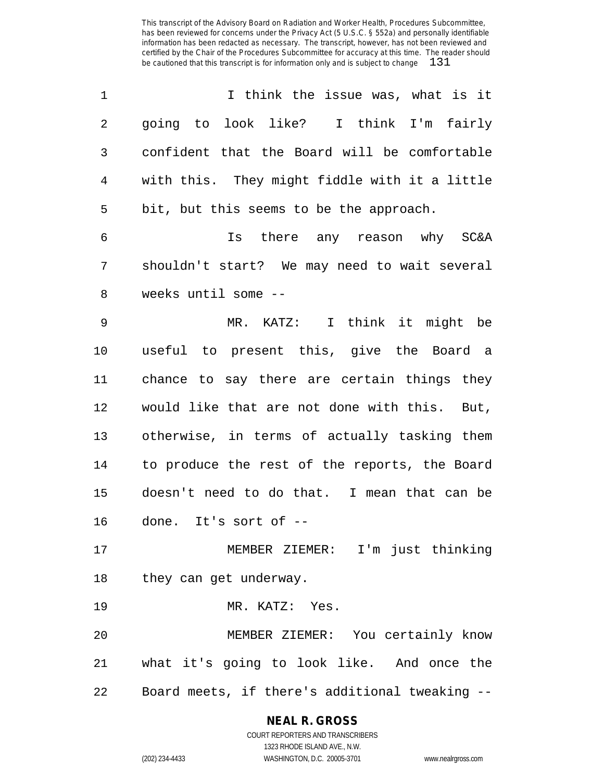| $\mathbf 1$    | I think the issue was, what is it              |
|----------------|------------------------------------------------|
| $\overline{2}$ | going to look like? I think I'm fairly         |
| 3              | confident that the Board will be comfortable   |
| 4              | with this. They might fiddle with it a little  |
| 5              | bit, but this seems to be the approach.        |
| 6              | Is there any reason why SC&A                   |
| 7              | shouldn't start? We may need to wait several   |
| 8              | weeks until some --                            |
| $\mathsf 9$    | MR. KATZ: I think it might be                  |
| 10             | useful to present this, give the Board a       |
| 11             | chance to say there are certain things they    |
| 12             | would like that are not done with this. But,   |
| 13             | otherwise, in terms of actually tasking them   |
| 14             | to produce the rest of the reports, the Board  |
| 15             | doesn't need to do that. I mean that can be    |
| 16             | done. It's sort of --                          |
| 17             | MEMBER ZIEMER: I'm just thinking               |
| 18             | they can get underway.                         |
| 19             | MR. KATZ: Yes.                                 |
| 20             | MEMBER ZIEMER: You certainly know              |
| 21             | what it's going to look like. And once the     |
| 22             | Board meets, if there's additional tweaking -- |

# **NEAL R. GROSS**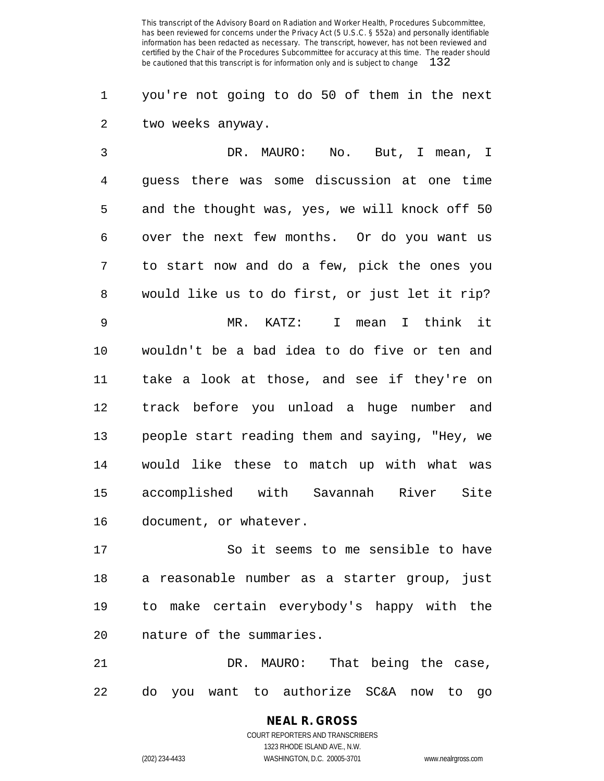you're not going to do 50 of them in the next two weeks anyway.

 DR. MAURO: No. But, I mean, I guess there was some discussion at one time and the thought was, yes, we will knock off 50 over the next few months. Or do you want us to start now and do a few, pick the ones you would like us to do first, or just let it rip? MR. KATZ: I mean I think it wouldn't be a bad idea to do five or ten and take a look at those, and see if they're on track before you unload a huge number and people start reading them and saying, "Hey, we would like these to match up with what was accomplished with Savannah River Site document, or whatever.

 So it seems to me sensible to have a reasonable number as a starter group, just to make certain everybody's happy with the nature of the summaries.

 DR. MAURO: That being the case, do you want to authorize SC&A now to go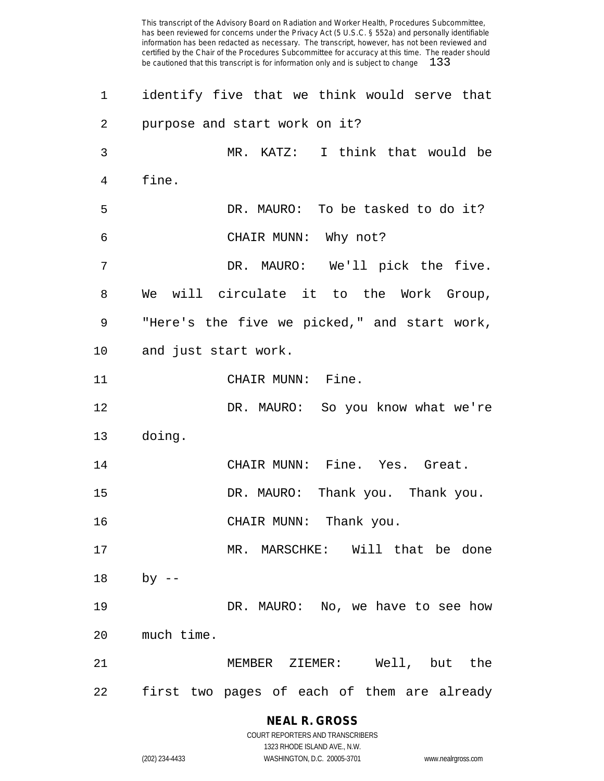| 1  | identify five that we think would serve that |
|----|----------------------------------------------|
| 2  | purpose and start work on it?                |
| 3  | MR. KATZ: I think that would be              |
| 4  | fine.                                        |
| 5  | DR. MAURO: To be tasked to do it?            |
| 6  | CHAIR MUNN: Why not?                         |
| 7  | DR. MAURO: We'll pick the five.              |
| 8  | We will circulate it to the Work Group,      |
| 9  | "Here's the five we picked," and start work, |
| 10 | and just start work.                         |
| 11 | CHAIR MUNN: Fine.                            |
| 12 | DR. MAURO: So you know what we're            |
| 13 | doing.                                       |
| 14 | CHAIR MUNN: Fine. Yes. Great.                |
| 15 | DR. MAURO: Thank you. Thank you.             |
| 16 | CHAIR MUNN: Thank you.                       |
| 17 | MR. MARSCHKE: Will that be done              |
| 18 | $by$ --                                      |
| 19 | DR. MAURO: No, we have to see how            |
| 20 | much time.                                   |
| 21 | MEMBER ZIEMER: Well, but the                 |
| 22 | first two pages of each of them are already  |

# **NEAL R. GROSS** COURT REPORTERS AND TRANSCRIBERS

1323 RHODE ISLAND AVE., N.W. (202) 234-4433 WASHINGTON, D.C. 20005-3701 www.nealrgross.com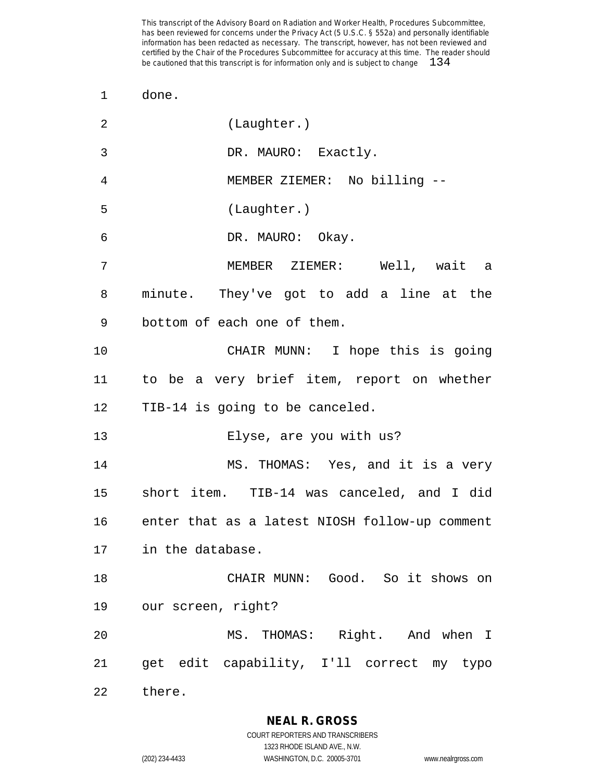done.

| 2  | (Laughter.)                                       |
|----|---------------------------------------------------|
| 3  | DR. MAURO: Exactly.                               |
| 4  | MEMBER ZIEMER: No billing --                      |
| 5  | (Laughter.)                                       |
| 6  | DR. MAURO: Okay.                                  |
| 7  | MEMBER ZIEMER: Well, wait a                       |
| 8  | minute. They've got to add a line at the          |
| 9  | bottom of each one of them.                       |
| 10 | CHAIR MUNN: I hope this is going                  |
| 11 | to be a very brief item, report on whether        |
|    | 12 TIB-14 is going to be canceled.                |
| 13 | Elyse, are you with us?                           |
| 14 | MS. THOMAS: Yes, and it is a very                 |
| 15 | short item. TIB-14 was canceled, and I did        |
|    | 16 enter that as a latest NIOSH follow-up comment |
|    | 17 in the database                                |
| 18 | CHAIR MUNN: Good. So it shows on                  |
|    | 19 our screen, right?                             |
| 20 | MS. THOMAS: Right. And when I                     |
| 21 | get edit capability, I'll correct my typo         |
| 22 | there.                                            |

**NEAL R. GROSS**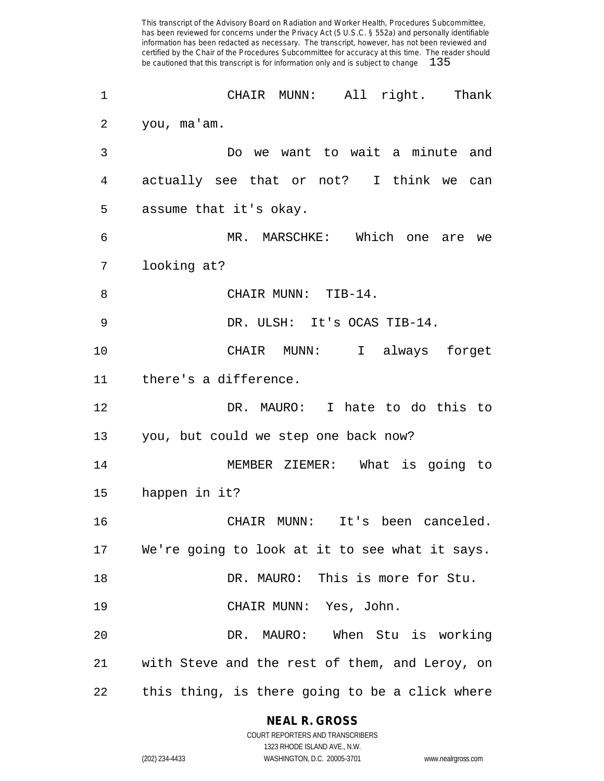| $\mathbf 1$ | All right. Thank<br>CHAIR MUNN:                   |
|-------------|---------------------------------------------------|
| 2           | you, ma'am.                                       |
| 3           | Do we want to wait a minute and                   |
| 4           | actually see that or not? I think we<br>can       |
| 5           | assume that it's okay.                            |
| 6           | MR. MARSCHKE: Which one<br>are we                 |
| 7           | looking at?                                       |
| 8           | CHAIR MUNN: TIB-14.                               |
| 9           | DR. ULSH: It's OCAS TIB-14.                       |
| 10          | CHAIR MUNN: I always forget                       |
| 11          | there's a difference.                             |
| 12          | DR. MAURO: I hate to do this to                   |
| 13          | you, but could we step one back now?              |
| 14          | MEMBER ZIEMER: What is going to                   |
| 15          | happen in it?                                     |
| 16          | CHAIR MUNN: It's been canceled.                   |
|             | 17 We're going to look at it to see what it says. |
| 18          | DR. MAURO: This is more for Stu.                  |
| 19          | CHAIR MUNN: Yes, John.                            |
| 20          | DR. MAURO: When Stu is working                    |
| 21          | with Steve and the rest of them, and Leroy, on    |
| 22          | this thing, is there going to be a click where    |

**NEAL R. GROSS**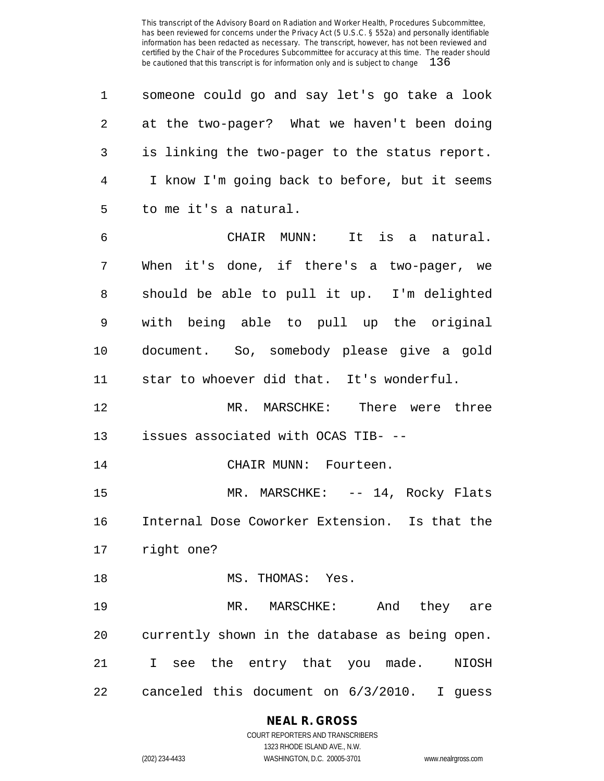| 1              | someone could go and say let's go take a look  |
|----------------|------------------------------------------------|
| $\overline{2}$ | at the two-pager? What we haven't been doing   |
| 3              | is linking the two-pager to the status report. |
| 4              | I know I'm going back to before, but it seems  |
| 5              | to me it's a natural.                          |
| 6              | CHAIR MUNN: It is a natural.                   |
| 7              | When it's done, if there's a two-pager, we     |
| 8              | should be able to pull it up. I'm delighted    |
| 9              | with being able to pull up the original        |
| 10             | document. So, somebody please give a gold      |
| 11             | star to whoever did that. It's wonderful.      |
| 12             | MR. MARSCHKE: There were three                 |
| 13             | issues associated with OCAS TIB- --            |
| 14             | CHAIR MUNN: Fourteen.                          |
| 15             | MR. MARSCHKE: -- 14, Rocky Flats               |
| 16             | Internal Dose Coworker Extension. Is that the  |
|                | 17 right one?                                  |
| 18             | MS. THOMAS: Yes.                               |
| 19             | MR. MARSCHKE: And they are                     |
| 20             | currently shown in the database as being open. |
| 21             | I see the entry that you made.<br>NIOSH        |
| 22             | canceled this document on 6/3/2010. I guess    |

# **NEAL R. GROSS**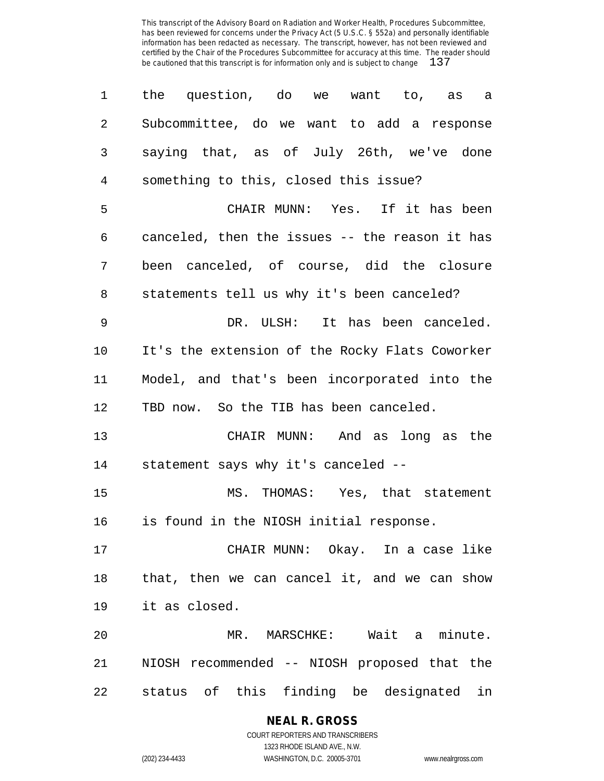| 1              | the question, do we want to, as a              |
|----------------|------------------------------------------------|
| $\overline{2}$ | Subcommittee, do we want to add a response     |
| 3              | saying that, as of July 26th, we've done       |
| 4              | something to this, closed this issue?          |
| 5              | CHAIR MUNN: Yes. If it has been                |
| 6              | canceled, then the issues -- the reason it has |
| 7              | been canceled, of course, did the closure      |
| 8              | statements tell us why it's been canceled?     |
| 9              | DR. ULSH: It has been canceled.                |
| 10             | It's the extension of the Rocky Flats Coworker |
| 11             | Model, and that's been incorporated into the   |
| 12             | TBD now. So the TIB has been canceled.         |
| 13             | CHAIR MUNN: And as long as the                 |
| 14             | statement says why it's canceled --            |
| 15             | MS. THOMAS: Yes, that statement                |
| 16             | is found in the NIOSH initial response.        |
| 17             | CHAIR MUNN: Okay. In a case like               |
| 18             | that, then we can cancel it, and we can show   |
| 19             | it as closed.                                  |
| 20             | MR. MARSCHKE: Wait a minute.                   |
| 21             | NIOSH recommended -- NIOSH proposed that the   |
| 22             | status of this finding be designated in        |

### **NEAL R. GROSS** COURT REPORTERS AND TRANSCRIBERS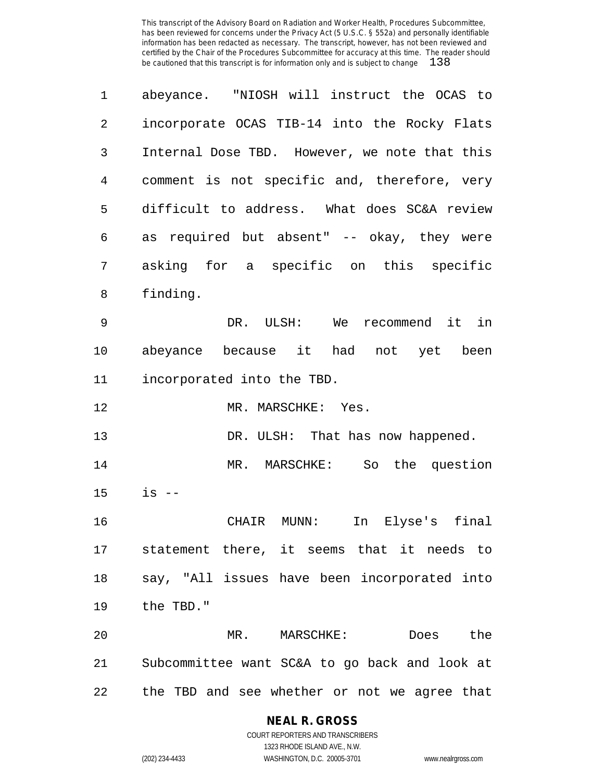| 1  | abeyance. "NIOSH will instruct the OCAS to    |
|----|-----------------------------------------------|
| 2  | incorporate OCAS TIB-14 into the Rocky Flats  |
| 3  | Internal Dose TBD. However, we note that this |
| 4  | comment is not specific and, therefore, very  |
| 5  | difficult to address. What does SC&A review   |
| 6  | required but absent" -- okay, they were<br>as |
| 7  | asking for a specific on this specific        |
| 8  | finding.                                      |
| 9  | We<br>in<br>DR. ULSH:<br>recommend it         |
| 10 | abeyance because it had<br>not yet been       |
| 11 | incorporated into the TBD.                    |
| 12 | MR. MARSCHKE: Yes.                            |
| 13 | DR. ULSH: That has now happened.              |
| 14 | So the question<br>MR. MARSCHKE:              |
| 15 | $is$ $-$                                      |
| 16 | Elyse's final<br>MUNN:<br>In<br>CHAIR         |
|    | 17 statement there, it seems that it needs to |
|    |                                               |
| 18 | say, "All issues have been incorporated into  |
| 19 | the TBD."                                     |
| 20 | MR.<br>MARSCHKE:<br>Does<br>the               |
| 21 | Subcommittee want SC&A to go back and look at |

**NEAL R. GROSS** COURT REPORTERS AND TRANSCRIBERS

1323 RHODE ISLAND AVE., N.W. (202) 234-4433 WASHINGTON, D.C. 20005-3701 www.nealrgross.com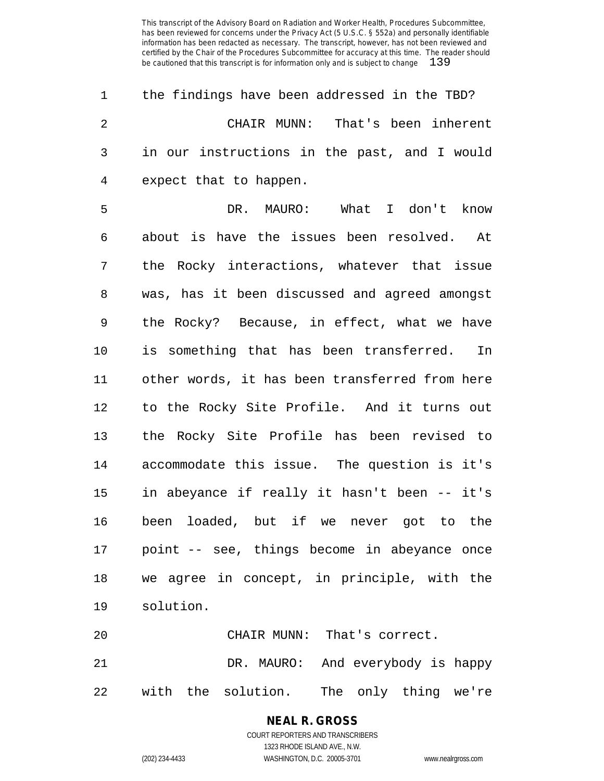| $\mathbf 1$    | the findings have been addressed in the TBD?   |
|----------------|------------------------------------------------|
| 2              | CHAIR MUNN: That's been inherent               |
| 3              | in our instructions in the past, and I would   |
| $\overline{4}$ | expect that to happen.                         |
| 5              | DR. MAURO: What I don't know                   |
| 6              | about is have the issues been resolved. At     |
| 7              | the Rocky interactions, whatever that issue    |
| 8              | was, has it been discussed and agreed amongst  |
| 9              | the Rocky? Because, in effect, what we have    |
| $10 \,$        | is something that has been transferred. In     |
| 11             | other words, it has been transferred from here |
| 12             | to the Rocky Site Profile. And it turns out    |
| 13             | the Rocky Site Profile has been revised to     |
| 14             | accommodate this issue. The question is it's   |
| 15             | in abeyance if really it hasn't been -- it's   |
| 16             | been loaded, but if we never got to the        |
| 17             | point -- see, things become in abeyance once   |
| 18             | we agree in concept, in principle, with the    |
| 19             | solution.                                      |
|                |                                                |

 CHAIR MUNN: That's correct. DR. MAURO: And everybody is happy with the solution. The only thing we're

# **NEAL R. GROSS**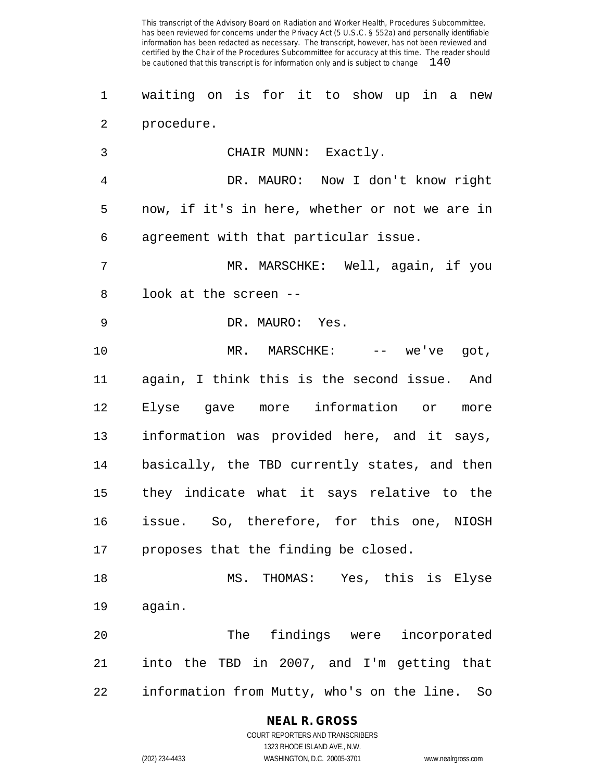waiting on is for it to show up in a new procedure.

CHAIR MUNN: Exactly.

 DR. MAURO: Now I don't know right now, if it's in here, whether or not we are in agreement with that particular issue.

 MR. MARSCHKE: Well, again, if you look at the screen --

DR. MAURO: Yes.

10 MR. MARSCHKE: -- we've got, again, I think this is the second issue. And Elyse gave more information or more information was provided here, and it says, basically, the TBD currently states, and then they indicate what it says relative to the issue. So, therefore, for this one, NIOSH proposes that the finding be closed.

 MS. THOMAS: Yes, this is Elyse again.

 The findings were incorporated into the TBD in 2007, and I'm getting that information from Mutty, who's on the line. So

**NEAL R. GROSS**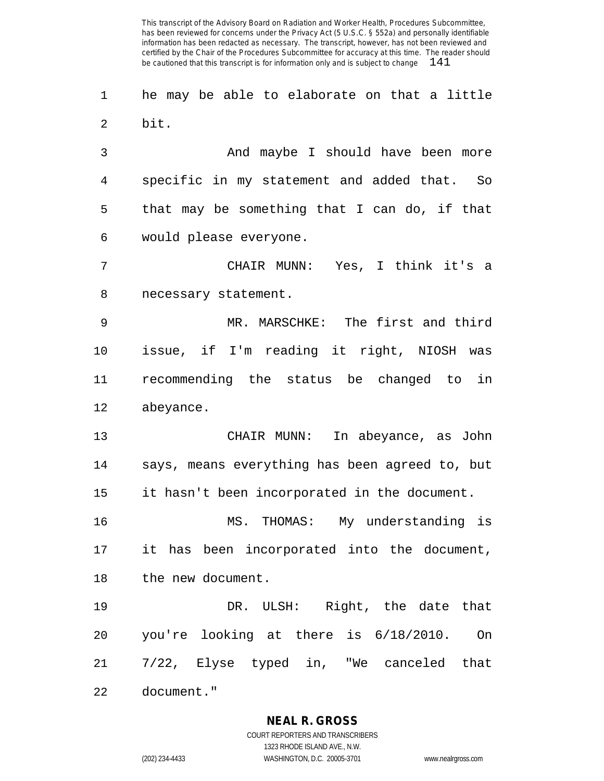he may be able to elaborate on that a little bit.

 And maybe I should have been more specific in my statement and added that. So that may be something that I can do, if that would please everyone.

 CHAIR MUNN: Yes, I think it's a necessary statement.

 MR. MARSCHKE: The first and third issue, if I'm reading it right, NIOSH was recommending the status be changed to in abeyance.

 CHAIR MUNN: In abeyance, as John says, means everything has been agreed to, but it hasn't been incorporated in the document.

 MS. THOMAS: My understanding is it has been incorporated into the document, the new document.

 DR. ULSH: Right, the date that you're looking at there is 6/18/2010. On 7/22, Elyse typed in, "We canceled that document."

# **NEAL R. GROSS**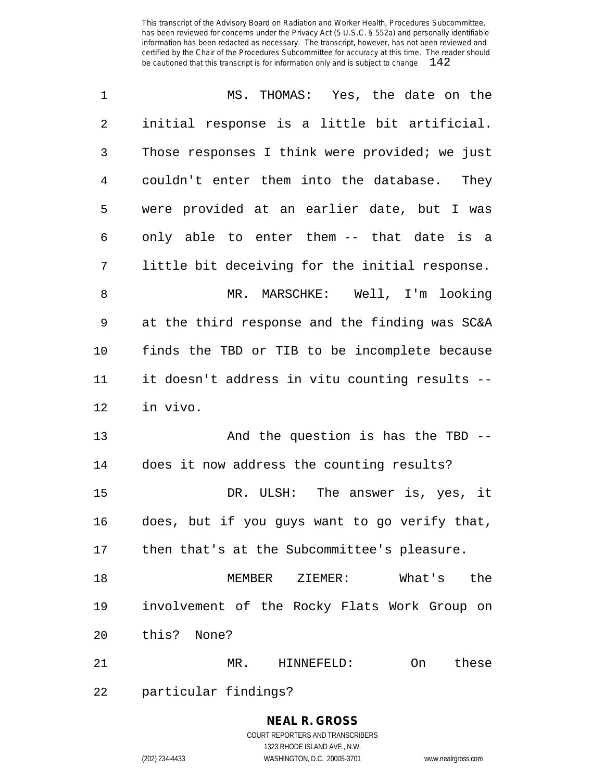| $\mathbf 1$    | MS. THOMAS: Yes, the date on the               |
|----------------|------------------------------------------------|
| 2              | initial response is a little bit artificial.   |
| 3              | Those responses I think were provided; we just |
| $\overline{4}$ | couldn't enter them into the database. They    |
| 5              | were provided at an earlier date, but I was    |
| 6              | only able to enter them -- that date is a      |
| 7              | little bit deceiving for the initial response. |
| 8              | MR. MARSCHKE: Well, I'm looking                |
| 9              | at the third response and the finding was SC&A |
| 10             | finds the TBD or TIB to be incomplete because  |
| 11             | it doesn't address in vitu counting results -- |
| 12             | in vivo.                                       |
| 13             | And the question is has the TBD --             |
| 14             | does it now address the counting results?      |
| 15             | DR. ULSH: The answer is, yes, it               |
| 16             | does, but if you guys want to go verify that,  |
|                | 17 then that's at the Subcommittee's pleasure. |
| 18             | ZIEMER: What's<br>MEMBER<br>the                |
| 19             | involvement of the Rocky Flats Work Group on   |
| 20             | this? None?                                    |
| 21             | MR. HINNEFELD:<br>these<br>On                  |
| 22             | particular findings?                           |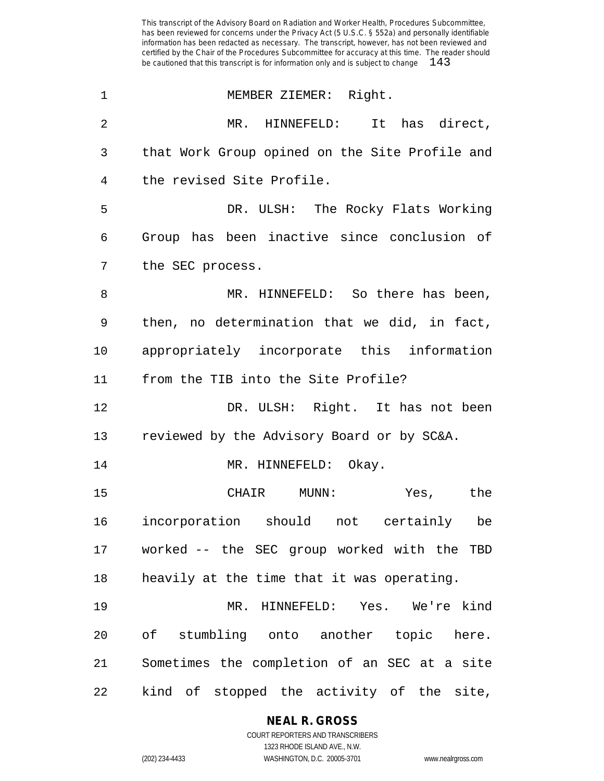| $\mathbf 1$    | MEMBER ZIEMER: Right.                          |
|----------------|------------------------------------------------|
| $\overline{2}$ | MR. HINNEFELD: It has direct,                  |
| 3              | that Work Group opined on the Site Profile and |
| 4              | the revised Site Profile.                      |
| 5              | DR. ULSH: The Rocky Flats Working              |
| 6              | Group has been inactive since conclusion of    |
| 7              | the SEC process.                               |
| 8              | MR. HINNEFELD: So there has been,              |
| 9              | then, no determination that we did, in fact,   |
| 10             | appropriately incorporate this information     |
| 11             | from the TIB into the Site Profile?            |
| 12             | DR. ULSH: Right. It has not been               |
| 13             | reviewed by the Advisory Board or by SC&A.     |
| 14             | MR. HINNEFELD: Okay.                           |
| 15             | CHAIR MUNN:<br>Yes, the                        |
| 16             | incorporation should not certainly<br>be       |
| 17             | worked -- the SEC group worked with the TBD    |
| 18             | heavily at the time that it was operating.     |
| 19             | MR. HINNEFELD: Yes. We're kind                 |
| 20             | of stumbling onto another topic here.          |
| 21             | Sometimes the completion of an SEC at a site   |
| 22             | kind of stopped the activity of the site,      |

#### **NEAL R. GROSS**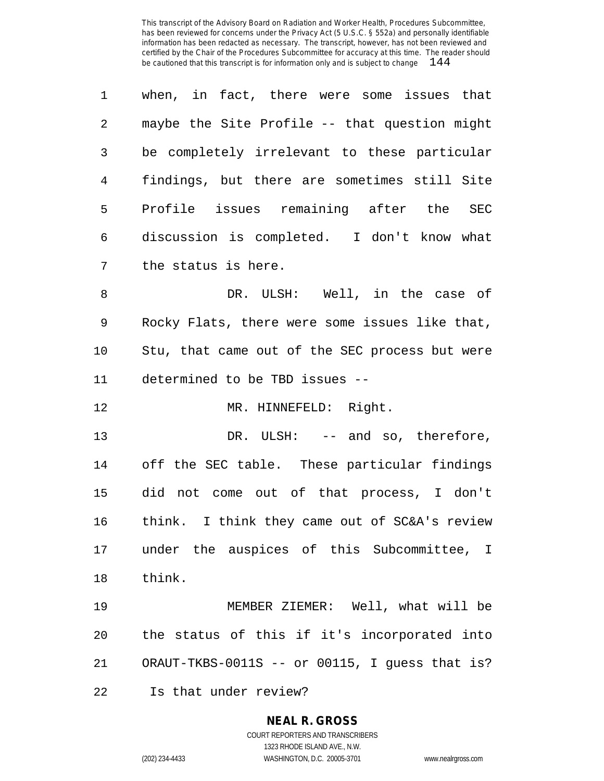| 1            | when, in fact, there were some issues that    |
|--------------|-----------------------------------------------|
| $2^{\circ}$  | maybe the Site Profile -- that question might |
| $\mathsf{3}$ | be completely irrelevant to these particular  |
| 4            | findings, but there are sometimes still Site  |
| 5            | Profile issues remaining after the<br>SEC     |
| 6            | discussion is completed. I don't know what    |
| 7            | the status is here.                           |
| 8            | DR. ULSH: Well, in the case of                |
|              |                                               |

 Rocky Flats, there were some issues like that, Stu, that came out of the SEC process but were determined to be TBD issues --

12 MR. HINNEFELD: Right.

13 DR. ULSH: -- and so, therefore, off the SEC table. These particular findings did not come out of that process, I don't think. I think they came out of SC&A's review under the auspices of this Subcommittee, I think.

 MEMBER ZIEMER: Well, what will be the status of this if it's incorporated into ORAUT-TKBS-0011S -- or 00115, I guess that is?

Is that under review?

# **NEAL R. GROSS**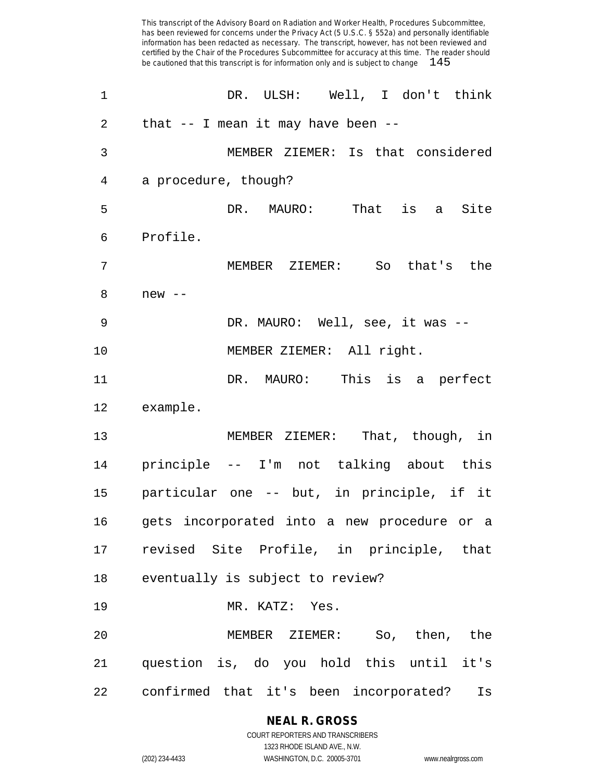| 1  | DR. ULSH: Well, I don't think                |
|----|----------------------------------------------|
| 2  | that $--$ I mean it may have been $--$       |
| 3  | MEMBER ZIEMER: Is that considered            |
| 4  | a procedure, though?                         |
| 5  | That is a Site<br>DR. MAURO:                 |
| 6  | Profile.                                     |
| 7  | So<br>that's the<br>MEMBER ZIEMER:           |
| 8  | $new$ --                                     |
| 9  | DR. MAURO: Well, see, it was --              |
| 10 | MEMBER ZIEMER: All right.                    |
| 11 | DR. MAURO: This is a perfect                 |
| 12 | example.                                     |
| 13 | MEMBER ZIEMER: That, though, in              |
| 14 | principle -- I'm not talking about this      |
| 15 | particular one -- but, in principle, if it   |
| 16 | gets incorporated into a new procedure or a  |
|    | 17 revised Site Profile, in principle, that  |
| 18 | eventually is subject to review?             |
| 19 | MR. KATZ: Yes.                               |
| 20 | MEMBER ZIEMER: So, then, the                 |
| 21 | question is, do you hold this until it's     |
| 22 | confirmed that it's been incorporated?<br>Is |

**NEAL R. GROSS** COURT REPORTERS AND TRANSCRIBERS 1323 RHODE ISLAND AVE., N.W.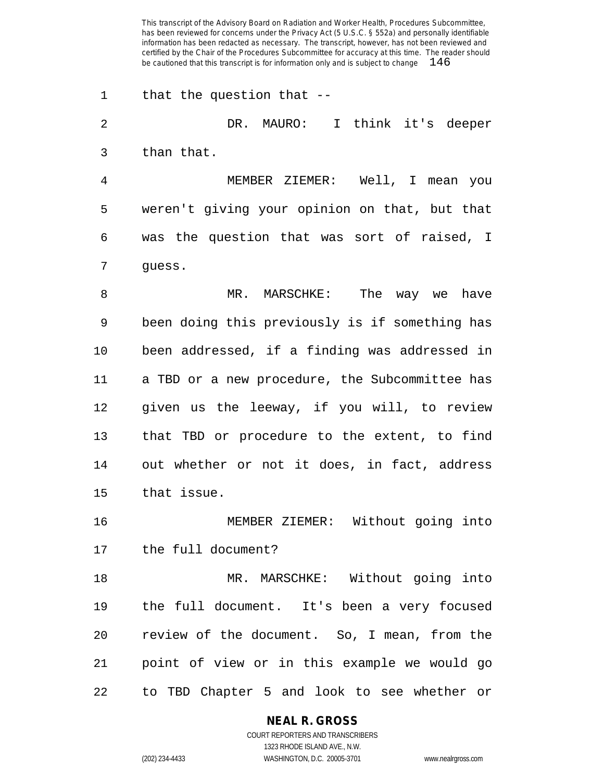that the question that --

 DR. MAURO: I think it's deeper than that. MEMBER ZIEMER: Well, I mean you weren't giving your opinion on that, but that was the question that was sort of raised, I guess.

8 MR. MARSCHKE: The way we have been doing this previously is if something has been addressed, if a finding was addressed in a TBD or a new procedure, the Subcommittee has given us the leeway, if you will, to review that TBD or procedure to the extent, to find out whether or not it does, in fact, address that issue.

 MEMBER ZIEMER: Without going into the full document?

 MR. MARSCHKE: Without going into the full document. It's been a very focused review of the document. So, I mean, from the point of view or in this example we would go to TBD Chapter 5 and look to see whether or

#### **NEAL R. GROSS** COURT REPORTERS AND TRANSCRIBERS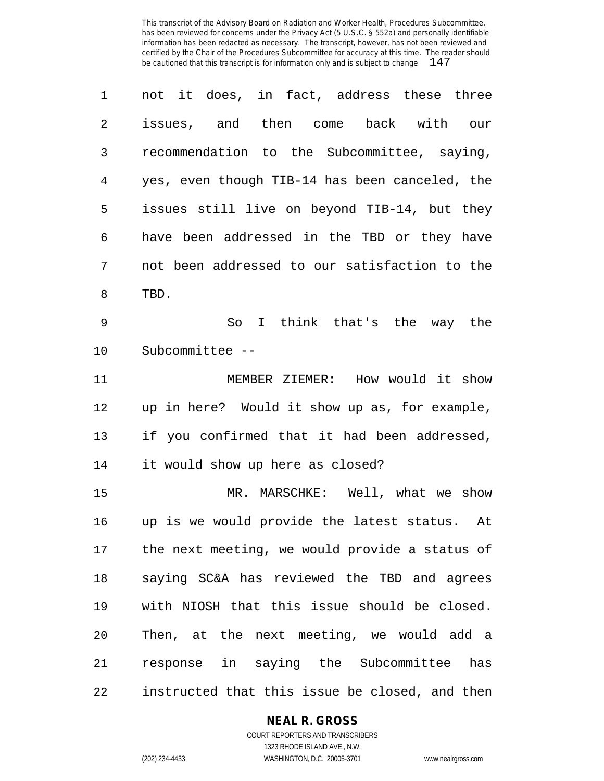| $\mathbf 1$    | not it does, in fact, address these three      |
|----------------|------------------------------------------------|
| 2              | issues, and then come back with our            |
| 3              | recommendation to the Subcommittee, saying,    |
| $\overline{4}$ | yes, even though TIB-14 has been canceled, the |
| 5              | issues still live on beyond TIB-14, but they   |
| 6              | have been addressed in the TBD or they have    |
| 7              | not been addressed to our satisfaction to the  |
| 8              | TBD.                                           |
| 9              | So I think that's the way the                  |
| 10             | Subcommittee --                                |
| 11             | MEMBER ZIEMER: How would it show               |
| 12             | up in here? Would it show up as, for example,  |
| 13             | if you confirmed that it had been addressed,   |
| 14             | it would show up here as closed?               |
| 15             | MR. MARSCHKE: Well, what we show               |
| 16             | up is we would provide the latest status. At   |
| 17             | the next meeting we would provide a status of  |

 the next meeting, we would provide a status of saying SC&A has reviewed the TBD and agrees with NIOSH that this issue should be closed. Then, at the next meeting, we would add a response in saying the Subcommittee has

instructed that this issue be closed, and then

#### **NEAL R. GROSS** COURT REPORTERS AND TRANSCRIBERS

1323 RHODE ISLAND AVE., N.W. (202) 234-4433 WASHINGTON, D.C. 20005-3701 www.nealrgross.com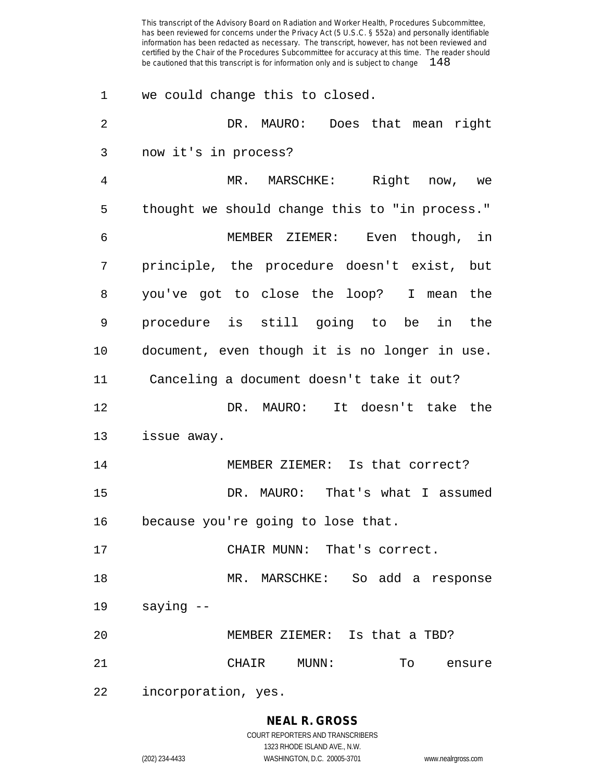| 1  | we could change this to closed.                |
|----|------------------------------------------------|
| 2  | DR. MAURO: Does that mean right                |
| 3  | now it's in process?                           |
| 4  | Right<br>MR. MARSCHKE:<br>now, we              |
| 5  | thought we should change this to "in process." |
| 6  | MEMBER ZIEMER: Even though, in                 |
| 7  | principle, the procedure doesn't exist, but    |
| 8  | you've got to close the loop? I mean the       |
| 9  | procedure is still going to be<br>in the       |
| 10 | document, even though it is no longer in use.  |
| 11 | Canceling a document doesn't take it out?      |
| 12 | DR. MAURO: It doesn't take the                 |
| 13 | issue away.                                    |
| 14 | MEMBER ZIEMER: Is that correct?                |
| 15 | DR. MAURO: That's what I assumed               |
| 16 | because you're going to lose that.             |
| 17 | CHAIR MUNN: That's correct.                    |
| 18 | MR. MARSCHKE: So add a response                |
| 19 | saying --                                      |
| 20 | MEMBER ZIEMER: Is that a TBD?                  |
| 21 | CHAIR MUNN:<br>To ensure                       |
| 22 | incorporation, yes.                            |

### **NEAL R. GROSS**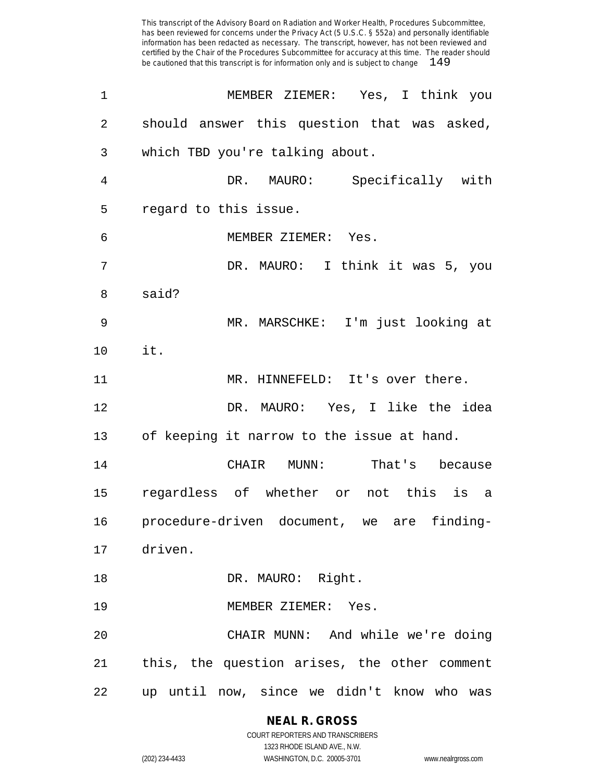| 1  | MEMBER ZIEMER: Yes, I think you              |
|----|----------------------------------------------|
| 2  | should answer this question that was asked,  |
| 3  | which TBD you're talking about.              |
| 4  | DR. MAURO: Specifically with                 |
| 5  | regard to this issue.                        |
| 6  | MEMBER ZIEMER: Yes.                          |
| 7  | DR. MAURO: I think it was 5, you             |
| 8  | said?                                        |
| 9  | MR. MARSCHKE: I'm just looking at            |
| 10 | it.                                          |
| 11 | MR. HINNEFELD: It's over there.              |
| 12 | DR. MAURO: Yes, I like the idea              |
| 13 | of keeping it narrow to the issue at hand.   |
| 14 | CHAIR MUNN: That's because                   |
| 15 | regardless of whether or not this is a       |
| 16 | procedure-driven document, we are finding-   |
|    | 17 driven.                                   |
| 18 | DR. MAURO: Right.                            |
| 19 | MEMBER ZIEMER: Yes.                          |
| 20 | CHAIR MUNN: And while we're doing            |
| 21 | this, the question arises, the other comment |
| 22 | up until now, since we didn't know who was   |

**NEAL R. GROSS** COURT REPORTERS AND TRANSCRIBERS

1323 RHODE ISLAND AVE., N.W. (202) 234-4433 WASHINGTON, D.C. 20005-3701 www.nealrgross.com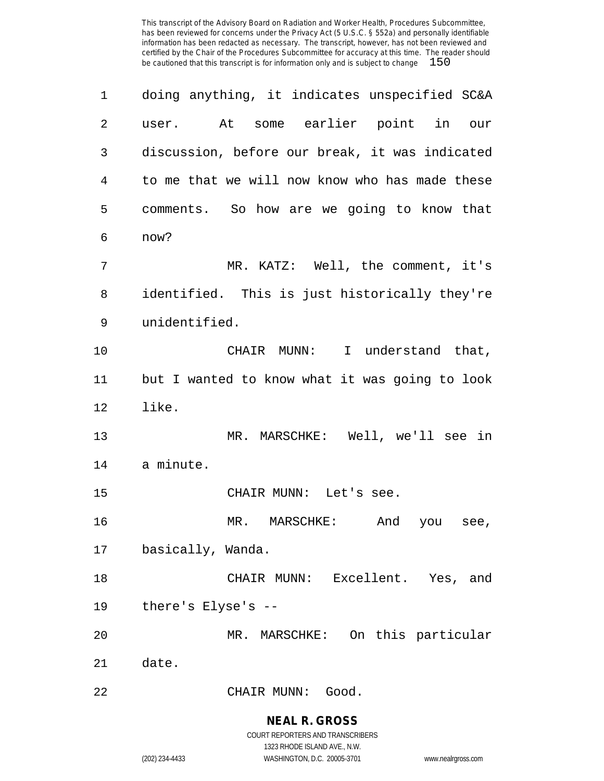| 1  | doing anything, it indicates unspecified SC&A  |
|----|------------------------------------------------|
| 2  | user. At some earlier point in our             |
| 3  | discussion, before our break, it was indicated |
| 4  | to me that we will now know who has made these |
| 5  | comments. So how are we going to know that     |
| 6  | now?                                           |
| 7  | MR. KATZ: Well, the comment, it's              |
| 8  | identified. This is just historically they're  |
| 9  | unidentified.                                  |
| 10 | CHAIR MUNN: I understand that,                 |
| 11 | but I wanted to know what it was going to look |
| 12 | like.                                          |
| 13 | MR. MARSCHKE: Well, we'll see in               |
| 14 | a minute.                                      |
| 15 | CHAIR MUNN: Let's see.                         |
| 16 | MR. MARSCHKE:<br>And<br>you see,               |
| 17 | basically, Wanda.                              |
| 18 | CHAIR MUNN: Excellent. Yes, and                |
| 19 | there's Elyse's --                             |
| 20 | MR. MARSCHKE: On this particular               |
| 21 | date.                                          |
| 22 | CHAIR MUNN: Good.                              |

**NEAL R. GROSS** COURT REPORTERS AND TRANSCRIBERS

1323 RHODE ISLAND AVE., N.W. (202) 234-4433 WASHINGTON, D.C. 20005-3701 www.nealrgross.com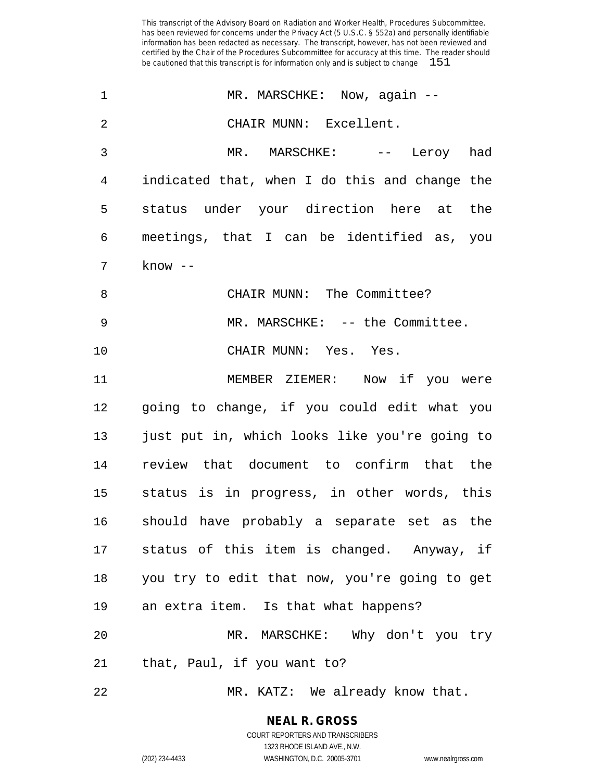| 1              | MR. MARSCHKE: Now, again --                   |
|----------------|-----------------------------------------------|
| $\overline{2}$ | CHAIR MUNN: Excellent.                        |
| 3              | MR. MARSCHKE: -- Leroy had                    |
| 4              | indicated that, when I do this and change the |
| 5              | status under your direction here at the       |
| 6              | meetings, that I can be identified as, you    |
| 7              | $know --$                                     |
| 8              | CHAIR MUNN: The Committee?                    |
| 9              | MR. MARSCHKE: -- the Committee.               |
| 10             | CHAIR MUNN: Yes. Yes.                         |
| 11             | MEMBER ZIEMER: Now if you were                |
| 12             | going to change, if you could edit what you   |
| 13             | just put in, which looks like you're going to |
| 14             | review that document to confirm that the      |
| 15             | status is in progress, in other words, this   |
| 16             | should have probably a separate set as the    |
| 17             | status of this item is changed. Anyway, if    |
| 18             | you try to edit that now, you're going to get |
| 19             | an extra item. Is that what happens?          |
| 20             | MR. MARSCHKE: Why don't you try               |
| 21             | that, Paul, if you want to?                   |
| 22             | MR. KATZ: We already know that.               |

**NEAL R. GROSS**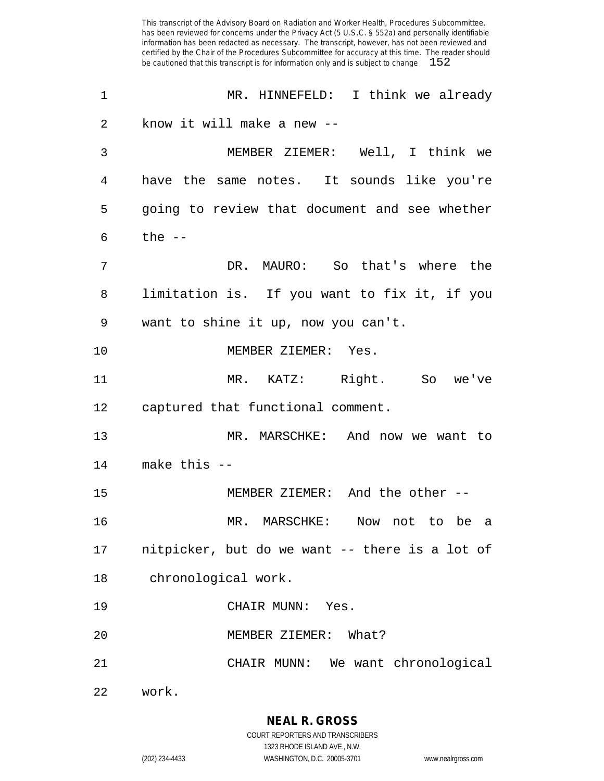MR. HINNEFELD: I think we already know it will make a new -- MEMBER ZIEMER: Well, I think we have the same notes. It sounds like you're going to review that document and see whether the  $-$  DR. MAURO: So that's where the limitation is. If you want to fix it, if you want to shine it up, now you can't. MEMBER ZIEMER: Yes. MR. KATZ: Right. So we've captured that functional comment. MR. MARSCHKE: And now we want to make this -- MEMBER ZIEMER: And the other -- MR. MARSCHKE: Now not to be a nitpicker, but do we want -- there is a lot of chronological work. CHAIR MUNN: Yes. MEMBER ZIEMER: What? CHAIR MUNN: We want chronological work.

1323 RHODE ISLAND AVE., N.W.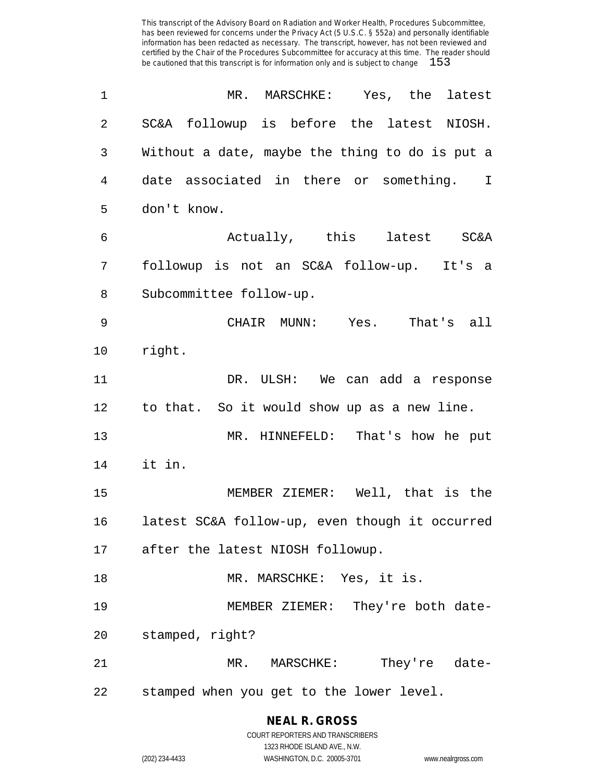| 1  | MR. MARSCHKE: Yes, the latest                  |
|----|------------------------------------------------|
| 2  | SC&A followup is before the latest NIOSH.      |
| 3  | Without a date, maybe the thing to do is put a |
| 4  | date associated in there or something. I       |
| 5  | don't know.                                    |
| 6  | Actually, this latest SC&A                     |
| 7  | followup is not an SC&A follow-up. It's a      |
| 8  | Subcommittee follow-up.                        |
| 9  | CHAIR MUNN: Yes. That's all                    |
| 10 | right.                                         |
| 11 | DR. ULSH: We can add a response                |
| 12 | to that. So it would show up as a new line.    |
| 13 | MR. HINNEFELD: That's how he put               |
| 14 | it in.                                         |
| 15 | MEMBER ZIEMER: Well, that is the               |
| 16 | latest SC&A follow-up, even though it occurred |
|    | 17 after the latest NIOSH followup.            |
| 18 | MR. MARSCHKE: Yes, it is.                      |
| 19 | MEMBER ZIEMER: They're both date-              |
| 20 | stamped, right?                                |
| 21 | MR. MARSCHKE: They're date-                    |
| 22 | stamped when you get to the lower level.       |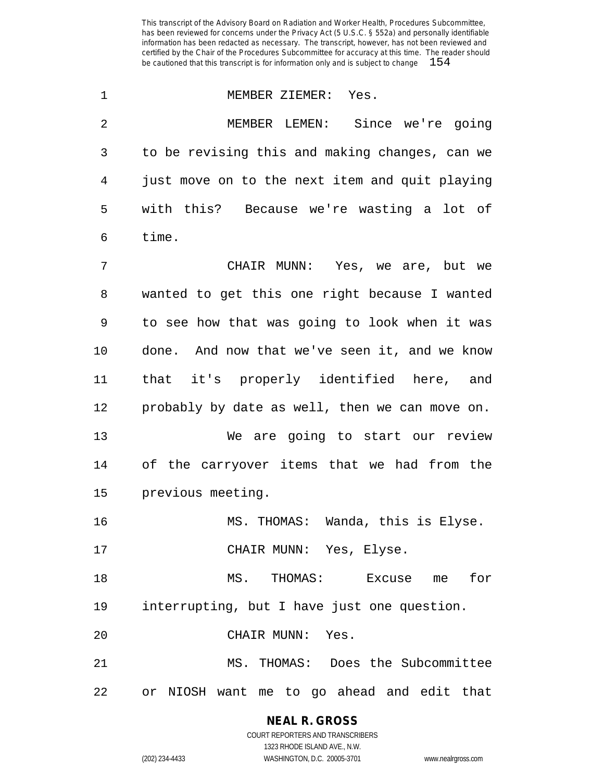| $\mathbf 1$ | MEMBER ZIEMER: Yes.                            |
|-------------|------------------------------------------------|
| 2           | MEMBER LEMEN: Since we're going                |
| 3           | to be revising this and making changes, can we |
| 4           | just move on to the next item and quit playing |
| 5           | with this? Because we're wasting a lot of      |
| 6           | time.                                          |
| 7           | CHAIR MUNN: Yes, we are, but we                |
| 8           | wanted to get this one right because I wanted  |
| 9           | to see how that was going to look when it was  |
| 10          | done. And now that we've seen it, and we know  |
| 11          | that it's properly identified here, and        |
| 12          | probably by date as well, then we can move on. |
| 13          | We are going to start our review               |
| 14          | of the carryover items that we had from the    |
| 15          | previous meeting.                              |
| 16          | MS. THOMAS: Wanda, this is Elyse.              |
| 17          | CHAIR MUNN: Yes, Elyse.                        |
| 18          | MS. THOMAS: Excuse me<br>for                   |
| 19          | interrupting, but I have just one question.    |
| 20          | CHAIR MUNN: Yes.                               |
| 21          | MS. THOMAS: Does the Subcommittee              |
| 22          | or NIOSH want me to go ahead and edit that     |

**NEAL R. GROSS** COURT REPORTERS AND TRANSCRIBERS

1323 RHODE ISLAND AVE., N.W. (202) 234-4433 WASHINGTON, D.C. 20005-3701 www.nealrgross.com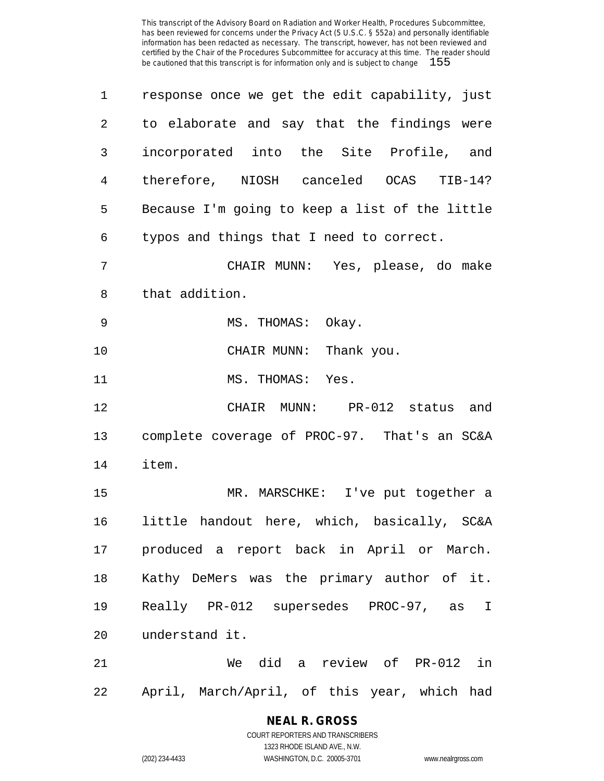| $\mathbf{1}$   | response once we get the edit capability, just      |
|----------------|-----------------------------------------------------|
| 2              | to elaborate and say that the findings were         |
| 3              | incorporated into the Site Profile, and             |
| $\overline{4}$ | therefore, NIOSH canceled OCAS TIB-14?              |
| 5              | Because I'm going to keep a list of the little      |
| 6              | typos and things that I need to correct.            |
| 7              | CHAIR MUNN: Yes, please, do make                    |
| 8              | that addition.                                      |
| 9              | MS. THOMAS: Okay.                                   |
| 10             | CHAIR MUNN: Thank you.                              |
| 11             | MS. THOMAS: Yes.                                    |
| 12             | CHAIR MUNN: PR-012 status and                       |
| 13             | complete coverage of PROC-97. That's an SC&A        |
| 14             | item.                                               |
| 15             | MR. MARSCHKE: I've put together a                   |
| 16             | little handout here, which, basically, SC&A         |
|                | 17 produced a report back in April or March.        |
| 18             | Kathy DeMers was the primary author of it.          |
| 19             | Really PR-012 supersedes PROC-97, as<br>$\mathbf I$ |
| 20             | understand it.                                      |
| 21             | We did a review of PR-012 in                        |
|                |                                                     |

April, March/April, of this year, which had

### **NEAL R. GROSS**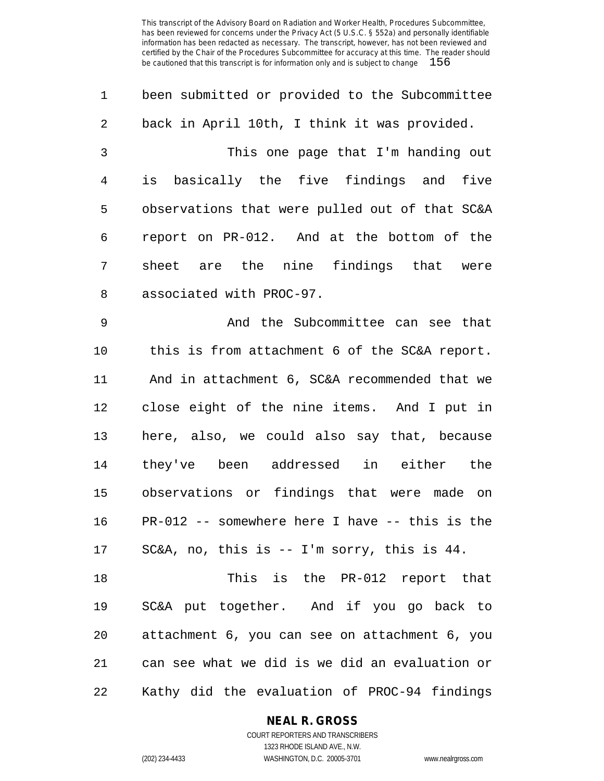| $\mathbf{1}$   | been submitted or provided to the Subcommittee |
|----------------|------------------------------------------------|
| $\overline{2}$ | back in April 10th, I think it was provided.   |
| 3              | This one page that I'm handing out             |
| 4              | is basically the five findings and five        |
| 5              | observations that were pulled out of that SC&A |
| 6              | report on PR-012. And at the bottom of the     |
| 7              | sheet are the nine findings that were          |
| 8              | associated with PROC-97.                       |

 And the Subcommittee can see that this is from attachment 6 of the SC&A report. And in attachment 6, SC&A recommended that we close eight of the nine items. And I put in here, also, we could also say that, because they've been addressed in either the observations or findings that were made on PR-012 -- somewhere here I have -- this is the SC&A, no, this is -- I'm sorry, this is 44.

 This is the PR-012 report that SC&A put together. And if you go back to attachment 6, you can see on attachment 6, you can see what we did is we did an evaluation or Kathy did the evaluation of PROC-94 findings

**NEAL R. GROSS**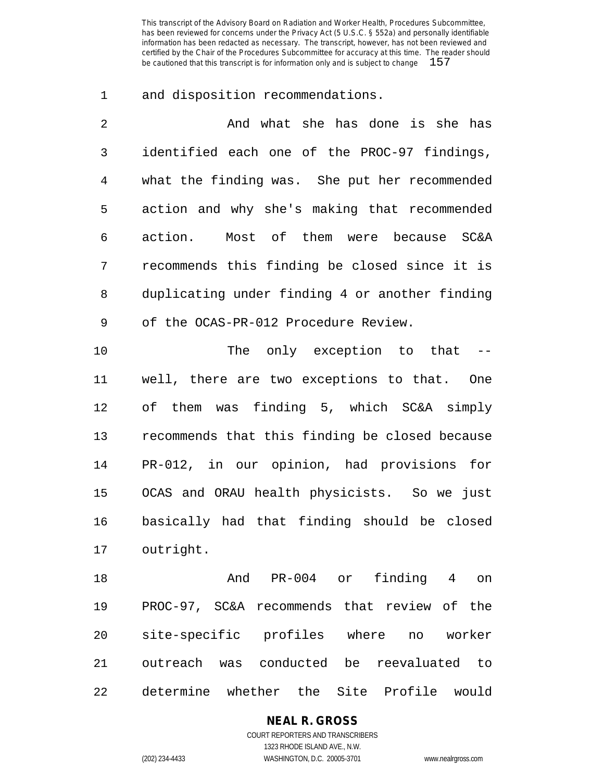and disposition recommendations.

| $\mathcal{D}$ | And what she has done is she has               |
|---------------|------------------------------------------------|
| 3             | identified each one of the PROC-97 findings,   |
| 4             | what the finding was. She put her recommended  |
| 5             | action and why she's making that recommended   |
| 6             | action. Most of them were because SC&A         |
| 7             | recommends this finding be closed since it is  |
| 8             | duplicating under finding 4 or another finding |
| 9             | of the OCAS-PR-012 Procedure Review.           |

10 The only exception to that -- well, there are two exceptions to that. One of them was finding 5, which SC&A simply recommends that this finding be closed because PR-012, in our opinion, had provisions for OCAS and ORAU health physicists. So we just basically had that finding should be closed outright.

 And PR-004 or finding 4 on PROC-97, SC&A recommends that review of the site-specific profiles where no worker outreach was conducted be reevaluated to determine whether the Site Profile would

> **NEAL R. GROSS** COURT REPORTERS AND TRANSCRIBERS 1323 RHODE ISLAND AVE., N.W.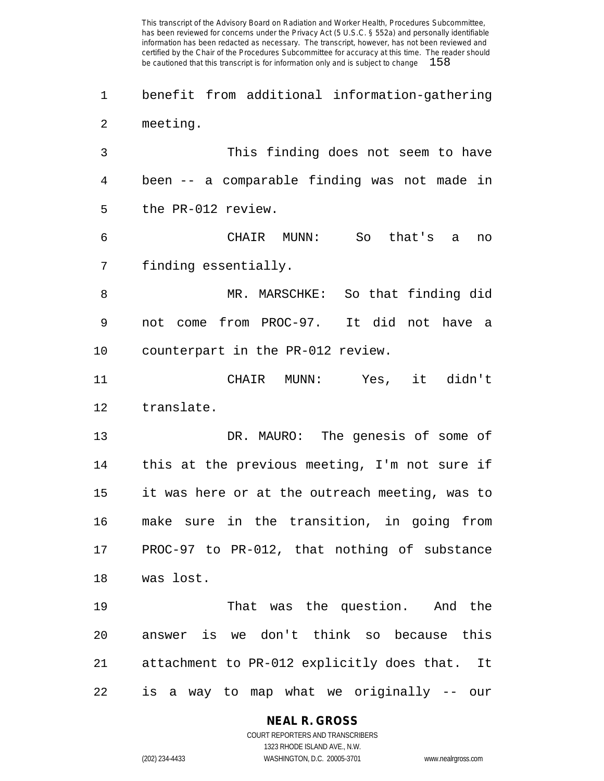benefit from additional information-gathering meeting.

 This finding does not seem to have been -- a comparable finding was not made in the PR-012 review.

 CHAIR MUNN: So that's a no finding essentially.

 MR. MARSCHKE: So that finding did not come from PROC-97. It did not have a counterpart in the PR-012 review.

 CHAIR MUNN: Yes, it didn't translate.

 DR. MAURO: The genesis of some of this at the previous meeting, I'm not sure if it was here or at the outreach meeting, was to make sure in the transition, in going from PROC-97 to PR-012, that nothing of substance was lost.

 That was the question. And the answer is we don't think so because this attachment to PR-012 explicitly does that. It is a way to map what we originally -- our

#### **NEAL R. GROSS**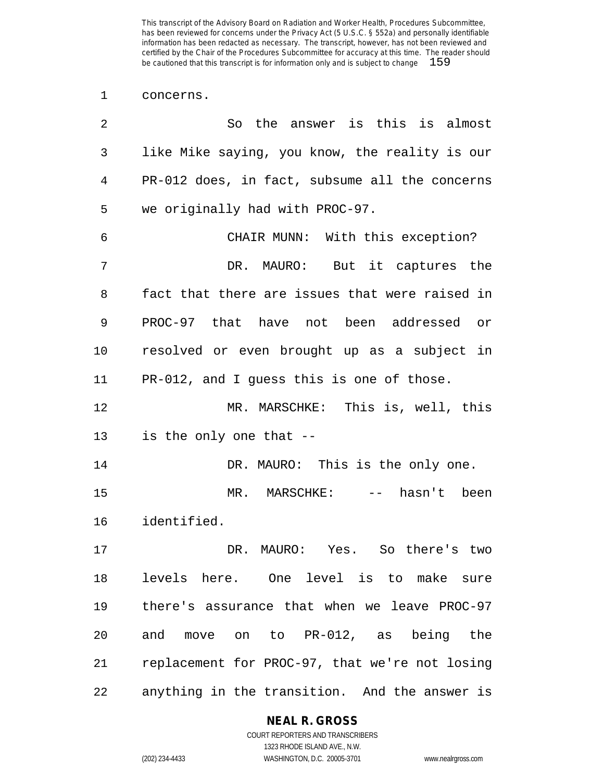#### concerns.

| 2  | So the answer is this is almost                |
|----|------------------------------------------------|
| 3  | like Mike saying, you know, the reality is our |
| 4  | PR-012 does, in fact, subsume all the concerns |
| 5  | we originally had with PROC-97.                |
| 6  | CHAIR MUNN: With this exception?               |
| 7  | DR. MAURO: But it captures the                 |
| 8  | fact that there are issues that were raised in |
| 9  | PROC-97 that have not been addressed or        |
| 10 | resolved or even brought up as a subject in    |
| 11 | PR-012, and I guess this is one of those.      |
| 12 | MR. MARSCHKE: This is, well, this              |
| 13 | is the only one that --                        |
| 14 | DR. MAURO: This is the only one.               |
| 15 | MR. MARSCHKE: -- hasn't been                   |
| 16 | identified.                                    |
| 17 | DR. MAURO: Yes. So there's two                 |
| 18 | levels here. One level is to make sure         |
| 19 | there's assurance that when we leave PROC-97   |
| 20 | and move on to PR-012, as being the            |
| 21 | replacement for PROC-97, that we're not losing |
| 22 | anything in the transition. And the answer is  |

#### **NEAL R. GROSS**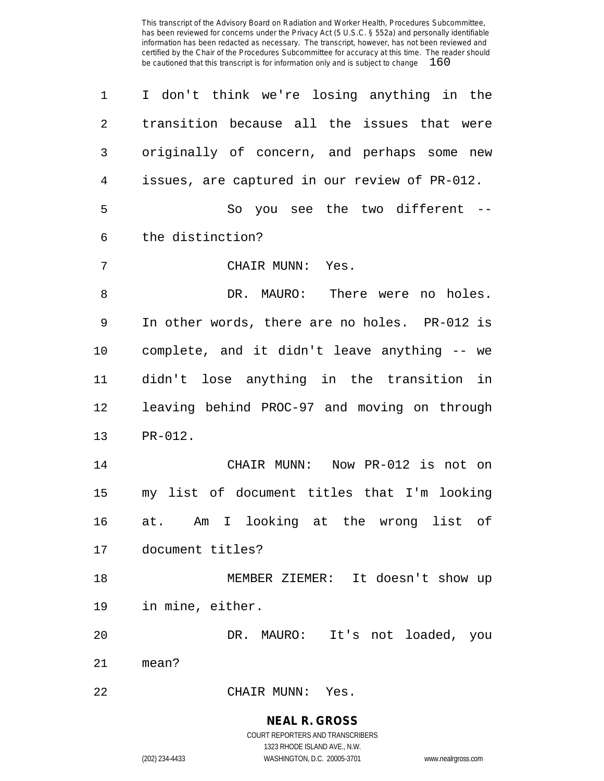I don't think we're losing anything in the transition because all the issues that were originally of concern, and perhaps some new issues, are captured in our review of PR-012. So you see the two different -- the distinction? CHAIR MUNN: Yes. 8 B. DR. MAURO: There were no holes. In other words, there are no holes. PR-012 is complete, and it didn't leave anything -- we didn't lose anything in the transition in leaving behind PROC-97 and moving on through PR-012. CHAIR MUNN: Now PR-012 is not on my list of document titles that I'm looking at. Am I looking at the wrong list of document titles? MEMBER ZIEMER: It doesn't show up in mine, either. DR. MAURO: It's not loaded, you mean? CHAIR MUNN: Yes.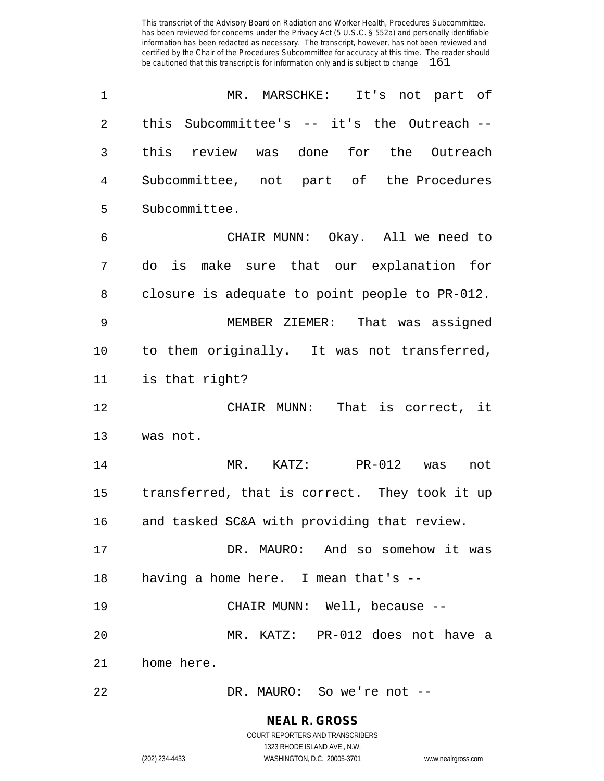| 1  | MR. MARSCHKE: It's not part of                 |
|----|------------------------------------------------|
| 2  | this Subcommittee's -- it's the Outreach --    |
| 3  | this review was done for the Outreach          |
| 4  | Subcommittee, not part of the Procedures       |
| 5  | Subcommittee.                                  |
| 6  | CHAIR MUNN: Okay. All we need to               |
| 7  | do is make sure that our explanation for       |
| 8  | closure is adequate to point people to PR-012. |
| 9  | MEMBER ZIEMER: That was assigned               |
| 10 | to them originally. It was not transferred,    |
| 11 | is that right?                                 |
| 12 | CHAIR MUNN: That is correct, it                |
| 13 | was not.                                       |
| 14 | MR. KATZ: PR-012 was<br>not                    |
| 15 | transferred, that is correct. They took it up  |
| 16 | and tasked SC&A with providing that review.    |
| 17 | DR. MAURO: And so somehow it was               |
| 18 | having a home here. I mean that's $-$ -        |
| 19 | CHAIR MUNN: Well, because --                   |
| 20 | MR. KATZ: PR-012 does not have a               |
| 21 | home here.                                     |
| 22 | DR. MAURO: So we're not --                     |

**NEAL R. GROSS**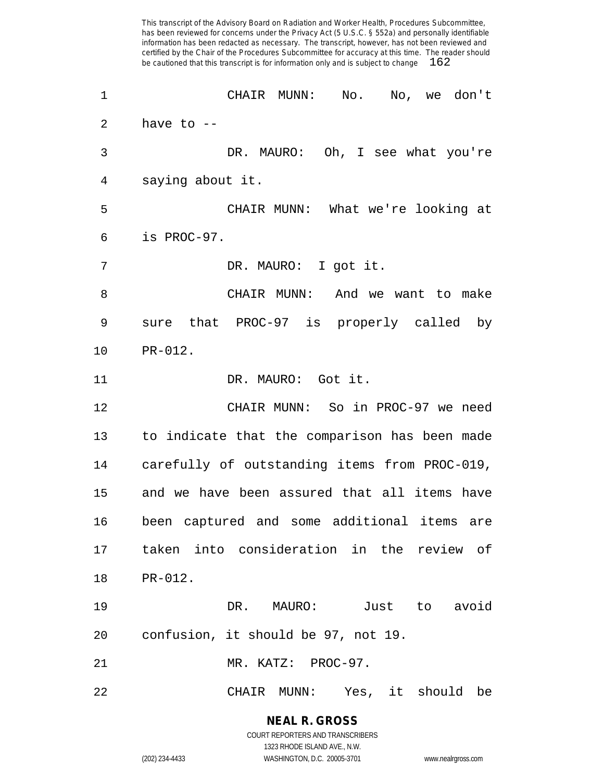CHAIR MUNN: No. No, we don't have to -- DR. MAURO: Oh, I see what you're saying about it. CHAIR MUNN: What we're looking at is PROC-97. DR. MAURO: I got it. CHAIR MUNN: And we want to make sure that PROC-97 is properly called by PR-012. 11 DR. MAURO: Got it. CHAIR MUNN: So in PROC-97 we need to indicate that the comparison has been made carefully of outstanding items from PROC-019, and we have been assured that all items have been captured and some additional items are taken into consideration in the review of PR-012. DR. MAURO: Just to avoid confusion, it should be 97, not 19. MR. KATZ: PROC-97. CHAIR MUNN: Yes, it should be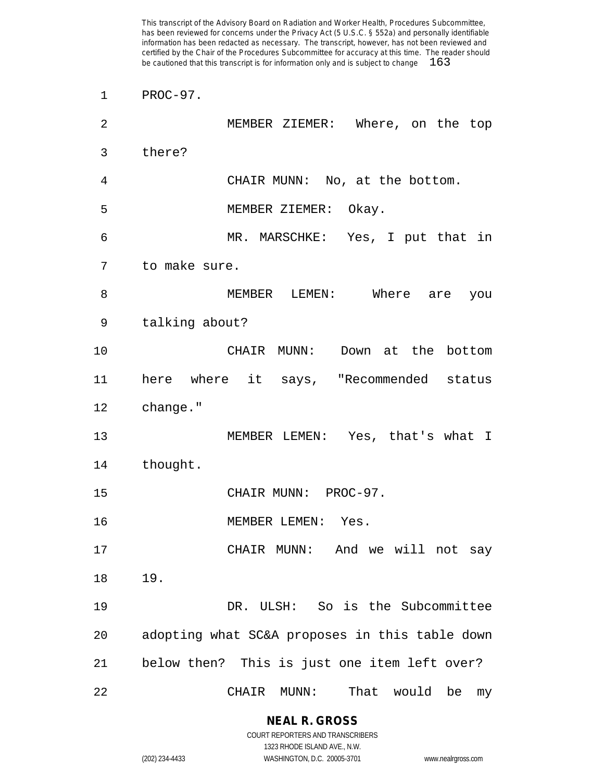| 1              | PROC-97.                                       |
|----------------|------------------------------------------------|
| $\overline{2}$ | MEMBER ZIEMER: Where, on the top               |
| 3              | there?                                         |
| 4              | CHAIR MUNN: No, at the bottom.                 |
| 5              | MEMBER ZIEMER: Okay.                           |
| 6              | MR. MARSCHKE: Yes, I put that in               |
| 7              | to make sure.                                  |
| 8              | MEMBER LEMEN: Where are you                    |
| 9              | talking about?                                 |
| 10             | CHAIR MUNN: Down at the bottom                 |
| 11             | here where it says, "Recommended status        |
| 12             | change."                                       |
| 13             | MEMBER LEMEN: Yes, that's what I               |
| 14             | thought.                                       |
| 15             | CHAIR MUNN: PROC-97.                           |
| 16             | MEMBER LEMEN: Yes.                             |
| 17             | CHAIR MUNN: And we will not say                |
| 18             | 19.                                            |
| 19             | DR. ULSH: So is the Subcommittee               |
| 20             | adopting what SC&A proposes in this table down |
| 21             | below then? This is just one item left over?   |
| 22             | MUNN:<br>That<br>would be<br>CHAIR<br>my       |

**NEAL R. GROSS** COURT REPORTERS AND TRANSCRIBERS

1323 RHODE ISLAND AVE., N.W. (202) 234-4433 WASHINGTON, D.C. 20005-3701 www.nealrgross.com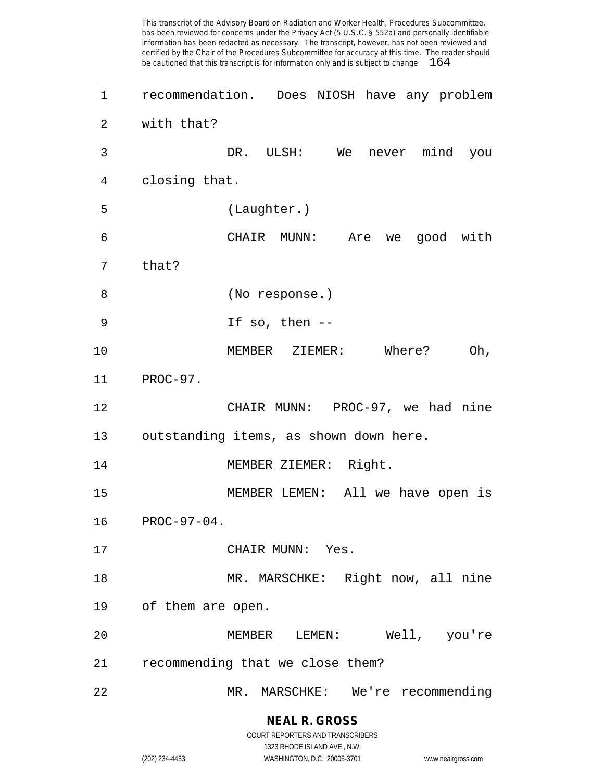This transcript of the Advisory Board on Radiation and Worker Health, Procedures Subcommittee, has been reviewed for concerns under the Privacy Act (5 U.S.C. § 552a) and personally identifiable information has been redacted as necessary. The transcript, however, has not been reviewed and certified by the Chair of the Procedures Subcommittee for accuracy at this time. The reader should be cautioned that this transcript is for information only and is subject to change recommendation. Does NIOSH have any problem with that? DR. ULSH: We never mind you closing that. (Laughter.) CHAIR MUNN: Are we good with that? (No response.) If so, then -- MEMBER ZIEMER: Where? Oh, PROC-97. CHAIR MUNN: PROC-97, we had nine outstanding items, as shown down here. MEMBER ZIEMER: Right. MEMBER LEMEN: All we have open is PROC-97-04. 17 CHAIR MUNN: Yes. MR. MARSCHKE: Right now, all nine of them are open. MEMBER LEMEN: Well, you're recommending that we close them? MR. MARSCHKE: We're recommending

> **NEAL R. GROSS** COURT REPORTERS AND TRANSCRIBERS

> > 1323 RHODE ISLAND AVE., N.W.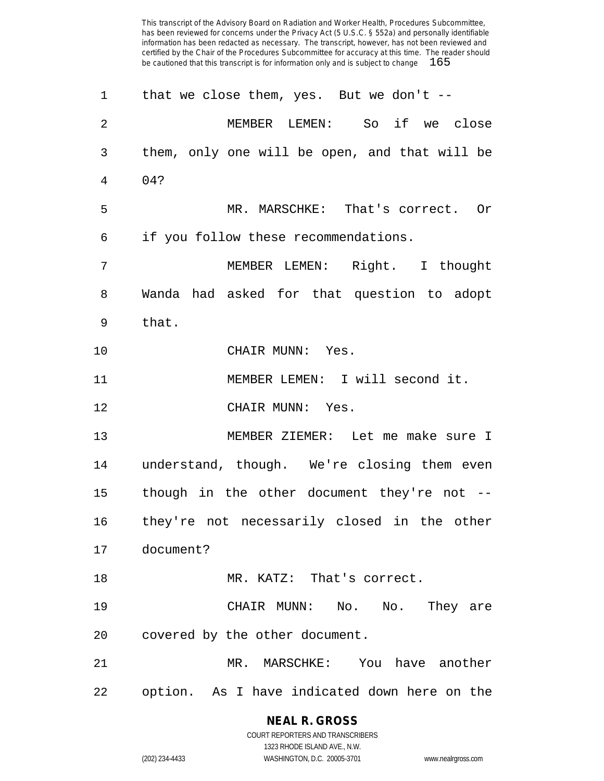| 1              | that we close them, yes. But we don't --      |
|----------------|-----------------------------------------------|
| $\overline{2}$ | MEMBER LEMEN: So if we close                  |
| 3              | them, only one will be open, and that will be |
| 4              | 04?                                           |
| 5              | MR. MARSCHKE: That's correct. Or              |
| 6              | if you follow these recommendations.          |
| 7              | MEMBER LEMEN: Right. I thought                |
| 8              | Wanda had asked for that question to adopt    |
| 9              | that.                                         |
| 10             | CHAIR MUNN: Yes.                              |
| 11             | MEMBER LEMEN: I will second it.               |
| 12             | CHAIR MUNN: Yes.                              |
| 13             | MEMBER ZIEMER: Let me make sure I             |
| 14             | understand, though. We're closing them even   |
| 15             | though in the other document they're not --   |
| 16             | they're not necessarily closed in the other   |
| 17             | document?                                     |
| 18             | MR. KATZ: That's correct.                     |
| 19             | CHAIR MUNN: No. No. They are                  |
| 20             | covered by the other document.                |
| 21             | MR. MARSCHKE: You have another                |
| 22             | option. As I have indicated down here on the  |

**NEAL R. GROSS** COURT REPORTERS AND TRANSCRIBERS

1323 RHODE ISLAND AVE., N.W.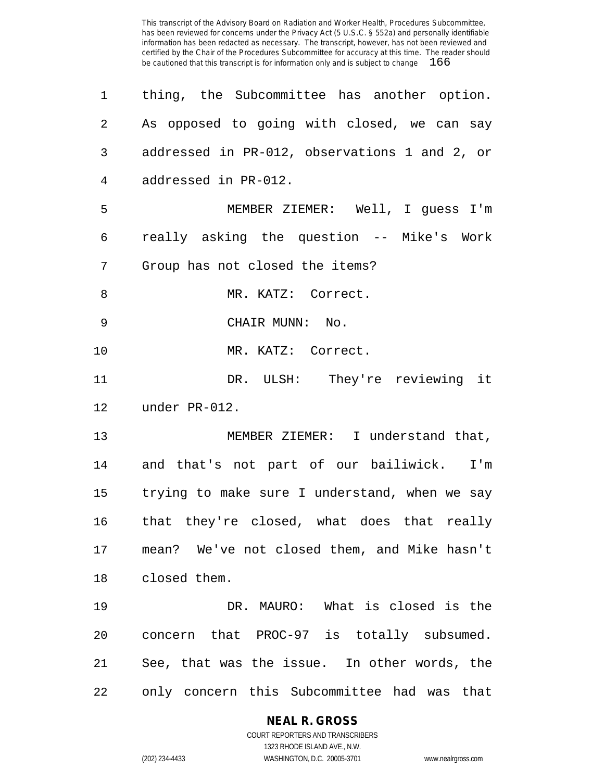| 1              | thing, the Subcommittee has another option.   |
|----------------|-----------------------------------------------|
| $\overline{2}$ | As opposed to going with closed, we can say   |
| 3              | addressed in PR-012, observations 1 and 2, or |
| 4              | addressed in PR-012.                          |
| 5              | MEMBER ZIEMER: Well, I guess I'm              |
| 6              | really asking the question -- Mike's Work     |
| 7              | Group has not closed the items?               |
| 8              | MR. KATZ: Correct.                            |
| 9              | CHAIR MUNN: No.                               |
| 10             | MR. KATZ: Correct.                            |
| 11             | DR. ULSH: They're reviewing it                |
| 12             | under PR-012.                                 |
| 13             | MEMBER ZIEMER: I understand that,             |
| 14             | and that's not part of our bailiwick. I'm     |
| 15             | trying to make sure I understand, when we say |
| 16             | that they're closed, what does that really    |
| 17             | mean? We've not closed them, and Mike hasn't  |
| 18             | closed them.                                  |
| 19             | DR. MAURO: What is closed is the              |
| 20             | concern that PROC-97 is totally subsumed.     |
| 21             | See, that was the issue. In other words, the  |
| 22             | only concern this Subcommittee had was that   |

**NEAL R. GROSS** COURT REPORTERS AND TRANSCRIBERS 1323 RHODE ISLAND AVE., N.W.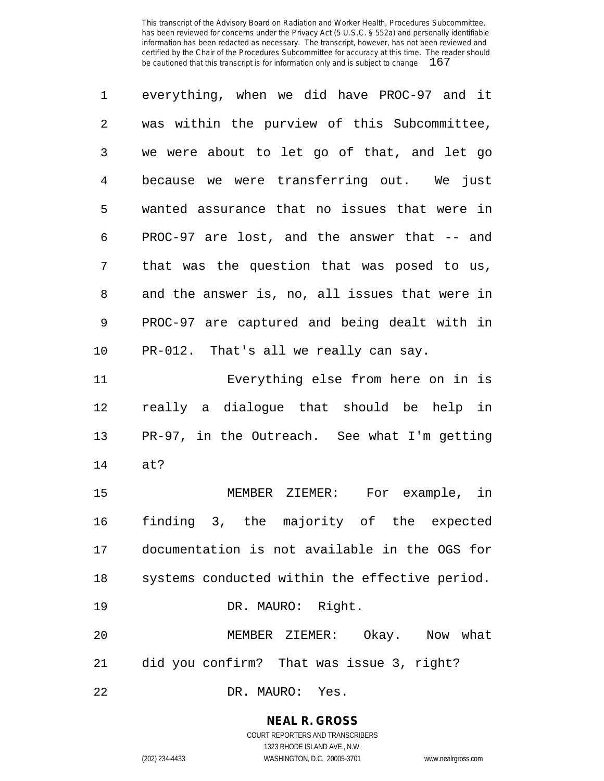| 1              | everything, when we did have PROC-97 and it    |
|----------------|------------------------------------------------|
| $\overline{2}$ | was within the purview of this Subcommittee,   |
| 3              | we were about to let go of that, and let go    |
| $\overline{4}$ | because we were transferring out. We just      |
| 5              | wanted assurance that no issues that were in   |
| 6              | PROC-97 are lost, and the answer that -- and   |
| 7              | that was the question that was posed to us,    |
| 8              | and the answer is, no, all issues that were in |
| $\mathsf 9$    | PROC-97 are captured and being dealt with in   |
| 10             | PR-012. That's all we really can say.          |
| 11             | Everything else from here on in is             |
| 12             | really a dialogue that should be help in       |
| 13             | PR-97, in the Outreach. See what I'm getting   |
| 14             | at?                                            |
| 15             | MEMBER ZIEMER: For example, in                 |
| 16             | finding 3, the majority of the expected        |
| 17             | documentation is not available in the OGS for  |
| 18             | systems conducted within the effective period. |
| 19             | DR. MAURO: Right.                              |
| 20             | MEMBER ZIEMER: Okay. Now what                  |
| 21             | did you confirm? That was issue 3, right?      |
| 22             | DR. MAURO: Yes.                                |

**NEAL R. GROSS**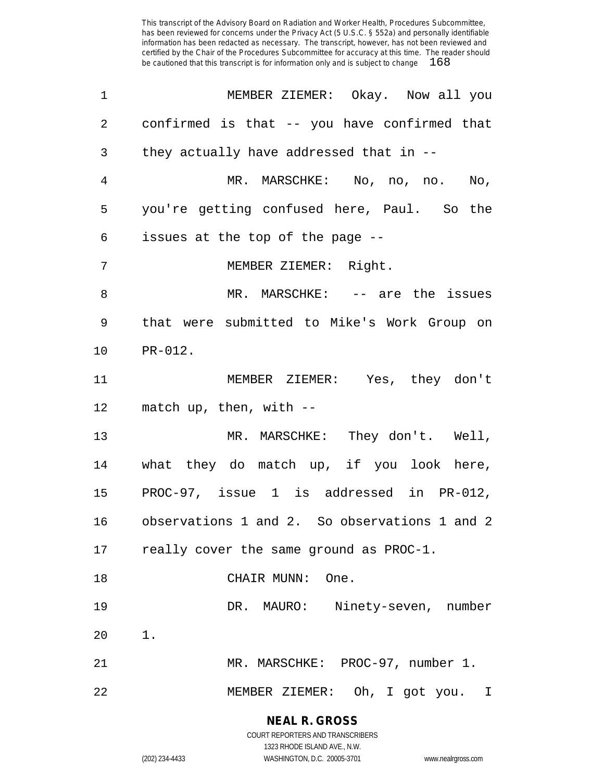| $\mathbf 1$ | MEMBER ZIEMER: Okay. Now all you              |
|-------------|-----------------------------------------------|
| 2           | confirmed is that -- you have confirmed that  |
| 3           | they actually have addressed that in --       |
| 4           | MR. MARSCHKE: No, no, no.<br>No,              |
| 5           | you're getting confused here, Paul. So the    |
| 6           | issues at the top of the page --              |
| 7           | MEMBER ZIEMER: Right.                         |
| 8           | MR. MARSCHKE: -- are the issues               |
| 9           | that were submitted to Mike's Work Group on   |
| 10          | PR-012.                                       |
| 11          | MEMBER ZIEMER: Yes, they don't                |
| 12          | match up, then, with $-$                      |
| 13          | MR. MARSCHKE: They don't. Well,               |
| 14          | what they do match up, if you look here,      |
| 15          | PROC-97, issue 1 is addressed in PR-012,      |
| 16          | observations 1 and 2. So observations 1 and 2 |
| 17          | really cover the same ground as PROC-1.       |
| 18          | CHAIR MUNN: One.                              |
| 19          | DR. MAURO: Ninety-seven, number               |
| 20          | $1$ .                                         |
| 21          | MR. MARSCHKE: PROC-97, number 1.              |
| 22          | MEMBER ZIEMER: Oh, I got you. I               |

**NEAL R. GROSS** COURT REPORTERS AND TRANSCRIBERS

1323 RHODE ISLAND AVE., N.W.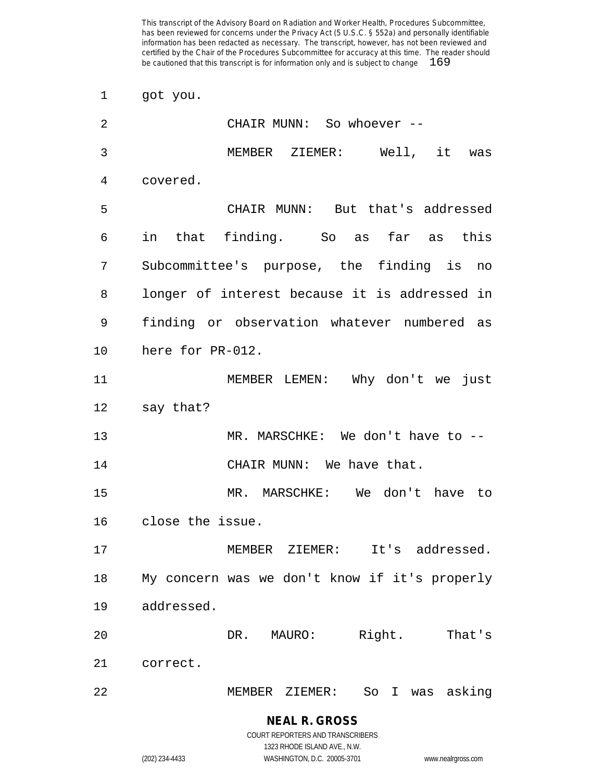got you.

| 2  | CHAIR MUNN: So whoever --                     |
|----|-----------------------------------------------|
| 3  | MEMBER ZIEMER: Well, it<br>was                |
| 4  | covered.                                      |
| 5  | CHAIR MUNN: But that's addressed              |
| 6  | in that finding. So as far as this            |
| 7  | Subcommittee's purpose, the finding is<br>no  |
| 8  | longer of interest because it is addressed in |
| 9  | finding or observation whatever numbered as   |
| 10 | here for PR-012.                              |
| 11 | MEMBER LEMEN: Why don't we just               |
| 12 | say that?                                     |
| 13 | MR. MARSCHKE: We don't have to --             |
| 14 | CHAIR MUNN: We have that.                     |
| 15 | MR. MARSCHKE: We don't have to                |
| 16 | close the issue.                              |
| 17 | It's addressed.<br>MEMBER<br>ZIEMER:          |
| 18 | My concern was we don't know if it's properly |
| 19 | addressed.                                    |
| 20 | Right.<br>That's<br>DR. MAURO:                |
| 21 | correct.                                      |
| 22 | So I was asking<br>MEMBER ZIEMER:             |

**NEAL R. GROSS** COURT REPORTERS AND TRANSCRIBERS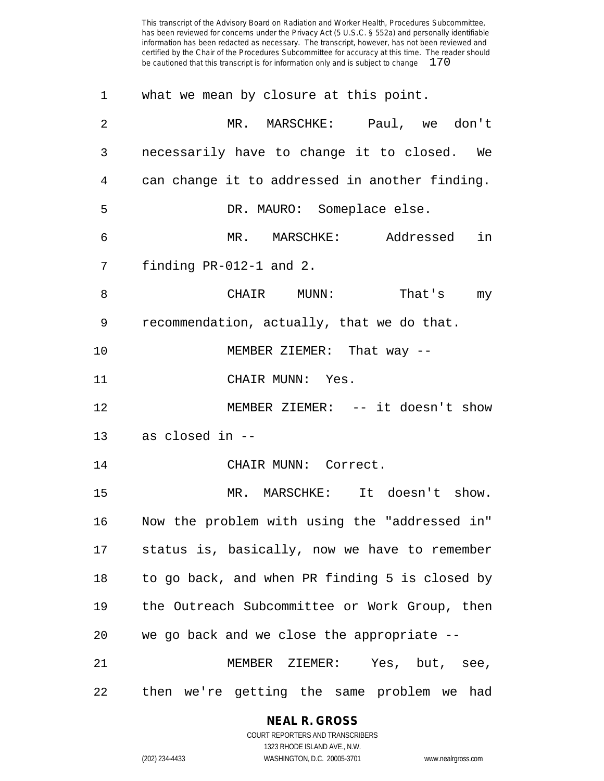| 1              | what we mean by closure at this point.         |
|----------------|------------------------------------------------|
| $\overline{2}$ | MR. MARSCHKE: Paul, we don't                   |
| 3              | necessarily have to change it to closed. We    |
| 4              | can change it to addressed in another finding. |
| 5              | DR. MAURO: Someplace else.                     |
| 6              | MR. MARSCHKE: Addressed<br>in                  |
| 7              | finding PR-012-1 and 2.                        |
| 8              | CHAIR MUNN:<br>That's my                       |
| 9              | recommendation, actually, that we do that.     |
| 10             | MEMBER ZIEMER: That way --                     |
| 11             | CHAIR MUNN: Yes.                               |
| 12             | MEMBER ZIEMER: -- it doesn't show              |
| 13             | as closed in --                                |
| 14             | CHAIR MUNN: Correct.                           |
| 15             | MR. MARSCHKE: It doesn't show.                 |
| 16             | Now the problem with using the "addressed in"  |
| 17             | status is, basically, now we have to remember  |
| 18             | to go back, and when PR finding 5 is closed by |
| 19             | the Outreach Subcommittee or Work Group, then  |
| 20             | we go back and we close the appropriate --     |
| 21             | MEMBER ZIEMER:<br>Yes, but, see,               |
| 22             | then we're getting the same problem we had     |

#### **NEAL R. GROSS**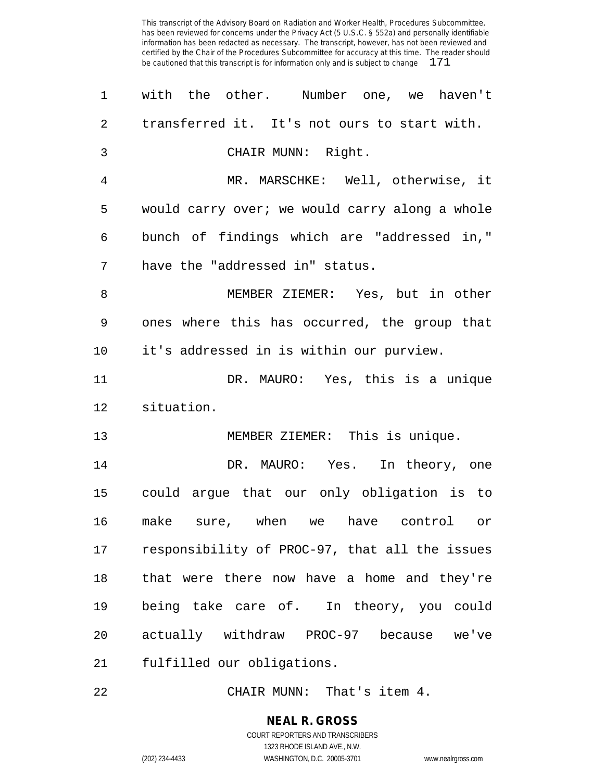| 1              | with the other. Number one, we haven't         |
|----------------|------------------------------------------------|
| $\overline{2}$ | transferred it. It's not ours to start with.   |
| 3              | CHAIR MUNN: Right.                             |
| 4              | MR. MARSCHKE: Well, otherwise, it              |
| 5              | would carry over; we would carry along a whole |
| 6              | bunch of findings which are "addressed in,"    |
| 7              | have the "addressed in" status.                |
| 8              | MEMBER ZIEMER: Yes, but in other               |
| 9              | ones where this has occurred, the group that   |
| 10             | it's addressed in is within our purview.       |
| 11             | DR. MAURO: Yes, this is a unique               |
| 12             | situation.                                     |
| 13             | MEMBER ZIEMER: This is unique.                 |
| 14             | DR. MAURO: Yes. In theory, one                 |
| 15             | could argue that our only obligation is to     |
| 16             | make sure, when we have control or             |
| 17             | responsibility of PROC-97, that all the issues |
| 18             | that were there now have a home and they're    |
| 19             | being take care of. In theory, you could       |
| 20             | actually withdraw PROC-97 because we've        |
| 21             | fulfilled our obligations.                     |
|                |                                                |

22 CHAIR MUNN: That's item 4.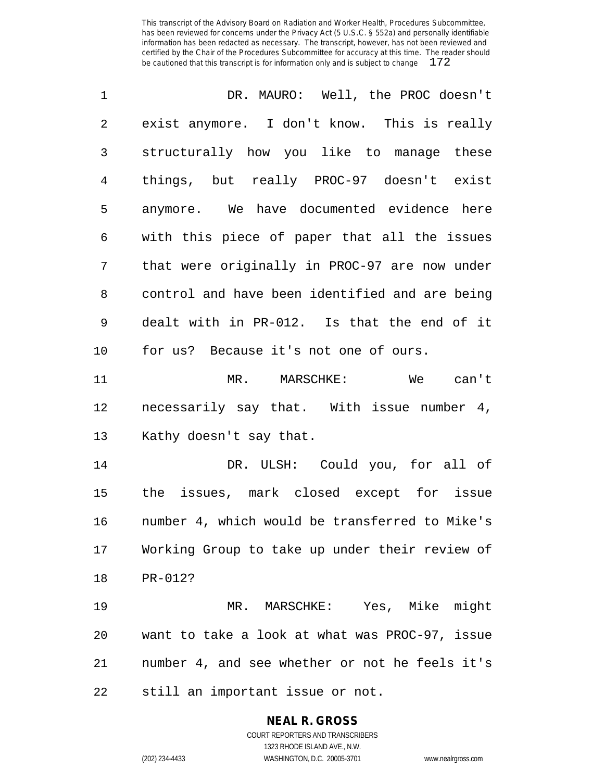| 1              | DR. MAURO: Well, the PROC doesn't              |
|----------------|------------------------------------------------|
| $\sqrt{2}$     | exist anymore. I don't know. This is really    |
| 3              | structurally how you like to manage these      |
| $\overline{4}$ | things, but really PROC-97 doesn't exist       |
| 5              | anymore. We have documented evidence here      |
| 6              | with this piece of paper that all the issues   |
| 7              | that were originally in PROC-97 are now under  |
| 8              | control and have been identified and are being |
| $\mathsf 9$    | dealt with in PR-012. Is that the end of it    |
| 10             | for us? Because it's not one of ours.          |
| 11             | MR. MARSCHKE:<br>We can't                      |
| 12             | necessarily say that. With issue number 4,     |
| 13             | Kathy doesn't say that.                        |
| 14             | DR. ULSH: Could you, for all of                |
| 15             | the issues, mark closed except for issue       |
| 16             | number 4, which would be transferred to Mike's |
| 17             | Working Group to take up under their review of |
| 18             | PR-012?                                        |
| 19             | MR. MARSCHKE: Yes, Mike might                  |
| 20             | want to take a look at what was PROC-97, issue |
| 21             | number 4, and see whether or not he feels it's |
|                |                                                |

still an important issue or not.

# **NEAL R. GROSS**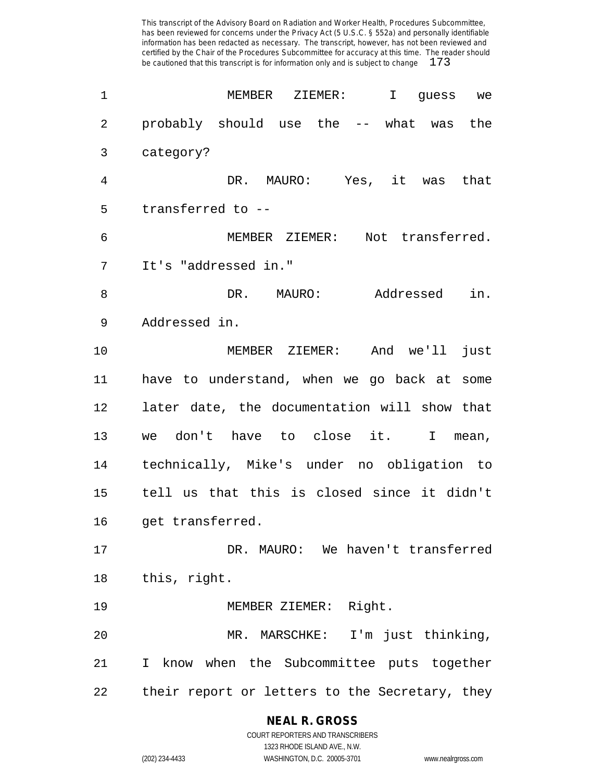| $\mathbf 1$ | MEMBER ZIEMER:<br>$\mathbf{I}$<br>quess we     |
|-------------|------------------------------------------------|
| 2           | probably should use the -- what was the        |
| 3           | category?                                      |
| 4           | DR. MAURO: Yes, it was that                    |
| 5           | transferred to --                              |
| 6           | MEMBER ZIEMER: Not transferred.                |
| 7           | It's "addressed in."                           |
| 8           | Addressed<br>in.<br>DR. MAURO:                 |
| 9           | Addressed in.                                  |
| 10          | MEMBER ZIEMER: And we'll<br>just               |
| 11          | have to understand, when we go back at some    |
| 12          | later date, the documentation will show that   |
| 13          | we don't have to close it.<br>I mean,          |
| 14          | technically, Mike's under no obligation to     |
| 15          | tell us that this is closed since it didn't    |
| 16          | get transferred.                               |
| 17          | DR. MAURO: We haven't transferred              |
| 18          | this, right.                                   |
| 19          | MEMBER ZIEMER: Right.                          |
| 20          | MR. MARSCHKE: I'm just thinking,               |
| 21          | I know when the Subcommittee puts together     |
| 22          | their report or letters to the Secretary, they |

## **NEAL R. GROSS**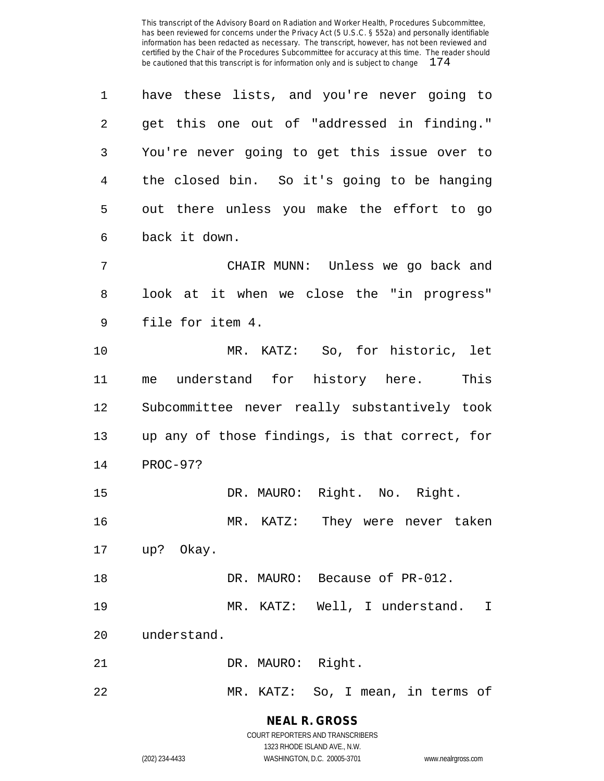have these lists, and you're never going to get this one out of "addressed in finding." You're never going to get this issue over to the closed bin. So it's going to be hanging out there unless you make the effort to go back it down. CHAIR MUNN: Unless we go back and look at it when we close the "in progress" file for item 4. MR. KATZ: So, for historic, let me understand for history here. This Subcommittee never really substantively took up any of those findings, is that correct, for PROC-97? DR. MAURO: Right. No. Right. MR. KATZ: They were never taken up? Okay. DR. MAURO: Because of PR-012. MR. KATZ: Well, I understand. I understand. 21 DR. MAURO: Right. MR. KATZ: So, I mean, in terms of

> **NEAL R. GROSS** COURT REPORTERS AND TRANSCRIBERS

> > 1323 RHODE ISLAND AVE., N.W.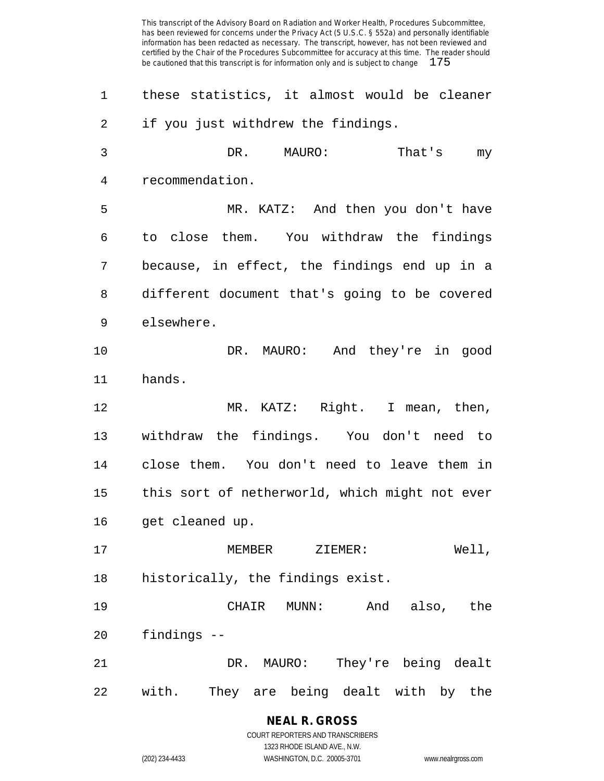these statistics, it almost would be cleaner if you just withdrew the findings. DR. MAURO: That's my recommendation. MR. KATZ: And then you don't have to close them. You withdraw the findings because, in effect, the findings end up in a different document that's going to be covered elsewhere. DR. MAURO: And they're in good hands. MR. KATZ: Right. I mean, then, withdraw the findings. You don't need to close them. You don't need to leave them in this sort of netherworld, which might not ever 16 get cleaned up. MEMBER ZIEMER: Well, historically, the findings exist. CHAIR MUNN: And also, the findings -- DR. MAURO: They're being dealt with. They are being dealt with by the

> **NEAL R. GROSS** COURT REPORTERS AND TRANSCRIBERS

1323 RHODE ISLAND AVE., N.W. (202) 234-4433 WASHINGTON, D.C. 20005-3701 www.nealrgross.com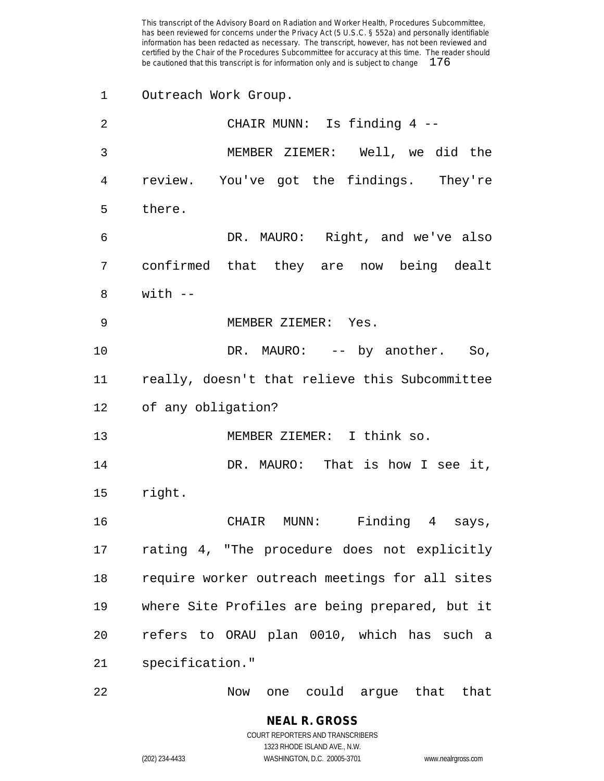Outreach Work Group.

| 2               | CHAIR MUNN: Is finding 4 --                    |
|-----------------|------------------------------------------------|
| 3               | MEMBER ZIEMER: Well, we did the                |
| 4               | review. You've got the findings. They're       |
| 5               | there.                                         |
| 6               | DR. MAURO: Right, and we've also               |
| 7               | confirmed that they are now being dealt        |
| 8               | with --                                        |
| 9               | MEMBER ZIEMER: Yes.                            |
| 10              | DR. MAURO: -- by another. So,                  |
| 11              | really, doesn't that relieve this Subcommittee |
|                 | 12 of any obligation?                          |
| 13              | MEMBER ZIEMER: I think so.                     |
| 14              | DR. MAURO: That is how I see it,               |
| 15              | right.                                         |
| 16              | CHAIR MUNN: Finding 4 says,                    |
| 17 <sub>2</sub> | rating 4, "The procedure does not explicitly   |
| 18              | require worker outreach meetings for all sites |
| 19              | where Site Profiles are being prepared, but it |
| 20              | refers to ORAU plan 0010, which has such a     |
| 21              | specification."                                |
| 22              | one could argue that<br>that<br>Now            |

COURT REPORTERS AND TRANSCRIBERS 1323 RHODE ISLAND AVE., N.W. (202) 234-4433 WASHINGTON, D.C. 20005-3701 www.nealrgross.com

**NEAL R. GROSS**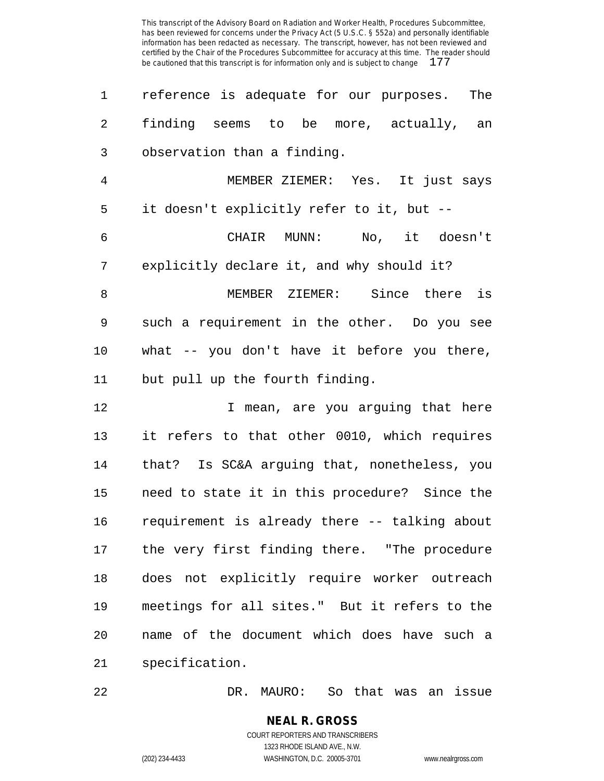| 1              | reference is adequate for our purposes. The   |
|----------------|-----------------------------------------------|
| $\overline{2}$ | finding seems to be more, actually, an        |
| 3              | observation than a finding.                   |
| $\overline{4}$ | MEMBER ZIEMER: Yes. It just says              |
| 5              | it doesn't explicitly refer to it, but --     |
| 6              | CHAIR MUNN: No, it doesn't                    |
| 7              | explicitly declare it, and why should it?     |
| 8              | MEMBER ZIEMER: Since there is                 |
| 9              | such a requirement in the other. Do you see   |
| 10             | what -- you don't have it before you there,   |
| 11             | but pull up the fourth finding.               |
| 12             | I mean, are you arguing that here             |
| 13             | it refers to that other 0010, which requires  |
| 14             | that? Is SC&A arguing that, nonetheless, you  |
| 15             | need to state it in this procedure? Since the |
| 16             | requirement is already there -- talking about |
| 17             | the very first finding there. "The procedure  |
| 18             | does not explicitly require worker outreach   |
| 19             | meetings for all sites." But it refers to the |
| 20             | name of the document which does have such a   |
| 21             | specification.                                |

DR. MAURO: So that was an issue

#### **NEAL R. GROSS** COURT REPORTERS AND TRANSCRIBERS 1323 RHODE ISLAND AVE., N.W.

(202) 234-4433 WASHINGTON, D.C. 20005-3701 www.nealrgross.com

 $\overline{a}$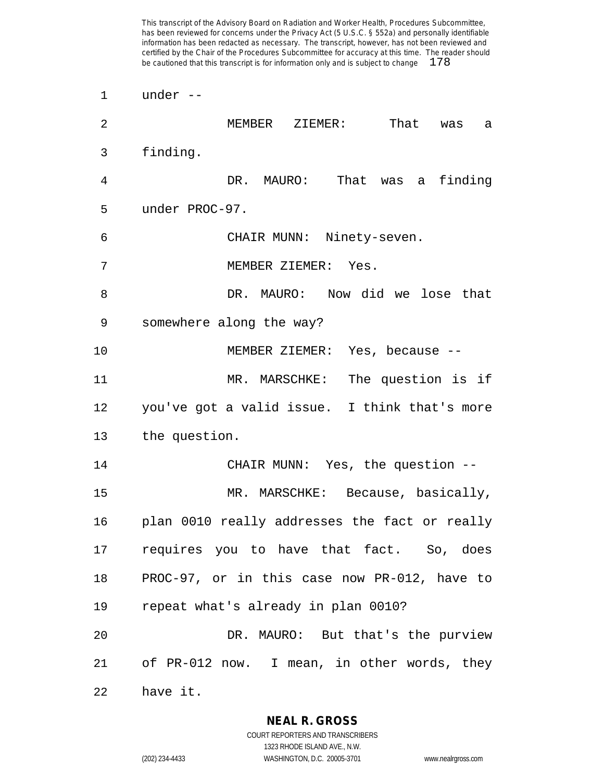under --

| $\overline{2}$ | MEMBER ZIEMER:<br>That<br>was<br>a            |
|----------------|-----------------------------------------------|
| 3              | finding.                                      |
| 4              | DR. MAURO: That was a<br>finding              |
| 5              | under PROC-97.                                |
| 6              | CHAIR MUNN: Ninety-seven.                     |
| 7              | MEMBER ZIEMER: Yes.                           |
| 8              | DR. MAURO: Now did we lose that               |
| 9              | somewhere along the way?                      |
| 10             | MEMBER ZIEMER: Yes, because --                |
| 11             | MR. MARSCHKE: The question is if              |
| 12             | you've got a valid issue. I think that's more |
| 13             | the question.                                 |
| 14             | CHAIR MUNN: Yes, the question --              |
| 15             | MR. MARSCHKE: Because, basically,             |
| 16             | plan 0010 really addresses the fact or really |
| 17             | requires you to have that fact. So, does      |
| 18             | PROC-97, or in this case now PR-012, have to  |
| 19             | repeat what's already in plan 0010?           |
| 20             | DR. MAURO: But that's the purview             |
| 21             | of PR-012 now. I mean, in other words, they   |
| 22             | have it.                                      |

**NEAL R. GROSS**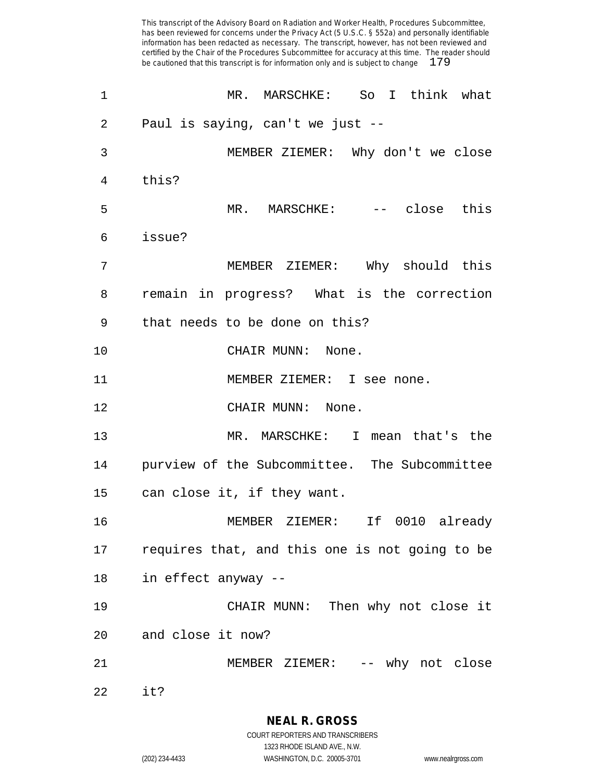| 1              | MR. MARSCHKE: So I think what                  |
|----------------|------------------------------------------------|
| $\overline{2}$ | Paul is saying, can't we just --               |
| 3              | MEMBER ZIEMER: Why don't we close              |
| 4              | this?                                          |
| 5              | MR. MARSCHKE: -- close this                    |
| 6              | issue?                                         |
| 7              | MEMBER ZIEMER: Why should this                 |
| 8              | remain in progress? What is the correction     |
| 9              | that needs to be done on this?                 |
| 10             | CHAIR MUNN: None.                              |
| 11             | MEMBER ZIEMER: I see none.                     |
| 12             | CHAIR MUNN: None.                              |
| 13             | MR. MARSCHKE: I mean that's the                |
| 14             | purview of the Subcommittee. The Subcommittee  |
| 15             | can close it, if they want.                    |
| 16             | MEMBER ZIEMER: If 0010 already                 |
| 17             | requires that, and this one is not going to be |
| 18             | in effect anyway --                            |
| 19             | CHAIR MUNN: Then why not close it              |
| 20             | and close it now?                              |
| 21             | MEMBER ZIEMER: -- why not close                |
| 22             | it?                                            |

**NEAL R. GROSS**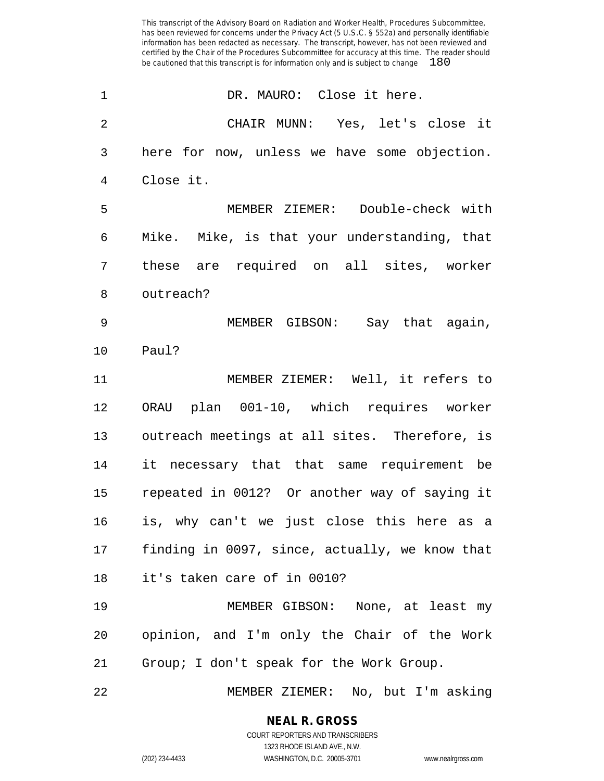| 1              | DR. MAURO: Close it here.                      |
|----------------|------------------------------------------------|
| $\overline{2}$ | CHAIR MUNN: Yes, let's close it                |
| 3              | here for now, unless we have some objection.   |
| $\overline{4}$ | Close it.                                      |
| 5              | MEMBER ZIEMER: Double-check with               |
| 6              | Mike. Mike, is that your understanding, that   |
| 7              | these are required on all sites, worker        |
| 8              | outreach?                                      |
| 9              | MEMBER GIBSON: Say that again,                 |
| 10             | Paul?                                          |
| 11             | MEMBER ZIEMER: Well, it refers to              |
| 12             | ORAU plan 001-10, which requires worker        |
| 13             | outreach meetings at all sites. Therefore, is  |
| 14             | it necessary that that same requirement be     |
| 15             | repeated in 0012? Or another way of saying it  |
| 16             | is, why can't we just close this here as a     |
| 17             | finding in 0097, since, actually, we know that |
| 18             | it's taken care of in 0010?                    |
| 19             | MEMBER GIBSON: None, at least my               |
| 20             | opinion, and I'm only the Chair of the Work    |
| 21             | Group; I don't speak for the Work Group.       |
| 22             | MEMBER ZIEMER: No, but I'm asking              |

**NEAL R. GROSS** COURT REPORTERS AND TRANSCRIBERS

1323 RHODE ISLAND AVE., N.W.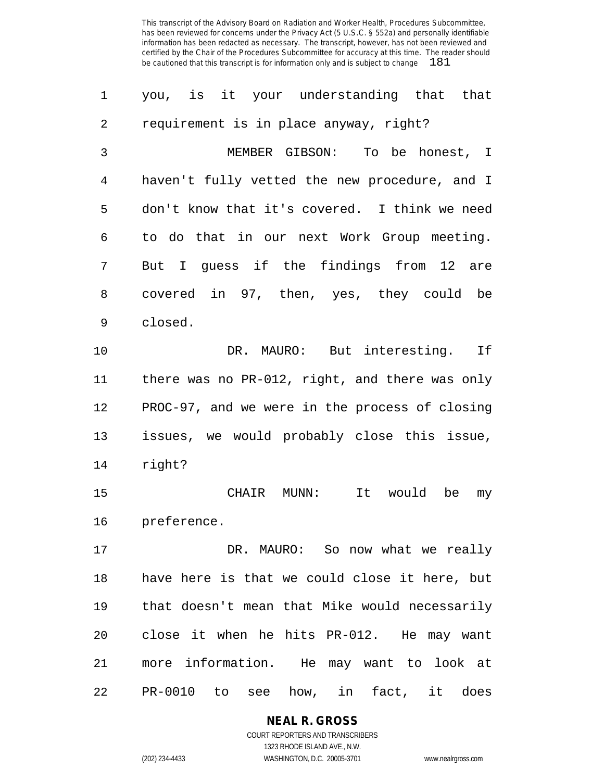| 1              | you, is it your understanding that that        |
|----------------|------------------------------------------------|
| $\overline{2}$ | requirement is in place anyway, right?         |
| 3              | MEMBER GIBSON:<br>To be honest, I              |
| $\overline{4}$ | haven't fully vetted the new procedure, and I  |
| 5              | don't know that it's covered. I think we need  |
| 6              | to do that in our next Work Group meeting.     |
| 7              | But I guess if the findings from<br>12 are     |
| 8              | covered in 97, then, yes, they could be        |
| 9              | closed.                                        |
| 10             | DR. MAURO: But interesting. If                 |
| 11             | there was no PR-012, right, and there was only |
| 12             | PROC-97, and we were in the process of closing |
| 13             | issues, we would probably close this issue,    |
| 14             | right?                                         |
| 15             | It would<br>CHAIR MUNN:<br>be<br>my            |
| 16             | preference.                                    |
| 17             | DR. MAURO: So now what we really               |
| 18             | have here is that we could close it here, but  |
| 19             | that doesn't mean that Mike would necessarily  |
| 20             | close it when he hits PR-012. He may want      |
| 21             | more information. He may want to look at       |
| 22             | PR-0010 to see how, in fact, it does           |

**NEAL R. GROSS**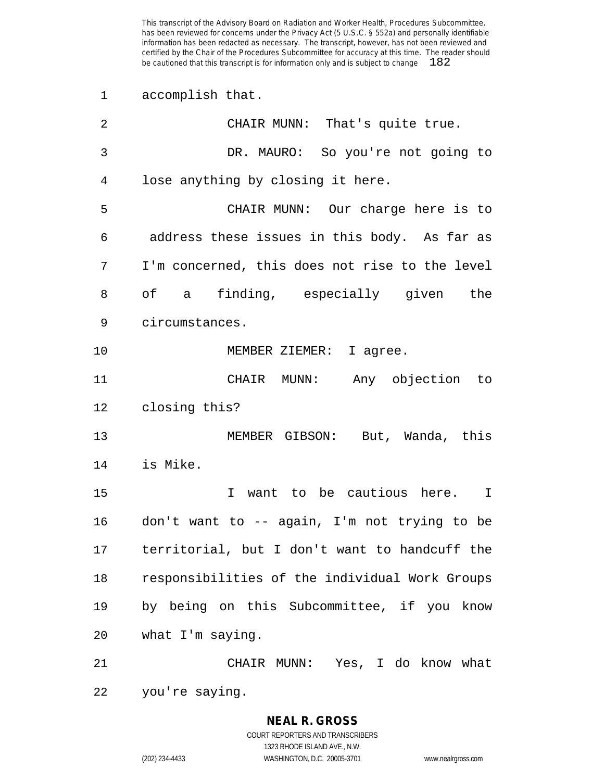accomplish that.

| 2  | CHAIR MUNN: That's quite true.                 |
|----|------------------------------------------------|
| 3  | DR. MAURO: So you're not going to              |
| 4  | lose anything by closing it here.              |
| 5  | CHAIR MUNN: Our charge here is to              |
| 6  | address these issues in this body. As far as   |
| 7  | I'm concerned, this does not rise to the level |
| 8  | of a finding, especially given the             |
| 9  | circumstances.                                 |
| 10 | MEMBER ZIEMER: I agree.                        |
| 11 | CHAIR MUNN: Any objection to                   |
| 12 | closing this?                                  |
| 13 | MEMBER GIBSON: But, Wanda, this                |
| 14 | is Mike.                                       |
| 15 | I want to be cautious here. I                  |
| 16 | don't want to -- again, I'm not trying to be   |
| 17 | territorial, but I don't want to handcuff the  |
| 18 | responsibilities of the individual Work Groups |
| 19 | by being on this Subcommittee, if you know     |
| 20 | what I'm saying.                               |
| 21 | CHAIR MUNN: Yes, I do know what                |
| 22 | you're saying.                                 |

**NEAL R. GROSS** COURT REPORTERS AND TRANSCRIBERS 1323 RHODE ISLAND AVE., N.W.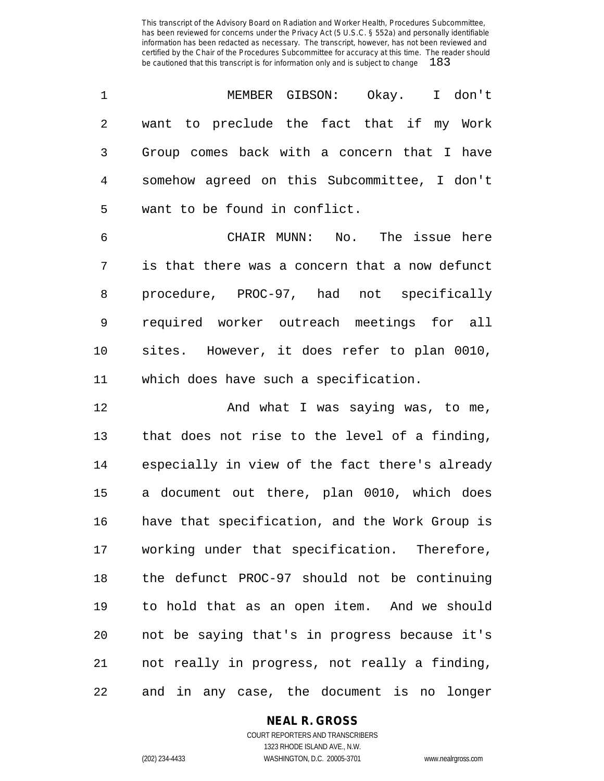| 1          | MEMBER GIBSON: Okay. I don't                   |
|------------|------------------------------------------------|
| $\sqrt{2}$ | want to preclude the fact that if my Work      |
| 3          | Group comes back with a concern that I have    |
| 4          | somehow agreed on this Subcommittee, I don't   |
| 5          | want to be found in conflict.                  |
| 6          | CHAIR MUNN: No. The issue here                 |
| 7          | is that there was a concern that a now defunct |
| 8          | procedure, PROC-97, had not specifically       |
| 9          | required worker outreach meetings for all      |
| 10         | sites. However, it does refer to plan 0010,    |
| 11         | which does have such a specification.          |
| 12         | And what I was saying was, to me,              |
| 13         | that does not rise to the level of a finding,  |
| 14         | especially in view of the fact there's already |
| 15         | a document out there, plan 0010, which does    |
| 16         | have that specification, and the Work Group is |
| 17         | working under that specification. Therefore,   |
| 18         | the defunct PROC-97 should not be continuing   |
| 19         | to hold that as an open item. And we should    |
| 20         | not be saying that's in progress because it's  |
| 21         | not really in progress, not really a finding,  |
| 22         | and in any case, the document is no longer     |

**NEAL R. GROSS**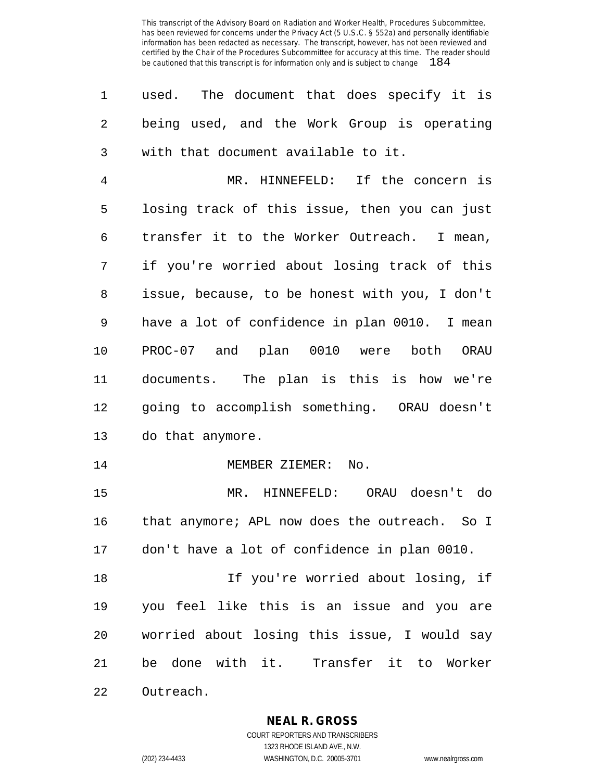used. The document that does specify it is being used, and the Work Group is operating with that document available to it.

 MR. HINNEFELD: If the concern is losing track of this issue, then you can just transfer it to the Worker Outreach. I mean, if you're worried about losing track of this issue, because, to be honest with you, I don't have a lot of confidence in plan 0010. I mean PROC-07 and plan 0010 were both ORAU documents. The plan is this is how we're going to accomplish something. ORAU doesn't do that anymore.

14 MEMBER ZIEMER: No.

 MR. HINNEFELD: ORAU doesn't do that anymore; APL now does the outreach. So I don't have a lot of confidence in plan 0010.

 If you're worried about losing, if you feel like this is an issue and you are worried about losing this issue, I would say be done with it. Transfer it to Worker Outreach.

**NEAL R. GROSS**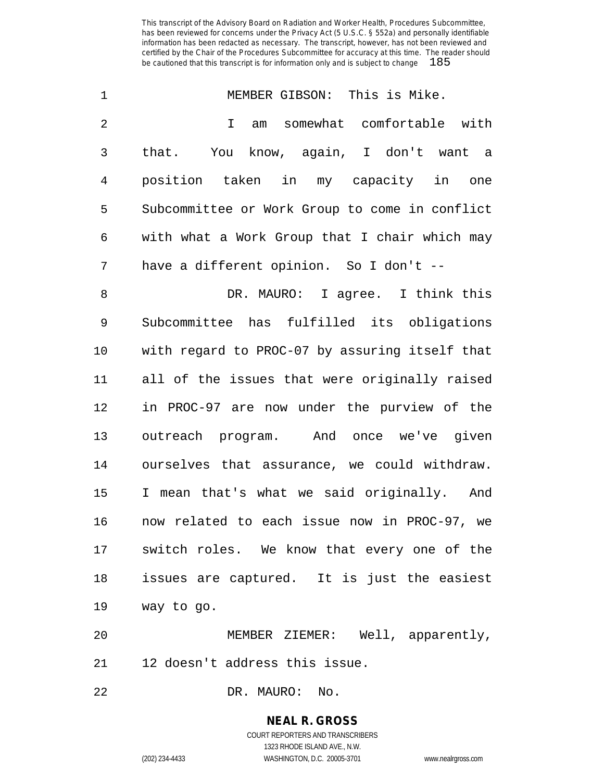| 1              | MEMBER GIBSON: This is Mike.                    |
|----------------|-------------------------------------------------|
| $\overline{2}$ | somewhat comfortable with<br>$\mathbf{I}$<br>am |
| 3              | that. You know, again, I don't want a           |
| 4              | position taken in my capacity in one            |
| 5              | Subcommittee or Work Group to come in conflict  |
| 6              | with what a Work Group that I chair which may   |
| 7              | have a different opinion. So I don't --         |
| 8              | DR. MAURO: I agree. I think this                |
| $\mathsf 9$    | Subcommittee has fulfilled its obligations      |
| 10             | with regard to PROC-07 by assuring itself that  |
| 11             | all of the issues that were originally raised   |
| 12             | in PROC-97 are now under the purview of the     |
| 13             | outreach program. And once we've given          |
| 14             | ourselves that assurance, we could withdraw.    |
| 15             | I mean that's what we said originally. And      |
| 16             | now related to each issue now in PROC-97, we    |
|                | 17 switch roles. We know that every one of the  |
| 18             | issues are captured. It is just the easiest     |
| 19             | way to go.                                      |
| 20             | MEMBER ZIEMER: Well, apparently,                |
| 21             | 12 doesn't address this issue.                  |
|                |                                                 |

DR. MAURO: No.

# **NEAL R. GROSS**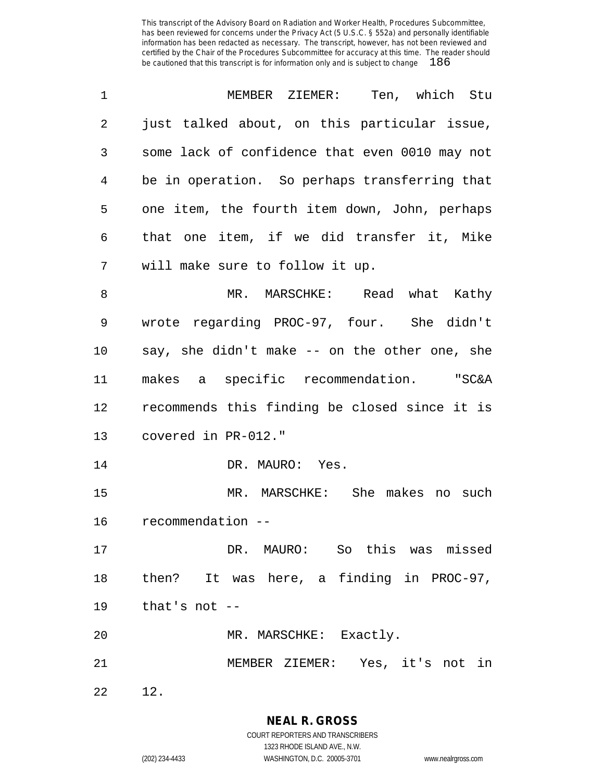| 1  | MEMBER ZIEMER: Ten, which Stu                  |
|----|------------------------------------------------|
| 2  | just talked about, on this particular issue,   |
| 3  | some lack of confidence that even 0010 may not |
| 4  | be in operation. So perhaps transferring that  |
| 5  | one item, the fourth item down, John, perhaps  |
| 6  | that one item, if we did transfer it, Mike     |
| 7  | will make sure to follow it up.                |
| 8  | MR. MARSCHKE: Read what Kathy                  |
| 9  | wrote regarding PROC-97, four. She didn't      |
| 10 | say, she didn't make -- on the other one, she  |
| 11 | makes a specific recommendation. "SC&A         |
| 12 | recommends this finding be closed since it is  |
| 13 | covered in PR-012."                            |
| 14 | DR. MAURO: Yes.                                |
| 15 | MR. MARSCHKE: She makes no such                |
| 16 | recommendation --                              |
| 17 | DR. MAURO: So this was missed                  |
| 18 | then? It was here, a finding in PROC-97,       |
| 19 | that's not --                                  |
| 20 | MR. MARSCHKE: Exactly.                         |
| 21 | MEMBER ZIEMER: Yes, it's not in                |
| 22 | 12.                                            |

**NEAL R. GROSS** COURT REPORTERS AND TRANSCRIBERS

1323 RHODE ISLAND AVE., N.W.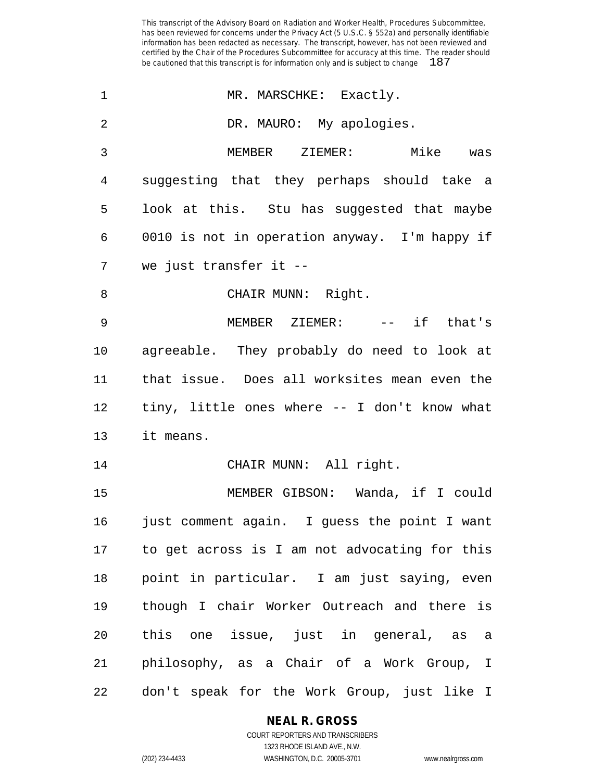| 1              | MR. MARSCHKE: Exactly.                        |
|----------------|-----------------------------------------------|
| $\overline{2}$ | DR. MAURO: My apologies.                      |
| 3              | MEMBER ZIEMER:<br>Mike was                    |
| 4              | suggesting that they perhaps should take a    |
| 5              | look at this. Stu has suggested that maybe    |
| 6              | 0010 is not in operation anyway. I'm happy if |
| 7              | we just transfer it --                        |
| 8              | CHAIR MUNN: Right.                            |
| 9              | MEMBER ZIEMER: -- if that's                   |
| 10             | agreeable. They probably do need to look at   |
| 11             | that issue. Does all worksites mean even the  |
| 12             | tiny, little ones where -- I don't know what  |
| 13             | it means.                                     |
| 14             | CHAIR MUNN: All right.                        |
| 15             | MEMBER GIBSON: Wanda, if I could              |
| 16             | just comment again. I guess the point I want  |
| 17             | to get across is I am not advocating for this |
| 18             | point in particular. I am just saying, even   |
| 19             | though I chair Worker Outreach and there is   |
| 20             | this one issue, just in general, as a         |
| 21             | philosophy, as a Chair of a Work Group, I     |
| 22             | don't speak for the Work Group, just like I   |

**NEAL R. GROSS**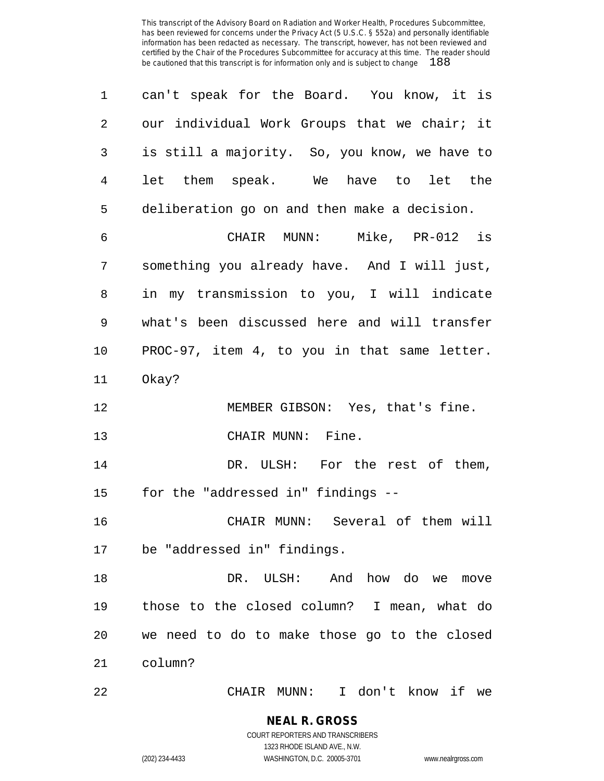| 1              | can't speak for the Board. You know, it is    |
|----------------|-----------------------------------------------|
| $\overline{2}$ | our individual Work Groups that we chair; it  |
| 3              | is still a majority. So, you know, we have to |
| $\overline{4}$ | let them speak. We have to let the            |
| 5              | deliberation go on and then make a decision.  |
| 6              | CHAIR MUNN: Mike, PR-012 is                   |
| 7              | something you already have. And I will just,  |
| 8              | in my transmission to you, I will indicate    |
| 9              | what's been discussed here and will transfer  |
| 10             | PROC-97, item 4, to you in that same letter.  |
| 11             | Okay?                                         |
| 12             | MEMBER GIBSON: Yes, that's fine.              |
| 13             | CHAIR MUNN: Fine.                             |
| 14             | DR. ULSH: For the rest of them,               |
| 15             | for the "addressed in" findings --            |
| 16             | CHAIR MUNN: Several of them will              |
| 17             | be "addressed in" findings.                   |
| 18             | And how do we<br>DR.<br>ULSH:<br>move         |
| 19             | those to the closed column? I mean, what do   |
| 20             | we need to do to make those go to the closed  |
|                |                                               |
| 21             | column?                                       |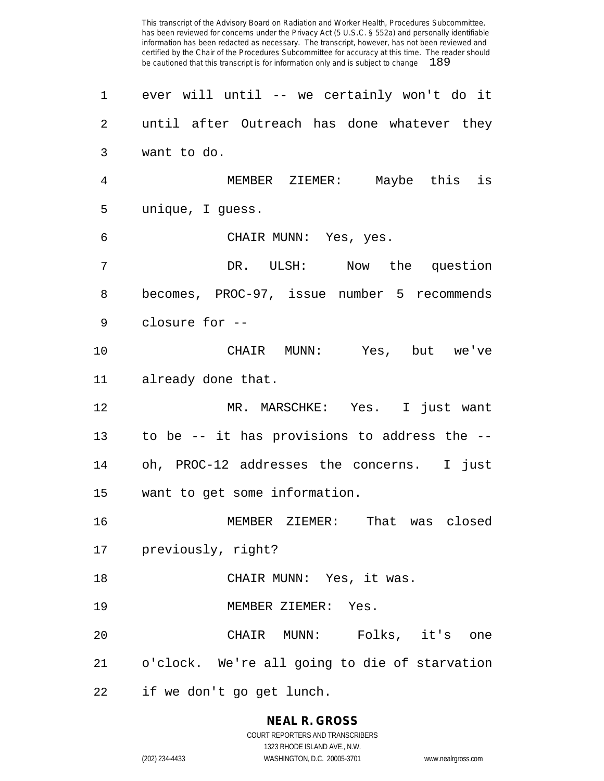ever will until -- we certainly won't do it until after Outreach has done whatever they want to do. MEMBER ZIEMER: Maybe this is unique, I guess. CHAIR MUNN: Yes, yes. DR. ULSH: Now the question becomes, PROC-97, issue number 5 recommends closure for -- CHAIR MUNN: Yes, but we've already done that. MR. MARSCHKE: Yes. I just want to be -- it has provisions to address the -- oh, PROC-12 addresses the concerns. I just want to get some information. MEMBER ZIEMER: That was closed previously, right? CHAIR MUNN: Yes, it was. 19 MEMBER ZIEMER: Yes. CHAIR MUNN: Folks, it's one o'clock. We're all going to die of starvation if we don't go get lunch.

# **NEAL R. GROSS**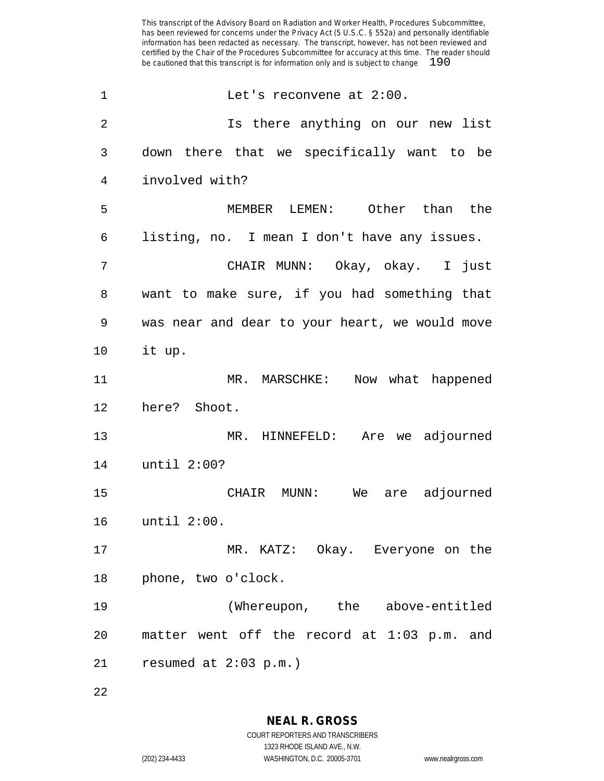1 Let's reconvene at 2:00. Is there anything on our new list down there that we specifically want to be involved with? MEMBER LEMEN: Other than the listing, no. I mean I don't have any issues. CHAIR MUNN: Okay, okay. I just want to make sure, if you had something that was near and dear to your heart, we would move it up. MR. MARSCHKE: Now what happened here? Shoot. MR. HINNEFELD: Are we adjourned until 2:00? CHAIR MUNN: We are adjourned until 2:00. MR. KATZ: Okay. Everyone on the phone, two o'clock. (Whereupon, the above-entitled matter went off the record at 1:03 p.m. and resumed at 2:03 p.m.)

**NEAL R. GROSS** COURT REPORTERS AND TRANSCRIBERS

1323 RHODE ISLAND AVE., N.W. (202) 234-4433 WASHINGTON, D.C. 20005-3701 www.nealrgross.com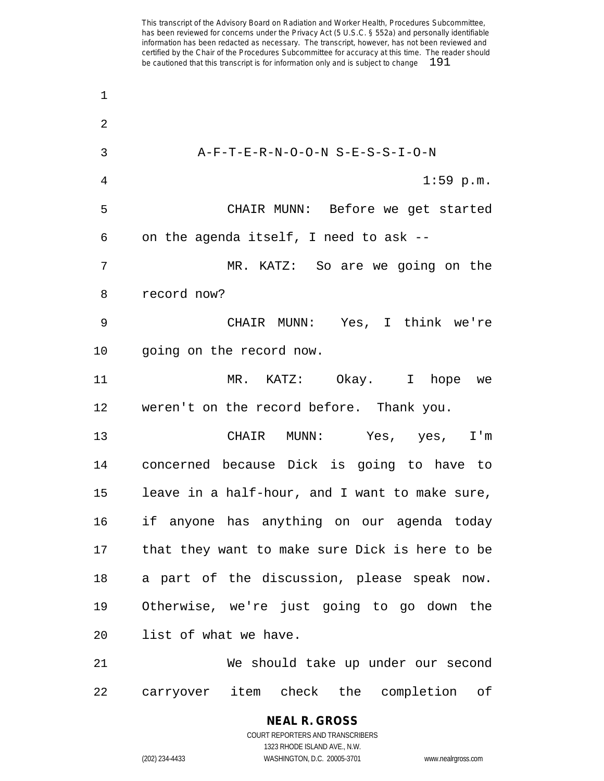A-F-T-E-R-N-O-O-N S-E-S-S-I-O-N 4 1:59 p.m. CHAIR MUNN: Before we get started on the agenda itself, I need to ask -- MR. KATZ: So are we going on the record now? CHAIR MUNN: Yes, I think we're going on the record now. MR. KATZ: Okay. I hope we weren't on the record before. Thank you. CHAIR MUNN: Yes, yes, I'm concerned because Dick is going to have to leave in a half-hour, and I want to make sure, if anyone has anything on our agenda today that they want to make sure Dick is here to be a part of the discussion, please speak now. Otherwise, we're just going to go down the list of what we have. We should take up under our second carryover item check the completion of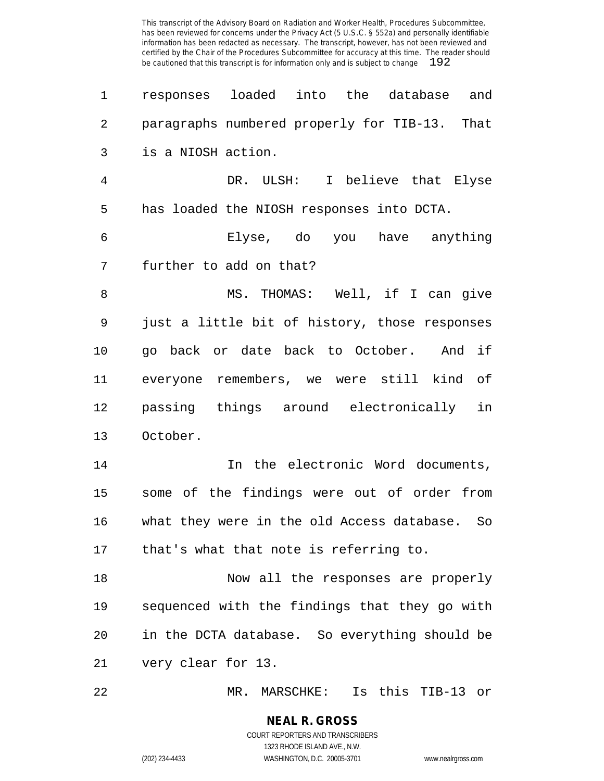| 1  | responses loaded into the database and        |
|----|-----------------------------------------------|
| 2  | paragraphs numbered properly for TIB-13. That |
| 3  | is a NIOSH action.                            |
| 4  | DR. ULSH: I believe that Elyse                |
| 5  | has loaded the NIOSH responses into DCTA.     |
| 6  | Elyse, do you have anything                   |
| 7  | further to add on that?                       |
| 8  | MS. THOMAS: Well, if I can give               |
| 9  | just a little bit of history, those responses |
| 10 | go back or date back to October. And if       |
| 11 | everyone remembers, we were still kind of     |
| 12 | passing things around electronically in       |
| 13 | October.                                      |
| 14 | In the electronic Word documents,             |
| 15 | some of the findings were out of order from   |
| 16 | what they were in the old Access database. So |
|    | 17 that's what that note is referring to.     |
| 18 | Now all the responses are properly            |
| 19 | sequenced with the findings that they go with |
| 20 | in the DCTA database. So everything should be |
| 21 | very clear for 13.                            |
|    |                                               |

MR. MARSCHKE: Is this TIB-13 or

**NEAL R. GROSS** COURT REPORTERS AND TRANSCRIBERS 1323 RHODE ISLAND AVE., N.W.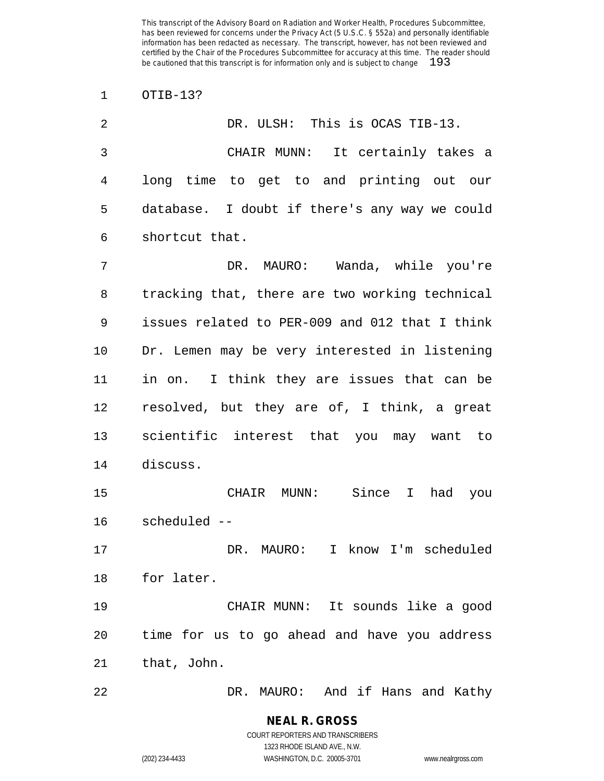OTIB-13?

| $\overline{2}$ | DR. ULSH: This is OCAS TIB-13.                 |
|----------------|------------------------------------------------|
| 3              | CHAIR MUNN: It certainly takes a               |
| 4              | long time to get to and printing out our       |
| 5              | database. I doubt if there's any way we could  |
| 6              | shortcut that.                                 |
| 7              | DR. MAURO: Wanda, while you're                 |
| 8              | tracking that, there are two working technical |
| 9              | issues related to PER-009 and 012 that I think |
| 10             | Dr. Lemen may be very interested in listening  |
| 11             | in on. I think they are issues that can be     |
| 12             | resolved, but they are of, I think, a great    |
| 13             | scientific interest that you may want to       |
| 14             | discuss.                                       |
| 15             | CHAIR MUNN: Since I<br>had you                 |
| 16             | scheduled --                                   |
| 17             | DR. MAURO: I know I'm scheduled                |
| 18             | for later.                                     |
| 19             | CHAIR MUNN: It sounds like a good              |
| 20             | time for us to go ahead and have you address   |
| 21             | that, John.                                    |
| 22             | DR. MAURO: And if Hans and Kathy               |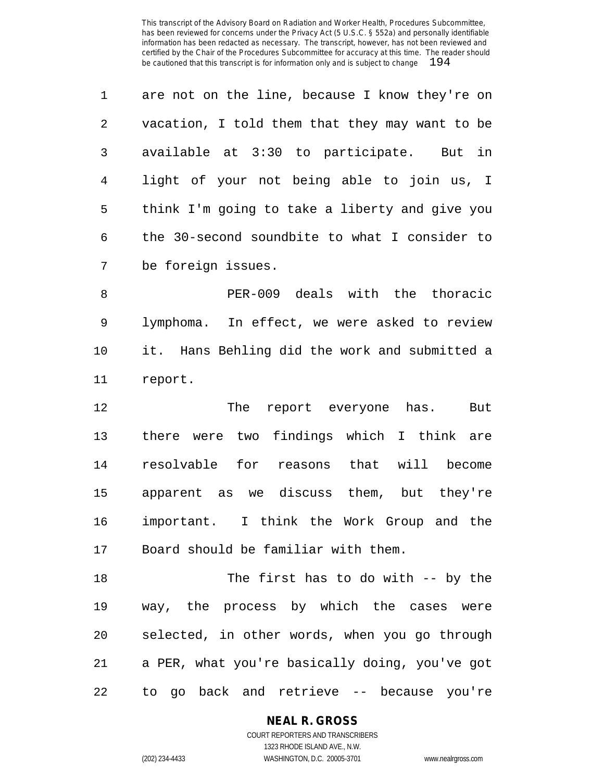|   | are not on the line, because I know they're on |
|---|------------------------------------------------|
| 2 | vacation, I told them that they may want to be |
| 3 | available at 3:30 to participate. But in       |
| 4 | light of your not being able to join us, I     |
| 5 | think I'm going to take a liberty and give you |
| 6 | the 30-second soundbite to what I consider to  |
| 7 | be foreign issues.                             |

 PER-009 deals with the thoracic lymphoma. In effect, we were asked to review it. Hans Behling did the work and submitted a report.

12 The report everyone has. But there were two findings which I think are resolvable for reasons that will become apparent as we discuss them, but they're important. I think the Work Group and the Board should be familiar with them.

 The first has to do with -- by the way, the process by which the cases were selected, in other words, when you go through a PER, what you're basically doing, you've got to go back and retrieve -- because you're

#### **NEAL R. GROSS**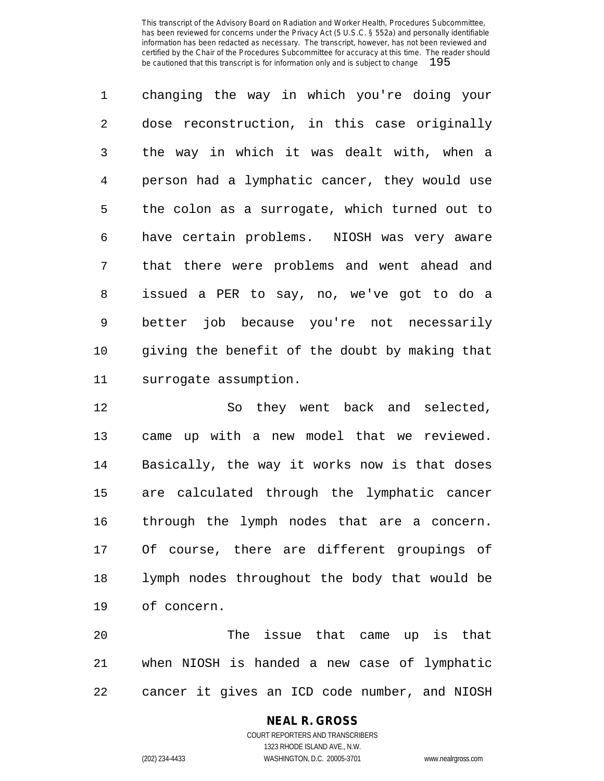changing the way in which you're doing your dose reconstruction, in this case originally the way in which it was dealt with, when a person had a lymphatic cancer, they would use the colon as a surrogate, which turned out to have certain problems. NIOSH was very aware that there were problems and went ahead and issued a PER to say, no, we've got to do a better job because you're not necessarily giving the benefit of the doubt by making that surrogate assumption.

 So they went back and selected, came up with a new model that we reviewed. Basically, the way it works now is that doses are calculated through the lymphatic cancer through the lymph nodes that are a concern. Of course, there are different groupings of lymph nodes throughout the body that would be of concern.

 The issue that came up is that when NIOSH is handed a new case of lymphatic cancer it gives an ICD code number, and NIOSH

#### **NEAL R. GROSS** COURT REPORTERS AND TRANSCRIBERS 1323 RHODE ISLAND AVE., N.W.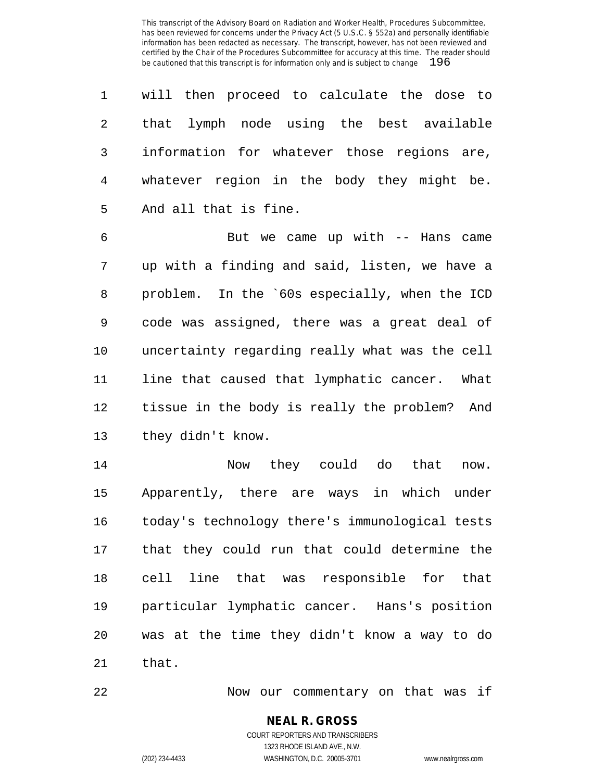will then proceed to calculate the dose to that lymph node using the best available information for whatever those regions are, whatever region in the body they might be. And all that is fine.

 But we came up with -- Hans came up with a finding and said, listen, we have a problem. In the `60s especially, when the ICD code was assigned, there was a great deal of uncertainty regarding really what was the cell line that caused that lymphatic cancer. What tissue in the body is really the problem? And they didn't know.

 Now they could do that now. Apparently, there are ways in which under today's technology there's immunological tests that they could run that could determine the cell line that was responsible for that particular lymphatic cancer. Hans's position was at the time they didn't know a way to do that.

Now our commentary on that was if

**NEAL R. GROSS** COURT REPORTERS AND TRANSCRIBERS

1323 RHODE ISLAND AVE., N.W.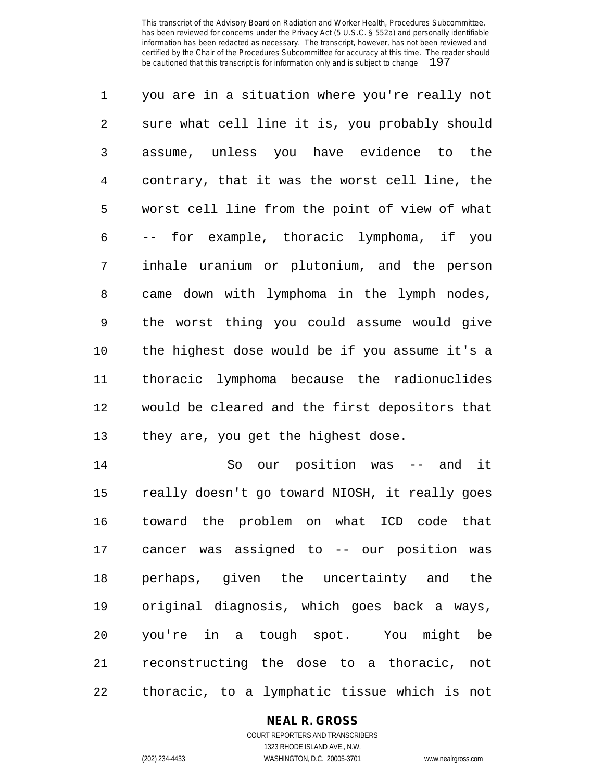you are in a situation where you're really not sure what cell line it is, you probably should assume, unless you have evidence to the contrary, that it was the worst cell line, the worst cell line from the point of view of what -- for example, thoracic lymphoma, if you inhale uranium or plutonium, and the person came down with lymphoma in the lymph nodes, the worst thing you could assume would give the highest dose would be if you assume it's a thoracic lymphoma because the radionuclides would be cleared and the first depositors that they are, you get the highest dose.

 So our position was -- and it really doesn't go toward NIOSH, it really goes toward the problem on what ICD code that cancer was assigned to -- our position was perhaps, given the uncertainty and the original diagnosis, which goes back a ways, you're in a tough spot. You might be reconstructing the dose to a thoracic, not thoracic, to a lymphatic tissue which is not

#### **NEAL R. GROSS**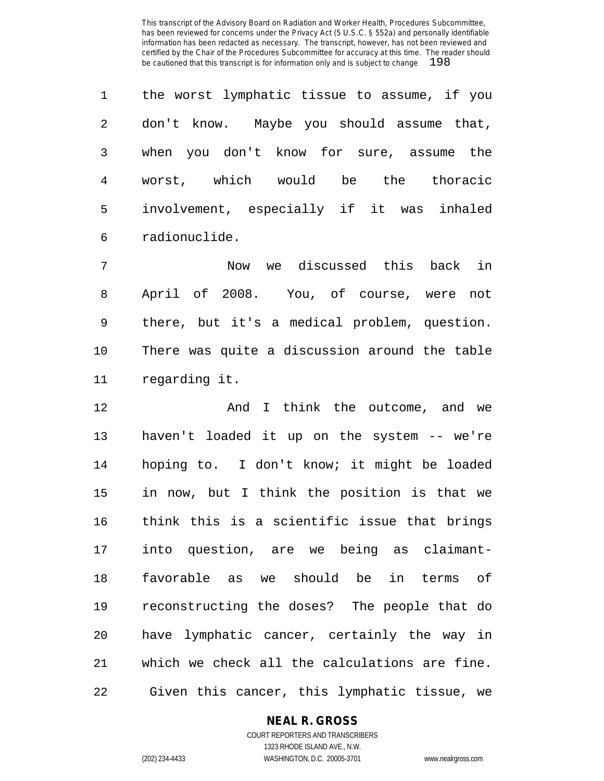the worst lymphatic tissue to assume, if you don't know. Maybe you should assume that, when you don't know for sure, assume the worst, which would be the thoracic involvement, especially if it was inhaled radionuclide.

 Now we discussed this back in April of 2008. You, of course, were not there, but it's a medical problem, question. There was quite a discussion around the table regarding it.

 And I think the outcome, and we haven't loaded it up on the system -- we're hoping to. I don't know; it might be loaded in now, but I think the position is that we think this is a scientific issue that brings into question, are we being as claimant- favorable as we should be in terms of reconstructing the doses? The people that do have lymphatic cancer, certainly the way in which we check all the calculations are fine. Given this cancer, this lymphatic tissue, we

# **NEAL R. GROSS**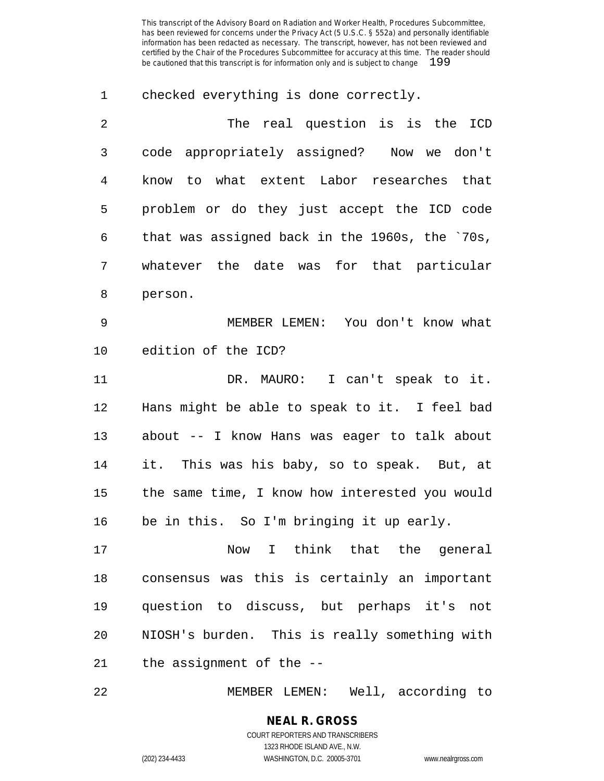checked everything is done correctly.

| $\overline{2}$ | The real question is is the ICD                |
|----------------|------------------------------------------------|
| 3              | code appropriately assigned? Now we don't      |
| 4              | to what extent Labor researches that<br>know   |
| 5              | problem or do they just accept the ICD code    |
| 6              | that was assigned back in the 1960s, the `70s, |
| 7              | whatever the date was for that particular      |
| 8              | person.                                        |
| 9              | MEMBER LEMEN: You don't know what              |
| 10             | edition of the ICD?                            |

11 DR. MAURO: I can't speak to it. Hans might be able to speak to it. I feel bad about -- I know Hans was eager to talk about it. This was his baby, so to speak. But, at the same time, I know how interested you would be in this. So I'm bringing it up early.

 Now I think that the general consensus was this is certainly an important question to discuss, but perhaps it's not NIOSH's burden. This is really something with the assignment of the --

MEMBER LEMEN: Well, according to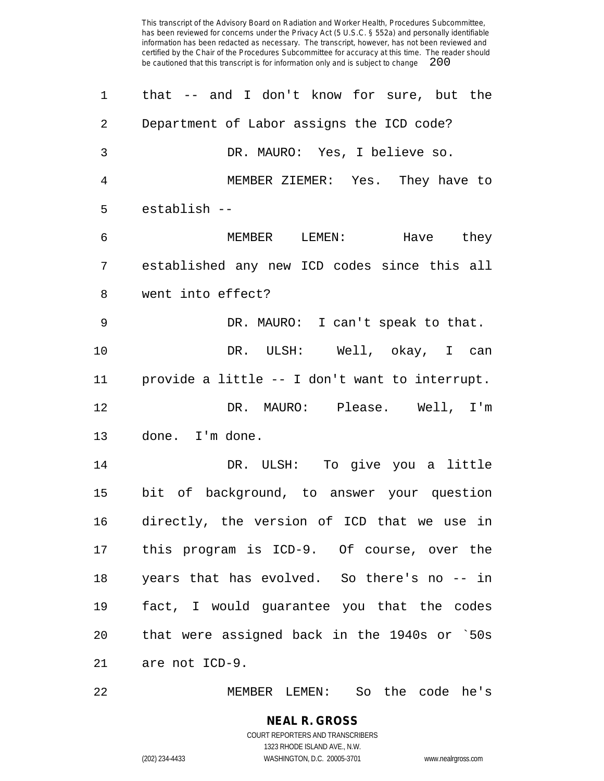| 1              | that -- and I don't know for sure, but the     |
|----------------|------------------------------------------------|
| $\overline{2}$ | Department of Labor assigns the ICD code?      |
| 3              | DR. MAURO: Yes, I believe so.                  |
| 4              | MEMBER ZIEMER: Yes. They have to               |
| 5              | establish --                                   |
| 6              | MEMBER LEMEN: Have they                        |
| 7              | established any new ICD codes since this all   |
| 8              | went into effect?                              |
| 9              | DR. MAURO: I can't speak to that.              |
| 10             | DR. ULSH: Well, okay, I can                    |
| 11             | provide a little -- I don't want to interrupt. |
| 12             | DR. MAURO: Please. Well, I'm                   |
| 13             | done. I'm done.                                |
| 14             | DR. ULSH: To give you a little                 |
| 15             | bit of background, to answer your question     |
| 16             | directly, the version of ICD that we use in    |
|                | 17 this program is ICD-9. Of course, over the  |
| 18             | years that has evolved. So there's no -- in    |
| 19             | fact, I would guarantee you that the codes     |
| 20             | that were assigned back in the 1940s or `50s   |
| 21             | are not ICD-9.                                 |
|                |                                                |

MEMBER LEMEN: So the code he's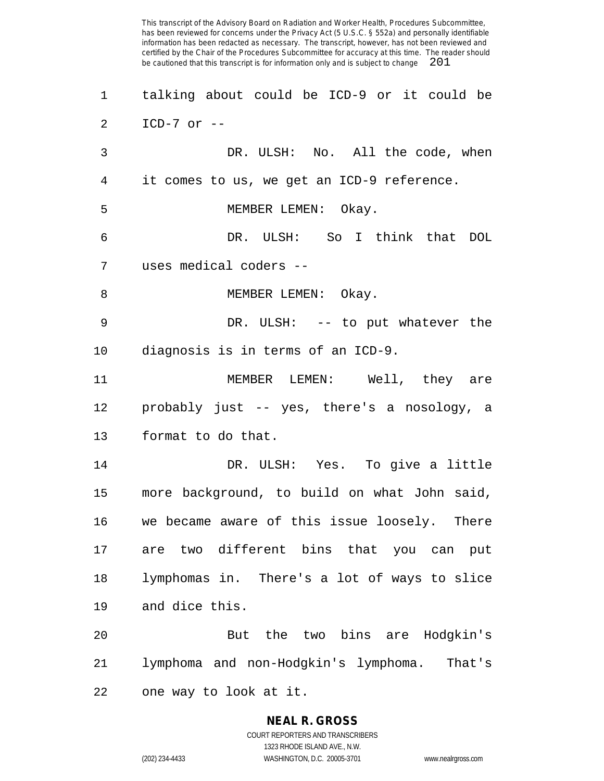talking about could be ICD-9 or it could be ICD-7 or -- DR. ULSH: No. All the code, when it comes to us, we get an ICD-9 reference. MEMBER LEMEN: Okay. DR. ULSH: So I think that DOL uses medical coders -- 8 MEMBER LEMEN: Okay. DR. ULSH: -- to put whatever the diagnosis is in terms of an ICD-9. MEMBER LEMEN: Well, they are probably just -- yes, there's a nosology, a format to do that. DR. ULSH: Yes. To give a little more background, to build on what John said, we became aware of this issue loosely. There are two different bins that you can put lymphomas in. There's a lot of ways to slice and dice this. But the two bins are Hodgkin's lymphoma and non-Hodgkin's lymphoma. That's one way to look at it.

> **NEAL R. GROSS** COURT REPORTERS AND TRANSCRIBERS

1323 RHODE ISLAND AVE., N.W. (202) 234-4433 WASHINGTON, D.C. 20005-3701 www.nealrgross.com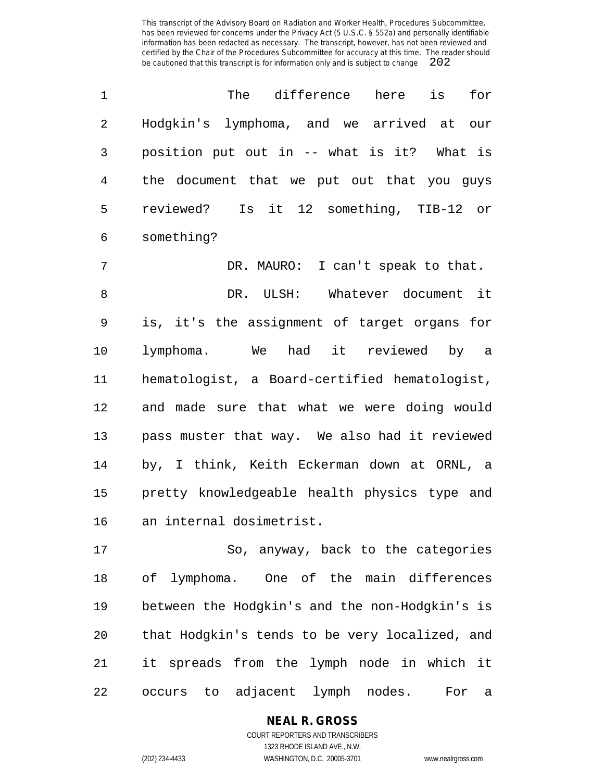| $\mathbf{1}$ |                                            |  |  | The difference here | is                            | for |
|--------------|--------------------------------------------|--|--|---------------------|-------------------------------|-----|
| 2            | Hodgkin's lymphoma, and we arrived at our  |  |  |                     |                               |     |
| 3            | position put out in -- what is it? What is |  |  |                     |                               |     |
| 4            | the document that we put out that you guys |  |  |                     |                               |     |
| 5            | reviewed?                                  |  |  |                     | Is it 12 something, TIB-12 or |     |
| 6            | something?                                 |  |  |                     |                               |     |

 DR. MAURO: I can't speak to that. DR. ULSH: Whatever document it is, it's the assignment of target organs for lymphoma. We had it reviewed by a hematologist, a Board-certified hematologist, and made sure that what we were doing would pass muster that way. We also had it reviewed by, I think, Keith Eckerman down at ORNL, a pretty knowledgeable health physics type and an internal dosimetrist.

 So, anyway, back to the categories of lymphoma. One of the main differences between the Hodgkin's and the non-Hodgkin's is that Hodgkin's tends to be very localized, and it spreads from the lymph node in which it occurs to adjacent lymph nodes. For a

# **NEAL R. GROSS**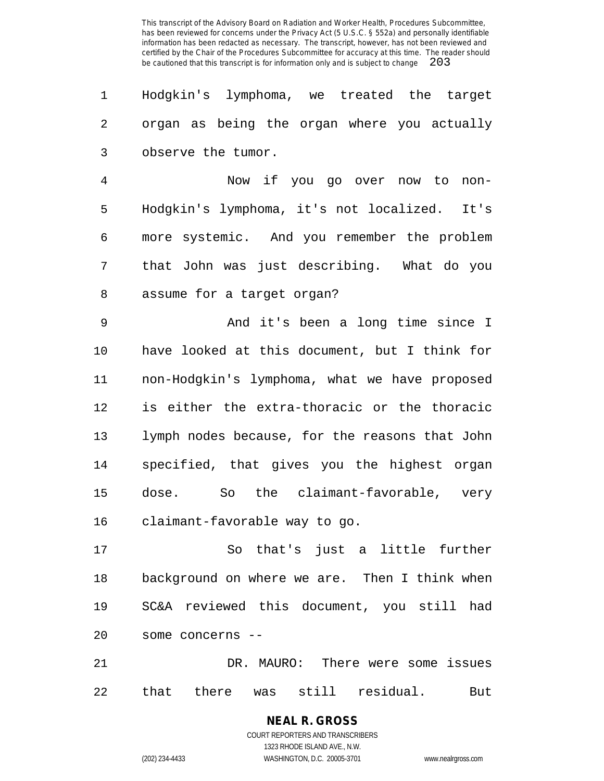Hodgkin's lymphoma, we treated the target organ as being the organ where you actually observe the tumor.

 Now if you go over now to non- Hodgkin's lymphoma, it's not localized. It's more systemic. And you remember the problem that John was just describing. What do you assume for a target organ?

 And it's been a long time since I have looked at this document, but I think for non-Hodgkin's lymphoma, what we have proposed is either the extra-thoracic or the thoracic lymph nodes because, for the reasons that John specified, that gives you the highest organ dose. So the claimant-favorable, very claimant-favorable way to go.

 So that's just a little further background on where we are. Then I think when SC&A reviewed this document, you still had some concerns --

 DR. MAURO: There were some issues that there was still residual. But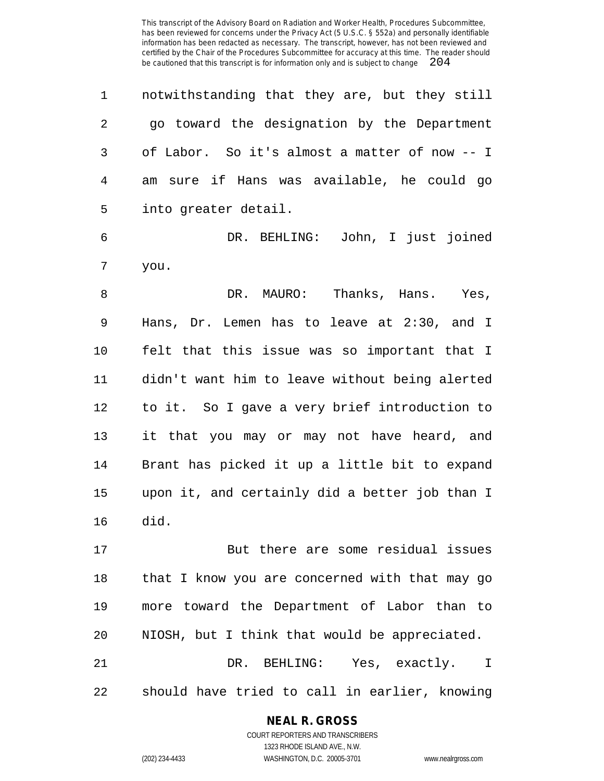|   | notwithstanding that they are, but they still |
|---|-----------------------------------------------|
| 2 | go toward the designation by the Department   |
|   | of Labor. So it's almost a matter of now -- I |
| 4 | am sure if Hans was available, he could go    |
| 5 | into greater detail.                          |

 DR. BEHLING: John, I just joined you.

8 B DR. MAURO: Thanks, Hans. Yes, Hans, Dr. Lemen has to leave at 2:30, and I felt that this issue was so important that I didn't want him to leave without being alerted to it. So I gave a very brief introduction to it that you may or may not have heard, and Brant has picked it up a little bit to expand upon it, and certainly did a better job than I did.

 But there are some residual issues that I know you are concerned with that may go more toward the Department of Labor than to NIOSH, but I think that would be appreciated. DR. BEHLING: Yes, exactly. I should have tried to call in earlier, knowing

#### **NEAL R. GROSS**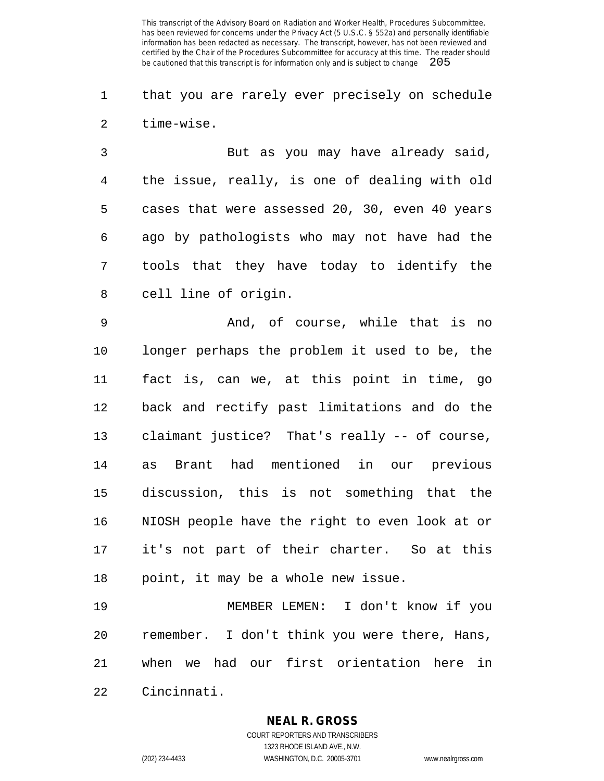that you are rarely ever precisely on schedule time-wise.

 But as you may have already said, the issue, really, is one of dealing with old cases that were assessed 20, 30, even 40 years ago by pathologists who may not have had the tools that they have today to identify the cell line of origin.

 And, of course, while that is no longer perhaps the problem it used to be, the fact is, can we, at this point in time, go back and rectify past limitations and do the claimant justice? That's really -- of course, as Brant had mentioned in our previous discussion, this is not something that the NIOSH people have the right to even look at or it's not part of their charter. So at this point, it may be a whole new issue.

 MEMBER LEMEN: I don't know if you remember. I don't think you were there, Hans, when we had our first orientation here in Cincinnati.

**NEAL R. GROSS**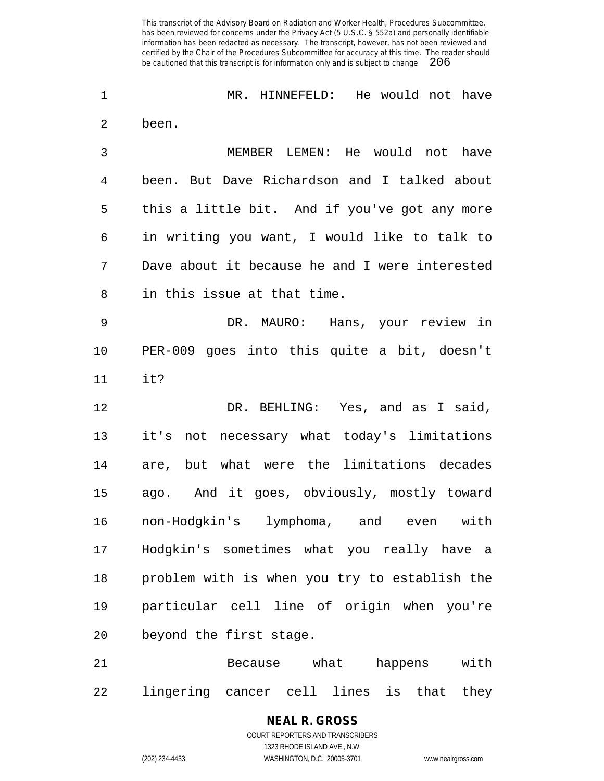MR. HINNEFELD: He would not have been.

 MEMBER LEMEN: He would not have been. But Dave Richardson and I talked about this a little bit. And if you've got any more in writing you want, I would like to talk to Dave about it because he and I were interested in this issue at that time.

 DR. MAURO: Hans, your review in PER-009 goes into this quite a bit, doesn't it?

 DR. BEHLING: Yes, and as I said, it's not necessary what today's limitations are, but what were the limitations decades ago. And it goes, obviously, mostly toward non-Hodgkin's lymphoma, and even with Hodgkin's sometimes what you really have a problem with is when you try to establish the particular cell line of origin when you're beyond the first stage.

 Because what happens with lingering cancer cell lines is that they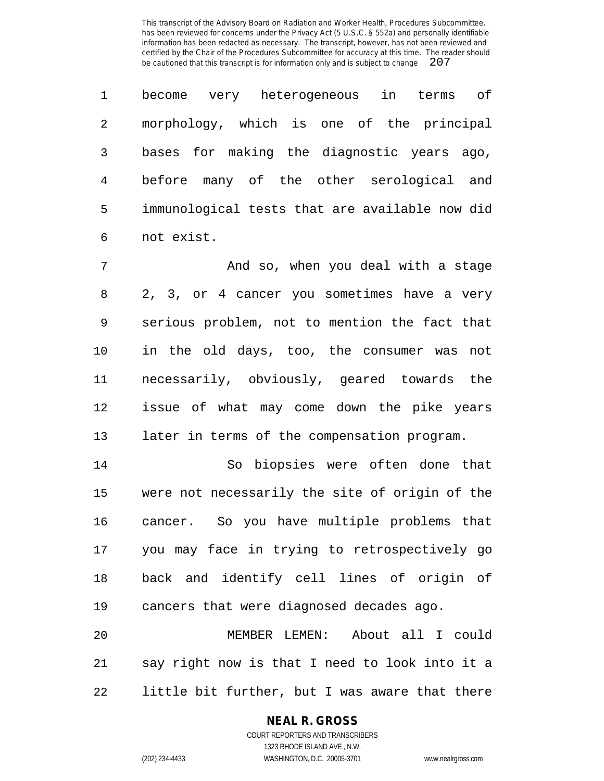become very heterogeneous in terms of morphology, which is one of the principal bases for making the diagnostic years ago, before many of the other serological and immunological tests that are available now did not exist.

 And so, when you deal with a stage 2, 3, or 4 cancer you sometimes have a very serious problem, not to mention the fact that in the old days, too, the consumer was not necessarily, obviously, geared towards the issue of what may come down the pike years later in terms of the compensation program.

 So biopsies were often done that were not necessarily the site of origin of the cancer. So you have multiple problems that you may face in trying to retrospectively go back and identify cell lines of origin of cancers that were diagnosed decades ago.

 MEMBER LEMEN: About all I could say right now is that I need to look into it a little bit further, but I was aware that there

# **NEAL R. GROSS**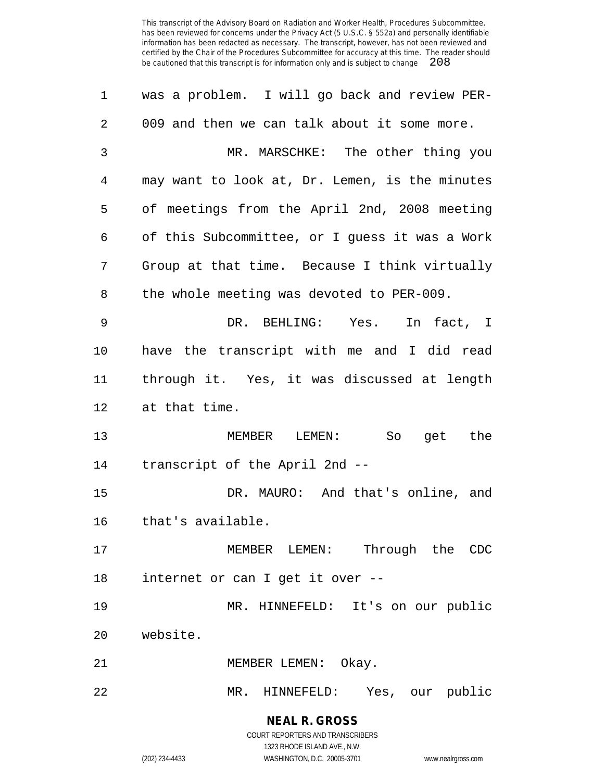| 1              | was a problem. I will go back and review PER-  |
|----------------|------------------------------------------------|
| $\overline{2}$ | 009 and then we can talk about it some more.   |
| 3              | MR. MARSCHKE: The other thing you              |
| 4              | may want to look at, Dr. Lemen, is the minutes |
| 5              | of meetings from the April 2nd, 2008 meeting   |
| 6              | of this Subcommittee, or I guess it was a Work |
| 7              | Group at that time. Because I think virtually  |
| 8              | the whole meeting was devoted to PER-009.      |
| 9              | DR. BEHLING: Yes.<br>In fact, I                |
| $10 \,$        | have the transcript with me and I did read     |
| 11             | through it. Yes, it was discussed at length    |
| 12             | at that time.                                  |
| 13             | MEMBER LEMEN:<br>So<br>get the                 |
| 14             | transcript of the April 2nd --                 |
| 15             | DR. MAURO: And that's online, and              |
| 16             | that's available.                              |
| 17             | MEMBER LEMEN: Through the CDC                  |
| 18             | internet or can I get it over --               |
| 19             | MR. HINNEFELD: It's on our public              |
| 20             | website.                                       |
| 21             | MEMBER LEMEN: Okay.                            |
| 22             | MR. HINNEFELD: Yes, our public                 |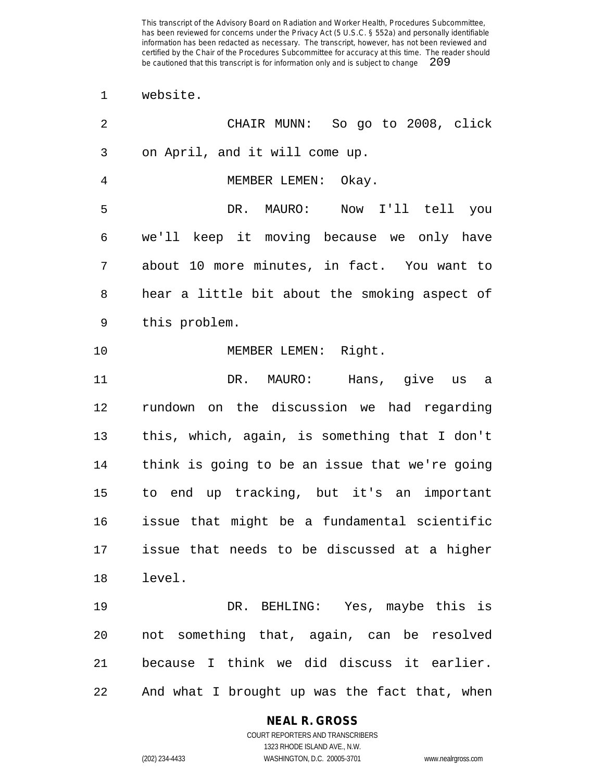website.

| 2  | CHAIR MUNN: So go to 2008, click               |
|----|------------------------------------------------|
| 3  | on April, and it will come up.                 |
| 4  | MEMBER LEMEN: Okay.                            |
| 5  | DR. MAURO:<br>Now I'll tell you                |
| 6  | we'll keep it moving because we only have      |
| 7  | about 10 more minutes, in fact. You want to    |
| 8  | hear a little bit about the smoking aspect of  |
| 9  | this problem.                                  |
| 10 | MEMBER LEMEN: Right.                           |
| 11 | DR. MAURO: Hans, give us<br>a a                |
| 12 | rundown on the discussion we had regarding     |
| 13 | this, which, again, is something that I don't  |
| 14 | think is going to be an issue that we're going |
| 15 | to end up tracking, but it's an important      |
| 16 | issue that might be a fundamental scientific   |
| 17 | issue that needs to be discussed at a higher   |
| 18 | level.                                         |
| 19 | DR. BEHLING: Yes, maybe this is                |
| 20 | not something that, again, can be resolved     |
| 21 | because I think we did discuss it earlier.     |
| 22 | And what I brought up was the fact that, when  |

**NEAL R. GROSS**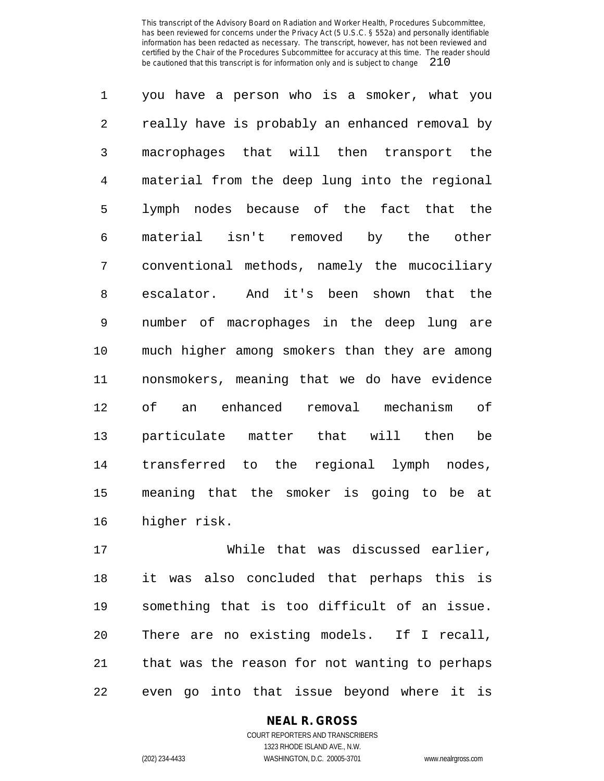you have a person who is a smoker, what you really have is probably an enhanced removal by macrophages that will then transport the material from the deep lung into the regional lymph nodes because of the fact that the material isn't removed by the other conventional methods, namely the mucociliary escalator. And it's been shown that the number of macrophages in the deep lung are much higher among smokers than they are among nonsmokers, meaning that we do have evidence of an enhanced removal mechanism of particulate matter that will then be transferred to the regional lymph nodes, meaning that the smoker is going to be at higher risk.

 While that was discussed earlier, it was also concluded that perhaps this is something that is too difficult of an issue. There are no existing models. If I recall, that was the reason for not wanting to perhaps even go into that issue beyond where it is

# **NEAL R. GROSS**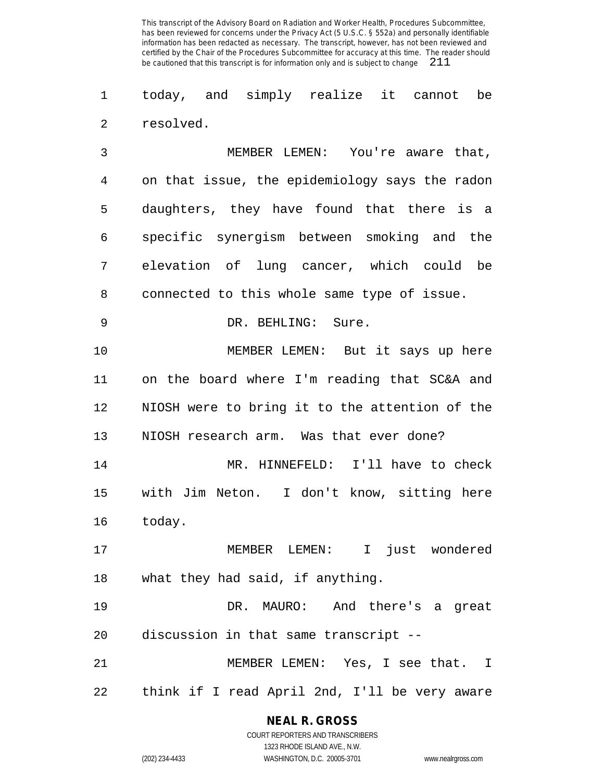today, and simply realize it cannot be resolved.

 MEMBER LEMEN: You're aware that, on that issue, the epidemiology says the radon daughters, they have found that there is a specific synergism between smoking and the elevation of lung cancer, which could be connected to this whole same type of issue. DR. BEHLING: Sure. MEMBER LEMEN: But it says up here on the board where I'm reading that SC&A and NIOSH were to bring it to the attention of the NIOSH research arm. Was that ever done? MR. HINNEFELD: I'll have to check with Jim Neton. I don't know, sitting here today. MEMBER LEMEN: I just wondered what they had said, if anything. DR. MAURO: And there's a great discussion in that same transcript -- MEMBER LEMEN: Yes, I see that. I

think if I read April 2nd, I'll be very aware

# **NEAL R. GROSS**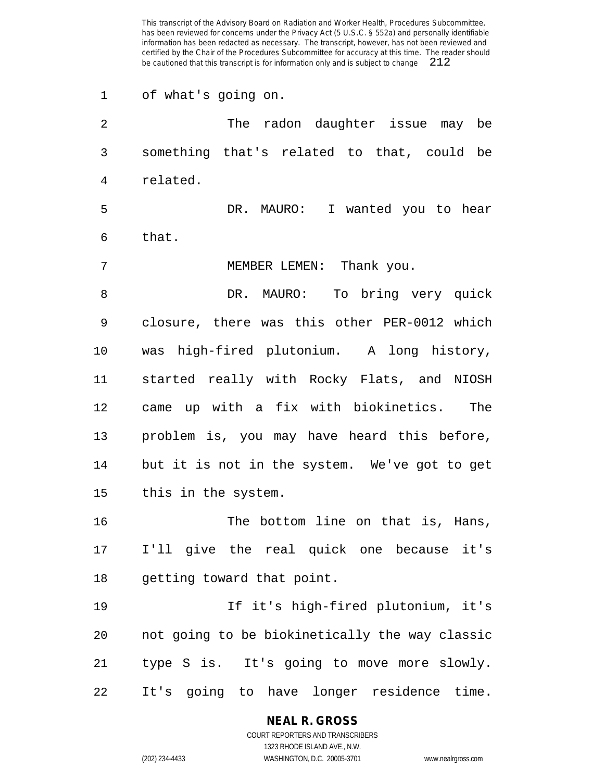of what's going on. The radon daughter issue may be something that's related to that, could be related. DR. MAURO: I wanted you to hear that. MEMBER LEMEN: Thank you. DR. MAURO: To bring very quick closure, there was this other PER-0012 which was high-fired plutonium. A long history, started really with Rocky Flats, and NIOSH came up with a fix with biokinetics. The problem is, you may have heard this before, but it is not in the system. We've got to get this in the system. The bottom line on that is, Hans, I'll give the real quick one because it's getting toward that point. If it's high-fired plutonium, it's not going to be biokinetically the way classic type S is. It's going to move more slowly. It's going to have longer residence time.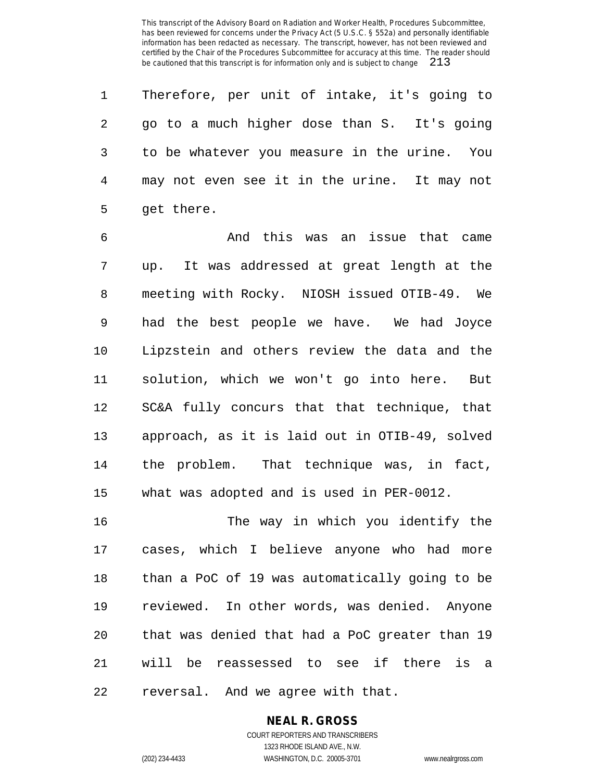Therefore, per unit of intake, it's going to go to a much higher dose than S. It's going to be whatever you measure in the urine. You may not even see it in the urine. It may not get there.

 And this was an issue that came up. It was addressed at great length at the meeting with Rocky. NIOSH issued OTIB-49. We had the best people we have. We had Joyce Lipzstein and others review the data and the solution, which we won't go into here. But SC&A fully concurs that that technique, that approach, as it is laid out in OTIB-49, solved the problem. That technique was, in fact, what was adopted and is used in PER-0012.

 The way in which you identify the cases, which I believe anyone who had more than a PoC of 19 was automatically going to be reviewed. In other words, was denied. Anyone that was denied that had a PoC greater than 19 will be reassessed to see if there is a reversal. And we agree with that.

# **NEAL R. GROSS**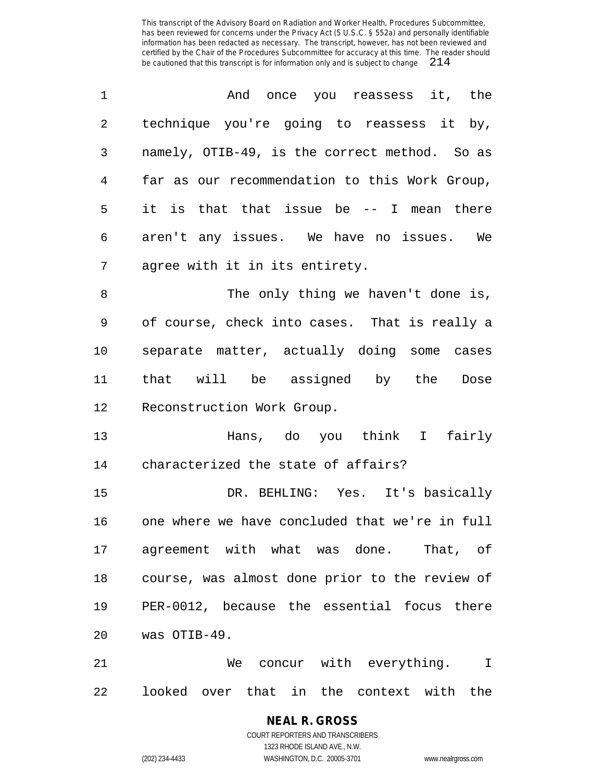| 1              | And once you reassess it, the                  |
|----------------|------------------------------------------------|
| $\overline{2}$ | technique you're going to reassess it by,      |
| 3              | namely, OTIB-49, is the correct method. So as  |
| $\overline{4}$ | far as our recommendation to this Work Group,  |
| 5              | it is that that issue be -- I mean there       |
| 6              | aren't any issues. We have no issues. We       |
| 7              | agree with it in its entirety.                 |
| 8              | The only thing we haven't done is,             |
| 9              | of course, check into cases. That is really a  |
| 10             | separate matter, actually doing some cases     |
| 11             | that will be assigned by the Dose              |
| 12             | Reconstruction Work Group.                     |
| 13             | Hans, do you think I fairly                    |
| 14             | characterized the state of affairs?            |
| 15             | DR. BEHLING: Yes. It's basically               |
| 16             | one where we have concluded that we're in full |
|                | 17 agreement with what was done. That, of      |
| 18             | course, was almost done prior to the review of |
| 19             | PER-0012, because the essential focus there    |
| 20             | was OTIB-49.                                   |
| 21             | We concur with everything. I                   |
| 22             | looked over that in the context with the       |

**NEAL R. GROSS** COURT REPORTERS AND TRANSCRIBERS 1323 RHODE ISLAND AVE., N.W.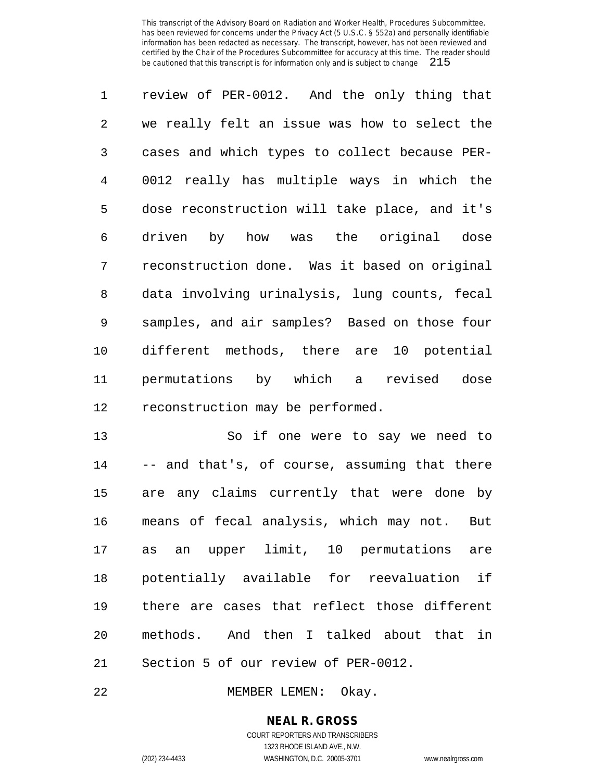review of PER-0012. And the only thing that we really felt an issue was how to select the cases and which types to collect because PER- 0012 really has multiple ways in which the dose reconstruction will take place, and it's driven by how was the original dose reconstruction done. Was it based on original data involving urinalysis, lung counts, fecal samples, and air samples? Based on those four different methods, there are 10 potential permutations by which a revised dose reconstruction may be performed.

13 So if one were to say we need to -- and that's, of course, assuming that there are any claims currently that were done by means of fecal analysis, which may not. But as an upper limit, 10 permutations are potentially available for reevaluation if there are cases that reflect those different methods. And then I talked about that in Section 5 of our review of PER-0012.

MEMBER LEMEN: Okay.

**NEAL R. GROSS** COURT REPORTERS AND TRANSCRIBERS

1323 RHODE ISLAND AVE., N.W.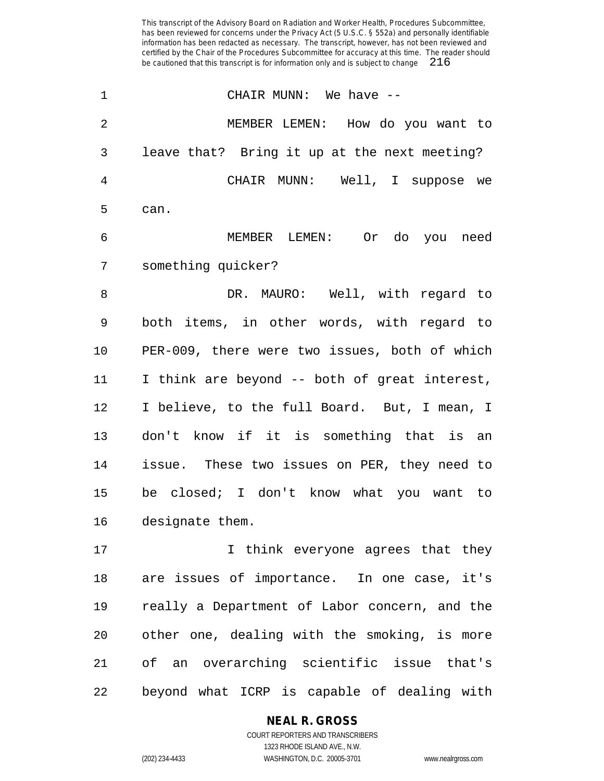| $\mathbf 1$    | CHAIR MUNN: We have --                        |
|----------------|-----------------------------------------------|
| $\overline{2}$ | MEMBER LEMEN: How do you want to              |
| 3              | leave that? Bring it up at the next meeting?  |
| 4              | CHAIR MUNN: Well, I suppose we                |
| 5              | can.                                          |
| 6              | MEMBER LEMEN: Or do you need                  |
| 7              | something quicker?                            |
| 8              | DR. MAURO: Well, with regard to               |
| 9              | both items, in other words, with regard to    |
| 10             | PER-009, there were two issues, both of which |
| 11             | I think are beyond -- both of great interest, |
| 12             | I believe, to the full Board. But, I mean, I  |
| 13             | don't know if it is something that is an      |
| 14             | issue. These two issues on PER, they need to  |
| 15             | be closed; I don't know what you want to      |
| 16             | designate them.                               |
| 17             | I think everyone agrees that they             |
| 18             | are issues of importance. In one case, it's   |

 are issues of importance. In one case, it's really a Department of Labor concern, and the other one, dealing with the smoking, is more of an overarching scientific issue that's beyond what ICRP is capable of dealing with

# **NEAL R. GROSS**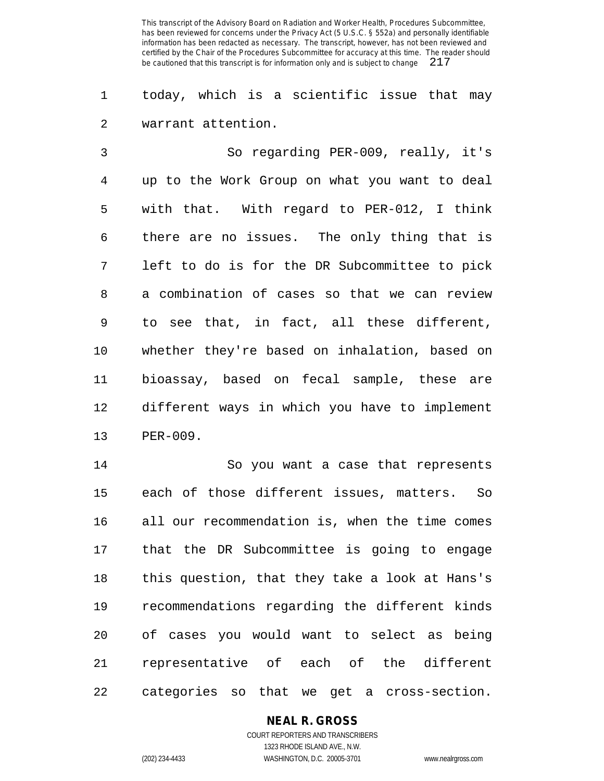today, which is a scientific issue that may warrant attention.

 So regarding PER-009, really, it's up to the Work Group on what you want to deal with that. With regard to PER-012, I think there are no issues. The only thing that is left to do is for the DR Subcommittee to pick a combination of cases so that we can review to see that, in fact, all these different, whether they're based on inhalation, based on bioassay, based on fecal sample, these are different ways in which you have to implement PER-009.

 So you want a case that represents each of those different issues, matters. So all our recommendation is, when the time comes that the DR Subcommittee is going to engage this question, that they take a look at Hans's recommendations regarding the different kinds of cases you would want to select as being representative of each of the different categories so that we get a cross-section.

## **NEAL R. GROSS**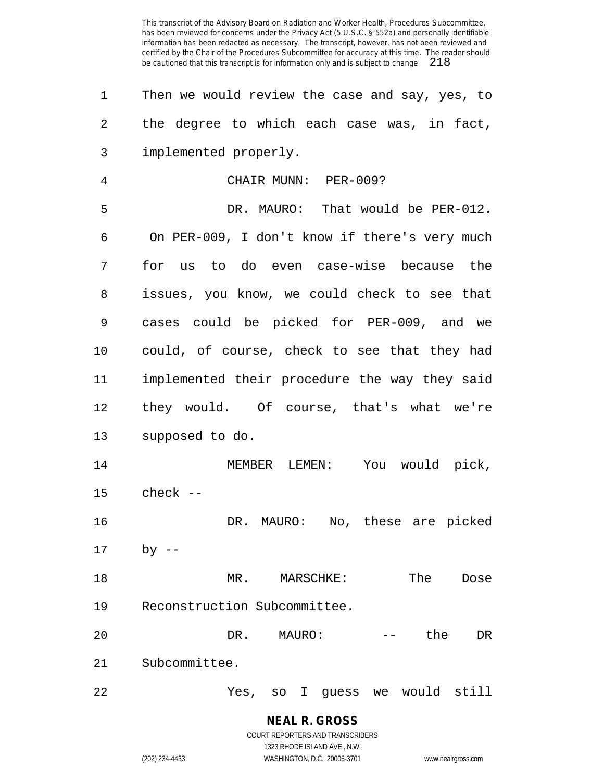| 1       | Then we would review the case and say, yes, to    |
|---------|---------------------------------------------------|
| 2       | the degree to which each case was, in fact,       |
| 3       | implemented properly.                             |
| 4       | CHAIR MUNN: PER-009?                              |
| 5       | DR. MAURO: That would be PER-012.                 |
| 6       | On PER-009, I don't know if there's very much     |
| 7       | for us to do even case-wise because the           |
| 8       | issues, you know, we could check to see that      |
| 9       | cases could be picked for PER-009, and we         |
| $10 \,$ | could, of course, check to see that they had      |
| 11      | implemented their procedure the way they said     |
| 12      | they would. Of course, that's what we're          |
| 13      | supposed to do.                                   |
| 14      | MEMBER LEMEN: You would pick,                     |
| 15      | $check --$                                        |
| 16      | DR. MAURO: No, these are picked                   |
| 17      | $by$ --                                           |
| 18      | The<br>MR.<br>MARSCHKE:<br>Dose                   |
| 19      | Reconstruction Subcommittee.                      |
| 20      | DR.<br>the<br>MAURO:<br>DR                        |
| 21      | Subcommittee.                                     |
| 22      | would<br>still<br>Yes,<br>guess<br>I.<br>SO<br>we |

**NEAL R. GROSS** COURT REPORTERS AND TRANSCRIBERS 1323 RHODE ISLAND AVE., N.W.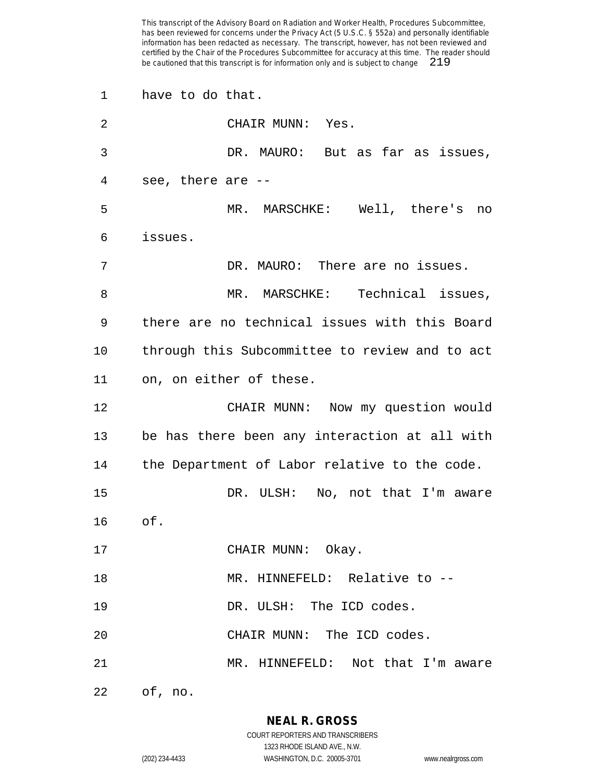| 1  | have to do that.                               |
|----|------------------------------------------------|
| 2  | CHAIR MUNN: Yes.                               |
| 3  | DR. MAURO: But as far as issues,               |
| 4  | see, there are --                              |
| 5  | MR. MARSCHKE: Well, there's no                 |
| 6  | issues.                                        |
| 7  | DR. MAURO: There are no issues.                |
| 8  | MR. MARSCHKE: Technical issues,                |
| 9  | there are no technical issues with this Board  |
| 10 | through this Subcommittee to review and to act |
| 11 | on, on either of these.                        |
| 12 | CHAIR MUNN: Now my question would              |
| 13 | be has there been any interaction at all with  |
| 14 | the Department of Labor relative to the code.  |
| 15 | DR. ULSH: No, not that I'm aware               |
| 16 | of.                                            |
| 17 | CHAIR MUNN: Okay.                              |
| 18 | MR. HINNEFELD: Relative to --                  |
| 19 | DR. ULSH: The ICD codes.                       |
| 20 | CHAIR MUNN: The ICD codes.                     |
| 21 | MR. HINNEFELD: Not that I'm aware              |
| 22 | of, no.                                        |

**NEAL R. GROSS** COURT REPORTERS AND TRANSCRIBERS

1323 RHODE ISLAND AVE., N.W. (202) 234-4433 WASHINGTON, D.C. 20005-3701 www.nealrgross.com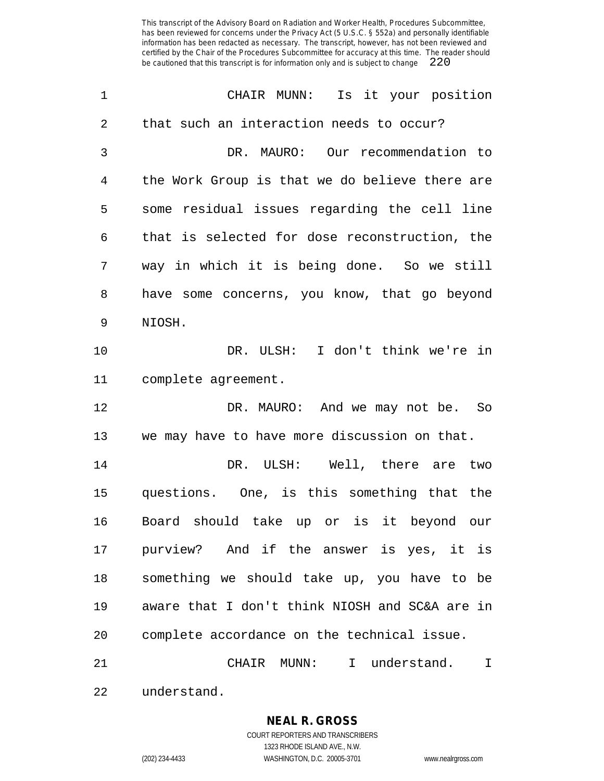| 1  | CHAIR MUNN: Is it your position                |
|----|------------------------------------------------|
| 2  | that such an interaction needs to occur?       |
| 3  | DR. MAURO: Our recommendation to               |
| 4  | the Work Group is that we do believe there are |
| 5  | some residual issues regarding the cell line   |
| 6  | that is selected for dose reconstruction, the  |
| 7  | way in which it is being done. So we still     |
| 8  | have some concerns, you know, that go beyond   |
| 9  | NIOSH.                                         |
| 10 | DR. ULSH: I don't think we're in               |
| 11 | complete agreement.                            |
| 12 | DR. MAURO: And we may not be. So               |
| 13 | we may have to have more discussion on that.   |
| 14 | DR. ULSH: Well, there are two                  |
| 15 | questions. One, is this something that the     |
| 16 | Board should take up or is it beyond our       |
| 17 | purview? And if the answer is yes, it is       |
| 18 | something we should take up, you have to be    |
| 19 | aware that I don't think NIOSH and SC&A are in |
| 20 | complete accordance on the technical issue.    |
| 21 | CHAIR MUNN: I understand.<br>$\mathbf I$       |
| 22 | understand.                                    |

**NEAL R. GROSS** COURT REPORTERS AND TRANSCRIBERS 1323 RHODE ISLAND AVE., N.W.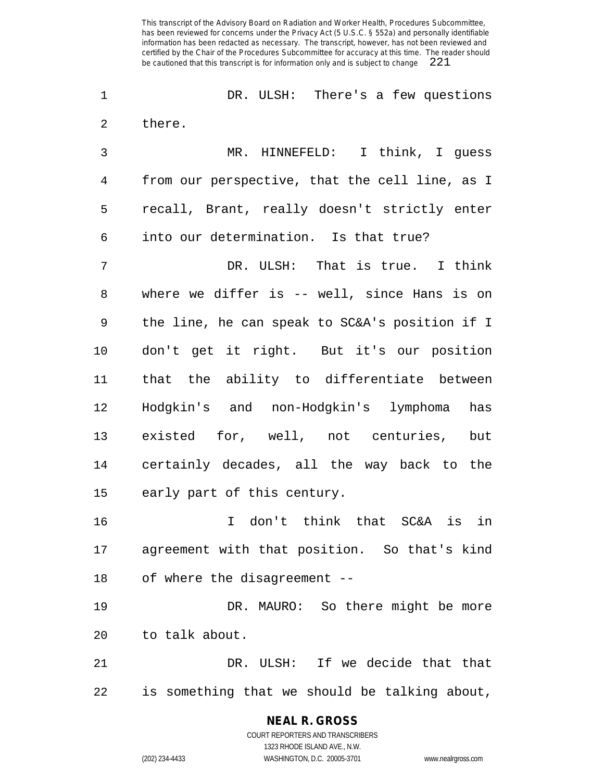DR. ULSH: There's a few questions there.

 MR. HINNEFELD: I think, I guess from our perspective, that the cell line, as I recall, Brant, really doesn't strictly enter into our determination. Is that true?

 DR. ULSH: That is true. I think where we differ is -- well, since Hans is on the line, he can speak to SC&A's position if I don't get it right. But it's our position that the ability to differentiate between Hodgkin's and non-Hodgkin's lymphoma has existed for, well, not centuries, but certainly decades, all the way back to the early part of this century.

 I don't think that SC&A is in agreement with that position. So that's kind of where the disagreement --

 DR. MAURO: So there might be more to talk about.

 DR. ULSH: If we decide that that is something that we should be talking about,

> **NEAL R. GROSS** COURT REPORTERS AND TRANSCRIBERS

> > 1323 RHODE ISLAND AVE., N.W.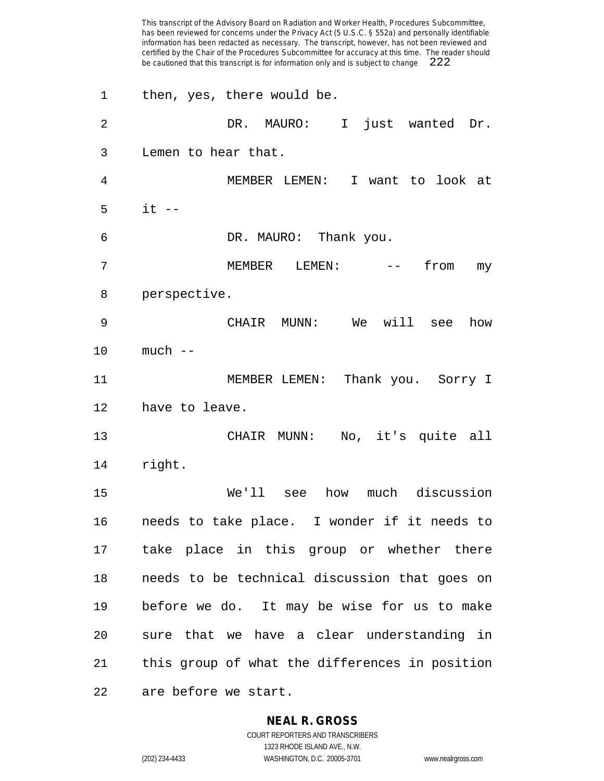has been reviewed for concerns under the Privacy Act (5 U.S.C. § 552a) and personally identifiable information has been redacted as necessary. The transcript, however, has not been reviewed and certified by the Chair of the Procedures Subcommittee for accuracy at this time. The reader should be cautioned that this transcript is for information only and is subject to change then, yes, there would be. DR. MAURO: I just wanted Dr. Lemen to hear that. MEMBER LEMEN: I want to look at it -- DR. MAURO: Thank you. 7 MEMBER LEMEN: -- from my perspective. CHAIR MUNN: We will see how much -- 11 MEMBER LEMEN: Thank you. Sorry I have to leave. CHAIR MUNN: No, it's quite all right. We'll see how much discussion needs to take place. I wonder if it needs to take place in this group or whether there needs to be technical discussion that goes on before we do. It may be wise for us to make sure that we have a clear understanding in this group of what the differences in position are before we start.

This transcript of the Advisory Board on Radiation and Worker Health, Procedures Subcommittee,

### **NEAL R. GROSS**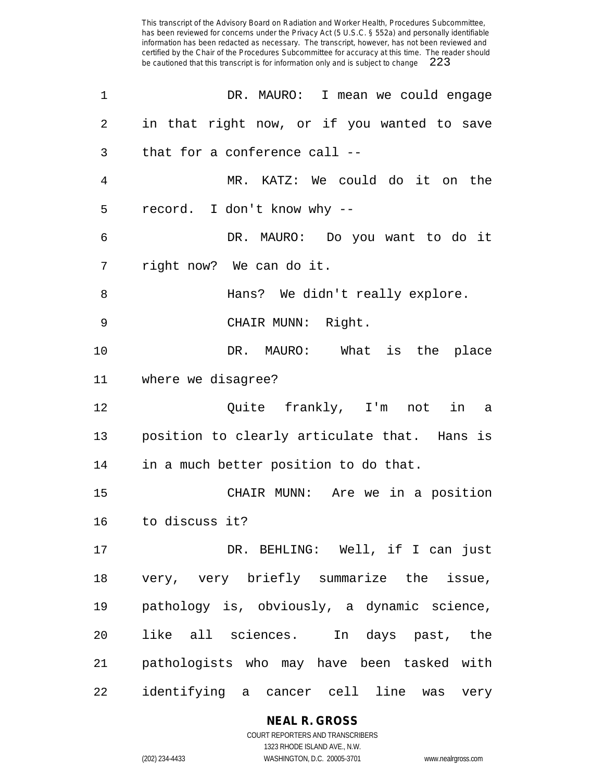| 1  | DR. MAURO: I mean we could engage            |
|----|----------------------------------------------|
| 2  | in that right now, or if you wanted to save  |
| 3  | that for a conference call --                |
| 4  | MR. KATZ: We could do it on the              |
| 5  | record. I don't know why --                  |
| 6  | DR. MAURO: Do you want to do it              |
| 7  | right now? We can do it.                     |
| 8  | Hans? We didn't really explore.              |
| 9  | CHAIR MUNN: Right.                           |
| 10 | DR. MAURO: What is the place                 |
| 11 | where we disagree?                           |
| 12 | Quite frankly, I'm<br>not<br>in<br>a         |
| 13 | position to clearly articulate that. Hans is |
| 14 | in a much better position to do that.        |
| 15 | CHAIR MUNN: Are we in a position             |
| 16 | to discuss it?                               |
| 17 | DR. BEHLING: Well, if I can just             |
| 18 | very, very briefly summarize the issue,      |
| 19 | pathology is, obviously, a dynamic science,  |
| 20 | like all sciences. In days past, the         |
| 21 | pathologists who may have been tasked with   |
| 22 | identifying a cancer cell line was<br>very   |

**NEAL R. GROSS**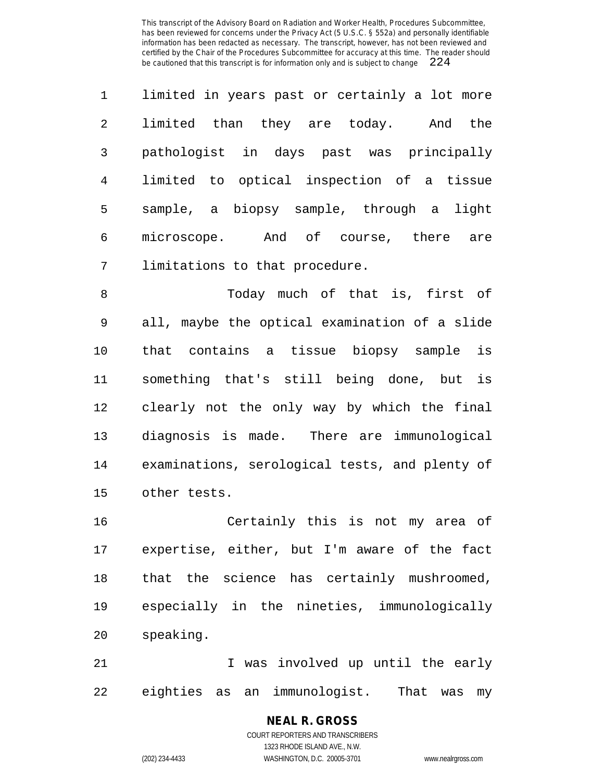| $\mathbf{1}$   | limited in years past or certainly a lot more |
|----------------|-----------------------------------------------|
| $\overline{2}$ | limited than they are today.<br>And the       |
| 3              | pathologist in days past was principally      |
| 4              | limited to optical inspection of a tissue     |
| 5              | sample, a biopsy sample, through a light      |
| 6              | microscope. And of course, there are          |
| 7              | limitations to that procedure.                |

 Today much of that is, first of all, maybe the optical examination of a slide that contains a tissue biopsy sample is something that's still being done, but is clearly not the only way by which the final diagnosis is made. There are immunological examinations, serological tests, and plenty of other tests.

 Certainly this is not my area of expertise, either, but I'm aware of the fact that the science has certainly mushroomed, especially in the nineties, immunologically speaking.

 I was involved up until the early eighties as an immunologist. That was my

### **NEAL R. GROSS** COURT REPORTERS AND TRANSCRIBERS

1323 RHODE ISLAND AVE., N.W. (202) 234-4433 WASHINGTON, D.C. 20005-3701 www.nealrgross.com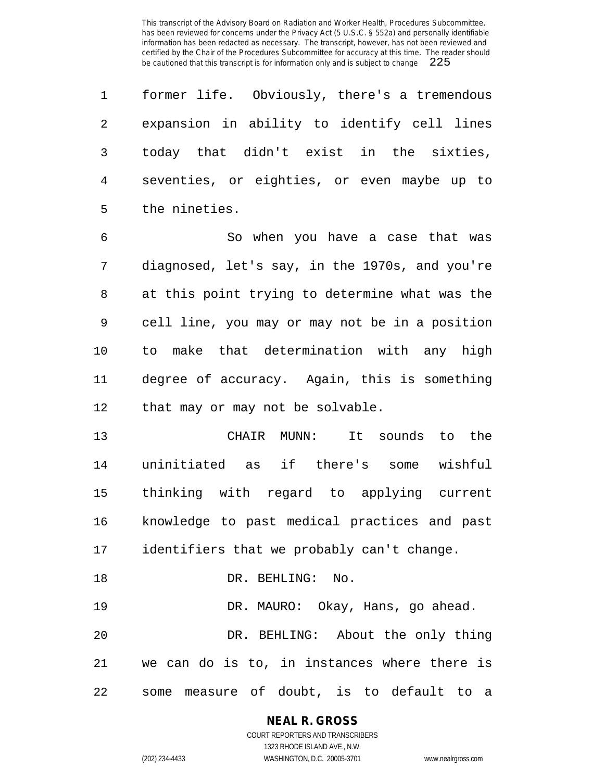former life. Obviously, there's a tremendous expansion in ability to identify cell lines today that didn't exist in the sixties, seventies, or eighties, or even maybe up to the nineties.

 So when you have a case that was diagnosed, let's say, in the 1970s, and you're at this point trying to determine what was the cell line, you may or may not be in a position to make that determination with any high degree of accuracy. Again, this is something 12 that may or may not be solvable.

 CHAIR MUNN: It sounds to the uninitiated as if there's some wishful thinking with regard to applying current knowledge to past medical practices and past identifiers that we probably can't change.

18 DR. BEHLING: No.

 DR. MAURO: Okay, Hans, go ahead. DR. BEHLING: About the only thing we can do is to, in instances where there is some measure of doubt, is to default to a

**NEAL R. GROSS**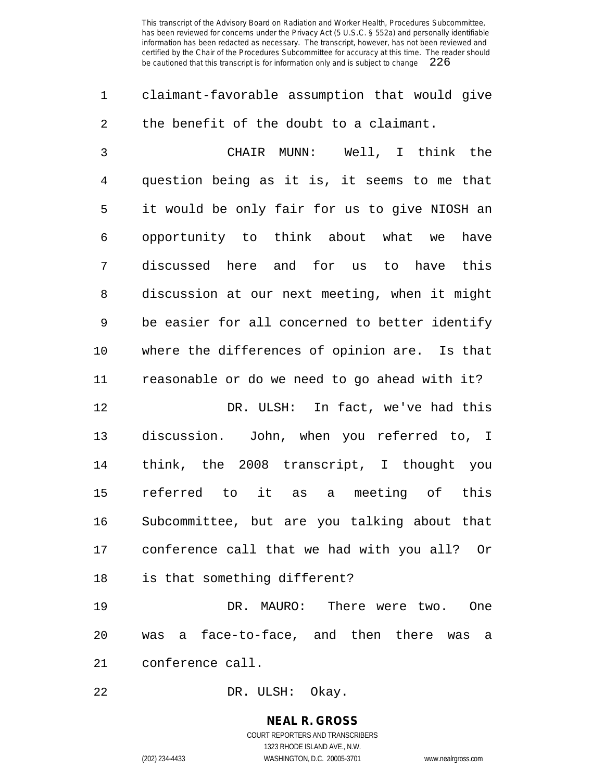claimant-favorable assumption that would give the benefit of the doubt to a claimant.

 CHAIR MUNN: Well, I think the question being as it is, it seems to me that it would be only fair for us to give NIOSH an opportunity to think about what we have discussed here and for us to have this discussion at our next meeting, when it might be easier for all concerned to better identify where the differences of opinion are. Is that reasonable or do we need to go ahead with it?

 DR. ULSH: In fact, we've had this discussion. John, when you referred to, I think, the 2008 transcript, I thought you referred to it as a meeting of this Subcommittee, but are you talking about that conference call that we had with you all? Or is that something different?

 DR. MAURO: There were two. One was a face-to-face, and then there was a conference call.

DR. ULSH: Okay.

**NEAL R. GROSS** COURT REPORTERS AND TRANSCRIBERS 1323 RHODE ISLAND AVE., N.W.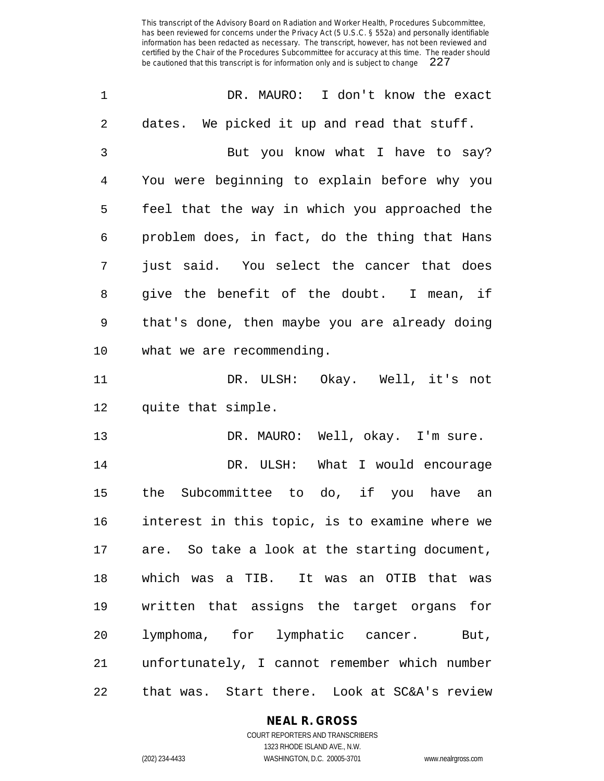| $\mathbf 1$    | DR. MAURO: I don't know the exact              |
|----------------|------------------------------------------------|
| $\overline{2}$ | dates. We picked it up and read that stuff.    |
| 3              | But you know what I have to say?               |
| 4              | You were beginning to explain before why you   |
| 5              | feel that the way in which you approached the  |
| 6              | problem does, in fact, do the thing that Hans  |
| 7              | just said. You select the cancer that does     |
| 8              | give the benefit of the doubt. I mean, if      |
| 9              | that's done, then maybe you are already doing  |
| 10             | what we are recommending.                      |
| 11             | DR. ULSH: Okay. Well, it's not                 |
| 12             | quite that simple.                             |
| 13             | DR. MAURO: Well, okay. I'm sure.               |
| 14             | DR. ULSH: What I would encourage               |
| 15             | Subcommittee to do, if you have an<br>the      |
| 16             | interest in this topic, is to examine where we |
| 17             | are. So take a look at the starting document,  |
| 18             | which was a TIB. It was an OTIB that was       |
| 19             | written that assigns the target organs for     |
| 20             | lymphoma, for lymphatic cancer. But,           |
| 21             | unfortunately, I cannot remember which number  |
| 22             | that was. Start there. Look at SC&A's review   |

**NEAL R. GROSS**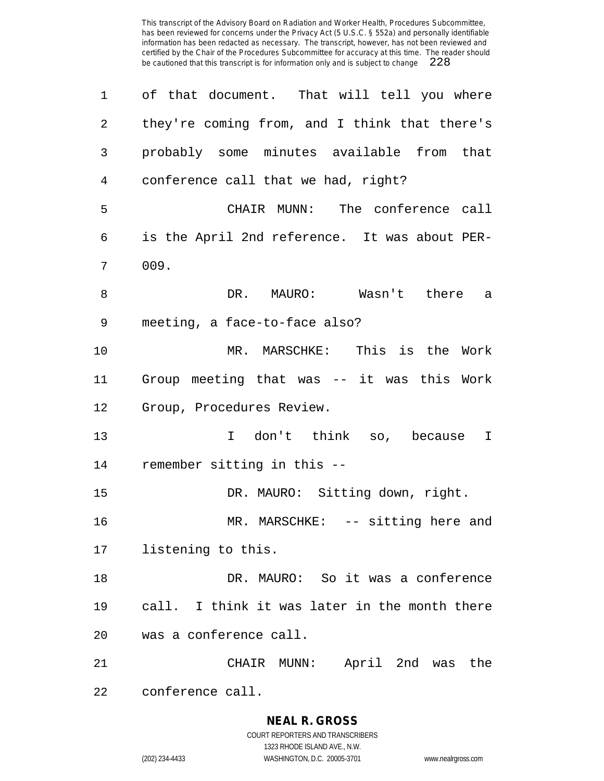| $\mathbf 1$    | of that document. That will tell you where    |
|----------------|-----------------------------------------------|
| $\overline{2}$ | they're coming from, and I think that there's |
| 3              | probably some minutes available from that     |
| 4              | conference call that we had, right?           |
| 5              | CHAIR MUNN: The conference call               |
| 6              | is the April 2nd reference. It was about PER- |
| 7              | 009.                                          |
| 8              | DR. MAURO: Wasn't there a                     |
| 9              | meeting, a face-to-face also?                 |
| 10             | MR. MARSCHKE: This is the Work                |
| 11             | Group meeting that was -- it was this Work    |
| 12             | Group, Procedures Review.                     |
| 13             | I don't think so, because I                   |
| 14             | remember sitting in this --                   |
| 15             | DR. MAURO: Sitting down, right.               |
| 16             | MR. MARSCHKE: -- sitting here and             |
| 17             | listening to this.                            |
| 18             | DR. MAURO: So it was a conference             |
| 19             | call. I think it was later in the month there |
| 20             | was a conference call.                        |
| 21             | April 2nd was<br>CHAIR MUNN:<br>the           |
| 22             | conference call.                              |

# **NEAL R. GROSS**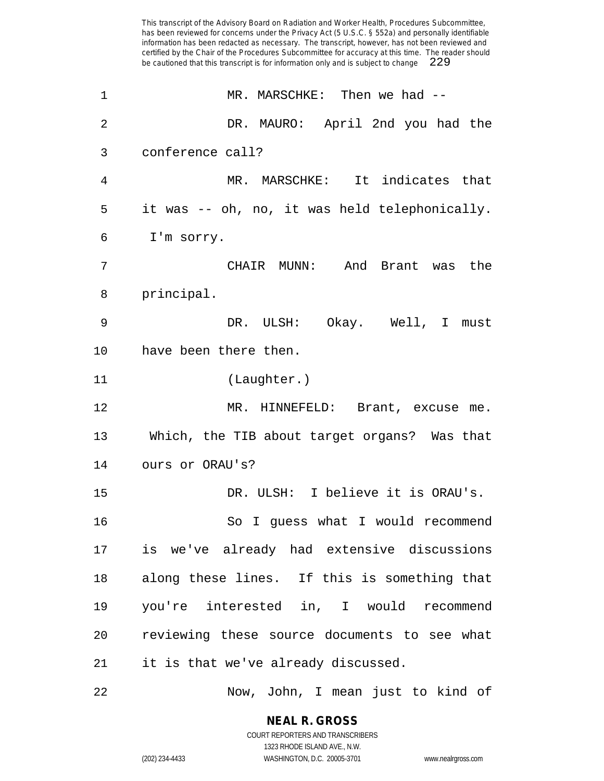1 MR. MARSCHKE: Then we had -- DR. MAURO: April 2nd you had the conference call? MR. MARSCHKE: It indicates that it was -- oh, no, it was held telephonically. I'm sorry. CHAIR MUNN: And Brant was the principal. DR. ULSH: Okay. Well, I must have been there then. (Laughter.) 12 MR. HINNEFELD: Brant, excuse me. Which, the TIB about target organs? Was that ours or ORAU's? DR. ULSH: I believe it is ORAU's. So I guess what I would recommend is we've already had extensive discussions along these lines. If this is something that you're interested in, I would recommend reviewing these source documents to see what it is that we've already discussed.

Now, John, I mean just to kind of

**NEAL R. GROSS** COURT REPORTERS AND TRANSCRIBERS

1323 RHODE ISLAND AVE., N.W. (202) 234-4433 WASHINGTON, D.C. 20005-3701 www.nealrgross.com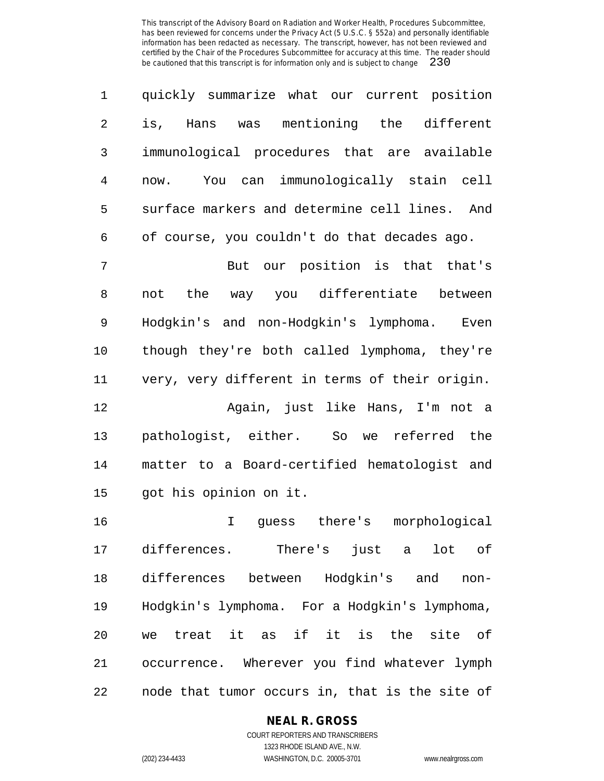| $1 \qquad \qquad$ | quickly summarize what our current position    |
|-------------------|------------------------------------------------|
| $\overline{2}$    | is, Hans was mentioning the different          |
| $\mathbf{3}$      | immunological procedures that are available    |
| 4                 | You can immunologically stain cell<br>now.     |
| 5                 | surface markers and determine cell lines. And  |
|                   | 6 of course, you couldn't do that decades ago. |

 But our position is that that's not the way you differentiate between Hodgkin's and non-Hodgkin's lymphoma. Even though they're both called lymphoma, they're very, very different in terms of their origin.

 Again, just like Hans, I'm not a pathologist, either. So we referred the matter to a Board-certified hematologist and got his opinion on it.

 I guess there's morphological differences. There's just a lot of differences between Hodgkin's and non- Hodgkin's lymphoma. For a Hodgkin's lymphoma, we treat it as if it is the site of occurrence. Wherever you find whatever lymph node that tumor occurs in, that is the site of

## **NEAL R. GROSS**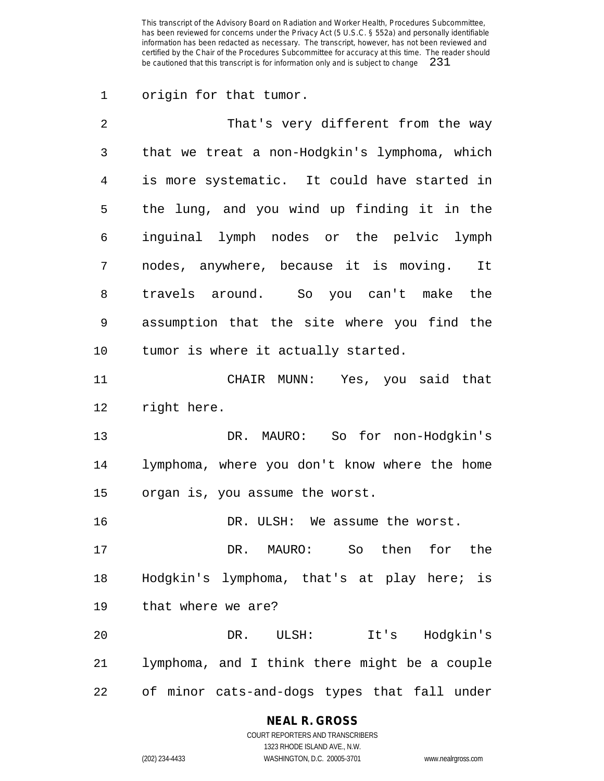origin for that tumor.

| 2       | That's very different from the way            |
|---------|-----------------------------------------------|
| 3       | that we treat a non-Hodgkin's lymphoma, which |
| 4       | is more systematic. It could have started in  |
| 5       | the lung, and you wind up finding it in the   |
| 6       | inguinal lymph nodes or the pelvic lymph      |
| 7       | nodes, anywhere, because it is moving. It     |
| 8       | travels around. So you can't make the         |
| 9       | assumption that the site where you find the   |
| $10 \,$ | tumor is where it actually started.           |
| 11      | CHAIR MUNN: Yes, you said that                |
| 12      | right here.                                   |
| 13      | DR. MAURO: So for non-Hodgkin's               |
| 14      | lymphoma, where you don't know where the home |
| 15      | organ is, you assume the worst.               |
| 16      | DR. ULSH: We assume the worst.                |
| 17      | So then for the<br>DR. MAURO:                 |
| 18      | Hodgkin's lymphoma, that's at play here; is   |
| 19      | that where we are?                            |
| 20      | It's Hodgkin's<br>DR. ULSH:                   |
| 21      | lymphoma, and I think there might be a couple |
| 22      | of minor cats-and-dogs types that fall under  |

## **NEAL R. GROSS**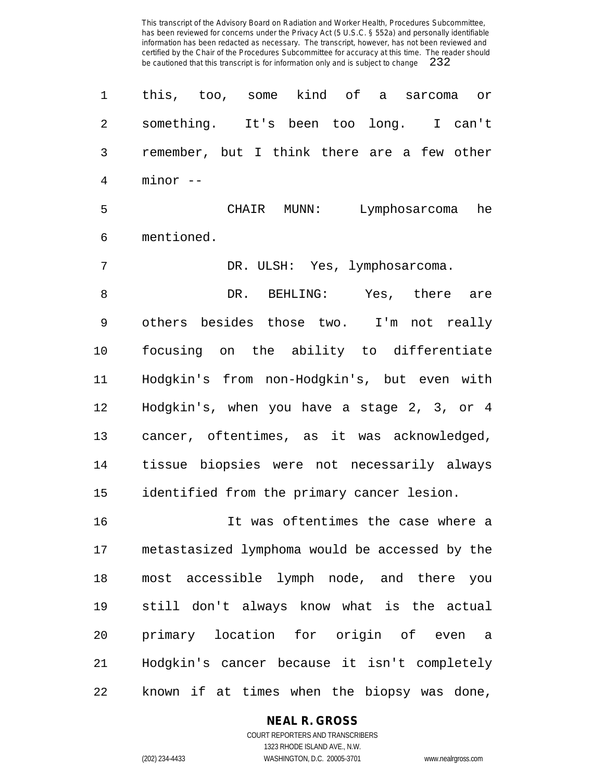| 1  | this, too, some kind of a<br>sarcoma<br>or     |
|----|------------------------------------------------|
| 2  | something. It's been too long. I can't         |
| 3  | remember, but I think there are a few other    |
| 4  | minor --                                       |
| 5  | CHAIR MUNN: Lymphosarcoma<br>he                |
| 6  | mentioned.                                     |
| 7  | DR. ULSH: Yes, lymphosarcoma.                  |
| 8  | DR.<br>BEHLING:<br>Yes, there are              |
| 9  | others besides those two. I'm not really       |
| 10 | focusing on the ability to differentiate       |
| 11 | Hodgkin's from non-Hodgkin's, but even with    |
| 12 | Hodgkin's, when you have a stage 2, 3, or 4    |
| 13 | cancer, oftentimes, as it was acknowledged,    |
| 14 | tissue biopsies were not necessarily always    |
| 15 | identified from the primary cancer lesion.     |
| 16 | It was oftentimes the case where a             |
| 17 | metastasized lymphoma would be accessed by the |
| 18 | most accessible lymph node, and there you      |
| 19 | still don't always know what is the actual     |
| 20 | primary location for origin of even a          |
| 21 | Hodgkin's cancer because it isn't completely   |
| 22 | known if at times when the biopsy was done,    |

**NEAL R. GROSS**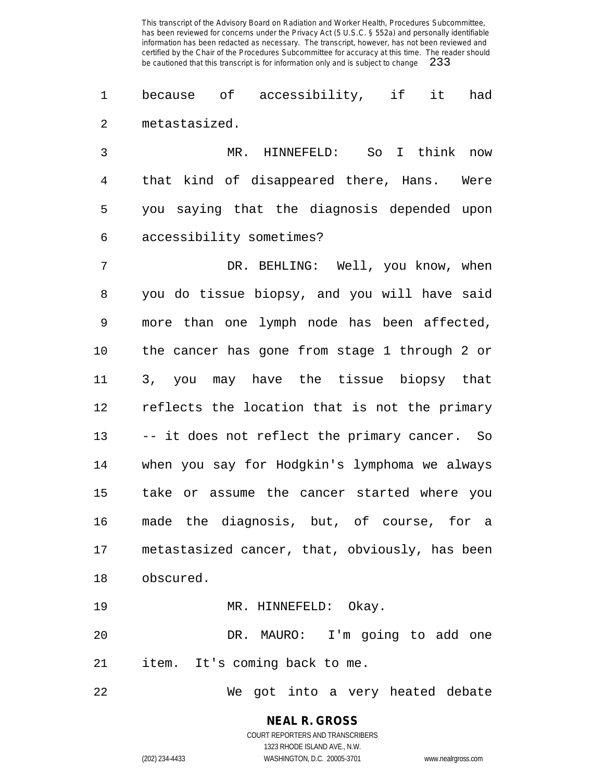because of accessibility, if it had metastasized.

 MR. HINNEFELD: So I think now that kind of disappeared there, Hans. Were you saying that the diagnosis depended upon accessibility sometimes?

 DR. BEHLING: Well, you know, when you do tissue biopsy, and you will have said more than one lymph node has been affected, the cancer has gone from stage 1 through 2 or 3, you may have the tissue biopsy that reflects the location that is not the primary -- it does not reflect the primary cancer. So when you say for Hodgkin's lymphoma we always take or assume the cancer started where you made the diagnosis, but, of course, for a metastasized cancer, that, obviously, has been obscured.

19 MR. HINNEFELD: Okay.

 DR. MAURO: I'm going to add one item. It's coming back to me.

We got into a very heated debate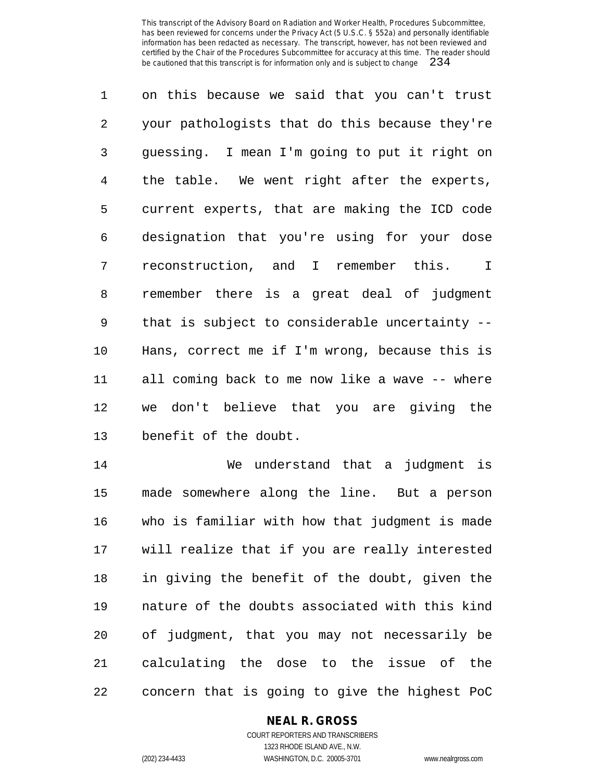on this because we said that you can't trust your pathologists that do this because they're guessing. I mean I'm going to put it right on the table. We went right after the experts, current experts, that are making the ICD code designation that you're using for your dose reconstruction, and I remember this. I remember there is a great deal of judgment that is subject to considerable uncertainty -- Hans, correct me if I'm wrong, because this is all coming back to me now like a wave -- where we don't believe that you are giving the benefit of the doubt.

 We understand that a judgment is made somewhere along the line. But a person who is familiar with how that judgment is made will realize that if you are really interested in giving the benefit of the doubt, given the nature of the doubts associated with this kind of judgment, that you may not necessarily be calculating the dose to the issue of the concern that is going to give the highest PoC

## **NEAL R. GROSS**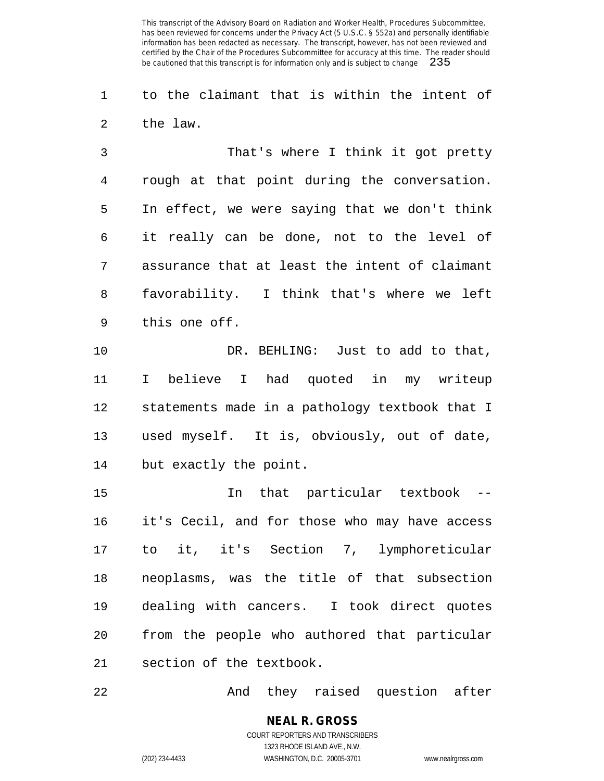to the claimant that is within the intent of the law.

 That's where I think it got pretty rough at that point during the conversation. In effect, we were saying that we don't think it really can be done, not to the level of assurance that at least the intent of claimant favorability. I think that's where we left this one off.

 DR. BEHLING: Just to add to that, I believe I had quoted in my writeup statements made in a pathology textbook that I used myself. It is, obviously, out of date, but exactly the point.

 In that particular textbook -- it's Cecil, and for those who may have access to it, it's Section 7, lymphoreticular neoplasms, was the title of that subsection dealing with cancers. I took direct quotes from the people who authored that particular section of the textbook.

And they raised question after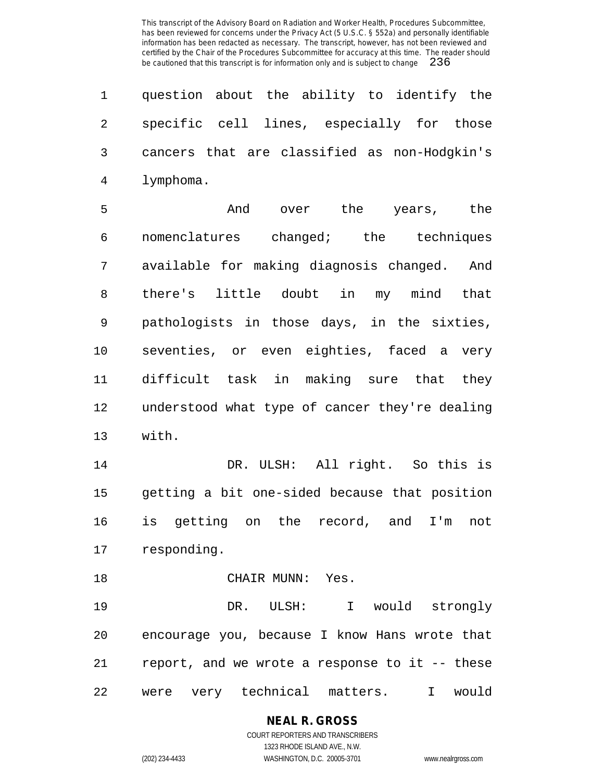question about the ability to identify the specific cell lines, especially for those cancers that are classified as non-Hodgkin's lymphoma.

 And over the years, the nomenclatures changed; the techniques available for making diagnosis changed. And there's little doubt in my mind that pathologists in those days, in the sixties, seventies, or even eighties, faced a very difficult task in making sure that they understood what type of cancer they're dealing with.

 DR. ULSH: All right. So this is getting a bit one-sided because that position is getting on the record, and I'm not responding.

CHAIR MUNN: Yes.

 DR. ULSH: I would strongly encourage you, because I know Hans wrote that report, and we wrote a response to it -- these were very technical matters. I would

> **NEAL R. GROSS** COURT REPORTERS AND TRANSCRIBERS

> > 1323 RHODE ISLAND AVE., N.W.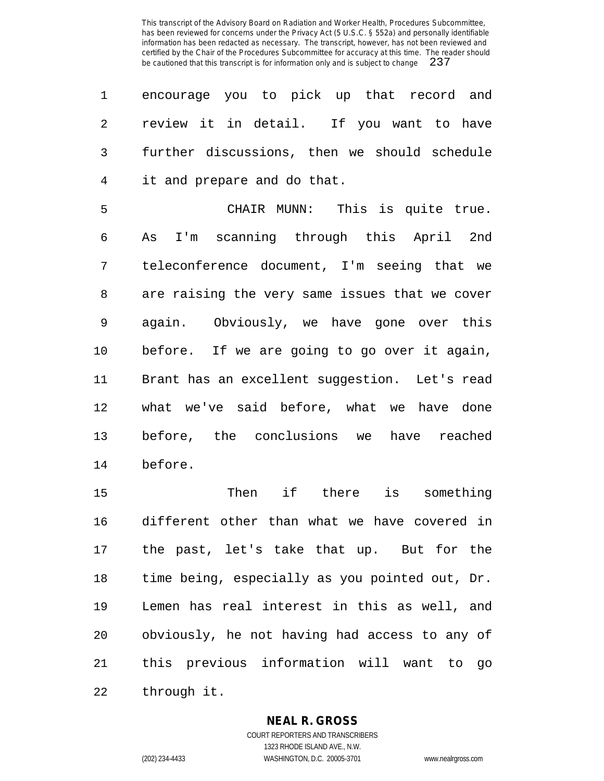|                | 1 encourage you to pick up that record and     |
|----------------|------------------------------------------------|
| $\overline{2}$ | review it in detail. If you want to have       |
|                | 3 further discussions, then we should schedule |
| $4\degree$     | it and prepare and do that.                    |

 CHAIR MUNN: This is quite true. As I'm scanning through this April 2nd teleconference document, I'm seeing that we are raising the very same issues that we cover again. Obviously, we have gone over this before. If we are going to go over it again, Brant has an excellent suggestion. Let's read what we've said before, what we have done before, the conclusions we have reached before.

 Then if there is something different other than what we have covered in the past, let's take that up. But for the time being, especially as you pointed out, Dr. Lemen has real interest in this as well, and obviously, he not having had access to any of this previous information will want to go through it.

## **NEAL R. GROSS**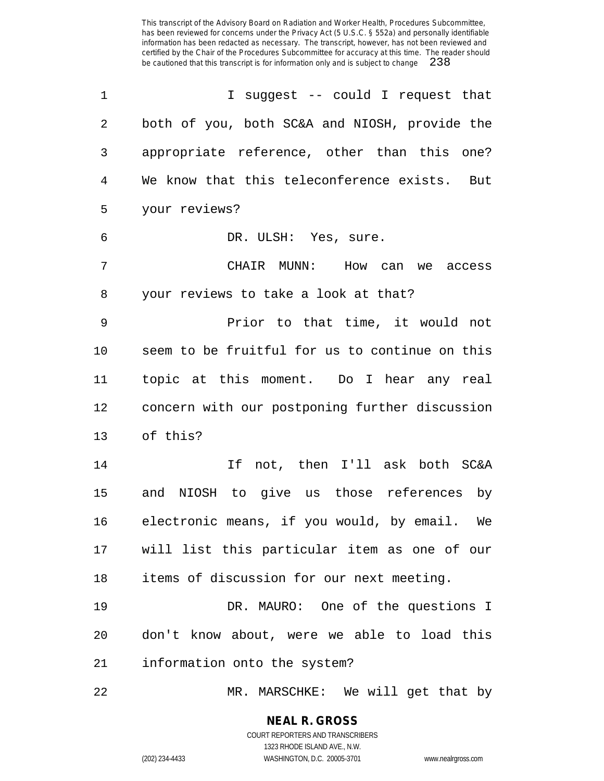| 1  | I suggest -- could I request that               |
|----|-------------------------------------------------|
| 2  | both of you, both SC&A and NIOSH, provide the   |
| 3  | appropriate reference, other than this one?     |
| 4  | We know that this teleconference exists. But    |
| 5  | your reviews?                                   |
| 6  | DR. ULSH: Yes, sure.                            |
| 7  | CHAIR MUNN: How can we access                   |
| 8  | your reviews to take a look at that?            |
| 9  | Prior to that time, it would not                |
| 10 | seem to be fruitful for us to continue on this  |
| 11 | topic at this moment. Do I hear any real        |
| 12 | concern with our postponing further discussion  |
| 13 | of this?                                        |
| 14 | If not, then I'll ask both SC&A                 |
| 15 | and NIOSH to give us those references by        |
| 16 | electronic means, if you would, by email. We    |
|    | 17 will list this particular item as one of our |
| 18 | items of discussion for our next meeting.       |
| 19 | DR. MAURO: One of the questions I               |
| 20 | don't know about, were we able to load this     |
| 21 | information onto the system?                    |
| 22 | MR. MARSCHKE: We will get that by               |

1323 RHODE ISLAND AVE., N.W.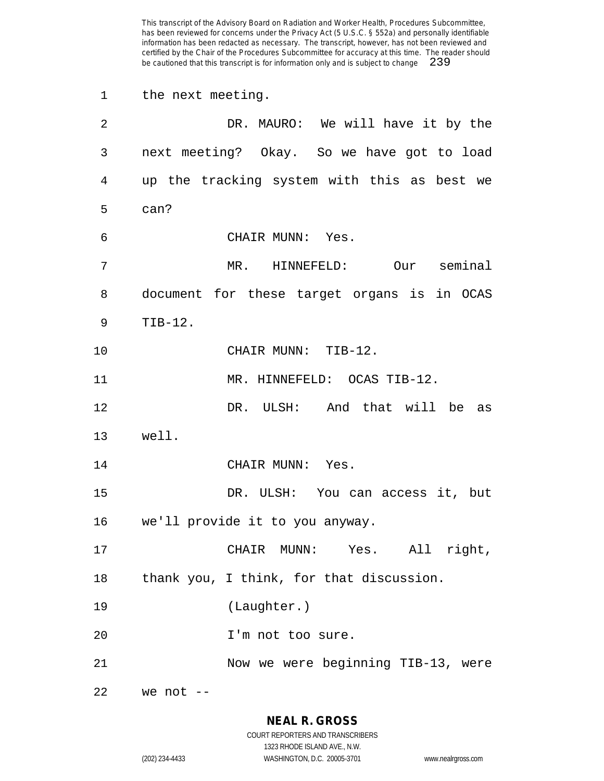the next meeting. DR. MAURO: We will have it by the next meeting? Okay. So we have got to load up the tracking system with this as best we can? CHAIR MUNN: Yes. MR. HINNEFELD: Our seminal document for these target organs is in OCAS TIB-12. CHAIR MUNN: TIB-12. 11 MR. HINNEFELD: OCAS TIB-12. DR. ULSH: And that will be as well. 14 CHAIR MUNN: Yes. DR. ULSH: You can access it, but we'll provide it to you anyway. CHAIR MUNN: Yes. All right, thank you, I think, for that discussion. (Laughter.) I'm not too sure. Now we were beginning TIB-13, were we not --

> **NEAL R. GROSS** COURT REPORTERS AND TRANSCRIBERS

> > 1323 RHODE ISLAND AVE., N.W.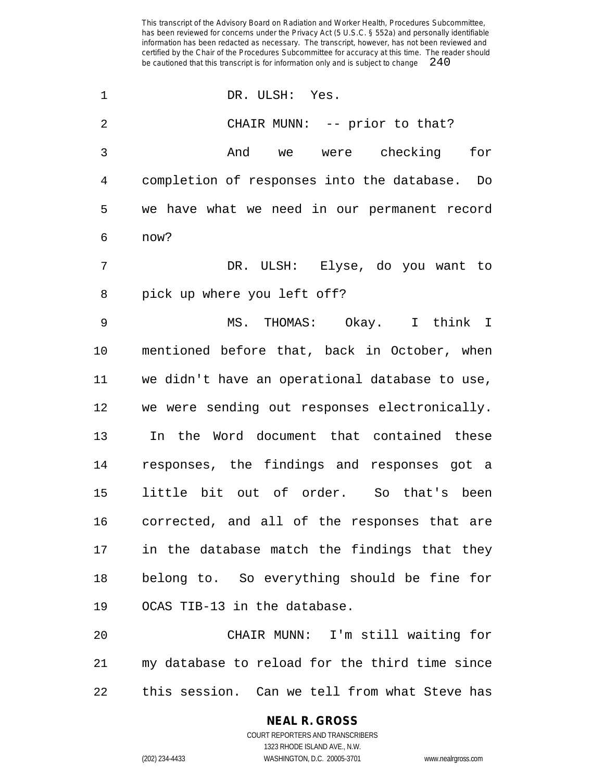DR. ULSH: Yes. 2 CHAIR MUNN: -- prior to that? And we were checking for completion of responses into the database. Do we have what we need in our permanent record now? DR. ULSH: Elyse, do you want to pick up where you left off? MS. THOMAS: Okay. I think I mentioned before that, back in October, when we didn't have an operational database to use, we were sending out responses electronically. In the Word document that contained these responses, the findings and responses got a little bit out of order. So that's been corrected, and all of the responses that are in the database match the findings that they belong to. So everything should be fine for OCAS TIB-13 in the database. CHAIR MUNN: I'm still waiting for my database to reload for the third time since

this session. Can we tell from what Steve has

COURT REPORTERS AND TRANSCRIBERS 1323 RHODE ISLAND AVE., N.W. (202) 234-4433 WASHINGTON, D.C. 20005-3701 www.nealrgross.com

**NEAL R. GROSS**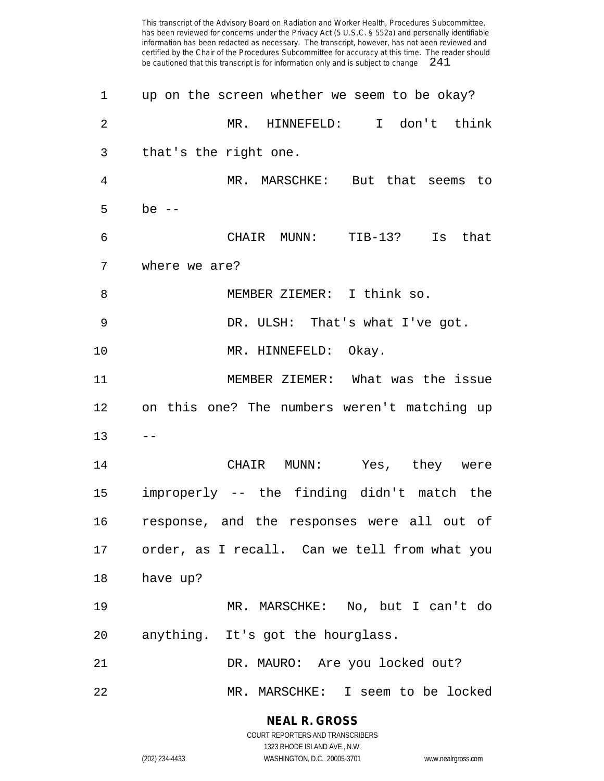| 1              | up on the screen whether we seem to be okay?  |
|----------------|-----------------------------------------------|
| $\overline{2}$ | MR. HINNEFELD: I don't think                  |
| 3              | that's the right one.                         |
| 4              | MR. MARSCHKE: But that seems to               |
| 5              | be $--$                                       |
| 6              | CHAIR MUNN: TIB-13? Is that                   |
| 7              | where we are?                                 |
| 8              | MEMBER ZIEMER: I think so.                    |
| 9              | DR. ULSH: That's what I've got.               |
| 10             | MR. HINNEFELD: Okay.                          |
| 11             | MEMBER ZIEMER: What was the issue             |
| 12             | on this one? The numbers weren't matching up  |
| 13             |                                               |
| 14             | CHAIR MUNN: Yes, they were                    |
| 15             | improperly -- the finding didn't match the    |
| 16             | response, and the responses were all out of   |
| 17             | order, as I recall. Can we tell from what you |
| 18             | have up?                                      |
| 19             | MR. MARSCHKE: No, but I can't do              |
| 20             | anything. It's got the hourglass.             |
| 21             | DR. MAURO: Are you locked out?                |
| 22             | MR. MARSCHKE: I seem to be locked             |

**NEAL R. GROSS**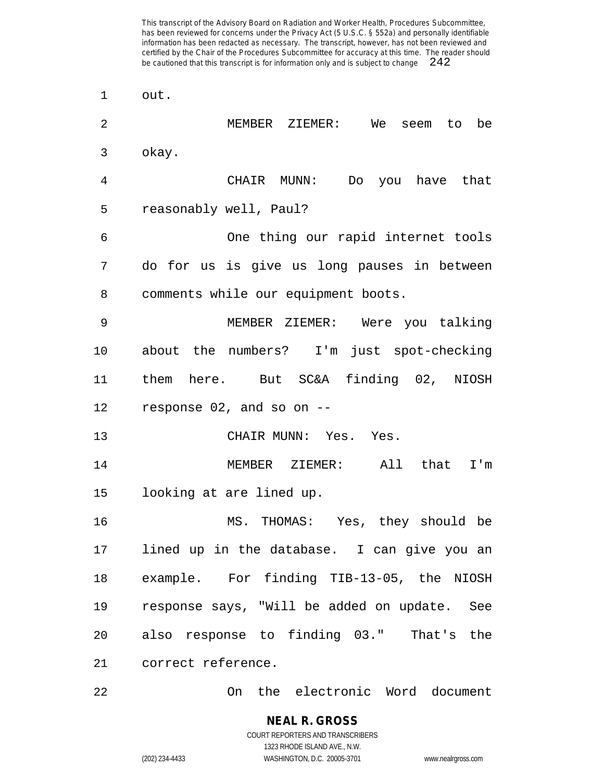out. MEMBER ZIEMER: We seem to be okay. CHAIR MUNN: Do you have that reasonably well, Paul? One thing our rapid internet tools do for us is give us long pauses in between comments while our equipment boots. MEMBER ZIEMER: Were you talking about the numbers? I'm just spot-checking them here. But SC&A finding 02, NIOSH response 02, and so on -- CHAIR MUNN: Yes. Yes. MEMBER ZIEMER: All that I'm looking at are lined up. MS. THOMAS: Yes, they should be lined up in the database. I can give you an example. For finding TIB-13-05, the NIOSH response says, "Will be added on update. See also response to finding 03." That's the correct reference.

On the electronic Word document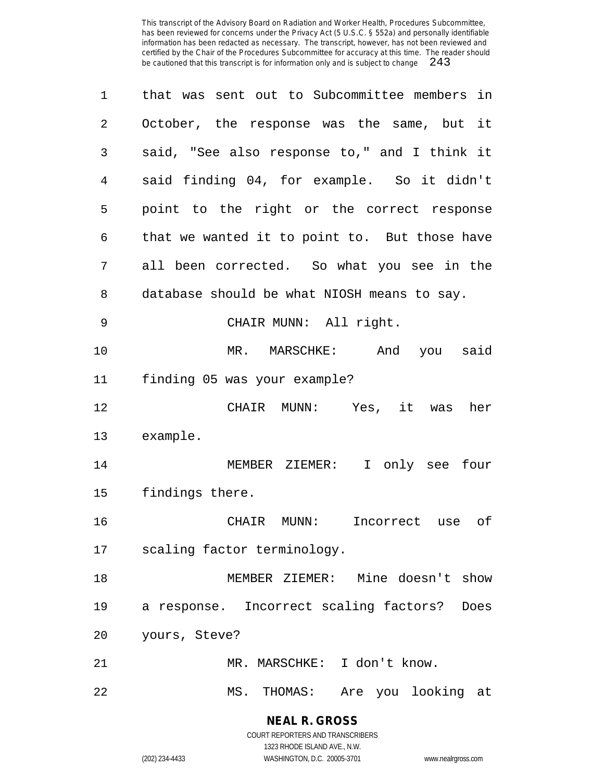| 1  | that was sent out to Subcommittee members in   |
|----|------------------------------------------------|
| 2  | October, the response was the same, but it     |
| 3  | said, "See also response to," and I think it   |
| 4  | said finding 04, for example. So it didn't     |
| 5  | point to the right or the correct response     |
| 6  | that we wanted it to point to. But those have  |
| 7  | all been corrected. So what you see in the     |
| 8  | database should be what NIOSH means to say.    |
| 9  | CHAIR MUNN: All right.                         |
| 10 | MR. MARSCHKE: And you said                     |
| 11 | finding 05 was your example?                   |
| 12 | CHAIR MUNN: Yes, it was her                    |
| 13 | example.                                       |
| 14 | MEMBER ZIEMER: I only see four                 |
| 15 | findings there.                                |
| 16 | CHAIR MUNN:<br>Incorrect use of                |
| 17 | scaling factor terminology.                    |
| 18 | MEMBER ZIEMER: Mine doesn't show               |
| 19 | a response. Incorrect scaling factors?<br>Does |
| 20 | yours, Steve?                                  |
| 21 | MR. MARSCHKE: I don't know.                    |
| 22 | Are you looking at<br>MS. THOMAS:              |

**NEAL R. GROSS** COURT REPORTERS AND TRANSCRIBERS

1323 RHODE ISLAND AVE., N.W.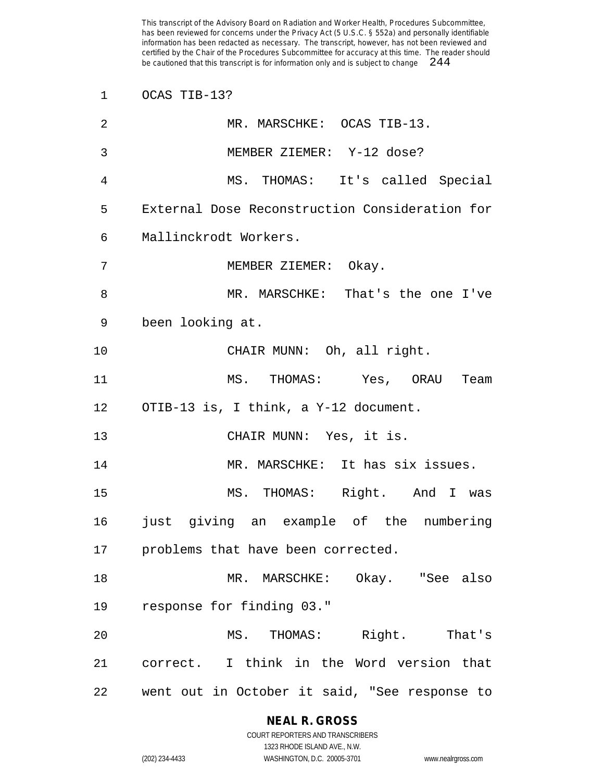OCAS TIB-13?

| $\overline{2}$ | MR. MARSCHKE: OCAS TIB-13.                     |
|----------------|------------------------------------------------|
| $\mathfrak{Z}$ | MEMBER ZIEMER: Y-12 dose?                      |
| 4              | MS. THOMAS: It's called Special                |
| 5              | External Dose Reconstruction Consideration for |
| 6              | Mallinckrodt Workers.                          |
| 7              | MEMBER ZIEMER: Okay.                           |
| 8              | MR. MARSCHKE: That's the one I've              |
| 9              | been looking at.                               |
| 10             | CHAIR MUNN: Oh, all right.                     |
| 11             | MS. THOMAS: Yes, ORAU<br>Team                  |
|                | 12 OTIB-13 is, I think, a Y-12 document.       |
| 13             | CHAIR MUNN: Yes, it is.                        |
| 14             | MR. MARSCHKE: It has six issues.               |
| 15             | MS. THOMAS: Right. And I was                   |
| 16             | just giving an example of the numbering        |
|                | 17 problems that have been corrected.          |
| 18             | MR. MARSCHKE: Okay. "See also                  |
| 19             | response for finding 03."                      |
| 20             | MS. THOMAS: Right. That's                      |
| 21             | correct. I think in the Word version that      |
| 22             | went out in October it said, "See response to  |

**NEAL R. GROSS** COURT REPORTERS AND TRANSCRIBERS

1323 RHODE ISLAND AVE., N.W. (202) 234-4433 WASHINGTON, D.C. 20005-3701 www.nealrgross.com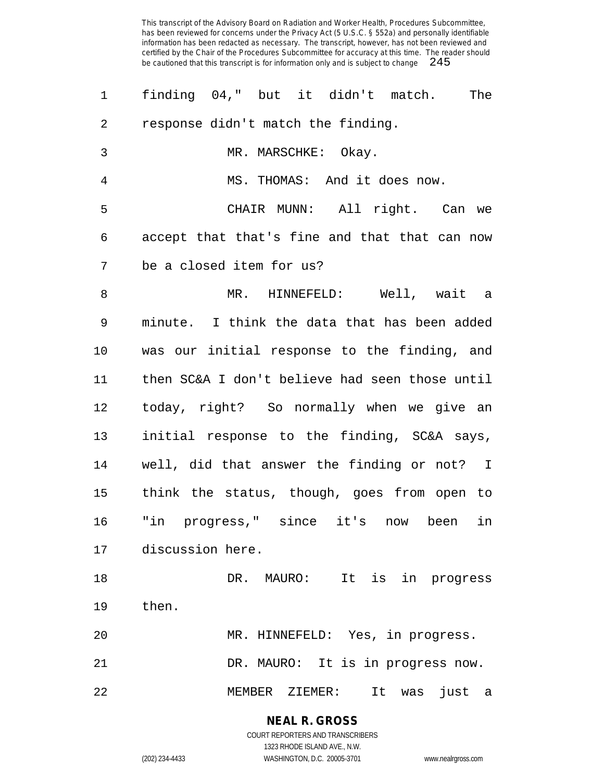| 1  | finding 04," but it didn't match.<br>The       |
|----|------------------------------------------------|
| 2  | response didn't match the finding.             |
| 3  | MR. MARSCHKE: Okay.                            |
| 4  | MS. THOMAS: And it does now.                   |
| 5  | CHAIR MUNN: All right. Can we                  |
| 6  | accept that that's fine and that that can now  |
| 7  | be a closed item for us?                       |
| 8  | MR. HINNEFELD: Well, wait a                    |
| 9  | minute. I think the data that has been added   |
| 10 | was our initial response to the finding, and   |
| 11 | then SC&A I don't believe had seen those until |
| 12 | today, right? So normally when we give an      |
| 13 | initial response to the finding, SC&A says,    |
| 14 | well, did that answer the finding or not? I    |
| 15 | think the status, though, goes from open to    |
| 16 | "in progress," since it's<br>in<br>now been    |
| 17 | discussion here.                               |
| 18 | It is in progress<br>DR. MAURO:                |
| 19 | then.                                          |
| 20 | MR. HINNEFELD: Yes, in progress.               |
| 21 | DR. MAURO: It is in progress now.              |
| 22 | MEMBER ZIEMER:<br>It<br>just<br>was<br>a       |

**NEAL R. GROSS** COURT REPORTERS AND TRANSCRIBERS

1323 RHODE ISLAND AVE., N.W.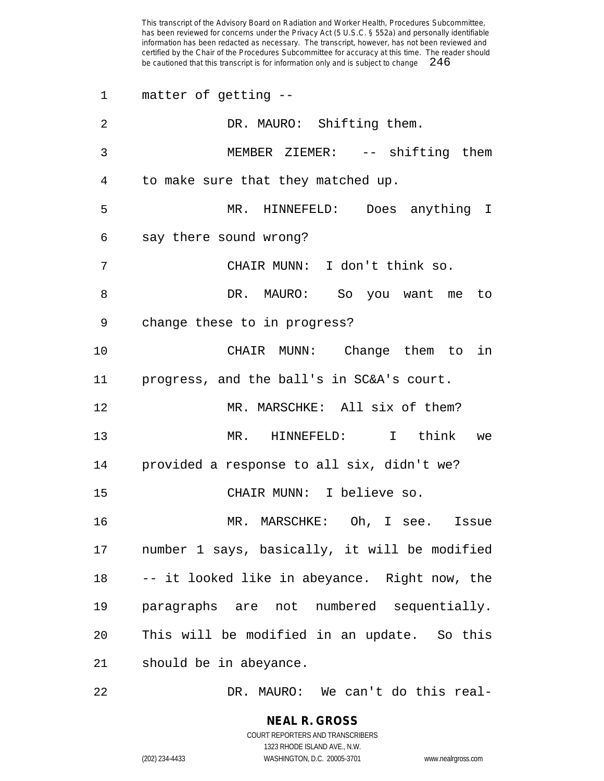matter of getting -- DR. MAURO: Shifting them. MEMBER ZIEMER: -- shifting them to make sure that they matched up. MR. HINNEFELD: Does anything I say there sound wrong? CHAIR MUNN: I don't think so. DR. MAURO: So you want me to change these to in progress? CHAIR MUNN: Change them to in progress, and the ball's in SC&A's court. MR. MARSCHKE: All six of them? MR. HINNEFELD: I think we provided a response to all six, didn't we? CHAIR MUNN: I believe so. MR. MARSCHKE: Oh, I see. Issue number 1 says, basically, it will be modified -- it looked like in abeyance. Right now, the paragraphs are not numbered sequentially. This will be modified in an update. So this should be in abeyance.

DR. MAURO: We can't do this real-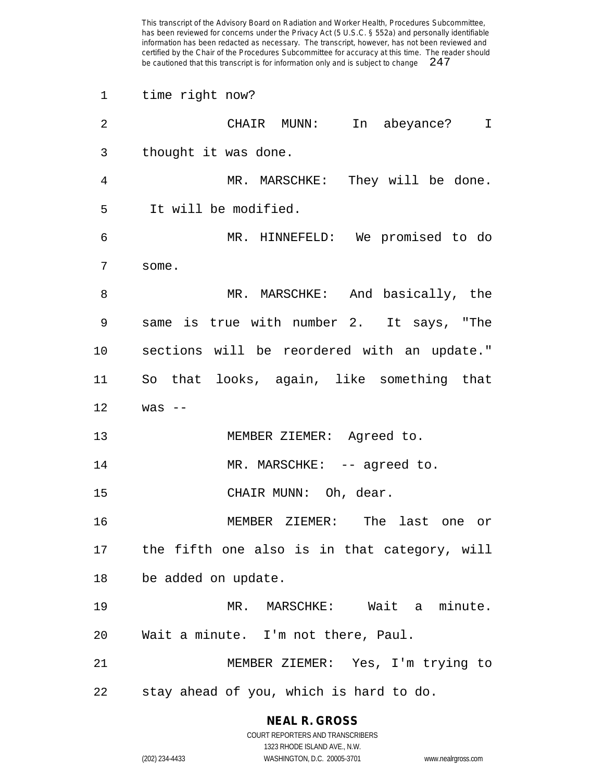time right now?

| $\overline{2}$ | CHAIR MUNN:<br>In abeyance?<br>$\mathbf{I}$  |
|----------------|----------------------------------------------|
| 3              | thought it was done.                         |
| 4              | MR. MARSCHKE: They will be done.             |
| 5              | It will be modified.                         |
| 6              | MR. HINNEFELD: We promised to do             |
| 7              | some.                                        |
| 8              | MR. MARSCHKE: And basically, the             |
| 9              | same is true with number 2. It says, "The    |
| 10             | sections will be reordered with an update."  |
| 11             | So that looks, again, like something that    |
| 12             | was $--$                                     |
| 13             | MEMBER ZIEMER: Agreed to.                    |
| 14             | MR. MARSCHKE: -- agreed to.                  |
| 15             | CHAIR MUNN: Oh, dear.                        |
| 16             | MEMBER ZIEMER: The last one or               |
| 17             | the fifth one also is in that category, will |
| 18             | be added on update.                          |
| 19             | MR. MARSCHKE: Wait a minute.                 |
| 20             | Wait a minute. I'm not there, Paul.          |
| 21             | MEMBER ZIEMER: Yes, I'm trying to            |
| 22             | stay ahead of you, which is hard to do.      |

**NEAL R. GROSS** COURT REPORTERS AND TRANSCRIBERS

1323 RHODE ISLAND AVE., N.W. (202) 234-4433 WASHINGTON, D.C. 20005-3701 www.nealrgross.com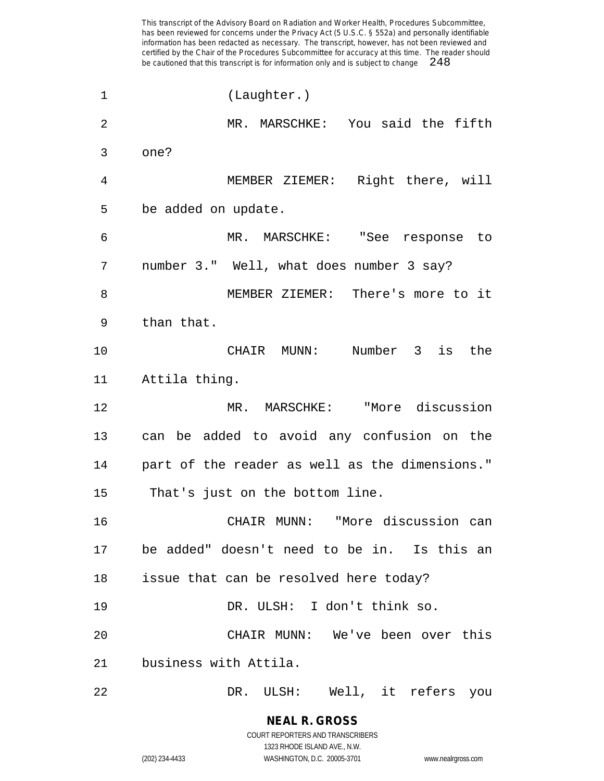(Laughter.) MR. MARSCHKE: You said the fifth one? MEMBER ZIEMER: Right there, will be added on update. MR. MARSCHKE: "See response to number 3." Well, what does number 3 say? MEMBER ZIEMER: There's more to it than that. CHAIR MUNN: Number 3 is the Attila thing. MR. MARSCHKE: "More discussion can be added to avoid any confusion on the part of the reader as well as the dimensions." That's just on the bottom line. CHAIR MUNN: "More discussion can be added" doesn't need to be in. Is this an issue that can be resolved here today? DR. ULSH: I don't think so. CHAIR MUNN: We've been over this business with Attila. DR. ULSH: Well, it refers you

> **NEAL R. GROSS** COURT REPORTERS AND TRANSCRIBERS 1323 RHODE ISLAND AVE., N.W.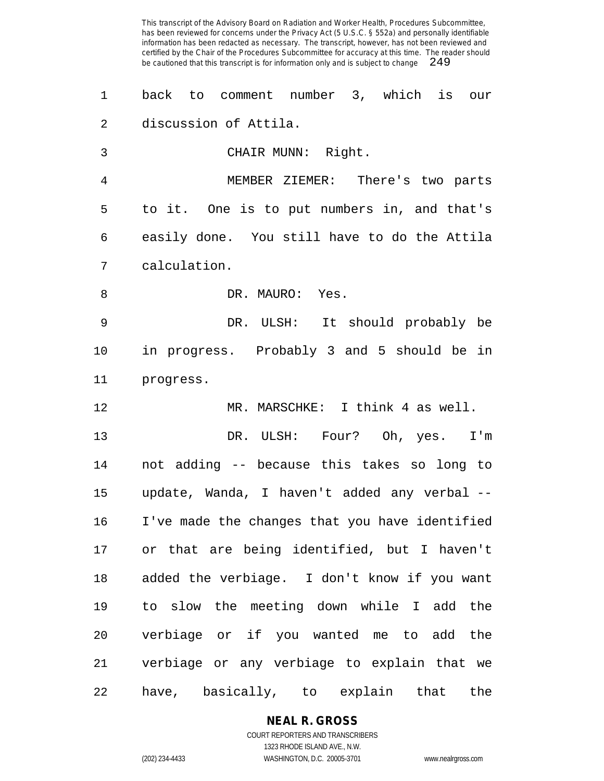back to comment number 3, which is our discussion of Attila. CHAIR MUNN: Right. MEMBER ZIEMER: There's two parts to it. One is to put numbers in, and that's easily done. You still have to do the Attila calculation. 8 DR. MAURO: Yes. DR. ULSH: It should probably be in progress. Probably 3 and 5 should be in progress. MR. MARSCHKE: I think 4 as well. DR. ULSH: Four? Oh, yes. I'm not adding -- because this takes so long to update, Wanda, I haven't added any verbal -- I've made the changes that you have identified or that are being identified, but I haven't added the verbiage. I don't know if you want to slow the meeting down while I add the verbiage or if you wanted me to add the verbiage or any verbiage to explain that we

have, basically, to explain that the

**NEAL R. GROSS**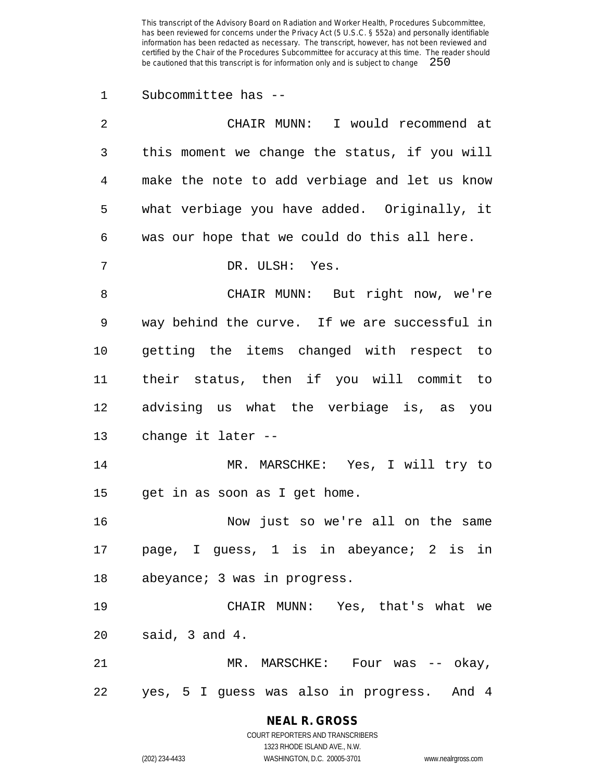Subcommittee has --

| 2  | CHAIR MUNN: I would recommend at              |
|----|-----------------------------------------------|
| 3  | this moment we change the status, if you will |
| 4  | make the note to add verbiage and let us know |
| 5  | what verbiage you have added. Originally, it  |
| 6  | was our hope that we could do this all here.  |
| 7  | DR. ULSH: Yes.                                |
| 8  | CHAIR MUNN: But right now, we're              |
| 9  | way behind the curve. If we are successful in |
| 10 | getting the items changed with respect to     |
| 11 | their status, then if you will commit to      |
| 12 | advising us what the verbiage is, as you      |
| 13 | change it later --                            |
| 14 | MR. MARSCHKE: Yes, I will try to              |
| 15 | get in as soon as I get home.                 |
| 16 | Now just so we're all on the same             |
| 17 | page, I guess, 1 is in abeyance; 2 is in      |
| 18 | abeyance; 3 was in progress.                  |
| 19 | CHAIR MUNN: Yes, that's what we               |
| 20 | said, 3 and 4.                                |
| 21 | MR. MARSCHKE: Four was -- okay,               |
| 22 | yes, 5 I guess was also in progress.<br>And 4 |

# **NEAL R. GROSS**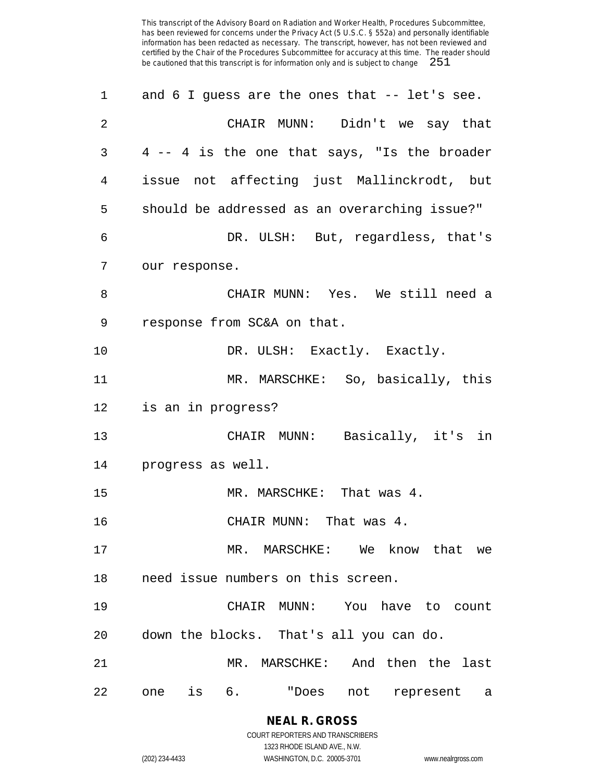| 1              | and 6 I guess are the ones that -- let's see. |
|----------------|-----------------------------------------------|
| $\overline{2}$ | CHAIR MUNN: Didn't we say that                |
| 3              | 4 -- 4 is the one that says, "Is the broader  |
| 4              | issue not affecting just Mallinckrodt, but    |
| 5              | should be addressed as an overarching issue?" |
| 6              | DR. ULSH: But, regardless, that's             |
| 7              | our response.                                 |
| 8              | CHAIR MUNN: Yes. We still need a              |
| 9              | response from SC&A on that.                   |
| 10             | DR. ULSH: Exactly. Exactly.                   |
| 11             | MR. MARSCHKE: So, basically, this             |
| 12             | is an in progress?                            |
| 13             | CHAIR MUNN: Basically, it's in                |
| 14             | progress as well.                             |
| 15             | MR. MARSCHKE: That was 4.                     |
| 16             | CHAIR MUNN: That was 4.                       |
| 17             | MR. MARSCHKE: We know that we                 |
| 18             | need issue numbers on this screen.            |
| 19             | CHAIR MUNN: You have to count                 |
| 20             | down the blocks. That's all you can do.       |
| 21             | MR. MARSCHKE: And then the last               |
| 22             | one is 6. "Does not represent a               |

**NEAL R. GROSS** COURT REPORTERS AND TRANSCRIBERS

1323 RHODE ISLAND AVE., N.W.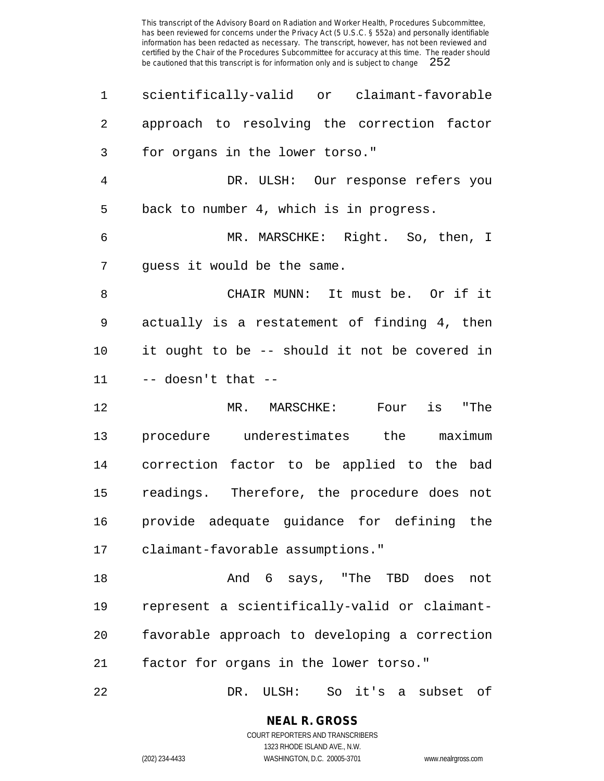| 1              | scientifically-valid or claimant-favorable    |
|----------------|-----------------------------------------------|
| $\overline{2}$ | approach to resolving the correction factor   |
| 3              | for organs in the lower torso."               |
| $\overline{4}$ | DR. ULSH: Our response refers you             |
| 5              | back to number 4, which is in progress.       |
| 6              | MR. MARSCHKE: Right. So, then, I              |
| 7              | guess it would be the same.                   |
| 8              | CHAIR MUNN: It must be. Or if it              |
| 9              | actually is a restatement of finding 4, then  |
| 10             | it ought to be -- should it not be covered in |
| 11             | $--$ doesn't that $--$                        |
| 12             | is "The<br>MR. MARSCHKE:<br>Four              |
| 13             | procedure underestimates the maximum          |
| 14             | correction factor to be applied to the bad    |
| 15             | readings. Therefore, the procedure does not   |
| 16             | provide adequate guidance for defining the    |
| 17             | claimant-favorable assumptions."              |
| 18             | And 6 says, "The TBD does<br>not              |
| 19             | represent a scientifically-valid or claimant- |
| 20             | favorable approach to developing a correction |
| 21             | factor for organs in the lower torso."        |
|                |                                               |

DR. ULSH: So it's a subset of

## **NEAL R. GROSS**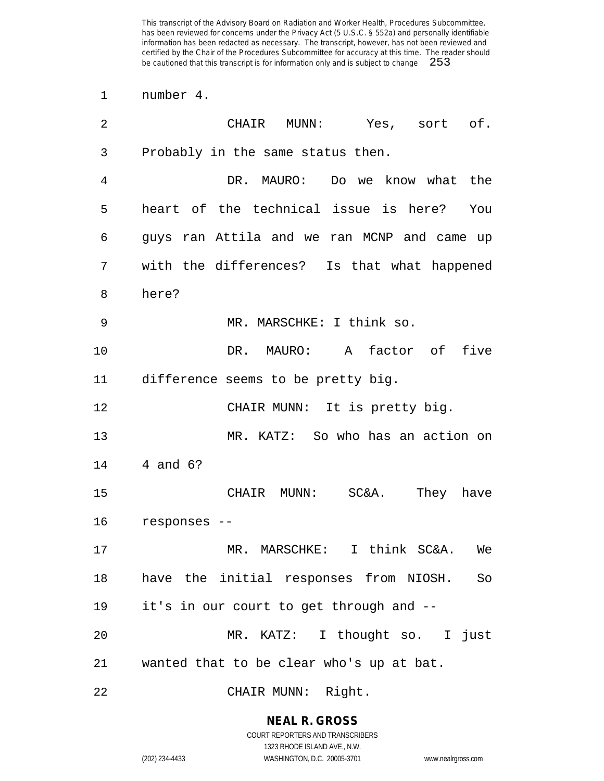number 4.

| $\overline{2}$ | CHAIR<br>MUNN:<br>Yes, sort of.              |
|----------------|----------------------------------------------|
| 3              | Probably in the same status then.            |
| 4              | DR. MAURO: Do we know what the               |
| 5              | heart of the technical issue is here?<br>You |
| 6              | guys ran Attila and we ran MCNP and came up  |
| 7              | with the differences? Is that what happened  |
| 8              | here?                                        |
| 9              | MR. MARSCHKE: I think so.                    |
| 10             | MAURO: A factor of<br>five<br>DR.            |
| 11             | difference seems to be pretty big.           |
| 12             | CHAIR MUNN: It is pretty big.                |
| 13             | MR. KATZ: So who has an action on            |
| 14             | 4 and 6?                                     |
| 15             | CHAIR MUNN: SC&A.<br>They have               |
| 16             | responses --                                 |
| 17             | MR. MARSCHKE:<br>I think SC&A.<br>We         |
| 18             | have the initial responses from NIOSH. So    |
| 19             | it's in our court to get through and --      |
| 20             | MR. KATZ: I thought so. I just               |
| 21             | wanted that to be clear who's up at bat.     |
| 22             | CHAIR MUNN: Right.                           |

**NEAL R. GROSS** COURT REPORTERS AND TRANSCRIBERS

1323 RHODE ISLAND AVE., N.W.

(202) 234-4433 WASHINGTON, D.C. 20005-3701 www.nealrgross.com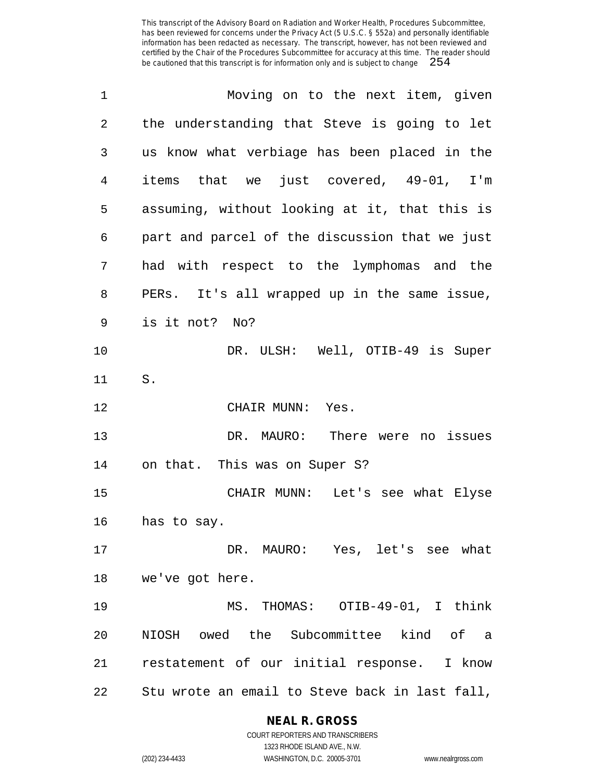| 1  | Moving on to the next item, given              |
|----|------------------------------------------------|
| 2  | the understanding that Steve is going to let   |
| 3  | us know what verbiage has been placed in the   |
| 4  | items that we just covered, 49-01, I'm         |
| 5  | assuming, without looking at it, that this is  |
| 6  | part and parcel of the discussion that we just |
| 7  | had with respect to the lymphomas and the      |
| 8  | PERs. It's all wrapped up in the same issue,   |
| 9  | is it not? No?                                 |
| 10 | DR. ULSH: Well, OTIB-49 is Super               |
| 11 | S.                                             |
| 12 | CHAIR MUNN: Yes.                               |
| 13 | DR. MAURO: There were no issues                |
| 14 | on that. This was on Super S?                  |
| 15 | CHAIR MUNN: Let's see what Elyse               |
| 16 | has to say.                                    |
| 17 | DR. MAURO: Yes, let's see what                 |
| 18 | we've got here.                                |
| 19 | MS. THOMAS: OTIB-49-01, I think                |
| 20 | NIOSH owed the Subcommittee kind of a          |
| 21 | restatement of our initial response. I know    |
| 22 | Stu wrote an email to Steve back in last fall, |

**NEAL R. GROSS**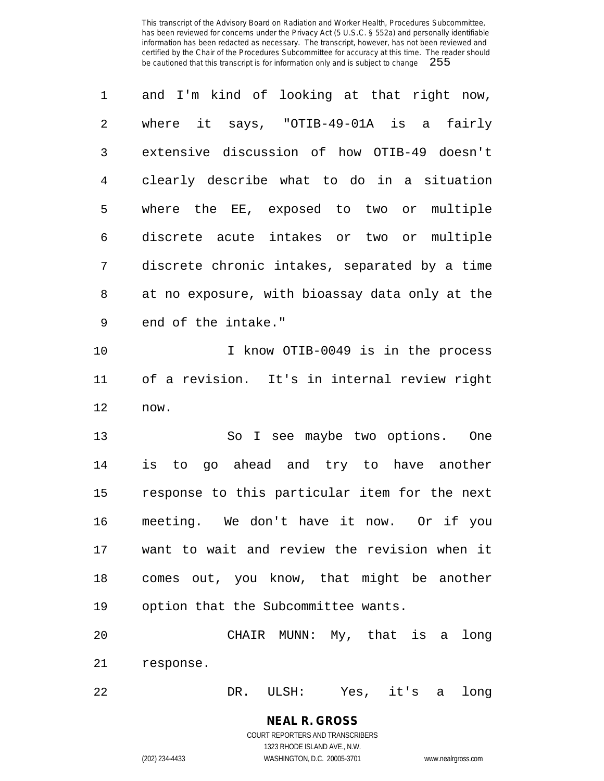| 1           | and I'm kind of looking at that right now,     |
|-------------|------------------------------------------------|
| 2           | where it says, "OTIB-49-01A is a fairly        |
| 3           | extensive discussion of how OTIB-49 doesn't    |
| 4           | clearly describe what to do in a situation     |
| 5           | where the EE, exposed to two or multiple       |
| 6           | discrete acute intakes or two or multiple      |
| 7           | discrete chronic intakes, separated by a time  |
| 8           | at no exposure, with bioassay data only at the |
| $\mathsf 9$ | end of the intake."                            |
| 10          | I know OTIB-0049 is in the process             |
| 11          | of a revision. It's in internal review right   |
| 12          | now.                                           |
| 13          | So I see maybe two options. One                |
| 14          | is to go ahead and try to have another         |
| 15          | response to this particular item for the next  |
| 16          | meeting. We don't have it now. Or if you       |
| 17          | want to wait and review the revision when it   |
| 18          | comes out, you know, that might be another     |
| 19          | option that the Subcommittee wants.            |
| 20          | CHAIR MUNN: My, that is a<br>long              |
| 21          | response.                                      |
|             |                                                |

DR. ULSH: Yes, it's a long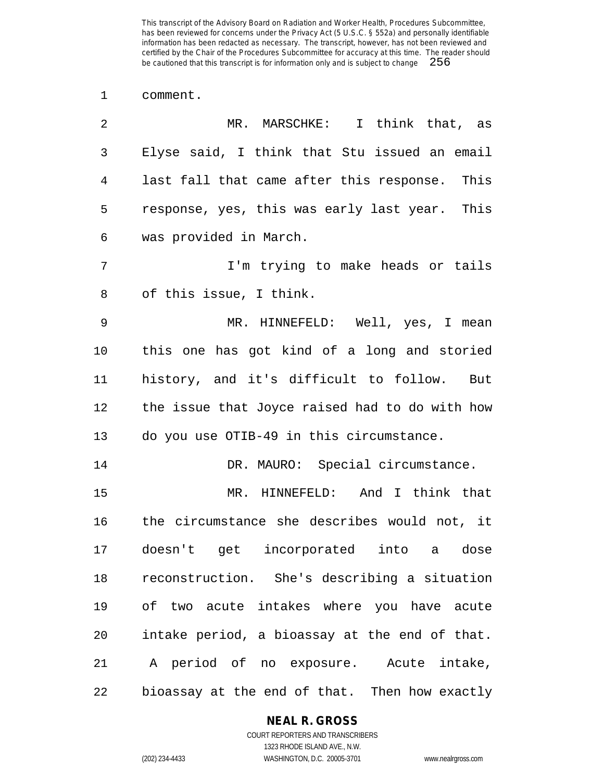comment.

| 2              | MR. MARSCHKE: I think that, as                 |
|----------------|------------------------------------------------|
| 3              | Elyse said, I think that Stu issued an email   |
| $\overline{4}$ | last fall that came after this response. This  |
| 5              | response, yes, this was early last year. This  |
| 6              | was provided in March.                         |
| 7              | I'm trying to make heads or tails              |
| 8              | of this issue, I think.                        |
| $\mathsf 9$    | MR. HINNEFELD: Well, yes, I mean               |
| 10             | this one has got kind of a long and storied    |
| 11             | history, and it's difficult to follow. But     |
| 12             | the issue that Joyce raised had to do with how |
| 13             | do you use OTIB-49 in this circumstance.       |
| 14             | DR. MAURO: Special circumstance.               |
| 15             | MR. HINNEFELD: And I think that                |
| 16             | the circumstance she describes would not, it   |
| 17             | doesn't get incorporated into a dose           |
| 18             | reconstruction. She's describing a situation   |
| 19             | of two acute intakes where you have acute      |
| 20             | intake period, a bioassay at the end of that.  |
| 21             | A period of no exposure. Acute intake,         |
| 22             | bioassay at the end of that. Then how exactly  |

#### **NEAL R. GROSS**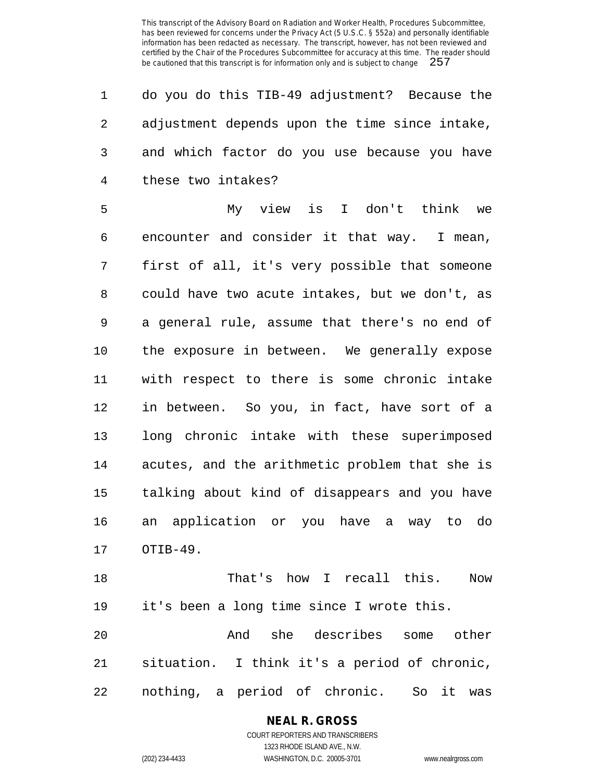| $\mathbf{1}$   | do you do this TIB-49 adjustment? Because the  |
|----------------|------------------------------------------------|
| $\mathbf{2}$   | adjustment depends upon the time since intake, |
| $\overline{3}$ | and which factor do you use because you have   |
| 4              | these two intakes?                             |

 My view is I don't think we encounter and consider it that way. I mean, first of all, it's very possible that someone could have two acute intakes, but we don't, as a general rule, assume that there's no end of the exposure in between. We generally expose with respect to there is some chronic intake in between. So you, in fact, have sort of a long chronic intake with these superimposed acutes, and the arithmetic problem that she is talking about kind of disappears and you have an application or you have a way to do OTIB-49.

 That's how I recall this. Now it's been a long time since I wrote this.

 And she describes some other situation. I think it's a period of chronic, nothing, a period of chronic. So it was

# **NEAL R. GROSS**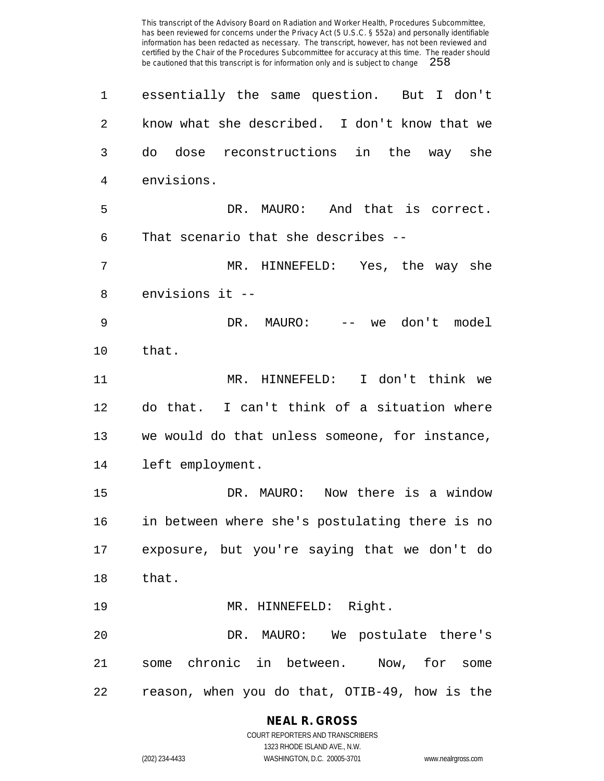essentially the same question. But I don't know what she described. I don't know that we do dose reconstructions in the way she envisions. DR. MAURO: And that is correct. That scenario that she describes -- MR. HINNEFELD: Yes, the way she envisions it -- DR. MAURO: -- we don't model that. MR. HINNEFELD: I don't think we do that. I can't think of a situation where we would do that unless someone, for instance, left employment. DR. MAURO: Now there is a window in between where she's postulating there is no exposure, but you're saying that we don't do that. 19 MR. HINNEFELD: Right. DR. MAURO: We postulate there's some chronic in between. Now, for some reason, when you do that, OTIB-49, how is the

## **NEAL R. GROSS**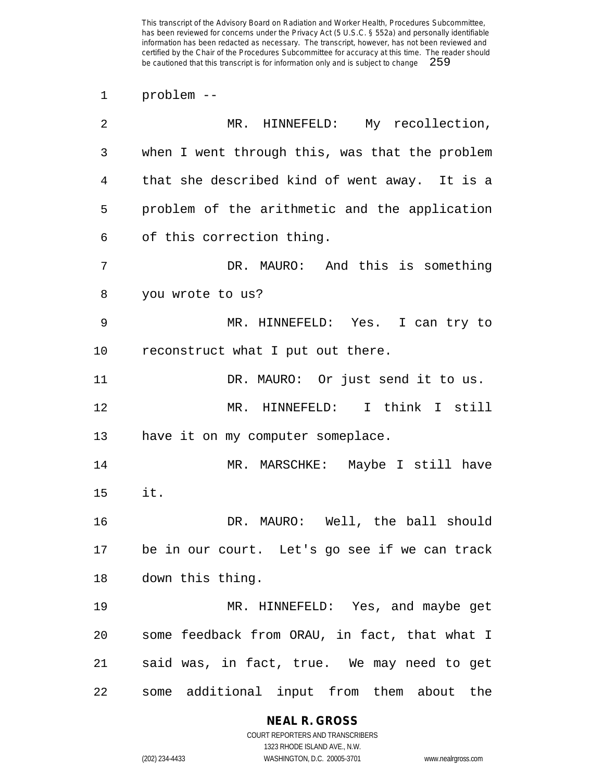problem --

| 2           | MR. HINNEFELD: My recollection,                |
|-------------|------------------------------------------------|
| 3           | when I went through this, was that the problem |
| 4           | that she described kind of went away. It is a  |
| 5           | problem of the arithmetic and the application  |
| 6           | of this correction thing.                      |
| 7           | DR. MAURO: And this is something               |
| 8           | you wrote to us?                               |
| $\mathsf 9$ | MR. HINNEFELD: Yes. I can try to               |
| 10          | reconstruct what I put out there.              |
| 11          | DR. MAURO: Or just send it to us.              |
| 12          | MR. HINNEFELD: I think I still                 |
| 13          | have it on my computer someplace.              |
| 14          | MR. MARSCHKE: Maybe I still have               |
| 15          | it.                                            |
| 16          | DR. MAURO: Well, the ball should               |
| 17          | be in our court. Let's go see if we can track  |
| 18          | down this thing.                               |
| 19          | MR. HINNEFELD: Yes, and maybe get              |
| 20          | some feedback from ORAU, in fact, that what I  |
| 21          | said was, in fact, true. We may need to get    |
| 22          | some additional input from them about the      |

## **NEAL R. GROSS**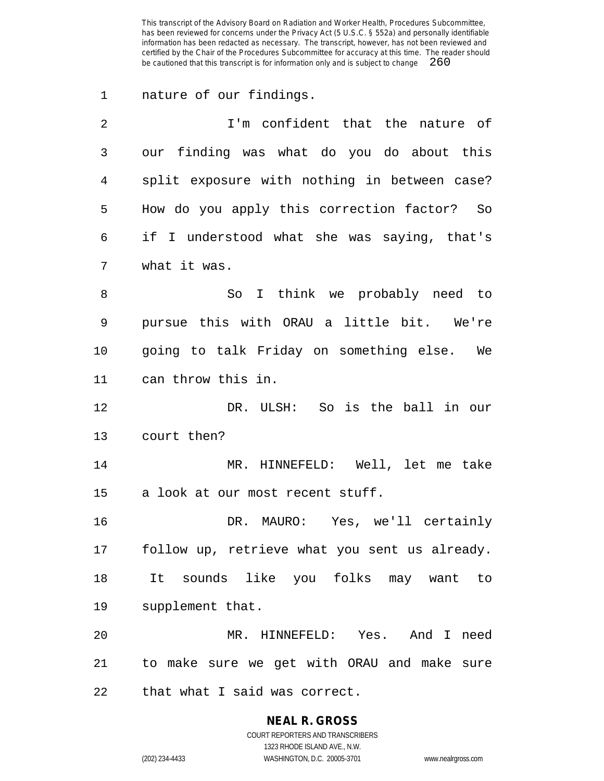nature of our findings.

 I'm confident that the nature of our finding was what do you do about this split exposure with nothing in between case? How do you apply this correction factor? So if I understood what she was saying, that's what it was. So I think we probably need to pursue this with ORAU a little bit. We're going to talk Friday on something else. We can throw this in. DR. ULSH: So is the ball in our court then? MR. HINNEFELD: Well, let me take a look at our most recent stuff. DR. MAURO: Yes, we'll certainly

 follow up, retrieve what you sent us already. It sounds like you folks may want to supplement that.

 MR. HINNEFELD: Yes. And I need to make sure we get with ORAU and make sure that what I said was correct.

#### **NEAL R. GROSS**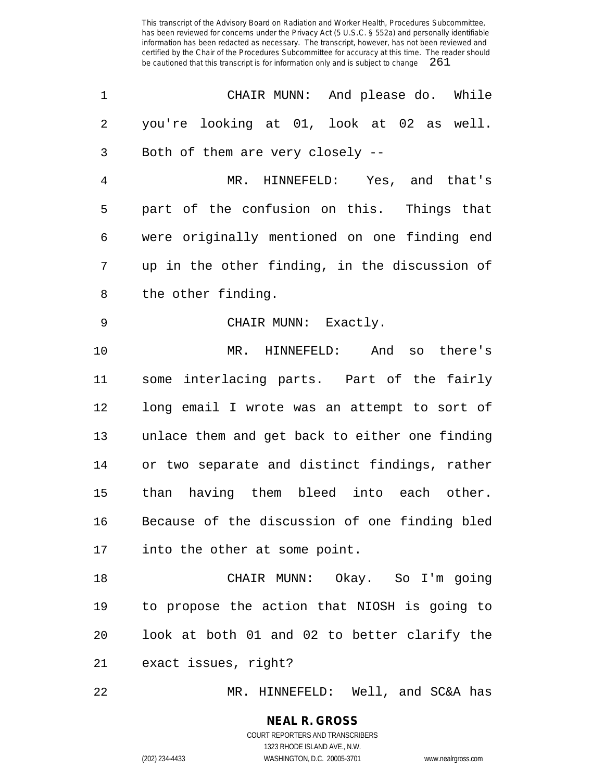| $\mathbf 1$    | CHAIR MUNN: And please do. While               |
|----------------|------------------------------------------------|
| 2              | you're looking at 01, look at 02 as well.      |
| 3              | Both of them are very closely --               |
| $\overline{4}$ | MR. HINNEFELD: Yes, and that's                 |
| 5              | part of the confusion on this. Things that     |
| 6              | were originally mentioned on one finding end   |
| 7              | up in the other finding, in the discussion of  |
| 8              | the other finding.                             |
| $\mathsf 9$    | CHAIR MUNN: Exactly.                           |
| 10             | MR. HINNEFELD: And so there's                  |
| 11             | some interlacing parts. Part of the fairly     |
| 12             | long email I wrote was an attempt to sort of   |
| 13             | unlace them and get back to either one finding |
| 14             | or two separate and distinct findings, rather  |
| 15             | than having them bleed into each other.        |
| 16             | Because of the discussion of one finding bled  |
| 17             | into the other at some point.                  |
| 18             | CHAIR MUNN: Okay. So I'm going                 |
| 19             | to propose the action that NIOSH is going to   |
| 20             | look at both 01 and 02 to better clarify the   |
| 21             | exact issues, right?                           |
|                |                                                |

MR. HINNEFELD: Well, and SC&A has

#### **NEAL R. GROSS** COURT REPORTERS AND TRANSCRIBERS

1323 RHODE ISLAND AVE., N.W. (202) 234-4433 WASHINGTON, D.C. 20005-3701 www.nealrgross.com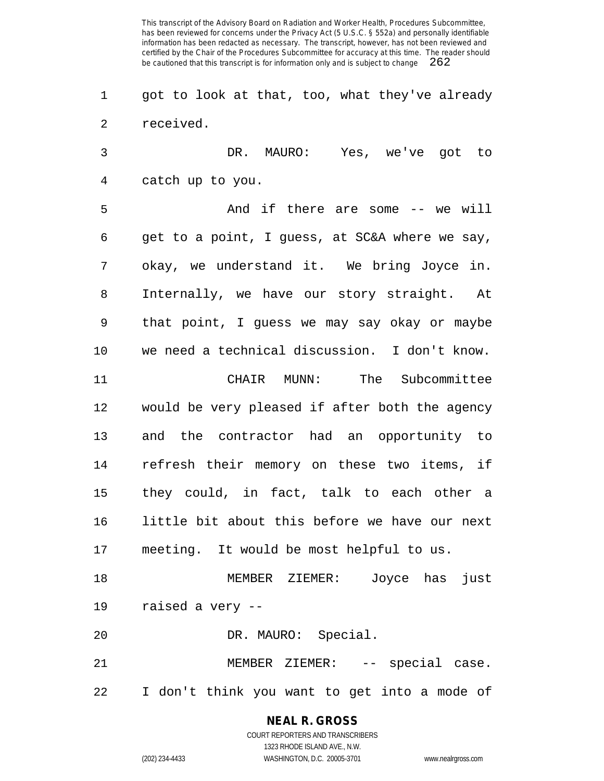got to look at that, too, what they've already received.

 DR. MAURO: Yes, we've got to catch up to you.

 And if there are some -- we will get to a point, I guess, at SC&A where we say, okay, we understand it. We bring Joyce in. Internally, we have our story straight. At that point, I guess we may say okay or maybe we need a technical discussion. I don't know. CHAIR MUNN: The Subcommittee would be very pleased if after both the agency and the contractor had an opportunity to refresh their memory on these two items, if they could, in fact, talk to each other a little bit about this before we have our next meeting. It would be most helpful to us.

 MEMBER ZIEMER: Joyce has just raised a very --

DR. MAURO: Special.

 MEMBER ZIEMER: -- special case. I don't think you want to get into a mode of

## **NEAL R. GROSS**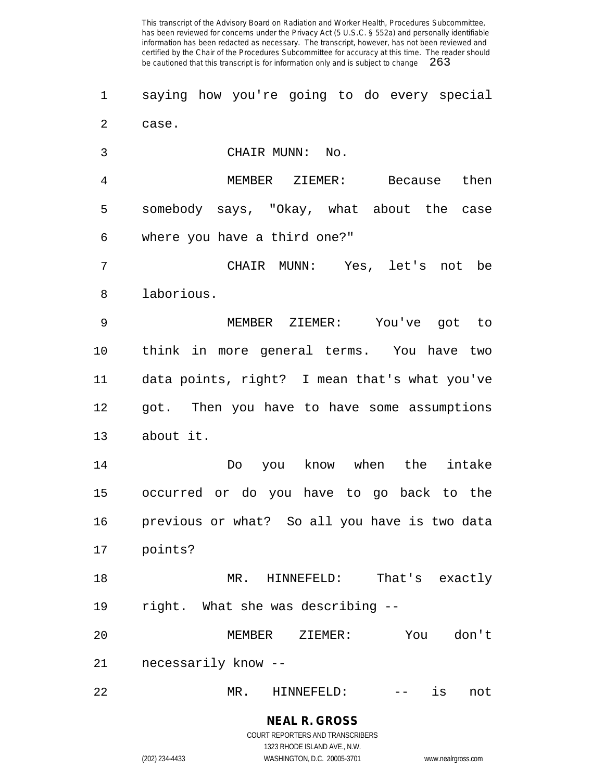saying how you're going to do every special case.

CHAIR MUNN: No.

 MEMBER ZIEMER: Because then somebody says, "Okay, what about the case where you have a third one?"

 CHAIR MUNN: Yes, let's not be laborious.

 MEMBER ZIEMER: You've got to think in more general terms. You have two data points, right? I mean that's what you've got. Then you have to have some assumptions about it.

 Do you know when the intake occurred or do you have to go back to the previous or what? So all you have is two data points?

 MR. HINNEFELD: That's exactly right. What she was describing --

 MEMBER ZIEMER: You don't necessarily know --

MR. HINNEFELD: -- is not

**NEAL R. GROSS** COURT REPORTERS AND TRANSCRIBERS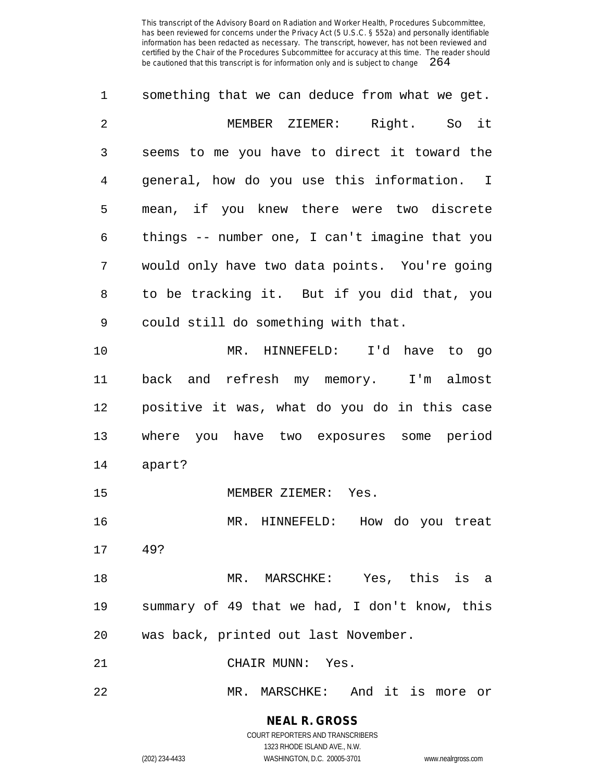| 1              | something that we can deduce from what we get. |
|----------------|------------------------------------------------|
| $\overline{2}$ | MEMBER ZIEMER: Right. So it                    |
| 3              | seems to me you have to direct it toward the   |
| 4              | general, how do you use this information. I    |
| 5              | mean, if you knew there were two discrete      |
| 6              | things -- number one, I can't imagine that you |
| 7              | would only have two data points. You're going  |
| 8              | to be tracking it. But if you did that, you    |
| 9              | could still do something with that.            |
| 10             | MR. HINNEFELD: I'd have to go                  |
| 11             | back and refresh my memory. I'm almost         |
| 12             | positive it was, what do you do in this case   |
| 13             | where you have two exposures some period       |
| 14             | apart?                                         |
| 15             | MEMBER ZIEMER: Yes.                            |
| 16             | MR. HINNEFELD: How do you treat                |
| 17             | 49?                                            |
| 18             | MR. MARSCHKE: Yes, this is a                   |
| 19             | summary of 49 that we had, I don't know, this  |
| 20             | was back, printed out last November.           |
| 21             | CHAIR MUNN: Yes.                               |
| 22             | MR. MARSCHKE: And it is more or                |

**NEAL R. GROSS** COURT REPORTERS AND TRANSCRIBERS 1323 RHODE ISLAND AVE., N.W.

(202) 234-4433 WASHINGTON, D.C. 20005-3701 www.nealrgross.com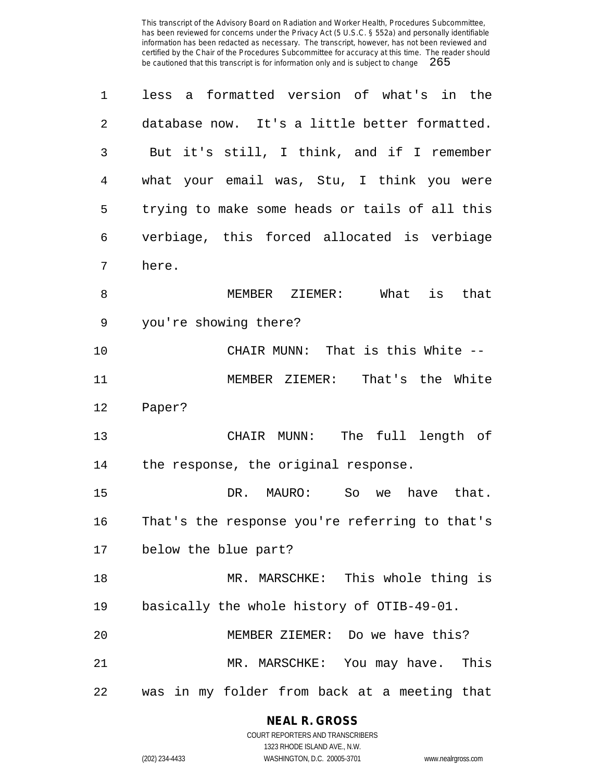| 1  | less a formatted version of what's in the      |
|----|------------------------------------------------|
| 2  | database now. It's a little better formatted.  |
| 3  | But it's still, I think, and if I remember     |
| 4  | what your email was, Stu, I think you were     |
| 5  | trying to make some heads or tails of all this |
| 6  | verbiage, this forced allocated is verbiage    |
| 7  | here.                                          |
| 8  | MEMBER ZIEMER: What<br>is<br>that              |
| 9  | you're showing there?                          |
| 10 | CHAIR MUNN: That is this White --              |
| 11 | MEMBER ZIEMER: That's the White                |
| 12 | Paper?                                         |
| 13 | CHAIR MUNN: The full length of                 |
| 14 | the response, the original response.           |
| 15 | DR. MAURO:<br>So<br>we have that.              |
| 16 | That's the response you're referring to that's |
| 17 | below the blue part?                           |
| 18 | MR. MARSCHKE: This whole thing is              |
| 19 | basically the whole history of OTIB-49-01.     |
| 20 | MEMBER ZIEMER: Do we have this?                |
| 21 | MR. MARSCHKE: You may have.<br>This            |
| 22 | was in my folder from back at a meeting that   |

**NEAL R. GROSS**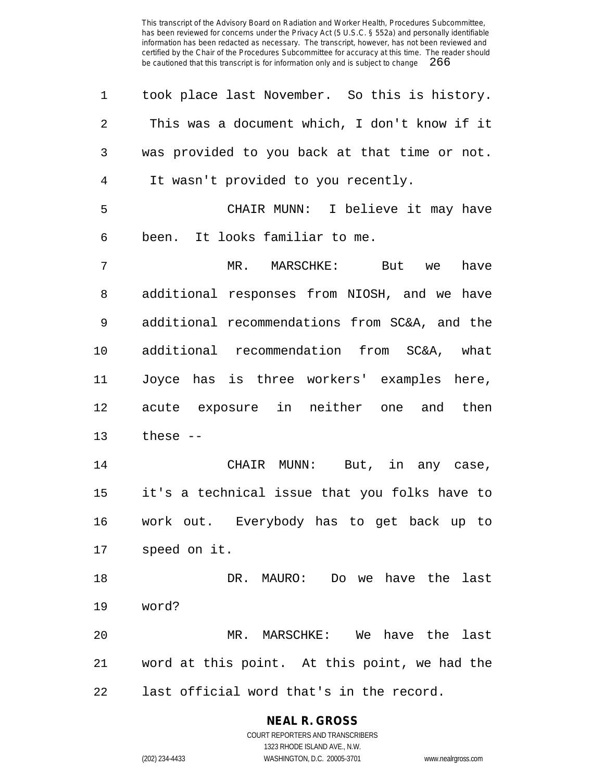| 1              | took place last November. So this is history. |
|----------------|-----------------------------------------------|
| $\overline{2}$ | This was a document which, I don't know if it |
| 3              | was provided to you back at that time or not. |
| $\overline{4}$ | It wasn't provided to you recently.           |
| 5              | CHAIR MUNN: I believe it may have             |
| 6              | been. It looks familiar to me.                |
| 7              | MR. MARSCHKE: But we<br>have                  |
| 8              | additional responses from NIOSH, and we have  |
| 9              | additional recommendations from SC&A, and the |
| 10             | additional recommendation from SC&A, what     |
| 11             | Joyce has is three workers' examples here,    |
| 12             | acute exposure in neither one and then        |
| 13             | these $--$                                    |
| 14             | CHAIR MUNN: But, in any case,                 |
| 15             | it's a technical issue that you folks have to |
| 16             | work out. Everybody has to get back up to     |
| 17             | speed on it.                                  |
| 18             | DR. MAURO: Do we have the last                |
| 19             | word?                                         |
| 20             | MR. MARSCHKE: We have the<br>last             |
| 21             | word at this point. At this point, we had the |
| 22             | last official word that's in the record.      |

## **NEAL R. GROSS**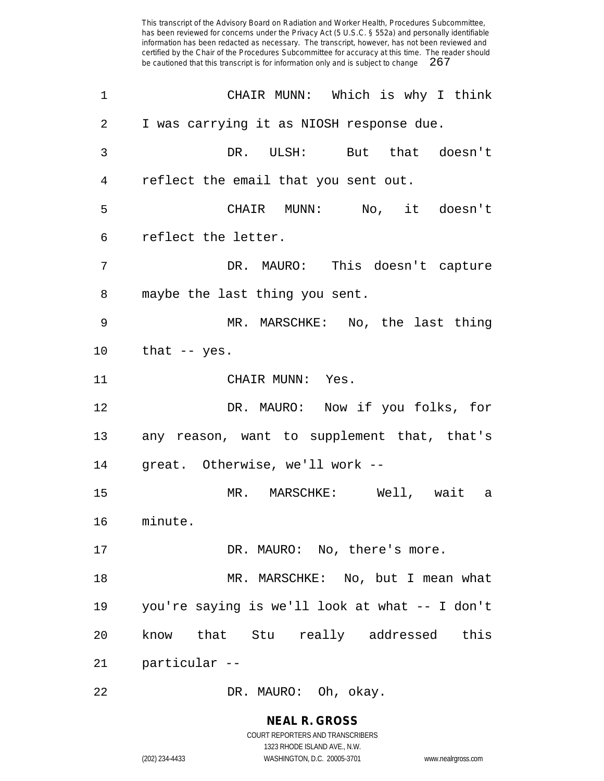| 1              | CHAIR MUNN: Which is why I think               |
|----------------|------------------------------------------------|
| 2              | I was carrying it as NIOSH response due.       |
| 3              | DR. ULSH: But that doesn't                     |
| $\overline{4}$ | reflect the email that you sent out.           |
| 5              | CHAIR MUNN: No, it doesn't                     |
| 6              | reflect the letter.                            |
| 7              | DR. MAURO: This doesn't capture                |
| 8              | maybe the last thing you sent.                 |
| 9              | MR. MARSCHKE: No, the last thing               |
| 10             | that -- yes.                                   |
| 11             | CHAIR MUNN: Yes.                               |
| 12             | DR. MAURO: Now if you folks, for               |
| 13             | any reason, want to supplement that, that's    |
| 14             | great. Otherwise, we'll work --                |
| 15             | MR. MARSCHKE: Well, wait a                     |
| 16             | minute.                                        |
| 17             | DR. MAURO: No, there's more.                   |
| 18             | MR. MARSCHKE: No, but I mean what              |
| 19             | you're saying is we'll look at what -- I don't |
| 20             | know that Stu really addressed this            |
| 21             | -- particular                                  |
| $2\sqrt{2}$    | DR. MAURO: Oh, okay.                           |

**NEAL R. GROSS** COURT REPORTERS AND TRANSCRIBERS 1323 RHODE ISLAND AVE., N.W.

(202) 234-4433 WASHINGTON, D.C. 20005-3701 www.nealrgross.com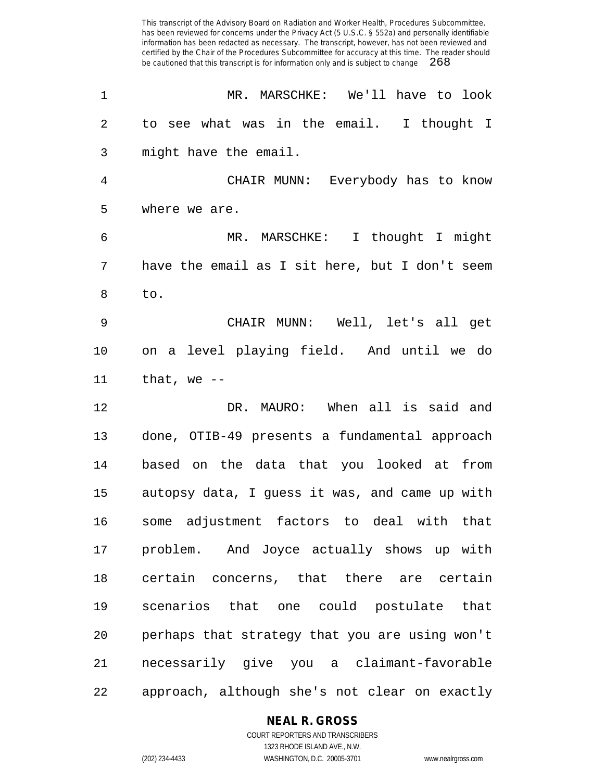| $\mathbf 1$    | MR. MARSCHKE: We'll have to look               |
|----------------|------------------------------------------------|
| $\overline{2}$ | to see what was in the email. I thought I      |
| 3              | might have the email.                          |
| $\overline{4}$ | CHAIR MUNN: Everybody has to know              |
| 5              | where we are.                                  |
| 6              | MR. MARSCHKE: I thought I might                |
| 7              | have the email as I sit here, but I don't seem |
| 8              | to.                                            |
| 9              | CHAIR MUNN: Well, let's all get                |
| 10             | on a level playing field. And until we do      |
| 11             | that, we $-$                                   |
| 12             | DR. MAURO: When all is said and                |
| 13             | done, OTIB-49 presents a fundamental approach  |
| 14             | based on the data that you looked at<br>from   |
| 15             | autopsy data, I guess it was, and came up with |
| 16             | some adjustment factors to deal with that      |
| 17             | problem. And Joyce actually shows up with      |
| 18             | certain concerns, that there are certain       |
| 19             | scenarios that one could postulate that        |
| 20             | perhaps that strategy that you are using won't |
| 21             | necessarily give you a claimant-favorable      |
| 22             | approach, although she's not clear on exactly  |

#### **NEAL R. GROSS**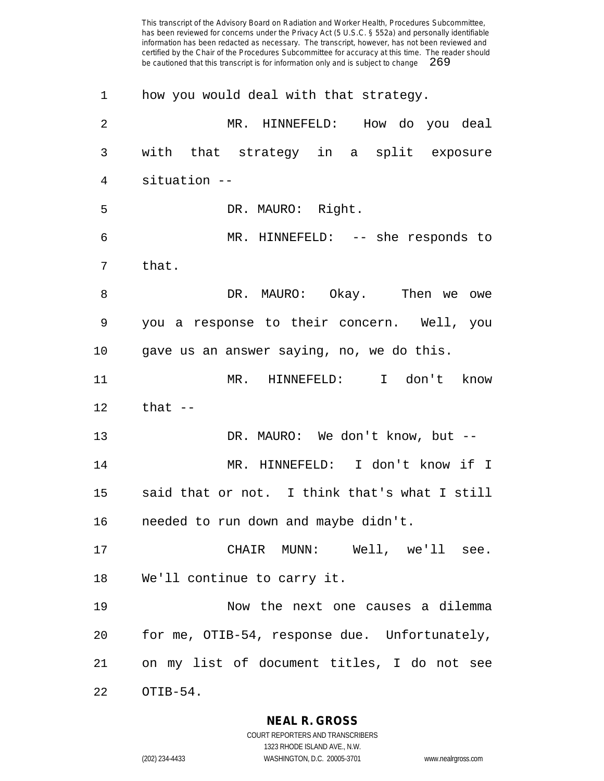| 1              | how you would deal with that strategy.        |
|----------------|-----------------------------------------------|
| $\overline{2}$ | How do you deal<br>MR. HINNEFELD:             |
| 3              | with that strategy in a split exposure        |
| 4              | situation --                                  |
| 5              | DR. MAURO: Right.                             |
| 6              | MR. HINNEFELD: -- she responds to             |
| 7              | that.                                         |
| 8              | DR. MAURO: Okay. Then we owe                  |
| 9              | you a response to their concern. Well, you    |
| 10             | gave us an answer saying, no, we do this.     |
| 11             | MR. HINNEFELD: I don't know                   |
| 12             | that $-$                                      |
| 13             | DR. MAURO: We don't know, but --              |
| 14             | MR. HINNEFELD: I don't know if I              |
| 15             | said that or not. I think that's what I still |
| 16             | needed to run down and maybe didn't.          |
| 17             | CHAIR MUNN: Well, we'll see.                  |
| 18             | We'll continue to carry it.                   |
| 19             | Now the next one causes a dilemma             |
| 20             | for me, OTIB-54, response due. Unfortunately, |
| 21             | on my list of document titles, I do not see   |
| 22             | OTIB-54.                                      |

**NEAL R. GROSS**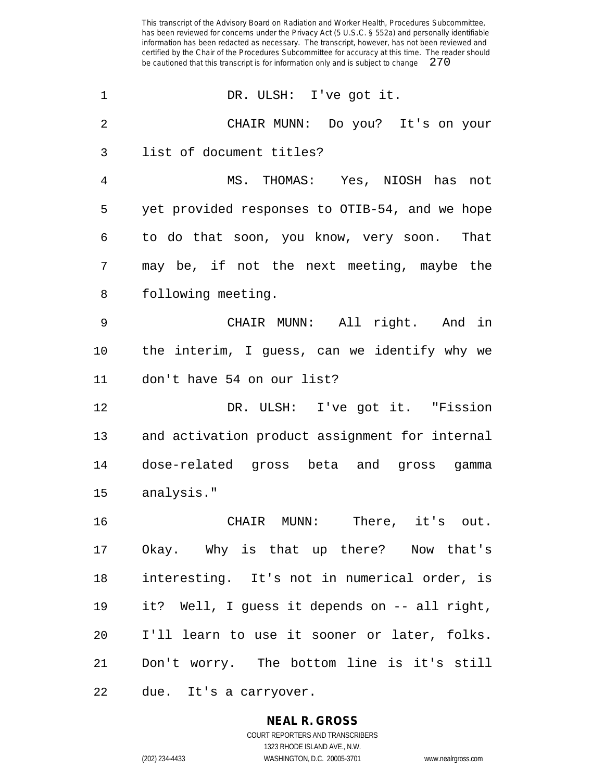| $\mathbf 1$    | DR. ULSH: I've got it.                         |
|----------------|------------------------------------------------|
| $\overline{2}$ | CHAIR MUNN: Do you? It's on your               |
| 3              | list of document titles?                       |
| 4              | MS. THOMAS: Yes, NIOSH has not                 |
| 5              | yet provided responses to OTIB-54, and we hope |
| 6              | to do that soon, you know, very soon. That     |
| 7              | may be, if not the next meeting, maybe the     |
| 8              | following meeting.                             |
| 9              | CHAIR MUNN: All right. And in                  |
| 10             | the interim, I guess, can we identify why we   |
| 11             | don't have 54 on our list?                     |
| 12             | DR. ULSH: I've got it. "Fission                |
| 13             | and activation product assignment for internal |
| 14             | dose-related gross beta and gross gamma        |
| 15             | analysis."                                     |
| 16             | CHAIR MUNN: There, it's out.                   |
| 17             | Okay. Why is that up there? Now that's         |
| 18             | interesting. It's not in numerical order, is   |
| 19             | it? Well, I guess it depends on -- all right,  |
| 20             | I'll learn to use it sooner or later, folks.   |
| 21             | Don't worry. The bottom line is it's still     |
|                |                                                |

**NEAL R. GROSS**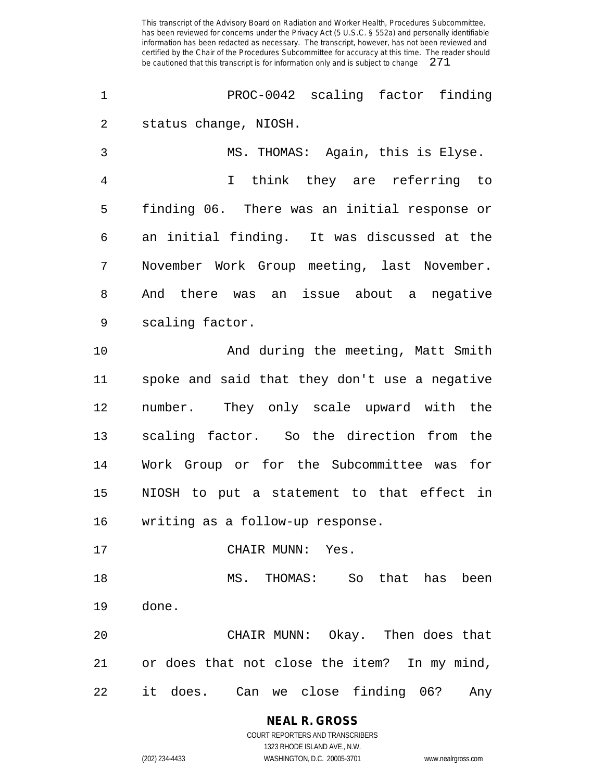PROC-0042 scaling factor finding status change, NIOSH.

 MS. THOMAS: Again, this is Elyse. I think they are referring to finding 06. There was an initial response or an initial finding. It was discussed at the November Work Group meeting, last November. And there was an issue about a negative scaling factor.

 And during the meeting, Matt Smith spoke and said that they don't use a negative number. They only scale upward with the scaling factor. So the direction from the Work Group or for the Subcommittee was for NIOSH to put a statement to that effect in writing as a follow-up response.

17 CHAIR MUNN: Yes.

 MS. THOMAS: So that has been done.

 CHAIR MUNN: Okay. Then does that or does that not close the item? In my mind, it does. Can we close finding 06? Any

> **NEAL R. GROSS** COURT REPORTERS AND TRANSCRIBERS

1323 RHODE ISLAND AVE., N.W. (202) 234-4433 WASHINGTON, D.C. 20005-3701 www.nealrgross.com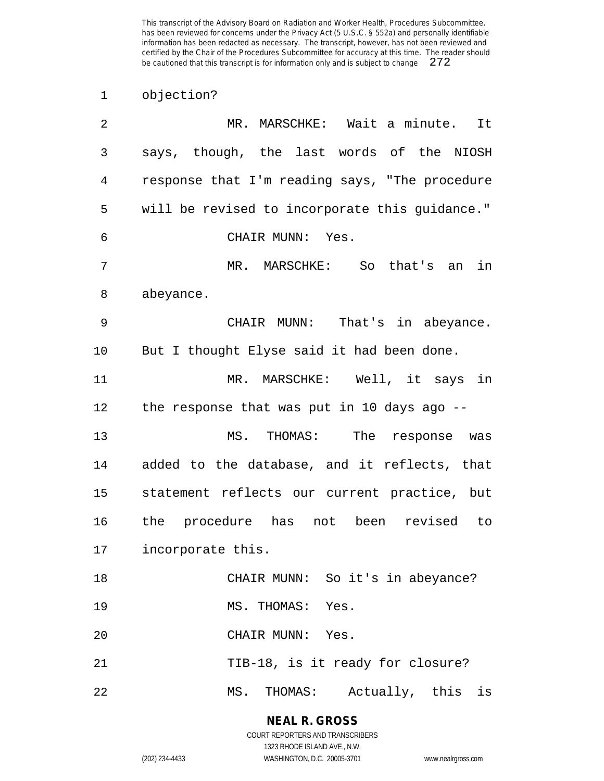objection?

| 2  | MR. MARSCHKE: Wait a minute.<br>It             |
|----|------------------------------------------------|
| 3  | says, though, the last words of the NIOSH      |
| 4  | response that I'm reading says, "The procedure |
| 5  | will be revised to incorporate this guidance." |
| 6  | CHAIR MUNN: Yes.                               |
| 7  | MR. MARSCHKE: So that's an<br>in               |
| 8  | abeyance.                                      |
| 9  | CHAIR MUNN: That's in abeyance.                |
| 10 | But I thought Elyse said it had been done.     |
| 11 | MR. MARSCHKE: Well, it says in                 |
| 12 | the response that was put in 10 days ago --    |
| 13 | MS. THOMAS: The<br>response was                |
| 14 | added to the database, and it reflects, that   |
| 15 | statement reflects our current practice, but   |
| 16 | the procedure has not been revised to          |
| 17 | incorporate this.                              |
| 18 | CHAIR MUNN: So it's in abeyance?               |
| 19 | MS. THOMAS: Yes.                               |
| 20 | CHAIR MUNN: Yes.                               |
| 21 | TIB-18, is it ready for closure?               |
| 22 | MS. THOMAS: Actually, this is                  |

**NEAL R. GROSS** COURT REPORTERS AND TRANSCRIBERS

1323 RHODE ISLAND AVE., N.W.

(202) 234-4433 WASHINGTON, D.C. 20005-3701 www.nealrgross.com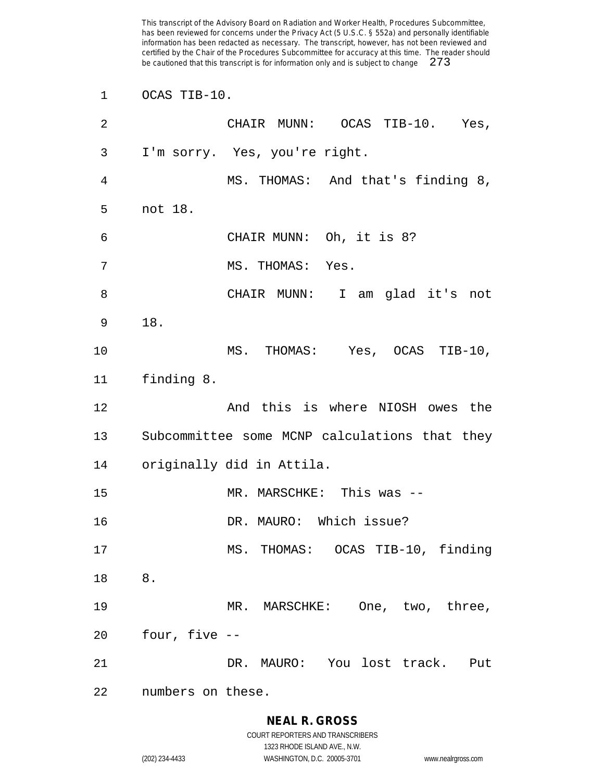OCAS TIB-10.

| 2  | CHAIR MUNN: OCAS TIB-10. Yes,                 |
|----|-----------------------------------------------|
| 3  | I'm sorry. Yes, you're right.                 |
| 4  | MS. THOMAS: And that's finding 8,             |
| 5  | not 18.                                       |
| 6  | CHAIR MUNN: Oh, it is 8?                      |
| 7  | MS. THOMAS: Yes.                              |
| 8  | CHAIR MUNN: I am glad it's not                |
| 9  | 18.                                           |
| 10 | MS. THOMAS: Yes, OCAS TIB-10,                 |
| 11 | finding 8.                                    |
| 12 | And this is where NIOSH owes the              |
| 13 | Subcommittee some MCNP calculations that they |
| 14 | originally did in Attila.                     |
| 15 | MR. MARSCHKE: This was --                     |
| 16 | DR. MAURO: Which issue?                       |
| 17 | MS. THOMAS: OCAS TIB-10, finding              |
| 18 | 8.                                            |
| 19 | MR. MARSCHKE: One, two, three,                |
| 20 | four, five --                                 |
| 21 | DR. MAURO: You lost track.<br>Put             |
| 22 | numbers on these.                             |

## **NEAL R. GROSS**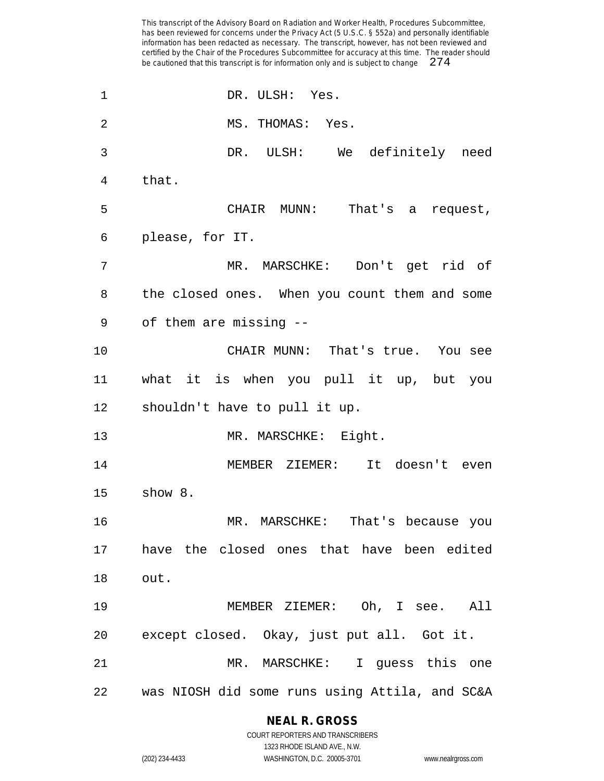DR. ULSH: Yes. MS. THOMAS: Yes. DR. ULSH: We definitely need that. CHAIR MUNN: That's a request, please, for IT. MR. MARSCHKE: Don't get rid of the closed ones. When you count them and some of them are missing -- CHAIR MUNN: That's true. You see what it is when you pull it up, but you shouldn't have to pull it up. MR. MARSCHKE: Eight. MEMBER ZIEMER: It doesn't even show 8. MR. MARSCHKE: That's because you have the closed ones that have been edited out. MEMBER ZIEMER: Oh, I see. All except closed. Okay, just put all. Got it. MR. MARSCHKE: I guess this one was NIOSH did some runs using Attila, and SC&A

#### **NEAL R. GROSS** COURT REPORTERS AND TRANSCRIBERS

1323 RHODE ISLAND AVE., N.W.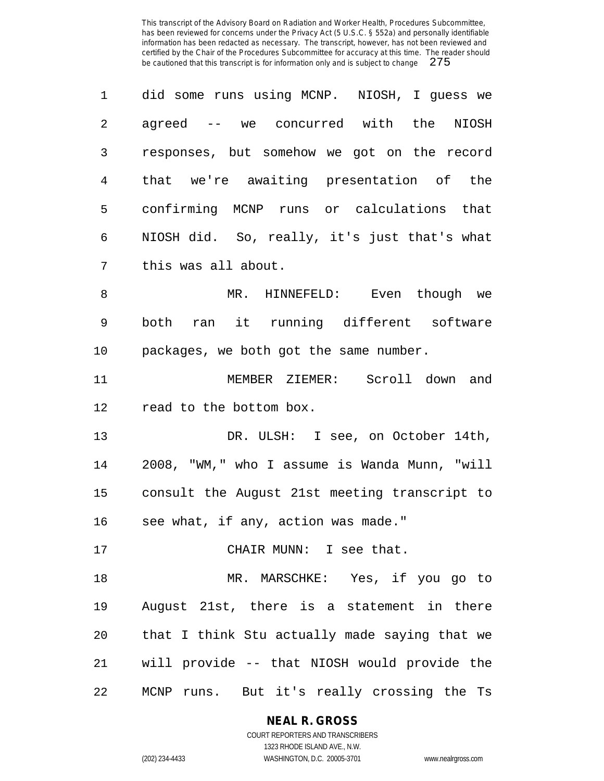|                 | did some runs using MCNP. NIOSH, I quess we  |
|-----------------|----------------------------------------------|
| $\mathcal{L}$   | agreed -- we concurred with the NIOSH        |
| 3               | responses, but somehow we got on the record  |
| $4\overline{ }$ | that we're awaiting presentation of the      |
| 5               | confirming MCNP runs or calculations that    |
| 6               | NIOSH did. So, really, it's just that's what |
| 7               | this was all about.                          |

 MR. HINNEFELD: Even though we both ran it running different software packages, we both got the same number.

 MEMBER ZIEMER: Scroll down and read to the bottom box.

 DR. ULSH: I see, on October 14th, 2008, "WM," who I assume is Wanda Munn, "will consult the August 21st meeting transcript to see what, if any, action was made."

17 CHAIR MUNN: I see that.

 MR. MARSCHKE: Yes, if you go to August 21st, there is a statement in there that I think Stu actually made saying that we will provide -- that NIOSH would provide the MCNP runs. But it's really crossing the Ts

**NEAL R. GROSS**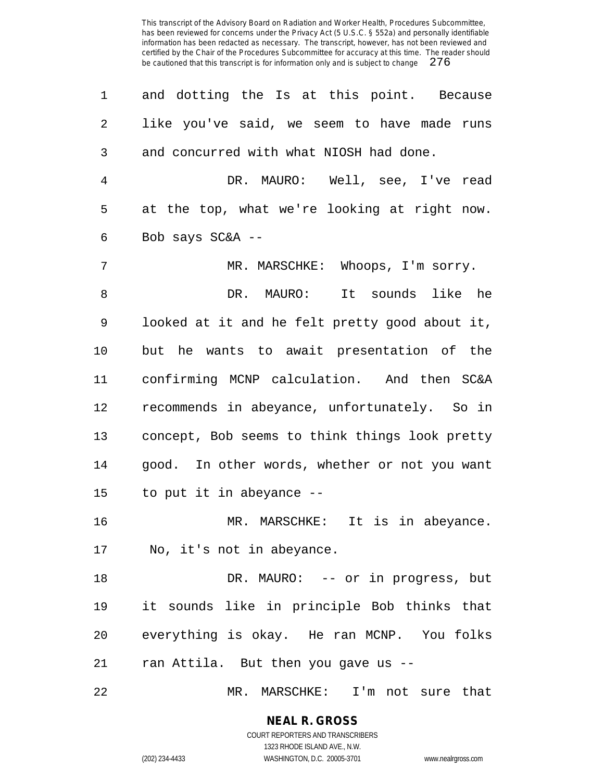and dotting the Is at this point. Because like you've said, we seem to have made runs and concurred with what NIOSH had done.

 DR. MAURO: Well, see, I've read at the top, what we're looking at right now. Bob says SC&A --

 MR. MARSCHKE: Whoops, I'm sorry. DR. MAURO: It sounds like he looked at it and he felt pretty good about it, but he wants to await presentation of the confirming MCNP calculation. And then SC&A recommends in abeyance, unfortunately. So in concept, Bob seems to think things look pretty good. In other words, whether or not you want to put it in abeyance --

 MR. MARSCHKE: It is in abeyance. No, it's not in abeyance.

 DR. MAURO: -- or in progress, but it sounds like in principle Bob thinks that everything is okay. He ran MCNP. You folks ran Attila. But then you gave us --

MR. MARSCHKE: I'm not sure that

## **NEAL R. GROSS**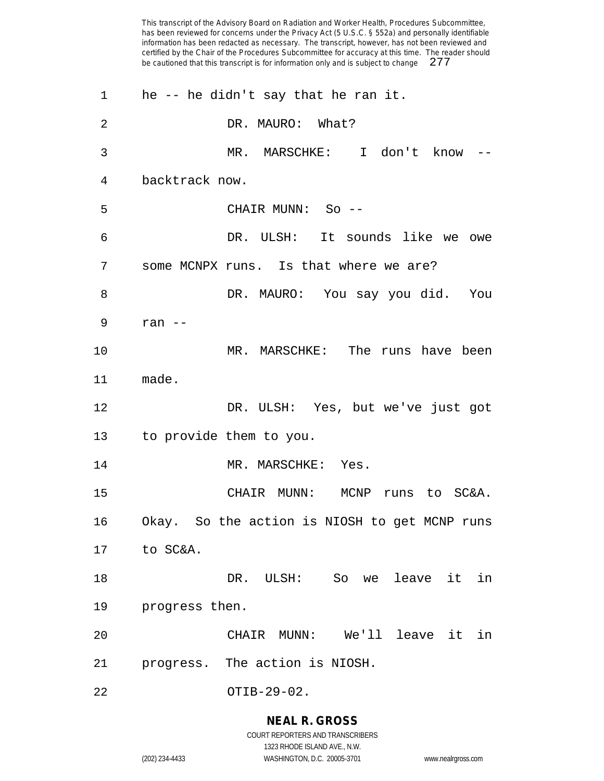| $\mathbf 1$ | he -- he didn't say that he ran it.           |
|-------------|-----------------------------------------------|
| 2           | DR. MAURO: What?                              |
| 3           | MR. MARSCHKE: I don't know --                 |
| 4           | backtrack now.                                |
| 5           | CHAIR MUNN: So --                             |
| 6           | DR. ULSH: It sounds like we owe               |
| 7           | some MCNPX runs. Is that where we are?        |
| 8           | DR. MAURO: You say you did. You               |
| 9           | ran $--$                                      |
| 10          | MR. MARSCHKE: The runs have been              |
| 11          | made.                                         |
| 12          | DR. ULSH: Yes, but we've just got             |
| 13          | to provide them to you.                       |
| 14          | MR. MARSCHKE: Yes.                            |
| 15          | CHAIR MUNN: MCNP runs to SC&A.                |
| 16          | Okay. So the action is NIOSH to get MCNP runs |
| 17          | to SC&A.                                      |
| 18          | DR. ULSH: So we leave it<br>in                |
| 19          | progress then.                                |
| 20          | We'll leave it in<br>CHAIR<br>$MUNN$ :        |
| 21          | progress. The action is NIOSH.                |
| 22          | OTIB-29-02.                                   |

**NEAL R. GROSS** COURT REPORTERS AND TRANSCRIBERS

1323 RHODE ISLAND AVE., N.W. (202) 234-4433 WASHINGTON, D.C. 20005-3701 www.nealrgross.com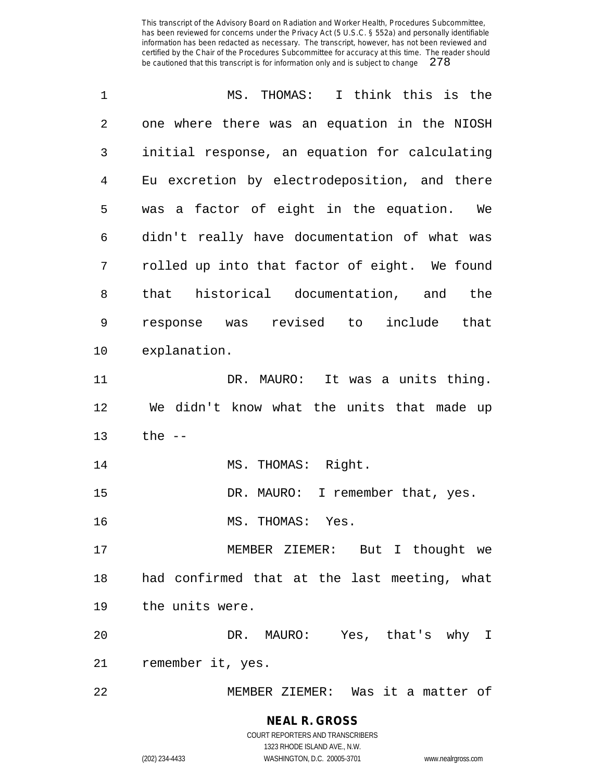| 1  | MS. THOMAS: I think this is the               |
|----|-----------------------------------------------|
| 2  | one where there was an equation in the NIOSH  |
| 3  | initial response, an equation for calculating |
| 4  | Eu excretion by electrodeposition, and there  |
| 5  | was a factor of eight in the equation. We     |
| 6  | didn't really have documentation of what was  |
| 7  | rolled up into that factor of eight. We found |
| 8  | that historical documentation, and the        |
| 9  | response was revised to include that          |
| 10 | explanation.                                  |
| 11 | DR. MAURO: It was a units thing.              |
| 12 | We didn't know what the units that made up    |
| 13 | the $--$                                      |
| 14 | MS. THOMAS: Right.                            |
| 15 | DR. MAURO: I remember that, yes.              |
| 16 | MS. THOMAS: Yes.                              |
| 17 | MEMBER ZIEMER: But I thought we               |
| 18 | had confirmed that at the last meeting, what  |
| 19 | the units were.                               |
| 20 | DR. MAURO: Yes, that's why I                  |
| 21 | remember it, yes.                             |
| 22 | MEMBER ZIEMER: Was it a matter of             |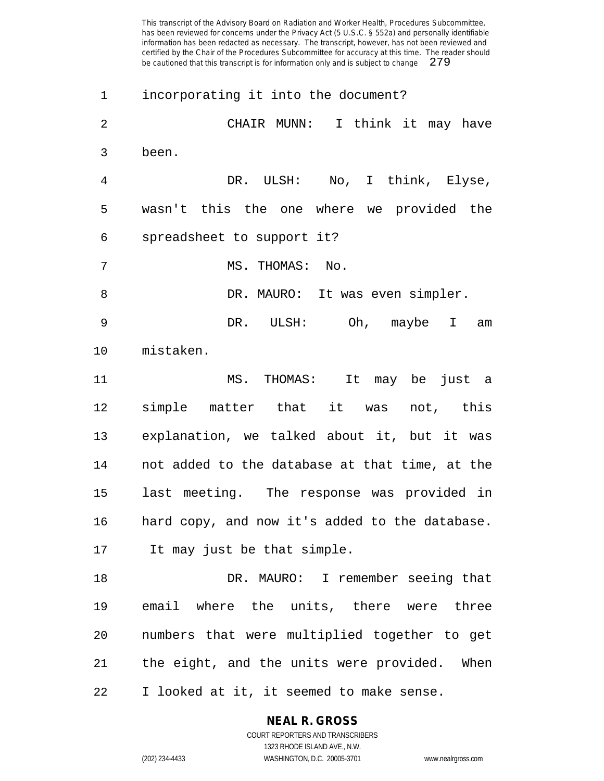incorporating it into the document? CHAIR MUNN: I think it may have been. DR. ULSH: No, I think, Elyse, wasn't this the one where we provided the spreadsheet to support it? MS. THOMAS: No. 8 DR. MAURO: It was even simpler. DR. ULSH: Oh, maybe I am mistaken. MS. THOMAS: It may be just a simple matter that it was not, this explanation, we talked about it, but it was not added to the database at that time, at the last meeting. The response was provided in hard copy, and now it's added to the database. It may just be that simple. DR. MAURO: I remember seeing that email where the units, there were three numbers that were multiplied together to get the eight, and the units were provided. When I looked at it, it seemed to make sense.

**NEAL R. GROSS**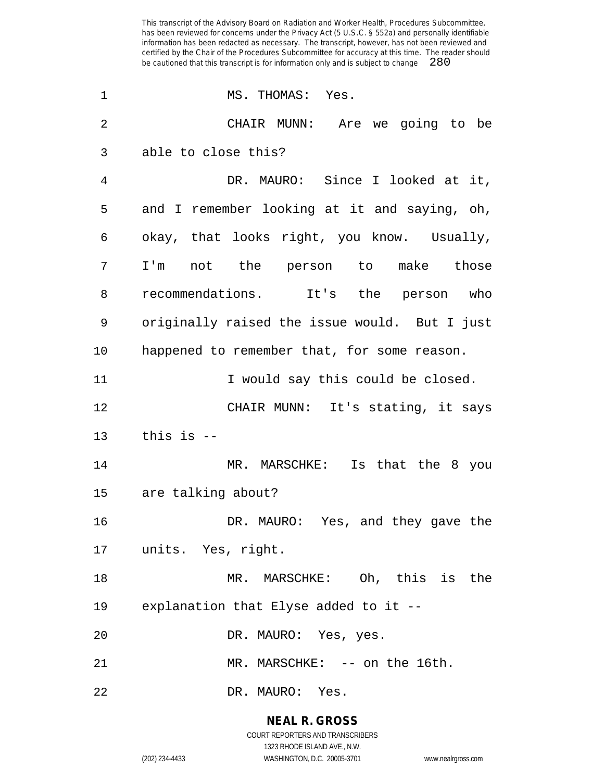| 1              | MS. THOMAS: Yes.                              |
|----------------|-----------------------------------------------|
| $\overline{2}$ | CHAIR MUNN: Are we going to be                |
| 3              | able to close this?                           |
| 4              | DR. MAURO: Since I looked at it,              |
| 5              | and I remember looking at it and saying, oh,  |
| 6              | okay, that looks right, you know. Usually,    |
| 7              | I'm not the person to make those              |
| 8              | recommendations. It's the person who          |
| 9              | originally raised the issue would. But I just |
| 10             | happened to remember that, for some reason.   |
| 11             | I would say this could be closed.             |
| 12             | CHAIR MUNN: It's stating, it says             |
| 13             | this is $-$                                   |
| 14             | MR. MARSCHKE: Is that the 8 you               |
| 15             | are talking about?                            |
| 16             | DR. MAURO: Yes, and they gave the             |
|                | 17 units. Yes, right.                         |
| 18             | MR. MARSCHKE: Oh, this is the                 |
| 19             | explanation that Elyse added to it --         |
| 20             | DR. MAURO: Yes, yes.                          |
| 21             | MR. MARSCHKE: -- on the 16th.                 |
| 22             | DR. MAURO: Yes.                               |

**NEAL R. GROSS** COURT REPORTERS AND TRANSCRIBERS

1323 RHODE ISLAND AVE., N.W.

(202) 234-4433 WASHINGTON, D.C. 20005-3701 www.nealrgross.com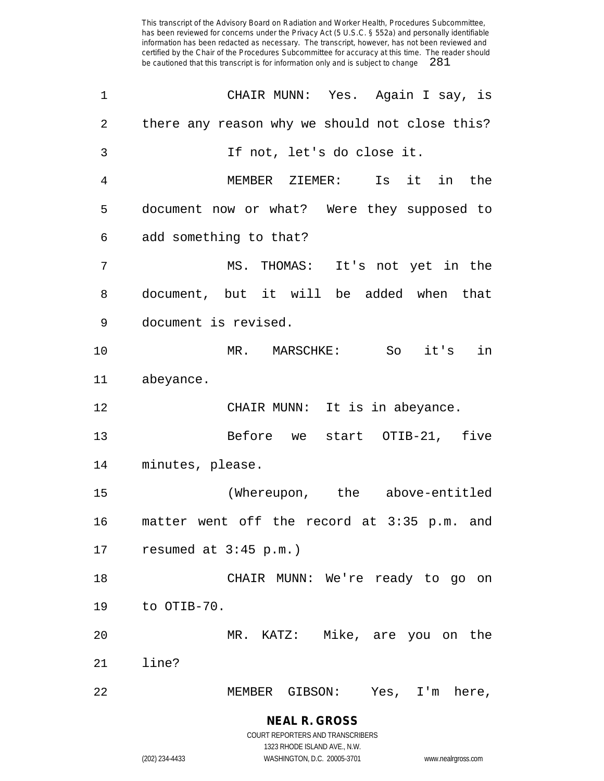| $\mathbf 1$ | CHAIR MUNN: Yes. Again I say, is               |
|-------------|------------------------------------------------|
| 2           | there any reason why we should not close this? |
| 3           | If not, let's do close it.                     |
| 4           | Is it<br>MEMBER ZIEMER:<br>in the              |
| 5           | document now or what? Were they supposed to    |
| 6           | add something to that?                         |
| 7           | MS. THOMAS: It's not yet in the                |
| 8           | document, but it will be added when that       |
| 9           | document is revised.                           |
| 10          | MR. MARSCHKE: So it's in                       |
| 11          | abeyance.                                      |
|             |                                                |
| 12          | CHAIR MUNN: It is in abeyance.                 |
| 13          | Before we start OTIB-21, five                  |
| 14          | minutes, please.                               |
| 15          | (Whereupon, the above-entitled                 |
| 16          | matter went off the record at 3:35 p.m. and    |
| 17          | resumed at $3:45$ p.m.)                        |
| 18          | CHAIR MUNN: We're ready to go on               |
| 19          | to OTIB-70.                                    |
| 20          | MR. KATZ: Mike, are you on the                 |
| 21          | line?                                          |

**NEAL R. GROSS** COURT REPORTERS AND TRANSCRIBERS

1323 RHODE ISLAND AVE., N.W. (202) 234-4433 WASHINGTON, D.C. 20005-3701 www.nealrgross.com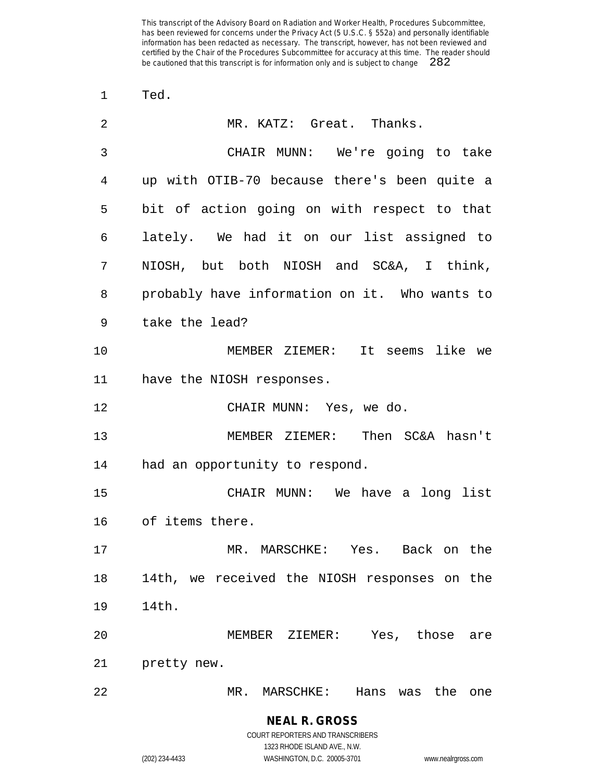Ted.

| $\overline{2}$ | MR. KATZ: Great. Thanks.                      |
|----------------|-----------------------------------------------|
| 3              | CHAIR MUNN: We're going to take               |
| 4              | up with OTIB-70 because there's been quite a  |
| 5              | bit of action going on with respect to that   |
| 6              | lately. We had it on our list assigned to     |
| 7              | NIOSH, but both NIOSH and SC&A, I think,      |
| 8              | probably have information on it. Who wants to |
| 9              | take the lead?                                |
| 10             | MEMBER ZIEMER: It seems like we               |
| 11             | have the NIOSH responses.                     |
| 12             | CHAIR MUNN: Yes, we do.                       |
| 13             | MEMBER ZIEMER: Then SC&A hasn't               |
| 14             | had an opportunity to respond.                |
| 15             | CHAIR MUNN: We have a long list               |
| 16             | of items there.                               |
| 17             | MR. MARSCHKE: Yes. Back on the                |
| 18             | 14th, we received the NIOSH responses on the  |
| 19             | 14th.                                         |
| 20             | MEMBER ZIEMER: Yes, those are                 |
| 21             | pretty new.                                   |
| 22             | MR. MARSCHKE: Hans was the<br>one             |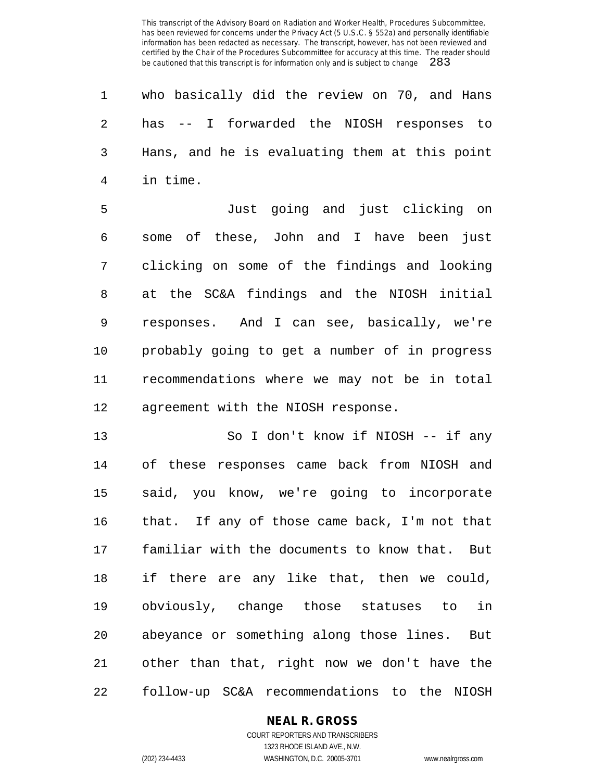who basically did the review on 70, and Hans has -- I forwarded the NIOSH responses to Hans, and he is evaluating them at this point in time.

 Just going and just clicking on some of these, John and I have been just clicking on some of the findings and looking at the SC&A findings and the NIOSH initial responses. And I can see, basically, we're probably going to get a number of in progress recommendations where we may not be in total agreement with the NIOSH response.

 So I don't know if NIOSH -- if any of these responses came back from NIOSH and said, you know, we're going to incorporate that. If any of those came back, I'm not that familiar with the documents to know that. But if there are any like that, then we could, obviously, change those statuses to in abeyance or something along those lines. But other than that, right now we don't have the follow-up SC&A recommendations to the NIOSH

#### **NEAL R. GROSS**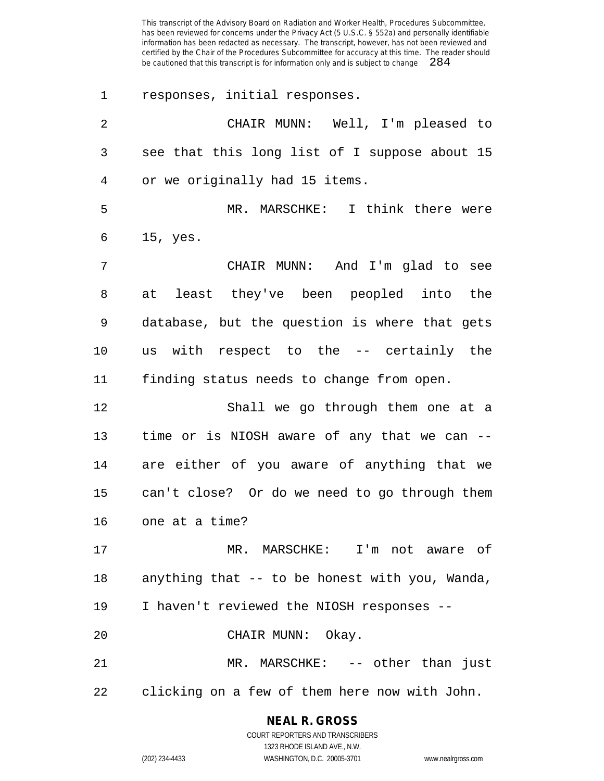responses, initial responses. CHAIR MUNN: Well, I'm pleased to see that this long list of I suppose about 15 or we originally had 15 items. MR. MARSCHKE: I think there were 15, yes. CHAIR MUNN: And I'm glad to see at least they've been peopled into the database, but the question is where that gets us with respect to the -- certainly the finding status needs to change from open. Shall we go through them one at a time or is NIOSH aware of any that we can -- are either of you aware of anything that we can't close? Or do we need to go through them one at a time? MR. MARSCHKE: I'm not aware of anything that -- to be honest with you, Wanda, I haven't reviewed the NIOSH responses -- CHAIR MUNN: Okay. 21 MR. MARSCHKE: -- other than just clicking on a few of them here now with John.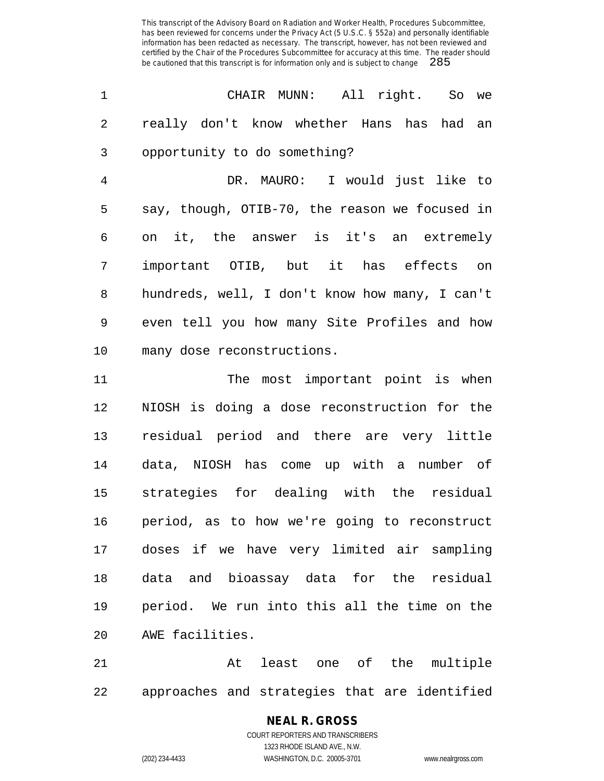$\omega_{\rm c}$  and

|                |  | CHAIR MUNN: All right. So we              |  |  |
|----------------|--|-------------------------------------------|--|--|
| $\overline{2}$ |  | really don't know whether Hans has had an |  |  |
|                |  | 3 opportunity to do something?            |  |  |

 DR. MAURO: I would just like to say, though, OTIB-70, the reason we focused in on it, the answer is it's an extremely important OTIB, but it has effects on hundreds, well, I don't know how many, I can't even tell you how many Site Profiles and how many dose reconstructions.

11 The most important point is when NIOSH is doing a dose reconstruction for the residual period and there are very little data, NIOSH has come up with a number of strategies for dealing with the residual period, as to how we're going to reconstruct doses if we have very limited air sampling data and bioassay data for the residual period. We run into this all the time on the AWE facilities.

21 at least one of the multiple approaches and strategies that are identified

# **NEAL R. GROSS**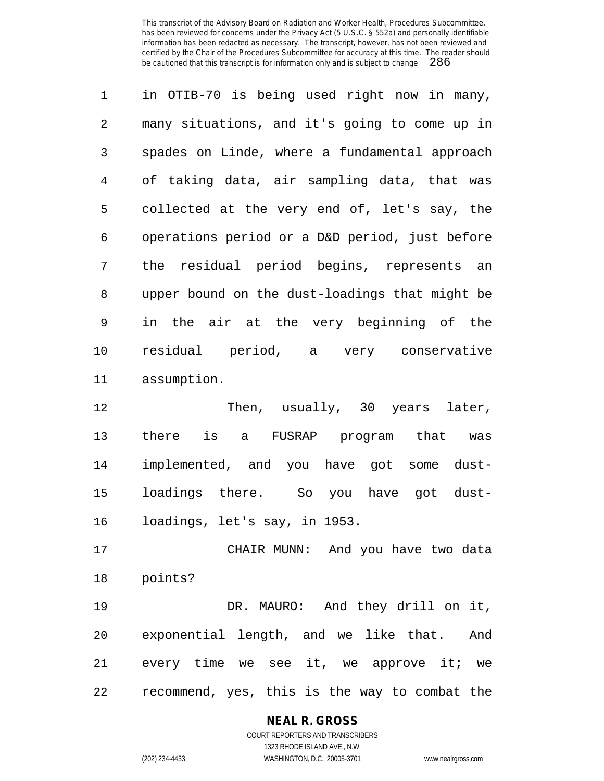in OTIB-70 is being used right now in many, many situations, and it's going to come up in spades on Linde, where a fundamental approach of taking data, air sampling data, that was collected at the very end of, let's say, the operations period or a D&D period, just before the residual period begins, represents an upper bound on the dust-loadings that might be in the air at the very beginning of the residual period, a very conservative assumption.

12 Then, usually, 30 years later, there is a FUSRAP program that was implemented, and you have got some dust- loadings there. So you have got dust-loadings, let's say, in 1953.

 CHAIR MUNN: And you have two data points?

 DR. MAURO: And they drill on it, exponential length, and we like that. And 21 every time we see it, we approve it; we recommend, yes, this is the way to combat the

# **NEAL R. GROSS**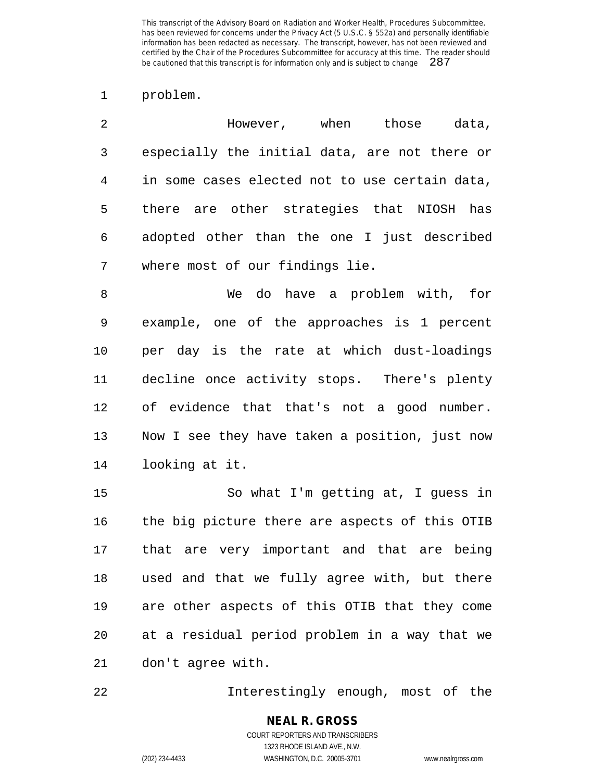#### problem.

| 2            | However, when those                            |  | data, |
|--------------|------------------------------------------------|--|-------|
| $\mathbf{3}$ | especially the initial data, are not there or  |  |       |
| 4            | in some cases elected not to use certain data, |  |       |
| 5            | there are other strategies that NIOSH has      |  |       |
| 6            | adopted other than the one I just described    |  |       |
|              | where most of our findings lie.                |  |       |

 We do have a problem with, for example, one of the approaches is 1 percent per day is the rate at which dust-loadings decline once activity stops. There's plenty of evidence that that's not a good number. Now I see they have taken a position, just now looking at it.

 So what I'm getting at, I guess in the big picture there are aspects of this OTIB that are very important and that are being used and that we fully agree with, but there are other aspects of this OTIB that they come at a residual period problem in a way that we don't agree with.

Interestingly enough, most of the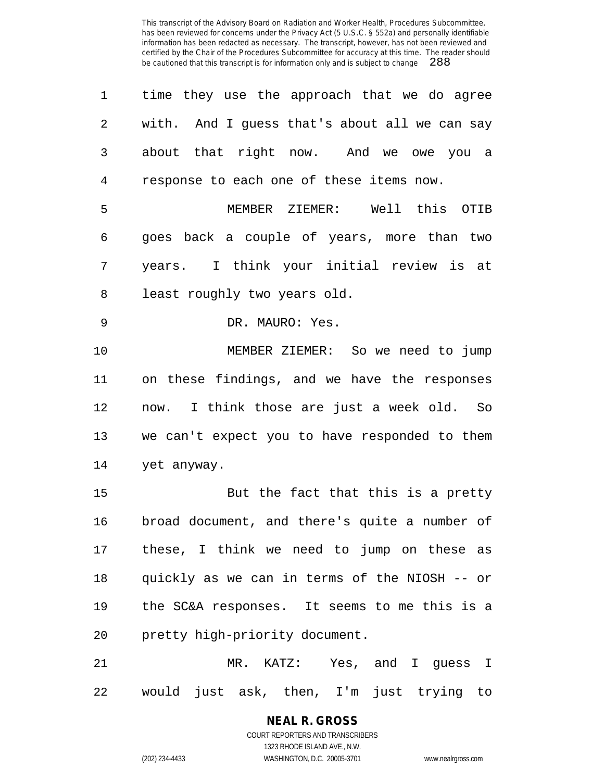| 1              | time they use the approach that we do agree   |
|----------------|-----------------------------------------------|
| 2              | with. And I guess that's about all we can say |
| 3              | about that right now. And we owe you a        |
| $\overline{4}$ | response to each one of these items now.      |
| 5              | MEMBER ZIEMER: Well this OTIB                 |
| 6              | goes back a couple of years, more than two    |
| 7              | years. I think your initial review is at      |
| 8              | least roughly two years old.                  |
| 9              | DR. MAURO: Yes.                               |
| 10             | MEMBER ZIEMER: So we need to jump             |
| 11             | on these findings, and we have the responses  |
| 12             | now. I think those are just a week old. So    |
| 13             | we can't expect you to have responded to them |
| 14             | yet anyway.                                   |
| 15             | But the fact that this is a pretty            |
| 16             | broad document, and there's quite a number of |
| 17             | these, I think we need to jump on these as    |
| 18             | quickly as we can in terms of the NIOSH -- or |
| 19             | the SC&A responses. It seems to me this is a  |
| 20             | pretty high-priority document.                |
| 21             | MR. KATZ: Yes, and I guess I                  |
| 22             | would just ask, then, I'm just trying to      |

**NEAL R. GROSS** COURT REPORTERS AND TRANSCRIBERS 1323 RHODE ISLAND AVE., N.W.

(202) 234-4433 WASHINGTON, D.C. 20005-3701 www.nealrgross.com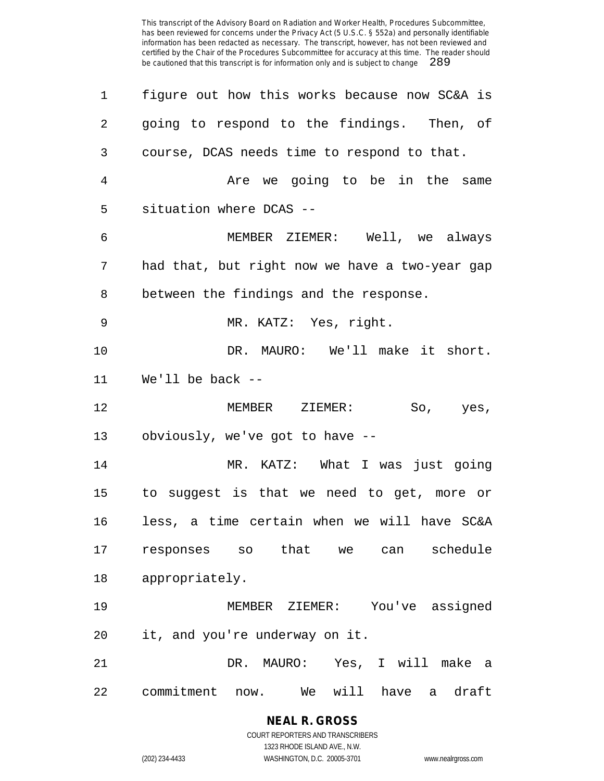| 1  | figure out how this works because now SC&A is    |
|----|--------------------------------------------------|
| 2  | going to respond to the findings. Then, of       |
| 3  | course, DCAS needs time to respond to that.      |
| 4  | Are we going to be in the same                   |
| 5  | situation where DCAS --                          |
| 6  | MEMBER ZIEMER: Well, we always                   |
| 7  | had that, but right now we have a two-year gap   |
| 8  | between the findings and the response.           |
| 9  | MR. KATZ: Yes, right.                            |
| 10 | DR. MAURO: We'll make it short.                  |
| 11 | We'll be back $-$                                |
|    |                                                  |
| 12 | MEMBER ZIEMER:<br>So,<br>yes,                    |
| 13 | obviously, we've got to have --                  |
| 14 | MR. KATZ: What I was just going                  |
| 15 | to suggest is that we need to get, more or       |
| 16 | less, a time certain when we will have SC&A      |
| 17 | schedule<br>responses so that we can             |
| 18 | appropriately.                                   |
| 19 | $\mathtt{ZIEMER}$ :<br>You've assigned<br>MEMBER |
| 20 | it, and you're underway on it.                   |
| 21 | DR. MAURO: Yes, I will make<br>- a               |

**NEAL R. GROSS** COURT REPORTERS AND TRANSCRIBERS 1323 RHODE ISLAND AVE., N.W.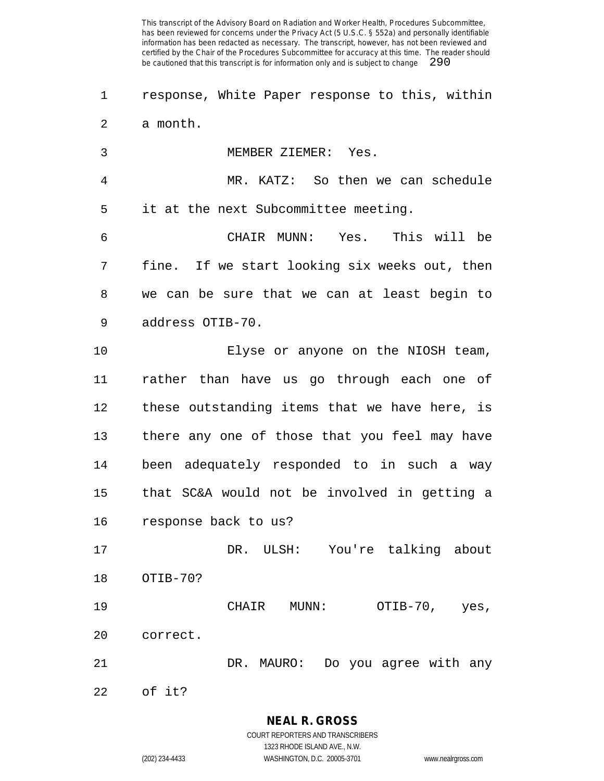- response, White Paper response to this, within a month.
- MEMBER ZIEMER: Yes.
- MR. KATZ: So then we can schedule it at the next Subcommittee meeting.

 CHAIR MUNN: Yes. This will be fine. If we start looking six weeks out, then we can be sure that we can at least begin to address OTIB-70.

 Elyse or anyone on the NIOSH team, rather than have us go through each one of these outstanding items that we have here, is there any one of those that you feel may have been adequately responded to in such a way that SC&A would not be involved in getting a response back to us?

 DR. ULSH: You're talking about OTIB-70?

 CHAIR MUNN: OTIB-70, yes, correct.

DR. MAURO: Do you agree with any

of it?

1323 RHODE ISLAND AVE., N.W.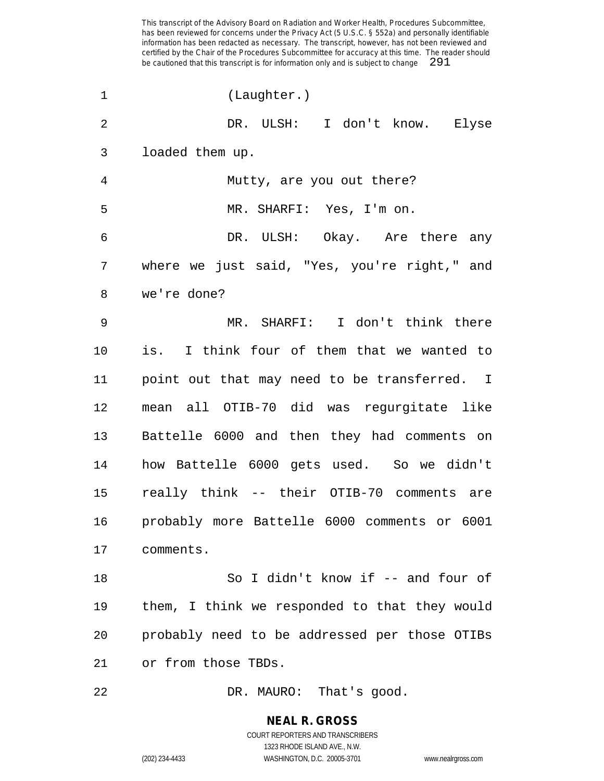| $\mathbf 1$    | (Laughter.)                                   |
|----------------|-----------------------------------------------|
| 2              | DR. ULSH: I don't know. Elyse                 |
| 3              | loaded them up.                               |
| $\overline{4}$ | Mutty, are you out there?                     |
| 5              | MR. SHARFI: Yes, I'm on.                      |
| 6              | DR. ULSH: Okay. Are there any                 |
| 7              | where we just said, "Yes, you're right," and  |
| 8              | we're done?                                   |
| 9              | MR. SHARFI: I don't think there               |
| $10 \,$        | is. I think four of them that we wanted to    |
| 11             | point out that may need to be transferred. I  |
| 12             | mean all OTIB-70 did was regurgitate like     |
| 13             | Battelle 6000 and then they had comments on   |
| 14             | how Battelle 6000 gets used. So we didn't     |
| 15             | really think -- their OTIB-70 comments are    |
| 16             | probably more Battelle 6000 comments or 6001  |
| 17             | comments.                                     |
| 18             | So I didn't know if -- and four of            |
| 19             | them, I think we responded to that they would |
| 20             | probably need to be addressed per those OTIBs |
| 21             | or from those TBDs.                           |
|                |                                               |

22 DR. MAURO: That's good.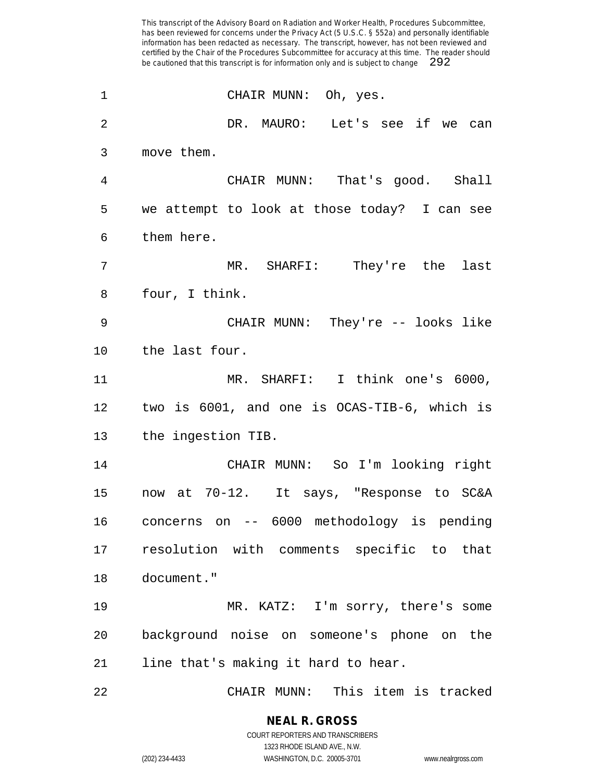| $\mathbf 1$    | CHAIR MUNN: Oh, yes.                         |
|----------------|----------------------------------------------|
| $\overline{2}$ | DR. MAURO: Let's see if we can               |
| 3              | move them.                                   |
| 4              | CHAIR MUNN: That's good. Shall               |
| 5              | we attempt to look at those today? I can see |
| 6              | them here.                                   |
| 7              | MR. SHARFI: They're the last                 |
| 8              | four, I think.                               |
| $\mathsf 9$    | CHAIR MUNN: They're -- looks like            |
| 10             | the last four.                               |
| 11             | MR. SHARFI: I think one's 6000,              |
| 12             | two is 6001, and one is OCAS-TIB-6, which is |
| 13             | the ingestion TIB.                           |
| 14             | CHAIR MUNN: So I'm looking right             |
| 15             | now at 70-12. It says, "Response to SC&A     |
| 16             | concerns on -- 6000 methodology is pending   |
|                | 17 resolution with comments specific to that |
| 18             | document."                                   |
| 19             | MR. KATZ: I'm sorry, there's some            |
| 20             | background noise on someone's phone on the   |
| 21             | line that's making it hard to hear.          |
| 22             | CHAIR MUNN: This item is tracked             |

**NEAL R. GROSS** COURT REPORTERS AND TRANSCRIBERS 1323 RHODE ISLAND AVE., N.W.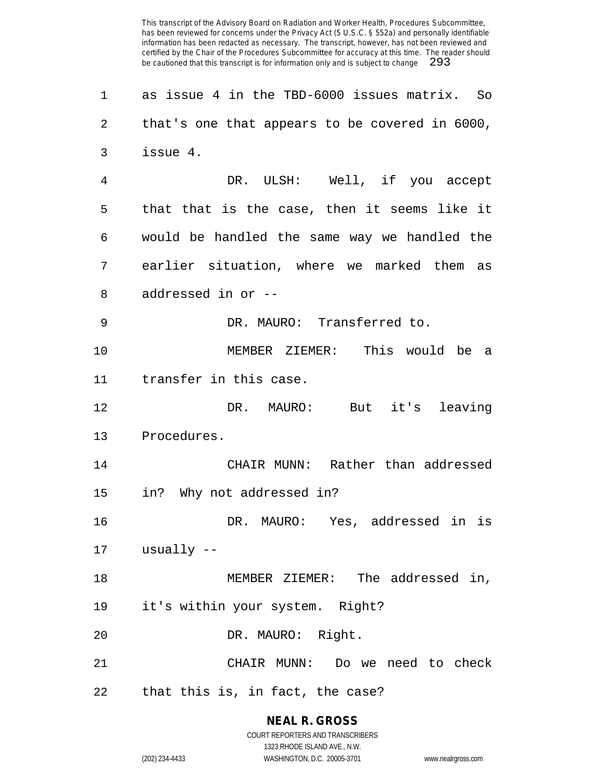as issue 4 in the TBD-6000 issues matrix. So that's one that appears to be covered in 6000, issue 4. DR. ULSH: Well, if you accept that that is the case, then it seems like it would be handled the same way we handled the earlier situation, where we marked them as addressed in or -- DR. MAURO: Transferred to. MEMBER ZIEMER: This would be a transfer in this case. DR. MAURO: But it's leaving Procedures. CHAIR MUNN: Rather than addressed in? Why not addressed in? DR. MAURO: Yes, addressed in is usually -- MEMBER ZIEMER: The addressed in, it's within your system. Right? DR. MAURO: Right. CHAIR MUNN: Do we need to check that this is, in fact, the case?

> **NEAL R. GROSS** COURT REPORTERS AND TRANSCRIBERS

> > 1323 RHODE ISLAND AVE., N.W.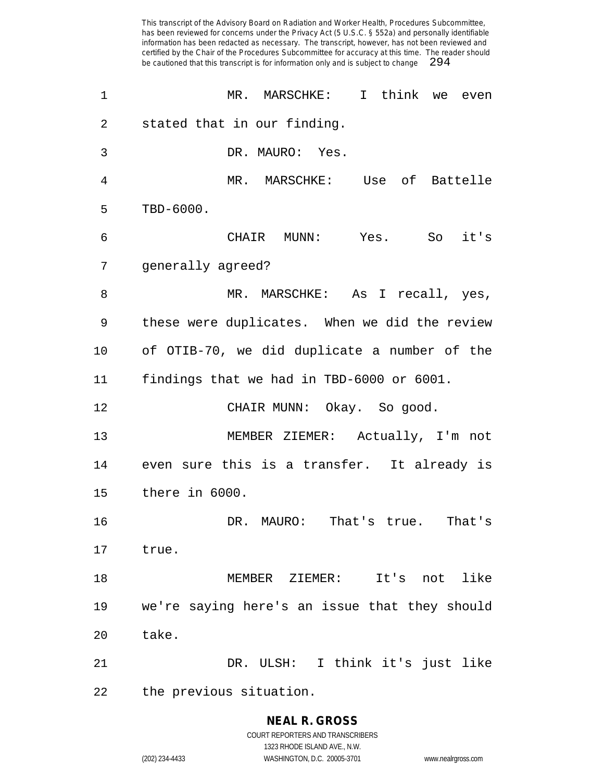| 1              | I think we<br>MR. MARSCHKE:<br>even           |
|----------------|-----------------------------------------------|
| $\overline{2}$ | stated that in our finding.                   |
| 3              | DR. MAURO: Yes.                               |
| 4              | MR. MARSCHKE: Use of Battelle                 |
| 5              | TBD-6000.                                     |
| 6              | CHAIR MUNN: Yes.<br>So<br>it's                |
| 7              | generally agreed?                             |
| 8              | MR. MARSCHKE: As I recall, yes,               |
| 9              | these were duplicates. When we did the review |
| $10 \,$        | of OTIB-70, we did duplicate a number of the  |
| 11             | findings that we had in TBD-6000 or 6001.     |
| 12             | CHAIR MUNN: Okay. So good.                    |
| 13             | MEMBER ZIEMER: Actually, I'm not              |
| 14             | even sure this is a transfer. It already is   |
| 15             | there in 6000.                                |
| 16             | DR. MAURO: That's true. That's                |
| 17             | true.                                         |
| 18             | MEMBER ZIEMER: It's not like                  |
| 19             | we're saying here's an issue that they should |
| 20             | take.                                         |
| 21             | DR. ULSH: I think it's just like              |
| 22             | the previous situation.                       |

**NEAL R. GROSS** COURT REPORTERS AND TRANSCRIBERS 1323 RHODE ISLAND AVE., N.W.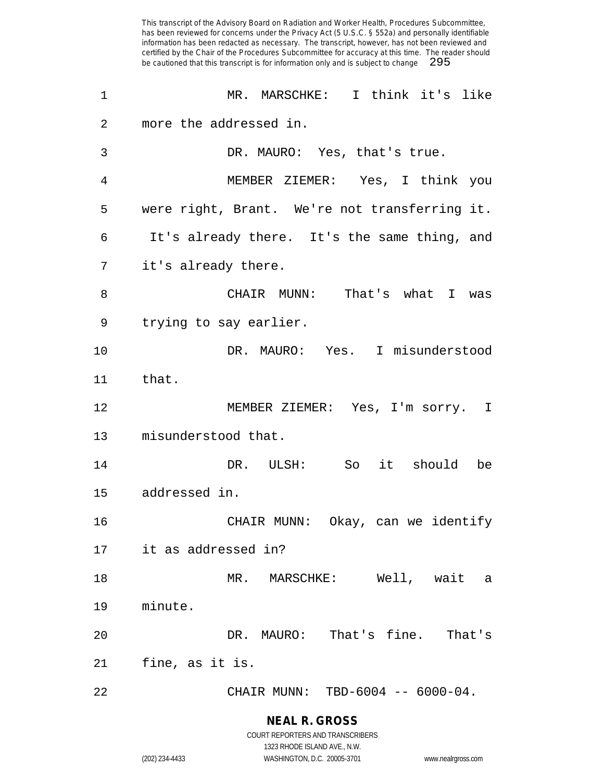| 1  | MR. MARSCHKE: I think it's like               |
|----|-----------------------------------------------|
| 2  | more the addressed in.                        |
| 3  | DR. MAURO: Yes, that's true.                  |
| 4  | MEMBER ZIEMER: Yes, I think you               |
| 5  | were right, Brant. We're not transferring it. |
| 6  | It's already there. It's the same thing, and  |
| 7  | it's already there.                           |
| 8  | CHAIR MUNN: That's what I was                 |
| 9  | trying to say earlier.                        |
| 10 | DR. MAURO: Yes. I misunderstood               |
| 11 | that.                                         |
| 12 | MEMBER ZIEMER: Yes, I'm sorry. I              |
| 13 | misunderstood that.                           |
| 14 | So it should be<br>DR. ULSH:                  |
| 15 | addressed in.                                 |
| 16 | CHAIR MUNN: Okay, can we identify             |
| 17 | it as addressed in?                           |
| 18 | Well, wait<br>MR. MARSCHKE:<br>а              |
| 19 | minute.                                       |
| 20 | DR. MAURO: That's fine. That's                |
| 21 | fine, as it is.                               |
| 22 | CHAIR MUNN: TBD-6004 -- 6000-04.              |

# **NEAL R. GROSS**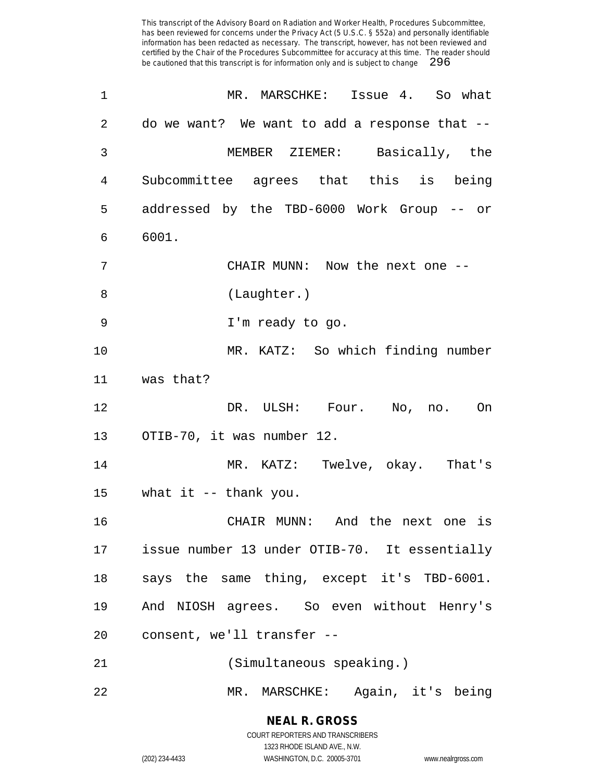| 1       | MR. MARSCHKE: Issue 4. So what                |
|---------|-----------------------------------------------|
| 2       | do we want? We want to add a response that -- |
| 3       | MEMBER ZIEMER: Basically, the                 |
| 4       | Subcommittee agrees that this is being        |
| 5       | addressed by the TBD-6000 Work Group -- or    |
| 6       | 6001.                                         |
| 7       | CHAIR MUNN: Now the next one --               |
| 8       | (Laughter.)                                   |
| 9       | I'm ready to go.                              |
| 10      | MR. KATZ: So which finding number             |
| 11      | was that?                                     |
| 12      | DR. ULSH: Four. No, no. On                    |
| 13      | OTIB-70, it was number 12.                    |
| 14      | MR. KATZ: Twelve, okay. That's                |
| 15      | what it -- thank you.                         |
| 16      | CHAIR MUNN: And the next one is               |
| 17      | issue number 13 under OTIB-70. It essentially |
| 18      | says the same thing, except it's TBD-6001.    |
| 19      | And NIOSH agrees. So even without Henry's     |
| $20 \,$ | consent, we'll transfer --                    |
| 21      | (Simultaneous speaking.)                      |
| 22      | MR. MARSCHKE: Again, it's being               |

**NEAL R. GROSS** COURT REPORTERS AND TRANSCRIBERS

1323 RHODE ISLAND AVE., N.W. (202) 234-4433 WASHINGTON, D.C. 20005-3701 www.nealrgross.com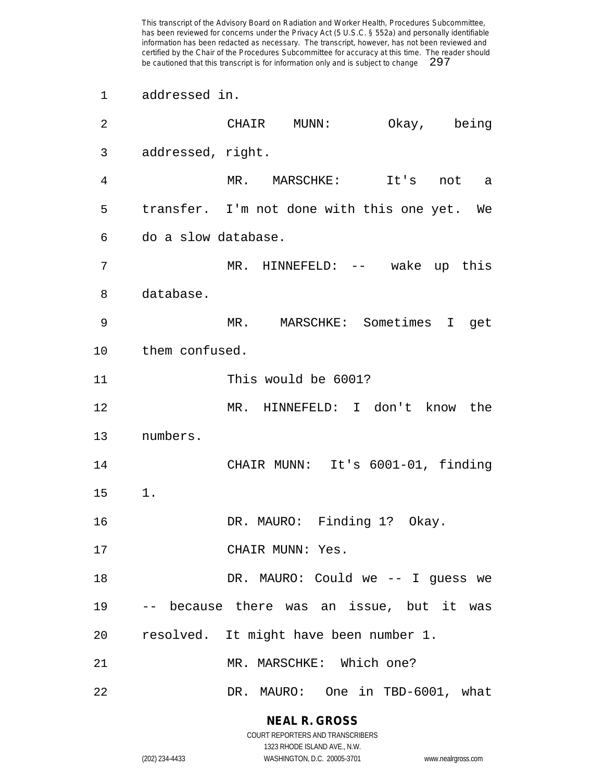addressed in.

| 2  |                     | CHAIR MUNN:                                  | Okay, being |  |
|----|---------------------|----------------------------------------------|-------------|--|
| 3  | addressed, right.   |                                              |             |  |
| 4  |                     | MR. MARSCHKE: It's not a                     |             |  |
| 5  |                     | transfer. I'm not done with this one yet. We |             |  |
| 6  | do a slow database. |                                              |             |  |
| 7  |                     | MR. HINNEFELD: -- wake up this               |             |  |
| 8  | database.           |                                              |             |  |
| 9  |                     | MR. MARSCHKE: Sometimes I get                |             |  |
| 10 | them confused.      |                                              |             |  |
| 11 |                     | This would be 6001?                          |             |  |
| 12 |                     | MR. HINNEFELD: I don't know the              |             |  |
| 13 | numbers.            |                                              |             |  |
| 14 |                     | CHAIR MUNN: It's 6001-01, finding            |             |  |
| 15 | $1$ .               |                                              |             |  |
| 16 |                     | DR. MAURO: Finding 1? Okay.                  |             |  |
| 17 |                     | CHAIR MUNN: Yes.                             |             |  |
| 18 |                     | DR. MAURO: Could we -- I guess we            |             |  |
| 19 |                     | -- because there was an issue, but it was    |             |  |
| 20 |                     | resolved. It might have been number 1.       |             |  |
| 21 |                     | MR. MARSCHKE: Which one?                     |             |  |
| 22 |                     | DR. MAURO: One in TBD-6001, what             |             |  |

#### **NEAL R. GROSS**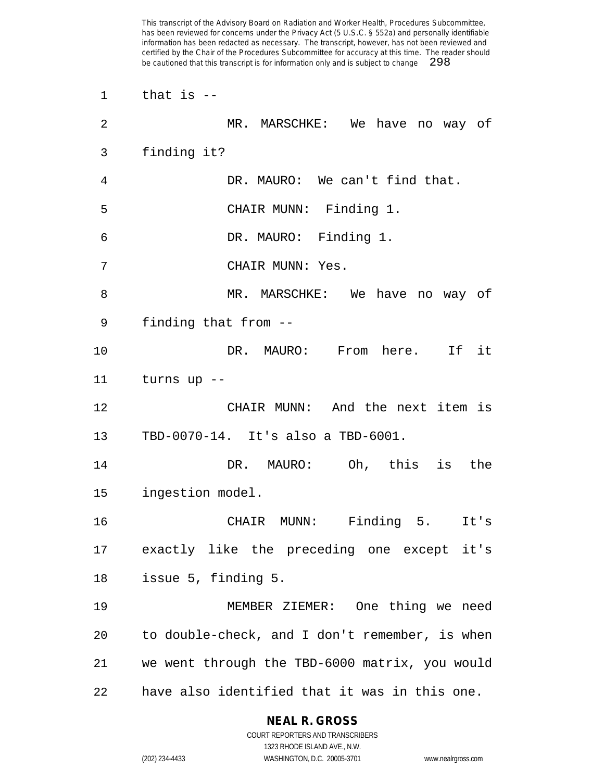that is -- MR. MARSCHKE: We have no way of finding it? DR. MAURO: We can't find that. CHAIR MUNN: Finding 1. DR. MAURO: Finding 1. CHAIR MUNN: Yes. MR. MARSCHKE: We have no way of finding that from -- DR. MAURO: From here. If it turns up -- CHAIR MUNN: And the next item is TBD-0070-14. It's also a TBD-6001. DR. MAURO: Oh, this is the ingestion model. CHAIR MUNN: Finding 5. It's exactly like the preceding one except it's issue 5, finding 5. MEMBER ZIEMER: One thing we need to double-check, and I don't remember, is when we went through the TBD-6000 matrix, you would have also identified that it was in this one.

### **NEAL R. GROSS**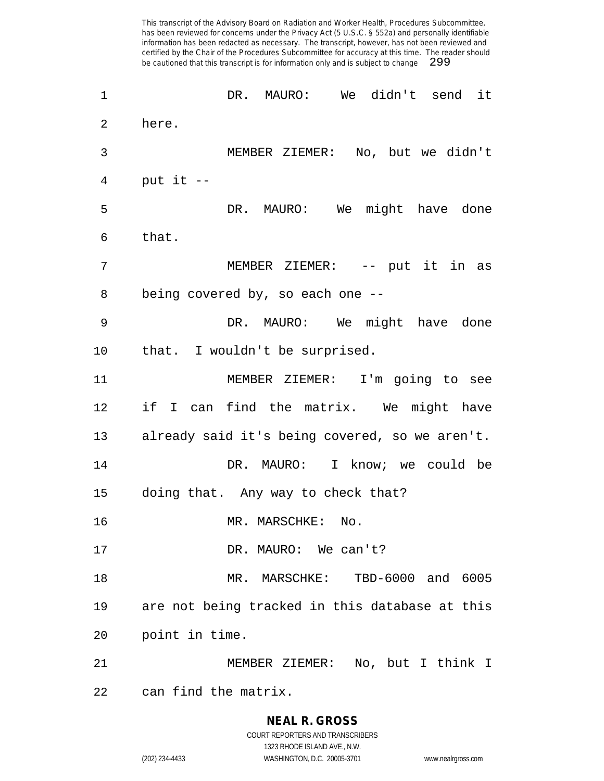DR. MAURO: We didn't send it here. MEMBER ZIEMER: No, but we didn't put it  $-$  DR. MAURO: We might have done that. MEMBER ZIEMER: -- put it in as being covered by, so each one -- DR. MAURO: We might have done that. I wouldn't be surprised. MEMBER ZIEMER: I'm going to see if I can find the matrix. We might have already said it's being covered, so we aren't. DR. MAURO: I know; we could be doing that. Any way to check that? 16 MR. MARSCHKE: No. 17 DR. MAURO: We can't? MR. MARSCHKE: TBD-6000 and 6005 are not being tracked in this database at this point in time. MEMBER ZIEMER: No, but I think I can find the matrix.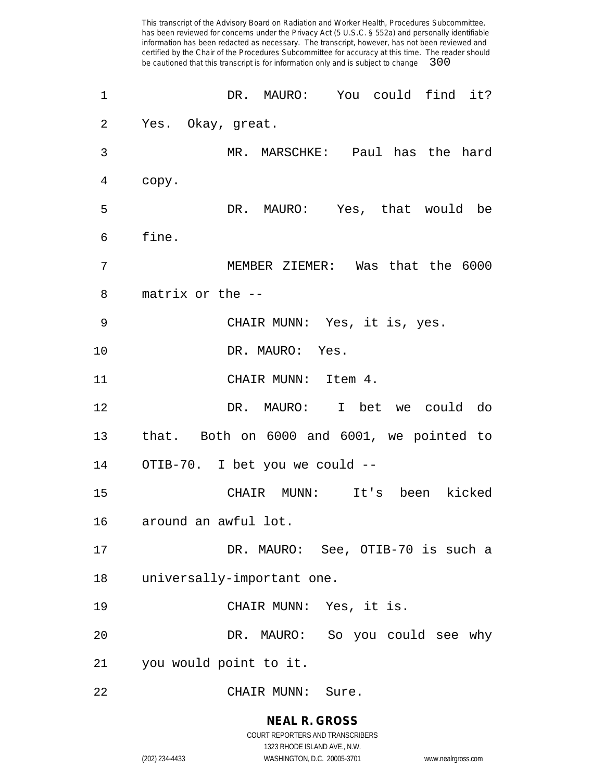| 1  | DR. MAURO: You could find it?              |
|----|--------------------------------------------|
| 2  | Yes. Okay, great.                          |
| 3  | MR. MARSCHKE: Paul has the hard            |
| 4  | copy.                                      |
| 5  | DR. MAURO: Yes, that would be              |
| 6  | fine.                                      |
| 7  | MEMBER ZIEMER: Was that the 6000           |
| 8  | matrix or the --                           |
| 9  | CHAIR MUNN: Yes, it is, yes.               |
| 10 | DR. MAURO: Yes.                            |
| 11 | CHAIR MUNN: Item 4.                        |
| 12 | DR. MAURO: I bet we could do               |
| 13 | that. Both on 6000 and 6001, we pointed to |
| 14 | OTIB-70. I bet you we could --             |
| 15 | CHAIR MUNN: It's been kicked               |
|    | 16 around an awful lot.                    |
| 17 | DR. MAURO: See, OTIB-70 is such a          |
| 18 | universally-important one.                 |
| 19 | CHAIR MUNN: Yes, it is.                    |
| 20 | DR. MAURO: So you could see why            |
| 21 | you would point to it.                     |
| 22 | CHAIR MUNN:<br>Sure.                       |

**NEAL R. GROSS** COURT REPORTERS AND TRANSCRIBERS 1323 RHODE ISLAND AVE., N.W.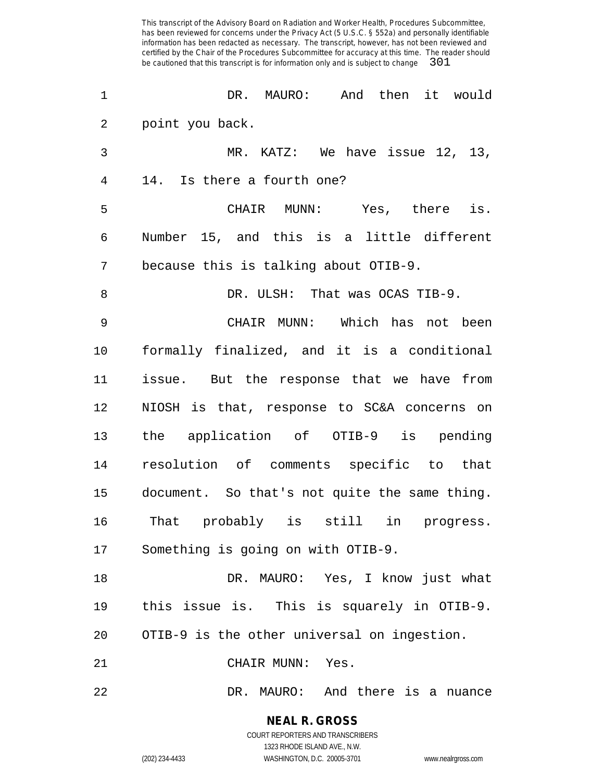| 1              | DR. MAURO: And then it would                  |
|----------------|-----------------------------------------------|
| 2              | point you back.                               |
| 3              | MR. KATZ: We have issue 12, 13,               |
| $\overline{4}$ | 14. Is there a fourth one?                    |
| 5              | CHAIR MUNN: Yes, there is.                    |
| 6              | Number 15, and this is a little different     |
| 7              | because this is talking about OTIB-9.         |
| 8              | DR. ULSH: That was OCAS TIB-9.                |
| 9              | CHAIR MUNN: Which has not been                |
| 10             | formally finalized, and it is a conditional   |
| 11             | issue. But the response that we have from     |
| 12             | NIOSH is that, response to SC&A concerns on   |
| 13             | the application of OTIB-9 is pending          |
| 14             | resolution of comments specific to that       |
| 15             | document. So that's not quite the same thing. |
| 16             | That probably is still in progress.           |
| 17             | Something is going on with OTIB-9.            |
| 18             | DR. MAURO: Yes, I know just what              |
| 19             | this issue is. This is squarely in OTIB-9.    |
| 20             | OTIB-9 is the other universal on ingestion.   |
| 21             | CHAIR MUNN: Yes.                              |
| 22             | DR. MAURO: And there is a nuance              |

**NEAL R. GROSS** COURT REPORTERS AND TRANSCRIBERS

1323 RHODE ISLAND AVE., N.W. (202) 234-4433 WASHINGTON, D.C. 20005-3701 www.nealrgross.com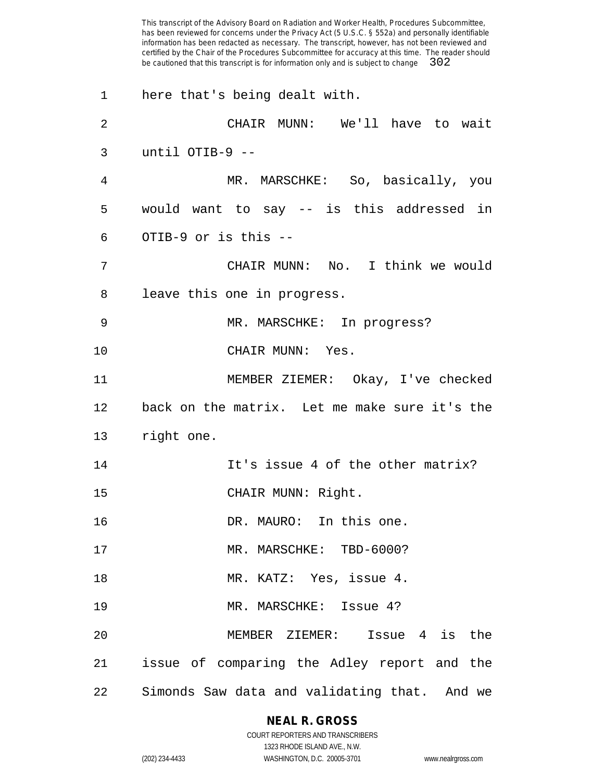here that's being dealt with. CHAIR MUNN: We'll have to wait until OTIB-9 -- MR. MARSCHKE: So, basically, you would want to say -- is this addressed in OTIB-9 or is this -- CHAIR MUNN: No. I think we would leave this one in progress. MR. MARSCHKE: In progress? CHAIR MUNN: Yes. MEMBER ZIEMER: Okay, I've checked back on the matrix. Let me make sure it's the right one. **It's issue 4 of the other matrix?** 15 CHAIR MUNN: Right. 16 DR. MAURO: In this one. 17 MR. MARSCHKE: TBD-6000? MR. KATZ: Yes, issue 4. 19 MR. MARSCHKE: Issue 4? MEMBER ZIEMER: Issue 4 is the issue of comparing the Adley report and the Simonds Saw data and validating that. And we

### **NEAL R. GROSS**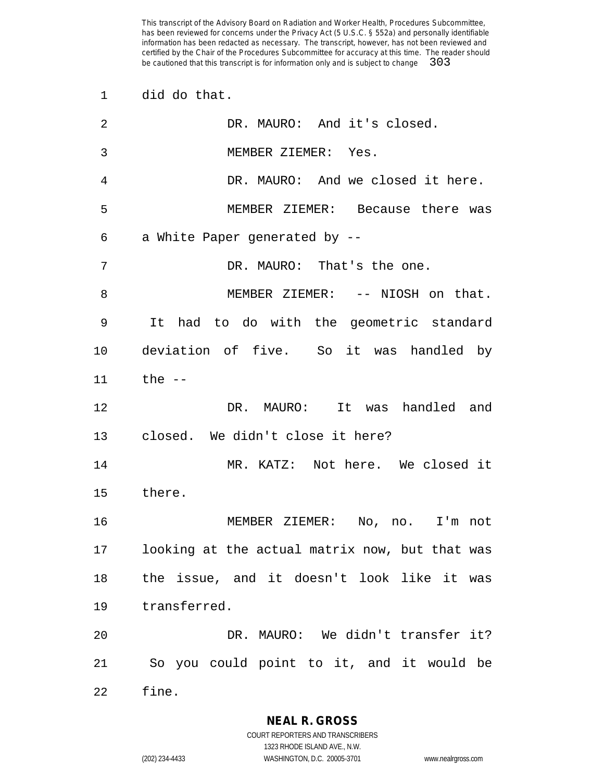did do that.

| 2  | DR. MAURO: And it's closed.                    |
|----|------------------------------------------------|
| 3  | MEMBER ZIEMER: Yes.                            |
| 4  | DR. MAURO: And we closed it here.              |
| 5  | MEMBER ZIEMER: Because there was               |
| 6  | a White Paper generated by --                  |
| 7  | DR. MAURO: That's the one.                     |
| 8  | MEMBER ZIEMER: -- NIOSH on that.               |
| 9  | It had to do with the geometric standard       |
| 10 | deviation of five. So it was handled by        |
| 11 | the --                                         |
| 12 | DR. MAURO: It was handled and                  |
| 13 | closed. We didn't close it here?               |
| 14 | MR. KATZ: Not here. We closed it               |
| 15 | there.                                         |
| 16 | MEMBER ZIEMER: No, no. I'm not                 |
| 17 | looking at the actual matrix now, but that was |
| 18 | the issue, and it doesn't look like it was     |
| 19 | transferred.                                   |
| 20 | DR. MAURO: We didn't transfer it?              |
| 21 | So you could point to it, and it would be      |
| 22 | fine.                                          |

**NEAL R. GROSS**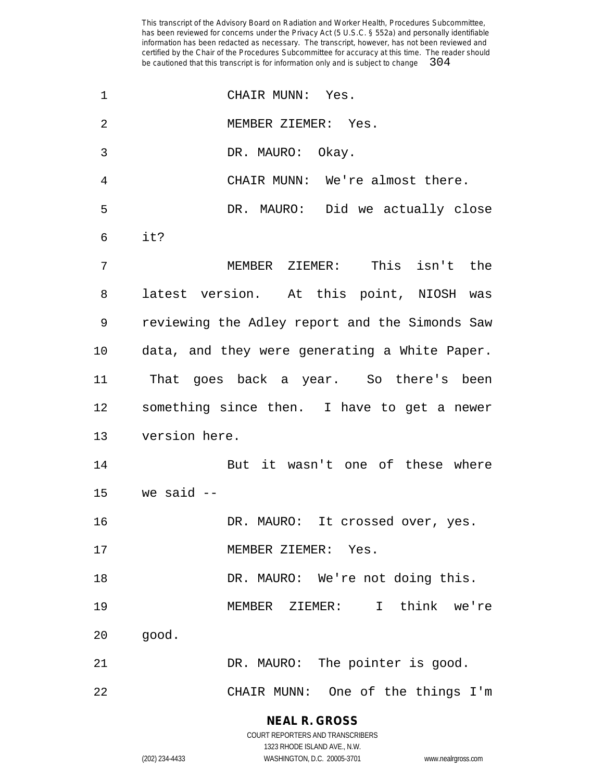| 1  | CHAIR MUNN: Yes.                               |
|----|------------------------------------------------|
| 2  | MEMBER ZIEMER: Yes.                            |
| 3  | DR. MAURO: Okay.                               |
| 4  | CHAIR MUNN: We're almost there.                |
| 5  | DR. MAURO: Did we actually close               |
| 6  | it?                                            |
| 7  | MEMBER ZIEMER: This isn't the                  |
| 8  | latest version. At this point, NIOSH was       |
| 9  | reviewing the Adley report and the Simonds Saw |
| 10 | data, and they were generating a White Paper.  |
| 11 | That goes back a year. So there's been         |
| 12 | something since then. I have to get a newer    |
| 13 | version here.                                  |
| 14 | But it wasn't one of these where               |
| 15 | we said --                                     |
| 16 | DR. MAURO: It crossed over, yes.               |
| 17 | MEMBER ZIEMER: Yes.                            |
| 18 | DR. MAURO: We're not doing this.               |
| 19 | MEMBER ZIEMER: I think we're                   |
| 20 | good.                                          |
| 21 | DR. MAURO: The pointer is good.                |
| 22 | CHAIR MUNN: One of the things I'm              |
|    |                                                |

**NEAL R. GROSS**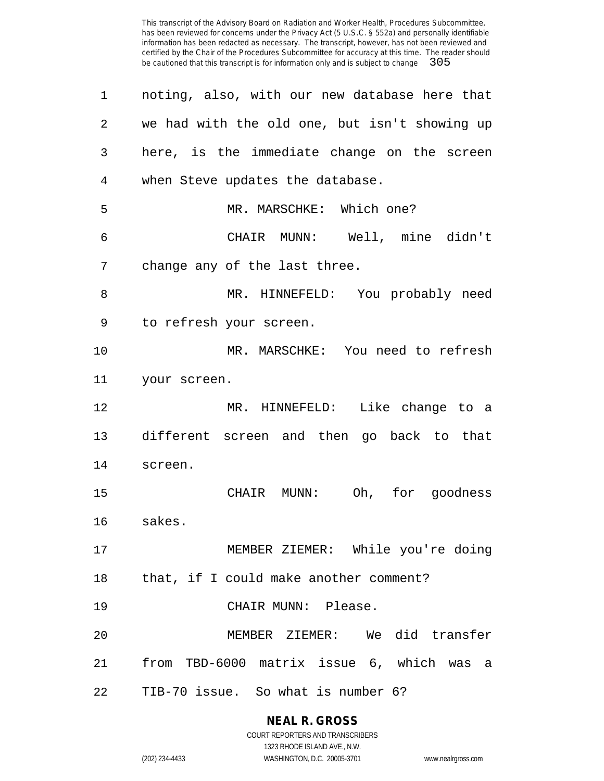| 1              | noting, also, with our new database here that |
|----------------|-----------------------------------------------|
| $\overline{2}$ | we had with the old one, but isn't showing up |
| 3              | here, is the immediate change on the screen   |
| 4              | when Steve updates the database.              |
| 5              | MR. MARSCHKE: Which one?                      |
| 6              | CHAIR MUNN: Well, mine didn't                 |
| 7              | change any of the last three.                 |
| 8              | MR. HINNEFELD: You probably need              |
| 9              | to refresh your screen.                       |
| 10             | MR. MARSCHKE: You need to refresh             |
| 11             | your screen.                                  |
| 12             | MR. HINNEFELD: Like change to a               |
| 13             | different screen and then go back to that     |
| 14             | screen.                                       |
| 15             | Oh, for goodness<br>CHAIR MUNN:               |
| 16             | sakes.                                        |
| 17             | MEMBER ZIEMER: While you're doing             |
| 18             | that, if I could make another comment?        |
| 19             | CHAIR MUNN: Please.                           |
| 20             | MEMBER ZIEMER: We did transfer                |
| 21             | from TBD-6000 matrix issue 6, which was a     |
| 22             | TIB-70 issue. So what is number 6?            |

**NEAL R. GROSS** COURT REPORTERS AND TRANSCRIBERS

1323 RHODE ISLAND AVE., N.W. (202) 234-4433 WASHINGTON, D.C. 20005-3701 www.nealrgross.com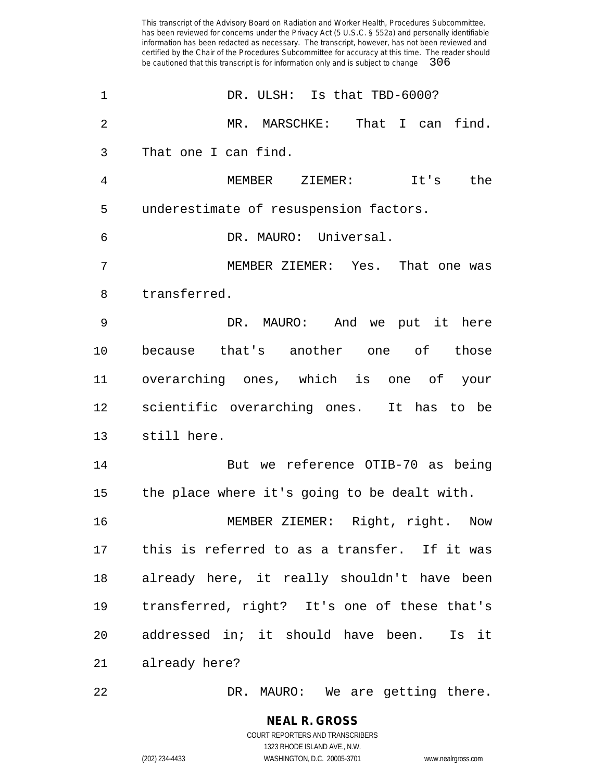| 1               | DR. ULSH: Is that TBD-6000?                     |
|-----------------|-------------------------------------------------|
| 2               | MR. MARSCHKE: That I can find.                  |
| 3               | That one I can find.                            |
| 4               | MEMBER ZIEMER: It's the                         |
| 5               | underestimate of resuspension factors.          |
| 6               | DR. MAURO: Universal.                           |
| 7               | MEMBER ZIEMER: Yes. That one was                |
| 8               | transferred.                                    |
| 9               | DR. MAURO: And we put it here                   |
| 10              | because that's another one of those             |
| 11              | overarching ones, which is one of your          |
| 12              | scientific overarching ones. It has to be       |
| 13              | still here.                                     |
| 14              | But we reference OTIB-70 as being               |
| 15              | the place where it's going to be dealt with.    |
| 16              | MEMBER ZIEMER: Right, right. Now                |
|                 | 17 this is referred to as a transfer. If it was |
| 18              | already here, it really shouldn't have been     |
| 19              | transferred, right? It's one of these that's    |
| 20 <sub>o</sub> | addressed in; it should have been.<br>Is it     |
| 21              | already here?                                   |
|                 |                                                 |

DR. MAURO: We are getting there.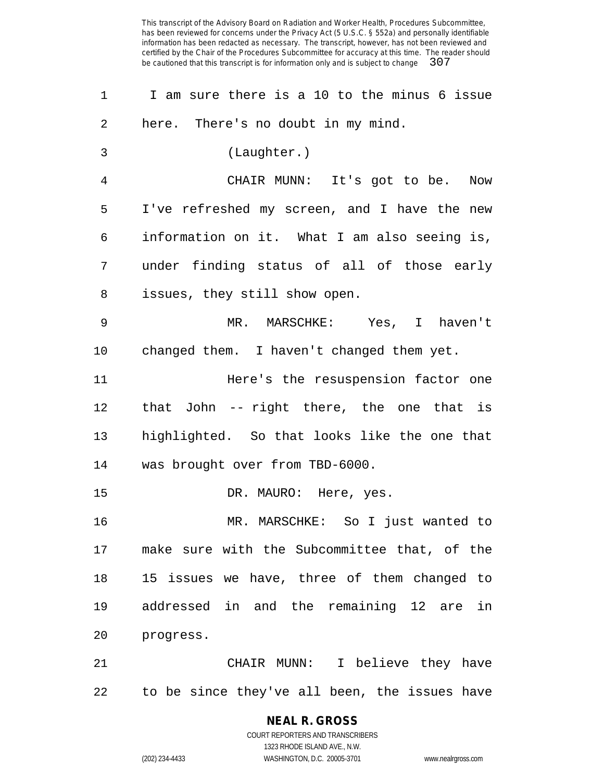I am sure there is a 10 to the minus 6 issue here. There's no doubt in my mind. (Laughter.) CHAIR MUNN: It's got to be. Now I've refreshed my screen, and I have the new information on it. What I am also seeing is, under finding status of all of those early issues, they still show open. MR. MARSCHKE: Yes, I haven't changed them. I haven't changed them yet. **Here's** the resuspension factor one that John -- right there, the one that is highlighted. So that looks like the one that was brought over from TBD-6000. 15 DR. MAURO: Here, yes. MR. MARSCHKE: So I just wanted to make sure with the Subcommittee that, of the 15 issues we have, three of them changed to addressed in and the remaining 12 are in progress. CHAIR MUNN: I believe they have to be since they've all been, the issues have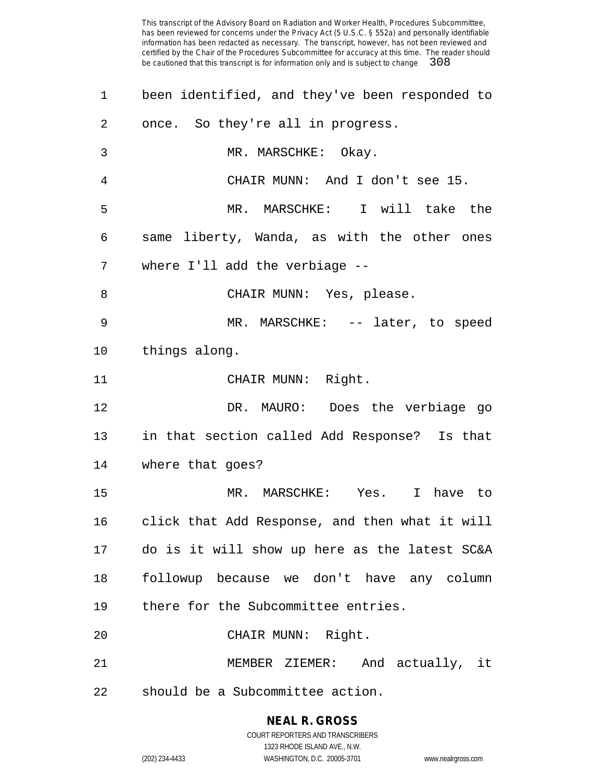| $\mathbf 1$ | been identified, and they've been responded to   |
|-------------|--------------------------------------------------|
| 2           | once. So they're all in progress.                |
| 3           | MR. MARSCHKE: Okay.                              |
| 4           | CHAIR MUNN: And I don't see 15.                  |
| 5           | MR. MARSCHKE: I will take the                    |
| 6           | same liberty, Wanda, as with the other ones      |
| 7           | where I'll add the verbiage --                   |
| 8           | CHAIR MUNN: Yes, please.                         |
| 9           | MR. MARSCHKE: -- later, to speed                 |
| 10          | things along.                                    |
| 11          | CHAIR MUNN: Right.                               |
| 12          | DR. MAURO: Does the verbiage go                  |
| 13          | in that section called Add Response? Is that     |
| 14          | where that goes?                                 |
| 15          | MR. MARSCHKE: Yes. I have to                     |
| 16          | click that Add Response, and then what it will   |
|             | 17 do is it will show up here as the latest SC&A |
| 18          | followup because we don't have any column        |
| 19          | there for the Subcommittee entries.              |
| 20          | CHAIR MUNN: Right.                               |
| 21          | MEMBER ZIEMER: And actually, it                  |
| 22          | should be a Subcommittee action.                 |

### **NEAL R. GROSS** COURT REPORTERS AND TRANSCRIBERS

1323 RHODE ISLAND AVE., N.W. (202) 234-4433 WASHINGTON, D.C. 20005-3701 www.nealrgross.com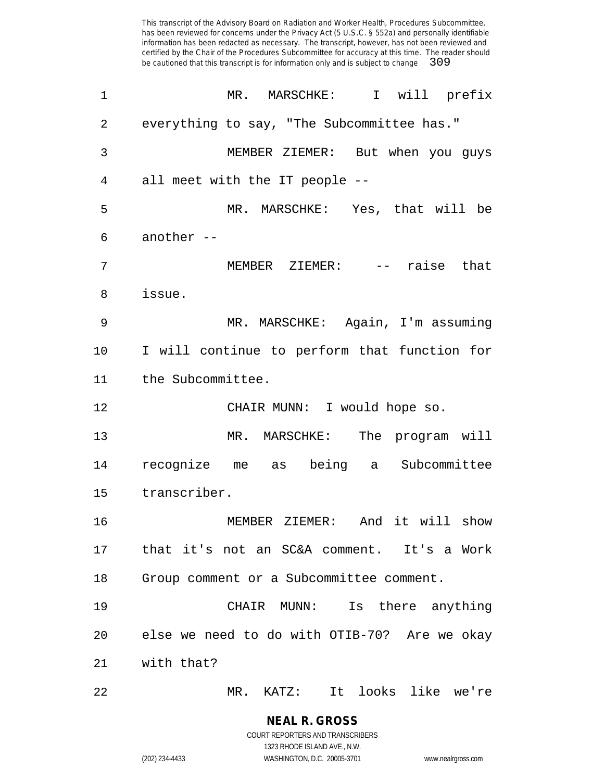| $\mathbf 1$ | MR. MARSCHKE: I will prefix                  |
|-------------|----------------------------------------------|
| 2           | everything to say, "The Subcommittee has."   |
| 3           | MEMBER ZIEMER: But when you guys             |
| 4           | all meet with the IT people --               |
| 5           | MR. MARSCHKE: Yes, that will be              |
| 6           | another $--$                                 |
| 7           | MEMBER ZIEMER: -- raise that                 |
| 8           | issue.                                       |
| 9           | MR. MARSCHKE: Again, I'm assuming            |
| 10          | I will continue to perform that function for |
| 11          | the Subcommittee.                            |
| 12          | CHAIR MUNN: I would hope so.                 |
| 13          | MR. MARSCHKE: The program will               |
| 14          | recognize me as being a Subcommittee         |
| 15          | transcriber.                                 |
| 16          | MEMBER ZIEMER: And it will show              |
| 17          | that it's not an SC&A comment. It's a Work   |
| 18          | Group comment or a Subcommittee comment.     |
| 19          | CHAIR MUNN: Is there anything                |
| 20          | else we need to do with OTIB-70? Are we okay |
| 21          | with that?                                   |
| 22          | It looks like we're<br>$MR.$ $KATZ$ :        |

**NEAL R. GROSS** COURT REPORTERS AND TRANSCRIBERS 1323 RHODE ISLAND AVE., N.W.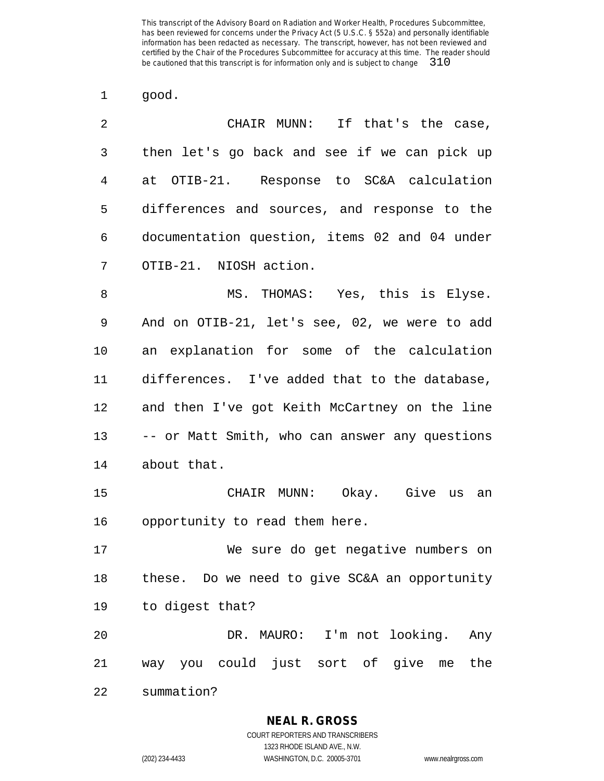good.

| 2  | CHAIR MUNN: If that's the case,                |
|----|------------------------------------------------|
| 3  | then let's go back and see if we can pick up   |
| 4  | at OTIB-21. Response to SC&A calculation       |
| 5  | differences and sources, and response to the   |
| 6  | documentation question, items 02 and 04 under  |
| 7  | OTIB-21. NIOSH action.                         |
| 8  | MS. THOMAS: Yes, this is Elyse.                |
| 9  | And on OTIB-21, let's see, 02, we were to add  |
| 10 | an explanation for some of the calculation     |
| 11 | differences. I've added that to the database,  |
| 12 | and then I've got Keith McCartney on the line  |
| 13 | -- or Matt Smith, who can answer any questions |
| 14 | about that.                                    |
| 15 | CHAIR MUNN: Okay. Give us an                   |
| 16 | opportunity to read them here.                 |
| 17 | We sure do get negative numbers on             |
| 18 | these. Do we need to give SC&A an opportunity  |
| 19 | to digest that?                                |
| 20 | DR. MAURO: I'm not looking.<br>Any             |
| 21 | way you could just sort of give<br>the<br>me   |
| 22 | summation?                                     |

**NEAL R. GROSS**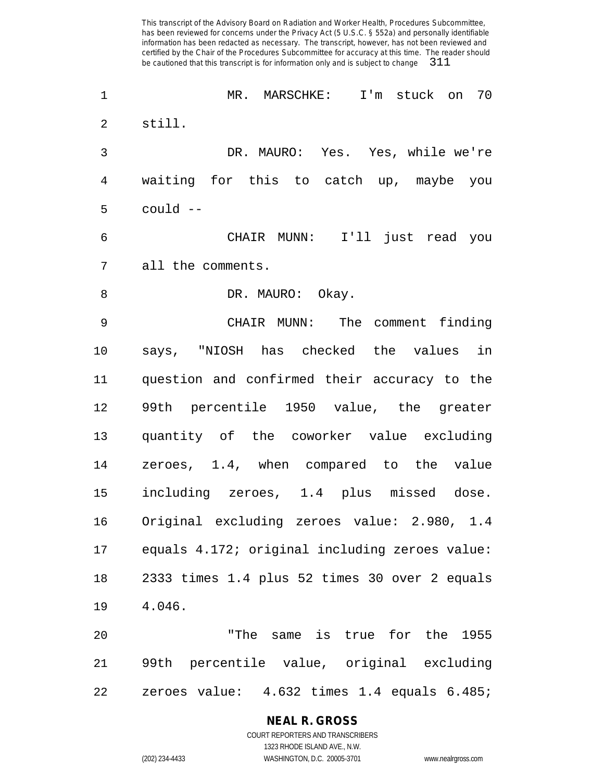MR. MARSCHKE: I'm stuck on 70 still. DR. MAURO: Yes. Yes, while we're waiting for this to catch up, maybe you could -- CHAIR MUNN: I'll just read you all the comments. 8 DR. MAURO: Okay. CHAIR MUNN: The comment finding says, "NIOSH has checked the values in question and confirmed their accuracy to the 99th percentile 1950 value, the greater quantity of the coworker value excluding zeroes, 1.4, when compared to the value including zeroes, 1.4 plus missed dose. Original excluding zeroes value: 2.980, 1.4 equals 4.172; original including zeroes value: 2333 times 1.4 plus 52 times 30 over 2 equals 4.046. "The same is true for the 1955 99th percentile value, original excluding zeroes value: 4.632 times 1.4 equals 6.485;

### **NEAL R. GROSS**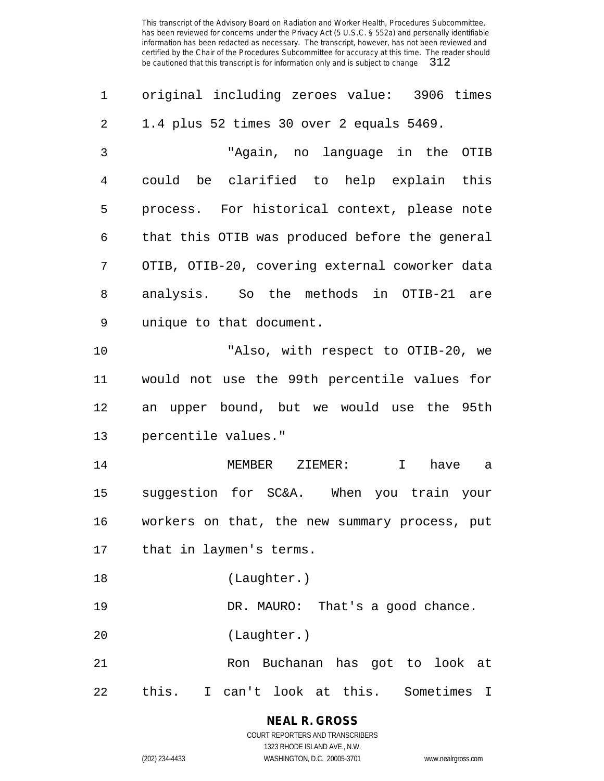| 1  | original including zeroes value: 3906 times      |
|----|--------------------------------------------------|
| 2  | 1.4 plus 52 times 30 over 2 equals 5469.         |
| 3  | "Again, no language in the OTIB                  |
| 4  | could be clarified to help explain this          |
| 5  | process. For historical context, please note     |
| 6  | that this OTIB was produced before the general   |
| 7  | OTIB, OTIB-20, covering external coworker data   |
| 8  | analysis. So the methods in OTIB-21 are          |
| 9  | unique to that document.                         |
| 10 | "Also, with respect to OTIB-20, we               |
| 11 | would not use the 99th percentile values for     |
| 12 | an upper bound, but we would use the 95th        |
| 13 | percentile values."                              |
| 14 | MEMBER ZIEMER:<br>$\mathbf{I}$<br>have<br>a a    |
| 15 | suggestion for SC&A. When you train your         |
| 16 | workers on that, the new summary process, put    |
| 17 | that in laymen's terms.                          |
| 18 | (Laughter.)                                      |
| 19 | DR. MAURO: That's a good chance.                 |
| 20 | (Laughter.)                                      |
| 21 | Ron Buchanan has got to look at                  |
| 22 | Sometimes<br>this.<br>I can't look at this.<br>I |

**NEAL R. GROSS** COURT REPORTERS AND TRANSCRIBERS

1323 RHODE ISLAND AVE., N.W.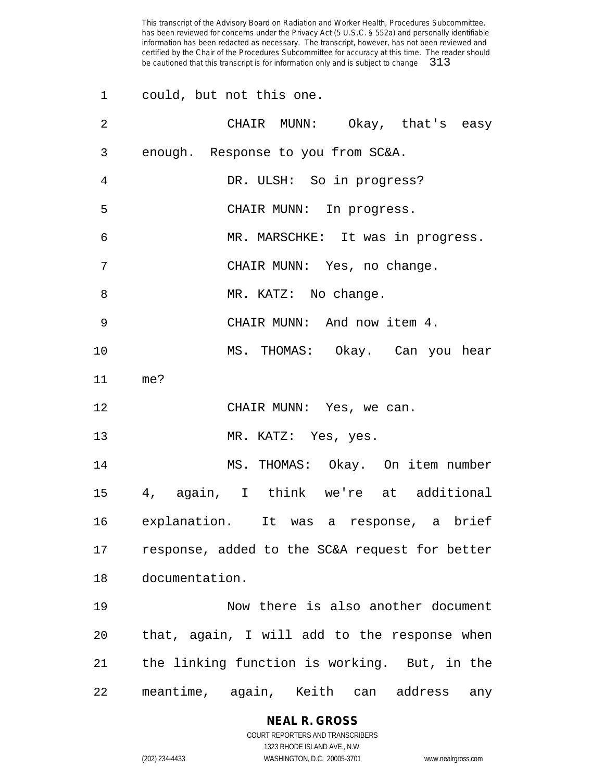|                 | 1 could, but not this one.                      |
|-----------------|-------------------------------------------------|
| 2               | CHAIR MUNN: Okay, that's easy                   |
| 3               | enough. Response to you from SC&A.              |
| 4               | DR. ULSH: So in progress?                       |
| 5               | CHAIR MUNN: In progress.                        |
| 6               | MR. MARSCHKE: It was in progress.               |
| 7               | CHAIR MUNN: Yes, no change.                     |
| 8               | MR. KATZ: No change.                            |
| 9               | CHAIR MUNN: And now item 4.                     |
| 10              | MS. THOMAS: Okay. Can you hear                  |
| 11              | me?                                             |
| 12              | CHAIR MUNN: Yes, we can.                        |
| 13              | MR. KATZ: Yes, yes.                             |
| 14              | MS. THOMAS: Okay. On item number                |
| 15 <sub>1</sub> | 4, again, I think we're at additional           |
|                 | 16 explanation. It was a response, a brief      |
| 17              | response, added to the SC&A request for better  |
| 18              | documentation.                                  |
| 19              | Now there is also another document              |
| 20              | that, again, I will add to the response when    |
| 21              | the linking function is working. But, in the    |
| 22              | meantime, again, Keith<br>address<br>can<br>any |

# **NEAL R. GROSS**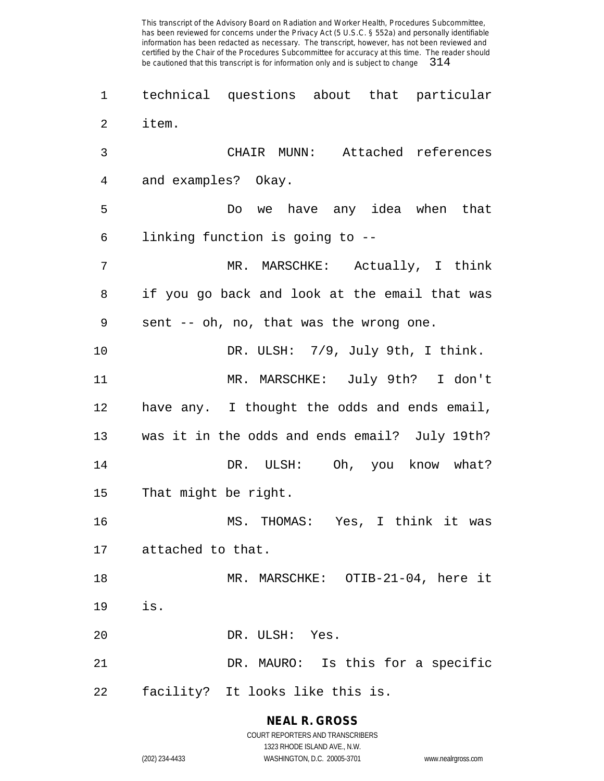technical questions about that particular item. CHAIR MUNN: Attached references and examples? Okay. Do we have any idea when that linking function is going to -- MR. MARSCHKE: Actually, I think if you go back and look at the email that was sent -- oh, no, that was the wrong one. 10 DR. ULSH: 7/9, July 9th, I think. MR. MARSCHKE: July 9th? I don't have any. I thought the odds and ends email, was it in the odds and ends email? July 19th? DR. ULSH: Oh, you know what? That might be right. MS. THOMAS: Yes, I think it was attached to that. MR. MARSCHKE: OTIB-21-04, here it is. DR. ULSH: Yes. DR. MAURO: Is this for a specific facility? It looks like this is.

> **NEAL R. GROSS** COURT REPORTERS AND TRANSCRIBERS 1323 RHODE ISLAND AVE., N.W.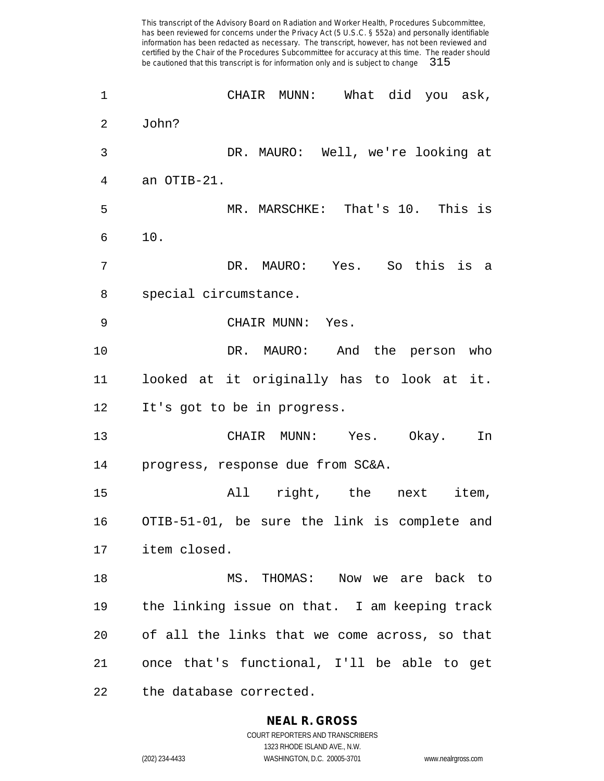CHAIR MUNN: What did you ask, John? DR. MAURO: Well, we're looking at an OTIB-21. MR. MARSCHKE: That's 10. This is 10. DR. MAURO: Yes. So this is a special circumstance. CHAIR MUNN: Yes. DR. MAURO: And the person who looked at it originally has to look at it. It's got to be in progress. CHAIR MUNN: Yes. Okay. In progress, response due from SC&A. All right, the next item, OTIB-51-01, be sure the link is complete and item closed. MS. THOMAS: Now we are back to the linking issue on that. I am keeping track of all the links that we come across, so that once that's functional, I'll be able to get the database corrected.

> **NEAL R. GROSS** COURT REPORTERS AND TRANSCRIBERS

> > 1323 RHODE ISLAND AVE., N.W.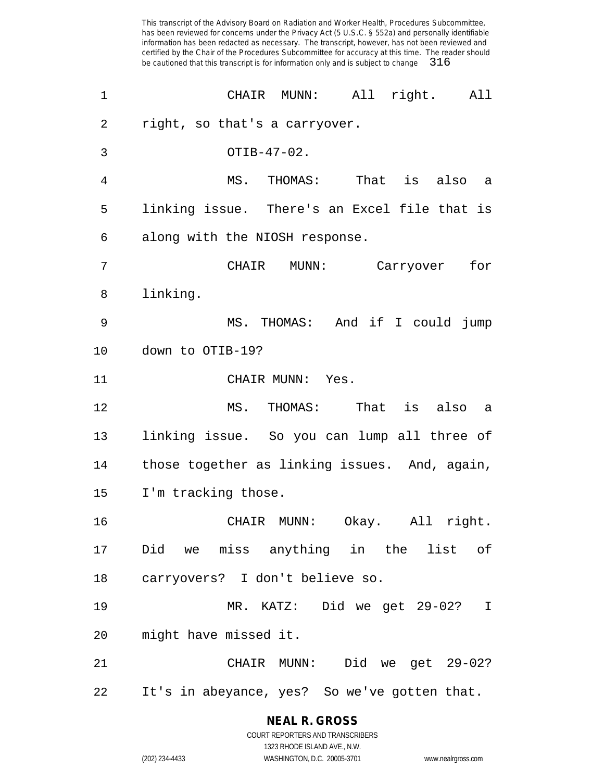| $\mathbf 1$ | CHAIR MUNN: All right. All                    |
|-------------|-----------------------------------------------|
| 2           | right, so that's a carryover.                 |
| 3           | OTIB-47-02.                                   |
| 4           | MS. THOMAS: That is also a                    |
| 5           | linking issue. There's an Excel file that is  |
| 6           | along with the NIOSH response.                |
| 7           | CHAIR MUNN: Carryover for                     |
| 8           | linking.                                      |
| 9           | MS. THOMAS: And if I could jump               |
| 10          | down to OTIB-19?                              |
| 11          | CHAIR MUNN: Yes.                              |
| 12          | MS. THOMAS: That is also a                    |
| 13          | linking issue. So you can lump all three of   |
| 14          | those together as linking issues. And, again, |
| 15          | I'm tracking those.                           |
| 16          | CHAIR MUNN: Okay. All right.                  |
| 17          | Did we miss anything in the list of           |
| 18          | carryovers? I don't believe so.               |
| 19          | MR. KATZ: Did we get 29-02?<br>$\mathbf T$    |
| 20          | might have missed it.                         |
| 21          | CHAIR MUNN: Did we get 29-02?                 |
|             |                                               |

**NEAL R. GROSS** COURT REPORTERS AND TRANSCRIBERS

1323 RHODE ISLAND AVE., N.W. (202) 234-4433 WASHINGTON, D.C. 20005-3701 www.nealrgross.com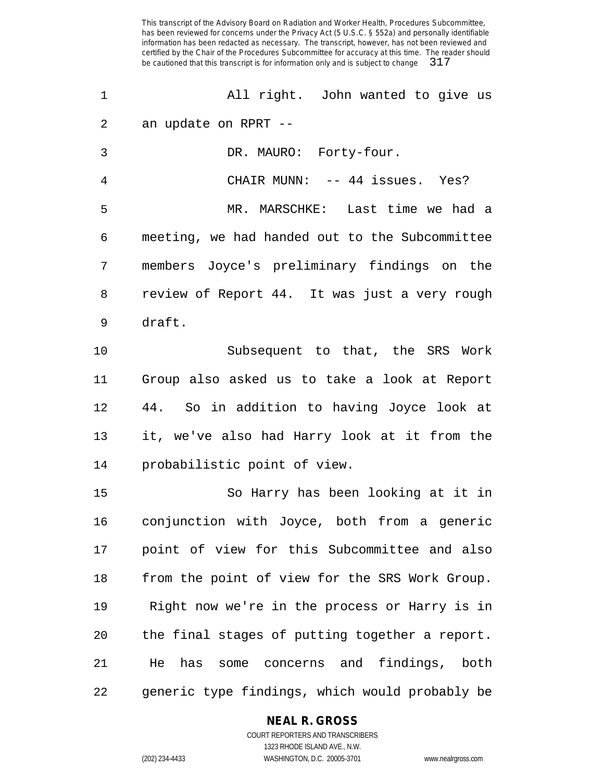All right. John wanted to give us an update on RPRT -- DR. MAURO: Forty-four. CHAIR MUNN: -- 44 issues. Yes? MR. MARSCHKE: Last time we had a meeting, we had handed out to the Subcommittee members Joyce's preliminary findings on the review of Report 44. It was just a very rough draft. Subsequent to that, the SRS Work Group also asked us to take a look at Report 44. So in addition to having Joyce look at it, we've also had Harry look at it from the probabilistic point of view. So Harry has been looking at it in conjunction with Joyce, both from a generic point of view for this Subcommittee and also

 from the point of view for the SRS Work Group. Right now we're in the process or Harry is in the final stages of putting together a report. He has some concerns and findings, both generic type findings, which would probably be

### **NEAL R. GROSS**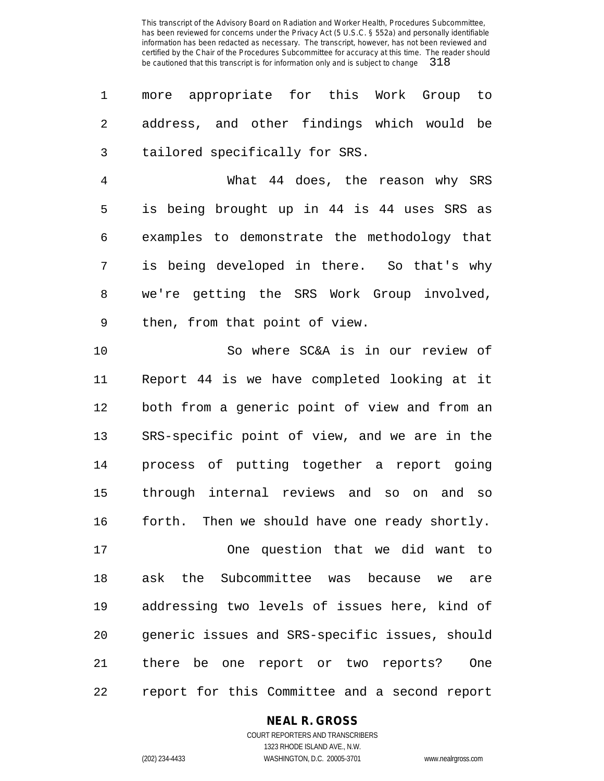more appropriate for this Work Group to address, and other findings which would be tailored specifically for SRS.

 What 44 does, the reason why SRS is being brought up in 44 is 44 uses SRS as examples to demonstrate the methodology that is being developed in there. So that's why we're getting the SRS Work Group involved, then, from that point of view.

 So where SC&A is in our review of Report 44 is we have completed looking at it both from a generic point of view and from an SRS-specific point of view, and we are in the process of putting together a report going through internal reviews and so on and so forth. Then we should have one ready shortly.

 One question that we did want to ask the Subcommittee was because we are addressing two levels of issues here, kind of generic issues and SRS-specific issues, should there be one report or two reports? One report for this Committee and a second report

**NEAL R. GROSS**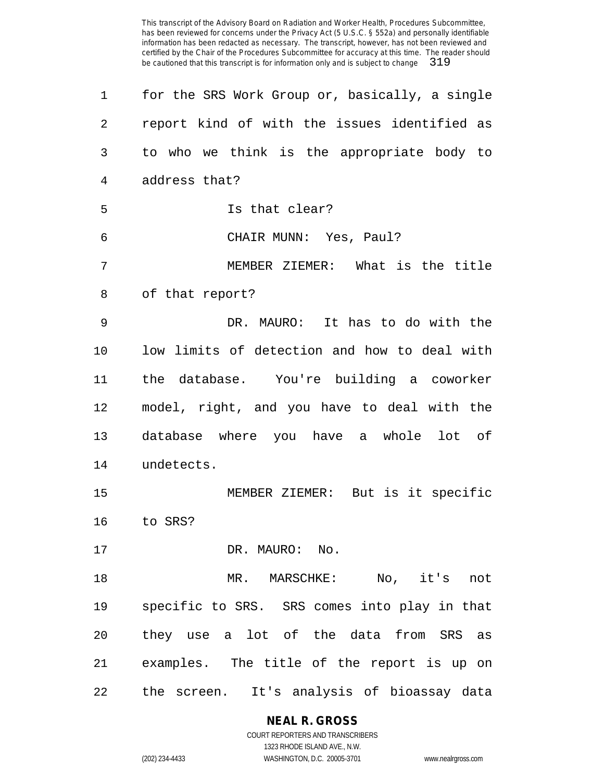| 1              | for the SRS Work Group or, basically, a single  |
|----------------|-------------------------------------------------|
| 2              | report kind of with the issues identified as    |
| 3              | to who we think is the appropriate body to      |
| $\overline{4}$ | address that?                                   |
| 5              | Is that clear?                                  |
| 6              | CHAIR MUNN: Yes, Paul?                          |
| 7              | MEMBER ZIEMER: What is the title                |
| 8              | of that report?                                 |
| 9              | DR. MAURO: It has to do with the                |
| 10             | low limits of detection and how to deal with    |
| 11             | the database. You're building a coworker        |
| 12             | model, right, and you have to deal with the     |
| 13             | database where you have a whole lot of          |
| 14             | undetects.                                      |
| 15             | MEMBER ZIEMER: But is it specific               |
| 16             | to SRS?                                         |
| 17             | DR. MAURO: No.                                  |
| 18             | $\mathrm{No}$ ,<br>it's<br>MR. MARSCHKE:<br>not |
| 19             | specific to SRS. SRS comes into play in that    |
| 20             | they use a lot of the data from SRS as          |
| 21             | examples. The title of the report is up on      |
| 22             | the screen. It's analysis of bioassay data      |

**NEAL R. GROSS**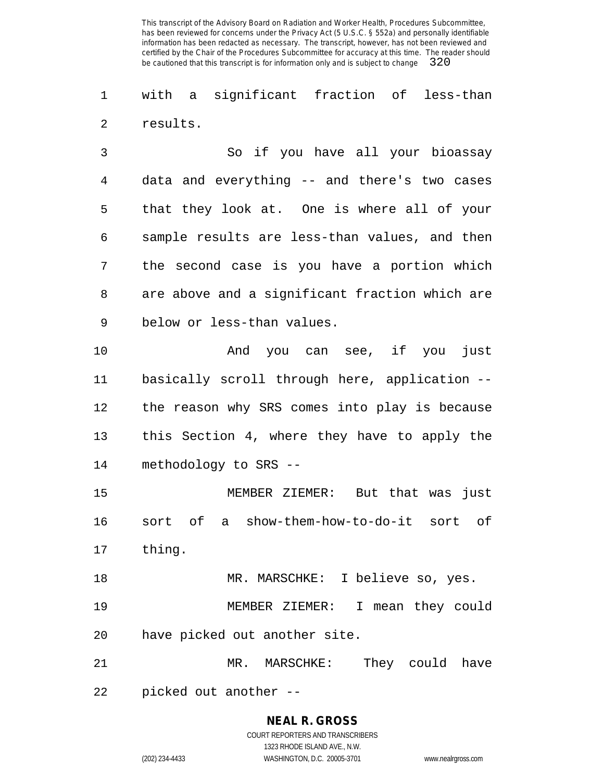with a significant fraction of less-than results.

 So if you have all your bioassay data and everything -- and there's two cases that they look at. One is where all of your sample results are less-than values, and then the second case is you have a portion which are above and a significant fraction which are below or less-than values.

 And you can see, if you just basically scroll through here, application -- the reason why SRS comes into play is because this Section 4, where they have to apply the methodology to SRS --

 MEMBER ZIEMER: But that was just sort of a show-them-how-to-do-it sort of thing.

 MR. MARSCHKE: I believe so, yes. MEMBER ZIEMER: I mean they could have picked out another site.

 MR. MARSCHKE: They could have picked out another --

> **NEAL R. GROSS** COURT REPORTERS AND TRANSCRIBERS 1323 RHODE ISLAND AVE., N.W.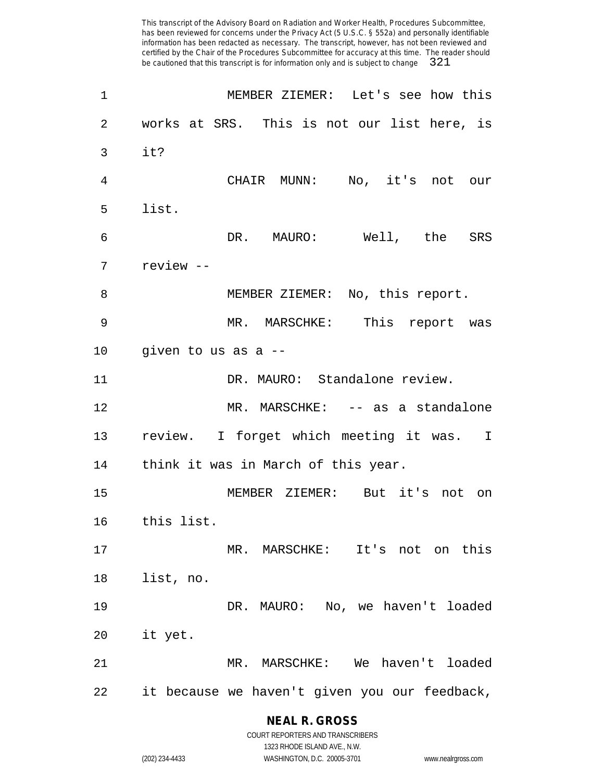| 1               | MEMBER ZIEMER: Let's see how this             |
|-----------------|-----------------------------------------------|
| 2               | works at SRS. This is not our list here, is   |
| 3               | it?                                           |
| 4               | CHAIR MUNN: No, it's not our                  |
| 5               | list.                                         |
| 6               | DR. MAURO: Well, the SRS                      |
| 7               | review --                                     |
| 8               | MEMBER ZIEMER: No, this report.               |
| 9               | MR. MARSCHKE: This report was                 |
| 10 <sub>o</sub> | given to us as a --                           |
| 11              | DR. MAURO: Standalone review.                 |
| 12              | MR. MARSCHKE: -- as a standalone              |
| 13              | review. I forget which meeting it was. I      |
| 14              | think it was in March of this year.           |
| 15              | MEMBER ZIEMER: But it's not on                |
| 16              | this list.                                    |
| 17              | MR. MARSCHKE: It's not on this                |
| 18              | list, no.                                     |
| 19              | DR. MAURO: No, we haven't loaded              |
| 20              | it yet.                                       |
| 21              | MR. MARSCHKE: We haven't loaded               |
| 22              | it because we haven't given you our feedback, |

**NEAL R. GROSS** COURT REPORTERS AND TRANSCRIBERS

1323 RHODE ISLAND AVE., N.W. (202) 234-4433 WASHINGTON, D.C. 20005-3701 www.nealrgross.com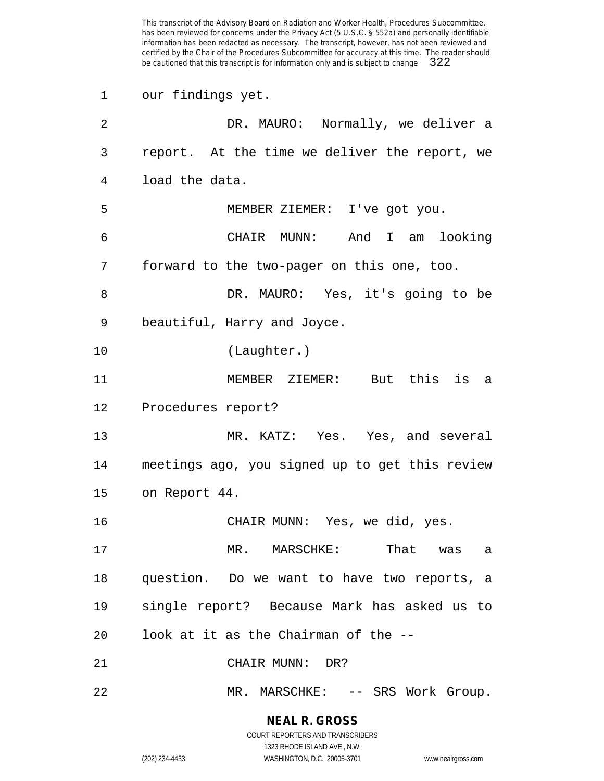our findings yet.

| $\overline{2}$ | DR. MAURO: Normally, we deliver a              |
|----------------|------------------------------------------------|
| 3              | report. At the time we deliver the report, we  |
| 4              | load the data.                                 |
| 5              | MEMBER ZIEMER: I've got you.                   |
| 6              | CHAIR MUNN: And I am looking                   |
| 7              | forward to the two-pager on this one, too.     |
| 8              | DR. MAURO: Yes, it's going to be               |
| 9              | beautiful, Harry and Joyce.                    |
| 10             | (Laughter.)                                    |
| 11             | MEMBER ZIEMER: But this is a                   |
| 12             | Procedures report?                             |
| 13             | MR. KATZ: Yes. Yes, and several                |
| 14             | meetings ago, you signed up to get this review |
| 15             | on Report 44.                                  |
| 16             | CHAIR MUNN: Yes, we did, yes.                  |
| 17             | MR. MARSCHKE:<br>That<br>was<br>a              |
| 18             | question. Do we want to have two reports, a    |
| 19             | single report? Because Mark has asked us to    |
| 20             | look at it as the Chairman of the --           |
| 21             | CHAIR MUNN: DR?                                |
| 22             | MR. MARSCHKE: -- SRS Work Group.               |

**NEAL R. GROSS**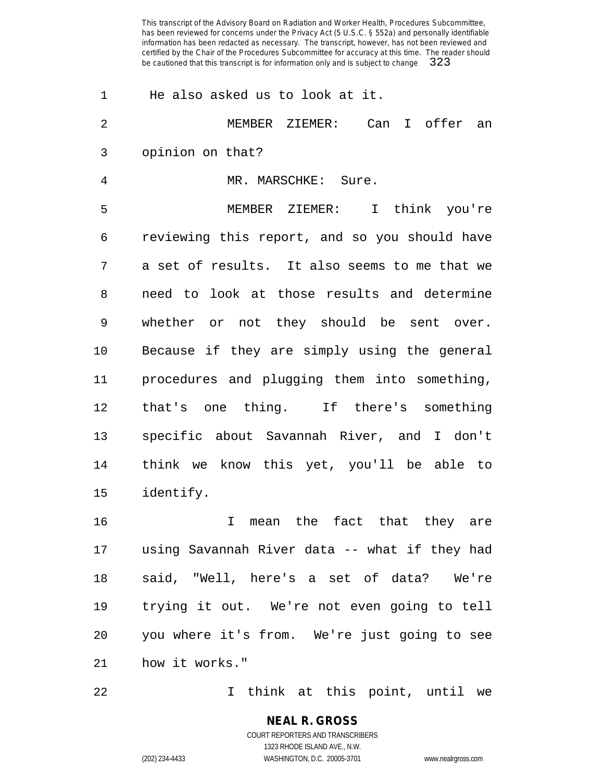| 1              | He also asked us to look at it.               |
|----------------|-----------------------------------------------|
| 2              | MEMBER ZIEMER: Can I offer an                 |
| 3              | opinion on that?                              |
| $\overline{4}$ | MR. MARSCHKE: Sure.                           |
| 5              | MEMBER ZIEMER: I think you're                 |
| 6              | reviewing this report, and so you should have |
| 7              | a set of results. It also seems to me that we |
| 8              | need to look at those results and determine   |
| 9              | whether or not they should be sent over.      |
| 10             | Because if they are simply using the general  |
| 11             | procedures and plugging them into something,  |
| 12             | that's one thing. If there's something        |
| 13             | specific about Savannah River, and I don't    |
| 14             | think we know this yet, you'll be able to     |
| 15             | identify.                                     |
| 16             | mean the fact that they are<br>I.             |
| 17             | using Savannah River data -- what if they had |
| 18             | said, "Well, here's a set of data? We're      |
| 19             | trying it out. We're not even going to tell   |
| 20             | you where it's from. We're just going to see  |
| 21             | how it works."                                |
| 22             | I think at this point, until we               |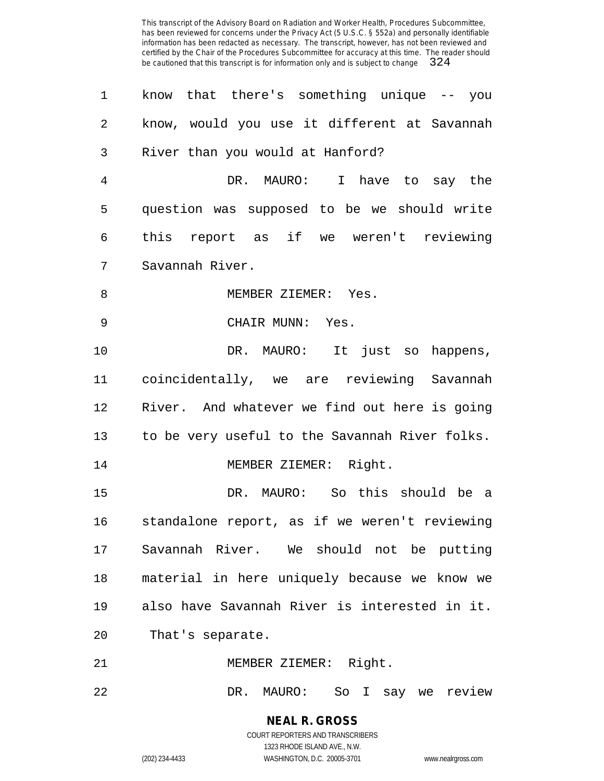| 1              | know that there's something unique -- you      |
|----------------|------------------------------------------------|
| 2              | know, would you use it different at Savannah   |
| 3              | River than you would at Hanford?               |
| $\overline{4}$ | DR. MAURO: I have to say the                   |
| 5              | question was supposed to be we should write    |
| 6              | this report as if we weren't reviewing         |
| 7              | Savannah River.                                |
| 8              | MEMBER ZIEMER: Yes.                            |
| 9              | CHAIR MUNN: Yes.                               |
| 10             | DR. MAURO: It just so happens,                 |
| 11             | coincidentally, we are reviewing Savannah      |
| 12             | River. And whatever we find out here is going  |
| 13             | to be very useful to the Savannah River folks. |
| 14             | MEMBER ZIEMER: Right.                          |
| 15             | DR. MAURO: So this should be a                 |
| 16             | standalone report, as if we weren't reviewing  |
| 17             | Savannah River. We should not be putting       |
| 18             | material in here uniquely because we know we   |
| 19             | also have Savannah River is interested in it.  |
| 20             | That's separate.                               |
| 21             | MEMBER ZIEMER: Right.                          |

DR. MAURO: So I say we review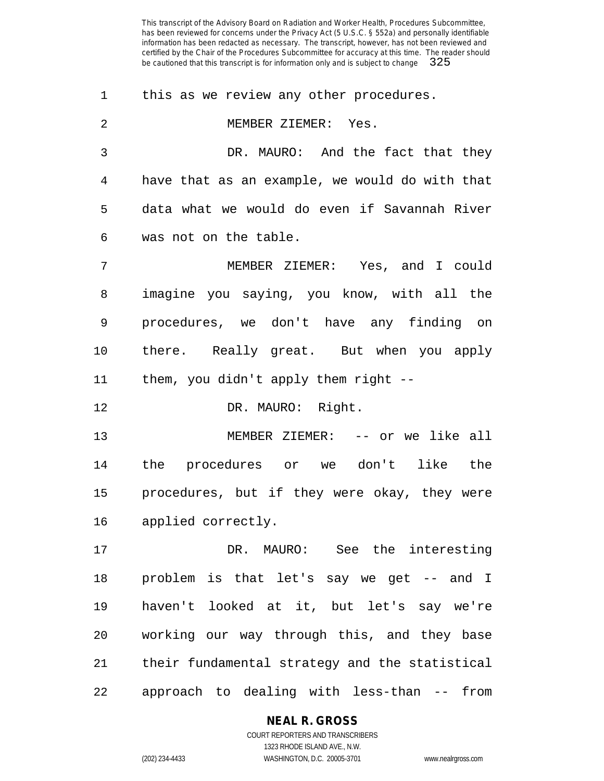this as we review any other procedures. MEMBER ZIEMER: Yes. DR. MAURO: And the fact that they have that as an example, we would do with that data what we would do even if Savannah River was not on the table. MEMBER ZIEMER: Yes, and I could imagine you saying, you know, with all the procedures, we don't have any finding on there. Really great. But when you apply them, you didn't apply them right -- 12 DR. MAURO: Right. 13 MEMBER ZIEMER: -- or we like all the procedures or we don't like the procedures, but if they were okay, they were applied correctly. DR. MAURO: See the interesting problem is that let's say we get -- and I haven't looked at it, but let's say we're working our way through this, and they base their fundamental strategy and the statistical

#### **NEAL R. GROSS**

approach to dealing with less-than -- from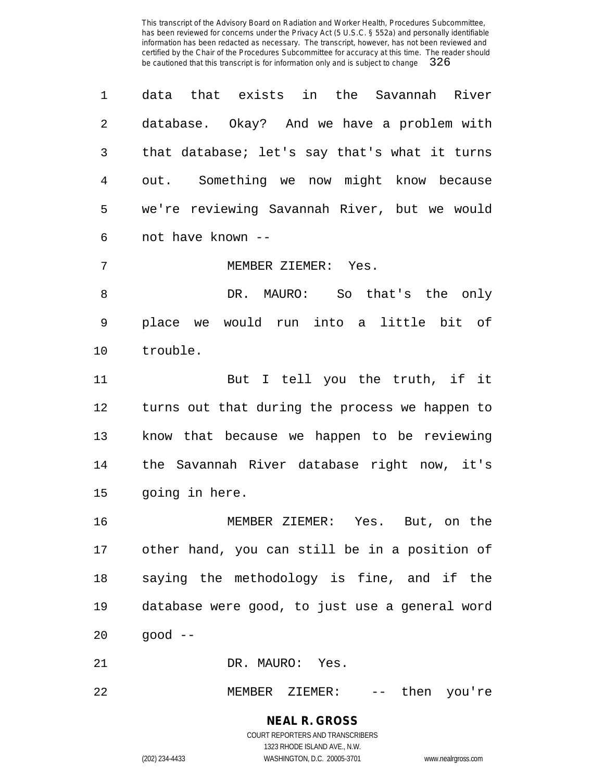data that exists in the Savannah River database. Okay? And we have a problem with that database; let's say that's what it turns out. Something we now might know because we're reviewing Savannah River, but we would not have known --

MEMBER ZIEMER: Yes.

 DR. MAURO: So that's the only place we would run into a little bit of trouble.

 But I tell you the truth, if it turns out that during the process we happen to know that because we happen to be reviewing the Savannah River database right now, it's going in here.

 MEMBER ZIEMER: Yes. But, on the other hand, you can still be in a position of saying the methodology is fine, and if the database were good, to just use a general word good --

DR. MAURO: Yes.

MEMBER ZIEMER: -- then you're

**NEAL R. GROSS** COURT REPORTERS AND TRANSCRIBERS 1323 RHODE ISLAND AVE., N.W.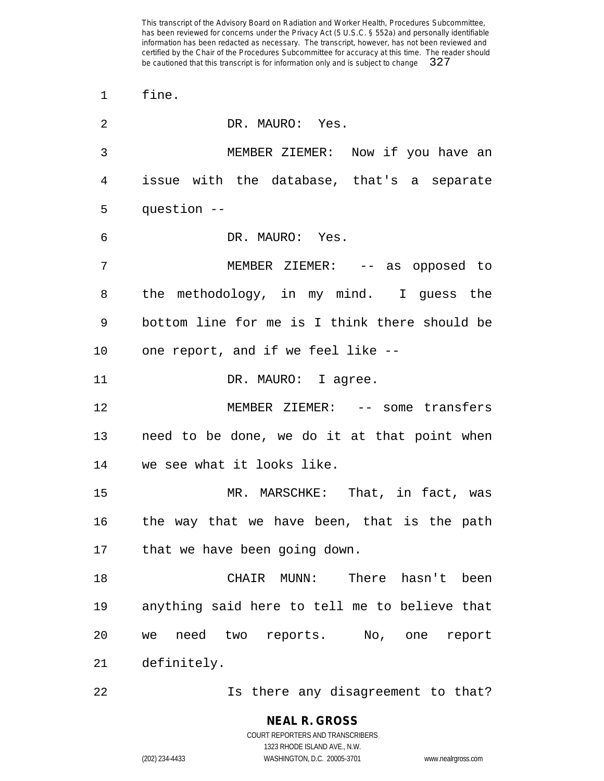fine. DR. MAURO: Yes. MEMBER ZIEMER: Now if you have an issue with the database, that's a separate question -- DR. MAURO: Yes. MEMBER ZIEMER: -- as opposed to the methodology, in my mind. I guess the bottom line for me is I think there should be one report, and if we feel like -- 11 DR. MAURO: I agree. MEMBER ZIEMER: -- some transfers need to be done, we do it at that point when we see what it looks like. MR. MARSCHKE: That, in fact, was the way that we have been, that is the path that we have been going down. CHAIR MUNN: There hasn't been anything said here to tell me to believe that we need two reports. No, one report definitely. Is there any disagreement to that?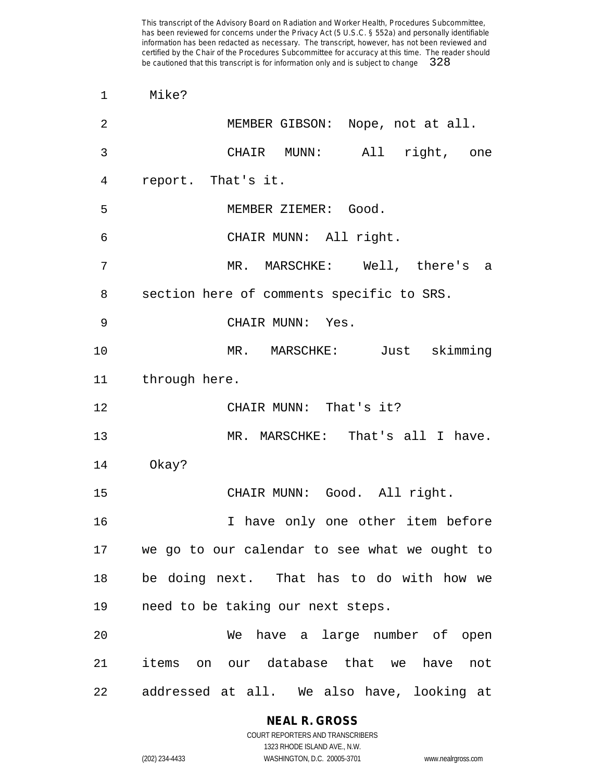Mike?

| $\overline{2}$ | MEMBER GIBSON: Nope, not at all.              |
|----------------|-----------------------------------------------|
| $\mathfrak{Z}$ | CHAIR MUNN: All right, one                    |
| 4              | report. That's it.                            |
| 5              | MEMBER ZIEMER: Good.                          |
| 6              | CHAIR MUNN: All right.                        |
| 7              | MR. MARSCHKE: Well, there's a                 |
| 8              | section here of comments specific to SRS.     |
| 9              | CHAIR MUNN: Yes.                              |
| 10             | MR. MARSCHKE: Just skimming                   |
| 11             | through here.                                 |
| 12             | CHAIR MUNN: That's it?                        |
| 13             | MR. MARSCHKE: That's all I have.              |
| 14             | Okay?                                         |
| 15             | CHAIR MUNN: Good. All right.                  |
| 16             | I have only one other item before             |
| 17             | we go to our calendar to see what we ought to |
| 18             | be doing next. That has to do with how we     |
| 19             | need to be taking our next steps.             |
| 20             | We have a large number of open                |
| 21             | items on our database that we have not        |
| 22             | addressed at all. We also have, looking at    |

**NEAL R. GROSS** COURT REPORTERS AND TRANSCRIBERS

1323 RHODE ISLAND AVE., N.W. (202) 234-4433 WASHINGTON, D.C. 20005-3701 www.nealrgross.com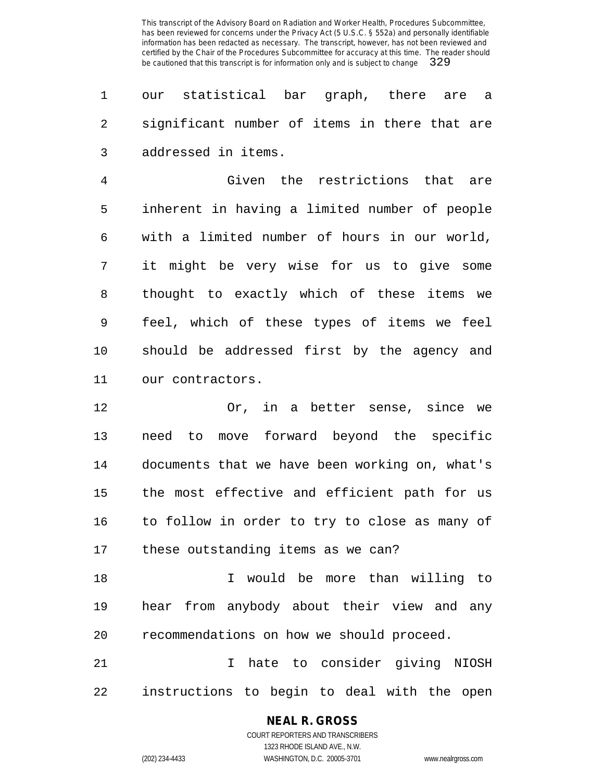our statistical bar graph, there are a significant number of items in there that are addressed in items.

 Given the restrictions that are inherent in having a limited number of people with a limited number of hours in our world, it might be very wise for us to give some thought to exactly which of these items we feel, which of these types of items we feel should be addressed first by the agency and our contractors.

 Or, in a better sense, since we need to move forward beyond the specific documents that we have been working on, what's the most effective and efficient path for us to follow in order to try to close as many of these outstanding items as we can?

 I would be more than willing to hear from anybody about their view and any recommendations on how we should proceed.

 I hate to consider giving NIOSH instructions to begin to deal with the open

# **NEAL R. GROSS**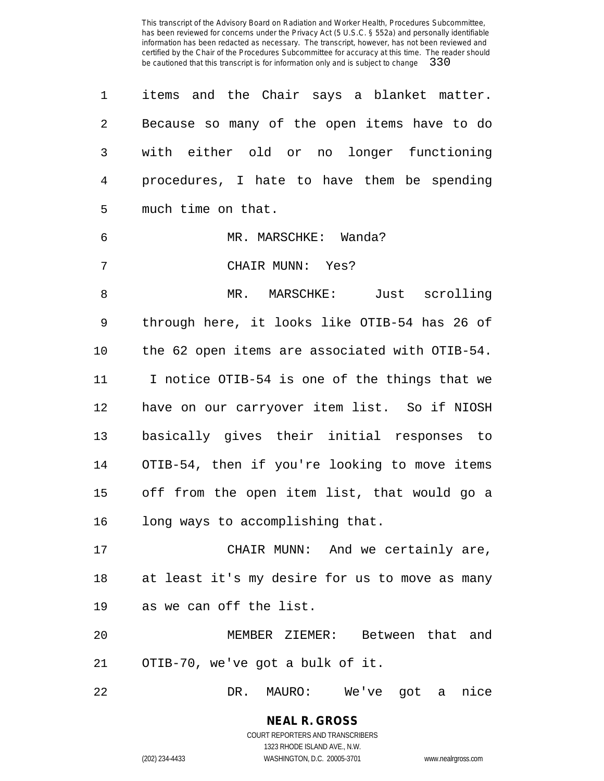items and the Chair says a blanket matter. Because so many of the open items have to do with either old or no longer functioning procedures, I hate to have them be spending much time on that. MR. MARSCHKE: Wanda? CHAIR MUNN: Yes? MR. MARSCHKE: Just scrolling through here, it looks like OTIB-54 has 26 of the 62 open items are associated with OTIB-54. I notice OTIB-54 is one of the things that we have on our carryover item list. So if NIOSH basically gives their initial responses to OTIB-54, then if you're looking to move items off from the open item list, that would go a long ways to accomplishing that. CHAIR MUNN: And we certainly are,

 at least it's my desire for us to move as many as we can off the list.

 MEMBER ZIEMER: Between that and OTIB-70, we've got a bulk of it.

DR. MAURO: We've got a nice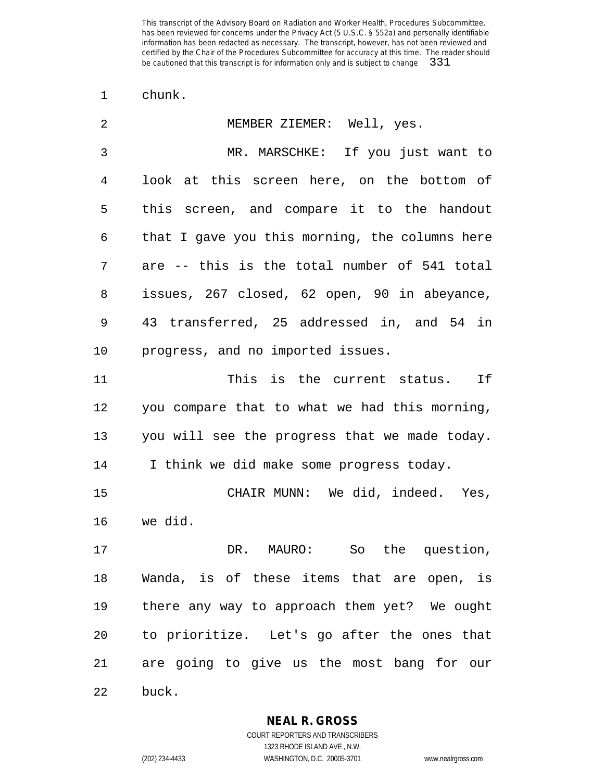chunk.

| 2  | MEMBER ZIEMER: Well, yes.                      |
|----|------------------------------------------------|
| 3  | MR. MARSCHKE: If you just want to              |
| 4  | look at this screen here, on the bottom of     |
| 5  | this screen, and compare it to the handout     |
| 6  | that I gave you this morning, the columns here |
| 7  | are -- this is the total number of 541 total   |
| 8  | issues, 267 closed, 62 open, 90 in abeyance,   |
| 9  | 43 transferred, 25 addressed in, and 54 in     |
| 10 | progress, and no imported issues.              |
| 11 | This is the current status. If                 |
| 12 | you compare that to what we had this morning,  |
| 13 | you will see the progress that we made today.  |
| 14 | I think we did make some progress today.       |
| 15 | CHAIR MUNN: We did, indeed. Yes,               |
| 16 | we did.                                        |
| 17 | So the question,<br>DR. MAURO:                 |
| 18 | Wanda, is of these items that are open, is     |
| 19 | there any way to approach them yet? We ought   |
| 20 | to prioritize. Let's go after the ones that    |
| 21 | are going to give us the most bang for our     |
| 22 | buck.                                          |

**NEAL R. GROSS**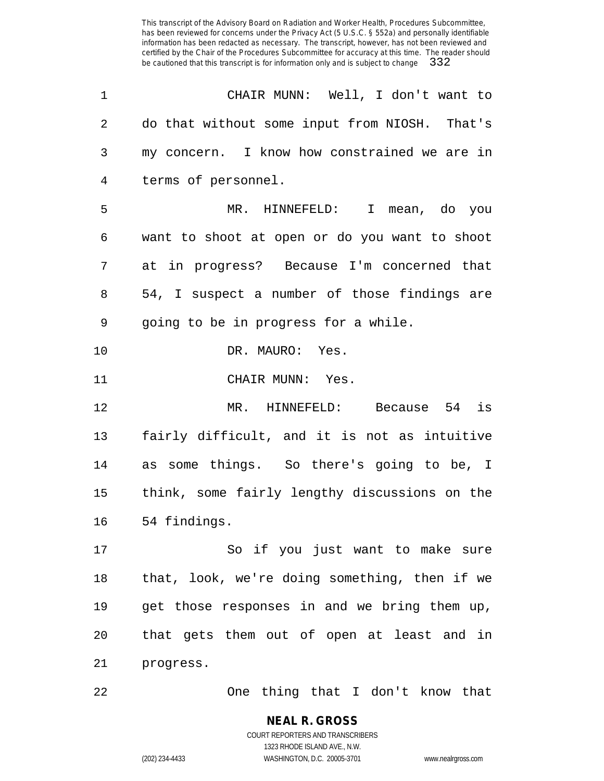| 1  | CHAIR MUNN: Well, I don't want to             |
|----|-----------------------------------------------|
| 2  | do that without some input from NIOSH. That's |
| 3  | my concern. I know how constrained we are in  |
| 4  | terms of personnel.                           |
| 5  | MR. HINNEFELD: I mean, do you                 |
| 6  | want to shoot at open or do you want to shoot |
| 7  | at in progress? Because I'm concerned that    |
| 8  | 54, I suspect a number of those findings are  |
| 9  | going to be in progress for a while.          |
| 10 | DR. MAURO: Yes.                               |
| 11 | CHAIR MUNN: Yes.                              |
| 12 | MR. HINNEFELD: Because 54 is                  |
| 13 | fairly difficult, and it is not as intuitive  |
| 14 | as some things. So there's going to be, I     |
| 15 | think, some fairly lengthy discussions on the |
| 16 | 54 findings.                                  |
| 17 | So if you just want to make sure              |
| 18 | that, look, we're doing something, then if we |
| 19 | get those responses in and we bring them up,  |
| 20 | that gets them out of open at least and in    |
| 21 | progress.                                     |
|    |                                               |

One thing that I don't know that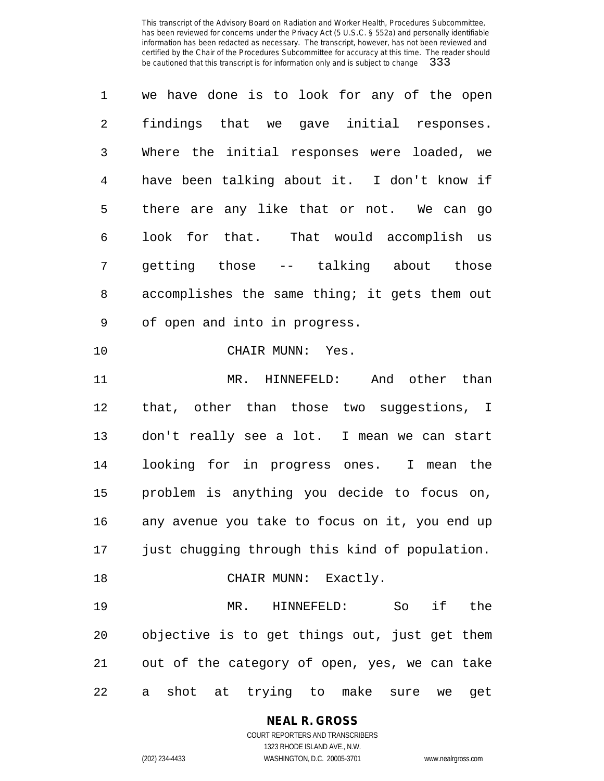| 1              | we have done is to look for any of the open    |
|----------------|------------------------------------------------|
| 2              | findings that we gave initial responses.       |
| 3              | Where the initial responses were loaded, we    |
| $\overline{4}$ | have been talking about it. I don't know if    |
| 5              | there are any like that or not. We can go      |
| 6              | look for that. That would accomplish us        |
| 7              | getting those -- talking about those           |
| 8              | accomplishes the same thing; it gets them out  |
| 9              | of open and into in progress.                  |
| 10             | CHAIR MUNN: Yes.                               |
| 11             | MR. HINNEFELD: And other than                  |
| 12             | that, other than those two suggestions, I      |
| 13             | don't really see a lot. I mean we can start    |
| 14             | looking for in progress ones. I mean the       |
| 15             | problem is anything you decide to focus on,    |
| 16             | any avenue you take to focus on it, you end up |
| 17             | just chugging through this kind of population. |
| 18             | CHAIR MUNN: Exactly.                           |
| 19             | MR. HINNEFELD: So<br>if<br>the                 |
| 20             | objective is to get things out, just get them  |
| 21             | out of the category of open, yes, we can take  |
| 22             | shot at trying to make sure we<br>get<br>а     |

**NEAL R. GROSS**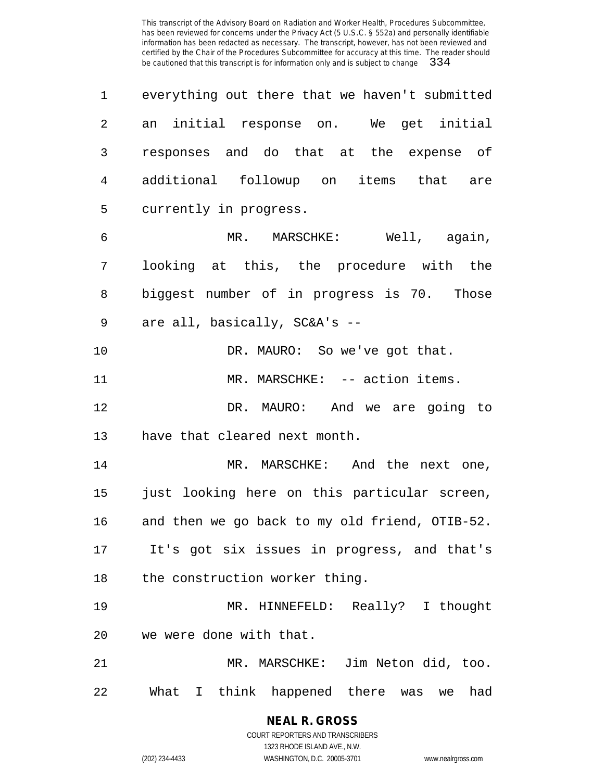| 1  | everything out there that we haven't submitted |
|----|------------------------------------------------|
| 2  | an initial response on. We get initial         |
| 3  | responses and do that at the expense of        |
| 4  | additional followup on items that are          |
| 5  | currently in progress.                         |
| 6  | MR. MARSCHKE: Well, again,                     |
| 7  | looking at this, the procedure with the        |
| 8  | biggest number of in progress is 70. Those     |
| 9  | are all, basically, SC&A's --                  |
| 10 | DR. MAURO: So we've got that.                  |
| 11 | MR. MARSCHKE: -- action items.                 |
| 12 | DR. MAURO: And we are going to                 |
| 13 | have that cleared next month.                  |
| 14 | MR. MARSCHKE: And the next one,                |
| 15 | just looking here on this particular screen,   |
| 16 | and then we go back to my old friend, OTIB-52. |
| 17 | It's got six issues in progress, and that's    |
| 18 | the construction worker thing.                 |
| 19 | MR. HINNEFELD: Really? I thought               |
| 20 | we were done with that.                        |
| 21 | MR. MARSCHKE: Jim Neton did, too.              |
| 22 | What I think happened there was we had         |

**NEAL R. GROSS** COURT REPORTERS AND TRANSCRIBERS

1323 RHODE ISLAND AVE., N.W.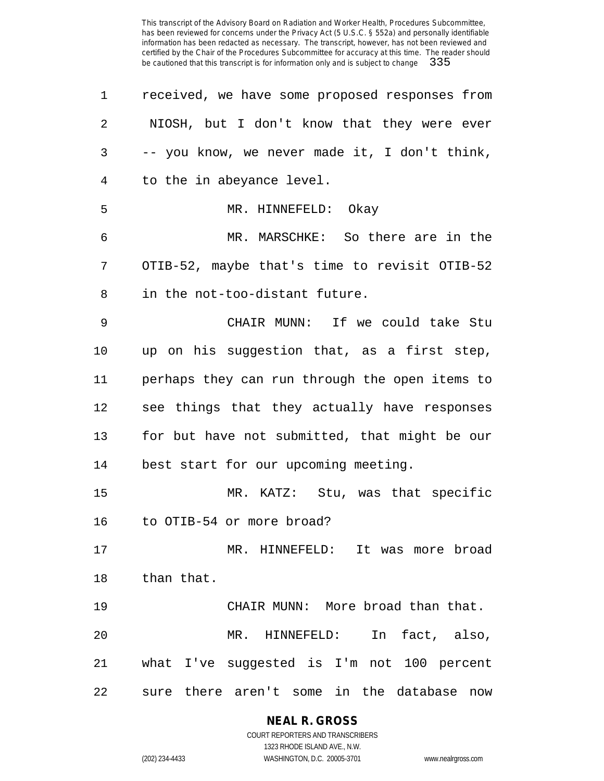| 1              | received, we have some proposed responses from |
|----------------|------------------------------------------------|
| $\overline{2}$ | NIOSH, but I don't know that they were ever    |
| 3              | -- you know, we never made it, I don't think,  |
| 4              | to the in abeyance level.                      |
| 5              | MR. HINNEFELD: Okay                            |
| 6              | MR. MARSCHKE: So there are in the              |
| 7              | OTIB-52, maybe that's time to revisit OTIB-52  |
| 8              | in the not-too-distant future.                 |
| 9              | CHAIR MUNN: If we could take Stu               |
| 10             | up on his suggestion that, as a first step,    |
| 11             | perhaps they can run through the open items to |
| 12             | see things that they actually have responses   |
| 13             | for but have not submitted, that might be our  |
| 14             | best start for our upcoming meeting.           |
| 15             | MR. KATZ: Stu, was that specific               |
| 16             | to OTIB-54 or more broad?                      |
| 17             | MR. HINNEFELD: It was more broad               |
| 18             | than that.                                     |
| 19             | CHAIR MUNN: More broad than that.              |
| 20             | MR. HINNEFELD: In fact, also,                  |
| 21             | what I've suggested is I'm not 100 percent     |
| 22             | sure there aren't some in the database now     |

# **NEAL R. GROSS**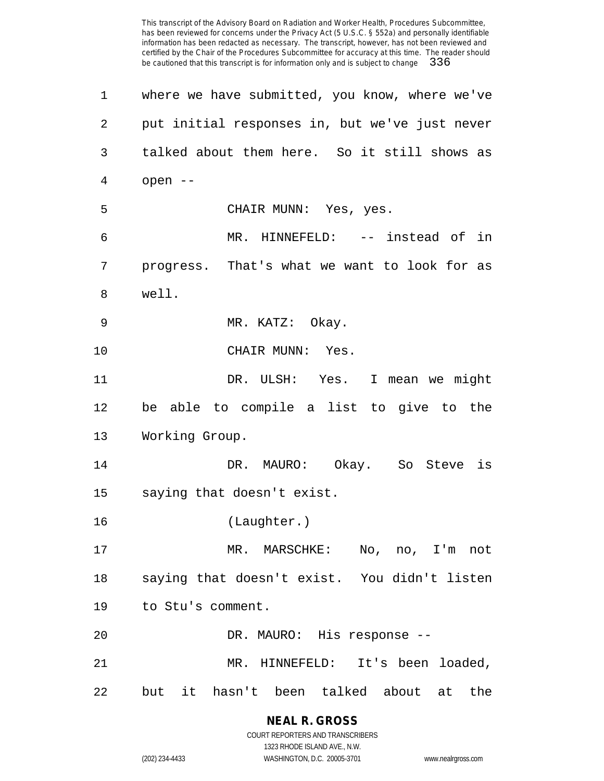| 1  | where we have submitted, you know, where we've |
|----|------------------------------------------------|
| 2  | put initial responses in, but we've just never |
| 3  | talked about them here. So it still shows as   |
| 4  | open --                                        |
| 5  | CHAIR MUNN: Yes, yes.                          |
| 6  | MR. HINNEFELD: -- instead of in                |
| 7  | progress. That's what we want to look for as   |
| 8  | well.                                          |
| 9  | MR. KATZ: Okay.                                |
| 10 | CHAIR MUNN: Yes.                               |
| 11 | DR. ULSH: Yes. I mean we might                 |
| 12 | be able to compile a list to give to the       |
| 13 | Working Group.                                 |
| 14 | DR. MAURO: Okay. So Steve is                   |
| 15 | saying that doesn't exist.                     |
| 16 | (Laughter.)                                    |
| 17 | MR. MARSCHKE: No, no, I'm not                  |
| 18 | saying that doesn't exist. You didn't listen   |
| 19 | to Stu's comment.                              |
| 20 | DR. MAURO: His response --                     |
| 21 | MR. HINNEFELD: It's been loaded,               |
| 22 | but it hasn't been talked about at the         |

**NEAL R. GROSS** COURT REPORTERS AND TRANSCRIBERS

1323 RHODE ISLAND AVE., N.W. (202) 234-4433 WASHINGTON, D.C. 20005-3701 www.nealrgross.com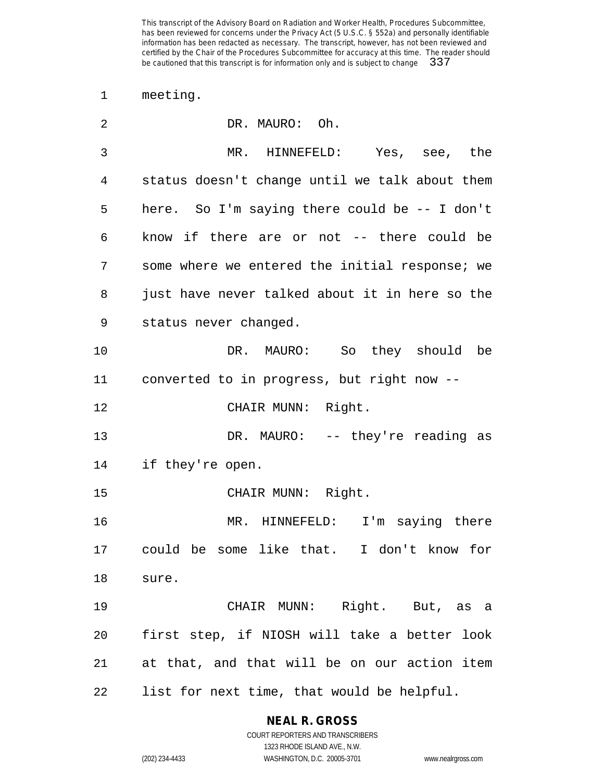meeting.

| 2  | DR. MAURO: Oh.                                 |
|----|------------------------------------------------|
| 3  | MR. HINNEFELD: Yes, see, the                   |
| 4  | status doesn't change until we talk about them |
| 5  | here. So I'm saying there could be -- I don't  |
| 6  | know if there are or not -- there could be     |
| 7  | some where we entered the initial response; we |
| 8  | just have never talked about it in here so the |
| 9  | status never changed.                          |
| 10 | DR. MAURO: So they should be                   |
| 11 | converted to in progress, but right now --     |
| 12 | CHAIR MUNN: Right.                             |
| 13 | DR. MAURO: -- they're reading as               |
| 14 | if they're open.                               |
| 15 | CHAIR MUNN: Right.                             |
| 16 | I'm saying there<br>MR. HINNEFELD:             |
| 17 | could be some like that. I don't know for      |
| 18 | sure.                                          |
| 19 | CHAIR MUNN: Right. But, as a                   |
| 20 | first step, if NIOSH will take a better look   |
| 21 | at that, and that will be on our action item   |
| 22 | list for next time, that would be helpful.     |

**NEAL R. GROSS** COURT REPORTERS AND TRANSCRIBERS

1323 RHODE ISLAND AVE., N.W.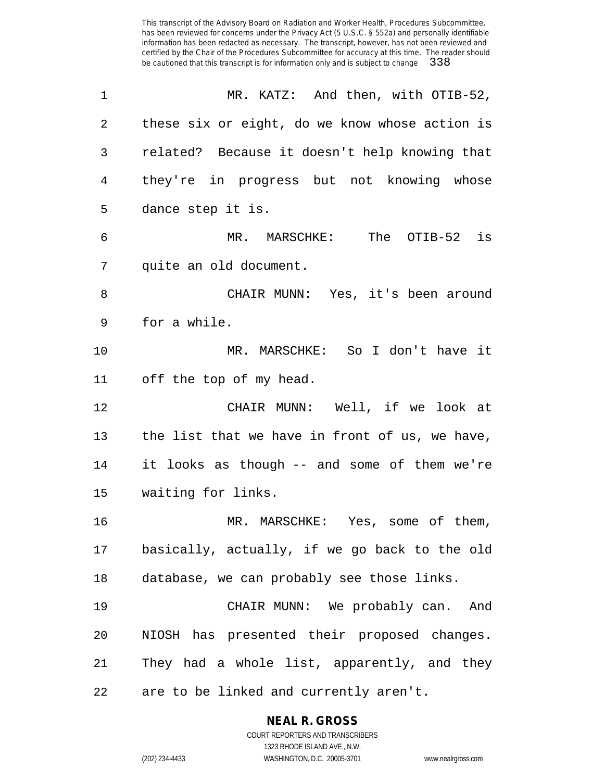| 1  | MR. KATZ: And then, with OTIB-52,              |
|----|------------------------------------------------|
| 2  | these six or eight, do we know whose action is |
| 3  | related? Because it doesn't help knowing that  |
| 4  | they're in progress but not knowing whose      |
| 5  | dance step it is.                              |
| 6  | The OTIB-52 is<br>MR. MARSCHKE:                |
| 7  | quite an old document.                         |
| 8  | CHAIR MUNN: Yes, it's been around              |
| 9  | for a while.                                   |
| 10 | MR. MARSCHKE: So I don't have it               |
| 11 | off the top of my head.                        |
| 12 | CHAIR MUNN: Well, if we look at                |
| 13 | the list that we have in front of us, we have, |
| 14 | it looks as though -- and some of them we're   |
| 15 | waiting for links.                             |
| 16 | MR. MARSCHKE: Yes, some of them,               |
| 17 | basically, actually, if we go back to the old  |
| 18 | database, we can probably see those links.     |
| 19 | CHAIR MUNN: We probably can. And               |
| 20 | NIOSH has presented their proposed changes.    |
| 21 | They had a whole list, apparently, and they    |
| 22 | are to be linked and currently aren't.         |

### **NEAL R. GROSS**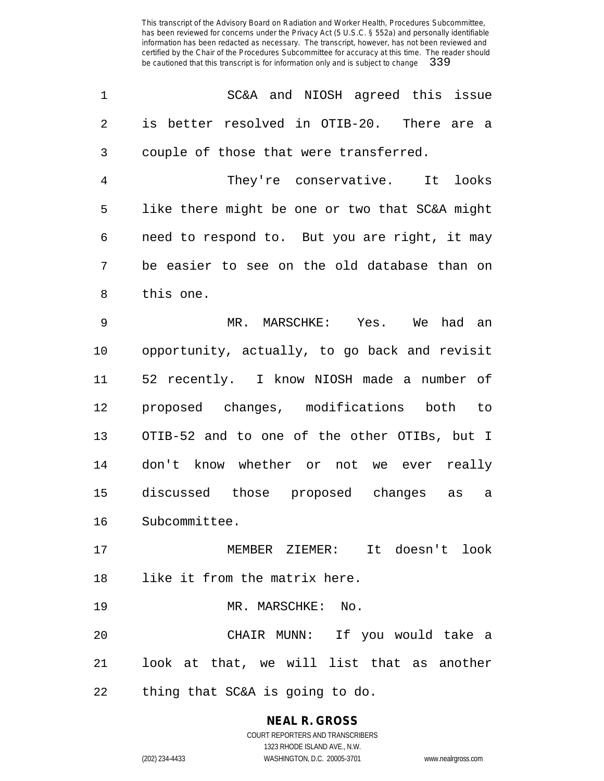| 1              | SC&A and NIOSH agreed this issue               |
|----------------|------------------------------------------------|
| $\overline{2}$ | is better resolved in OTIB-20. There are a     |
| 3              | couple of those that were transferred.         |
| 4              | They're conservative. It looks                 |
| 5              | like there might be one or two that SC&A might |
| 6              | need to respond to. But you are right, it may  |
| 7              | be easier to see on the old database than on   |
| 8              | this one.                                      |
| 9              | MR. MARSCHKE: Yes. We had an                   |
| 10             | opportunity, actually, to go back and revisit  |
| 11             | 52 recently. I know NIOSH made a number of     |
| 12             | proposed changes, modifications<br>both to     |
| 13             | OTIB-52 and to one of the other OTIBs, but I   |
| 14             | don't know whether or not we ever really       |
| 15             | discussed those proposed changes as<br>a       |
| 16             | Subcommittee.                                  |
| 17             | MEMBER ZIEMER: It doesn't look                 |
| 18             | like it from the matrix here.                  |
| 19             | MR. MARSCHKE: No.                              |
| 20             | CHAIR MUNN: If you would take a                |
| 21             | look at that, we will list that as another     |
| 22             | thing that SC&A is going to do.                |

### **NEAL R. GROSS** COURT REPORTERS AND TRANSCRIBERS

1323 RHODE ISLAND AVE., N.W. (202) 234-4433 WASHINGTON, D.C. 20005-3701 www.nealrgross.com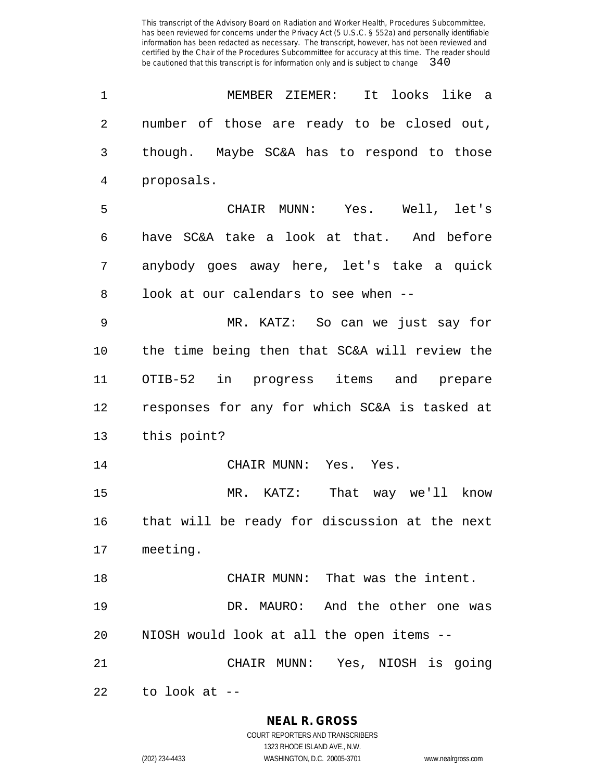| 1              | MEMBER ZIEMER: It looks like a                |
|----------------|-----------------------------------------------|
| $\overline{2}$ | number of those are ready to be closed out,   |
| 3              | though. Maybe SC&A has to respond to those    |
| $\overline{4}$ | proposals.                                    |
| 5              | CHAIR MUNN: Yes. Well, let's                  |
| 6              | have SC&A take a look at that. And before     |
| 7              | anybody goes away here, let's take a quick    |
| 8              | look at our calendars to see when --          |
| 9              | MR. KATZ: So can we just say for              |
| 10             | the time being then that SC&A will review the |
| 11             | OTIB-52 in progress items and prepare         |
| 12             | responses for any for which SC&A is tasked at |
| 13             | this point?                                   |
| 14             | CHAIR MUNN: Yes. Yes.                         |
| 15             | MR. KATZ: That way we'll know                 |
| 16             | that will be ready for discussion at the next |
| 17             | meeting.                                      |
| 18             | CHAIR MUNN: That was the intent.              |
| 19             | DR. MAURO: And the other one was              |
| 20             | NIOSH would look at all the open items --     |
| 21             | CHAIR MUNN: Yes, NIOSH is going               |
| 22             | to look at $-$                                |

**NEAL R. GROSS**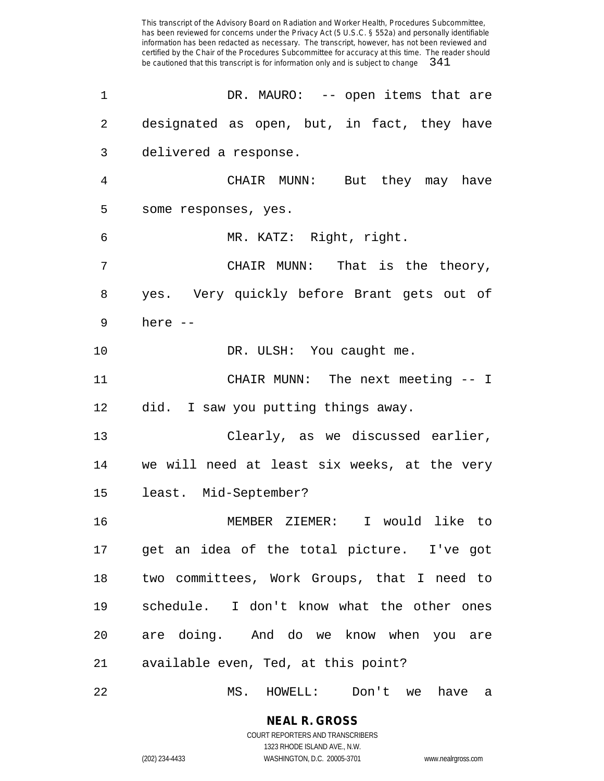| 1  | DR. MAURO: -- open items that are             |
|----|-----------------------------------------------|
| 2  | designated as open, but, in fact, they have   |
| 3  | delivered a response.                         |
| 4  | CHAIR MUNN: But they may have                 |
| 5  | some responses, yes.                          |
| 6  | MR. KATZ: Right, right.                       |
| 7  | CHAIR MUNN: That is the theory,               |
| 8  | yes. Very quickly before Brant gets out of    |
| 9  | here $--$                                     |
| 10 | DR. ULSH: You caught me.                      |
| 11 | CHAIR MUNN: The next meeting -- I             |
| 12 | did. I saw you putting things away.           |
| 13 | Clearly, as we discussed earlier,             |
| 14 | we will need at least six weeks, at the very  |
| 15 | least. Mid-September?                         |
| 16 | MEMBER ZIEMER: I would like to                |
|    | 17 get an idea of the total picture. I've got |
| 18 | two committees, Work Groups, that I need to   |
| 19 | schedule. I don't know what the other ones    |
| 20 | are doing. And do we know when you are        |
| 21 | available even, Ted, at this point?           |
|    |                                               |

MS. HOWELL: Don't we have a

# **NEAL R. GROSS**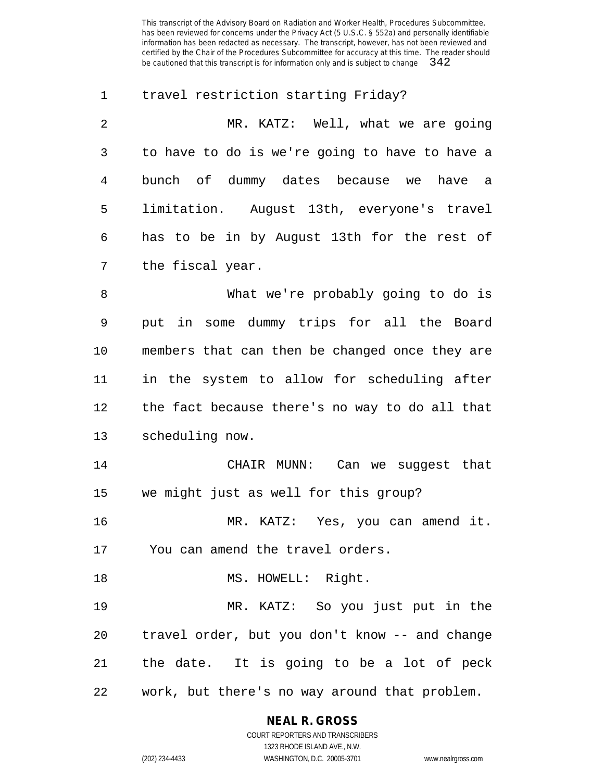travel restriction starting Friday? MR. KATZ: Well, what we are going to have to do is we're going to have to have a bunch of dummy dates because we have a limitation. August 13th, everyone's travel has to be in by August 13th for the rest of the fiscal year. What we're probably going to do is put in some dummy trips for all the Board members that can then be changed once they are in the system to allow for scheduling after the fact because there's no way to do all that scheduling now. CHAIR MUNN: Can we suggest that we might just as well for this group? MR. KATZ: Yes, you can amend it. You can amend the travel orders. 18 MS. HOWELL: Right. MR. KATZ: So you just put in the travel order, but you don't know -- and change the date. It is going to be a lot of peck work, but there's no way around that problem.

# **NEAL R. GROSS**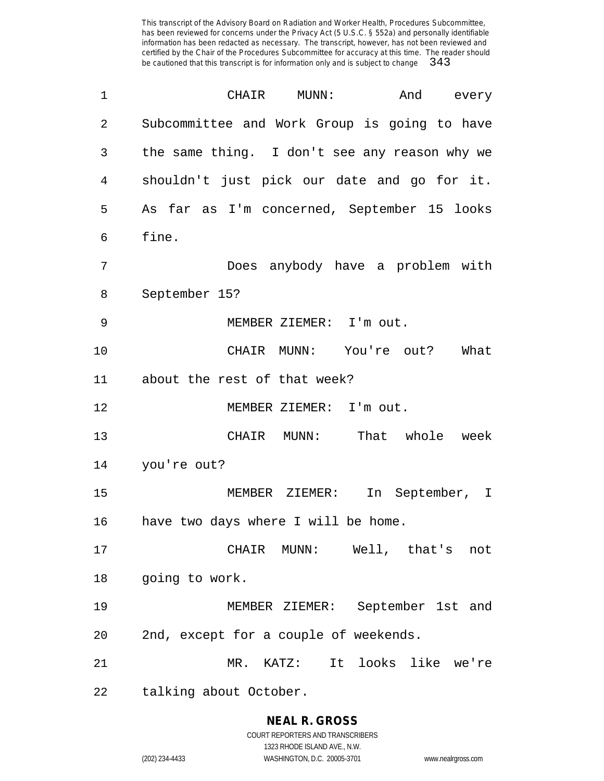| 1              | CHAIR MUNN:<br>And every                      |
|----------------|-----------------------------------------------|
| $\overline{2}$ | Subcommittee and Work Group is going to have  |
| 3              | the same thing. I don't see any reason why we |
| 4              | shouldn't just pick our date and go for it.   |
| 5              | As far as I'm concerned, September 15 looks   |
| 6              | fine.                                         |
| 7              | Does anybody have a problem with              |
| 8              | September 15?                                 |
| 9              | MEMBER ZIEMER: I'm out.                       |
| 10             | CHAIR MUNN: You're out? What                  |
| 11             | about the rest of that week?                  |
| 12             | MEMBER ZIEMER: I'm out.                       |
| 13             | CHAIR MUNN: That whole week                   |
| 14             | you're out?                                   |
| 15             | In September, I<br>MEMBER ZIEMER:             |
| 16             | have two days where I will be home.           |
| 17             | CHAIR MUNN: Well, that's not                  |
| 18             | going to work.                                |
| 19             | MEMBER ZIEMER: September 1st and              |
| 20             | 2nd, except for a couple of weekends.         |
| 21             | It looks like we're<br>$MR.$ $KATZ$ :         |
| 22             | talking about October.                        |

**NEAL R. GROSS** COURT REPORTERS AND TRANSCRIBERS

1323 RHODE ISLAND AVE., N.W.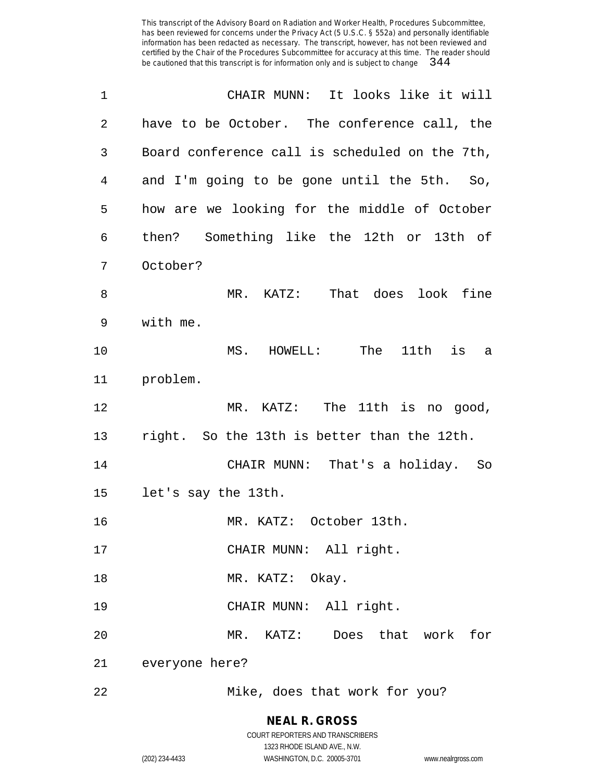| 1  | CHAIR MUNN: It looks like it will              |
|----|------------------------------------------------|
| 2  | have to be October. The conference call, the   |
| 3  | Board conference call is scheduled on the 7th, |
| 4  | and I'm going to be gone until the 5th.<br>So, |
| 5  | how are we looking for the middle of October   |
| 6  | then? Something like the 12th or 13th of       |
| 7  | October?                                       |
| 8  | MR. KATZ: That does look fine                  |
| 9  | with me.                                       |
| 10 | is<br>MS.<br>HOWELL: The 11th<br>a             |
| 11 | problem.                                       |
| 12 | MR. KATZ: The 11th is no good,                 |
| 13 | right. So the 13th is better than the 12th.    |
| 14 | CHAIR MUNN: That's a holiday. So               |
| 15 | let's say the 13th.                            |
| 16 | MR. KATZ: October 13th.                        |
| 17 | CHAIR MUNN: All right.                         |
| 18 | MR. KATZ: Okay.                                |
| 19 | CHAIR MUNN: All right.                         |
| 20 | MR. KATZ: Does that work for                   |
| 21 | everyone here?                                 |
| 22 | Mike, does that work for you?                  |

### **NEAL R. GROSS** COURT REPORTERS AND TRANSCRIBERS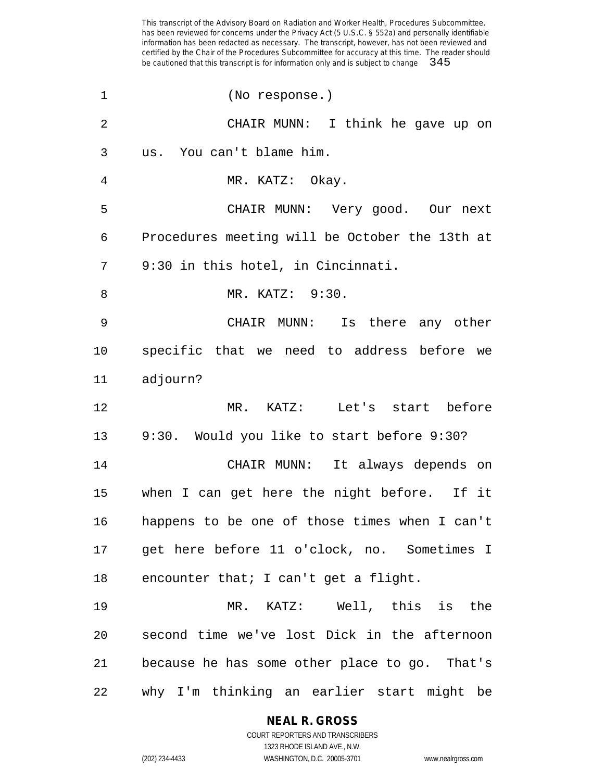(No response.) CHAIR MUNN: I think he gave up on us. You can't blame him. MR. KATZ: Okay. CHAIR MUNN: Very good. Our next Procedures meeting will be October the 13th at 9:30 in this hotel, in Cincinnati. MR. KATZ: 9:30. CHAIR MUNN: Is there any other specific that we need to address before we adjourn? MR. KATZ: Let's start before 9:30. Would you like to start before 9:30? CHAIR MUNN: It always depends on when I can get here the night before. If it happens to be one of those times when I can't get here before 11 o'clock, no. Sometimes I encounter that; I can't get a flight. MR. KATZ: Well, this is the second time we've lost Dick in the afternoon because he has some other place to go. That's why I'm thinking an earlier start might be

### **NEAL R. GROSS**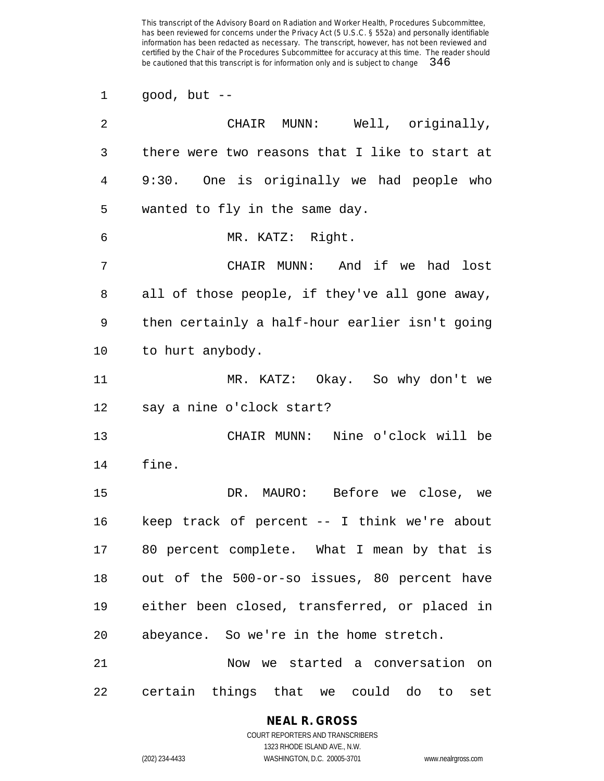good, but --

| 2  | CHAIR MUNN: Well, originally,                  |
|----|------------------------------------------------|
| 3  | there were two reasons that I like to start at |
| 4  | 9:30. One is originally we had people who      |
| 5  | wanted to fly in the same day.                 |
| 6  | MR. KATZ: Right.                               |
| 7  | CHAIR MUNN: And if we had lost                 |
| 8  | all of those people, if they've all gone away, |
| 9  | then certainly a half-hour earlier isn't going |
| 10 | to hurt anybody.                               |
| 11 | MR. KATZ: Okay. So why don't we                |
| 12 | say a nine o'clock start?                      |
| 13 | CHAIR MUNN: Nine o'clock will be               |
| 14 | fine.                                          |
| 15 | DR. MAURO: Before we close, we                 |
| 16 | keep track of percent -- I think we're about   |
| 17 | 80 percent complete. What I mean by that is    |
| 18 | out of the 500-or-so issues, 80 percent have   |
| 19 | either been closed, transferred, or placed in  |
| 20 | abeyance. So we're in the home stretch.        |
| 21 | Now we started a conversation on               |
| 22 | certain things that we could do to<br>set      |

### **NEAL R. GROSS**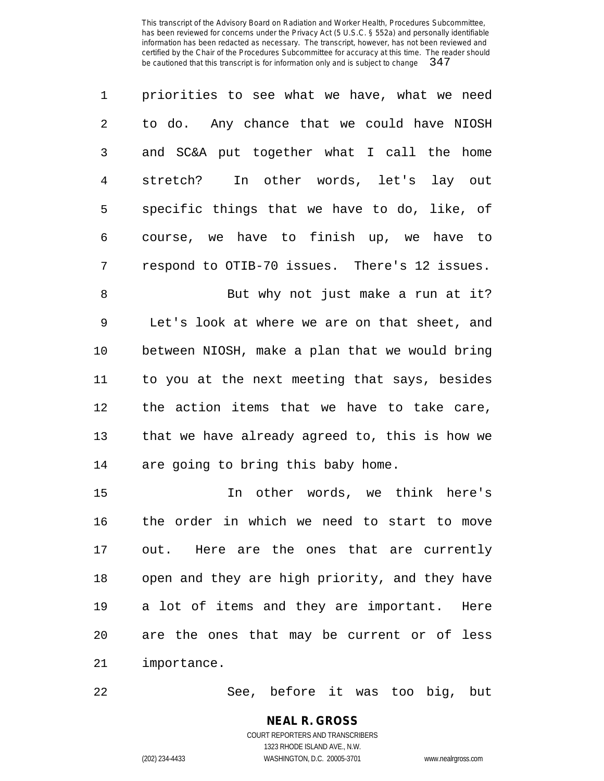| $\mathbf{1}$  | priorities to see what we have, what we need  |
|---------------|-----------------------------------------------|
| $\mathcal{L}$ | to do. Any chance that we could have NIOSH    |
| 3             | and SC&A put together what I call the home    |
| 4             | In other words, let's lay out<br>stretch?     |
| 5             | specific things that we have to do, like, of  |
| 6             | course, we have to finish up, we have to      |
| 7             | respond to OTIB-70 issues. There's 12 issues. |
| 8             | But why not just make a run at it?            |
|               |                                               |

 Let's look at where we are on that sheet, and between NIOSH, make a plan that we would bring to you at the next meeting that says, besides the action items that we have to take care, that we have already agreed to, this is how we are going to bring this baby home.

 In other words, we think here's the order in which we need to start to move out. Here are the ones that are currently open and they are high priority, and they have a lot of items and they are important. Here are the ones that may be current or of less importance.

See, before it was too big, but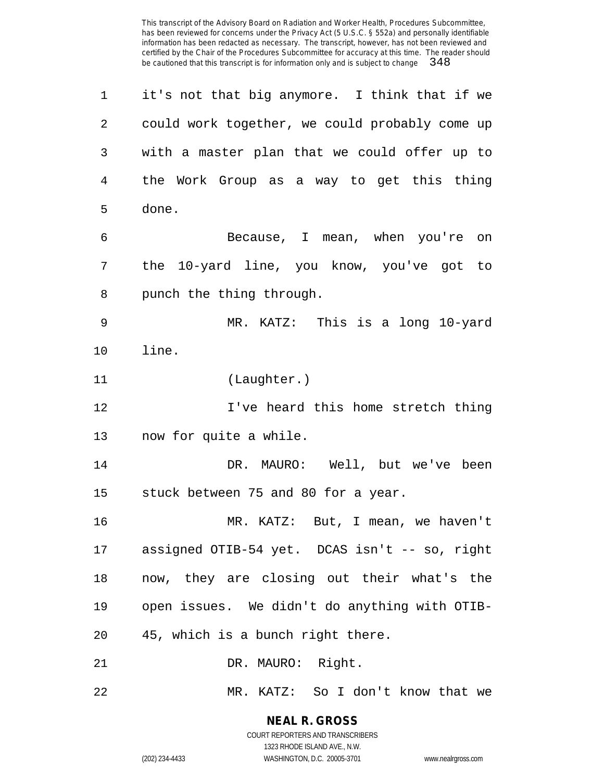it's not that big anymore. I think that if we could work together, we could probably come up with a master plan that we could offer up to the Work Group as a way to get this thing done. Because, I mean, when you're on the 10-yard line, you know, you've got to punch the thing through. MR. KATZ: This is a long 10-yard line. (Laughter.) I've heard this home stretch thing now for quite a while. 14 DR. MAURO: Well, but we've been stuck between 75 and 80 for a year. MR. KATZ: But, I mean, we haven't assigned OTIB-54 yet. DCAS isn't -- so, right now, they are closing out their what's the open issues. We didn't do anything with OTIB- 45, which is a bunch right there. 21 DR. MAURO: Right. MR. KATZ: So I don't know that we

> **NEAL R. GROSS** COURT REPORTERS AND TRANSCRIBERS

1323 RHODE ISLAND AVE., N.W. (202) 234-4433 WASHINGTON, D.C. 20005-3701 www.nealrgross.com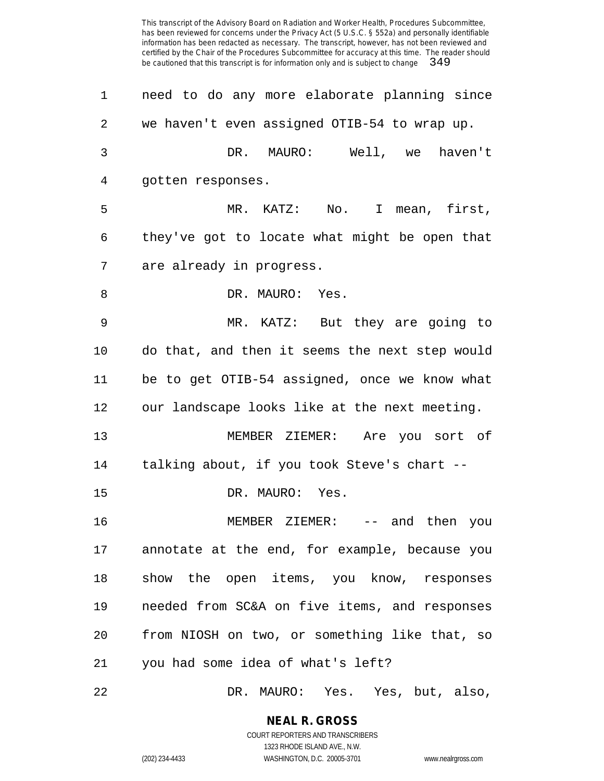| $\mathbf 1$    | need to do any more elaborate planning since   |
|----------------|------------------------------------------------|
| $\overline{2}$ | we haven't even assigned OTIB-54 to wrap up.   |
| 3              | DR. MAURO: Well, we haven't                    |
| 4              | gotten responses.                              |
| 5              | MR. KATZ: No. I mean, first,                   |
| 6              | they've got to locate what might be open that  |
| 7              | are already in progress.                       |
| 8              | DR. MAURO: Yes.                                |
| 9              | MR. KATZ: But they are going to                |
| 10             | do that, and then it seems the next step would |
| 11             | be to get OTIB-54 assigned, once we know what  |
| 12             | our landscape looks like at the next meeting.  |
| 13             | MEMBER ZIEMER: Are you sort of                 |
| 14             | talking about, if you took Steve's chart --    |
| 15             | DR. MAURO: Yes.                                |
| 16             | MEMBER ZIEMER: -- and then you                 |
| 17             | annotate at the end, for example, because you  |
| 18             | show the open items, you know, responses       |
| 19             | needed from SC&A on five items, and responses  |
| 20             | from NIOSH on two, or something like that, so  |
| 21             | you had some idea of what's left?              |
| 22             | DR. MAURO: Yes. Yes, but, also,                |

**NEAL R. GROSS**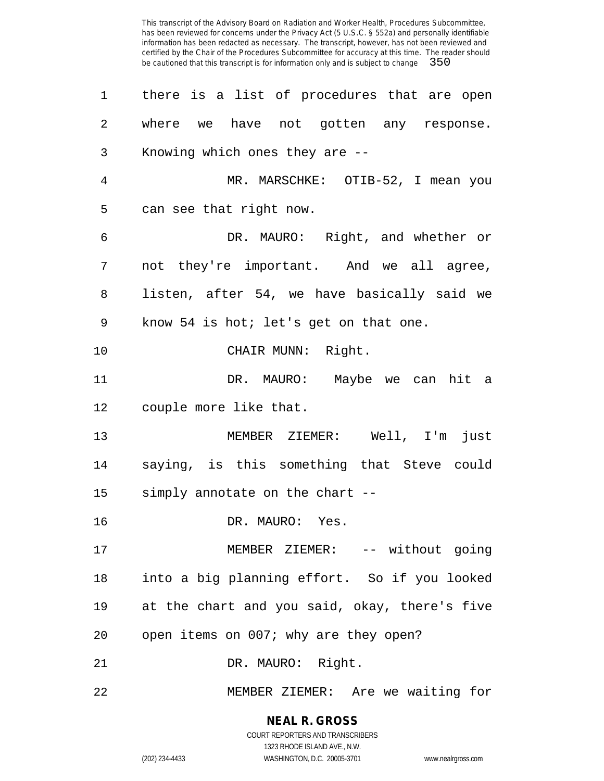| $\mathbf 1$ | there is a list of procedures that are open   |
|-------------|-----------------------------------------------|
| 2           | where we have not gotten any response.        |
| 3           | Knowing which ones they are --                |
| 4           | MR. MARSCHKE: OTIB-52, I mean you             |
| 5           | can see that right now.                       |
| 6           | DR. MAURO: Right, and whether or              |
| 7           | not they're important. And we all agree,      |
| 8           | listen, after 54, we have basically said we   |
| 9           | know 54 is hot; let's get on that one.        |
| 10          | CHAIR MUNN: Right.                            |
| 11          | DR. MAURO: Maybe we can hit a                 |
| 12          | couple more like that.                        |
| 13          | MEMBER ZIEMER: Well, I'm just                 |
| 14          | saying, is this something that Steve could    |
| 15          | simply annotate on the chart --               |
| 16          | DR. MAURO: Yes.                               |
| 17          | MEMBER ZIEMER: -- without going               |
| 18          | into a big planning effort. So if you looked  |
| 19          | at the chart and you said, okay, there's five |
| 20          | open items on 007; why are they open?         |
| 21          | DR. MAURO: Right.                             |
| 22          | MEMBER ZIEMER: Are we waiting for             |

**NEAL R. GROSS** COURT REPORTERS AND TRANSCRIBERS

1323 RHODE ISLAND AVE., N.W.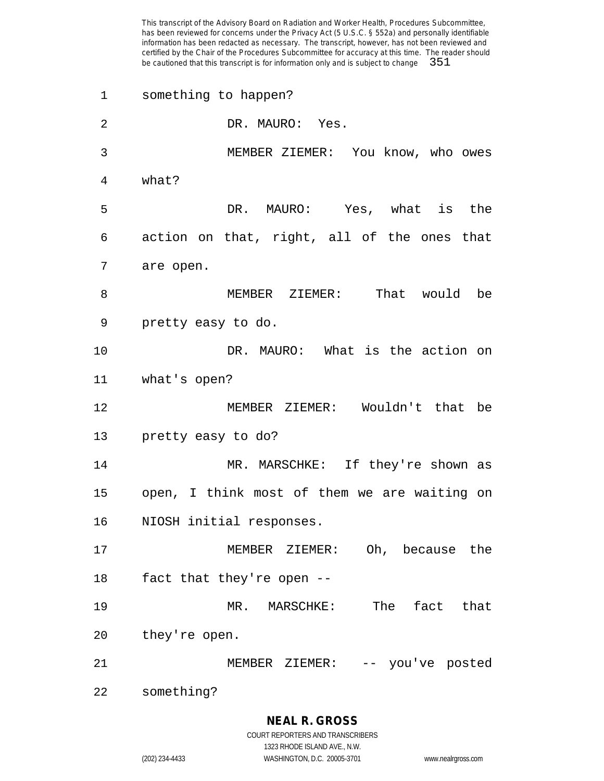something to happen? DR. MAURO: Yes. MEMBER ZIEMER: You know, who owes what? DR. MAURO: Yes, what is the action on that, right, all of the ones that are open. MEMBER ZIEMER: That would be pretty easy to do. DR. MAURO: What is the action on what's open? MEMBER ZIEMER: Wouldn't that be pretty easy to do? MR. MARSCHKE: If they're shown as open, I think most of them we are waiting on NIOSH initial responses. MEMBER ZIEMER: Oh, because the fact that they're open -- MR. MARSCHKE: The fact that they're open. MEMBER ZIEMER: -- you've posted something?

**NEAL R. GROSS**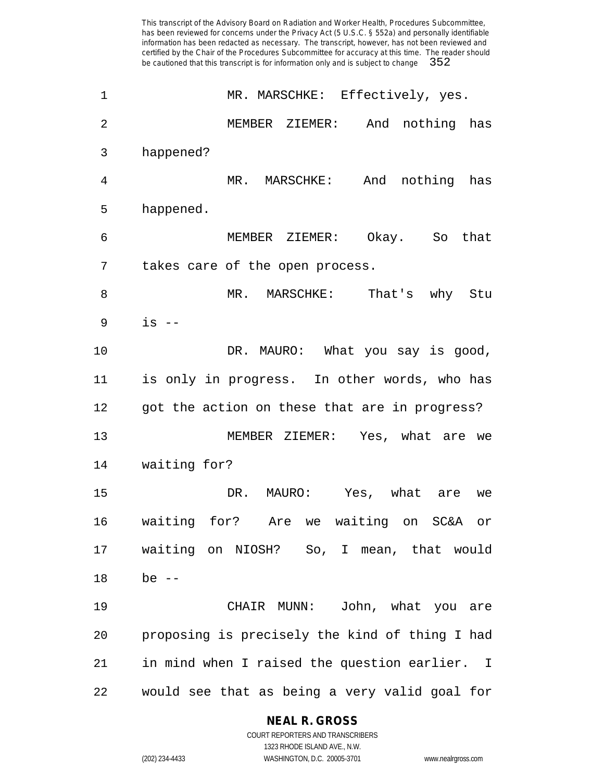| 1  | MR. MARSCHKE: Effectively, yes.                |
|----|------------------------------------------------|
| 2  | MEMBER ZIEMER: And nothing has                 |
| 3  | happened?                                      |
| 4  | And nothing has<br>MR. MARSCHKE:               |
| 5  | happened.                                      |
| 6  | MEMBER ZIEMER: Okay. So that                   |
| 7  | takes care of the open process.                |
| 8  | MR. MARSCHKE: That's why Stu                   |
| 9  | $is$ --                                        |
| 10 | DR. MAURO: What you say is good,               |
| 11 | is only in progress. In other words, who has   |
| 12 | got the action on these that are in progress?  |
| 13 | MEMBER ZIEMER: Yes, what are we                |
| 14 | waiting for?                                   |
| 15 | DR. MAURO: Yes, what are we                    |
| 16 | waiting for? Are we waiting on SC&A or         |
| 17 | waiting on NIOSH? So, I mean, that would       |
| 18 | be $--$                                        |
| 19 | CHAIR MUNN: John, what you are                 |
| 20 | proposing is precisely the kind of thing I had |
| 21 | in mind when I raised the question earlier. I  |
| 22 | would see that as being a very valid goal for  |

**NEAL R. GROSS** COURT REPORTERS AND TRANSCRIBERS

1323 RHODE ISLAND AVE., N.W. (202) 234-4433 WASHINGTON, D.C. 20005-3701 www.nealrgross.com